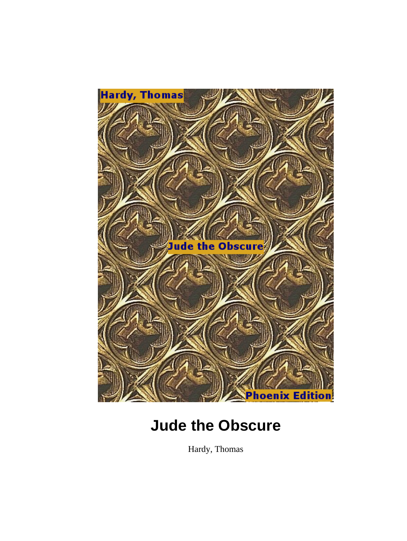

Hardy, Thomas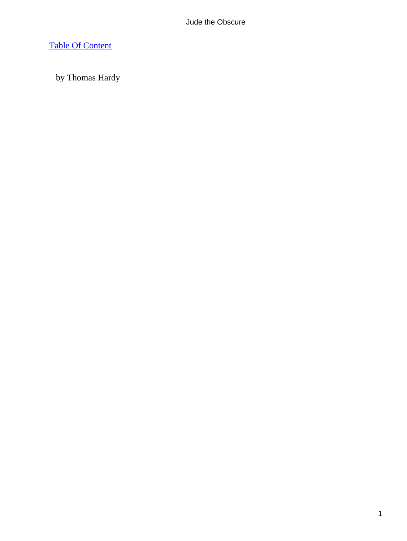# [Table Of Content](#page-367-0)

by Thomas Hardy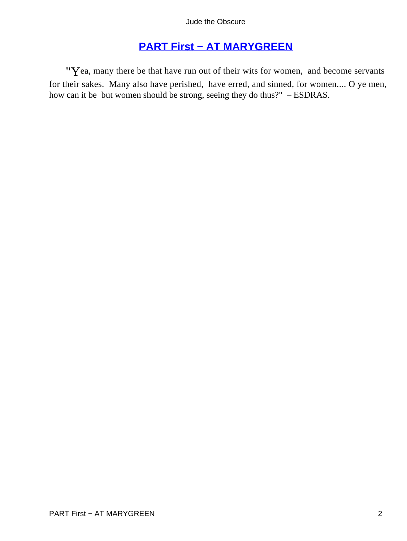# **[PART First − AT MARYGREEN](#page-367-0)**

"Yea, many there be that have run out of their wits for women, and become servants for their sakes. Many also have perished, have erred, and sinned, for women.... O ye men, how can it be but women should be strong, seeing they do thus?" – ESDRAS.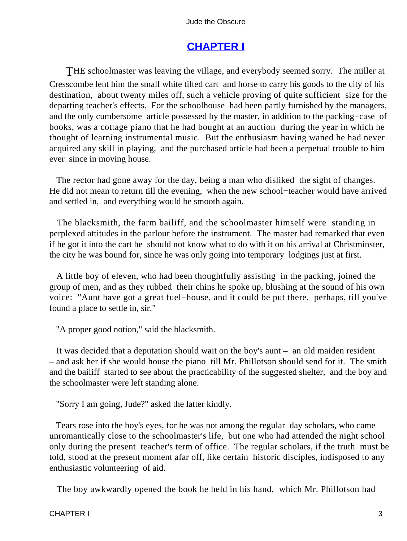# **[CHAPTER I](#page-367-0)**

THE schoolmaster was leaving the village, and everybody seemed sorry. The miller at Cresscombe lent him the small white tilted cart and horse to carry his goods to the city of his destination, about twenty miles off, such a vehicle proving of quite sufficient size for the departing teacher's effects. For the schoolhouse had been partly furnished by the managers, and the only cumbersome article possessed by the master, in addition to the packing−case of books, was a cottage piano that he had bought at an auction during the year in which he thought of learning instrumental music. But the enthusiasm having waned he had never acquired any skill in playing, and the purchased article had been a perpetual trouble to him ever since in moving house.

 The rector had gone away for the day, being a man who disliked the sight of changes. He did not mean to return till the evening, when the new school−teacher would have arrived and settled in, and everything would be smooth again.

 The blacksmith, the farm bailiff, and the schoolmaster himself were standing in perplexed attitudes in the parlour before the instrument. The master had remarked that even if he got it into the cart he should not know what to do with it on his arrival at Christminster, the city he was bound for, since he was only going into temporary lodgings just at first.

 A little boy of eleven, who had been thoughtfully assisting in the packing, joined the group of men, and as they rubbed their chins he spoke up, blushing at the sound of his own voice: "Aunt have got a great fuel−house, and it could be put there, perhaps, till you've found a place to settle in, sir."

"A proper good notion," said the blacksmith.

 It was decided that a deputation should wait on the boy's aunt – an old maiden resident – and ask her if she would house the piano till Mr. Phillotson should send for it. The smith and the bailiff started to see about the practicability of the suggested shelter, and the boy and the schoolmaster were left standing alone.

"Sorry I am going, Jude?" asked the latter kindly.

 Tears rose into the boy's eyes, for he was not among the regular day scholars, who came unromantically close to the schoolmaster's life, but one who had attended the night school only during the present teacher's term of office. The regular scholars, if the truth must be told, stood at the present moment afar off, like certain historic disciples, indisposed to any enthusiastic volunteering of aid.

The boy awkwardly opened the book he held in his hand, which Mr. Phillotson had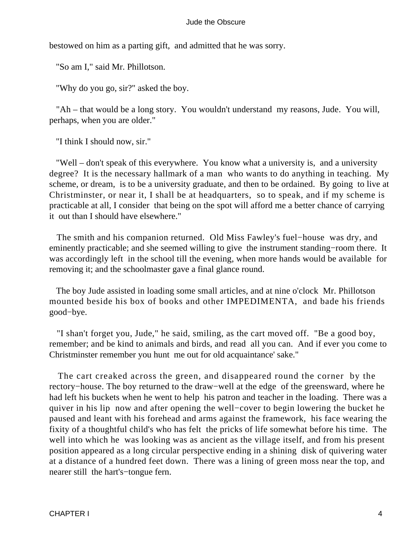bestowed on him as a parting gift, and admitted that he was sorry.

"So am I," said Mr. Phillotson.

"Why do you go, sir?" asked the boy.

 "Ah – that would be a long story. You wouldn't understand my reasons, Jude. You will, perhaps, when you are older."

"I think I should now, sir."

 "Well – don't speak of this everywhere. You know what a university is, and a university degree? It is the necessary hallmark of a man who wants to do anything in teaching. My scheme, or dream, is to be a university graduate, and then to be ordained. By going to live at Christminster, or near it, I shall be at headquarters, so to speak, and if my scheme is practicable at all, I consider that being on the spot will afford me a better chance of carrying it out than I should have elsewhere."

 The smith and his companion returned. Old Miss Fawley's fuel−house was dry, and eminently practicable; and she seemed willing to give the instrument standing−room there. It was accordingly left in the school till the evening, when more hands would be available for removing it; and the schoolmaster gave a final glance round.

 The boy Jude assisted in loading some small articles, and at nine o'clock Mr. Phillotson mounted beside his box of books and other IMPEDIMENTA, and bade his friends good−bye.

 "I shan't forget you, Jude," he said, smiling, as the cart moved off. "Be a good boy, remember; and be kind to animals and birds, and read all you can. And if ever you come to Christminster remember you hunt me out for old acquaintance' sake."

 The cart creaked across the green, and disappeared round the corner by the rectory−house. The boy returned to the draw−well at the edge of the greensward, where he had left his buckets when he went to help his patron and teacher in the loading. There was a quiver in his lip now and after opening the well−cover to begin lowering the bucket he paused and leant with his forehead and arms against the framework, his face wearing the fixity of a thoughtful child's who has felt the pricks of life somewhat before his time. The well into which he was looking was as ancient as the village itself, and from his present position appeared as a long circular perspective ending in a shining disk of quivering water at a distance of a hundred feet down. There was a lining of green moss near the top, and nearer still the hart's−tongue fern.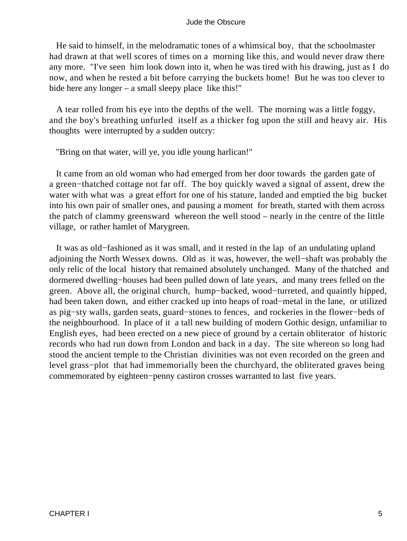He said to himself, in the melodramatic tones of a whimsical boy, that the schoolmaster had drawn at that well scores of times on a morning like this, and would never draw there any more. "I've seen him look down into it, when he was tired with his drawing, just as I do now, and when he rested a bit before carrying the buckets home! But he was too clever to bide here any longer – a small sleepy place like this!"

 A tear rolled from his eye into the depths of the well. The morning was a little foggy, and the boy's breathing unfurled itself as a thicker fog upon the still and heavy air. His thoughts were interrupted by a sudden outcry:

"Bring on that water, will ye, you idle young harlican!"

 It came from an old woman who had emerged from her door towards the garden gate of a green−thatched cottage not far off. The boy quickly waved a signal of assent, drew the water with what was a great effort for one of his stature, landed and emptied the big bucket into his own pair of smaller ones, and pausing a moment for breath, started with them across the patch of clammy greensward whereon the well stood – nearly in the centre of the little village, or rather hamlet of Marygreen.

 It was as old−fashioned as it was small, and it rested in the lap of an undulating upland adjoining the North Wessex downs. Old as it was, however, the well−shaft was probably the only relic of the local history that remained absolutely unchanged. Many of the thatched and dormered dwelling−houses had been pulled down of late years, and many trees felled on the green. Above all, the original church, hump−backed, wood−turreted, and quaintly hipped, had been taken down, and either cracked up into heaps of road−metal in the lane, or utilized as pig−sty walls, garden seats, guard−stones to fences, and rockeries in the flower−beds of the neighbourhood. In place of it a tall new building of modern Gothic design, unfamiliar to English eyes, had been erected on a new piece of ground by a certain obliterator of historic records who had run down from London and back in a day. The site whereon so long had stood the ancient temple to the Christian divinities was not even recorded on the green and level grass−plot that had immemorially been the churchyard, the obliterated graves being commemorated by eighteen−penny castiron crosses warranted to last five years.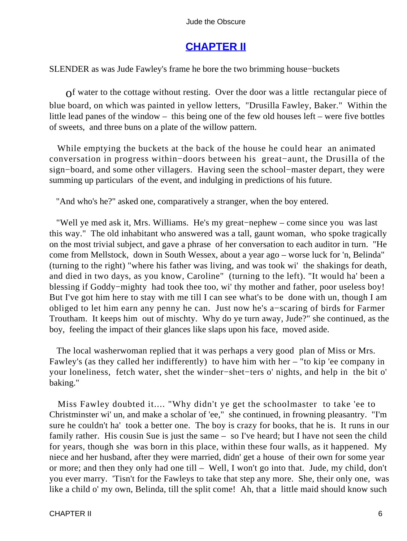# **[CHAPTER II](#page-367-0)**

SLENDER as was Jude Fawley's frame he bore the two brimming house−buckets

of water to the cottage without resting. Over the door was a little rectangular piece of blue board, on which was painted in yellow letters, "Drusilla Fawley, Baker." Within the little lead panes of the window – this being one of the few old houses left – were five bottles of sweets, and three buns on a plate of the willow pattern.

 While emptying the buckets at the back of the house he could hear an animated conversation in progress within−doors between his great−aunt, the Drusilla of the sign−board, and some other villagers. Having seen the school−master depart, they were summing up particulars of the event, and indulging in predictions of his future.

"And who's he?" asked one, comparatively a stranger, when the boy entered.

 "Well ye med ask it, Mrs. Williams. He's my great−nephew – come since you was last this way." The old inhabitant who answered was a tall, gaunt woman, who spoke tragically on the most trivial subject, and gave a phrase of her conversation to each auditor in turn. "He come from Mellstock, down in South Wessex, about a year ago – worse luck for 'n, Belinda" (turning to the right) "where his father was living, and was took wi' the shakings for death, and died in two days, as you know, Caroline" (turning to the left). "It would ha' been a blessing if Goddy−mighty had took thee too, wi' thy mother and father, poor useless boy! But I've got him here to stay with me till I can see what's to be done with un, though I am obliged to let him earn any penny he can. Just now he's a−scaring of birds for Farmer Troutham. It keeps him out of mischty. Why do ye turn away, Jude?" she continued, as the boy, feeling the impact of their glances like slaps upon his face, moved aside.

 The local washerwoman replied that it was perhaps a very good plan of Miss or Mrs. Fawley's (as they called her indifferently) to have him with her – "to kip 'ee company in your loneliness, fetch water, shet the winder−shet−ters o' nights, and help in the bit o' baking."

 Miss Fawley doubted it.... "Why didn't ye get the schoolmaster to take 'ee to Christminster wi' un, and make a scholar of 'ee," she continued, in frowning pleasantry. "I'm sure he couldn't ha' took a better one. The boy is crazy for books, that he is. It runs in our family rather. His cousin Sue is just the same – so I've heard; but I have not seen the child for years, though she was born in this place, within these four walls, as it happened. My niece and her husband, after they were married, didn' get a house of their own for some year or more; and then they only had one till – Well, I won't go into that. Jude, my child, don't you ever marry. 'Tisn't for the Fawleys to take that step any more. She, their only one, was like a child o' my own, Belinda, till the split come! Ah, that a little maid should know such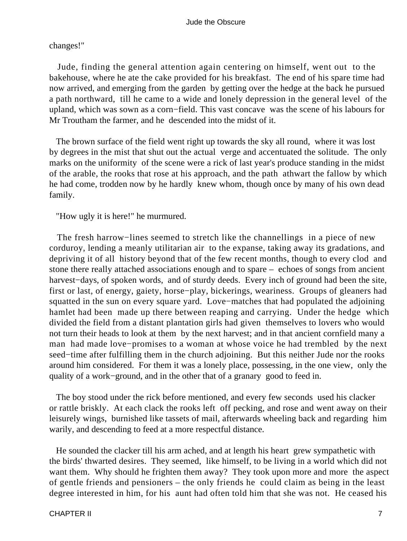changes!"

 Jude, finding the general attention again centering on himself, went out to the bakehouse, where he ate the cake provided for his breakfast. The end of his spare time had now arrived, and emerging from the garden by getting over the hedge at the back he pursued a path northward, till he came to a wide and lonely depression in the general level of the upland, which was sown as a corn−field. This vast concave was the scene of his labours for Mr Troutham the farmer, and he descended into the midst of it.

 The brown surface of the field went right up towards the sky all round, where it was lost by degrees in the mist that shut out the actual verge and accentuated the solitude. The only marks on the uniformity of the scene were a rick of last year's produce standing in the midst of the arable, the rooks that rose at his approach, and the path athwart the fallow by which he had come, trodden now by he hardly knew whom, though once by many of his own dead family.

"How ugly it is here!" he murmured.

The fresh harrow–lines seemed to stretch like the channellings in a piece of new corduroy, lending a meanly utilitarian air to the expanse, taking away its gradations, and depriving it of all history beyond that of the few recent months, though to every clod and stone there really attached associations enough and to spare – echoes of songs from ancient harvest−days, of spoken words, and of sturdy deeds. Every inch of ground had been the site, first or last, of energy, gaiety, horse−play, bickerings, weariness. Groups of gleaners had squatted in the sun on every square yard. Love−matches that had populated the adjoining hamlet had been made up there between reaping and carrying. Under the hedge which divided the field from a distant plantation girls had given themselves to lovers who would not turn their heads to look at them by the next harvest; and in that ancient cornfield many a man had made love−promises to a woman at whose voice he had trembled by the next seed−time after fulfilling them in the church adjoining. But this neither Jude nor the rooks around him considered. For them it was a lonely place, possessing, in the one view, only the quality of a work−ground, and in the other that of a granary good to feed in.

 The boy stood under the rick before mentioned, and every few seconds used his clacker or rattle briskly. At each clack the rooks left off pecking, and rose and went away on their leisurely wings, burnished like tassets of mail, afterwards wheeling back and regarding him warily, and descending to feed at a more respectful distance.

 He sounded the clacker till his arm ached, and at length his heart grew sympathetic with the birds' thwarted desires. They seemed, like himself, to be living in a world which did not want them. Why should he frighten them away? They took upon more and more the aspect of gentle friends and pensioners – the only friends he could claim as being in the least degree interested in him, for his aunt had often told him that she was not. He ceased his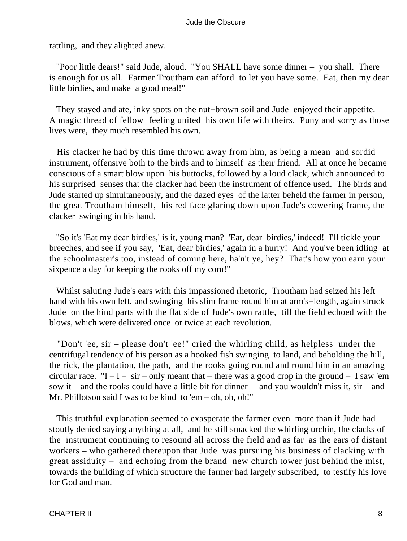rattling, and they alighted anew.

 "Poor little dears!" said Jude, aloud. "You SHALL have some dinner – you shall. There is enough for us all. Farmer Troutham can afford to let you have some. Eat, then my dear little birdies, and make a good meal!"

 They stayed and ate, inky spots on the nut−brown soil and Jude enjoyed their appetite. A magic thread of fellow−feeling united his own life with theirs. Puny and sorry as those lives were, they much resembled his own.

 His clacker he had by this time thrown away from him, as being a mean and sordid instrument, offensive both to the birds and to himself as their friend. All at once he became conscious of a smart blow upon his buttocks, followed by a loud clack, which announced to his surprised senses that the clacker had been the instrument of offence used. The birds and Jude started up simultaneously, and the dazed eyes of the latter beheld the farmer in person, the great Troutham himself, his red face glaring down upon Jude's cowering frame, the clacker swinging in his hand.

 "So it's 'Eat my dear birdies,' is it, young man? 'Eat, dear birdies,' indeed! I'll tickle your breeches, and see if you say, 'Eat, dear birdies,' again in a hurry! And you've been idling at the schoolmaster's too, instead of coming here, ha'n't ye, hey? That's how you earn your sixpence a day for keeping the rooks off my corn!"

 Whilst saluting Jude's ears with this impassioned rhetoric, Troutham had seized his left hand with his own left, and swinging his slim frame round him at arm's−length, again struck Jude on the hind parts with the flat side of Jude's own rattle, till the field echoed with the blows, which were delivered once or twice at each revolution.

 "Don't 'ee, sir – please don't 'ee!" cried the whirling child, as helpless under the centrifugal tendency of his person as a hooked fish swinging to land, and beholding the hill, the rick, the plantation, the path, and the rooks going round and round him in an amazing circular race. " $I - I - \text{sir} - \text{only meant that} - \text{there was a good crop in the ground} - I \text{ saw 'em}$ sow it – and the rooks could have a little bit for dinner – and you wouldn't miss it, sir – and Mr. Phillotson said I was to be kind to 'em – oh, oh, oh!"

 This truthful explanation seemed to exasperate the farmer even more than if Jude had stoutly denied saying anything at all, and he still smacked the whirling urchin, the clacks of the instrument continuing to resound all across the field and as far as the ears of distant workers – who gathered thereupon that Jude was pursuing his business of clacking with great assiduity – and echoing from the brand−new church tower just behind the mist, towards the building of which structure the farmer had largely subscribed, to testify his love for God and man.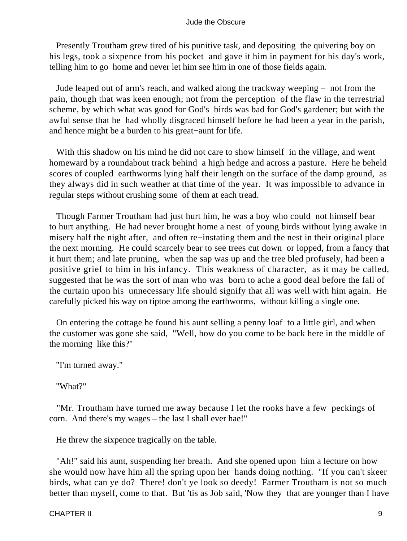Presently Troutham grew tired of his punitive task, and depositing the quivering boy on his legs, took a sixpence from his pocket and gave it him in payment for his day's work, telling him to go home and never let him see him in one of those fields again.

 Jude leaped out of arm's reach, and walked along the trackway weeping – not from the pain, though that was keen enough; not from the perception of the flaw in the terrestrial scheme, by which what was good for God's birds was bad for God's gardener; but with the awful sense that he had wholly disgraced himself before he had been a year in the parish, and hence might be a burden to his great−aunt for life.

 With this shadow on his mind he did not care to show himself in the village, and went homeward by a roundabout track behind a high hedge and across a pasture. Here he beheld scores of coupled earthworms lying half their length on the surface of the damp ground, as they always did in such weather at that time of the year. It was impossible to advance in regular steps without crushing some of them at each tread.

 Though Farmer Troutham had just hurt him, he was a boy who could not himself bear to hurt anything. He had never brought home a nest of young birds without lying awake in misery half the night after, and often re−instating them and the nest in their original place the next morning. He could scarcely bear to see trees cut down or lopped, from a fancy that it hurt them; and late pruning, when the sap was up and the tree bled profusely, had been a positive grief to him in his infancy. This weakness of character, as it may be called, suggested that he was the sort of man who was born to ache a good deal before the fall of the curtain upon his unnecessary life should signify that all was well with him again. He carefully picked his way on tiptoe among the earthworms, without killing a single one.

 On entering the cottage he found his aunt selling a penny loaf to a little girl, and when the customer was gone she said, "Well, how do you come to be back here in the middle of the morning like this?"

"I'm turned away."

"What?"

 "Mr. Troutham have turned me away because I let the rooks have a few peckings of corn. And there's my wages – the last I shall ever hae!"

He threw the sixpence tragically on the table.

 "Ah!" said his aunt, suspending her breath. And she opened upon him a lecture on how she would now have him all the spring upon her hands doing nothing. "If you can't skeer birds, what can ye do? There! don't ye look so deedy! Farmer Troutham is not so much better than myself, come to that. But 'tis as Job said, 'Now they that are younger than I have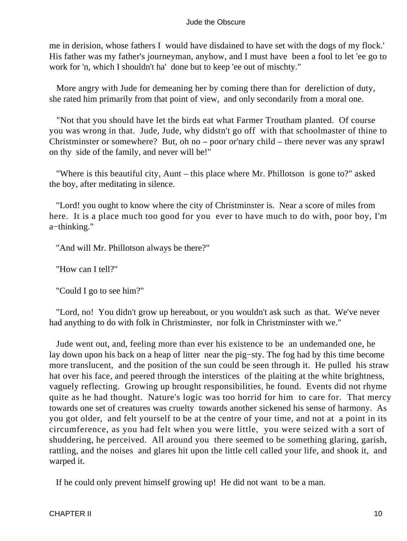me in derision, whose fathers I would have disdained to have set with the dogs of my flock.' His father was my father's journeyman, anyhow, and I must have been a fool to let 'ee go to work for 'n, which I shouldn't ha' done but to keep 'ee out of mischty."

 More angry with Jude for demeaning her by coming there than for dereliction of duty, she rated him primarily from that point of view, and only secondarily from a moral one.

 "Not that you should have let the birds eat what Farmer Troutham planted. Of course you was wrong in that. Jude, Jude, why didstn't go off with that schoolmaster of thine to Christminster or somewhere? But, oh no – poor or'nary child – there never was any sprawl on thy side of the family, and never will be!"

 "Where is this beautiful city, Aunt – this place where Mr. Phillotson is gone to?" asked the boy, after meditating in silence.

 "Lord! you ought to know where the city of Christminster is. Near a score of miles from here. It is a place much too good for you ever to have much to do with, poor boy, I'm a−thinking."

"And will Mr. Phillotson always be there?"

"How can I tell?"

"Could I go to see him?"

 "Lord, no! You didn't grow up hereabout, or you wouldn't ask such as that. We've never had anything to do with folk in Christminster, nor folk in Christminster with we."

 Jude went out, and, feeling more than ever his existence to be an undemanded one, he lay down upon his back on a heap of litter near the pig−sty. The fog had by this time become more translucent, and the position of the sun could be seen through it. He pulled his straw hat over his face, and peered through the interstices of the plaiting at the white brightness, vaguely reflecting. Growing up brought responsibilities, he found. Events did not rhyme quite as he had thought. Nature's logic was too horrid for him to care for. That mercy towards one set of creatures was cruelty towards another sickened his sense of harmony. As you got older, and felt yourself to be at the centre of your time, and not at a point in its circumference, as you had felt when you were little, you were seized with a sort of shuddering, he perceived. All around you there seemed to be something glaring, garish, rattling, and the noises and glares hit upon the little cell called your life, and shook it, and warped it.

If he could only prevent himself growing up! He did not want to be a man.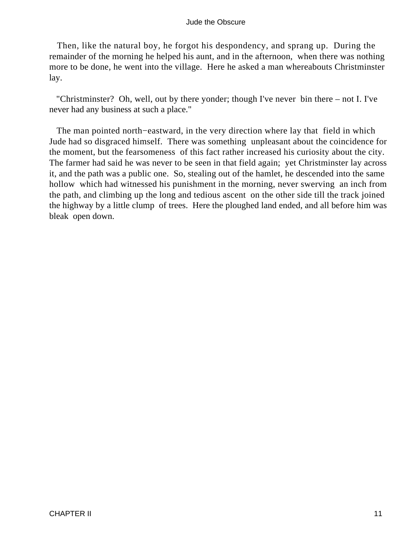Then, like the natural boy, he forgot his despondency, and sprang up. During the remainder of the morning he helped his aunt, and in the afternoon, when there was nothing more to be done, he went into the village. Here he asked a man whereabouts Christminster lay.

 "Christminster? Oh, well, out by there yonder; though I've never bin there – not I. I've never had any business at such a place."

 The man pointed north−eastward, in the very direction where lay that field in which Jude had so disgraced himself. There was something unpleasant about the coincidence for the moment, but the fearsomeness of this fact rather increased his curiosity about the city. The farmer had said he was never to be seen in that field again; yet Christminster lay across it, and the path was a public one. So, stealing out of the hamlet, he descended into the same hollow which had witnessed his punishment in the morning, never swerving an inch from the path, and climbing up the long and tedious ascent on the other side till the track joined the highway by a little clump of trees. Here the ploughed land ended, and all before him was bleak open down.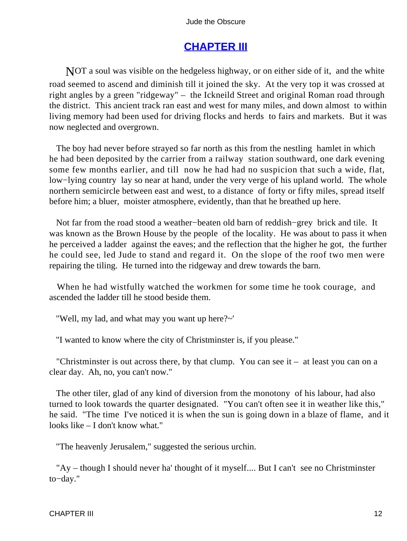# **[CHAPTER III](#page-367-0)**

NOT a soul was visible on the hedgeless highway, or on either side of it, and the white road seemed to ascend and diminish till it joined the sky. At the very top it was crossed at right angles by a green "ridgeway" – the Ickneild Street and original Roman road through the district. This ancient track ran east and west for many miles, and down almost to within living memory had been used for driving flocks and herds to fairs and markets. But it was now neglected and overgrown.

 The boy had never before strayed so far north as this from the nestling hamlet in which he had been deposited by the carrier from a railway station southward, one dark evening some few months earlier, and till now he had had no suspicion that such a wide, flat, low−lying country lay so near at hand, under the very verge of his upland world. The whole northern semicircle between east and west, to a distance of forty or fifty miles, spread itself before him; a bluer, moister atmosphere, evidently, than that he breathed up here.

 Not far from the road stood a weather−beaten old barn of reddish−grey brick and tile. It was known as the Brown House by the people of the locality. He was about to pass it when he perceived a ladder against the eaves; and the reflection that the higher he got, the further he could see, led Jude to stand and regard it. On the slope of the roof two men were repairing the tiling. He turned into the ridgeway and drew towards the barn.

 When he had wistfully watched the workmen for some time he took courage, and ascended the ladder till he stood beside them.

"Well, my lad, and what may you want up here?~'

"I wanted to know where the city of Christminster is, if you please."

"Christminster is out across there, by that clump. You can see it  $-$  at least you can on a clear day. Ah, no, you can't now."

 The other tiler, glad of any kind of diversion from the monotony of his labour, had also turned to look towards the quarter designated. "You can't often see it in weather like this," he said. "The time I've noticed it is when the sun is going down in a blaze of flame, and it looks like – I don't know what."

"The heavenly Jerusalem," suggested the serious urchin.

 "Ay – though I should never ha' thought of it myself.... But I can't see no Christminster to−day."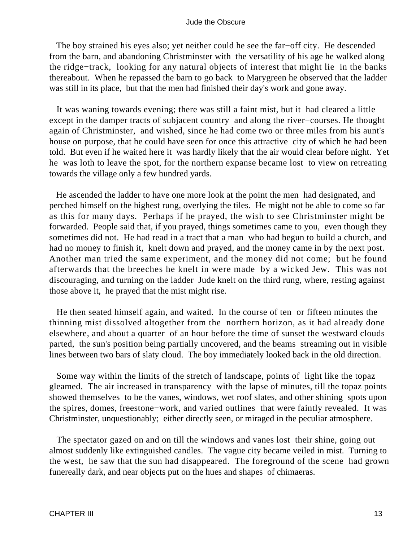The boy strained his eyes also; yet neither could he see the far−off city. He descended from the barn, and abandoning Christminster with the versatility of his age he walked along the ridge−track, looking for any natural objects of interest that might lie in the banks thereabout. When he repassed the barn to go back to Marygreen he observed that the ladder was still in its place, but that the men had finished their day's work and gone away.

 It was waning towards evening; there was still a faint mist, but it had cleared a little except in the damper tracts of subjacent country and along the river−courses. He thought again of Christminster, and wished, since he had come two or three miles from his aunt's house on purpose, that he could have seen for once this attractive city of which he had been told. But even if he waited here it was hardly likely that the air would clear before night. Yet he was loth to leave the spot, for the northern expanse became lost to view on retreating towards the village only a few hundred yards.

 He ascended the ladder to have one more look at the point the men had designated, and perched himself on the highest rung, overlying the tiles. He might not be able to come so far as this for many days. Perhaps if he prayed, the wish to see Christminster might be forwarded. People said that, if you prayed, things sometimes came to you, even though they sometimes did not. He had read in a tract that a man who had begun to build a church, and had no money to finish it, knelt down and prayed, and the money came in by the next post. Another man tried the same experiment, and the money did not come; but he found afterwards that the breeches he knelt in were made by a wicked Jew. This was not discouraging, and turning on the ladder Jude knelt on the third rung, where, resting against those above it, he prayed that the mist might rise.

 He then seated himself again, and waited. In the course of ten or fifteen minutes the thinning mist dissolved altogether from the northern horizon, as it had already done elsewhere, and about a quarter of an hour before the time of sunset the westward clouds parted, the sun's position being partially uncovered, and the beams streaming out in visible lines between two bars of slaty cloud. The boy immediately looked back in the old direction.

 Some way within the limits of the stretch of landscape, points of light like the topaz gleamed. The air increased in transparency with the lapse of minutes, till the topaz points showed themselves to be the vanes, windows, wet roof slates, and other shining spots upon the spires, domes, freestone−work, and varied outlines that were faintly revealed. It was Christminster, unquestionably; either directly seen, or miraged in the peculiar atmosphere.

 The spectator gazed on and on till the windows and vanes lost their shine, going out almost suddenly like extinguished candles. The vague city became veiled in mist. Turning to the west, he saw that the sun had disappeared. The foreground of the scene had grown funereally dark, and near objects put on the hues and shapes of chimaeras.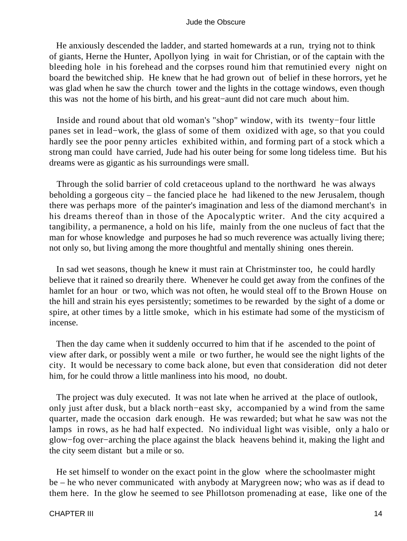He anxiously descended the ladder, and started homewards at a run, trying not to think of giants, Herne the Hunter, Apollyon lying in wait for Christian, or of the captain with the bleeding hole in his forehead and the corpses round him that remutinied every night on board the bewitched ship. He knew that he had grown out of belief in these horrors, yet he was glad when he saw the church tower and the lights in the cottage windows, even though this was not the home of his birth, and his great−aunt did not care much about him.

 Inside and round about that old woman's "shop" window, with its twenty−four little panes set in lead−work, the glass of some of them oxidized with age, so that you could hardly see the poor penny articles exhibited within, and forming part of a stock which a strong man could have carried, Jude had his outer being for some long tideless time. But his dreams were as gigantic as his surroundings were small.

 Through the solid barrier of cold cretaceous upland to the northward he was always beholding a gorgeous city – the fancied place he had likened to the new Jerusalem, though there was perhaps more of the painter's imagination and less of the diamond merchant's in his dreams thereof than in those of the Apocalyptic writer. And the city acquired a tangibility, a permanence, a hold on his life, mainly from the one nucleus of fact that the man for whose knowledge and purposes he had so much reverence was actually living there; not only so, but living among the more thoughtful and mentally shining ones therein.

 In sad wet seasons, though he knew it must rain at Christminster too, he could hardly believe that it rained so drearily there. Whenever he could get away from the confines of the hamlet for an hour or two, which was not often, he would steal off to the Brown House on the hill and strain his eyes persistently; sometimes to be rewarded by the sight of a dome or spire, at other times by a little smoke, which in his estimate had some of the mysticism of incense.

 Then the day came when it suddenly occurred to him that if he ascended to the point of view after dark, or possibly went a mile or two further, he would see the night lights of the city. It would be necessary to come back alone, but even that consideration did not deter him, for he could throw a little manliness into his mood, no doubt.

 The project was duly executed. It was not late when he arrived at the place of outlook, only just after dusk, but a black north−east sky, accompanied by a wind from the same quarter, made the occasion dark enough. He was rewarded; but what he saw was not the lamps in rows, as he had half expected. No individual light was visible, only a halo or glow−fog over−arching the place against the black heavens behind it, making the light and the city seem distant but a mile or so.

 He set himself to wonder on the exact point in the glow where the schoolmaster might be – he who never communicated with anybody at Marygreen now; who was as if dead to them here. In the glow he seemed to see Phillotson promenading at ease, like one of the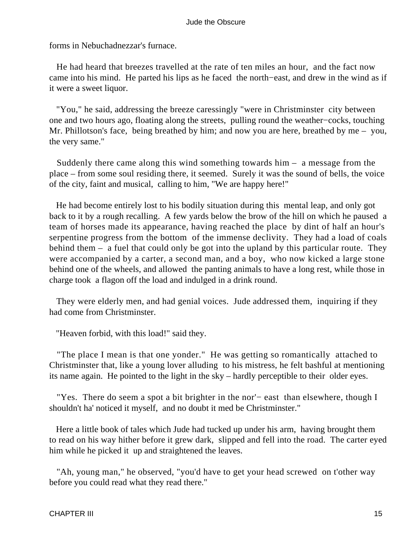forms in Nebuchadnezzar's furnace.

 He had heard that breezes travelled at the rate of ten miles an hour, and the fact now came into his mind. He parted his lips as he faced the north−east, and drew in the wind as if it were a sweet liquor.

 "You," he said, addressing the breeze caressingly "were in Christminster city between one and two hours ago, floating along the streets, pulling round the weather−cocks, touching Mr. Phillotson's face, being breathed by him; and now you are here, breathed by me – you, the very same."

 Suddenly there came along this wind something towards him – a message from the place – from some soul residing there, it seemed. Surely it was the sound of bells, the voice of the city, faint and musical, calling to him, "We are happy here!"

 He had become entirely lost to his bodily situation during this mental leap, and only got back to it by a rough recalling. A few yards below the brow of the hill on which he paused a team of horses made its appearance, having reached the place by dint of half an hour's serpentine progress from the bottom of the immense declivity. They had a load of coals behind them – a fuel that could only be got into the upland by this particular route. They were accompanied by a carter, a second man, and a boy, who now kicked a large stone behind one of the wheels, and allowed the panting animals to have a long rest, while those in charge took a flagon off the load and indulged in a drink round.

 They were elderly men, and had genial voices. Jude addressed them, inquiring if they had come from Christminster.

"Heaven forbid, with this load!" said they.

 "The place I mean is that one yonder." He was getting so romantically attached to Christminster that, like a young lover alluding to his mistress, he felt bashful at mentioning its name again. He pointed to the light in the sky – hardly perceptible to their older eyes.

 "Yes. There do seem a spot a bit brighter in the nor'− east than elsewhere, though I shouldn't ha' noticed it myself, and no doubt it med be Christminster."

 Here a little book of tales which Jude had tucked up under his arm, having brought them to read on his way hither before it grew dark, slipped and fell into the road. The carter eyed him while he picked it up and straightened the leaves.

 "Ah, young man," he observed, "you'd have to get your head screwed on t'other way before you could read what they read there."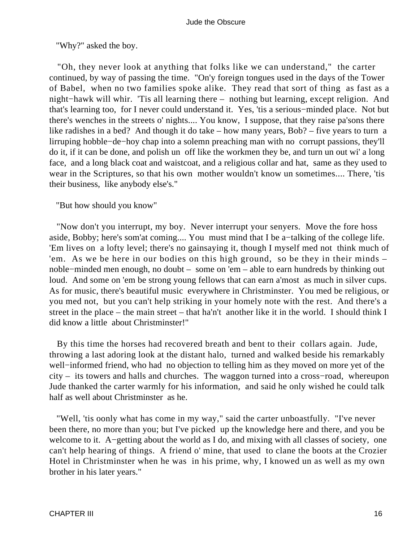"Why?" asked the boy.

 "Oh, they never look at anything that folks like we can understand," the carter continued, by way of passing the time. "On'y foreign tongues used in the days of the Tower of Babel, when no two families spoke alike. They read that sort of thing as fast as a night−hawk will whir. 'Tis all learning there – nothing but learning, except religion. And that's learning too, for I never could understand it. Yes, 'tis a serious−minded place. Not but there's wenches in the streets o' nights.... You know, I suppose, that they raise pa'sons there like radishes in a bed? And though it do take – how many years, Bob? – five years to turn a lirruping hobble−de−hoy chap into a solemn preaching man with no corrupt passions, they'll do it, if it can be done, and polish un off like the workmen they be, and turn un out wi' a long face, and a long black coat and waistcoat, and a religious collar and hat, same as they used to wear in the Scriptures, so that his own mother wouldn't know un sometimes.... There, 'tis their business, like anybody else's."

"But how should you know"

 "Now don't you interrupt, my boy. Never interrupt your senyers. Move the fore hoss aside, Bobby; here's som'at coming.... You must mind that I be a−talking of the college life. 'Em lives on a lofty level; there's no gainsaying it, though I myself med not think much of 'em. As we be here in our bodies on this high ground, so be they in their minds – noble−minded men enough, no doubt – some on 'em – able to earn hundreds by thinking out loud. And some on 'em be strong young fellows that can earn a'most as much in silver cups. As for music, there's beautiful music everywhere in Christminster. You med be religious, or you med not, but you can't help striking in your homely note with the rest. And there's a street in the place – the main street – that ha'n't another like it in the world. I should think I did know a little about Christminster!"

 By this time the horses had recovered breath and bent to their collars again. Jude, throwing a last adoring look at the distant halo, turned and walked beside his remarkably well−informed friend, who had no objection to telling him as they moved on more yet of the city – its towers and halls and churches. The waggon turned into a cross−road, whereupon Jude thanked the carter warmly for his information, and said he only wished he could talk half as well about Christminster as he.

 "Well, 'tis oonly what has come in my way," said the carter unboastfully. "I've never been there, no more than you; but I've picked up the knowledge here and there, and you be welcome to it. A−getting about the world as I do, and mixing with all classes of society, one can't help hearing of things. A friend o' mine, that used to clane the boots at the Crozier Hotel in Christminster when he was in his prime, why, I knowed un as well as my own brother in his later years."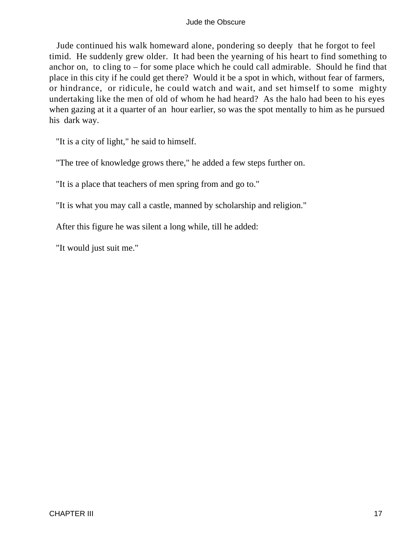Jude continued his walk homeward alone, pondering so deeply that he forgot to feel timid. He suddenly grew older. It had been the yearning of his heart to find something to anchor on, to cling to – for some place which he could call admirable. Should he find that place in this city if he could get there? Would it be a spot in which, without fear of farmers, or hindrance, or ridicule, he could watch and wait, and set himself to some mighty undertaking like the men of old of whom he had heard? As the halo had been to his eyes when gazing at it a quarter of an hour earlier, so was the spot mentally to him as he pursued his dark way.

"It is a city of light," he said to himself.

"The tree of knowledge grows there," he added a few steps further on.

"It is a place that teachers of men spring from and go to."

"It is what you may call a castle, manned by scholarship and religion."

After this figure he was silent a long while, till he added:

"It would just suit me."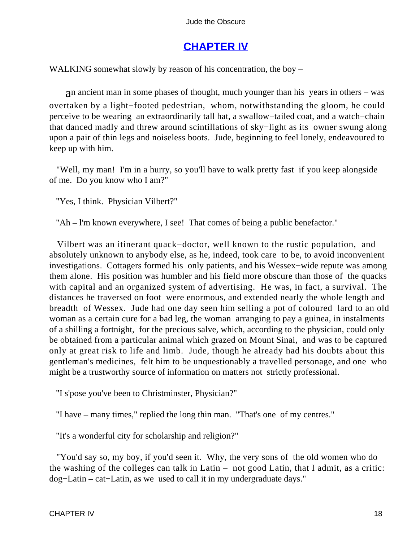# **[CHAPTER IV](#page-367-0)**

WALKING somewhat slowly by reason of his concentration, the boy –

an ancient man in some phases of thought, much younger than his years in others – was overtaken by a light−footed pedestrian, whom, notwithstanding the gloom, he could perceive to be wearing an extraordinarily tall hat, a swallow−tailed coat, and a watch−chain that danced madly and threw around scintillations of sky−light as its owner swung along upon a pair of thin legs and noiseless boots. Jude, beginning to feel lonely, endeavoured to keep up with him.

 "Well, my man! I'm in a hurry, so you'll have to walk pretty fast if you keep alongside of me. Do you know who I am?"

"Yes, I think. Physician Vilbert?"

"Ah – l'm known everywhere, I see! That comes of being a public benefactor."

 Vilbert was an itinerant quack−doctor, well known to the rustic population, and absolutely unknown to anybody else, as he, indeed, took care to be, to avoid inconvenient investigations. Cottagers formed his only patients, and his Wessex−wide repute was among them alone. His position was humbler and his field more obscure than those of the quacks with capital and an organized system of advertising. He was, in fact, a survival. The distances he traversed on foot were enormous, and extended nearly the whole length and breadth of Wessex. Jude had one day seen him selling a pot of coloured lard to an old woman as a certain cure for a bad leg, the woman arranging to pay a guinea, in instalments of a shilling a fortnight, for the precious salve, which, according to the physician, could only be obtained from a particular animal which grazed on Mount Sinai, and was to be captured only at great risk to life and limb. Jude, though he already had his doubts about this gentleman's medicines, felt him to be unquestionably a travelled personage, and one who might be a trustworthy source of information on matters not strictly professional.

"I s'pose you've been to Christminster, Physician?"

"I have – many times," replied the long thin man. "That's one of my centres."

"It's a wonderful city for scholarship and religion?"

 "You'd say so, my boy, if you'd seen it. Why, the very sons of the old women who do the washing of the colleges can talk in Latin – not good Latin, that I admit, as a critic: dog−Latin – cat−Latin, as we used to call it in my undergraduate days."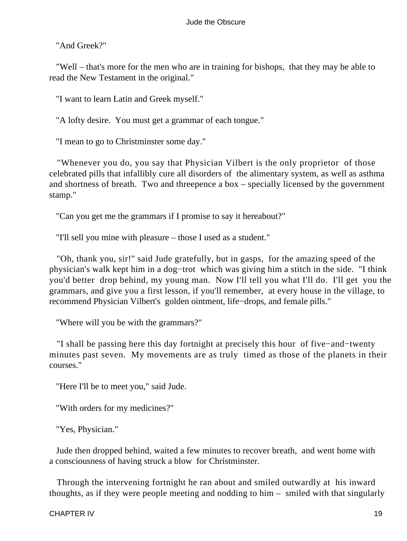"And Greek?"

 "Well – that's more for the men who are in training for bishops, that they may be able to read the New Testament in the original."

"I want to learn Latin and Greek myself."

"A lofty desire. You must get a grammar of each tongue."

"I mean to go to Christminster some day."

 "Whenever you do, you say that Physician Vilbert is the only proprietor of those celebrated pills that infallibly cure all disorders of the alimentary system, as well as asthma and shortness of breath. Two and threepence a box – specially licensed by the government stamp."

"Can you get me the grammars if I promise to say it hereabout?"

"I'll sell you mine with pleasure – those I used as a student."

 "Oh, thank you, sir!" said Jude gratefully, but in gasps, for the amazing speed of the physician's walk kept him in a dog−trot which was giving him a stitch in the side. "I think you'd better drop behind, my young man. Now I'll tell you what I'll do. I'll get you the grammars, and give you a first lesson, if you'll remember, at every house in the village, to recommend Physician Vilbert's golden ointment, life−drops, and female pills."

"Where will you be with the grammars?"

 "I shall be passing here this day fortnight at precisely this hour of five−and−twenty minutes past seven. My movements are as truly timed as those of the planets in their courses."

"Here I'll be to meet you," said Jude.

"With orders for my medicines?"

"Yes, Physician."

 Jude then dropped behind, waited a few minutes to recover breath, and went home with a consciousness of having struck a blow for Christminster.

 Through the intervening fortnight he ran about and smiled outwardly at his inward thoughts, as if they were people meeting and nodding to him – smiled with that singularly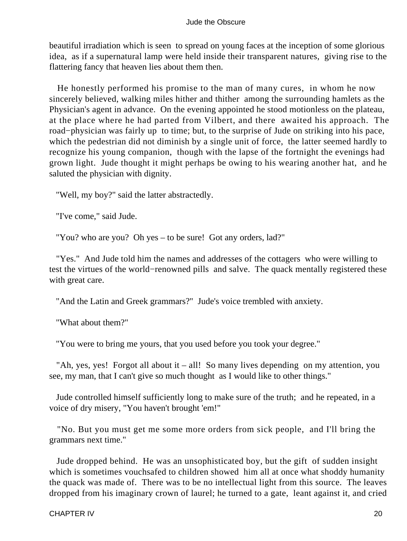beautiful irradiation which is seen to spread on young faces at the inception of some glorious idea, as if a supernatural lamp were held inside their transparent natures, giving rise to the flattering fancy that heaven lies about them then.

 He honestly performed his promise to the man of many cures, in whom he now sincerely believed, walking miles hither and thither among the surrounding hamlets as the Physician's agent in advance. On the evening appointed he stood motionless on the plateau, at the place where he had parted from Vilbert, and there awaited his approach. The road−physician was fairly up to time; but, to the surprise of Jude on striking into his pace, which the pedestrian did not diminish by a single unit of force, the latter seemed hardly to recognize his young companion, though with the lapse of the fortnight the evenings had grown light. Jude thought it might perhaps be owing to his wearing another hat, and he saluted the physician with dignity.

"Well, my boy?" said the latter abstractedly.

"I've come," said Jude.

"You? who are you? Oh yes – to be sure! Got any orders, lad?"

 "Yes." And Jude told him the names and addresses of the cottagers who were willing to test the virtues of the world−renowned pills and salve. The quack mentally registered these with great care.

"And the Latin and Greek grammars?" Jude's voice trembled with anxiety.

"What about them?"

"You were to bring me yours, that you used before you took your degree."

 "Ah, yes, yes! Forgot all about it – all! So many lives depending on my attention, you see, my man, that I can't give so much thought as I would like to other things."

 Jude controlled himself sufficiently long to make sure of the truth; and he repeated, in a voice of dry misery, "You haven't brought 'em!"

 "No. But you must get me some more orders from sick people, and I'll bring the grammars next time."

 Jude dropped behind. He was an unsophisticated boy, but the gift of sudden insight which is sometimes vouchsafed to children showed him all at once what shoddy humanity the quack was made of. There was to be no intellectual light from this source. The leaves dropped from his imaginary crown of laurel; he turned to a gate, leant against it, and cried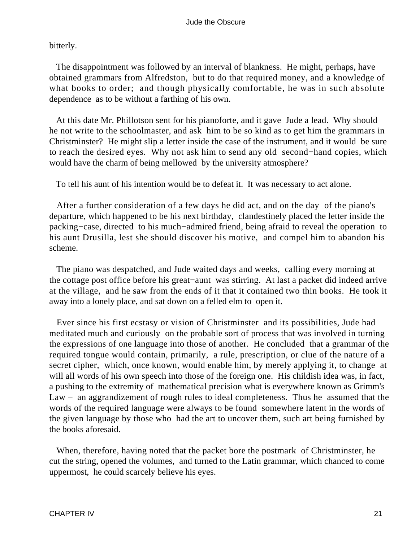bitterly.

 The disappointment was followed by an interval of blankness. He might, perhaps, have obtained grammars from Alfredston, but to do that required money, and a knowledge of what books to order; and though physically comfortable, he was in such absolute dependence as to be without a farthing of his own.

 At this date Mr. Phillotson sent for his pianoforte, and it gave Jude a lead. Why should he not write to the schoolmaster, and ask him to be so kind as to get him the grammars in Christminster? He might slip a letter inside the case of the instrument, and it would be sure to reach the desired eyes. Why not ask him to send any old second−hand copies, which would have the charm of being mellowed by the university atmosphere?

To tell his aunt of his intention would be to defeat it. It was necessary to act alone.

 After a further consideration of a few days he did act, and on the day of the piano's departure, which happened to be his next birthday, clandestinely placed the letter inside the packing−case, directed to his much−admired friend, being afraid to reveal the operation to his aunt Drusilla, lest she should discover his motive, and compel him to abandon his scheme.

 The piano was despatched, and Jude waited days and weeks, calling every morning at the cottage post office before his great−aunt was stirring. At last a packet did indeed arrive at the village, and he saw from the ends of it that it contained two thin books. He took it away into a lonely place, and sat down on a felled elm to open it.

 Ever since his first ecstasy or vision of Christminster and its possibilities, Jude had meditated much and curiously on the probable sort of process that was involved in turning the expressions of one language into those of another. He concluded that a grammar of the required tongue would contain, primarily, a rule, prescription, or clue of the nature of a secret cipher, which, once known, would enable him, by merely applying it, to change at will all words of his own speech into those of the foreign one. His childish idea was, in fact, a pushing to the extremity of mathematical precision what is everywhere known as Grimm's Law – an aggrandizement of rough rules to ideal completeness. Thus he assumed that the words of the required language were always to be found somewhere latent in the words of the given language by those who had the art to uncover them, such art being furnished by the books aforesaid.

 When, therefore, having noted that the packet bore the postmark of Christminster, he cut the string, opened the volumes, and turned to the Latin grammar, which chanced to come uppermost, he could scarcely believe his eyes.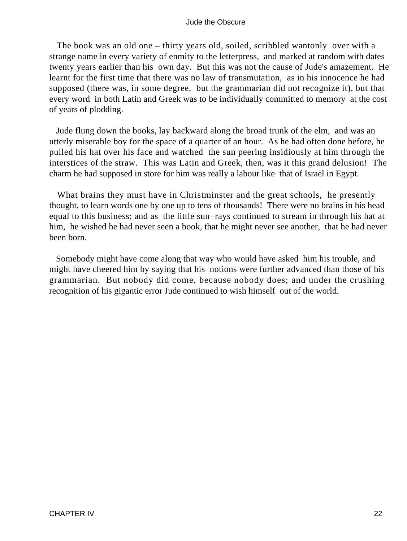The book was an old one – thirty years old, soiled, scribbled wantonly over with a strange name in every variety of enmity to the letterpress, and marked at random with dates twenty years earlier than his own day. But this was not the cause of Jude's amazement. He learnt for the first time that there was no law of transmutation, as in his innocence he had supposed (there was, in some degree, but the grammarian did not recognize it), but that every word in both Latin and Greek was to be individually committed to memory at the cost of years of plodding.

 Jude flung down the books, lay backward along the broad trunk of the elm, and was an utterly miserable boy for the space of a quarter of an hour. As he had often done before, he pulled his hat over his face and watched the sun peering insidiously at him through the interstices of the straw. This was Latin and Greek, then, was it this grand delusion! The charm he had supposed in store for him was really a labour like that of Israel in Egypt.

 What brains they must have in Christminster and the great schools, he presently thought, to learn words one by one up to tens of thousands! There were no brains in his head equal to this business; and as the little sun−rays continued to stream in through his hat at him, he wished he had never seen a book, that he might never see another, that he had never been born.

 Somebody might have come along that way who would have asked him his trouble, and might have cheered him by saying that his notions were further advanced than those of his grammarian. But nobody did come, because nobody does; and under the crushing recognition of his gigantic error Jude continued to wish himself out of the world.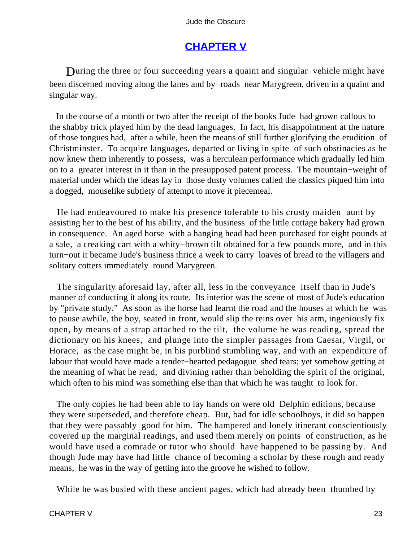# **[CHAPTER V](#page-367-0)**

During the three or four succeeding years a quaint and singular vehicle might have been discerned moving along the lanes and by−roads near Marygreen, driven in a quaint and singular way.

 In the course of a month or two after the receipt of the books Jude had grown callous to the shabby trick played him by the dead languages. In fact, his disappointment at the nature of those tongues had, after a while, been the means of still further glorifying the erudition of Christminster. To acquire languages, departed or living in spite of such obstinacies as he now knew them inherently to possess, was a herculean performance which gradually led him on to a greater interest in it than in the presupposed patent process. The mountain−weight of material under which the ideas lay in those dusty volumes called the classics piqued him into a dogged, mouselike subtlety of attempt to move it piecemeal.

 He had endeavoured to make his presence tolerable to his crusty maiden aunt by assisting her to the best of his ability, and the business of the little cottage bakery had grown in consequence. An aged horse with a hanging head had been purchased for eight pounds at a sale, a creaking cart with a whity−brown tilt obtained for a few pounds more, and in this turn−out it became Jude's business thrice a week to carry loaves of bread to the villagers and solitary cotters immediately round Marygreen.

 The singularity aforesaid lay, after all, less in the conveyance itself than in Jude's manner of conducting it along its route. Its interior was the scene of most of Jude's education by "private study." As soon as the horse had learnt the road and the houses at which he was to pause awhile, the boy, seated in front, would slip the reins over his arm, ingeniously fix open, by means of a strap attached to the tilt, the volume he was reading, spread the dictionary on his knees, and plunge into the simpler passages from Caesar, Virgil, or Horace, as the case might be, in his purblind stumbling way, and with an expenditure of labour that would have made a tender−hearted pedagogue shed tears; yet somehow getting at the meaning of what he read, and divining rather than beholding the spirit of the original, which often to his mind was something else than that which he was taught to look for.

 The only copies he had been able to lay hands on were old Delphin editions, because they were superseded, and therefore cheap. But, bad for idle schoolboys, it did so happen that they were passably good for him. The hampered and lonely itinerant conscientiously covered up the marginal readings, and used them merely on points of construction, as he would have used a comrade or tutor who should have happened to be passing by. And though Jude may have had little chance of becoming a scholar by these rough and ready means, he was in the way of getting into the groove he wished to follow.

While he was busied with these ancient pages, which had already been thumbed by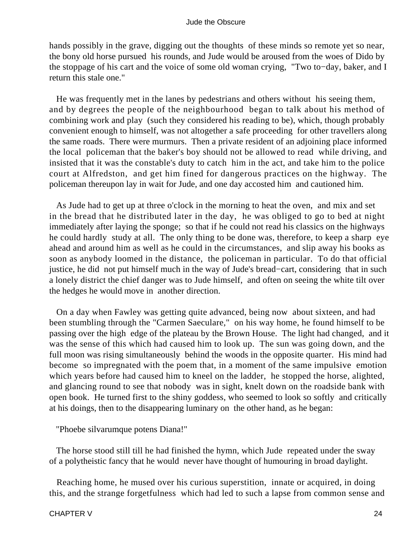hands possibly in the grave, digging out the thoughts of these minds so remote yet so near, the bony old horse pursued his rounds, and Jude would be aroused from the woes of Dido by the stoppage of his cart and the voice of some old woman crying, "Two to−day, baker, and I return this stale one."

 He was frequently met in the lanes by pedestrians and others without his seeing them, and by degrees the people of the neighbourhood began to talk about his method of combining work and play (such they considered his reading to be), which, though probably convenient enough to himself, was not altogether a safe proceeding for other travellers along the same roads. There were murmurs. Then a private resident of an adjoining place informed the local policeman that the baker's boy should not be allowed to read while driving, and insisted that it was the constable's duty to catch him in the act, and take him to the police court at Alfredston, and get him fined for dangerous practices on the highway. The policeman thereupon lay in wait for Jude, and one day accosted him and cautioned him.

 As Jude had to get up at three o'clock in the morning to heat the oven, and mix and set in the bread that he distributed later in the day, he was obliged to go to bed at night immediately after laying the sponge; so that if he could not read his classics on the highways he could hardly study at all. The only thing to be done was, therefore, to keep a sharp eye ahead and around him as well as he could in the circumstances, and slip away his books as soon as anybody loomed in the distance, the policeman in particular. To do that official justice, he did not put himself much in the way of Jude's bread−cart, considering that in such a lonely district the chief danger was to Jude himself, and often on seeing the white tilt over the hedges he would move in another direction.

 On a day when Fawley was getting quite advanced, being now about sixteen, and had been stumbling through the "Carmen Saeculare," on his way home, he found himself to be passing over the high edge of the plateau by the Brown House. The light had changed, and it was the sense of this which had caused him to look up. The sun was going down, and the full moon was rising simultaneously behind the woods in the opposite quarter. His mind had become so impregnated with the poem that, in a moment of the same impulsive emotion which years before had caused him to kneel on the ladder, he stopped the horse, alighted, and glancing round to see that nobody was in sight, knelt down on the roadside bank with open book. He turned first to the shiny goddess, who seemed to look so softly and critically at his doings, then to the disappearing luminary on the other hand, as he began:

"Phoebe silvarumque potens Diana!"

 The horse stood still till he had finished the hymn, which Jude repeated under the sway of a polytheistic fancy that he would never have thought of humouring in broad daylight.

 Reaching home, he mused over his curious superstition, innate or acquired, in doing this, and the strange forgetfulness which had led to such a lapse from common sense and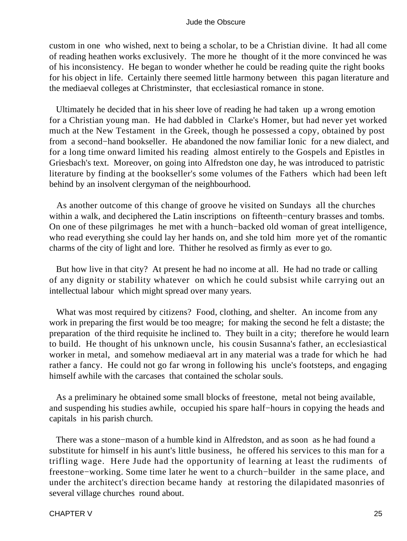custom in one who wished, next to being a scholar, to be a Christian divine. It had all come of reading heathen works exclusively. The more he thought of it the more convinced he was of his inconsistency. He began to wonder whether he could be reading quite the right books for his object in life. Certainly there seemed little harmony between this pagan literature and the mediaeval colleges at Christminster, that ecclesiastical romance in stone.

 Ultimately he decided that in his sheer love of reading he had taken up a wrong emotion for a Christian young man. He had dabbled in Clarke's Homer, but had never yet worked much at the New Testament in the Greek, though he possessed a copy, obtained by post from a second−hand bookseller. He abandoned the now familiar Ionic for a new dialect, and for a long time onward limited his reading almost entirely to the Gospels and Epistles in Griesbach's text. Moreover, on going into Alfredston one day, he was introduced to patristic literature by finding at the bookseller's some volumes of the Fathers which had been left behind by an insolvent clergyman of the neighbourhood.

 As another outcome of this change of groove he visited on Sundays all the churches within a walk, and deciphered the Latin inscriptions on fifteenth–century brasses and tombs. On one of these pilgrimages he met with a hunch−backed old woman of great intelligence, who read everything she could lay her hands on, and she told him more yet of the romantic charms of the city of light and lore. Thither he resolved as firmly as ever to go.

 But how live in that city? At present he had no income at all. He had no trade or calling of any dignity or stability whatever on which he could subsist while carrying out an intellectual labour which might spread over many years.

 What was most required by citizens? Food, clothing, and shelter. An income from any work in preparing the first would be too meagre; for making the second he felt a distaste; the preparation of the third requisite he inclined to. They built in a city; therefore he would learn to build. He thought of his unknown uncle, his cousin Susanna's father, an ecclesiastical worker in metal, and somehow mediaeval art in any material was a trade for which he had rather a fancy. He could not go far wrong in following his uncle's footsteps, and engaging himself awhile with the carcases that contained the scholar souls.

 As a preliminary he obtained some small blocks of freestone, metal not being available, and suspending his studies awhile, occupied his spare half−hours in copying the heads and capitals in his parish church.

 There was a stone−mason of a humble kind in Alfredston, and as soon as he had found a substitute for himself in his aunt's little business, he offered his services to this man for a trifling wage. Here Jude had the opportunity of learning at least the rudiments of freestone−working. Some time later he went to a church−builder in the same place, and under the architect's direction became handy at restoring the dilapidated masonries of several village churches round about.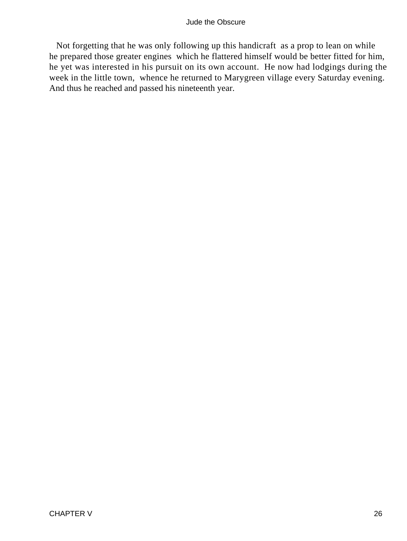Not forgetting that he was only following up this handicraft as a prop to lean on while he prepared those greater engines which he flattered himself would be better fitted for him, he yet was interested in his pursuit on its own account. He now had lodgings during the week in the little town, whence he returned to Marygreen village every Saturday evening. And thus he reached and passed his nineteenth year.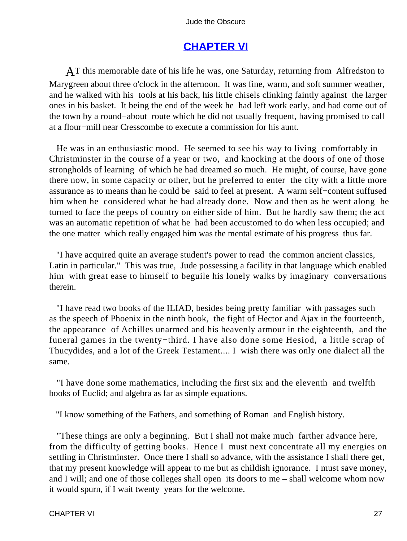# **[CHAPTER VI](#page-367-0)**

AT this memorable date of his life he was, one Saturday, returning from Alfredston to Marygreen about three o'clock in the afternoon. It was fine, warm, and soft summer weather, and he walked with his tools at his back, his little chisels clinking faintly against the larger ones in his basket. It being the end of the week he had left work early, and had come out of the town by a round−about route which he did not usually frequent, having promised to call at a flour−mill near Cresscombe to execute a commission for his aunt.

 He was in an enthusiastic mood. He seemed to see his way to living comfortably in Christminster in the course of a year or two, and knocking at the doors of one of those strongholds of learning of which he had dreamed so much. He might, of course, have gone there now, in some capacity or other, but he preferred to enter the city with a little more assurance as to means than he could be said to feel at present. A warm self−content suffused him when he considered what he had already done. Now and then as he went along he turned to face the peeps of country on either side of him. But he hardly saw them; the act was an automatic repetition of what he had been accustomed to do when less occupied; and the one matter which really engaged him was the mental estimate of his progress thus far.

 "I have acquired quite an average student's power to read the common ancient classics, Latin in particular." This was true, Jude possessing a facility in that language which enabled him with great ease to himself to beguile his lonely walks by imaginary conversations therein.

 "I have read two books of the ILIAD, besides being pretty familiar with passages such as the speech of Phoenix in the ninth book, the fight of Hector and Ajax in the fourteenth, the appearance of Achilles unarmed and his heavenly armour in the eighteenth, and the funeral games in the twenty−third. I have also done some Hesiod, a little scrap of Thucydides, and a lot of the Greek Testament.... I wish there was only one dialect all the same.

 "I have done some mathematics, including the first six and the eleventh and twelfth books of Euclid; and algebra as far as simple equations.

"I know something of the Fathers, and something of Roman and English history.

 "These things are only a beginning. But I shall not make much farther advance here, from the difficulty of getting books. Hence I must next concentrate all my energies on settling in Christminster. Once there I shall so advance, with the assistance I shall there get, that my present knowledge will appear to me but as childish ignorance. I must save money, and I will; and one of those colleges shall open its doors to me – shall welcome whom now it would spurn, if I wait twenty years for the welcome.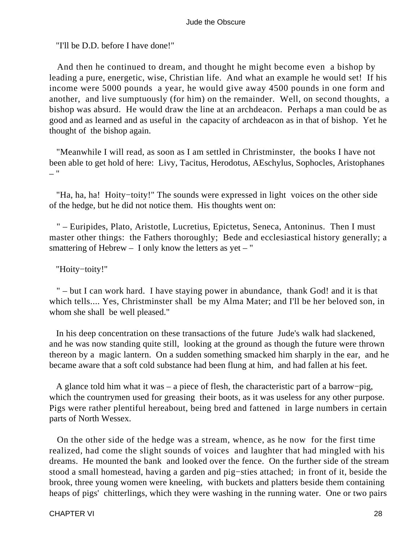"I'll be D.D. before I have done!"

 And then he continued to dream, and thought he might become even a bishop by leading a pure, energetic, wise, Christian life. And what an example he would set! If his income were 5000 pounds a year, he would give away 4500 pounds in one form and another, and live sumptuously (for him) on the remainder. Well, on second thoughts, a bishop was absurd. He would draw the line at an archdeacon. Perhaps a man could be as good and as learned and as useful in the capacity of archdeacon as in that of bishop. Yet he thought of the bishop again.

 "Meanwhile I will read, as soon as I am settled in Christminster, the books I have not been able to get hold of here: Livy, Tacitus, Herodotus, AEschylus, Sophocles, Aristophanes – "

 "Ha, ha, ha! Hoity−toity!" The sounds were expressed in light voices on the other side of the hedge, but he did not notice them. His thoughts went on:

 " – Euripides, Plato, Aristotle, Lucretius, Epictetus, Seneca, Antoninus. Then I must master other things: the Fathers thoroughly; Bede and ecclesiastical history generally; a smattering of Hebrew  $-$  I only know the letters as yet  $-$  "

"Hoity−toity!"

 " – but I can work hard. I have staying power in abundance, thank God! and it is that which tells.... Yes, Christminster shall be my Alma Mater; and I'll be her beloved son, in whom she shall be well pleased."

 In his deep concentration on these transactions of the future Jude's walk had slackened, and he was now standing quite still, looking at the ground as though the future were thrown thereon by a magic lantern. On a sudden something smacked him sharply in the ear, and he became aware that a soft cold substance had been flung at him, and had fallen at his feet.

 A glance told him what it was – a piece of flesh, the characteristic part of a barrow−pig, which the countrymen used for greasing their boots, as it was useless for any other purpose. Pigs were rather plentiful hereabout, being bred and fattened in large numbers in certain parts of North Wessex.

 On the other side of the hedge was a stream, whence, as he now for the first time realized, had come the slight sounds of voices and laughter that had mingled with his dreams. He mounted the bank and looked over the fence. On the further side of the stream stood a small homestead, having a garden and pig−sties attached; in front of it, beside the brook, three young women were kneeling, with buckets and platters beside them containing heaps of pigs' chitterlings, which they were washing in the running water. One or two pairs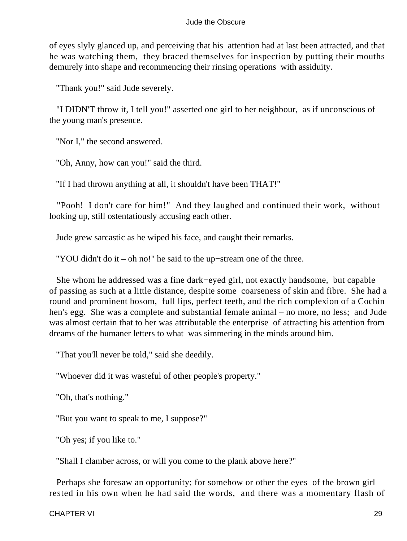of eyes slyly glanced up, and perceiving that his attention had at last been attracted, and that he was watching them, they braced themselves for inspection by putting their mouths demurely into shape and recommencing their rinsing operations with assiduity.

"Thank you!" said Jude severely.

 "I DIDN'T throw it, I tell you!" asserted one girl to her neighbour, as if unconscious of the young man's presence.

"Nor I," the second answered.

"Oh, Anny, how can you!" said the third.

"If I had thrown anything at all, it shouldn't have been THAT!"

 "Pooh! I don't care for him!" And they laughed and continued their work, without looking up, still ostentatiously accusing each other.

Jude grew sarcastic as he wiped his face, and caught their remarks.

"YOU didn't do it – oh no!" he said to the up−stream one of the three.

 She whom he addressed was a fine dark−eyed girl, not exactly handsome, but capable of passing as such at a little distance, despite some coarseness of skin and fibre. She had a round and prominent bosom, full lips, perfect teeth, and the rich complexion of a Cochin hen's egg. She was a complete and substantial female animal – no more, no less; and Jude was almost certain that to her was attributable the enterprise of attracting his attention from dreams of the humaner letters to what was simmering in the minds around him.

"That you'll never be told," said she deedily.

"Whoever did it was wasteful of other people's property."

"Oh, that's nothing."

"But you want to speak to me, I suppose?"

"Oh yes; if you like to."

"Shall I clamber across, or will you come to the plank above here?"

 Perhaps she foresaw an opportunity; for somehow or other the eyes of the brown girl rested in his own when he had said the words, and there was a momentary flash of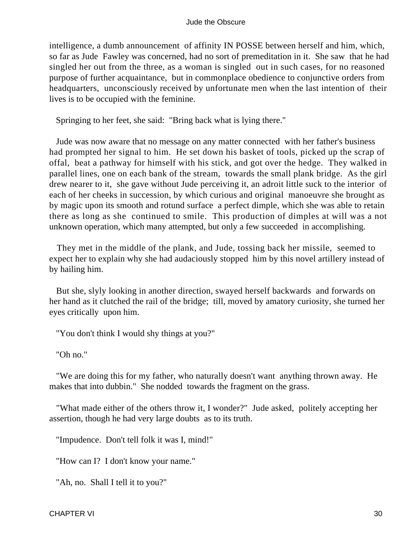intelligence, a dumb announcement of affinity IN POSSE between herself and him, which, so far as Jude Fawley was concerned, had no sort of premeditation in it. She saw that he had singled her out from the three, as a woman is singled out in such cases, for no reasoned purpose of further acquaintance, but in commonplace obedience to conjunctive orders from headquarters, unconsciously received by unfortunate men when the last intention of their lives is to be occupied with the feminine.

Springing to her feet, she said: "Bring back what is lying there."

 Jude was now aware that no message on any matter connected with her father's business had prompted her signal to him. He set down his basket of tools, picked up the scrap of offal, beat a pathway for himself with his stick, and got over the hedge. They walked in parallel lines, one on each bank of the stream, towards the small plank bridge. As the girl drew nearer to it, she gave without Jude perceiving it, an adroit little suck to the interior of each of her cheeks in succession, by which curious and original manoeuvre she brought as by magic upon its smooth and rotund surface a perfect dimple, which she was able to retain there as long as she continued to smile. This production of dimples at will was a not unknown operation, which many attempted, but only a few succeeded in accomplishing.

 They met in the middle of the plank, and Jude, tossing back her missile, seemed to expect her to explain why she had audaciously stopped him by this novel artillery instead of by hailing him.

 But she, slyly looking in another direction, swayed herself backwards and forwards on her hand as it clutched the rail of the bridge; till, moved by amatory curiosity, she turned her eyes critically upon him.

"You don't think I would shy things at you?"

"Oh no."

 "We are doing this for my father, who naturally doesn't want anything thrown away. He makes that into dubbin." She nodded towards the fragment on the grass.

 "What made either of the others throw it, I wonder?" Jude asked, politely accepting her assertion, though he had very large doubts as to its truth.

"Impudence. Don't tell folk it was I, mind!"

"How can I? I don't know your name."

"Ah, no. Shall I tell it to you?"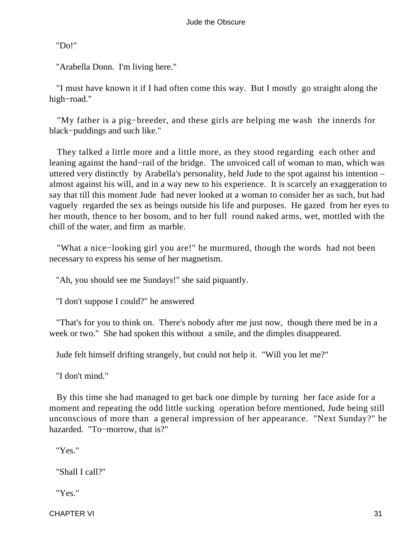"Do!"

"Arabella Donn. I'm living here."

 "I must have known it if I had often come this way. But I mostly go straight along the high−road."

 "My father is a pig−breeder, and these girls are helping me wash the innerds for black−puddings and such like."

 They talked a little more and a little more, as they stood regarding each other and leaning against the hand−rail of the bridge. The unvoiced call of woman to man, which was uttered very distinctly by Arabella's personality, held Jude to the spot against his intention – almost against his will, and in a way new to his experience. It is scarcely an exaggeration to say that till this moment Jude had never looked at a woman to consider her as such, but had vaguely regarded the sex as beings outside his life and purposes. He gazed from her eyes to her mouth, thence to her bosom, and to her full round naked arms, wet, mottled with the chill of the water, and firm as marble.

 "What a nice−looking girl you are!" he murmured, though the words had not been necessary to express his sense of her magnetism.

"Ah, you should see me Sundays!" she said piquantly.

"I don't suppose I could?" he answered

 "That's for you to think on. There's nobody after me just now, though there med be in a week or two." She had spoken this without a smile, and the dimples disappeared.

Jude felt himself drifting strangely, but could not help it. "Will you let me?"

"I don't mind."

 By this time she had managed to get back one dimple by turning her face aside for a moment and repeating the odd little sucking operation before mentioned, Jude being still unconscious of more than a general impression of her appearance. "Next Sunday?" he hazarded. "To−morrow, that is?"

"Yes."

"Shall I call?"

"Yes."

CHAPTER VI 31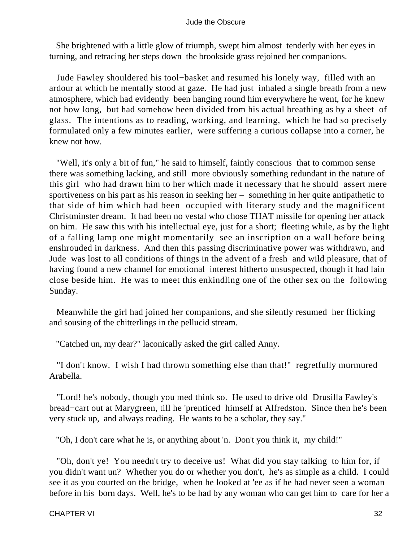She brightened with a little glow of triumph, swept him almost tenderly with her eyes in turning, and retracing her steps down the brookside grass rejoined her companions.

 Jude Fawley shouldered his tool−basket and resumed his lonely way, filled with an ardour at which he mentally stood at gaze. He had just inhaled a single breath from a new atmosphere, which had evidently been hanging round him everywhere he went, for he knew not how long, but had somehow been divided from his actual breathing as by a sheet of glass. The intentions as to reading, working, and learning, which he had so precisely formulated only a few minutes earlier, were suffering a curious collapse into a corner, he knew not how.

 "Well, it's only a bit of fun," he said to himself, faintly conscious that to common sense there was something lacking, and still more obviously something redundant in the nature of this girl who had drawn him to her which made it necessary that he should assert mere sportiveness on his part as his reason in seeking her – something in her quite antipathetic to that side of him which had been occupied with literary study and the magnificent Christminster dream. It had been no vestal who chose THAT missile for opening her attack on him. He saw this with his intellectual eye, just for a short; fleeting while, as by the light of a falling lamp one might momentarily see an inscription on a wall before being enshrouded in darkness. And then this passing discriminative power was withdrawn, and Jude was lost to all conditions of things in the advent of a fresh and wild pleasure, that of having found a new channel for emotional interest hitherto unsuspected, though it had lain close beside him. He was to meet this enkindling one of the other sex on the following Sunday.

 Meanwhile the girl had joined her companions, and she silently resumed her flicking and sousing of the chitterlings in the pellucid stream.

"Catched un, my dear?" laconically asked the girl called Anny.

 "I don't know. I wish I had thrown something else than that!" regretfully murmured Arabella.

 "Lord! he's nobody, though you med think so. He used to drive old Drusilla Fawley's bread−cart out at Marygreen, till he 'prenticed himself at Alfredston. Since then he's been very stuck up, and always reading. He wants to be a scholar, they say."

"Oh, I don't care what he is, or anything about 'n. Don't you think it, my child!"

 "Oh, don't ye! You needn't try to deceive us! What did you stay talking to him for, if you didn't want un? Whether you do or whether you don't, he's as simple as a child. I could see it as you courted on the bridge, when he looked at 'ee as if he had never seen a woman before in his born days. Well, he's to be had by any woman who can get him to care for her a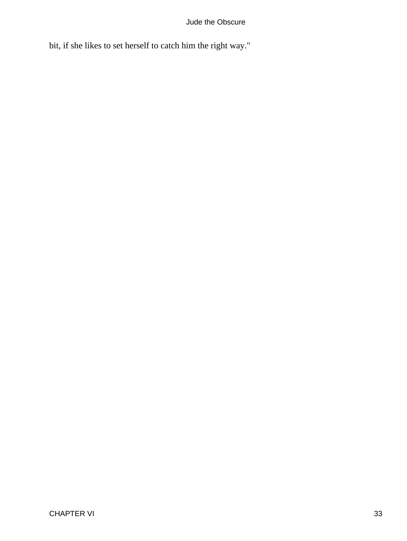bit, if she likes to set herself to catch him the right way."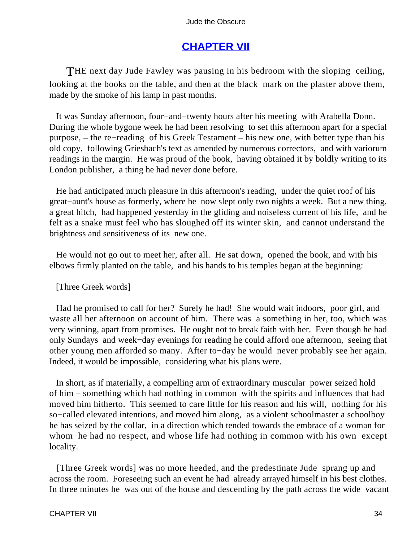# **[CHAPTER VII](#page-367-0)**

THE next day Jude Fawley was pausing in his bedroom with the sloping ceiling, looking at the books on the table, and then at the black mark on the plaster above them, made by the smoke of his lamp in past months.

 It was Sunday afternoon, four−and−twenty hours after his meeting with Arabella Donn. During the whole bygone week he had been resolving to set this afternoon apart for a special purpose, – the re−reading of his Greek Testament – his new one, with better type than his old copy, following Griesbach's text as amended by numerous correctors, and with variorum readings in the margin. He was proud of the book, having obtained it by boldly writing to its London publisher, a thing he had never done before.

 He had anticipated much pleasure in this afternoon's reading, under the quiet roof of his great−aunt's house as formerly, where he now slept only two nights a week. But a new thing, a great hitch, had happened yesterday in the gliding and noiseless current of his life, and he felt as a snake must feel who has sloughed off its winter skin, and cannot understand the brightness and sensitiveness of its new one.

 He would not go out to meet her, after all. He sat down, opened the book, and with his elbows firmly planted on the table, and his hands to his temples began at the beginning:

# [Three Greek words]

 Had he promised to call for her? Surely he had! She would wait indoors, poor girl, and waste all her afternoon on account of him. There was a something in her, too, which was very winning, apart from promises. He ought not to break faith with her. Even though he had only Sundays and week−day evenings for reading he could afford one afternoon, seeing that other young men afforded so many. After to−day he would never probably see her again. Indeed, it would be impossible, considering what his plans were.

 In short, as if materially, a compelling arm of extraordinary muscular power seized hold of him – something which had nothing in common with the spirits and influences that had moved him hitherto. This seemed to care little for his reason and his will, nothing for his so−called elevated intentions, and moved him along, as a violent schoolmaster a schoolboy he has seized by the collar, in a direction which tended towards the embrace of a woman for whom he had no respect, and whose life had nothing in common with his own except locality.

 [Three Greek words] was no more heeded, and the predestinate Jude sprang up and across the room. Foreseeing such an event he had already arrayed himself in his best clothes. In three minutes he was out of the house and descending by the path across the wide vacant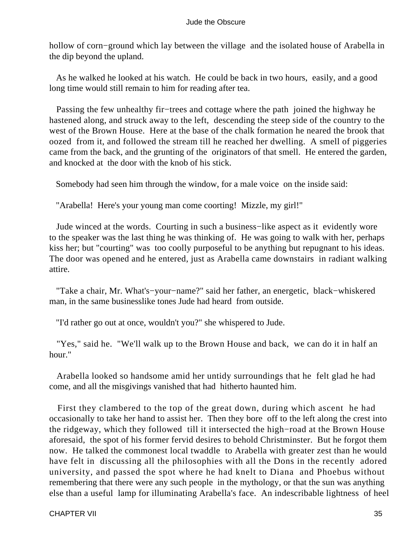hollow of corn−ground which lay between the village and the isolated house of Arabella in the dip beyond the upland.

 As he walked he looked at his watch. He could be back in two hours, easily, and a good long time would still remain to him for reading after tea.

 Passing the few unhealthy fir−trees and cottage where the path joined the highway he hastened along, and struck away to the left, descending the steep side of the country to the west of the Brown House. Here at the base of the chalk formation he neared the brook that oozed from it, and followed the stream till he reached her dwelling. A smell of piggeries came from the back, and the grunting of the originators of that smell. He entered the garden, and knocked at the door with the knob of his stick.

Somebody had seen him through the window, for a male voice on the inside said:

"Arabella! Here's your young man come coorting! Mizzle, my girl!"

 Jude winced at the words. Courting in such a business−like aspect as it evidently wore to the speaker was the last thing he was thinking of. He was going to walk with her, perhaps kiss her; but "courting" was too coolly purposeful to be anything but repugnant to his ideas. The door was opened and he entered, just as Arabella came downstairs in radiant walking attire.

 "Take a chair, Mr. What's−your−name?" said her father, an energetic, black−whiskered man, in the same businesslike tones Jude had heard from outside.

"I'd rather go out at once, wouldn't you?" she whispered to Jude.

 "Yes," said he. "We'll walk up to the Brown House and back, we can do it in half an hour."

 Arabella looked so handsome amid her untidy surroundings that he felt glad he had come, and all the misgivings vanished that had hitherto haunted him.

 First they clambered to the top of the great down, during which ascent he had occasionally to take her hand to assist her. Then they bore off to the left along the crest into the ridgeway, which they followed till it intersected the high−road at the Brown House aforesaid, the spot of his former fervid desires to behold Christminster. But he forgot them now. He talked the commonest local twaddle to Arabella with greater zest than he would have felt in discussing all the philosophies with all the Dons in the recently adored university, and passed the spot where he had knelt to Diana and Phoebus without remembering that there were any such people in the mythology, or that the sun was anything else than a useful lamp for illuminating Arabella's face. An indescribable lightness of heel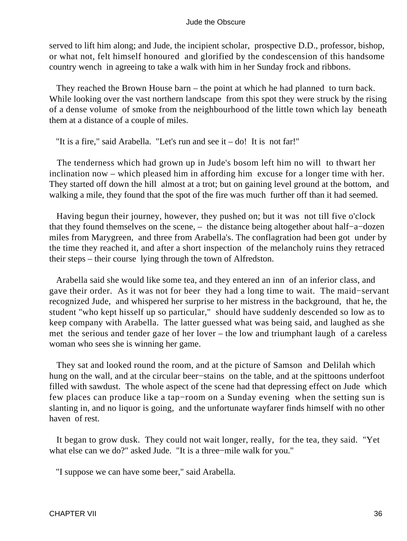served to lift him along; and Jude, the incipient scholar, prospective D.D., professor, bishop, or what not, felt himself honoured and glorified by the condescension of this handsome country wench in agreeing to take a walk with him in her Sunday frock and ribbons.

 They reached the Brown House barn – the point at which he had planned to turn back. While looking over the vast northern landscape from this spot they were struck by the rising of a dense volume of smoke from the neighbourhood of the little town which lay beneath them at a distance of a couple of miles.

"It is a fire," said Arabella. "Let's run and see it – do! It is not far!"

 The tenderness which had grown up in Jude's bosom left him no will to thwart her inclination now – which pleased him in affording him excuse for a longer time with her. They started off down the hill almost at a trot; but on gaining level ground at the bottom, and walking a mile, they found that the spot of the fire was much further off than it had seemed.

 Having begun their journey, however, they pushed on; but it was not till five o'clock that they found themselves on the scene, – the distance being altogether about half−a−dozen miles from Marygreen, and three from Arabella's. The conflagration had been got under by the time they reached it, and after a short inspection of the melancholy ruins they retraced their steps – their course lying through the town of Alfredston.

 Arabella said she would like some tea, and they entered an inn of an inferior class, and gave their order. As it was not for beer they had a long time to wait. The maid−servant recognized Jude, and whispered her surprise to her mistress in the background, that he, the student "who kept hisself up so particular," should have suddenly descended so low as to keep company with Arabella. The latter guessed what was being said, and laughed as she met the serious and tender gaze of her lover – the low and triumphant laugh of a careless woman who sees she is winning her game.

 They sat and looked round the room, and at the picture of Samson and Delilah which hung on the wall, and at the circular beer−stains on the table, and at the spittoons underfoot filled with sawdust. The whole aspect of the scene had that depressing effect on Jude which few places can produce like a tap−room on a Sunday evening when the setting sun is slanting in, and no liquor is going, and the unfortunate wayfarer finds himself with no other haven of rest.

 It began to grow dusk. They could not wait longer, really, for the tea, they said. "Yet what else can we do?" asked Jude. "It is a three−mile walk for you."

"I suppose we can have some beer," said Arabella.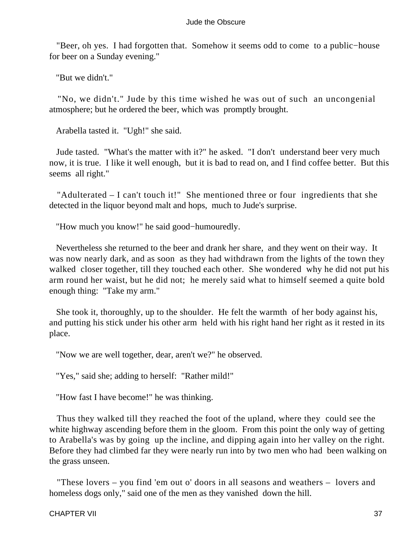"Beer, oh yes. I had forgotten that. Somehow it seems odd to come to a public−house for beer on a Sunday evening."

"But we didn't."

 "No, we didn't." Jude by this time wished he was out of such an uncongenial atmosphere; but he ordered the beer, which was promptly brought.

Arabella tasted it. "Ugh!" she said.

 Jude tasted. "What's the matter with it?" he asked. "I don't understand beer very much now, it is true. I like it well enough, but it is bad to read on, and I find coffee better. But this seems all right."

 "Adulterated – I can't touch it!" She mentioned three or four ingredients that she detected in the liquor beyond malt and hops, much to Jude's surprise.

"How much you know!" he said good−humouredly.

 Nevertheless she returned to the beer and drank her share, and they went on their way. It was now nearly dark, and as soon as they had withdrawn from the lights of the town they walked closer together, till they touched each other. She wondered why he did not put his arm round her waist, but he did not; he merely said what to himself seemed a quite bold enough thing: "Take my arm."

 She took it, thoroughly, up to the shoulder. He felt the warmth of her body against his, and putting his stick under his other arm held with his right hand her right as it rested in its place.

"Now we are well together, dear, aren't we?" he observed.

"Yes," said she; adding to herself: "Rather mild!"

"How fast I have become!" he was thinking.

 Thus they walked till they reached the foot of the upland, where they could see the white highway ascending before them in the gloom. From this point the only way of getting to Arabella's was by going up the incline, and dipping again into her valley on the right. Before they had climbed far they were nearly run into by two men who had been walking on the grass unseen.

 "These lovers – you find 'em out o' doors in all seasons and weathers – lovers and homeless dogs only," said one of the men as they vanished down the hill.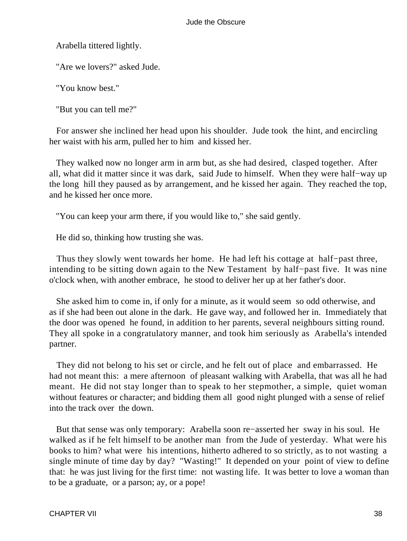Arabella tittered lightly.

"Are we lovers?" asked Jude.

"You know best."

"But you can tell me?"

 For answer she inclined her head upon his shoulder. Jude took the hint, and encircling her waist with his arm, pulled her to him and kissed her.

 They walked now no longer arm in arm but, as she had desired, clasped together. After all, what did it matter since it was dark, said Jude to himself. When they were half−way up the long hill they paused as by arrangement, and he kissed her again. They reached the top, and he kissed her once more.

"You can keep your arm there, if you would like to," she said gently.

He did so, thinking how trusting she was.

 Thus they slowly went towards her home. He had left his cottage at half−past three, intending to be sitting down again to the New Testament by half−past five. It was nine o'clock when, with another embrace, he stood to deliver her up at her father's door.

 She asked him to come in, if only for a minute, as it would seem so odd otherwise, and as if she had been out alone in the dark. He gave way, and followed her in. Immediately that the door was opened he found, in addition to her parents, several neighbours sitting round. They all spoke in a congratulatory manner, and took him seriously as Arabella's intended partner.

 They did not belong to his set or circle, and he felt out of place and embarrassed. He had not meant this: a mere afternoon of pleasant walking with Arabella, that was all he had meant. He did not stay longer than to speak to her stepmother, a simple, quiet woman without features or character; and bidding them all good night plunged with a sense of relief into the track over the down.

 But that sense was only temporary: Arabella soon re−asserted her sway in his soul. He walked as if he felt himself to be another man from the Jude of yesterday. What were his books to him? what were his intentions, hitherto adhered to so strictly, as to not wasting a single minute of time day by day? "Wasting!" It depended on your point of view to define that: he was just living for the first time: not wasting life. It was better to love a woman than to be a graduate, or a parson; ay, or a pope!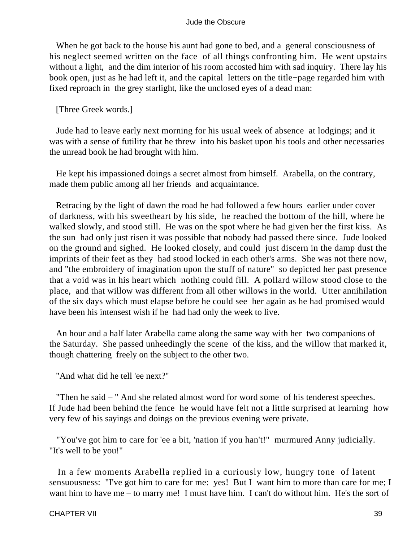When he got back to the house his aunt had gone to bed, and a general consciousness of his neglect seemed written on the face of all things confronting him. He went upstairs without a light, and the dim interior of his room accosted him with sad inquiry. There lay his book open, just as he had left it, and the capital letters on the title−page regarded him with fixed reproach in the grey starlight, like the unclosed eyes of a dead man:

[Three Greek words.]

 Jude had to leave early next morning for his usual week of absence at lodgings; and it was with a sense of futility that he threw into his basket upon his tools and other necessaries the unread book he had brought with him.

 He kept his impassioned doings a secret almost from himself. Arabella, on the contrary, made them public among all her friends and acquaintance.

 Retracing by the light of dawn the road he had followed a few hours earlier under cover of darkness, with his sweetheart by his side, he reached the bottom of the hill, where he walked slowly, and stood still. He was on the spot where he had given her the first kiss. As the sun had only just risen it was possible that nobody had passed there since. Jude looked on the ground and sighed. He looked closely, and could just discern in the damp dust the imprints of their feet as they had stood locked in each other's arms. She was not there now, and "the embroidery of imagination upon the stuff of nature" so depicted her past presence that a void was in his heart which nothing could fill. A pollard willow stood close to the place, and that willow was different from all other willows in the world. Utter annihilation of the six days which must elapse before he could see her again as he had promised would have been his intensest wish if he had had only the week to live.

 An hour and a half later Arabella came along the same way with her two companions of the Saturday. She passed unheedingly the scene of the kiss, and the willow that marked it, though chattering freely on the subject to the other two.

"And what did he tell 'ee next?"

 "Then he said – " And she related almost word for word some of his tenderest speeches. If Jude had been behind the fence he would have felt not a little surprised at learning how very few of his sayings and doings on the previous evening were private.

 "You've got him to care for 'ee a bit, 'nation if you han't!" murmured Anny judicially. "It's well to be you!"

 In a few moments Arabella replied in a curiously low, hungry tone of latent sensuousness: "I've got him to care for me: yes! But I want him to more than care for me; I want him to have me – to marry me! I must have him. I can't do without him. He's the sort of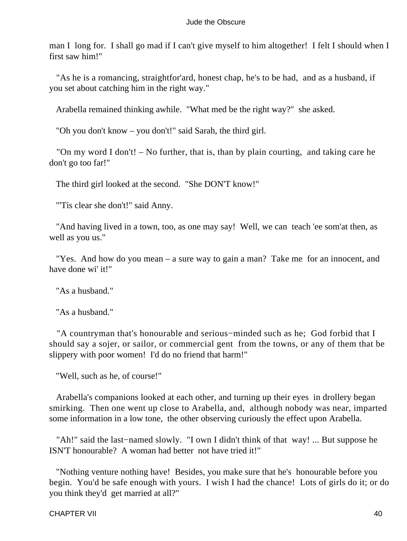man I long for. I shall go mad if I can't give myself to him altogether! I felt I should when I first saw him!"

 "As he is a romancing, straightfor'ard, honest chap, he's to be had, and as a husband, if you set about catching him in the right way."

Arabella remained thinking awhile. "What med be the right way?" she asked.

"Oh you don't know – you don't!" said Sarah, the third girl.

 "On my word I don't! – No further, that is, than by plain courting, and taking care he don't go too far!"

The third girl looked at the second. "She DON'T know!"

"'Tis clear she don't!" said Anny.

 "And having lived in a town, too, as one may say! Well, we can teach 'ee som'at then, as well as you us."

 "Yes. And how do you mean – a sure way to gain a man? Take me for an innocent, and have done wi' it!"

"As a husband."

"As a husband."

 "A countryman that's honourable and serious−minded such as he; God forbid that I should say a sojer, or sailor, or commercial gent from the towns, or any of them that be slippery with poor women! I'd do no friend that harm!"

"Well, such as he, of course!"

 Arabella's companions looked at each other, and turning up their eyes in drollery began smirking. Then one went up close to Arabella, and, although nobody was near, imparted some information in a low tone, the other observing curiously the effect upon Arabella.

 "Ah!" said the last−named slowly. "I own I didn't think of that way! ... But suppose he ISN'T honourable? A woman had better not have tried it!"

 "Nothing venture nothing have! Besides, you make sure that he's honourable before you begin. You'd be safe enough with yours. I wish I had the chance! Lots of girls do it; or do you think they'd get married at all?"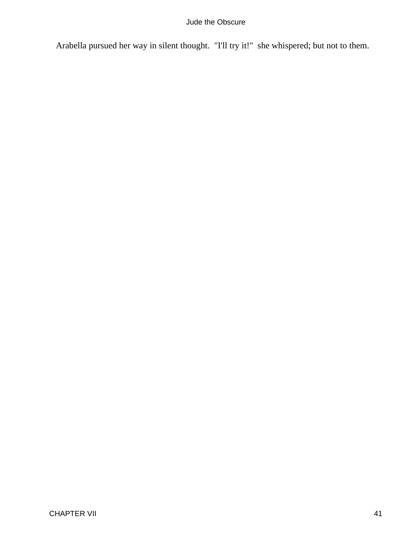Arabella pursued her way in silent thought. "I'll try it!" she whispered; but not to them.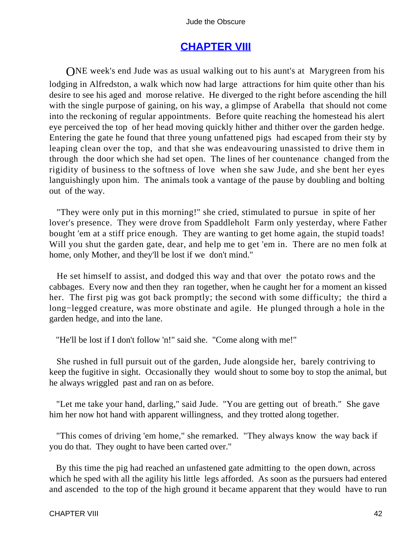# **[CHAPTER VIII](#page-367-0)**

ONE week's end Jude was as usual walking out to his aunt's at Marygreen from his lodging in Alfredston, a walk which now had large attractions for him quite other than his desire to see his aged and morose relative. He diverged to the right before ascending the hill with the single purpose of gaining, on his way, a glimpse of Arabella that should not come into the reckoning of regular appointments. Before quite reaching the homestead his alert eye perceived the top of her head moving quickly hither and thither over the garden hedge. Entering the gate he found that three young unfattened pigs had escaped from their sty by leaping clean over the top, and that she was endeavouring unassisted to drive them in through the door which she had set open. The lines of her countenance changed from the rigidity of business to the softness of love when she saw Jude, and she bent her eyes languishingly upon him. The animals took a vantage of the pause by doubling and bolting out of the way.

 "They were only put in this morning!" she cried, stimulated to pursue in spite of her lover's presence. They were drove from Spaddleholt Farm only yesterday, where Father bought 'em at a stiff price enough. They are wanting to get home again, the stupid toads! Will you shut the garden gate, dear, and help me to get 'em in. There are no men folk at home, only Mother, and they'll be lost if we don't mind."

 He set himself to assist, and dodged this way and that over the potato rows and the cabbages. Every now and then they ran together, when he caught her for a moment an kissed her. The first pig was got back promptly; the second with some difficulty; the third a long−legged creature, was more obstinate and agile. He plunged through a hole in the garden hedge, and into the lane.

"He'll be lost if I don't follow 'n!" said she. "Come along with me!"

 She rushed in full pursuit out of the garden, Jude alongside her, barely contriving to keep the fugitive in sight. Occasionally they would shout to some boy to stop the animal, but he always wriggled past and ran on as before.

 "Let me take your hand, darling," said Jude. "You are getting out of breath." She gave him her now hot hand with apparent willingness, and they trotted along together.

 "This comes of driving 'em home," she remarked. "They always know the way back if you do that. They ought to have been carted over."

 By this time the pig had reached an unfastened gate admitting to the open down, across which he sped with all the agility his little legs afforded. As soon as the pursuers had entered and ascended to the top of the high ground it became apparent that they would have to run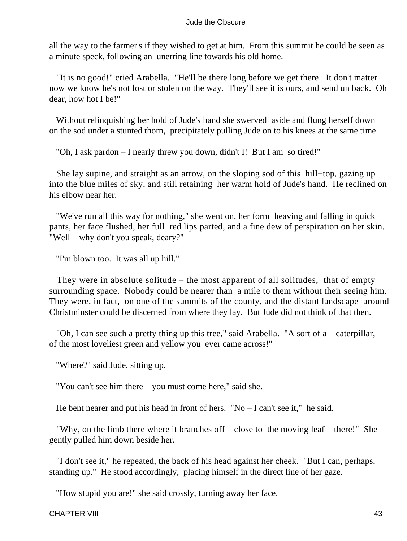all the way to the farmer's if they wished to get at him. From this summit he could be seen as a minute speck, following an unerring line towards his old home.

 "It is no good!" cried Arabella. "He'll be there long before we get there. It don't matter now we know he's not lost or stolen on the way. They'll see it is ours, and send un back. Oh dear, how hot I be!"

 Without relinquishing her hold of Jude's hand she swerved aside and flung herself down on the sod under a stunted thorn, precipitately pulling Jude on to his knees at the same time.

"Oh, I ask pardon – I nearly threw you down, didn't I! But I am so tired!"

 She lay supine, and straight as an arrow, on the sloping sod of this hill−top, gazing up into the blue miles of sky, and still retaining her warm hold of Jude's hand. He reclined on his elbow near her.

 "We've run all this way for nothing," she went on, her form heaving and falling in quick pants, her face flushed, her full red lips parted, and a fine dew of perspiration on her skin. "Well – why don't you speak, deary?"

"I'm blown too. It was all up hill."

 They were in absolute solitude – the most apparent of all solitudes, that of empty surrounding space. Nobody could be nearer than a mile to them without their seeing him. They were, in fact, on one of the summits of the county, and the distant landscape around Christminster could be discerned from where they lay. But Jude did not think of that then.

 "Oh, I can see such a pretty thing up this tree," said Arabella. "A sort of a – caterpillar, of the most loveliest green and yellow you ever came across!"

"Where?" said Jude, sitting up.

"You can't see him there – you must come here," said she.

He bent nearer and put his head in front of hers. "No – I can't see it," he said.

 "Why, on the limb there where it branches off – close to the moving leaf – there!" She gently pulled him down beside her.

 "I don't see it," he repeated, the back of his head against her cheek. "But I can, perhaps, standing up." He stood accordingly, placing himself in the direct line of her gaze.

"How stupid you are!" she said crossly, turning away her face.

CHAPTER VIII 43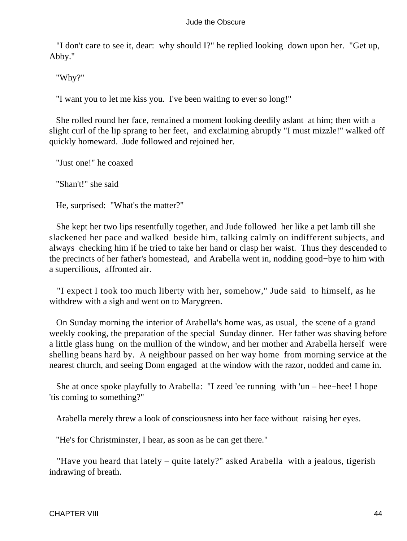"I don't care to see it, dear: why should I?" he replied looking down upon her. "Get up, Abby."

"Why?"

"I want you to let me kiss you. I've been waiting to ever so long!"

 She rolled round her face, remained a moment looking deedily aslant at him; then with a slight curl of the lip sprang to her feet, and exclaiming abruptly "I must mizzle!" walked off quickly homeward. Jude followed and rejoined her.

"Just one!" he coaxed

"Shan't!" she said

He, surprised: "What's the matter?"

 She kept her two lips resentfully together, and Jude followed her like a pet lamb till she slackened her pace and walked beside him, talking calmly on indifferent subjects, and always checking him if he tried to take her hand or clasp her waist. Thus they descended to the precincts of her father's homestead, and Arabella went in, nodding good−bye to him with a supercilious, affronted air.

 "I expect I took too much liberty with her, somehow," Jude said to himself, as he withdrew with a sigh and went on to Marygreen.

 On Sunday morning the interior of Arabella's home was, as usual, the scene of a grand weekly cooking, the preparation of the special Sunday dinner. Her father was shaving before a little glass hung on the mullion of the window, and her mother and Arabella herself were shelling beans hard by. A neighbour passed on her way home from morning service at the nearest church, and seeing Donn engaged at the window with the razor, nodded and came in.

 She at once spoke playfully to Arabella: "I zeed 'ee running with 'un – hee−hee! I hope 'tis coming to something?"

Arabella merely threw a look of consciousness into her face without raising her eyes.

"He's for Christminster, I hear, as soon as he can get there."

 "Have you heard that lately – quite lately?" asked Arabella with a jealous, tigerish indrawing of breath.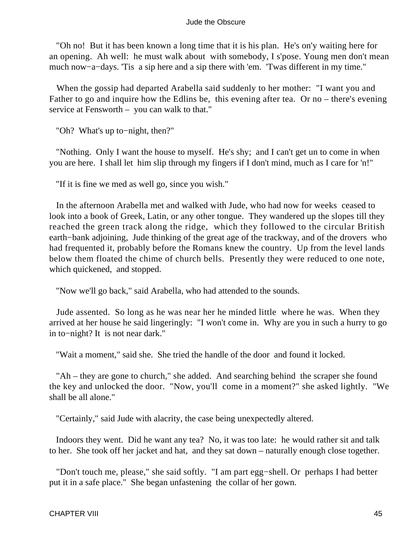"Oh no! But it has been known a long time that it is his plan. He's on'y waiting here for an opening. Ah well: he must walk about with somebody, I s'pose. Young men don't mean much now−a−days. 'Tis a sip here and a sip there with 'em. 'Twas different in my time."

 When the gossip had departed Arabella said suddenly to her mother: "I want you and Father to go and inquire how the Edlins be, this evening after tea. Or no – there's evening service at Fensworth – you can walk to that."

"Oh? What's up to−night, then?"

 "Nothing. Only I want the house to myself. He's shy; and I can't get un to come in when you are here. I shall let him slip through my fingers if I don't mind, much as I care for 'n!"

"If it is fine we med as well go, since you wish."

 In the afternoon Arabella met and walked with Jude, who had now for weeks ceased to look into a book of Greek, Latin, or any other tongue. They wandered up the slopes till they reached the green track along the ridge, which they followed to the circular British earth−bank adjoining, Jude thinking of the great age of the trackway, and of the drovers who had frequented it, probably before the Romans knew the country. Up from the level lands below them floated the chime of church bells. Presently they were reduced to one note, which quickened, and stopped.

"Now we'll go back," said Arabella, who had attended to the sounds.

 Jude assented. So long as he was near her he minded little where he was. When they arrived at her house he said lingeringly: "I won't come in. Why are you in such a hurry to go in to−night? It is not near dark."

"Wait a moment," said she. She tried the handle of the door and found it locked.

 "Ah – they are gone to church," she added. And searching behind the scraper she found the key and unlocked the door. "Now, you'll come in a moment?" she asked lightly. "We shall be all alone."

"Certainly," said Jude with alacrity, the case being unexpectedly altered.

 Indoors they went. Did he want any tea? No, it was too late: he would rather sit and talk to her. She took off her jacket and hat, and they sat down – naturally enough close together.

 "Don't touch me, please," she said softly. "I am part egg−shell. Or perhaps I had better put it in a safe place." She began unfastening the collar of her gown.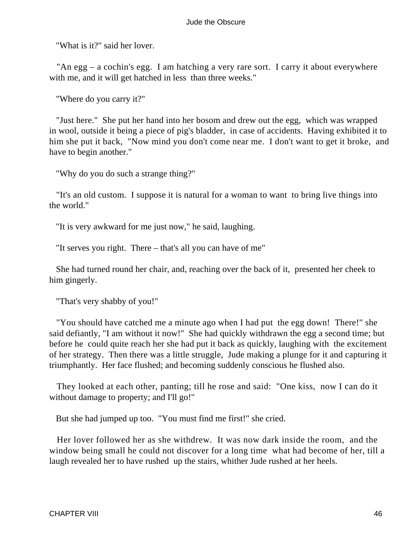"What is it?" said her lover.

 "An egg – a cochin's egg. I am hatching a very rare sort. I carry it about everywhere with me, and it will get hatched in less than three weeks."

"Where do you carry it?"

 "Just here." She put her hand into her bosom and drew out the egg, which was wrapped in wool, outside it being a piece of pig's bladder, in case of accidents. Having exhibited it to him she put it back, "Now mind you don't come near me. I don't want to get it broke, and have to begin another."

"Why do you do such a strange thing?"

 "It's an old custom. I suppose it is natural for a woman to want to bring live things into the world."

"It is very awkward for me just now," he said, laughing.

"It serves you right. There – that's all you can have of me"

 She had turned round her chair, and, reaching over the back of it, presented her cheek to him gingerly.

"That's very shabby of you!"

 "You should have catched me a minute ago when I had put the egg down! There!" she said defiantly, "I am without it now!" She had quickly withdrawn the egg a second time; but before he could quite reach her she had put it back as quickly, laughing with the excitement of her strategy. Then there was a little struggle, Jude making a plunge for it and capturing it triumphantly. Her face flushed; and becoming suddenly conscious he flushed also.

 They looked at each other, panting; till he rose and said: "One kiss, now I can do it without damage to property; and I'll go!"

But she had jumped up too. "You must find me first!" she cried.

 Her lover followed her as she withdrew. It was now dark inside the room, and the window being small he could not discover for a long time what had become of her, till a laugh revealed her to have rushed up the stairs, whither Jude rushed at her heels.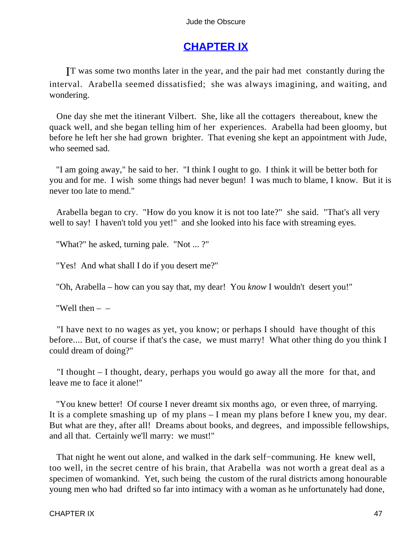# **[CHAPTER IX](#page-367-0)**

IT was some two months later in the year, and the pair had met constantly during the interval. Arabella seemed dissatisfied; she was always imagining, and waiting, and wondering.

 One day she met the itinerant Vilbert. She, like all the cottagers thereabout, knew the quack well, and she began telling him of her experiences. Arabella had been gloomy, but before he left her she had grown brighter. That evening she kept an appointment with Jude, who seemed sad.

 "I am going away," he said to her. "I think I ought to go. I think it will be better both for you and for me. I wish some things had never begun! I was much to blame, I know. But it is never too late to mend."

 Arabella began to cry. "How do you know it is not too late?" she said. "That's all very well to say! I haven't told you yet!" and she looked into his face with streaming eyes.

"What?" he asked, turning pale. "Not ... ?"

"Yes! And what shall I do if you desert me?"

"Oh, Arabella – how can you say that, my dear! You *know* I wouldn't desert you!"

"Well then  $-$ 

 "I have next to no wages as yet, you know; or perhaps I should have thought of this before.... But, of course if that's the case, we must marry! What other thing do you think I could dream of doing?"

 "I thought – I thought, deary, perhaps you would go away all the more for that, and leave me to face it alone!"

 "You knew better! Of course I never dreamt six months ago, or even three, of marrying. It is a complete smashing up of my plans – I mean my plans before I knew you, my dear. But what are they, after all! Dreams about books, and degrees, and impossible fellowships, and all that. Certainly we'll marry: we must!"

 That night he went out alone, and walked in the dark self−communing. He knew well, too well, in the secret centre of his brain, that Arabella was not worth a great deal as a specimen of womankind. Yet, such being the custom of the rural districts among honourable young men who had drifted so far into intimacy with a woman as he unfortunately had done,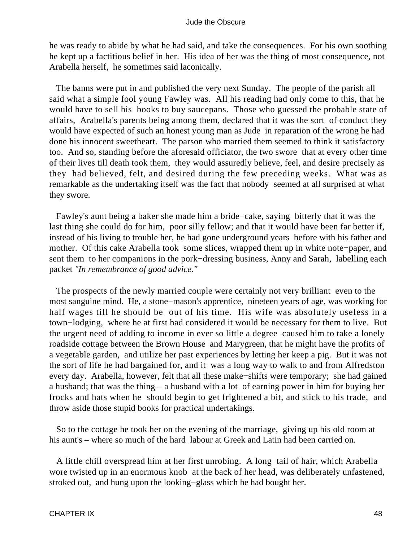he was ready to abide by what he had said, and take the consequences. For his own soothing he kept up a factitious belief in her. His idea of her was the thing of most consequence, not Arabella herself, he sometimes said laconically.

 The banns were put in and published the very next Sunday. The people of the parish all said what a simple fool young Fawley was. All his reading had only come to this, that he would have to sell his books to buy saucepans. Those who guessed the probable state of affairs, Arabella's parents being among them, declared that it was the sort of conduct they would have expected of such an honest young man as Jude in reparation of the wrong he had done his innocent sweetheart. The parson who married them seemed to think it satisfactory too. And so, standing before the aforesaid officiator, the two swore that at every other time of their lives till death took them, they would assuredly believe, feel, and desire precisely as they had believed, felt, and desired during the few preceding weeks. What was as remarkable as the undertaking itself was the fact that nobody seemed at all surprised at what they swore.

 Fawley's aunt being a baker she made him a bride−cake, saying bitterly that it was the last thing she could do for him, poor silly fellow; and that it would have been far better if, instead of his living to trouble her, he had gone underground years before with his father and mother. Of this cake Arabella took some slices, wrapped them up in white note−paper, and sent them to her companions in the pork−dressing business, Anny and Sarah, labelling each packet *"In remembrance of good advice."*

 The prospects of the newly married couple were certainly not very brilliant even to the most sanguine mind. He, a stone−mason's apprentice, nineteen years of age, was working for half wages till he should be out of his time. His wife was absolutely useless in a town−lodging, where he at first had considered it would be necessary for them to live. But the urgent need of adding to income in ever so little a degree caused him to take a lonely roadside cottage between the Brown House and Marygreen, that he might have the profits of a vegetable garden, and utilize her past experiences by letting her keep a pig. But it was not the sort of life he had bargained for, and it was a long way to walk to and from Alfredston every day. Arabella, however, felt that all these make−shifts were temporary; she had gained a husband; that was the thing – a husband with a lot of earning power in him for buying her frocks and hats when he should begin to get frightened a bit, and stick to his trade, and throw aside those stupid books for practical undertakings.

 So to the cottage he took her on the evening of the marriage, giving up his old room at his aunt's – where so much of the hard labour at Greek and Latin had been carried on.

 A little chill overspread him at her first unrobing. A long tail of hair, which Arabella wore twisted up in an enormous knob at the back of her head, was deliberately unfastened, stroked out, and hung upon the looking−glass which he had bought her.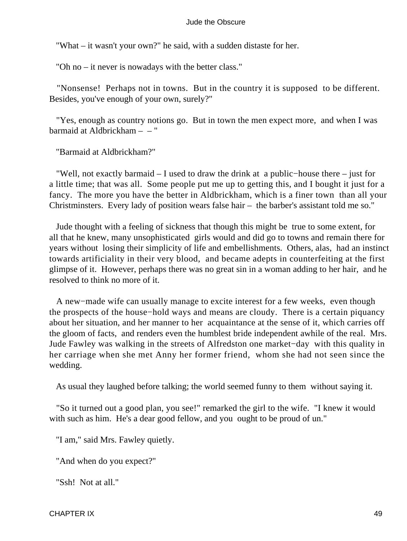"What – it wasn't your own?" he said, with a sudden distaste for her.

"Oh no – it never is nowadays with the better class."

 "Nonsense! Perhaps not in towns. But in the country it is supposed to be different. Besides, you've enough of your own, surely?"

 "Yes, enough as country notions go. But in town the men expect more, and when I was barmaid at Aldbrickham – – "

"Barmaid at Aldbrickham?"

 "Well, not exactly barmaid – I used to draw the drink at a public−house there – just for a little time; that was all. Some people put me up to getting this, and I bought it just for a fancy. The more you have the better in Aldbrickham, which is a finer town than all your Christminsters. Every lady of position wears false hair – the barber's assistant told me so."

 Jude thought with a feeling of sickness that though this might be true to some extent, for all that he knew, many unsophisticated girls would and did go to towns and remain there for years without losing their simplicity of life and embellishments. Others, alas, had an instinct towards artificiality in their very blood, and became adepts in counterfeiting at the first glimpse of it. However, perhaps there was no great sin in a woman adding to her hair, and he resolved to think no more of it.

 A new−made wife can usually manage to excite interest for a few weeks, even though the prospects of the house−hold ways and means are cloudy. There is a certain piquancy about her situation, and her manner to her acquaintance at the sense of it, which carries off the gloom of facts, and renders even the humblest bride independent awhile of the real. Mrs. Jude Fawley was walking in the streets of Alfredston one market−day with this quality in her carriage when she met Anny her former friend, whom she had not seen since the wedding.

As usual they laughed before talking; the world seemed funny to them without saying it.

 "So it turned out a good plan, you see!" remarked the girl to the wife. "I knew it would with such as him. He's a dear good fellow, and you ought to be proud of un."

"I am," said Mrs. Fawley quietly.

"And when do you expect?"

"Ssh! Not at all."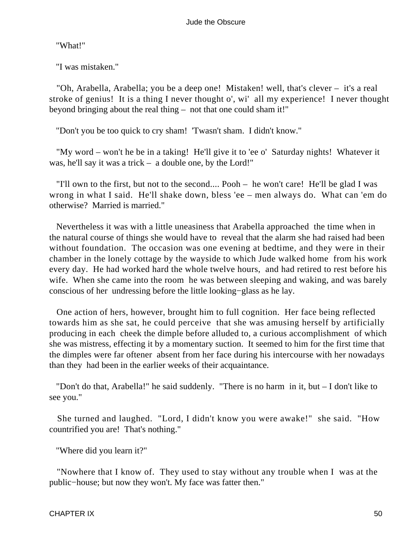"What!"

"I was mistaken."

 "Oh, Arabella, Arabella; you be a deep one! Mistaken! well, that's clever – it's a real stroke of genius! It is a thing I never thought o', wi' all my experience! I never thought beyond bringing about the real thing – not that one could sham it!"

"Don't you be too quick to cry sham! 'Twasn't sham. I didn't know."

 "My word – won't he be in a taking! He'll give it to 'ee o' Saturday nights! Whatever it was, he'll say it was a trick – a double one, by the Lord!"

 "I'll own to the first, but not to the second.... Pooh – he won't care! He'll be glad I was wrong in what I said. He'll shake down, bless 'ee – men always do. What can 'em do otherwise? Married is married."

 Nevertheless it was with a little uneasiness that Arabella approached the time when in the natural course of things she would have to reveal that the alarm she had raised had been without foundation. The occasion was one evening at bedtime, and they were in their chamber in the lonely cottage by the wayside to which Jude walked home from his work every day. He had worked hard the whole twelve hours, and had retired to rest before his wife. When she came into the room he was between sleeping and waking, and was barely conscious of her undressing before the little looking−glass as he lay.

 One action of hers, however, brought him to full cognition. Her face being reflected towards him as she sat, he could perceive that she was amusing herself by artificially producing in each cheek the dimple before alluded to, a curious accomplishment of which she was mistress, effecting it by a momentary suction. It seemed to him for the first time that the dimples were far oftener absent from her face during his intercourse with her nowadays than they had been in the earlier weeks of their acquaintance.

 "Don't do that, Arabella!" he said suddenly. "There is no harm in it, but – I don't like to see you."

 She turned and laughed. "Lord, I didn't know you were awake!" she said. "How countrified you are! That's nothing."

"Where did you learn it?"

 "Nowhere that I know of. They used to stay without any trouble when I was at the public−house; but now they won't. My face was fatter then."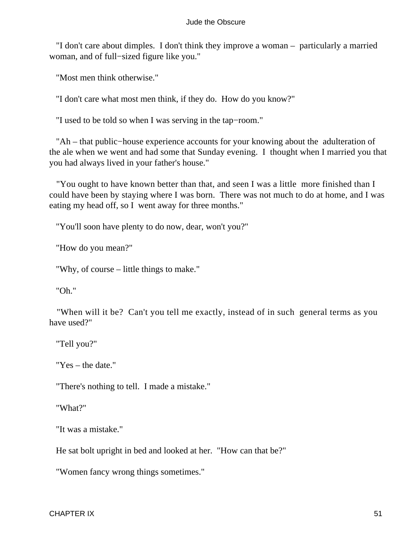"I don't care about dimples. I don't think they improve a woman – particularly a married woman, and of full−sized figure like you."

"Most men think otherwise."

"I don't care what most men think, if they do. How do you know?"

"I used to be told so when I was serving in the tap−room."

 "Ah – that public−house experience accounts for your knowing about the adulteration of the ale when we went and had some that Sunday evening. I thought when I married you that you had always lived in your father's house."

 "You ought to have known better than that, and seen I was a little more finished than I could have been by staying where I was born. There was not much to do at home, and I was eating my head off, so I went away for three months."

"You'll soon have plenty to do now, dear, won't you?"

"How do you mean?"

"Why, of course – little things to make."

"Oh."

 "When will it be? Can't you tell me exactly, instead of in such general terms as you have used?"

"Tell you?"

"Yes – the date."

"There's nothing to tell. I made a mistake."

"What?"

"It was a mistake."

He sat bolt upright in bed and looked at her. "How can that be?"

"Women fancy wrong things sometimes."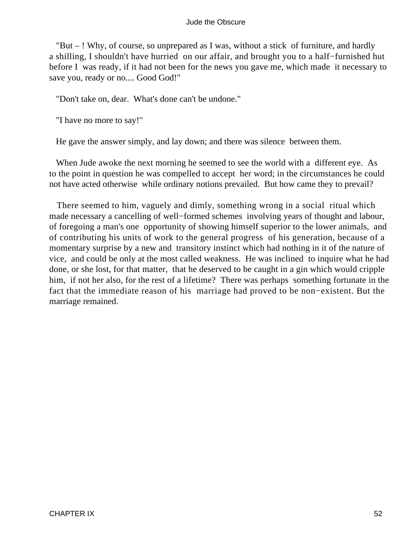"But – ! Why, of course, so unprepared as I was, without a stick of furniture, and hardly a shilling, I shouldn't have hurried on our affair, and brought you to a half−furnished hut before I was ready, if it had not been for the news you gave me, which made it necessary to save you, ready or no.... Good God!"

"Don't take on, dear. What's done can't be undone."

"I have no more to say!"

He gave the answer simply, and lay down; and there was silence between them.

 When Jude awoke the next morning he seemed to see the world with a different eye. As to the point in question he was compelled to accept her word; in the circumstances he could not have acted otherwise while ordinary notions prevailed. But how came they to prevail?

 There seemed to him, vaguely and dimly, something wrong in a social ritual which made necessary a cancelling of well−formed schemes involving years of thought and labour, of foregoing a man's one opportunity of showing himself superior to the lower animals, and of contributing his units of work to the general progress of his generation, because of a momentary surprise by a new and transitory instinct which had nothing in it of the nature of vice, and could be only at the most called weakness. He was inclined to inquire what he had done, or she lost, for that matter, that he deserved to be caught in a gin which would cripple him, if not her also, for the rest of a lifetime? There was perhaps something fortunate in the fact that the immediate reason of his marriage had proved to be non−existent. But the marriage remained.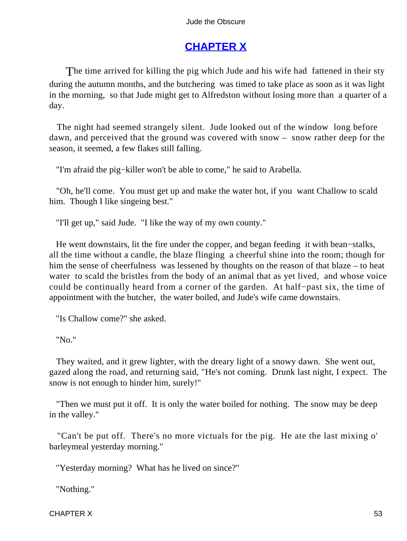# **[CHAPTER X](#page-367-0)**

The time arrived for killing the pig which Jude and his wife had fattened in their sty during the autumn months, and the butchering was timed to take place as soon as it was light in the morning, so that Jude might get to Alfredston without losing more than a quarter of a day.

 The night had seemed strangely silent. Jude looked out of the window long before dawn, and perceived that the ground was covered with snow – snow rather deep for the season, it seemed, a few flakes still falling.

"I'm afraid the pig−killer won't be able to come," he said to Arabella.

 "Oh, he'll come. You must get up and make the water hot, if you want Challow to scald him. Though I like singeing best."

"I'll get up," said Jude. "I like the way of my own county."

 He went downstairs, lit the fire under the copper, and began feeding it with bean−stalks, all the time without a candle, the blaze flinging a cheerful shine into the room; though for him the sense of cheerfulness was lessened by thoughts on the reason of that blaze – to heat water to scald the bristles from the body of an animal that as yet lived, and whose voice could be continually heard from a corner of the garden. At half−past six, the time of appointment with the butcher, the water boiled, and Jude's wife came downstairs.

"Is Challow come?" she asked.

"No."

 They waited, and it grew lighter, with the dreary light of a snowy dawn. She went out, gazed along the road, and returning said, "He's not coming. Drunk last night, I expect. The snow is not enough to hinder him, surely!"

 "Then we must put it off. It is only the water boiled for nothing. The snow may be deep in the valley."

 "Can't be put off. There's no more victuals for the pig. He ate the last mixing o' barleymeal yesterday morning."

"Yesterday morning? What has he lived on since?"

"Nothing."

 $CHAPTER X$  53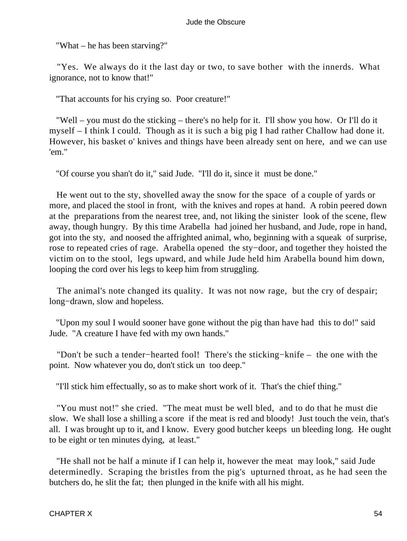"What – he has been starving?"

 "Yes. We always do it the last day or two, to save bother with the innerds. What ignorance, not to know that!"

"That accounts for his crying so. Poor creature!"

 "Well – you must do the sticking – there's no help for it. I'll show you how. Or I'll do it myself – I think I could. Though as it is such a big pig I had rather Challow had done it. However, his basket o' knives and things have been already sent on here, and we can use 'em."

"Of course you shan't do it," said Jude. "I'll do it, since it must be done."

 He went out to the sty, shovelled away the snow for the space of a couple of yards or more, and placed the stool in front, with the knives and ropes at hand. A robin peered down at the preparations from the nearest tree, and, not liking the sinister look of the scene, flew away, though hungry. By this time Arabella had joined her husband, and Jude, rope in hand, got into the sty, and noosed the affrighted animal, who, beginning with a squeak of surprise, rose to repeated cries of rage. Arabella opened the sty−door, and together they hoisted the victim on to the stool, legs upward, and while Jude held him Arabella bound him down, looping the cord over his legs to keep him from struggling.

 The animal's note changed its quality. It was not now rage, but the cry of despair; long−drawn, slow and hopeless.

 "Upon my soul I would sooner have gone without the pig than have had this to do!" said Jude. "A creature I have fed with my own hands."

 "Don't be such a tender−hearted fool! There's the sticking−knife – the one with the point. Now whatever you do, don't stick un too deep."

"I'll stick him effectually, so as to make short work of it. That's the chief thing."

 "You must not!" she cried. "The meat must be well bled, and to do that he must die slow. We shall lose a shilling a score if the meat is red and bloody! Just touch the vein, that's all. I was brought up to it, and I know. Every good butcher keeps un bleeding long. He ought to be eight or ten minutes dying, at least."

 "He shall not be half a minute if I can help it, however the meat may look," said Jude determinedly. Scraping the bristles from the pig's upturned throat, as he had seen the butchers do, he slit the fat; then plunged in the knife with all his might.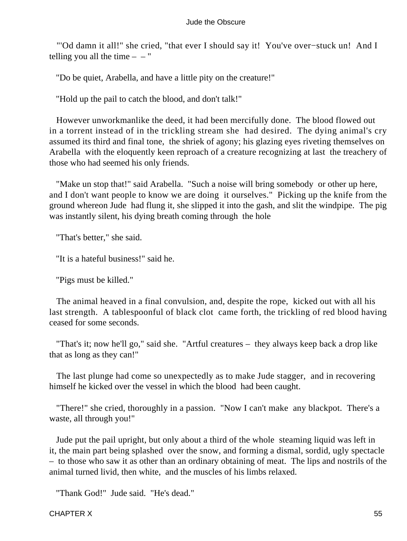"'Od damn it all!" she cried, "that ever I should say it! You've over−stuck un! And I telling you all the time  $- -$ "

"Do be quiet, Arabella, and have a little pity on the creature!"

"Hold up the pail to catch the blood, and don't talk!"

 However unworkmanlike the deed, it had been mercifully done. The blood flowed out in a torrent instead of in the trickling stream she had desired. The dying animal's cry assumed its third and final tone, the shriek of agony; his glazing eyes riveting themselves on Arabella with the eloquently keen reproach of a creature recognizing at last the treachery of those who had seemed his only friends.

 "Make un stop that!" said Arabella. "Such a noise will bring somebody or other up here, and I don't want people to know we are doing it ourselves." Picking up the knife from the ground whereon Jude had flung it, she slipped it into the gash, and slit the windpipe. The pig was instantly silent, his dying breath coming through the hole

"That's better," she said.

"It is a hateful business!" said he.

"Pigs must be killed."

 The animal heaved in a final convulsion, and, despite the rope, kicked out with all his last strength. A tablespoonful of black clot came forth, the trickling of red blood having ceased for some seconds.

 "That's it; now he'll go," said she. "Artful creatures – they always keep back a drop like that as long as they can!"

 The last plunge had come so unexpectedly as to make Jude stagger, and in recovering himself he kicked over the vessel in which the blood had been caught.

 "There!" she cried, thoroughly in a passion. "Now I can't make any blackpot. There's a waste, all through you!"

 Jude put the pail upright, but only about a third of the whole steaming liquid was left in it, the main part being splashed over the snow, and forming a dismal, sordid, ugly spectacle – to those who saw it as other than an ordinary obtaining of meat. The lips and nostrils of the animal turned livid, then white, and the muscles of his limbs relaxed.

"Thank God!" Jude said. "He's dead."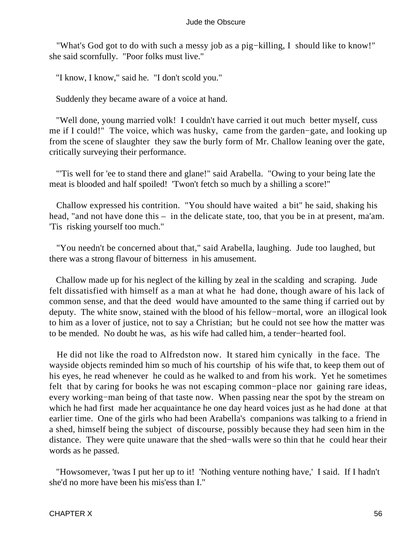"What's God got to do with such a messy job as a pig−killing, I should like to know!" she said scornfully. "Poor folks must live."

"I know, I know," said he. "I don't scold you."

Suddenly they became aware of a voice at hand.

 "Well done, young married volk! I couldn't have carried it out much better myself, cuss me if I could!" The voice, which was husky, came from the garden−gate, and looking up from the scene of slaughter they saw the burly form of Mr. Challow leaning over the gate, critically surveying their performance.

 "'Tis well for 'ee to stand there and glane!" said Arabella. "Owing to your being late the meat is blooded and half spoiled! 'Twon't fetch so much by a shilling a score!"

 Challow expressed his contrition. "You should have waited a bit" he said, shaking his head, "and not have done this – in the delicate state, too, that you be in at present, ma'am. 'Tis risking yourself too much."

 "You needn't be concerned about that," said Arabella, laughing. Jude too laughed, but there was a strong flavour of bitterness in his amusement.

 Challow made up for his neglect of the killing by zeal in the scalding and scraping. Jude felt dissatisfied with himself as a man at what he had done, though aware of his lack of common sense, and that the deed would have amounted to the same thing if carried out by deputy. The white snow, stained with the blood of his fellow−mortal, wore an illogical look to him as a lover of justice, not to say a Christian; but he could not see how the matter was to be mended. No doubt he was, as his wife had called him, a tender−hearted fool.

 He did not like the road to Alfredston now. It stared him cynically in the face. The wayside objects reminded him so much of his courtship of his wife that, to keep them out of his eyes, he read whenever he could as he walked to and from his work. Yet he sometimes felt that by caring for books he was not escaping common−place nor gaining rare ideas, every working−man being of that taste now. When passing near the spot by the stream on which he had first made her acquaintance he one day heard voices just as he had done at that earlier time. One of the girls who had been Arabella's companions was talking to a friend in a shed, himself being the subject of discourse, possibly because they had seen him in the distance. They were quite unaware that the shed−walls were so thin that he could hear their words as he passed.

 "Howsomever, 'twas I put her up to it! 'Nothing venture nothing have,' I said. If I hadn't she'd no more have been his mis'ess than I."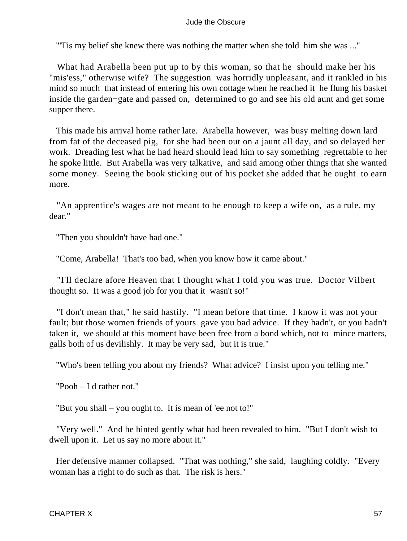"'Tis my belief she knew there was nothing the matter when she told him she was ..."

 What had Arabella been put up to by this woman, so that he should make her his "mis'ess," otherwise wife? The suggestion was horridly unpleasant, and it rankled in his mind so much that instead of entering his own cottage when he reached it he flung his basket inside the garden−gate and passed on, determined to go and see his old aunt and get some supper there.

 This made his arrival home rather late. Arabella however, was busy melting down lard from fat of the deceased pig, for she had been out on a jaunt all day, and so delayed her work. Dreading lest what he had heard should lead him to say something regrettable to her he spoke little. But Arabella was very talkative, and said among other things that she wanted some money. Seeing the book sticking out of his pocket she added that he ought to earn more.

 "An apprentice's wages are not meant to be enough to keep a wife on, as a rule, my dear."

"Then you shouldn't have had one."

"Come, Arabella! That's too bad, when you know how it came about."

 "I'll declare afore Heaven that I thought what I told you was true. Doctor Vilbert thought so. It was a good job for you that it wasn't so!"

 "I don't mean that," he said hastily. "I mean before that time. I know it was not your fault; but those women friends of yours gave you bad advice. If they hadn't, or you hadn't taken it, we should at this moment have been free from a bond which, not to mince matters, galls both of us devilishly. It may be very sad, but it is true."

"Who's been telling you about my friends? What advice? I insist upon you telling me."

"Pooh – I d rather not."

"But you shall – you ought to. It is mean of 'ee not to!"

 "Very well." And he hinted gently what had been revealed to him. "But I don't wish to dwell upon it. Let us say no more about it."

 Her defensive manner collapsed. "That was nothing," she said, laughing coldly. "Every woman has a right to do such as that. The risk is hers."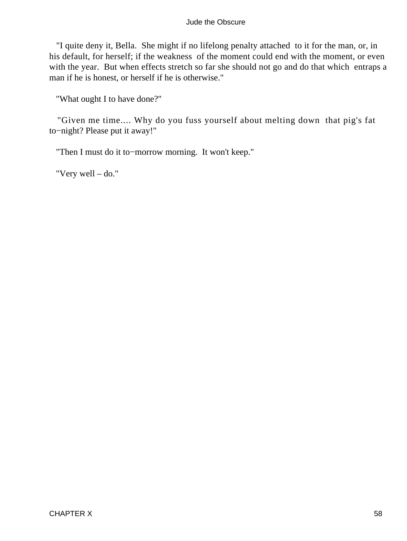"I quite deny it, Bella. She might if no lifelong penalty attached to it for the man, or, in his default, for herself; if the weakness of the moment could end with the moment, or even with the year. But when effects stretch so far she should not go and do that which entraps a man if he is honest, or herself if he is otherwise."

"What ought I to have done?"

 "Given me time.... Why do you fuss yourself about melting down that pig's fat to−night? Please put it away!"

"Then I must do it to−morrow morning. It won't keep."

"Very well – do."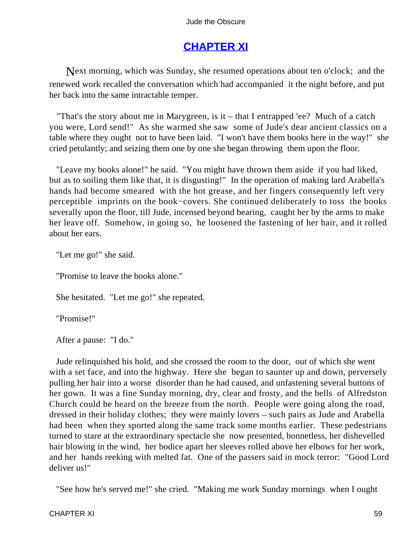# **[CHAPTER XI](#page-367-0)**

Next morning, which was Sunday, she resumed operations about ten o'clock; and the renewed work recalled the conversation which had accompanied it the night before, and put her back into the same intractable temper.

 "That's the story about me in Marygreen, is it – that I entrapped 'ee? Much of a catch you were, Lord send!" As she warmed she saw some of Jude's dear ancient classics on a table where they ought not to have been laid. "I won't have them books here in the way!" she cried petulantly; and seizing them one by one she began throwing them upon the floor.

 "Leave my books alone!" he said. "You might have thrown them aside if you had liked, but as to soiling them like that, it is disgusting!" In the operation of making lard Arabella's hands had become smeared with the hot grease, and her fingers consequently left very perceptible imprints on the book−covers. She continued deliberately to toss the books severally upon the floor, till Jude, incensed beyond bearing, caught her by the arms to make her leave off. Somehow, in going so, he loosened the fastening of her hair, and it rolled about her ears.

"Let me go!" she said.

"Promise to leave the books alone."

She hesitated. "Let me go!" she repeated.

"Promise!"

After a pause: "I do."

 Jude relinquished his hold, and she crossed the room to the door, out of which she went with a set face, and into the highway. Here she began to saunter up and down, perversely pulling her hair into a worse disorder than he had caused, and unfastening several buttons of her gown. It was a fine Sunday morning, dry, clear and frosty, and the bells of Alfredston Church could be heard on the breeze from the north. People were going along the road, dressed in their holiday clothes; they were mainly lovers – such pairs as Jude and Arabella had been when they sported along the same track some months earlier. These pedestrians turned to stare at the extraordinary spectacle she now presented, bonnetless, her dishevelled hair blowing in the wind, her bodice apart her sleeves rolled above her elbows for her work, and her hands reeking with melted fat. One of the passers said in mock terror: "Good Lord deliver us!"

"See how he's served me!" she cried. "Making me work Sunday mornings when I ought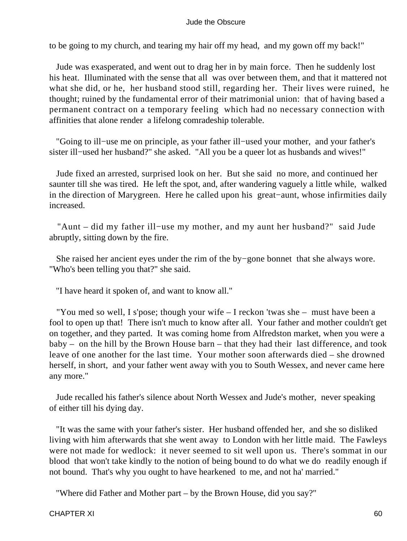to be going to my church, and tearing my hair off my head, and my gown off my back!"

 Jude was exasperated, and went out to drag her in by main force. Then he suddenly lost his heat. Illuminated with the sense that all was over between them, and that it mattered not what she did, or he, her husband stood still, regarding her. Their lives were ruined, he thought; ruined by the fundamental error of their matrimonial union: that of having based a permanent contract on a temporary feeling which had no necessary connection with affinities that alone render a lifelong comradeship tolerable.

 "Going to ill−use me on principle, as your father ill−used your mother, and your father's sister ill−used her husband?" she asked. "All you be a queer lot as husbands and wives!"

 Jude fixed an arrested, surprised look on her. But she said no more, and continued her saunter till she was tired. He left the spot, and, after wandering vaguely a little while, walked in the direction of Marygreen. Here he called upon his great−aunt, whose infirmities daily increased.

 "Aunt – did my father ill−use my mother, and my aunt her husband?" said Jude abruptly, sitting down by the fire.

 She raised her ancient eyes under the rim of the by−gone bonnet that she always wore. "Who's been telling you that?" she said.

"I have heard it spoken of, and want to know all."

 "You med so well, I s'pose; though your wife – I reckon 'twas she – must have been a fool to open up that! There isn't much to know after all. Your father and mother couldn't get on together, and they parted. It was coming home from Alfredston market, when you were a baby – on the hill by the Brown House barn – that they had their last difference, and took leave of one another for the last time. Your mother soon afterwards died – she drowned herself, in short, and your father went away with you to South Wessex, and never came here any more."

 Jude recalled his father's silence about North Wessex and Jude's mother, never speaking of either till his dying day.

 "It was the same with your father's sister. Her husband offended her, and she so disliked living with him afterwards that she went away to London with her little maid. The Fawleys were not made for wedlock: it never seemed to sit well upon us. There's sommat in our blood that won't take kindly to the notion of being bound to do what we do readily enough if not bound. That's why you ought to have hearkened to me, and not ha' married."

"Where did Father and Mother part – by the Brown House, did you say?"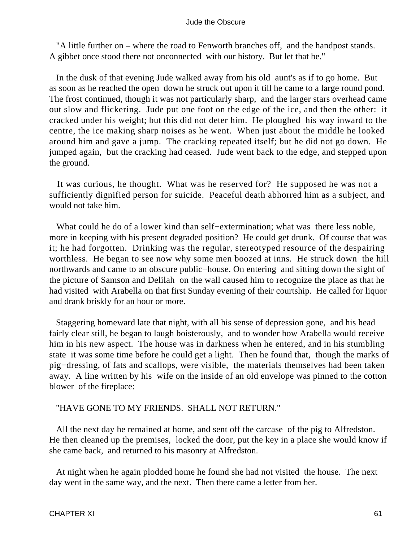"A little further on – where the road to Fenworth branches off, and the handpost stands. A gibbet once stood there not onconnected with our history. But let that be."

 In the dusk of that evening Jude walked away from his old aunt's as if to go home. But as soon as he reached the open down he struck out upon it till he came to a large round pond. The frost continued, though it was not particularly sharp, and the larger stars overhead came out slow and flickering. Jude put one foot on the edge of the ice, and then the other: it cracked under his weight; but this did not deter him. He ploughed his way inward to the centre, the ice making sharp noises as he went. When just about the middle he looked around him and gave a jump. The cracking repeated itself; but he did not go down. He jumped again, but the cracking had ceased. Jude went back to the edge, and stepped upon the ground.

 It was curious, he thought. What was he reserved for? He supposed he was not a sufficiently dignified person for suicide. Peaceful death abhorred him as a subject, and would not take him.

 What could he do of a lower kind than self−extermination; what was there less noble, more in keeping with his present degraded position? He could get drunk. Of course that was it; he had forgotten. Drinking was the regular, stereotyped resource of the despairing worthless. He began to see now why some men boozed at inns. He struck down the hill northwards and came to an obscure public−house. On entering and sitting down the sight of the picture of Samson and Delilah on the wall caused him to recognize the place as that he had visited with Arabella on that first Sunday evening of their courtship. He called for liquor and drank briskly for an hour or more.

 Staggering homeward late that night, with all his sense of depression gone, and his head fairly clear still, he began to laugh boisterously, and to wonder how Arabella would receive him in his new aspect. The house was in darkness when he entered, and in his stumbling state it was some time before he could get a light. Then he found that, though the marks of pig−dressing, of fats and scallops, were visible, the materials themselves had been taken away. A line written by his wife on the inside of an old envelope was pinned to the cotton blower of the fireplace:

# "HAVE GONE TO MY FRIENDS. SHALL NOT RETURN."

 All the next day he remained at home, and sent off the carcase of the pig to Alfredston. He then cleaned up the premises, locked the door, put the key in a place she would know if she came back, and returned to his masonry at Alfredston.

 At night when he again plodded home he found she had not visited the house. The next day went in the same way, and the next. Then there came a letter from her.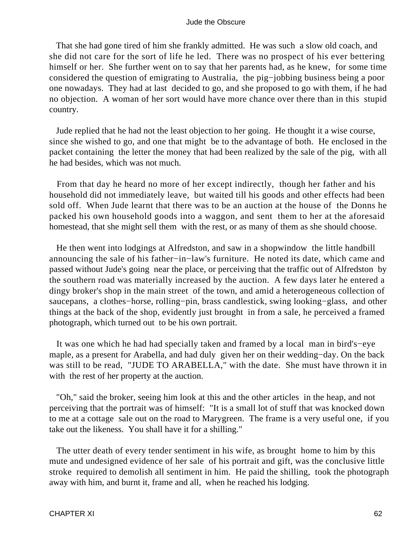That she had gone tired of him she frankly admitted. He was such a slow old coach, and she did not care for the sort of life he led. There was no prospect of his ever bettering himself or her. She further went on to say that her parents had, as he knew, for some time considered the question of emigrating to Australia, the pig−jobbing business being a poor one nowadays. They had at last decided to go, and she proposed to go with them, if he had no objection. A woman of her sort would have more chance over there than in this stupid country.

 Jude replied that he had not the least objection to her going. He thought it a wise course, since she wished to go, and one that might be to the advantage of both. He enclosed in the packet containing the letter the money that had been realized by the sale of the pig, with all he had besides, which was not much.

 From that day he heard no more of her except indirectly, though her father and his household did not immediately leave, but waited till his goods and other effects had been sold off. When Jude learnt that there was to be an auction at the house of the Donns he packed his own household goods into a waggon, and sent them to her at the aforesaid homestead, that she might sell them with the rest, or as many of them as she should choose.

 He then went into lodgings at Alfredston, and saw in a shopwindow the little handbill announcing the sale of his father−in−law's furniture. He noted its date, which came and passed without Jude's going near the place, or perceiving that the traffic out of Alfredston by the southern road was materially increased by the auction. A few days later he entered a dingy broker's shop in the main street of the town, and amid a heterogeneous collection of saucepans, a clothes−horse, rolling−pin, brass candlestick, swing looking−glass, and other things at the back of the shop, evidently just brought in from a sale, he perceived a framed photograph, which turned out to be his own portrait.

 It was one which he had had specially taken and framed by a local man in bird's−eye maple, as a present for Arabella, and had duly given her on their wedding−day. On the back was still to be read, "JUDE TO ARABELLA," with the date. She must have thrown it in with the rest of her property at the auction.

 "Oh," said the broker, seeing him look at this and the other articles in the heap, and not perceiving that the portrait was of himself: "It is a small lot of stuff that was knocked down to me at a cottage sale out on the road to Marygreen. The frame is a very useful one, if you take out the likeness. You shall have it for a shilling."

 The utter death of every tender sentiment in his wife, as brought home to him by this mute and undesigned evidence of her sale of his portrait and gift, was the conclusive little stroke required to demolish all sentiment in him. He paid the shilling, took the photograph away with him, and burnt it, frame and all, when he reached his lodging.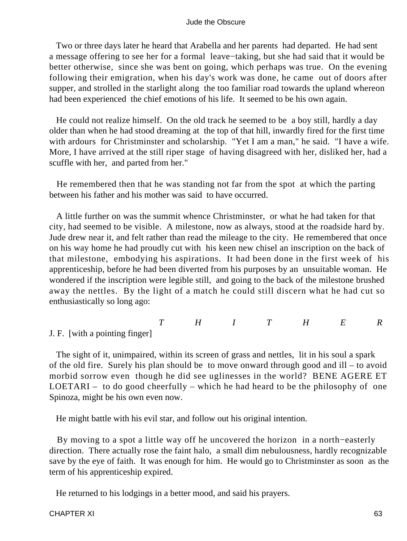Two or three days later he heard that Arabella and her parents had departed. He had sent a message offering to see her for a formal leave−taking, but she had said that it would be better otherwise, since she was bent on going, which perhaps was true. On the evening following their emigration, when his day's work was done, he came out of doors after supper, and strolled in the starlight along the too familiar road towards the upland whereon had been experienced the chief emotions of his life. It seemed to be his own again.

 He could not realize himself. On the old track he seemed to be a boy still, hardly a day older than when he had stood dreaming at the top of that hill, inwardly fired for the first time with ardours for Christminster and scholarship. "Yet I am a man," he said. "I have a wife. More, I have arrived at the still riper stage of having disagreed with her, disliked her, had a scuffle with her, and parted from her."

 He remembered then that he was standing not far from the spot at which the parting between his father and his mother was said to have occurred.

 A little further on was the summit whence Christminster, or what he had taken for that city, had seemed to be visible. A milestone, now as always, stood at the roadside hard by. Jude drew near it, and felt rather than read the mileage to the city. He remembered that once on his way home he had proudly cut with his keen new chisel an inscription on the back of that milestone, embodying his aspirations. It had been done in the first week of his apprenticeship, before he had been diverted from his purposes by an unsuitable woman. He wondered if the inscription were legible still, and going to the back of the milestone brushed away the nettles. By the light of a match he could still discern what he had cut so enthusiastically so long ago:

*THITHER*

J. F. [with a pointing finger]

 The sight of it, unimpaired, within its screen of grass and nettles, lit in his soul a spark of the old fire. Surely his plan should be to move onward through good and ill – to avoid morbid sorrow even though he did see uglinesses in the world? BENE AGERE ET LOETARI – to do good cheerfully – which he had heard to be the philosophy of one Spinoza, might be his own even now.

He might battle with his evil star, and follow out his original intention.

 By moving to a spot a little way off he uncovered the horizon in a north−easterly direction. There actually rose the faint halo, a small dim nebulousness, hardly recognizable save by the eye of faith. It was enough for him. He would go to Christminster as soon as the term of his apprenticeship expired.

He returned to his lodgings in a better mood, and said his prayers.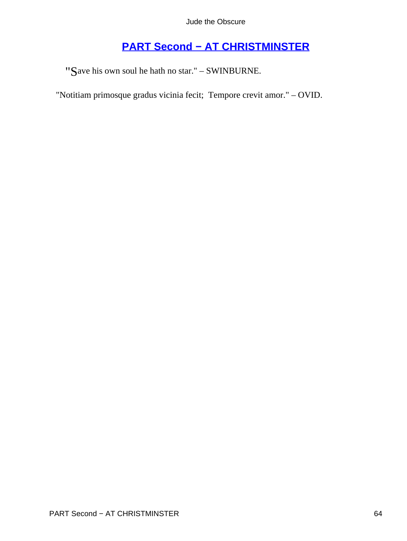# **[PART Second − AT CHRISTMINSTER](#page-367-0)**

"Save his own soul he hath no star." – SWINBURNE.

"Notitiam primosque gradus vicinia fecit; Tempore crevit amor." – OVID.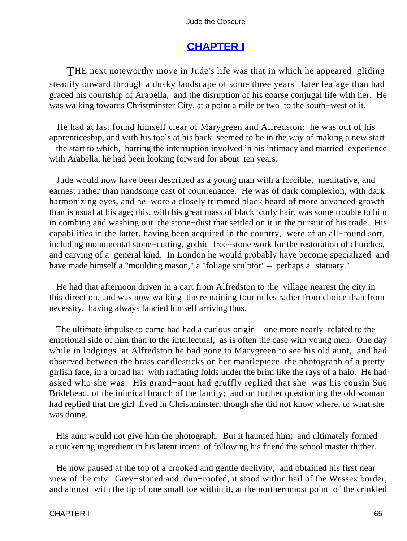# **[CHAPTER I](#page-367-0)**

THE next noteworthy move in Jude's life was that in which he appeared gliding steadily onward through a dusky landscape of some three years' later leafage than had graced his courtship of Arabella, and the disruption of his coarse conjugal life with her. He was walking towards Christminster City, at a point a mile or two to the south−west of it.

 He had at last found himself clear of Marygreen and Alfredston: he was out of his apprenticeship, and with his tools at his back seemed to be in the way of making a new start – the start to which, barring the interruption involved in his intimacy and married experience with Arabella, he had been looking forward for about ten years.

 Jude would now have been described as a young man with a forcible, meditative, and earnest rather than handsome cast of countenance. He was of dark complexion, with dark harmonizing eyes, and he wore a closely trimmed black beard of more advanced growth than is usual at his age; this, with his great mass of black curly hair, was some trouble to him in combing and washing out the stone−dust that settled on it in the pursuit of his trade. His capabilities in the latter, having been acquired in the country, were of an all−round sort, including monumental stone−cutting, gothic free−stone work for the restoration of churches, and carving of a general kind. In London he would probably have become specialized and have made himself a "moulding mason," a "foliage sculptor" – perhaps a "statuary."

 He had that afternoon driven in a cart from Alfredston to the village nearest the city in this direction, and was now walking the remaining four miles rather from choice than from necessity, having always fancied himself arriving thus.

 The ultimate impulse to come had had a curious origin – one more nearly related to the emotional side of him than to the intellectual, as is often the case with young men. One day while in lodgings at Alfredston he had gone to Marygreen to see his old aunt, and had observed between the brass candlesticks on her mantlepiece the photograph of a pretty girlish face, in a broad hat with radiating folds under the brim like the rays of a halo. He had asked who she was. His grand−aunt had gruffly replied that she was his cousin Sue Bridehead, of the inimical branch of the family; and on further questioning the old woman had replied that the girl lived in Christminster, though she did not know where, or what she was doing.

 His aunt would not give him the photograph. But it haunted him; and ultimately formed a quickening ingredient in his latent intent of following his friend the school master thither.

 He now paused at the top of a crooked and gentle declivity, and obtained his first near view of the city. Grey−stoned and dun−roofed, it stood within hail of the Wessex border, and almost with the tip of one small toe within it, at the northernmost point of the crinkled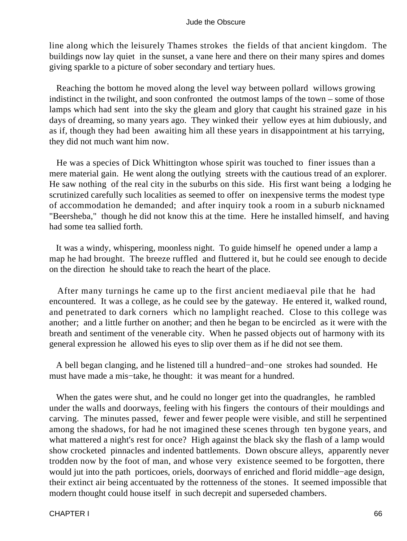line along which the leisurely Thames strokes the fields of that ancient kingdom. The buildings now lay quiet in the sunset, a vane here and there on their many spires and domes giving sparkle to a picture of sober secondary and tertiary hues.

 Reaching the bottom he moved along the level way between pollard willows growing indistinct in the twilight, and soon confronted the outmost lamps of the town – some of those lamps which had sent into the sky the gleam and glory that caught his strained gaze in his days of dreaming, so many years ago. They winked their yellow eyes at him dubiously, and as if, though they had been awaiting him all these years in disappointment at his tarrying, they did not much want him now.

 He was a species of Dick Whittington whose spirit was touched to finer issues than a mere material gain. He went along the outlying streets with the cautious tread of an explorer. He saw nothing of the real city in the suburbs on this side. His first want being a lodging he scrutinized carefully such localities as seemed to offer on inexpensive terms the modest type of accommodation he demanded; and after inquiry took a room in a suburb nicknamed "Beersheba," though he did not know this at the time. Here he installed himself, and having had some tea sallied forth.

 It was a windy, whispering, moonless night. To guide himself he opened under a lamp a map he had brought. The breeze ruffled and fluttered it, but he could see enough to decide on the direction he should take to reach the heart of the place.

 After many turnings he came up to the first ancient mediaeval pile that he had encountered. It was a college, as he could see by the gateway. He entered it, walked round, and penetrated to dark corners which no lamplight reached. Close to this college was another; and a little further on another; and then he began to be encircled as it were with the breath and sentiment of the venerable city. When he passed objects out of harmony with its general expression he allowed his eyes to slip over them as if he did not see them.

 A bell began clanging, and he listened till a hundred−and−one strokes had sounded. He must have made a mis−take, he thought: it was meant for a hundred.

 When the gates were shut, and he could no longer get into the quadrangles, he rambled under the walls and doorways, feeling with his fingers the contours of their mouldings and carving. The minutes passed, fewer and fewer people were visible, and still he serpentined among the shadows, for had he not imagined these scenes through ten bygone years, and what mattered a night's rest for once? High against the black sky the flash of a lamp would show crocketed pinnacles and indented battlements. Down obscure alleys, apparently never trodden now by the foot of man, and whose very existence seemed to be forgotten, there would jut into the path porticoes, oriels, doorways of enriched and florid middle−age design, their extinct air being accentuated by the rottenness of the stones. It seemed impossible that modern thought could house itself in such decrepit and superseded chambers.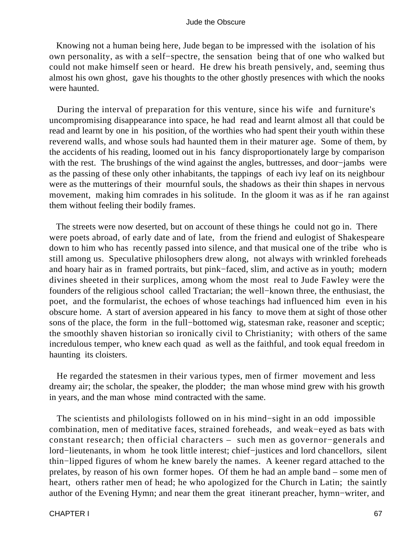Knowing not a human being here, Jude began to be impressed with the isolation of his own personality, as with a self−spectre, the sensation being that of one who walked but could not make himself seen or heard. He drew his breath pensively, and, seeming thus almost his own ghost, gave his thoughts to the other ghostly presences with which the nooks were haunted.

 During the interval of preparation for this venture, since his wife and furniture's uncompromising disappearance into space, he had read and learnt almost all that could be read and learnt by one in his position, of the worthies who had spent their youth within these reverend walls, and whose souls had haunted them in their maturer age. Some of them, by the accidents of his reading, loomed out in his fancy disproportionately large by comparison with the rest. The brushings of the wind against the angles, buttresses, and door−jambs were as the passing of these only other inhabitants, the tappings of each ivy leaf on its neighbour were as the mutterings of their mournful souls, the shadows as their thin shapes in nervous movement, making him comrades in his solitude. In the gloom it was as if he ran against them without feeling their bodily frames.

 The streets were now deserted, but on account of these things he could not go in. There were poets abroad, of early date and of late, from the friend and eulogist of Shakespeare down to him who has recently passed into silence, and that musical one of the tribe who is still among us. Speculative philosophers drew along, not always with wrinkled foreheads and hoary hair as in framed portraits, but pink−faced, slim, and active as in youth; modern divines sheeted in their surplices, among whom the most real to Jude Fawley were the founders of the religious school called Tractarian; the well−known three, the enthusiast, the poet, and the formularist, the echoes of whose teachings had influenced him even in his obscure home. A start of aversion appeared in his fancy to move them at sight of those other sons of the place, the form in the full−bottomed wig, statesman rake, reasoner and sceptic; the smoothly shaven historian so ironically civil to Christianity; with others of the same incredulous temper, who knew each quad as well as the faithful, and took equal freedom in haunting its cloisters.

 He regarded the statesmen in their various types, men of firmer movement and less dreamy air; the scholar, the speaker, the plodder; the man whose mind grew with his growth in years, and the man whose mind contracted with the same.

 The scientists and philologists followed on in his mind−sight in an odd impossible combination, men of meditative faces, strained foreheads, and weak−eyed as bats with constant research; then official characters – such men as governor−generals and lord−lieutenants, in whom he took little interest; chief−justices and lord chancellors, silent thin−lipped figures of whom he knew barely the names. A keener regard attached to the prelates, by reason of his own former hopes. Of them he had an ample band – some men of heart, others rather men of head; he who apologized for the Church in Latin; the saintly author of the Evening Hymn; and near them the great itinerant preacher, hymn−writer, and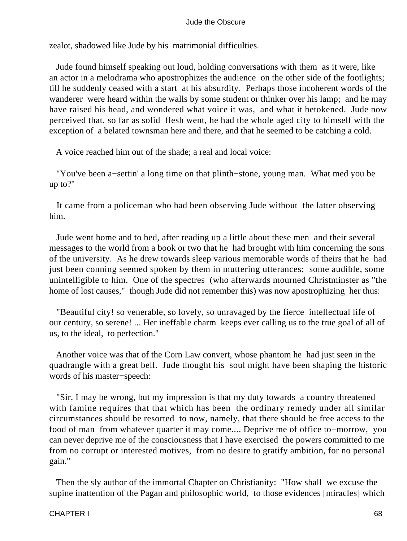zealot, shadowed like Jude by his matrimonial difficulties.

 Jude found himself speaking out loud, holding conversations with them as it were, like an actor in a melodrama who apostrophizes the audience on the other side of the footlights; till he suddenly ceased with a start at his absurdity. Perhaps those incoherent words of the wanderer were heard within the walls by some student or thinker over his lamp; and he may have raised his head, and wondered what voice it was, and what it betokened. Jude now perceived that, so far as solid flesh went, he had the whole aged city to himself with the exception of a belated townsman here and there, and that he seemed to be catching a cold.

A voice reached him out of the shade; a real and local voice:

 "You've been a−settin' a long time on that plinth−stone, young man. What med you be up to?"

 It came from a policeman who had been observing Jude without the latter observing him.

 Jude went home and to bed, after reading up a little about these men and their several messages to the world from a book or two that he had brought with him concerning the sons of the university. As he drew towards sleep various memorable words of theirs that he had just been conning seemed spoken by them in muttering utterances; some audible, some unintelligible to him. One of the spectres (who afterwards mourned Christminster as "the home of lost causes," though Jude did not remember this) was now apostrophizing her thus:

 "Beautiful city! so venerable, so lovely, so unravaged by the fierce intellectual life of our century, so serene! ... Her ineffable charm keeps ever calling us to the true goal of all of us, to the ideal, to perfection."

 Another voice was that of the Corn Law convert, whose phantom he had just seen in the quadrangle with a great bell. Jude thought his soul might have been shaping the historic words of his master−speech:

 "Sir, I may be wrong, but my impression is that my duty towards a country threatened with famine requires that that which has been the ordinary remedy under all similar circumstances should be resorted to now, namely, that there should be free access to the food of man from whatever quarter it may come.... Deprive me of office to−morrow, you can never deprive me of the consciousness that I have exercised the powers committed to me from no corrupt or interested motives, from no desire to gratify ambition, for no personal gain."

 Then the sly author of the immortal Chapter on Christianity: "How shall we excuse the supine inattention of the Pagan and philosophic world, to those evidences [miracles] which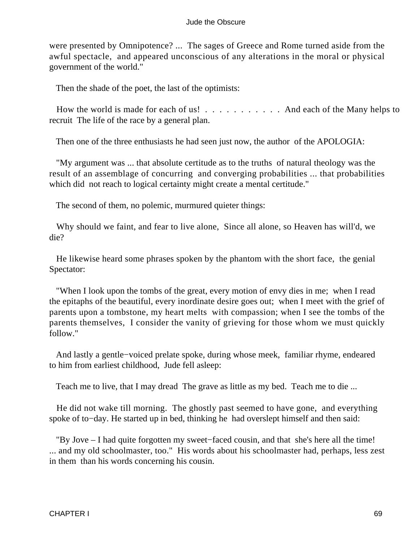were presented by Omnipotence? ... The sages of Greece and Rome turned aside from the awful spectacle, and appeared unconscious of any alterations in the moral or physical government of the world."

Then the shade of the poet, the last of the optimists:

How the world is made for each of us! . . . . . . . . . . And each of the Many helps to recruit The life of the race by a general plan.

Then one of the three enthusiasts he had seen just now, the author of the APOLOGIA:

 "My argument was ... that absolute certitude as to the truths of natural theology was the result of an assemblage of concurring and converging probabilities ... that probabilities which did not reach to logical certainty might create a mental certitude."

The second of them, no polemic, murmured quieter things:

 Why should we faint, and fear to live alone, Since all alone, so Heaven has will'd, we die?

 He likewise heard some phrases spoken by the phantom with the short face, the genial Spectator:

 "When I look upon the tombs of the great, every motion of envy dies in me; when I read the epitaphs of the beautiful, every inordinate desire goes out; when I meet with the grief of parents upon a tombstone, my heart melts with compassion; when I see the tombs of the parents themselves, I consider the vanity of grieving for those whom we must quickly follow."

 And lastly a gentle−voiced prelate spoke, during whose meek, familiar rhyme, endeared to him from earliest childhood, Jude fell asleep:

Teach me to live, that I may dread The grave as little as my bed. Teach me to die ...

 He did not wake till morning. The ghostly past seemed to have gone, and everything spoke of to−day. He started up in bed, thinking he had overslept himself and then said:

 "By Jove – I had quite forgotten my sweet−faced cousin, and that she's here all the time! ... and my old schoolmaster, too." His words about his schoolmaster had, perhaps, less zest in them than his words concerning his cousin.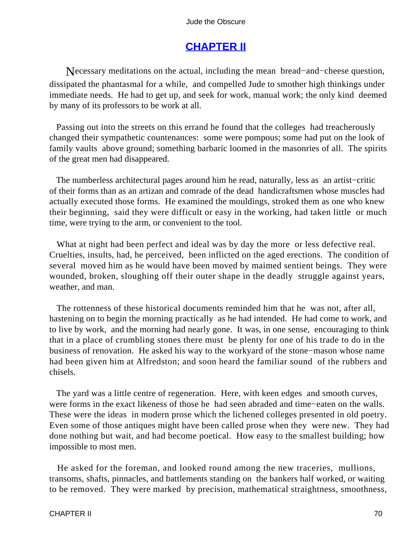# **[CHAPTER II](#page-367-0)**

Necessary meditations on the actual, including the mean bread−and−cheese question, dissipated the phantasmal for a while, and compelled Jude to smother high thinkings under immediate needs. He had to get up, and seek for work, manual work; the only kind deemed by many of its professors to be work at all.

 Passing out into the streets on this errand he found that the colleges had treacherously changed their sympathetic countenances: some were pompous; some had put on the look of family vaults above ground; something barbaric loomed in the masonries of all. The spirits of the great men had disappeared.

 The numberless architectural pages around him he read, naturally, less as an artist−critic of their forms than as an artizan and comrade of the dead handicraftsmen whose muscles had actually executed those forms. He examined the mouldings, stroked them as one who knew their beginning, said they were difficult or easy in the working, had taken little or much time, were trying to the arm, or convenient to the tool.

 What at night had been perfect and ideal was by day the more or less defective real. Cruelties, insults, had, he perceived, been inflicted on the aged erections. The condition of several moved him as he would have been moved by maimed sentient beings. They were wounded, broken, sloughing off their outer shape in the deadly struggle against years, weather, and man.

 The rottenness of these historical documents reminded him that he was not, after all, hastening on to begin the morning practically as he had intended. He had come to work, and to live by work, and the morning had nearly gone. It was, in one sense, encouraging to think that in a place of crumbling stones there must be plenty for one of his trade to do in the business of renovation. He asked his way to the workyard of the stone−mason whose name had been given him at Alfredston; and soon heard the familiar sound of the rubbers and chisels.

 The yard was a little centre of regeneration. Here, with keen edges and smooth curves, were forms in the exact likeness of those he had seen abraded and time−eaten on the walls. These were the ideas in modern prose which the lichened colleges presented in old poetry. Even some of those antiques might have been called prose when they were new. They had done nothing but wait, and had become poetical. How easy to the smallest building; how impossible to most men.

 He asked for the foreman, and looked round among the new traceries, mullions, transoms, shafts, pinnacles, and battlements standing on the bankers half worked, or waiting to be removed. They were marked by precision, mathematical straightness, smoothness,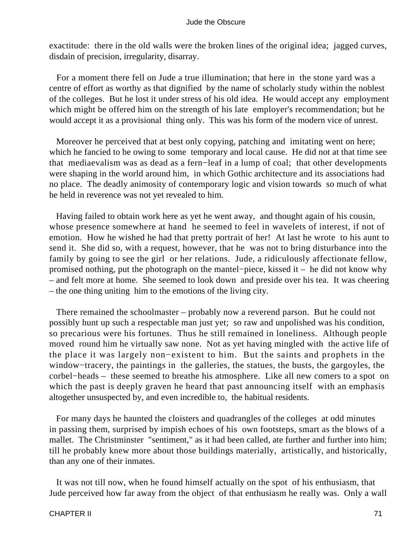exactitude: there in the old walls were the broken lines of the original idea; jagged curves, disdain of precision, irregularity, disarray.

 For a moment there fell on Jude a true illumination; that here in the stone yard was a centre of effort as worthy as that dignified by the name of scholarly study within the noblest of the colleges. But he lost it under stress of his old idea. He would accept any employment which might be offered him on the strength of his late employer's recommendation; but he would accept it as a provisional thing only. This was his form of the modern vice of unrest.

 Moreover he perceived that at best only copying, patching and imitating went on here; which he fancied to be owing to some temporary and local cause. He did not at that time see that mediaevalism was as dead as a fern−leaf in a lump of coal; that other developments were shaping in the world around him, in which Gothic architecture and its associations had no place. The deadly animosity of contemporary logic and vision towards so much of what he held in reverence was not yet revealed to him.

 Having failed to obtain work here as yet he went away, and thought again of his cousin, whose presence somewhere at hand he seemed to feel in wavelets of interest, if not of emotion. How he wished he had that pretty portrait of her! At last he wrote to his aunt to send it. She did so, with a request, however, that he was not to bring disturbance into the family by going to see the girl or her relations. Jude, a ridiculously affectionate fellow, promised nothing, put the photograph on the mantel−piece, kissed it – he did not know why – and felt more at home. She seemed to look down and preside over his tea. It was cheering – the one thing uniting him to the emotions of the living city.

 There remained the schoolmaster – probably now a reverend parson. But he could not possibly hunt up such a respectable man just yet; so raw and unpolished was his condition, so precarious were his fortunes. Thus he still remained in loneliness. Although people moved round him he virtually saw none. Not as yet having mingled with the active life of the place it was largely non−existent to him. But the saints and prophets in the window−tracery, the paintings in the galleries, the statues, the busts, the gargoyles, the corbel−heads – these seemed to breathe his atmosphere. Like all new comers to a spot on which the past is deeply graven he heard that past announcing itself with an emphasis altogether unsuspected by, and even incredible to, the habitual residents.

 For many days he haunted the cloisters and quadrangles of the colleges at odd minutes in passing them, surprised by impish echoes of his own footsteps, smart as the blows of a mallet. The Christminster "sentiment," as it had been called, ate further and further into him; till he probably knew more about those buildings materially, artistically, and historically, than any one of their inmates.

 It was not till now, when he found himself actually on the spot of his enthusiasm, that Jude perceived how far away from the object of that enthusiasm he really was. Only a wall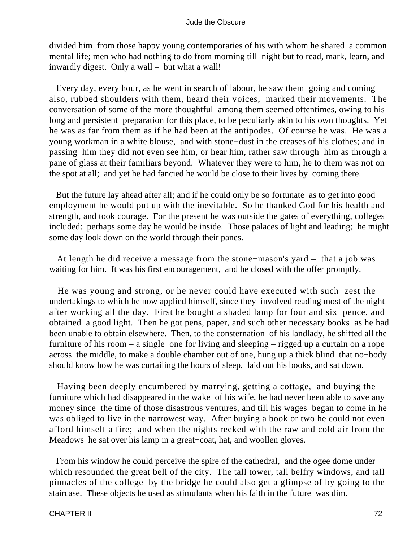divided him from those happy young contemporaries of his with whom he shared a common mental life; men who had nothing to do from morning till night but to read, mark, learn, and inwardly digest. Only a wall – but what a wall!

 Every day, every hour, as he went in search of labour, he saw them going and coming also, rubbed shoulders with them, heard their voices, marked their movements. The conversation of some of the more thoughtful among them seemed oftentimes, owing to his long and persistent preparation for this place, to be peculiarly akin to his own thoughts. Yet he was as far from them as if he had been at the antipodes. Of course he was. He was a young workman in a white blouse, and with stone−dust in the creases of his clothes; and in passing him they did not even see him, or hear him, rather saw through him as through a pane of glass at their familiars beyond. Whatever they were to him, he to them was not on the spot at all; and yet he had fancied he would be close to their lives by coming there.

 But the future lay ahead after all; and if he could only be so fortunate as to get into good employment he would put up with the inevitable. So he thanked God for his health and strength, and took courage. For the present he was outside the gates of everything, colleges included: perhaps some day he would be inside. Those palaces of light and leading; he might some day look down on the world through their panes.

 At length he did receive a message from the stone−mason's yard – that a job was waiting for him. It was his first encouragement, and he closed with the offer promptly.

 He was young and strong, or he never could have executed with such zest the undertakings to which he now applied himself, since they involved reading most of the night after working all the day. First he bought a shaded lamp for four and six−pence, and obtained a good light. Then he got pens, paper, and such other necessary books as he had been unable to obtain elsewhere. Then, to the consternation of his landlady, he shifted all the furniture of his room – a single one for living and sleeping – rigged up a curtain on a rope across the middle, to make a double chamber out of one, hung up a thick blind that no−body should know how he was curtailing the hours of sleep, laid out his books, and sat down.

 Having been deeply encumbered by marrying, getting a cottage, and buying the furniture which had disappeared in the wake of his wife, he had never been able to save any money since the time of those disastrous ventures, and till his wages began to come in he was obliged to live in the narrowest way. After buying a book or two he could not even afford himself a fire; and when the nights reeked with the raw and cold air from the Meadows he sat over his lamp in a great−coat, hat, and woollen gloves.

 From his window he could perceive the spire of the cathedral, and the ogee dome under which resounded the great bell of the city. The tall tower, tall belfry windows, and tall pinnacles of the college by the bridge he could also get a glimpse of by going to the staircase. These objects he used as stimulants when his faith in the future was dim.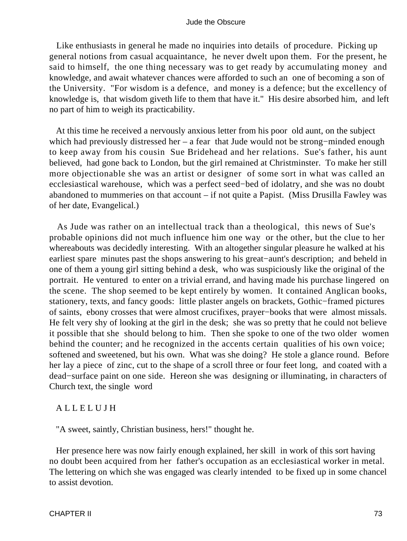Like enthusiasts in general he made no inquiries into details of procedure. Picking up general notions from casual acquaintance, he never dwelt upon them. For the present, he said to himself, the one thing necessary was to get ready by accumulating money and knowledge, and await whatever chances were afforded to such an one of becoming a son of the University. "For wisdom is a defence, and money is a defence; but the excellency of knowledge is, that wisdom giveth life to them that have it." His desire absorbed him, and left no part of him to weigh its practicability.

 At this time he received a nervously anxious letter from his poor old aunt, on the subject which had previously distressed her – a fear that Jude would not be strong−minded enough to keep away from his cousin Sue Bridehead and her relations. Sue's father, his aunt believed, had gone back to London, but the girl remained at Christminster. To make her still more objectionable she was an artist or designer of some sort in what was called an ecclesiastical warehouse, which was a perfect seed−bed of idolatry, and she was no doubt abandoned to mummeries on that account – if not quite a Papist. (Miss Drusilla Fawley was of her date, Evangelical.)

 As Jude was rather on an intellectual track than a theological, this news of Sue's probable opinions did not much influence him one way or the other, but the clue to her whereabouts was decidedly interesting. With an altogether singular pleasure he walked at his earliest spare minutes past the shops answering to his great−aunt's description; and beheld in one of them a young girl sitting behind a desk, who was suspiciously like the original of the portrait. He ventured to enter on a trivial errand, and having made his purchase lingered on the scene. The shop seemed to be kept entirely by women. It contained Anglican books, stationery, texts, and fancy goods: little plaster angels on brackets, Gothic−framed pictures of saints, ebony crosses that were almost crucifixes, prayer−books that were almost missals. He felt very shy of looking at the girl in the desk; she was so pretty that he could not believe it possible that she should belong to him. Then she spoke to one of the two older women behind the counter; and he recognized in the accents certain qualities of his own voice; softened and sweetened, but his own. What was she doing? He stole a glance round. Before her lay a piece of zinc, cut to the shape of a scroll three or four feet long, and coated with a dead−surface paint on one side. Hereon she was designing or illuminating, in characters of Church text, the single word

#### A L L E L U J H

"A sweet, saintly, Christian business, hers!" thought he.

 Her presence here was now fairly enough explained, her skill in work of this sort having no doubt been acquired from her father's occupation as an ecclesiastical worker in metal. The lettering on which she was engaged was clearly intended to be fixed up in some chancel to assist devotion.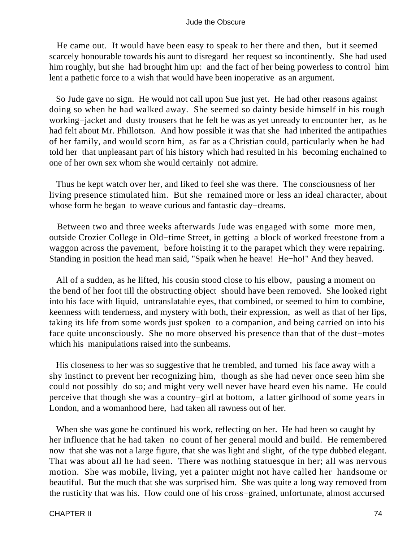He came out. It would have been easy to speak to her there and then, but it seemed scarcely honourable towards his aunt to disregard her request so incontinently. She had used him roughly, but she had brought him up: and the fact of her being powerless to control him lent a pathetic force to a wish that would have been inoperative as an argument.

 So Jude gave no sign. He would not call upon Sue just yet. He had other reasons against doing so when he had walked away. She seemed so dainty beside himself in his rough working−jacket and dusty trousers that he felt he was as yet unready to encounter her, as he had felt about Mr. Phillotson. And how possible it was that she had inherited the antipathies of her family, and would scorn him, as far as a Christian could, particularly when he had told her that unpleasant part of his history which had resulted in his becoming enchained to one of her own sex whom she would certainly not admire.

 Thus he kept watch over her, and liked to feel she was there. The consciousness of her living presence stimulated him. But she remained more or less an ideal character, about whose form he began to weave curious and fantastic day−dreams.

 Between two and three weeks afterwards Jude was engaged with some more men, outside Crozier College in Old−time Street, in getting a block of worked freestone from a waggon across the pavement, before hoisting it to the parapet which they were repairing. Standing in position the head man said, "Spaik when he heave! He−ho!" And they heaved.

 All of a sudden, as he lifted, his cousin stood close to his elbow, pausing a moment on the bend of her foot till the obstructing object should have been removed. She looked right into his face with liquid, untranslatable eyes, that combined, or seemed to him to combine, keenness with tenderness, and mystery with both, their expression, as well as that of her lips, taking its life from some words just spoken to a companion, and being carried on into his face quite unconsciously. She no more observed his presence than that of the dust−motes which his manipulations raised into the sunbeams.

 His closeness to her was so suggestive that he trembled, and turned his face away with a shy instinct to prevent her recognizing him, though as she had never once seen him she could not possibly do so; and might very well never have heard even his name. He could perceive that though she was a country−girl at bottom, a latter girlhood of some years in London, and a womanhood here, had taken all rawness out of her.

 When she was gone he continued his work, reflecting on her. He had been so caught by her influence that he had taken no count of her general mould and build. He remembered now that she was not a large figure, that she was light and slight, of the type dubbed elegant. That was about all he had seen. There was nothing statuesque in her; all was nervous motion. She was mobile, living, yet a painter might not have called her handsome or beautiful. But the much that she was surprised him. She was quite a long way removed from the rusticity that was his. How could one of his cross−grained, unfortunate, almost accursed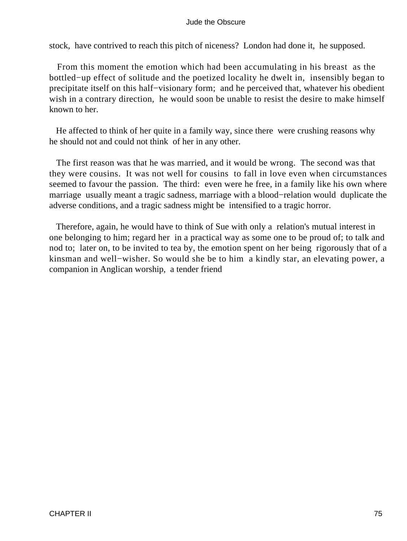stock, have contrived to reach this pitch of niceness? London had done it, he supposed.

 From this moment the emotion which had been accumulating in his breast as the bottled−up effect of solitude and the poetized locality he dwelt in, insensibly began to precipitate itself on this half−visionary form; and he perceived that, whatever his obedient wish in a contrary direction, he would soon be unable to resist the desire to make himself known to her.

 He affected to think of her quite in a family way, since there were crushing reasons why he should not and could not think of her in any other.

 The first reason was that he was married, and it would be wrong. The second was that they were cousins. It was not well for cousins to fall in love even when circumstances seemed to favour the passion. The third: even were he free, in a family like his own where marriage usually meant a tragic sadness, marriage with a blood−relation would duplicate the adverse conditions, and a tragic sadness might be intensified to a tragic horror.

 Therefore, again, he would have to think of Sue with only a relation's mutual interest in one belonging to him; regard her in a practical way as some one to be proud of; to talk and nod to; later on, to be invited to tea by, the emotion spent on her being rigorously that of a kinsman and well−wisher. So would she be to him a kindly star, an elevating power, a companion in Anglican worship, a tender friend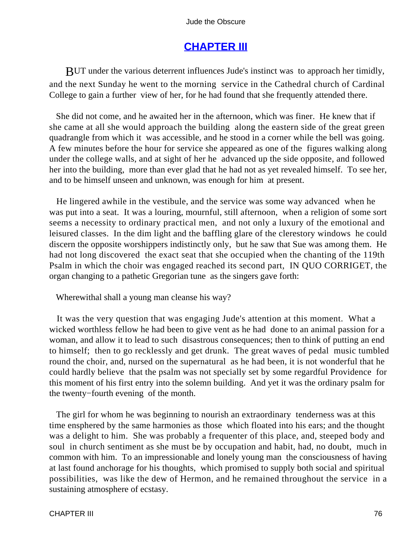# **[CHAPTER III](#page-367-0)**

BUT under the various deterrent influences Jude's instinct was to approach her timidly, and the next Sunday he went to the morning service in the Cathedral church of Cardinal College to gain a further view of her, for he had found that she frequently attended there.

 She did not come, and he awaited her in the afternoon, which was finer. He knew that if she came at all she would approach the building along the eastern side of the great green quadrangle from which it was accessible, and he stood in a corner while the bell was going. A few minutes before the hour for service she appeared as one of the figures walking along under the college walls, and at sight of her he advanced up the side opposite, and followed her into the building, more than ever glad that he had not as yet revealed himself. To see her, and to be himself unseen and unknown, was enough for him at present.

 He lingered awhile in the vestibule, and the service was some way advanced when he was put into a seat. It was a louring, mournful, still afternoon, when a religion of some sort seems a necessity to ordinary practical men, and not only a luxury of the emotional and leisured classes. In the dim light and the baffling glare of the clerestory windows he could discern the opposite worshippers indistinctly only, but he saw that Sue was among them. He had not long discovered the exact seat that she occupied when the chanting of the 119th Psalm in which the choir was engaged reached its second part, IN QUO CORRIGET, the organ changing to a pathetic Gregorian tune as the singers gave forth:

Wherewithal shall a young man cleanse his way?

 It was the very question that was engaging Jude's attention at this moment. What a wicked worthless fellow he had been to give vent as he had done to an animal passion for a woman, and allow it to lead to such disastrous consequences; then to think of putting an end to himself; then to go recklessly and get drunk. The great waves of pedal music tumbled round the choir, and, nursed on the supernatural as he had been, it is not wonderful that he could hardly believe that the psalm was not specially set by some regardful Providence for this moment of his first entry into the solemn building. And yet it was the ordinary psalm for the twenty−fourth evening of the month.

 The girl for whom he was beginning to nourish an extraordinary tenderness was at this time ensphered by the same harmonies as those which floated into his ears; and the thought was a delight to him. She was probably a frequenter of this place, and, steeped body and soul in church sentiment as she must be by occupation and habit, had, no doubt, much in common with him. To an impressionable and lonely young man the consciousness of having at last found anchorage for his thoughts, which promised to supply both social and spiritual possibilities, was like the dew of Hermon, and he remained throughout the service in a sustaining atmosphere of ecstasy.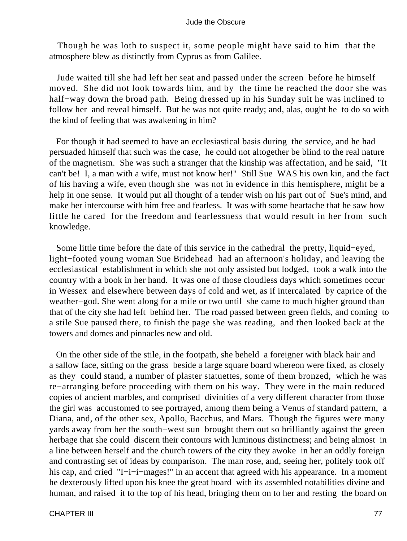Though he was loth to suspect it, some people might have said to him that the atmosphere blew as distinctly from Cyprus as from Galilee.

 Jude waited till she had left her seat and passed under the screen before he himself moved. She did not look towards him, and by the time he reached the door she was half−way down the broad path. Being dressed up in his Sunday suit he was inclined to follow her and reveal himself. But he was not quite ready; and, alas, ought he to do so with the kind of feeling that was awakening in him?

 For though it had seemed to have an ecclesiastical basis during the service, and he had persuaded himself that such was the case, he could not altogether be blind to the real nature of the magnetism. She was such a stranger that the kinship was affectation, and he said, "It can't be! I, a man with a wife, must not know her!" Still Sue WAS his own kin, and the fact of his having a wife, even though she was not in evidence in this hemisphere, might be a help in one sense. It would put all thought of a tender wish on his part out of Sue's mind, and make her intercourse with him free and fearless. It was with some heartache that he saw how little he cared for the freedom and fearlessness that would result in her from such knowledge.

 Some little time before the date of this service in the cathedral the pretty, liquid−eyed, light−footed young woman Sue Bridehead had an afternoon's holiday, and leaving the ecclesiastical establishment in which she not only assisted but lodged, took a walk into the country with a book in her hand. It was one of those cloudless days which sometimes occur in Wessex and elsewhere between days of cold and wet, as if intercalated by caprice of the weather−god. She went along for a mile or two until she came to much higher ground than that of the city she had left behind her. The road passed between green fields, and coming to a stile Sue paused there, to finish the page she was reading, and then looked back at the towers and domes and pinnacles new and old.

 On the other side of the stile, in the footpath, she beheld a foreigner with black hair and a sallow face, sitting on the grass beside a large square board whereon were fixed, as closely as they could stand, a number of plaster statuettes, some of them bronzed, which he was re−arranging before proceeding with them on his way. They were in the main reduced copies of ancient marbles, and comprised divinities of a very different character from those the girl was accustomed to see portrayed, among them being a Venus of standard pattern, a Diana, and, of the other sex, Apollo, Bacchus, and Mars. Though the figures were many yards away from her the south−west sun brought them out so brilliantly against the green herbage that she could discern their contours with luminous distinctness; and being almost in a line between herself and the church towers of the city they awoke in her an oddly foreign and contrasting set of ideas by comparison. The man rose, and, seeing her, politely took off his cap, and cried "I−i−i−mages!" in an accent that agreed with his appearance. In a moment he dexterously lifted upon his knee the great board with its assembled notabilities divine and human, and raised it to the top of his head, bringing them on to her and resting the board on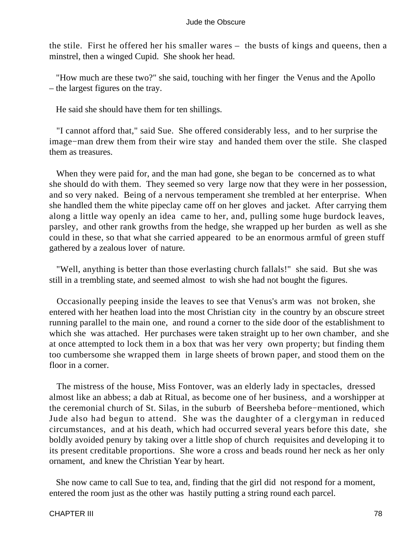the stile. First he offered her his smaller wares – the busts of kings and queens, then a minstrel, then a winged Cupid. She shook her head.

 "How much are these two?" she said, touching with her finger the Venus and the Apollo – the largest figures on the tray.

He said she should have them for ten shillings.

 "I cannot afford that," said Sue. She offered considerably less, and to her surprise the image−man drew them from their wire stay and handed them over the stile. She clasped them as treasures.

 When they were paid for, and the man had gone, she began to be concerned as to what she should do with them. They seemed so very large now that they were in her possession, and so very naked. Being of a nervous temperament she trembled at her enterprise. When she handled them the white pipeclay came off on her gloves and jacket. After carrying them along a little way openly an idea came to her, and, pulling some huge burdock leaves, parsley, and other rank growths from the hedge, she wrapped up her burden as well as she could in these, so that what she carried appeared to be an enormous armful of green stuff gathered by a zealous lover of nature.

 "Well, anything is better than those everlasting church fallals!" she said. But she was still in a trembling state, and seemed almost to wish she had not bought the figures.

 Occasionally peeping inside the leaves to see that Venus's arm was not broken, she entered with her heathen load into the most Christian city in the country by an obscure street running parallel to the main one, and round a corner to the side door of the establishment to which she was attached. Her purchases were taken straight up to her own chamber, and she at once attempted to lock them in a box that was her very own property; but finding them too cumbersome she wrapped them in large sheets of brown paper, and stood them on the floor in a corner.

 The mistress of the house, Miss Fontover, was an elderly lady in spectacles, dressed almost like an abbess; a dab at Ritual, as become one of her business, and a worshipper at the ceremonial church of St. Silas, in the suburb of Beersheba before−mentioned, which Jude also had begun to attend. She was the daughter of a clergyman in reduced circumstances, and at his death, which had occurred several years before this date, she boldly avoided penury by taking over a little shop of church requisites and developing it to its present creditable proportions. She wore a cross and beads round her neck as her only ornament, and knew the Christian Year by heart.

 She now came to call Sue to tea, and, finding that the girl did not respond for a moment, entered the room just as the other was hastily putting a string round each parcel.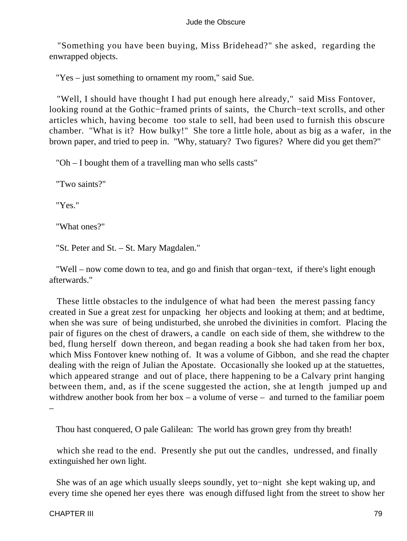"Something you have been buying, Miss Bridehead?" she asked, regarding the enwrapped objects.

"Yes – just something to ornament my room," said Sue.

 "Well, I should have thought I had put enough here already," said Miss Fontover, looking round at the Gothic−framed prints of saints, the Church−text scrolls, and other articles which, having become too stale to sell, had been used to furnish this obscure chamber. "What is it? How bulky!" She tore a little hole, about as big as a wafer, in the brown paper, and tried to peep in. "Why, statuary? Two figures? Where did you get them?"

"Oh – I bought them of a travelling man who sells casts"

"Two saints?"

"Yes."

"What ones?"

"St. Peter and St. – St. Mary Magdalen."

 "Well – now come down to tea, and go and finish that organ−text, if there's light enough afterwards."

 These little obstacles to the indulgence of what had been the merest passing fancy created in Sue a great zest for unpacking her objects and looking at them; and at bedtime, when she was sure of being undisturbed, she unrobed the divinities in comfort. Placing the pair of figures on the chest of drawers, a candle on each side of them, she withdrew to the bed, flung herself down thereon, and began reading a book she had taken from her box, which Miss Fontover knew nothing of. It was a volume of Gibbon, and she read the chapter dealing with the reign of Julian the Apostate. Occasionally she looked up at the statuettes, which appeared strange and out of place, there happening to be a Calvary print hanging between them, and, as if the scene suggested the action, she at length jumped up and withdrew another book from her box – a volume of verse – and turned to the familiar poem –

Thou hast conquered, O pale Galilean: The world has grown grey from thy breath!

 which she read to the end. Presently she put out the candles, undressed, and finally extinguished her own light.

 She was of an age which usually sleeps soundly, yet to−night she kept waking up, and every time she opened her eyes there was enough diffused light from the street to show her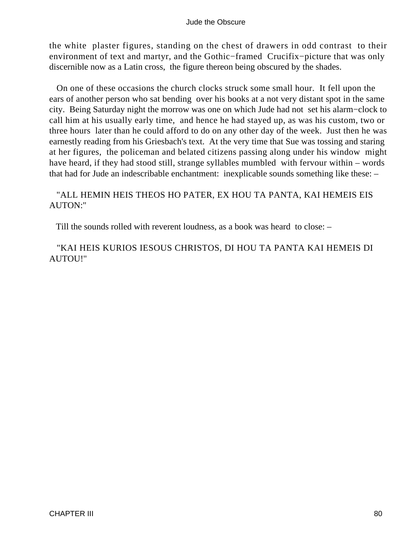the white plaster figures, standing on the chest of drawers in odd contrast to their environment of text and martyr, and the Gothic−framed Crucifix−picture that was only discernible now as a Latin cross, the figure thereon being obscured by the shades.

 On one of these occasions the church clocks struck some small hour. It fell upon the ears of another person who sat bending over his books at a not very distant spot in the same city. Being Saturday night the morrow was one on which Jude had not set his alarm−clock to call him at his usually early time, and hence he had stayed up, as was his custom, two or three hours later than he could afford to do on any other day of the week. Just then he was earnestly reading from his Griesbach's text. At the very time that Sue was tossing and staring at her figures, the policeman and belated citizens passing along under his window might have heard, if they had stood still, strange syllables mumbled with fervour within – words that had for Jude an indescribable enchantment: inexplicable sounds something like these: –

### "ALL HEMIN HEIS THEOS HO PATER, EX HOU TA PANTA, KAI HEMEIS EIS AUTON:"

Till the sounds rolled with reverent loudness, as a book was heard to close: –

 "KAI HEIS KURIOS IESOUS CHRISTOS, DI HOU TA PANTA KAI HEMEIS DI AUTOU!"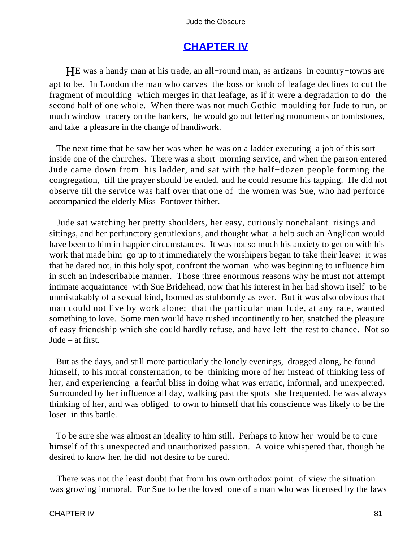## **[CHAPTER IV](#page-367-0)**

HE was a handy man at his trade, an all−round man, as artizans in country−towns are apt to be. In London the man who carves the boss or knob of leafage declines to cut the fragment of moulding which merges in that leafage, as if it were a degradation to do the second half of one whole. When there was not much Gothic moulding for Jude to run, or much window−tracery on the bankers, he would go out lettering monuments or tombstones, and take a pleasure in the change of handiwork.

 The next time that he saw her was when he was on a ladder executing a job of this sort inside one of the churches. There was a short morning service, and when the parson entered Jude came down from his ladder, and sat with the half−dozen people forming the congregation, till the prayer should be ended, and he could resume his tapping. He did not observe till the service was half over that one of the women was Sue, who had perforce accompanied the elderly Miss Fontover thither.

 Jude sat watching her pretty shoulders, her easy, curiously nonchalant risings and sittings, and her perfunctory genuflexions, and thought what a help such an Anglican would have been to him in happier circumstances. It was not so much his anxiety to get on with his work that made him go up to it immediately the worshipers began to take their leave: it was that he dared not, in this holy spot, confront the woman who was beginning to influence him in such an indescribable manner. Those three enormous reasons why he must not attempt intimate acquaintance with Sue Bridehead, now that his interest in her had shown itself to be unmistakably of a sexual kind, loomed as stubbornly as ever. But it was also obvious that man could not live by work alone; that the particular man Jude, at any rate, wanted something to love. Some men would have rushed incontinently to her, snatched the pleasure of easy friendship which she could hardly refuse, and have left the rest to chance. Not so Jude – at first.

 But as the days, and still more particularly the lonely evenings, dragged along, he found himself, to his moral consternation, to be thinking more of her instead of thinking less of her, and experiencing a fearful bliss in doing what was erratic, informal, and unexpected. Surrounded by her influence all day, walking past the spots she frequented, he was always thinking of her, and was obliged to own to himself that his conscience was likely to be the loser in this battle.

 To be sure she was almost an ideality to him still. Perhaps to know her would be to cure himself of this unexpected and unauthorized passion. A voice whispered that, though he desired to know her, he did not desire to be cured.

 There was not the least doubt that from his own orthodox point of view the situation was growing immoral. For Sue to be the loved one of a man who was licensed by the laws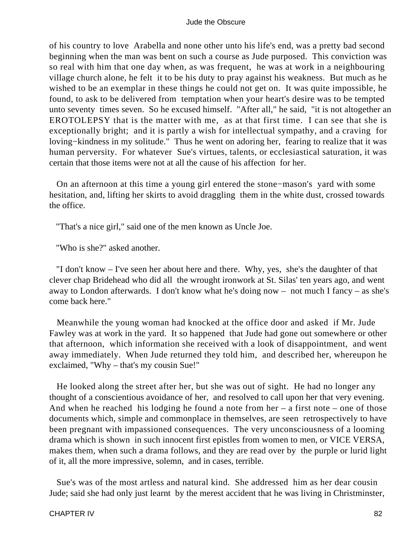of his country to love Arabella and none other unto his life's end, was a pretty bad second beginning when the man was bent on such a course as Jude purposed. This conviction was so real with him that one day when, as was frequent, he was at work in a neighbouring village church alone, he felt it to be his duty to pray against his weakness. But much as he wished to be an exemplar in these things he could not get on. It was quite impossible, he found, to ask to be delivered from temptation when your heart's desire was to be tempted unto seventy times seven. So he excused himself. "After all," he said, "it is not altogether an EROTOLEPSY that is the matter with me, as at that first time. I can see that she is exceptionally bright; and it is partly a wish for intellectual sympathy, and a craving for loving−kindness in my solitude." Thus he went on adoring her, fearing to realize that it was human perversity. For whatever Sue's virtues, talents, or ecclesiastical saturation, it was certain that those items were not at all the cause of his affection for her.

 On an afternoon at this time a young girl entered the stone−mason's yard with some hesitation, and, lifting her skirts to avoid draggling them in the white dust, crossed towards the office.

"That's a nice girl," said one of the men known as Uncle Joe.

"Who is she?" asked another.

 "I don't know – I've seen her about here and there. Why, yes, she's the daughter of that clever chap Bridehead who did all the wrought ironwork at St. Silas' ten years ago, and went away to London afterwards. I don't know what he's doing now – not much I fancy – as she's come back here."

 Meanwhile the young woman had knocked at the office door and asked if Mr. Jude Fawley was at work in the yard. It so happened that Jude had gone out somewhere or other that afternoon, which information she received with a look of disappointment, and went away immediately. When Jude returned they told him, and described her, whereupon he exclaimed, "Why – that's my cousin Sue!"

 He looked along the street after her, but she was out of sight. He had no longer any thought of a conscientious avoidance of her, and resolved to call upon her that very evening. And when he reached his lodging he found a note from her  $-$  a first note  $-$  one of those documents which, simple and commonplace in themselves, are seen retrospectively to have been pregnant with impassioned consequences. The very unconsciousness of a looming drama which is shown in such innocent first epistles from women to men, or VICE VERSA, makes them, when such a drama follows, and they are read over by the purple or lurid light of it, all the more impressive, solemn, and in cases, terrible.

 Sue's was of the most artless and natural kind. She addressed him as her dear cousin Jude; said she had only just learnt by the merest accident that he was living in Christminster,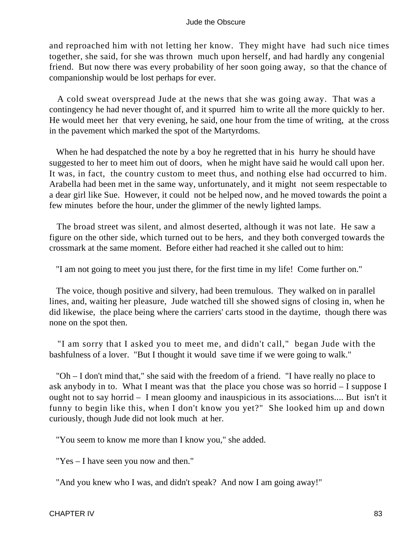and reproached him with not letting her know. They might have had such nice times together, she said, for she was thrown much upon herself, and had hardly any congenial friend. But now there was every probability of her soon going away, so that the chance of companionship would be lost perhaps for ever.

 A cold sweat overspread Jude at the news that she was going away. That was a contingency he had never thought of, and it spurred him to write all the more quickly to her. He would meet her that very evening, he said, one hour from the time of writing, at the cross in the pavement which marked the spot of the Martyrdoms.

When he had despatched the note by a boy he regretted that in his hurry he should have suggested to her to meet him out of doors, when he might have said he would call upon her. It was, in fact, the country custom to meet thus, and nothing else had occurred to him. Arabella had been met in the same way, unfortunately, and it might not seem respectable to a dear girl like Sue. However, it could not be helped now, and he moved towards the point a few minutes before the hour, under the glimmer of the newly lighted lamps.

 The broad street was silent, and almost deserted, although it was not late. He saw a figure on the other side, which turned out to be hers, and they both converged towards the crossmark at the same moment. Before either had reached it she called out to him:

"I am not going to meet you just there, for the first time in my life! Come further on."

 The voice, though positive and silvery, had been tremulous. They walked on in parallel lines, and, waiting her pleasure, Jude watched till she showed signs of closing in, when he did likewise, the place being where the carriers' carts stood in the daytime, though there was none on the spot then.

 "I am sorry that I asked you to meet me, and didn't call," began Jude with the bashfulness of a lover. "But I thought it would save time if we were going to walk."

 "Oh – I don't mind that," she said with the freedom of a friend. "I have really no place to ask anybody in to. What I meant was that the place you chose was so horrid – I suppose I ought not to say horrid – I mean gloomy and inauspicious in its associations.... But isn't it funny to begin like this, when I don't know you yet?" She looked him up and down curiously, though Jude did not look much at her.

"You seem to know me more than I know you," she added.

"Yes – I have seen you now and then."

"And you knew who I was, and didn't speak? And now I am going away!"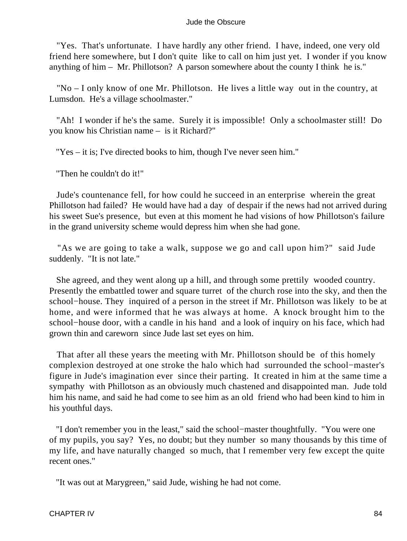"Yes. That's unfortunate. I have hardly any other friend. I have, indeed, one very old friend here somewhere, but I don't quite like to call on him just yet. I wonder if you know anything of him – Mr. Phillotson? A parson somewhere about the county I think he is."

 "No – I only know of one Mr. Phillotson. He lives a little way out in the country, at Lumsdon. He's a village schoolmaster."

 "Ah! I wonder if he's the same. Surely it is impossible! Only a schoolmaster still! Do you know his Christian name – is it Richard?"

"Yes – it is; I've directed books to him, though I've never seen him."

"Then he couldn't do it!"

 Jude's countenance fell, for how could he succeed in an enterprise wherein the great Phillotson had failed? He would have had a day of despair if the news had not arrived during his sweet Sue's presence, but even at this moment he had visions of how Phillotson's failure in the grand university scheme would depress him when she had gone.

 "As we are going to take a walk, suppose we go and call upon him?" said Jude suddenly. "It is not late."

 She agreed, and they went along up a hill, and through some prettily wooded country. Presently the embattled tower and square turret of the church rose into the sky, and then the school−house. They inquired of a person in the street if Mr. Phillotson was likely to be at home, and were informed that he was always at home. A knock brought him to the school−house door, with a candle in his hand and a look of inquiry on his face, which had grown thin and careworn since Jude last set eyes on him.

 That after all these years the meeting with Mr. Phillotson should be of this homely complexion destroyed at one stroke the halo which had surrounded the school−master's figure in Jude's imagination ever since their parting. It created in him at the same time a sympathy with Phillotson as an obviously much chastened and disappointed man. Jude told him his name, and said he had come to see him as an old friend who had been kind to him in his youthful days.

 "I don't remember you in the least," said the school−master thoughtfully. "You were one of my pupils, you say? Yes, no doubt; but they number so many thousands by this time of my life, and have naturally changed so much, that I remember very few except the quite recent ones."

"It was out at Marygreen," said Jude, wishing he had not come.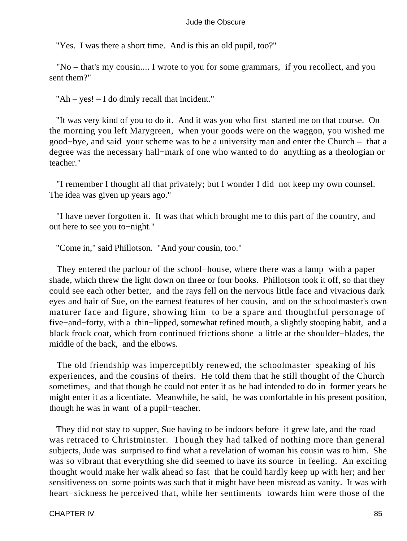"Yes. I was there a short time. And is this an old pupil, too?"

 "No – that's my cousin.... I wrote to you for some grammars, if you recollect, and you sent them?"

"Ah – yes! – I do dimly recall that incident."

 "It was very kind of you to do it. And it was you who first started me on that course. On the morning you left Marygreen, when your goods were on the waggon, you wished me good−bye, and said your scheme was to be a university man and enter the Church – that a degree was the necessary hall−mark of one who wanted to do anything as a theologian or teacher."

 "I remember I thought all that privately; but I wonder I did not keep my own counsel. The idea was given up years ago."

 "I have never forgotten it. It was that which brought me to this part of the country, and out here to see you to−night."

"Come in," said Phillotson. "And your cousin, too."

 They entered the parlour of the school−house, where there was a lamp with a paper shade, which threw the light down on three or four books. Phillotson took it off, so that they could see each other better, and the rays fell on the nervous little face and vivacious dark eyes and hair of Sue, on the earnest features of her cousin, and on the schoolmaster's own maturer face and figure, showing him to be a spare and thoughtful personage of five−and−forty, with a thin−lipped, somewhat refined mouth, a slightly stooping habit, and a black frock coat, which from continued frictions shone a little at the shoulder−blades, the middle of the back, and the elbows.

 The old friendship was imperceptibly renewed, the schoolmaster speaking of his experiences, and the cousins of theirs. He told them that he still thought of the Church sometimes, and that though he could not enter it as he had intended to do in former years he might enter it as a licentiate. Meanwhile, he said, he was comfortable in his present position, though he was in want of a pupil−teacher.

 They did not stay to supper, Sue having to be indoors before it grew late, and the road was retraced to Christminster. Though they had talked of nothing more than general subjects, Jude was surprised to find what a revelation of woman his cousin was to him. She was so vibrant that everything she did seemed to have its source in feeling. An exciting thought would make her walk ahead so fast that he could hardly keep up with her; and her sensitiveness on some points was such that it might have been misread as vanity. It was with heart−sickness he perceived that, while her sentiments towards him were those of the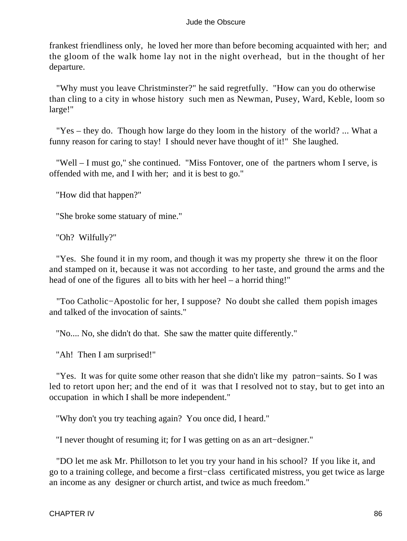frankest friendliness only, he loved her more than before becoming acquainted with her; and the gloom of the walk home lay not in the night overhead, but in the thought of her departure.

 "Why must you leave Christminster?" he said regretfully. "How can you do otherwise than cling to a city in whose history such men as Newman, Pusey, Ward, Keble, loom so large!"

 "Yes – they do. Though how large do they loom in the history of the world? ... What a funny reason for caring to stay! I should never have thought of it!" She laughed.

 "Well – I must go," she continued. "Miss Fontover, one of the partners whom I serve, is offended with me, and I with her; and it is best to go."

"How did that happen?"

"She broke some statuary of mine."

"Oh? Wilfully?"

 "Yes. She found it in my room, and though it was my property she threw it on the floor and stamped on it, because it was not according to her taste, and ground the arms and the head of one of the figures all to bits with her heel – a horrid thing!"

 "Too Catholic−Apostolic for her, I suppose? No doubt she called them popish images and talked of the invocation of saints."

"No.... No, she didn't do that. She saw the matter quite differently."

"Ah! Then I am surprised!"

 "Yes. It was for quite some other reason that she didn't like my patron−saints. So I was led to retort upon her; and the end of it was that I resolved not to stay, but to get into an occupation in which I shall be more independent."

"Why don't you try teaching again? You once did, I heard."

"I never thought of resuming it; for I was getting on as an art−designer."

 "DO let me ask Mr. Phillotson to let you try your hand in his school? If you like it, and go to a training college, and become a first−class certificated mistress, you get twice as large an income as any designer or church artist, and twice as much freedom."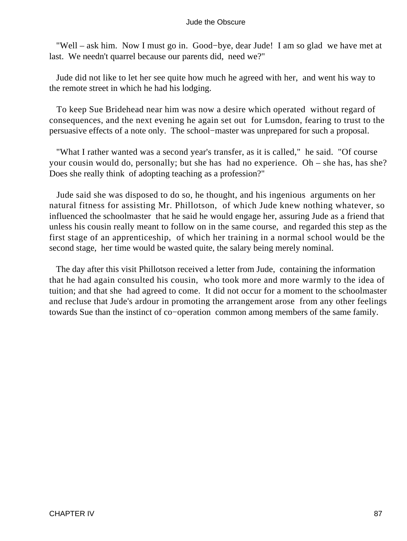"Well – ask him. Now I must go in. Good−bye, dear Jude! I am so glad we have met at last. We needn't quarrel because our parents did, need we?"

 Jude did not like to let her see quite how much he agreed with her, and went his way to the remote street in which he had his lodging.

 To keep Sue Bridehead near him was now a desire which operated without regard of consequences, and the next evening he again set out for Lumsdon, fearing to trust to the persuasive effects of a note only. The school−master was unprepared for such a proposal.

 "What I rather wanted was a second year's transfer, as it is called," he said. "Of course your cousin would do, personally; but she has had no experience. Oh – she has, has she? Does she really think of adopting teaching as a profession?"

 Jude said she was disposed to do so, he thought, and his ingenious arguments on her natural fitness for assisting Mr. Phillotson, of which Jude knew nothing whatever, so influenced the schoolmaster that he said he would engage her, assuring Jude as a friend that unless his cousin really meant to follow on in the same course, and regarded this step as the first stage of an apprenticeship, of which her training in a normal school would be the second stage, her time would be wasted quite, the salary being merely nominal.

 The day after this visit Phillotson received a letter from Jude, containing the information that he had again consulted his cousin, who took more and more warmly to the idea of tuition; and that she had agreed to come. It did not occur for a moment to the schoolmaster and recluse that Jude's ardour in promoting the arrangement arose from any other feelings towards Sue than the instinct of co−operation common among members of the same family.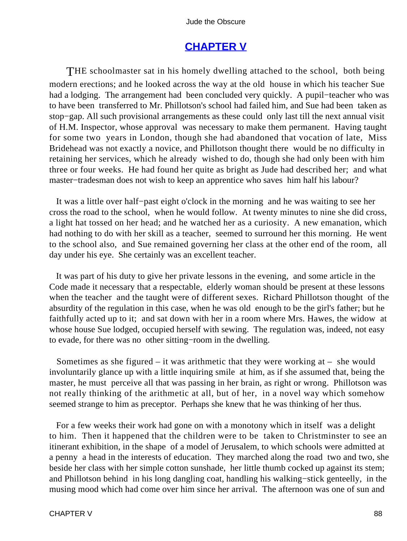## **[CHAPTER V](#page-367-0)**

THE schoolmaster sat in his homely dwelling attached to the school, both being modern erections; and he looked across the way at the old house in which his teacher Sue had a lodging. The arrangement had been concluded very quickly. A pupil−teacher who was to have been transferred to Mr. Phillotson's school had failed him, and Sue had been taken as stop−gap. All such provisional arrangements as these could only last till the next annual visit of H.M. Inspector, whose approval was necessary to make them permanent. Having taught for some two years in London, though she had abandoned that vocation of late, Miss Bridehead was not exactly a novice, and Phillotson thought there would be no difficulty in retaining her services, which he already wished to do, though she had only been with him three or four weeks. He had found her quite as bright as Jude had described her; and what master−tradesman does not wish to keep an apprentice who saves him half his labour?

 It was a little over half−past eight o'clock in the morning and he was waiting to see her cross the road to the school, when he would follow. At twenty minutes to nine she did cross, a light hat tossed on her head; and he watched her as a curiosity. A new emanation, which had nothing to do with her skill as a teacher, seemed to surround her this morning. He went to the school also, and Sue remained governing her class at the other end of the room, all day under his eye. She certainly was an excellent teacher.

 It was part of his duty to give her private lessons in the evening, and some article in the Code made it necessary that a respectable, elderly woman should be present at these lessons when the teacher and the taught were of different sexes. Richard Phillotson thought of the absurdity of the regulation in this case, when he was old enough to be the girl's father; but he faithfully acted up to it; and sat down with her in a room where Mrs. Hawes, the widow at whose house Sue lodged, occupied herself with sewing. The regulation was, indeed, not easy to evade, for there was no other sitting−room in the dwelling.

Sometimes as she figured – it was arithmetic that they were working  $at - sh$ e would involuntarily glance up with a little inquiring smile at him, as if she assumed that, being the master, he must perceive all that was passing in her brain, as right or wrong. Phillotson was not really thinking of the arithmetic at all, but of her, in a novel way which somehow seemed strange to him as preceptor. Perhaps she knew that he was thinking of her thus.

 For a few weeks their work had gone on with a monotony which in itself was a delight to him. Then it happened that the children were to be taken to Christminster to see an itinerant exhibition, in the shape of a model of Jerusalem, to which schools were admitted at a penny a head in the interests of education. They marched along the road two and two, she beside her class with her simple cotton sunshade, her little thumb cocked up against its stem; and Phillotson behind in his long dangling coat, handling his walking−stick genteelly, in the musing mood which had come over him since her arrival. The afternoon was one of sun and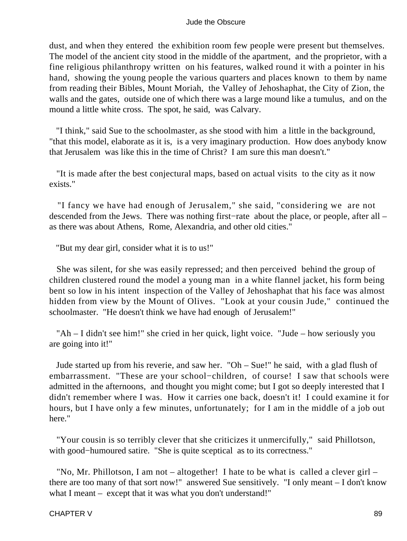dust, and when they entered the exhibition room few people were present but themselves. The model of the ancient city stood in the middle of the apartment, and the proprietor, with a fine religious philanthropy written on his features, walked round it with a pointer in his hand, showing the young people the various quarters and places known to them by name from reading their Bibles, Mount Moriah, the Valley of Jehoshaphat, the City of Zion, the walls and the gates, outside one of which there was a large mound like a tumulus, and on the mound a little white cross. The spot, he said, was Calvary.

 "I think," said Sue to the schoolmaster, as she stood with him a little in the background, "that this model, elaborate as it is, is a very imaginary production. How does anybody know that Jerusalem was like this in the time of Christ? I am sure this man doesn't."

 "It is made after the best conjectural maps, based on actual visits to the city as it now exists."

 "I fancy we have had enough of Jerusalem," she said, "considering we are not descended from the Jews. There was nothing first−rate about the place, or people, after all – as there was about Athens, Rome, Alexandria, and other old cities."

"But my dear girl, consider what it is to us!"

 She was silent, for she was easily repressed; and then perceived behind the group of children clustered round the model a young man in a white flannel jacket, his form being bent so low in his intent inspection of the Valley of Jehoshaphat that his face was almost hidden from view by the Mount of Olives. "Look at your cousin Jude," continued the schoolmaster. "He doesn't think we have had enough of Jerusalem!"

 "Ah – I didn't see him!" she cried in her quick, light voice. "Jude – how seriously you are going into it!"

 Jude started up from his reverie, and saw her. "Oh – Sue!" he said, with a glad flush of embarrassment. "These are your school−children, of course! I saw that schools were admitted in the afternoons, and thought you might come; but I got so deeply interested that I didn't remember where I was. How it carries one back, doesn't it! I could examine it for hours, but I have only a few minutes, unfortunately; for I am in the middle of a job out here."

 "Your cousin is so terribly clever that she criticizes it unmercifully," said Phillotson, with good−humoured satire. "She is quite sceptical as to its correctness."

"No, Mr. Phillotson, I am not – altogether! I hate to be what is called a clever girl – there are too many of that sort now!" answered Sue sensitively. "I only meant – I don't know what I meant – except that it was what you don't understand!"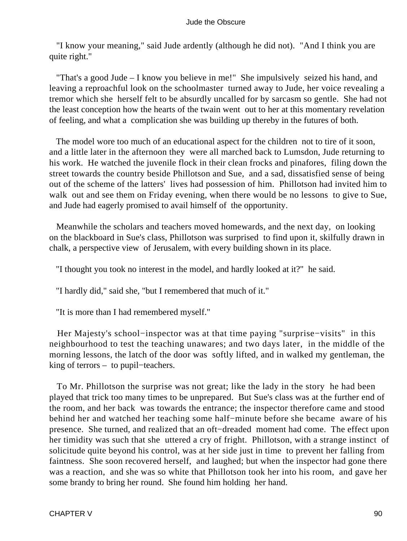"I know your meaning," said Jude ardently (although he did not). "And I think you are quite right."

 "That's a good Jude – I know you believe in me!" She impulsively seized his hand, and leaving a reproachful look on the schoolmaster turned away to Jude, her voice revealing a tremor which she herself felt to be absurdly uncalled for by sarcasm so gentle. She had not the least conception how the hearts of the twain went out to her at this momentary revelation of feeling, and what a complication she was building up thereby in the futures of both.

 The model wore too much of an educational aspect for the children not to tire of it soon, and a little later in the afternoon they were all marched back to Lumsdon, Jude returning to his work. He watched the juvenile flock in their clean frocks and pinafores, filing down the street towards the country beside Phillotson and Sue, and a sad, dissatisfied sense of being out of the scheme of the latters' lives had possession of him. Phillotson had invited him to walk out and see them on Friday evening, when there would be no lessons to give to Sue, and Jude had eagerly promised to avail himself of the opportunity.

 Meanwhile the scholars and teachers moved homewards, and the next day, on looking on the blackboard in Sue's class, Phillotson was surprised to find upon it, skilfully drawn in chalk, a perspective view of Jerusalem, with every building shown in its place.

"I thought you took no interest in the model, and hardly looked at it?" he said.

"I hardly did," said she, "but I remembered that much of it."

"It is more than I had remembered myself."

 Her Majesty's school−inspector was at that time paying "surprise−visits" in this neighbourhood to test the teaching unawares; and two days later, in the middle of the morning lessons, the latch of the door was softly lifted, and in walked my gentleman, the king of terrors – to pupil−teachers.

 To Mr. Phillotson the surprise was not great; like the lady in the story he had been played that trick too many times to be unprepared. But Sue's class was at the further end of the room, and her back was towards the entrance; the inspector therefore came and stood behind her and watched her teaching some half−minute before she became aware of his presence. She turned, and realized that an oft−dreaded moment had come. The effect upon her timidity was such that she uttered a cry of fright. Phillotson, with a strange instinct of solicitude quite beyond his control, was at her side just in time to prevent her falling from faintness. She soon recovered herself, and laughed; but when the inspector had gone there was a reaction, and she was so white that Phillotson took her into his room, and gave her some brandy to bring her round. She found him holding her hand.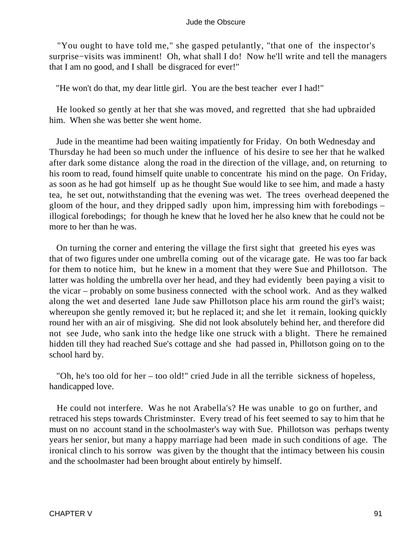"You ought to have told me," she gasped petulantly, "that one of the inspector's surprise−visits was imminent! Oh, what shall I do! Now he'll write and tell the managers that I am no good, and I shall be disgraced for ever!"

"He won't do that, my dear little girl. You are the best teacher ever I had!"

 He looked so gently at her that she was moved, and regretted that she had upbraided him. When she was better she went home.

 Jude in the meantime had been waiting impatiently for Friday. On both Wednesday and Thursday he had been so much under the influence of his desire to see her that he walked after dark some distance along the road in the direction of the village, and, on returning to his room to read, found himself quite unable to concentrate his mind on the page. On Friday, as soon as he had got himself up as he thought Sue would like to see him, and made a hasty tea, he set out, notwithstanding that the evening was wet. The trees overhead deepened the gloom of the hour, and they dripped sadly upon him, impressing him with forebodings – illogical forebodings; for though he knew that he loved her he also knew that he could not be more to her than he was.

 On turning the corner and entering the village the first sight that greeted his eyes was that of two figures under one umbrella coming out of the vicarage gate. He was too far back for them to notice him, but he knew in a moment that they were Sue and Phillotson. The latter was holding the umbrella over her head, and they had evidently been paying a visit to the vicar – probably on some business connected with the school work. And as they walked along the wet and deserted lane Jude saw Phillotson place his arm round the girl's waist; whereupon she gently removed it; but he replaced it; and she let it remain, looking quickly round her with an air of misgiving. She did not look absolutely behind her, and therefore did not see Jude, who sank into the hedge like one struck with a blight. There he remained hidden till they had reached Sue's cottage and she had passed in, Phillotson going on to the school hard by.

 "Oh, he's too old for her – too old!" cried Jude in all the terrible sickness of hopeless, handicapped love.

 He could not interfere. Was he not Arabella's? He was unable to go on further, and retraced his steps towards Christminster. Every tread of his feet seemed to say to him that he must on no account stand in the schoolmaster's way with Sue. Phillotson was perhaps twenty years her senior, but many a happy marriage had been made in such conditions of age. The ironical clinch to his sorrow was given by the thought that the intimacy between his cousin and the schoolmaster had been brought about entirely by himself.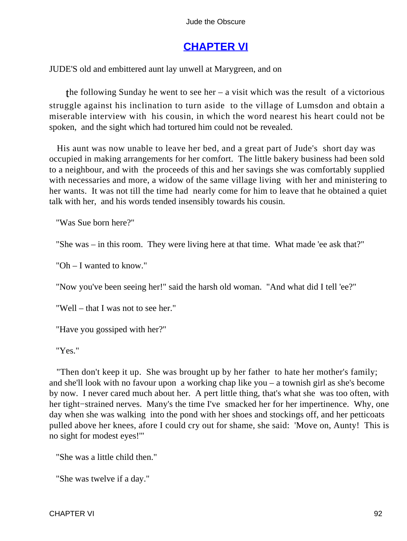# **[CHAPTER VI](#page-367-0)**

JUDE'S old and embittered aunt lay unwell at Marygreen, and on

the following Sunday he went to see her – a visit which was the result of a victorious struggle against his inclination to turn aside to the village of Lumsdon and obtain a miserable interview with his cousin, in which the word nearest his heart could not be spoken, and the sight which had tortured him could not be revealed.

 His aunt was now unable to leave her bed, and a great part of Jude's short day was occupied in making arrangements for her comfort. The little bakery business had been sold to a neighbour, and with the proceeds of this and her savings she was comfortably supplied with necessaries and more, a widow of the same village living with her and ministering to her wants. It was not till the time had nearly come for him to leave that he obtained a quiet talk with her, and his words tended insensibly towards his cousin.

"Was Sue born here?"

"She was – in this room. They were living here at that time. What made 'ee ask that?"

"Oh – I wanted to know."

"Now you've been seeing her!" said the harsh old woman. "And what did I tell 'ee?"

"Well – that I was not to see her."

"Have you gossiped with her?"

"Yes."

 "Then don't keep it up. She was brought up by her father to hate her mother's family; and she'll look with no favour upon a working chap like you – a townish girl as she's become by now. I never cared much about her. A pert little thing, that's what she was too often, with her tight−strained nerves. Many's the time I've smacked her for her impertinence. Why, one day when she was walking into the pond with her shoes and stockings off, and her petticoats pulled above her knees, afore I could cry out for shame, she said: 'Move on, Aunty! This is no sight for modest eyes!'"

"She was a little child then."

"She was twelve if a day."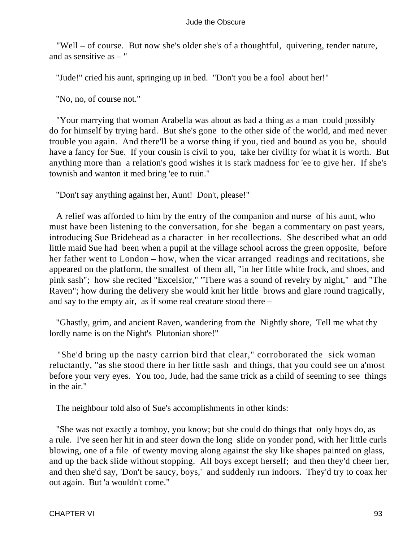"Well – of course. But now she's older she's of a thoughtful, quivering, tender nature, and as sensitive as – "

"Jude!" cried his aunt, springing up in bed. "Don't you be a fool about her!"

"No, no, of course not."

 "Your marrying that woman Arabella was about as bad a thing as a man could possibly do for himself by trying hard. But she's gone to the other side of the world, and med never trouble you again. And there'll be a worse thing if you, tied and bound as you be, should have a fancy for Sue. If your cousin is civil to you, take her civility for what it is worth. But anything more than a relation's good wishes it is stark madness for 'ee to give her. If she's townish and wanton it med bring 'ee to ruin."

"Don't say anything against her, Aunt! Don't, please!"

 A relief was afforded to him by the entry of the companion and nurse of his aunt, who must have been listening to the conversation, for she began a commentary on past years, introducing Sue Bridehead as a character in her recollections. She described what an odd little maid Sue had been when a pupil at the village school across the green opposite, before her father went to London – how, when the vicar arranged readings and recitations, she appeared on the platform, the smallest of them all, "in her little white frock, and shoes, and pink sash"; how she recited "Excelsior," "There was a sound of revelry by night," and "The Raven"; how during the delivery she would knit her little brows and glare round tragically, and say to the empty air, as if some real creature stood there –

 "Ghastly, grim, and ancient Raven, wandering from the Nightly shore, Tell me what thy lordly name is on the Night's Plutonian shore!"

 "She'd bring up the nasty carrion bird that clear," corroborated the sick woman reluctantly, "as she stood there in her little sash and things, that you could see un a'most before your very eyes. You too, Jude, had the same trick as a child of seeming to see things in the air."

The neighbour told also of Sue's accomplishments in other kinds:

 "She was not exactly a tomboy, you know; but she could do things that only boys do, as a rule. I've seen her hit in and steer down the long slide on yonder pond, with her little curls blowing, one of a file of twenty moving along against the sky like shapes painted on glass, and up the back slide without stopping. All boys except herself; and then they'd cheer her, and then she'd say, 'Don't be saucy, boys,' and suddenly run indoors. They'd try to coax her out again. But 'a wouldn't come."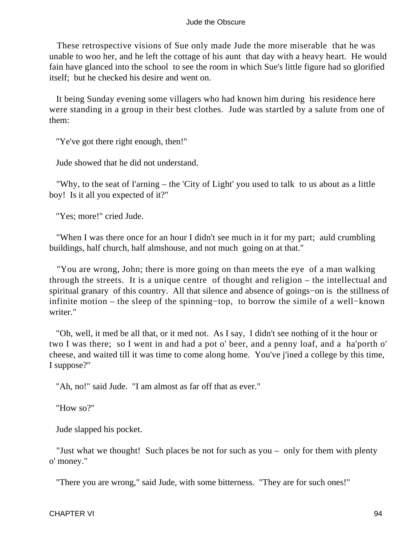These retrospective visions of Sue only made Jude the more miserable that he was unable to woo her, and he left the cottage of his aunt that day with a heavy heart. He would fain have glanced into the school to see the room in which Sue's little figure had so glorified itself; but he checked his desire and went on.

 It being Sunday evening some villagers who had known him during his residence here were standing in a group in their best clothes. Jude was startled by a salute from one of them:

"Ye've got there right enough, then!"

Jude showed that he did not understand.

 "Why, to the seat of l'arning – the 'City of Light' you used to talk to us about as a little boy! Is it all you expected of it?"

"Yes; more!" cried Jude.

 "When I was there once for an hour I didn't see much in it for my part; auld crumbling buildings, half church, half almshouse, and not much going on at that."

 "You are wrong, John; there is more going on than meets the eye of a man walking through the streets. It is a unique centre of thought and religion – the intellectual and spiritual granary of this country. All that silence and absence of goings−on is the stillness of infinite motion – the sleep of the spinning−top, to borrow the simile of a well−known writer."

 "Oh, well, it med be all that, or it med not. As I say, I didn't see nothing of it the hour or two I was there; so I went in and had a pot o' beer, and a penny loaf, and a ha'porth o' cheese, and waited till it was time to come along home. You've j'ined a college by this time, I suppose?"

"Ah, no!" said Jude. "I am almost as far off that as ever."

"How so?"

Jude slapped his pocket.

 "Just what we thought! Such places be not for such as you – only for them with plenty o' money."

"There you are wrong," said Jude, with some bitterness. "They are for such ones!"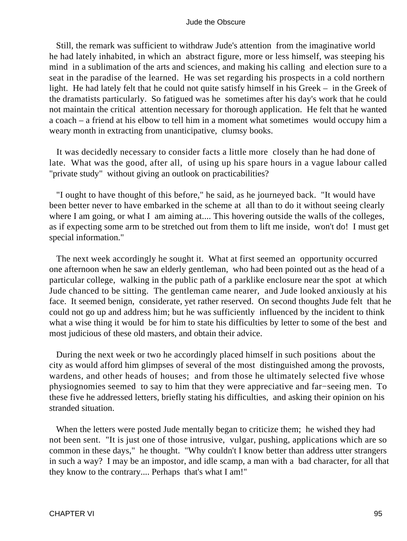Still, the remark was sufficient to withdraw Jude's attention from the imaginative world he had lately inhabited, in which an abstract figure, more or less himself, was steeping his mind in a sublimation of the arts and sciences, and making his calling and election sure to a seat in the paradise of the learned. He was set regarding his prospects in a cold northern light. He had lately felt that he could not quite satisfy himself in his Greek – in the Greek of the dramatists particularly. So fatigued was he sometimes after his day's work that he could not maintain the critical attention necessary for thorough application. He felt that he wanted a coach – a friend at his elbow to tell him in a moment what sometimes would occupy him a weary month in extracting from unanticipative, clumsy books.

 It was decidedly necessary to consider facts a little more closely than he had done of late. What was the good, after all, of using up his spare hours in a vague labour called "private study" without giving an outlook on practicabilities?

 "I ought to have thought of this before," he said, as he journeyed back. "It would have been better never to have embarked in the scheme at all than to do it without seeing clearly where I am going, or what I am aiming at.... This hovering outside the walls of the colleges, as if expecting some arm to be stretched out from them to lift me inside, won't do! I must get special information."

 The next week accordingly he sought it. What at first seemed an opportunity occurred one afternoon when he saw an elderly gentleman, who had been pointed out as the head of a particular college, walking in the public path of a parklike enclosure near the spot at which Jude chanced to be sitting. The gentleman came nearer, and Jude looked anxiously at his face. It seemed benign, considerate, yet rather reserved. On second thoughts Jude felt that he could not go up and address him; but he was sufficiently influenced by the incident to think what a wise thing it would be for him to state his difficulties by letter to some of the best and most judicious of these old masters, and obtain their advice.

 During the next week or two he accordingly placed himself in such positions about the city as would afford him glimpses of several of the most distinguished among the provosts, wardens, and other heads of houses; and from those he ultimately selected five whose physiognomies seemed to say to him that they were appreciative and far−seeing men. To these five he addressed letters, briefly stating his difficulties, and asking their opinion on his stranded situation.

 When the letters were posted Jude mentally began to criticize them; he wished they had not been sent. "It is just one of those intrusive, vulgar, pushing, applications which are so common in these days," he thought. "Why couldn't I know better than address utter strangers in such a way? I may be an impostor, and idle scamp, a man with a bad character, for all that they know to the contrary.... Perhaps that's what I am!"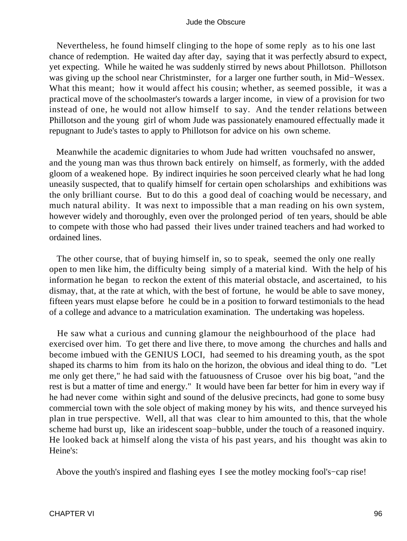Nevertheless, he found himself clinging to the hope of some reply as to his one last chance of redemption. He waited day after day, saying that it was perfectly absurd to expect, yet expecting. While he waited he was suddenly stirred by news about Phillotson. Phillotson was giving up the school near Christminster, for a larger one further south, in Mid−Wessex. What this meant; how it would affect his cousin; whether, as seemed possible, it was a practical move of the schoolmaster's towards a larger income, in view of a provision for two instead of one, he would not allow himself to say. And the tender relations between Phillotson and the young girl of whom Jude was passionately enamoured effectually made it repugnant to Jude's tastes to apply to Phillotson for advice on his own scheme.

 Meanwhile the academic dignitaries to whom Jude had written vouchsafed no answer, and the young man was thus thrown back entirely on himself, as formerly, with the added gloom of a weakened hope. By indirect inquiries he soon perceived clearly what he had long uneasily suspected, that to qualify himself for certain open scholarships and exhibitions was the only brilliant course. But to do this a good deal of coaching would be necessary, and much natural ability. It was next to impossible that a man reading on his own system, however widely and thoroughly, even over the prolonged period of ten years, should be able to compete with those who had passed their lives under trained teachers and had worked to ordained lines.

 The other course, that of buying himself in, so to speak, seemed the only one really open to men like him, the difficulty being simply of a material kind. With the help of his information he began to reckon the extent of this material obstacle, and ascertained, to his dismay, that, at the rate at which, with the best of fortune, he would be able to save money, fifteen years must elapse before he could be in a position to forward testimonials to the head of a college and advance to a matriculation examination. The undertaking was hopeless.

 He saw what a curious and cunning glamour the neighbourhood of the place had exercised over him. To get there and live there, to move among the churches and halls and become imbued with the GENIUS LOCI, had seemed to his dreaming youth, as the spot shaped its charms to him from its halo on the horizon, the obvious and ideal thing to do. "Let me only get there," he had said with the fatuousness of Crusoe over his big boat, "and the rest is but a matter of time and energy." It would have been far better for him in every way if he had never come within sight and sound of the delusive precincts, had gone to some busy commercial town with the sole object of making money by his wits, and thence surveyed his plan in true perspective. Well, all that was clear to him amounted to this, that the whole scheme had burst up, like an iridescent soap−bubble, under the touch of a reasoned inquiry. He looked back at himself along the vista of his past years, and his thought was akin to Heine's:

Above the youth's inspired and flashing eyes I see the motley mocking fool's−cap rise!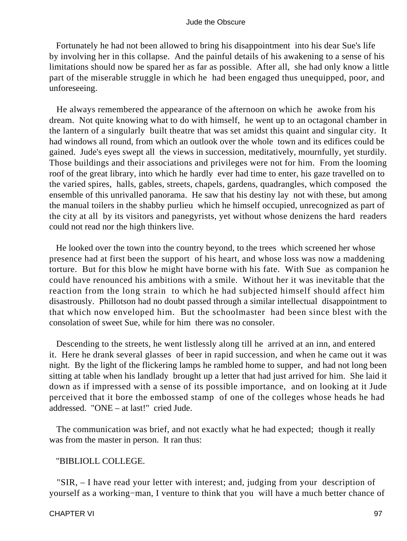Fortunately he had not been allowed to bring his disappointment into his dear Sue's life by involving her in this collapse. And the painful details of his awakening to a sense of his limitations should now be spared her as far as possible. After all, she had only know a little part of the miserable struggle in which he had been engaged thus unequipped, poor, and unforeseeing.

 He always remembered the appearance of the afternoon on which he awoke from his dream. Not quite knowing what to do with himself, he went up to an octagonal chamber in the lantern of a singularly built theatre that was set amidst this quaint and singular city. It had windows all round, from which an outlook over the whole town and its edifices could be gained. Jude's eyes swept all the views in succession, meditatively, mournfully, yet sturdily. Those buildings and their associations and privileges were not for him. From the looming roof of the great library, into which he hardly ever had time to enter, his gaze travelled on to the varied spires, halls, gables, streets, chapels, gardens, quadrangles, which composed the ensemble of this unrivalled panorama. He saw that his destiny lay not with these, but among the manual toilers in the shabby purlieu which he himself occupied, unrecognized as part of the city at all by its visitors and panegyrists, yet without whose denizens the hard readers could not read nor the high thinkers live.

 He looked over the town into the country beyond, to the trees which screened her whose presence had at first been the support of his heart, and whose loss was now a maddening torture. But for this blow he might have borne with his fate. With Sue as companion he could have renounced his ambitions with a smile. Without her it was inevitable that the reaction from the long strain to which he had subjected himself should affect him disastrously. Phillotson had no doubt passed through a similar intellectual disappointment to that which now enveloped him. But the schoolmaster had been since blest with the consolation of sweet Sue, while for him there was no consoler.

 Descending to the streets, he went listlessly along till he arrived at an inn, and entered it. Here he drank several glasses of beer in rapid succession, and when he came out it was night. By the light of the flickering lamps he rambled home to supper, and had not long been sitting at table when his landlady brought up a letter that had just arrived for him. She laid it down as if impressed with a sense of its possible importance, and on looking at it Jude perceived that it bore the embossed stamp of one of the colleges whose heads he had addressed. "ONE – at last!" cried Jude.

 The communication was brief, and not exactly what he had expected; though it really was from the master in person. It ran thus:

#### "BIBLIOLL COLLEGE.

 "SIR, – I have read your letter with interest; and, judging from your description of yourself as a working−man, I venture to think that you will have a much better chance of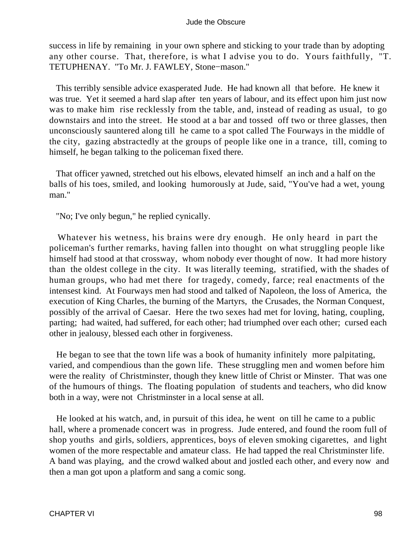success in life by remaining in your own sphere and sticking to your trade than by adopting any other course. That, therefore, is what I advise you to do. Yours faithfully, "T. TETUPHENAY. "To Mr. J. FAWLEY, Stone−mason."

 This terribly sensible advice exasperated Jude. He had known all that before. He knew it was true. Yet it seemed a hard slap after ten years of labour, and its effect upon him just now was to make him rise recklessly from the table, and, instead of reading as usual, to go downstairs and into the street. He stood at a bar and tossed off two or three glasses, then unconsciously sauntered along till he came to a spot called The Fourways in the middle of the city, gazing abstractedly at the groups of people like one in a trance, till, coming to himself, he began talking to the policeman fixed there.

 That officer yawned, stretched out his elbows, elevated himself an inch and a half on the balls of his toes, smiled, and looking humorously at Jude, said, "You've had a wet, young man."

"No; I've only begun," he replied cynically.

 Whatever his wetness, his brains were dry enough. He only heard in part the policeman's further remarks, having fallen into thought on what struggling people like himself had stood at that crossway, whom nobody ever thought of now. It had more history than the oldest college in the city. It was literally teeming, stratified, with the shades of human groups, who had met there for tragedy, comedy, farce; real enactments of the intensest kind. At Fourways men had stood and talked of Napoleon, the loss of America, the execution of King Charles, the burning of the Martyrs, the Crusades, the Norman Conquest, possibly of the arrival of Caesar. Here the two sexes had met for loving, hating, coupling, parting; had waited, had suffered, for each other; had triumphed over each other; cursed each other in jealousy, blessed each other in forgiveness.

 He began to see that the town life was a book of humanity infinitely more palpitating, varied, and compendious than the gown life. These struggling men and women before him were the reality of Christminster, though they knew little of Christ or Minster. That was one of the humours of things. The floating population of students and teachers, who did know both in a way, were not Christminster in a local sense at all.

 He looked at his watch, and, in pursuit of this idea, he went on till he came to a public hall, where a promenade concert was in progress. Jude entered, and found the room full of shop youths and girls, soldiers, apprentices, boys of eleven smoking cigarettes, and light women of the more respectable and amateur class. He had tapped the real Christminster life. A band was playing, and the crowd walked about and jostled each other, and every now and then a man got upon a platform and sang a comic song.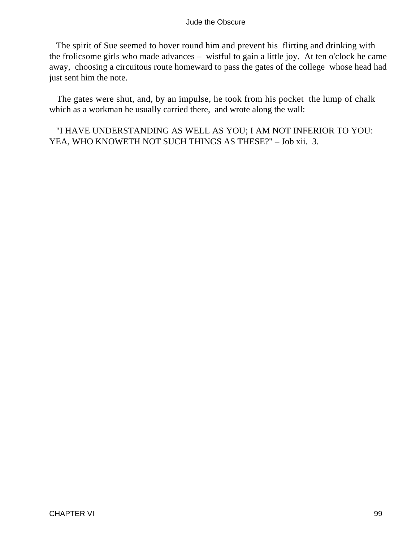The spirit of Sue seemed to hover round him and prevent his flirting and drinking with the frolicsome girls who made advances – wistful to gain a little joy. At ten o'clock he came away, choosing a circuitous route homeward to pass the gates of the college whose head had just sent him the note.

 The gates were shut, and, by an impulse, he took from his pocket the lump of chalk which as a workman he usually carried there, and wrote along the wall:

 "I HAVE UNDERSTANDING AS WELL AS YOU; I AM NOT INFERIOR TO YOU: YEA, WHO KNOWETH NOT SUCH THINGS AS THESE?" – Job xii. 3.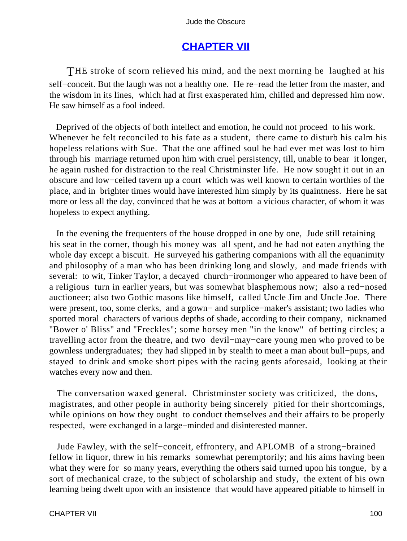# **[CHAPTER VII](#page-367-0)**

THE stroke of scorn relieved his mind, and the next morning he laughed at his self−conceit. But the laugh was not a healthy one. He re−read the letter from the master, and the wisdom in its lines, which had at first exasperated him, chilled and depressed him now. He saw himself as a fool indeed.

 Deprived of the objects of both intellect and emotion, he could not proceed to his work. Whenever he felt reconciled to his fate as a student, there came to disturb his calm his hopeless relations with Sue. That the one affined soul he had ever met was lost to him through his marriage returned upon him with cruel persistency, till, unable to bear it longer, he again rushed for distraction to the real Christminster life. He now sought it out in an obscure and low−ceiled tavern up a court which was well known to certain worthies of the place, and in brighter times would have interested him simply by its quaintness. Here he sat more or less all the day, convinced that he was at bottom a vicious character, of whom it was hopeless to expect anything.

 In the evening the frequenters of the house dropped in one by one, Jude still retaining his seat in the corner, though his money was all spent, and he had not eaten anything the whole day except a biscuit. He surveyed his gathering companions with all the equanimity and philosophy of a man who has been drinking long and slowly, and made friends with several: to wit, Tinker Taylor, a decayed church−ironmonger who appeared to have been of a religious turn in earlier years, but was somewhat blasphemous now; also a red−nosed auctioneer; also two Gothic masons like himself, called Uncle Jim and Uncle Joe. There were present, too, some clerks, and a gown− and surplice−maker's assistant; two ladies who sported moral characters of various depths of shade, according to their company, nicknamed "Bower o' Bliss" and "Freckles"; some horsey men "in the know" of betting circles; a travelling actor from the theatre, and two devil−may−care young men who proved to be gownless undergraduates; they had slipped in by stealth to meet a man about bull−pups, and stayed to drink and smoke short pipes with the racing gents aforesaid, looking at their watches every now and then.

 The conversation waxed general. Christminster society was criticized, the dons, magistrates, and other people in authority being sincerely pitied for their shortcomings, while opinions on how they ought to conduct themselves and their affairs to be properly respected, were exchanged in a large−minded and disinterested manner.

 Jude Fawley, with the self−conceit, effrontery, and APLOMB of a strong−brained fellow in liquor, threw in his remarks somewhat peremptorily; and his aims having been what they were for so many years, everything the others said turned upon his tongue, by a sort of mechanical craze, to the subject of scholarship and study, the extent of his own learning being dwelt upon with an insistence that would have appeared pitiable to himself in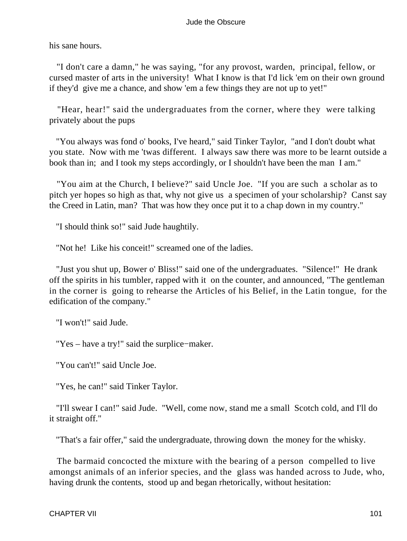his sane hours.

 "I don't care a damn," he was saying, "for any provost, warden, principal, fellow, or cursed master of arts in the university! What I know is that I'd lick 'em on their own ground if they'd give me a chance, and show 'em a few things they are not up to yet!"

 "Hear, hear!" said the undergraduates from the corner, where they were talking privately about the pups

 "You always was fond o' books, I've heard," said Tinker Taylor, "and I don't doubt what you state. Now with me 'twas different. I always saw there was more to be learnt outside a book than in; and I took my steps accordingly, or I shouldn't have been the man I am."

 "You aim at the Church, I believe?" said Uncle Joe. "If you are such a scholar as to pitch yer hopes so high as that, why not give us a specimen of your scholarship? Canst say the Creed in Latin, man? That was how they once put it to a chap down in my country."

"I should think so!" said Jude haughtily.

"Not he! Like his conceit!" screamed one of the ladies.

 "Just you shut up, Bower o' Bliss!" said one of the undergraduates. "Silence!" He drank off the spirits in his tumbler, rapped with it on the counter, and announced, "The gentleman in the corner is going to rehearse the Articles of his Belief, in the Latin tongue, for the edification of the company."

"I won't!" said Jude.

"Yes – have a try!" said the surplice−maker.

"You can't!" said Uncle Joe.

"Yes, he can!" said Tinker Taylor.

 "I'll swear I can!" said Jude. "Well, come now, stand me a small Scotch cold, and I'll do it straight off."

"That's a fair offer," said the undergraduate, throwing down the money for the whisky.

 The barmaid concocted the mixture with the bearing of a person compelled to live amongst animals of an inferior species, and the glass was handed across to Jude, who, having drunk the contents, stood up and began rhetorically, without hesitation: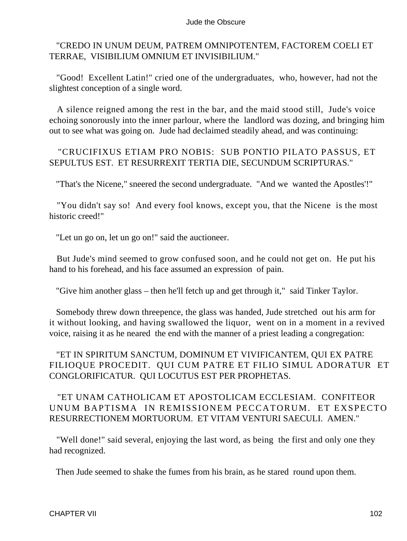### "CREDO IN UNUM DEUM, PATREM OMNIPOTENTEM, FACTOREM COELI ET TERRAE, VISIBILIUM OMNIUM ET INVISIBILIUM."

 "Good! Excellent Latin!" cried one of the undergraduates, who, however, had not the slightest conception of a single word.

 A silence reigned among the rest in the bar, and the maid stood still, Jude's voice echoing sonorously into the inner parlour, where the landlord was dozing, and bringing him out to see what was going on. Jude had declaimed steadily ahead, and was continuing:

### "CRUCIFIXUS ETIAM PRO NOBIS: SUB PONTIO PILATO PASSUS, ET SEPULTUS EST. ET RESURREXIT TERTIA DIE, SECUNDUM SCRIPTURAS."

"That's the Nicene," sneered the second undergraduate. "And we wanted the Apostles'!"

 "You didn't say so! And every fool knows, except you, that the Nicene is the most historic creed!"

"Let un go on, let un go on!" said the auctioneer.

 But Jude's mind seemed to grow confused soon, and he could not get on. He put his hand to his forehead, and his face assumed an expression of pain.

"Give him another glass – then he'll fetch up and get through it," said Tinker Taylor.

 Somebody threw down threepence, the glass was handed, Jude stretched out his arm for it without looking, and having swallowed the liquor, went on in a moment in a revived voice, raising it as he neared the end with the manner of a priest leading a congregation:

## "ET IN SPIRITUM SANCTUM, DOMINUM ET VIVIFICANTEM, QUI EX PATRE FILIOQUE PROCEDIT. QUI CUM PATRE ET FILIO SIMUL ADORATUR ET CONGLORIFICATUR. QUI LOCUTUS EST PER PROPHETAS.

## "ET UNAM CATHOLICAM ET APOSTOLICAM ECCLESIAM. CONFITEOR UNUM BAPTISMA IN REMISSIONEM PECCATORUM. ET EXSPECTO RESURRECTIONEM MORTUORUM. ET VITAM VENTURI SAECULI. AMEN."

 "Well done!" said several, enjoying the last word, as being the first and only one they had recognized.

Then Jude seemed to shake the fumes from his brain, as he stared round upon them.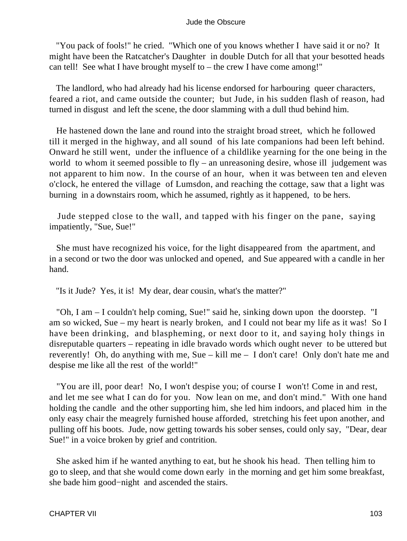"You pack of fools!" he cried. "Which one of you knows whether I have said it or no? It might have been the Ratcatcher's Daughter in double Dutch for all that your besotted heads can tell! See what I have brought myself to – the crew I have come among!"

 The landlord, who had already had his license endorsed for harbouring queer characters, feared a riot, and came outside the counter; but Jude, in his sudden flash of reason, had turned in disgust and left the scene, the door slamming with a dull thud behind him.

 He hastened down the lane and round into the straight broad street, which he followed till it merged in the highway, and all sound of his late companions had been left behind. Onward he still went, under the influence of a childlike yearning for the one being in the world to whom it seemed possible to  $fly - an$  unreasoning desire, whose ill judgement was not apparent to him now. In the course of an hour, when it was between ten and eleven o'clock, he entered the village of Lumsdon, and reaching the cottage, saw that a light was burning in a downstairs room, which he assumed, rightly as it happened, to be hers.

 Jude stepped close to the wall, and tapped with his finger on the pane, saying impatiently, "Sue, Sue!"

 She must have recognized his voice, for the light disappeared from the apartment, and in a second or two the door was unlocked and opened, and Sue appeared with a candle in her hand.

"Is it Jude? Yes, it is! My dear, dear cousin, what's the matter?"

 "Oh, I am – I couldn't help coming, Sue!" said he, sinking down upon the doorstep. "I am so wicked, Sue – my heart is nearly broken, and I could not bear my life as it was! So I have been drinking, and blaspheming, or next door to it, and saying holy things in disreputable quarters – repeating in idle bravado words which ought never to be uttered but reverently! Oh, do anything with me, Sue – kill me – I don't care! Only don't hate me and despise me like all the rest of the world!"

 "You are ill, poor dear! No, I won't despise you; of course I won't! Come in and rest, and let me see what I can do for you. Now lean on me, and don't mind." With one hand holding the candle and the other supporting him, she led him indoors, and placed him in the only easy chair the meagrely furnished house afforded, stretching his feet upon another, and pulling off his boots. Jude, now getting towards his sober senses, could only say, "Dear, dear Sue!" in a voice broken by grief and contrition.

 She asked him if he wanted anything to eat, but he shook his head. Then telling him to go to sleep, and that she would come down early in the morning and get him some breakfast, she bade him good−night and ascended the stairs.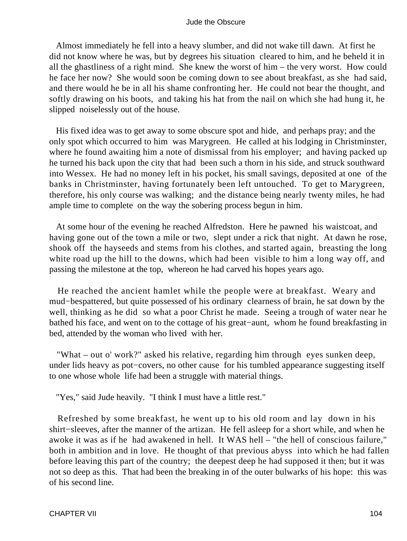Almost immediately he fell into a heavy slumber, and did not wake till dawn. At first he did not know where he was, but by degrees his situation cleared to him, and he beheld it in all the ghastliness of a right mind. She knew the worst of him – the very worst. How could he face her now? She would soon be coming down to see about breakfast, as she had said, and there would he be in all his shame confronting her. He could not bear the thought, and softly drawing on his boots, and taking his hat from the nail on which she had hung it, he slipped noiselessly out of the house.

 His fixed idea was to get away to some obscure spot and hide, and perhaps pray; and the only spot which occurred to him was Marygreen. He called at his lodging in Christminster, where he found awaiting him a note of dismissal from his employer; and having packed up he turned his back upon the city that had been such a thorn in his side, and struck southward into Wessex. He had no money left in his pocket, his small savings, deposited at one of the banks in Christminster, having fortunately been left untouched. To get to Marygreen, therefore, his only course was walking; and the distance being nearly twenty miles, he had ample time to complete on the way the sobering process begun in him.

 At some hour of the evening he reached Alfredston. Here he pawned his waistcoat, and having gone out of the town a mile or two, slept under a rick that night. At dawn he rose, shook off the hayseeds and stems from his clothes, and started again, breasting the long white road up the hill to the downs, which had been visible to him a long way off, and passing the milestone at the top, whereon he had carved his hopes years ago.

 He reached the ancient hamlet while the people were at breakfast. Weary and mud−bespattered, but quite possessed of his ordinary clearness of brain, he sat down by the well, thinking as he did so what a poor Christ he made. Seeing a trough of water near he bathed his face, and went on to the cottage of his great−aunt, whom he found breakfasting in bed, attended by the woman who lived with her.

 "What – out o' work?" asked his relative, regarding him through eyes sunken deep, under lids heavy as pot−covers, no other cause for his tumbled appearance suggesting itself to one whose whole life had been a struggle with material things.

"Yes," said Jude heavily. "I think I must have a little rest."

 Refreshed by some breakfast, he went up to his old room and lay down in his shirt−sleeves, after the manner of the artizan. He fell asleep for a short while, and when he awoke it was as if he had awakened in hell. It WAS hell – "the hell of conscious failure," both in ambition and in love. He thought of that previous abyss into which he had fallen before leaving this part of the country; the deepest deep he had supposed it then; but it was not so deep as this. That had been the breaking in of the outer bulwarks of his hope: this was of his second line.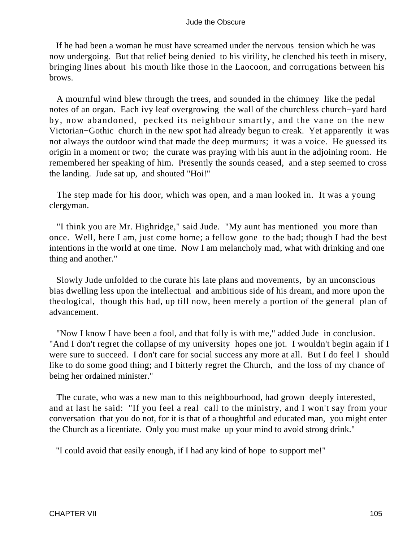If he had been a woman he must have screamed under the nervous tension which he was now undergoing. But that relief being denied to his virility, he clenched his teeth in misery, bringing lines about his mouth like those in the Laocoon, and corrugations between his brows.

 A mournful wind blew through the trees, and sounded in the chimney like the pedal notes of an organ. Each ivy leaf overgrowing the wall of the churchless church−yard hard by, now abandoned, pecked its neighbour smartly, and the vane on the new Victorian−Gothic church in the new spot had already begun to creak. Yet apparently it was not always the outdoor wind that made the deep murmurs; it was a voice. He guessed its origin in a moment or two; the curate was praying with his aunt in the adjoining room. He remembered her speaking of him. Presently the sounds ceased, and a step seemed to cross the landing. Jude sat up, and shouted "Hoi!"

 The step made for his door, which was open, and a man looked in. It was a young clergyman.

 "I think you are Mr. Highridge," said Jude. "My aunt has mentioned you more than once. Well, here I am, just come home; a fellow gone to the bad; though I had the best intentions in the world at one time. Now I am melancholy mad, what with drinking and one thing and another."

 Slowly Jude unfolded to the curate his late plans and movements, by an unconscious bias dwelling less upon the intellectual and ambitious side of his dream, and more upon the theological, though this had, up till now, been merely a portion of the general plan of advancement.

 "Now I know I have been a fool, and that folly is with me," added Jude in conclusion. "And I don't regret the collapse of my university hopes one jot. I wouldn't begin again if I were sure to succeed. I don't care for social success any more at all. But I do feel I should like to do some good thing; and I bitterly regret the Church, and the loss of my chance of being her ordained minister."

 The curate, who was a new man to this neighbourhood, had grown deeply interested, and at last he said: "If you feel a real call to the ministry, and I won't say from your conversation that you do not, for it is that of a thoughtful and educated man, you might enter the Church as a licentiate. Only you must make up your mind to avoid strong drink."

"I could avoid that easily enough, if I had any kind of hope to support me!"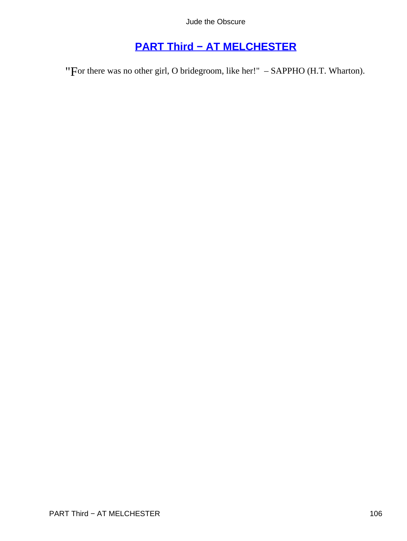# **[PART Third − AT MELCHESTER](#page-367-0)**

"For there was no other girl, O bridegroom, like her!" - SAPPHO (H.T. Wharton).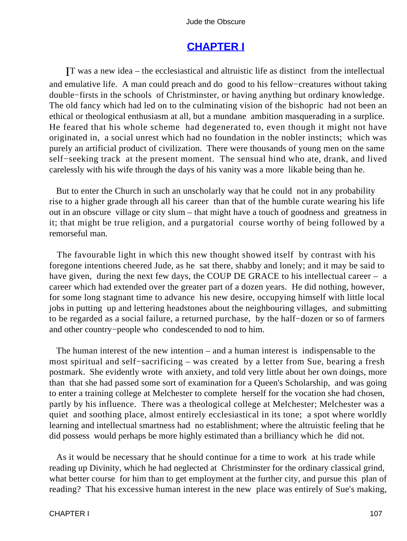## **[CHAPTER I](#page-367-0)**

IT was a new idea – the ecclesiastical and altruistic life as distinct from the intellectual and emulative life. A man could preach and do good to his fellow−creatures without taking double−firsts in the schools of Christminster, or having anything but ordinary knowledge. The old fancy which had led on to the culminating vision of the bishopric had not been an ethical or theological enthusiasm at all, but a mundane ambition masquerading in a surplice. He feared that his whole scheme had degenerated to, even though it might not have originated in, a social unrest which had no foundation in the nobler instincts; which was purely an artificial product of civilization. There were thousands of young men on the same self−seeking track at the present moment. The sensual hind who ate, drank, and lived carelessly with his wife through the days of his vanity was a more likable being than he.

 But to enter the Church in such an unscholarly way that he could not in any probability rise to a higher grade through all his career than that of the humble curate wearing his life out in an obscure village or city slum – that might have a touch of goodness and greatness in it; that might be true religion, and a purgatorial course worthy of being followed by a remorseful man.

 The favourable light in which this new thought showed itself by contrast with his foregone intentions cheered Jude, as he sat there, shabby and lonely; and it may be said to have given, during the next few days, the COUP DE GRACE to his intellectual career – a career which had extended over the greater part of a dozen years. He did nothing, however, for some long stagnant time to advance his new desire, occupying himself with little local jobs in putting up and lettering headstones about the neighbouring villages, and submitting to be regarded as a social failure, a returned purchase, by the half−dozen or so of farmers and other country−people who condescended to nod to him.

 The human interest of the new intention – and a human interest is indispensable to the most spiritual and self−sacrificing – was created by a letter from Sue, bearing a fresh postmark. She evidently wrote with anxiety, and told very little about her own doings, more than that she had passed some sort of examination for a Queen's Scholarship, and was going to enter a training college at Melchester to complete herself for the vocation she had chosen, partly by his influence. There was a theological college at Melchester; Melchester was a quiet and soothing place, almost entirely ecclesiastical in its tone; a spot where worldly learning and intellectual smartness had no establishment; where the altruistic feeling that he did possess would perhaps be more highly estimated than a brilliancy which he did not.

 As it would be necessary that he should continue for a time to work at his trade while reading up Divinity, which he had neglected at Christminster for the ordinary classical grind, what better course for him than to get employment at the further city, and pursue this plan of reading? That his excessive human interest in the new place was entirely of Sue's making,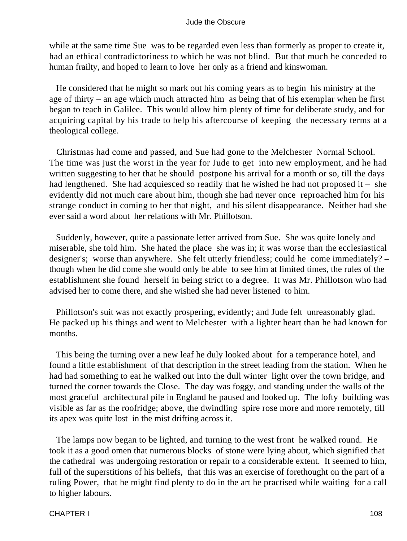while at the same time Sue was to be regarded even less than formerly as proper to create it, had an ethical contradictoriness to which he was not blind. But that much he conceded to human frailty, and hoped to learn to love her only as a friend and kinswoman.

 He considered that he might so mark out his coming years as to begin his ministry at the age of thirty – an age which much attracted him as being that of his exemplar when he first began to teach in Galilee. This would allow him plenty of time for deliberate study, and for acquiring capital by his trade to help his aftercourse of keeping the necessary terms at a theological college.

 Christmas had come and passed, and Sue had gone to the Melchester Normal School. The time was just the worst in the year for Jude to get into new employment, and he had written suggesting to her that he should postpone his arrival for a month or so, till the days had lengthened. She had acquiesced so readily that he wished he had not proposed it – she evidently did not much care about him, though she had never once reproached him for his strange conduct in coming to her that night, and his silent disappearance. Neither had she ever said a word about her relations with Mr. Phillotson.

 Suddenly, however, quite a passionate letter arrived from Sue. She was quite lonely and miserable, she told him. She hated the place she was in; it was worse than the ecclesiastical designer's; worse than anywhere. She felt utterly friendless; could he come immediately? – though when he did come she would only be able to see him at limited times, the rules of the establishment she found herself in being strict to a degree. It was Mr. Phillotson who had advised her to come there, and she wished she had never listened to him.

 Phillotson's suit was not exactly prospering, evidently; and Jude felt unreasonably glad. He packed up his things and went to Melchester with a lighter heart than he had known for months.

 This being the turning over a new leaf he duly looked about for a temperance hotel, and found a little establishment of that description in the street leading from the station. When he had had something to eat he walked out into the dull winter light over the town bridge, and turned the corner towards the Close. The day was foggy, and standing under the walls of the most graceful architectural pile in England he paused and looked up. The lofty building was visible as far as the roofridge; above, the dwindling spire rose more and more remotely, till its apex was quite lost in the mist drifting across it.

 The lamps now began to be lighted, and turning to the west front he walked round. He took it as a good omen that numerous blocks of stone were lying about, which signified that the cathedral was undergoing restoration or repair to a considerable extent. It seemed to him, full of the superstitions of his beliefs, that this was an exercise of forethought on the part of a ruling Power, that he might find plenty to do in the art he practised while waiting for a call to higher labours.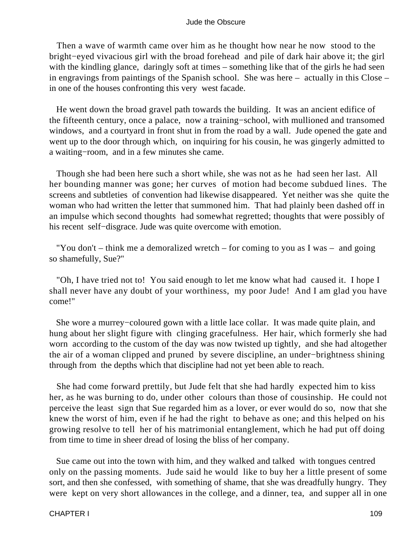Then a wave of warmth came over him as he thought how near he now stood to the bright−eyed vivacious girl with the broad forehead and pile of dark hair above it; the girl with the kindling glance, daringly soft at times – something like that of the girls he had seen in engravings from paintings of the Spanish school. She was here – actually in this Close – in one of the houses confronting this very west facade.

 He went down the broad gravel path towards the building. It was an ancient edifice of the fifteenth century, once a palace, now a training−school, with mullioned and transomed windows, and a courtyard in front shut in from the road by a wall. Jude opened the gate and went up to the door through which, on inquiring for his cousin, he was gingerly admitted to a waiting−room, and in a few minutes she came.

 Though she had been here such a short while, she was not as he had seen her last. All her bounding manner was gone; her curves of motion had become subdued lines. The screens and subtleties of convention had likewise disappeared. Yet neither was she quite the woman who had written the letter that summoned him. That had plainly been dashed off in an impulse which second thoughts had somewhat regretted; thoughts that were possibly of his recent self−disgrace. Jude was quite overcome with emotion.

"You don't – think me a demoralized wretch – for coming to you as I was – and going so shamefully, Sue?"

 "Oh, I have tried not to! You said enough to let me know what had caused it. I hope I shall never have any doubt of your worthiness, my poor Jude! And I am glad you have come!"

 She wore a murrey−coloured gown with a little lace collar. It was made quite plain, and hung about her slight figure with clinging gracefulness. Her hair, which formerly she had worn according to the custom of the day was now twisted up tightly, and she had altogether the air of a woman clipped and pruned by severe discipline, an under−brightness shining through from the depths which that discipline had not yet been able to reach.

 She had come forward prettily, but Jude felt that she had hardly expected him to kiss her, as he was burning to do, under other colours than those of cousinship. He could not perceive the least sign that Sue regarded him as a lover, or ever would do so, now that she knew the worst of him, even if he had the right to behave as one; and this helped on his growing resolve to tell her of his matrimonial entanglement, which he had put off doing from time to time in sheer dread of losing the bliss of her company.

 Sue came out into the town with him, and they walked and talked with tongues centred only on the passing moments. Jude said he would like to buy her a little present of some sort, and then she confessed, with something of shame, that she was dreadfully hungry. They were kept on very short allowances in the college, and a dinner, tea, and supper all in one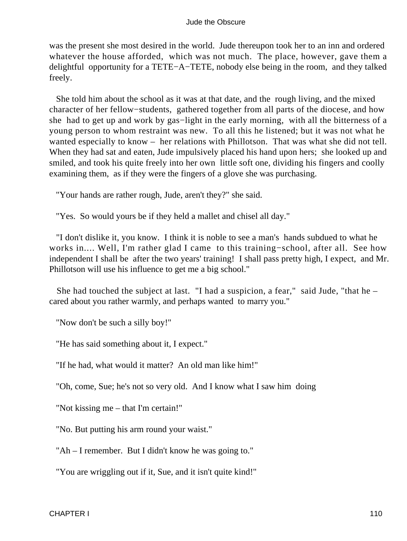was the present she most desired in the world. Jude thereupon took her to an inn and ordered whatever the house afforded, which was not much. The place, however, gave them a delightful opportunity for a TETE−A−TETE, nobody else being in the room, and they talked freely.

 She told him about the school as it was at that date, and the rough living, and the mixed character of her fellow−students, gathered together from all parts of the diocese, and how she had to get up and work by gas−light in the early morning, with all the bitterness of a young person to whom restraint was new. To all this he listened; but it was not what he wanted especially to know – her relations with Phillotson. That was what she did not tell. When they had sat and eaten, Jude impulsively placed his hand upon hers; she looked up and smiled, and took his quite freely into her own little soft one, dividing his fingers and coolly examining them, as if they were the fingers of a glove she was purchasing.

"Your hands are rather rough, Jude, aren't they?" she said.

"Yes. So would yours be if they held a mallet and chisel all day."

 "I don't dislike it, you know. I think it is noble to see a man's hands subdued to what he works in.... Well, I'm rather glad I came to this training−school, after all. See how independent I shall be after the two years' training! I shall pass pretty high, I expect, and Mr. Phillotson will use his influence to get me a big school."

She had touched the subject at last. "I had a suspicion, a fear," said Jude, "that he  $$ cared about you rather warmly, and perhaps wanted to marry you."

"Now don't be such a silly boy!"

"He has said something about it, I expect."

"If he had, what would it matter? An old man like him!"

"Oh, come, Sue; he's not so very old. And I know what I saw him doing

"Not kissing me – that I'm certain!"

"No. But putting his arm round your waist."

"Ah – I remember. But I didn't know he was going to."

"You are wriggling out if it, Sue, and it isn't quite kind!"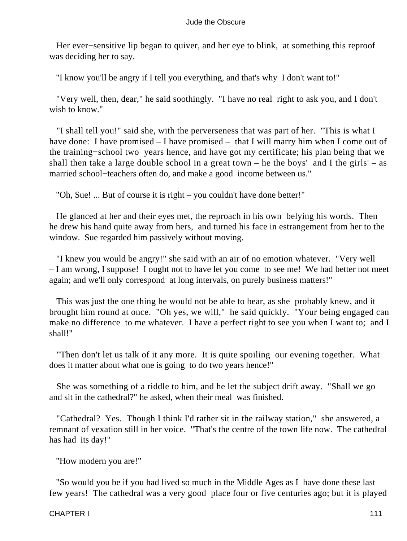Her ever–sensitive lip began to quiver, and her eye to blink, at something this reproof was deciding her to say.

"I know you'll be angry if I tell you everything, and that's why I don't want to!"

 "Very well, then, dear," he said soothingly. "I have no real right to ask you, and I don't wish to know."

 "I shall tell you!" said she, with the perverseness that was part of her. "This is what I have done: I have promised – I have promised – that I will marry him when I come out of the training−school two years hence, and have got my certificate; his plan being that we shall then take a large double school in a great town – he the boys' and I the girls' – as married school−teachers often do, and make a good income between us."

"Oh, Sue! ... But of course it is right – you couldn't have done better!"

 He glanced at her and their eyes met, the reproach in his own belying his words. Then he drew his hand quite away from hers, and turned his face in estrangement from her to the window. Sue regarded him passively without moving.

 "I knew you would be angry!" she said with an air of no emotion whatever. "Very well – I am wrong, I suppose! I ought not to have let you come to see me! We had better not meet again; and we'll only correspond at long intervals, on purely business matters!"

 This was just the one thing he would not be able to bear, as she probably knew, and it brought him round at once. "Oh yes, we will," he said quickly. "Your being engaged can make no difference to me whatever. I have a perfect right to see you when I want to; and I shall!"

 "Then don't let us talk of it any more. It is quite spoiling our evening together. What does it matter about what one is going to do two years hence!"

 She was something of a riddle to him, and he let the subject drift away. "Shall we go and sit in the cathedral?" he asked, when their meal was finished.

 "Cathedral? Yes. Though I think I'd rather sit in the railway station," she answered, a remnant of vexation still in her voice. "That's the centre of the town life now. The cathedral has had its day!"

"How modern you are!"

 "So would you be if you had lived so much in the Middle Ages as I have done these last few years! The cathedral was a very good place four or five centuries ago; but it is played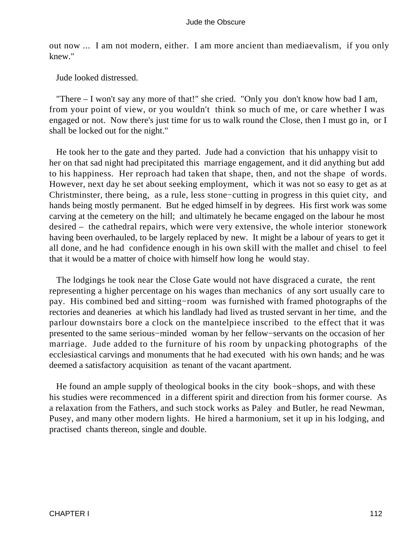out now ... I am not modern, either. I am more ancient than mediaevalism, if you only knew."

Jude looked distressed.

 "There – I won't say any more of that!" she cried. "Only you don't know how bad I am, from your point of view, or you wouldn't think so much of me, or care whether I was engaged or not. Now there's just time for us to walk round the Close, then I must go in, or I shall be locked out for the night."

 He took her to the gate and they parted. Jude had a conviction that his unhappy visit to her on that sad night had precipitated this marriage engagement, and it did anything but add to his happiness. Her reproach had taken that shape, then, and not the shape of words. However, next day he set about seeking employment, which it was not so easy to get as at Christminster, there being, as a rule, less stone−cutting in progress in this quiet city, and hands being mostly permanent. But he edged himself in by degrees. His first work was some carving at the cemetery on the hill; and ultimately he became engaged on the labour he most desired – the cathedral repairs, which were very extensive, the whole interior stonework having been overhauled, to be largely replaced by new. It might be a labour of years to get it all done, and he had confidence enough in his own skill with the mallet and chisel to feel that it would be a matter of choice with himself how long he would stay.

 The lodgings he took near the Close Gate would not have disgraced a curate, the rent representing a higher percentage on his wages than mechanics of any sort usually care to pay. His combined bed and sitting−room was furnished with framed photographs of the rectories and deaneries at which his landlady had lived as trusted servant in her time, and the parlour downstairs bore a clock on the mantelpiece inscribed to the effect that it was presented to the same serious−minded woman by her fellow−servants on the occasion of her marriage. Jude added to the furniture of his room by unpacking photographs of the ecclesiastical carvings and monuments that he had executed with his own hands; and he was deemed a satisfactory acquisition as tenant of the vacant apartment.

 He found an ample supply of theological books in the city book−shops, and with these his studies were recommenced in a different spirit and direction from his former course. As a relaxation from the Fathers, and such stock works as Paley and Butler, he read Newman, Pusey, and many other modern lights. He hired a harmonium, set it up in his lodging, and practised chants thereon, single and double.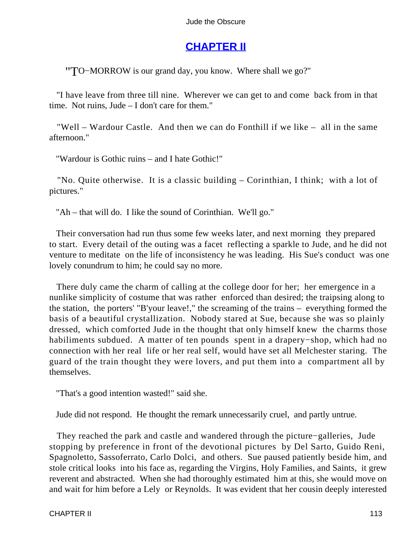# **[CHAPTER II](#page-367-0)**

"TO−MORROW is our grand day, you know. Where shall we go?"

 "I have leave from three till nine. Wherever we can get to and come back from in that time. Not ruins, Jude – I don't care for them."

 "Well – Wardour Castle. And then we can do Fonthill if we like – all in the same afternoon."

"Wardour is Gothic ruins – and I hate Gothic!"

 "No. Quite otherwise. It is a classic building – Corinthian, I think; with a lot of pictures."

"Ah – that will do. I like the sound of Corinthian. We'll go."

 Their conversation had run thus some few weeks later, and next morning they prepared to start. Every detail of the outing was a facet reflecting a sparkle to Jude, and he did not venture to meditate on the life of inconsistency he was leading. His Sue's conduct was one lovely conundrum to him; he could say no more.

 There duly came the charm of calling at the college door for her; her emergence in a nunlike simplicity of costume that was rather enforced than desired; the traipsing along to the station, the porters' "B'your leave!," the screaming of the trains – everything formed the basis of a beautiful crystallization. Nobody stared at Sue, because she was so plainly dressed, which comforted Jude in the thought that only himself knew the charms those habiliments subdued. A matter of ten pounds spent in a drapery−shop, which had no connection with her real life or her real self, would have set all Melchester staring. The guard of the train thought they were lovers, and put them into a compartment all by themselves.

"That's a good intention wasted!" said she.

Jude did not respond. He thought the remark unnecessarily cruel, and partly untrue.

 They reached the park and castle and wandered through the picture−galleries, Jude stopping by preference in front of the devotional pictures by Del Sarto, Guido Reni, Spagnoletto, Sassoferrato, Carlo Dolci, and others. Sue paused patiently beside him, and stole critical looks into his face as, regarding the Virgins, Holy Families, and Saints, it grew reverent and abstracted. When she had thoroughly estimated him at this, she would move on and wait for him before a Lely or Reynolds. It was evident that her cousin deeply interested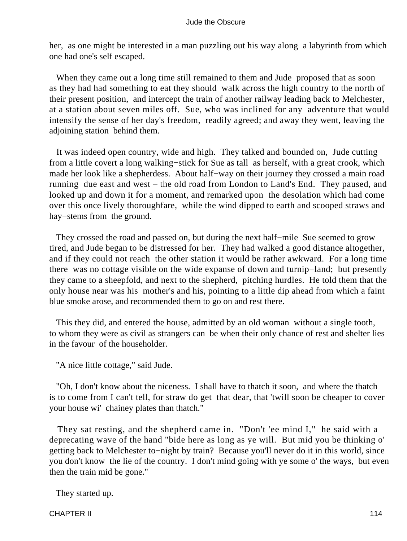her, as one might be interested in a man puzzling out his way along a labyrinth from which one had one's self escaped.

 When they came out a long time still remained to them and Jude proposed that as soon as they had had something to eat they should walk across the high country to the north of their present position, and intercept the train of another railway leading back to Melchester, at a station about seven miles off. Sue, who was inclined for any adventure that would intensify the sense of her day's freedom, readily agreed; and away they went, leaving the adjoining station behind them.

 It was indeed open country, wide and high. They talked and bounded on, Jude cutting from a little covert a long walking−stick for Sue as tall as herself, with a great crook, which made her look like a shepherdess. About half−way on their journey they crossed a main road running due east and west – the old road from London to Land's End. They paused, and looked up and down it for a moment, and remarked upon the desolation which had come over this once lively thoroughfare, while the wind dipped to earth and scooped straws and hay−stems from the ground.

 They crossed the road and passed on, but during the next half−mile Sue seemed to grow tired, and Jude began to be distressed for her. They had walked a good distance altogether, and if they could not reach the other station it would be rather awkward. For a long time there was no cottage visible on the wide expanse of down and turnip−land; but presently they came to a sheepfold, and next to the shepherd, pitching hurdles. He told them that the only house near was his mother's and his, pointing to a little dip ahead from which a faint blue smoke arose, and recommended them to go on and rest there.

 This they did, and entered the house, admitted by an old woman without a single tooth, to whom they were as civil as strangers can be when their only chance of rest and shelter lies in the favour of the householder.

"A nice little cottage," said Jude.

 "Oh, I don't know about the niceness. I shall have to thatch it soon, and where the thatch is to come from I can't tell, for straw do get that dear, that 'twill soon be cheaper to cover your house wi' chainey plates than thatch."

 They sat resting, and the shepherd came in. "Don't 'ee mind I," he said with a deprecating wave of the hand "bide here as long as ye will. But mid you be thinking o' getting back to Melchester to−night by train? Because you'll never do it in this world, since you don't know the lie of the country. I don't mind going with ye some o' the ways, but even then the train mid be gone."

They started up.

CHAPTER II 114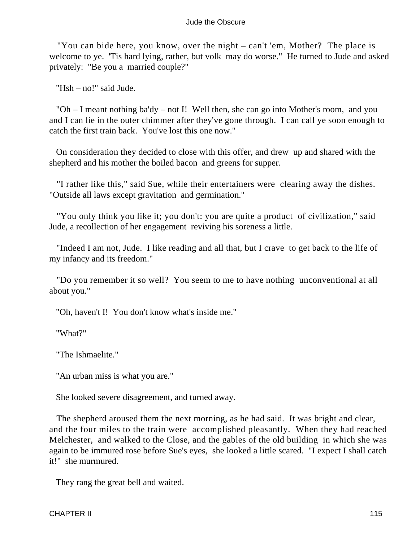"You can bide here, you know, over the night – can't 'em, Mother? The place is welcome to ye. 'Tis hard lying, rather, but volk may do worse." He turned to Jude and asked privately: "Be you a married couple?"

"Hsh – no!" said Jude.

 "Oh – I meant nothing ba'dy – not I! Well then, she can go into Mother's room, and you and I can lie in the outer chimmer after they've gone through. I can call ye soon enough to catch the first train back. You've lost this one now."

 On consideration they decided to close with this offer, and drew up and shared with the shepherd and his mother the boiled bacon and greens for supper.

 "I rather like this," said Sue, while their entertainers were clearing away the dishes. "Outside all laws except gravitation and germination."

 "You only think you like it; you don't: you are quite a product of civilization," said Jude, a recollection of her engagement reviving his soreness a little.

 "Indeed I am not, Jude. I like reading and all that, but I crave to get back to the life of my infancy and its freedom."

 "Do you remember it so well? You seem to me to have nothing unconventional at all about you."

"Oh, haven't I! You don't know what's inside me."

"What?"

"The Ishmaelite."

"An urban miss is what you are."

She looked severe disagreement, and turned away.

 The shepherd aroused them the next morning, as he had said. It was bright and clear, and the four miles to the train were accomplished pleasantly. When they had reached Melchester, and walked to the Close, and the gables of the old building in which she was again to be immured rose before Sue's eyes, she looked a little scared. "I expect I shall catch it!" she murmured.

They rang the great bell and waited.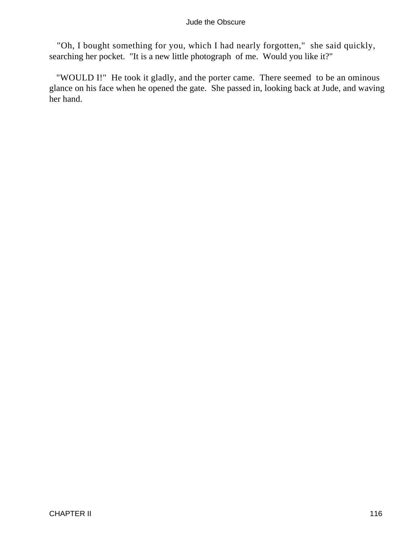"Oh, I bought something for you, which I had nearly forgotten," she said quickly, searching her pocket. "It is a new little photograph of me. Would you like it?"

 "WOULD I!" He took it gladly, and the porter came. There seemed to be an ominous glance on his face when he opened the gate. She passed in, looking back at Jude, and waving her hand.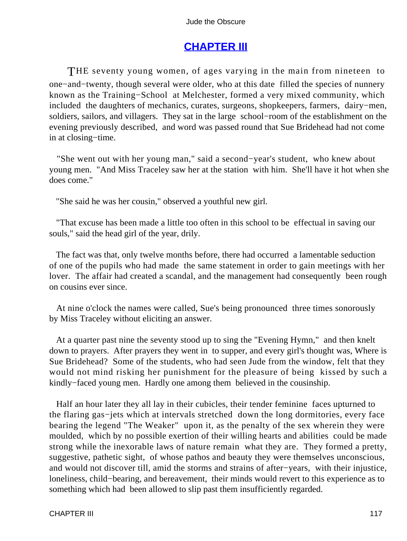# **[CHAPTER III](#page-367-0)**

THE seventy young women, of ages varying in the main from nineteen to one−and−twenty, though several were older, who at this date filled the species of nunnery known as the Training−School at Melchester, formed a very mixed community, which included the daughters of mechanics, curates, surgeons, shopkeepers, farmers, dairy−men, soldiers, sailors, and villagers. They sat in the large school−room of the establishment on the evening previously described, and word was passed round that Sue Bridehead had not come in at closing−time.

 "She went out with her young man," said a second−year's student, who knew about young men. "And Miss Traceley saw her at the station with him. She'll have it hot when she does come."

"She said he was her cousin," observed a youthful new girl.

 "That excuse has been made a little too often in this school to be effectual in saving our souls," said the head girl of the year, drily.

 The fact was that, only twelve months before, there had occurred a lamentable seduction of one of the pupils who had made the same statement in order to gain meetings with her lover. The affair had created a scandal, and the management had consequently been rough on cousins ever since.

 At nine o'clock the names were called, Sue's being pronounced three times sonorously by Miss Traceley without eliciting an answer.

 At a quarter past nine the seventy stood up to sing the "Evening Hymn," and then knelt down to prayers. After prayers they went in to supper, and every girl's thought was, Where is Sue Bridehead? Some of the students, who had seen Jude from the window, felt that they would not mind risking her punishment for the pleasure of being kissed by such a kindly−faced young men. Hardly one among them believed in the cousinship.

 Half an hour later they all lay in their cubicles, their tender feminine faces upturned to the flaring gas−jets which at intervals stretched down the long dormitories, every face bearing the legend "The Weaker" upon it, as the penalty of the sex wherein they were moulded, which by no possible exertion of their willing hearts and abilities could be made strong while the inexorable laws of nature remain what they are. They formed a pretty, suggestive, pathetic sight, of whose pathos and beauty they were themselves unconscious, and would not discover till, amid the storms and strains of after−years, with their injustice, loneliness, child−bearing, and bereavement, their minds would revert to this experience as to something which had been allowed to slip past them insufficiently regarded.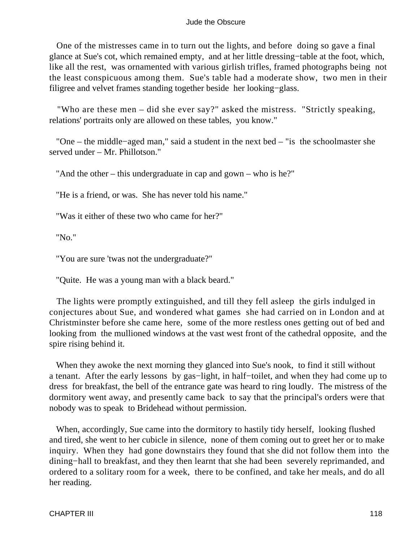One of the mistresses came in to turn out the lights, and before doing so gave a final glance at Sue's cot, which remained empty, and at her little dressing−table at the foot, which, like all the rest, was ornamented with various girlish trifles, framed photographs being not the least conspicuous among them. Sue's table had a moderate show, two men in their filigree and velvet frames standing together beside her looking−glass.

 "Who are these men – did she ever say?" asked the mistress. "Strictly speaking, relations' portraits only are allowed on these tables, you know."

 "One – the middle−aged man," said a student in the next bed – "is the schoolmaster she served under – Mr. Phillotson."

"And the other – this undergraduate in cap and gown – who is he?"

"He is a friend, or was. She has never told his name."

"Was it either of these two who came for her?"

"No."

"You are sure 'twas not the undergraduate?"

"Quite. He was a young man with a black beard."

 The lights were promptly extinguished, and till they fell asleep the girls indulged in conjectures about Sue, and wondered what games she had carried on in London and at Christminster before she came here, some of the more restless ones getting out of bed and looking from the mullioned windows at the vast west front of the cathedral opposite, and the spire rising behind it.

 When they awoke the next morning they glanced into Sue's nook, to find it still without a tenant. After the early lessons by gas−light, in half−toilet, and when they had come up to dress for breakfast, the bell of the entrance gate was heard to ring loudly. The mistress of the dormitory went away, and presently came back to say that the principal's orders were that nobody was to speak to Bridehead without permission.

 When, accordingly, Sue came into the dormitory to hastily tidy herself, looking flushed and tired, she went to her cubicle in silence, none of them coming out to greet her or to make inquiry. When they had gone downstairs they found that she did not follow them into the dining−hall to breakfast, and they then learnt that she had been severely reprimanded, and ordered to a solitary room for a week, there to be confined, and take her meals, and do all her reading.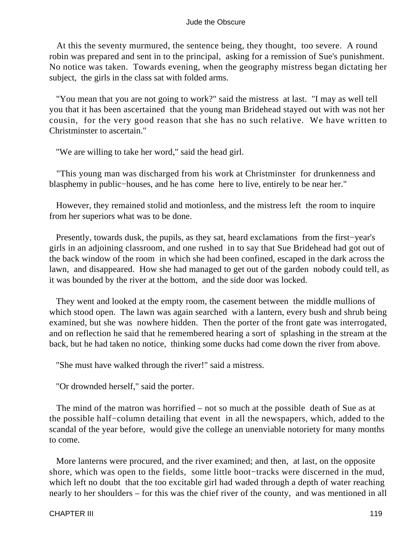At this the seventy murmured, the sentence being, they thought, too severe. A round robin was prepared and sent in to the principal, asking for a remission of Sue's punishment. No notice was taken. Towards evening, when the geography mistress began dictating her subject, the girls in the class sat with folded arms.

 "You mean that you are not going to work?" said the mistress at last. "I may as well tell you that it has been ascertained that the young man Bridehead stayed out with was not her cousin, for the very good reason that she has no such relative. We have written to Christminster to ascertain."

"We are willing to take her word," said the head girl.

 "This young man was discharged from his work at Christminster for drunkenness and blasphemy in public−houses, and he has come here to live, entirely to be near her."

 However, they remained stolid and motionless, and the mistress left the room to inquire from her superiors what was to be done.

 Presently, towards dusk, the pupils, as they sat, heard exclamations from the first−year's girls in an adjoining classroom, and one rushed in to say that Sue Bridehead had got out of the back window of the room in which she had been confined, escaped in the dark across the lawn, and disappeared. How she had managed to get out of the garden nobody could tell, as it was bounded by the river at the bottom, and the side door was locked.

 They went and looked at the empty room, the casement between the middle mullions of which stood open. The lawn was again searched with a lantern, every bush and shrub being examined, but she was nowhere hidden. Then the porter of the front gate was interrogated, and on reflection he said that he remembered hearing a sort of splashing in the stream at the back, but he had taken no notice, thinking some ducks had come down the river from above.

"She must have walked through the river!" said a mistress.

"Or drownded herself," said the porter.

 The mind of the matron was horrified – not so much at the possible death of Sue as at the possible half−column detailing that event in all the newspapers, which, added to the scandal of the year before, would give the college an unenviable notoriety for many months to come.

 More lanterns were procured, and the river examined; and then, at last, on the opposite shore, which was open to the fields, some little boot−tracks were discerned in the mud, which left no doubt that the too excitable girl had waded through a depth of water reaching nearly to her shoulders – for this was the chief river of the county, and was mentioned in all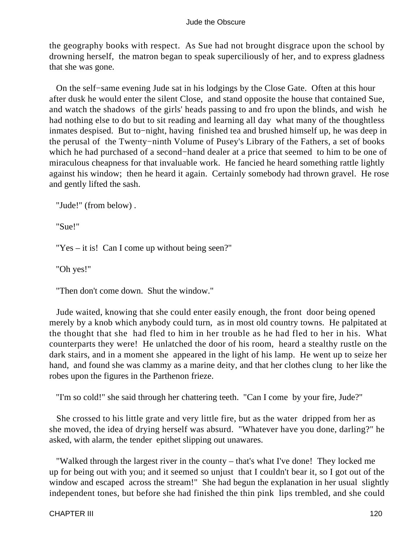the geography books with respect. As Sue had not brought disgrace upon the school by drowning herself, the matron began to speak superciliously of her, and to express gladness that she was gone.

 On the self−same evening Jude sat in his lodgings by the Close Gate. Often at this hour after dusk he would enter the silent Close, and stand opposite the house that contained Sue, and watch the shadows of the girls' heads passing to and fro upon the blinds, and wish he had nothing else to do but to sit reading and learning all day what many of the thoughtless inmates despised. But to−night, having finished tea and brushed himself up, he was deep in the perusal of the Twenty−ninth Volume of Pusey's Library of the Fathers, a set of books which he had purchased of a second−hand dealer at a price that seemed to him to be one of miraculous cheapness for that invaluable work. He fancied he heard something rattle lightly against his window; then he heard it again. Certainly somebody had thrown gravel. He rose and gently lifted the sash.

"Jude!" (from below) .

"Sue!"

"Yes – it is! Can I come up without being seen?"

"Oh yes!"

"Then don't come down. Shut the window."

 Jude waited, knowing that she could enter easily enough, the front door being opened merely by a knob which anybody could turn, as in most old country towns. He palpitated at the thought that she had fled to him in her trouble as he had fled to her in his. What counterparts they were! He unlatched the door of his room, heard a stealthy rustle on the dark stairs, and in a moment she appeared in the light of his lamp. He went up to seize her hand, and found she was clammy as a marine deity, and that her clothes clung to her like the robes upon the figures in the Parthenon frieze.

"I'm so cold!" she said through her chattering teeth. "Can I come by your fire, Jude?"

 She crossed to his little grate and very little fire, but as the water dripped from her as she moved, the idea of drying herself was absurd. "Whatever have you done, darling?" he asked, with alarm, the tender epithet slipping out unawares.

 "Walked through the largest river in the county – that's what I've done! They locked me up for being out with you; and it seemed so unjust that I couldn't bear it, so I got out of the window and escaped across the stream!" She had begun the explanation in her usual slightly independent tones, but before she had finished the thin pink lips trembled, and she could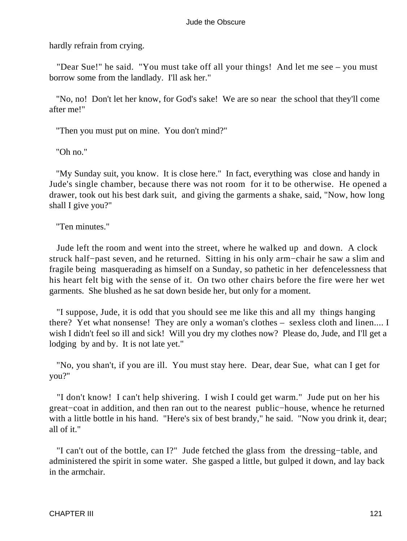hardly refrain from crying.

 "Dear Sue!" he said. "You must take off all your things! And let me see – you must borrow some from the landlady. I'll ask her."

 "No, no! Don't let her know, for God's sake! We are so near the school that they'll come after me!"

"Then you must put on mine. You don't mind?"

"Oh no."

 "My Sunday suit, you know. It is close here." In fact, everything was close and handy in Jude's single chamber, because there was not room for it to be otherwise. He opened a drawer, took out his best dark suit, and giving the garments a shake, said, "Now, how long shall I give you?"

"Ten minutes."

 Jude left the room and went into the street, where he walked up and down. A clock struck half−past seven, and he returned. Sitting in his only arm−chair he saw a slim and fragile being masquerading as himself on a Sunday, so pathetic in her defencelessness that his heart felt big with the sense of it. On two other chairs before the fire were her wet garments. She blushed as he sat down beside her, but only for a moment.

 "I suppose, Jude, it is odd that you should see me like this and all my things hanging there? Yet what nonsense! They are only a woman's clothes – sexless cloth and linen.... I wish I didn't feel so ill and sick! Will you dry my clothes now? Please do, Jude, and I'll get a lodging by and by. It is not late yet."

 "No, you shan't, if you are ill. You must stay here. Dear, dear Sue, what can I get for you?"

 "I don't know! I can't help shivering. I wish I could get warm." Jude put on her his great−coat in addition, and then ran out to the nearest public−house, whence he returned with a little bottle in his hand. "Here's six of best brandy," he said. "Now you drink it, dear; all of it."

 "I can't out of the bottle, can I?" Jude fetched the glass from the dressing−table, and administered the spirit in some water. She gasped a little, but gulped it down, and lay back in the armchair.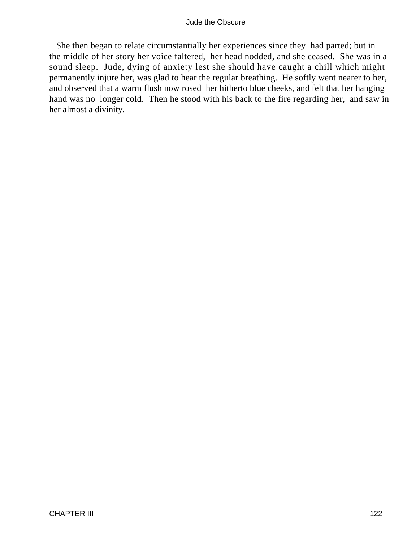She then began to relate circumstantially her experiences since they had parted; but in the middle of her story her voice faltered, her head nodded, and she ceased. She was in a sound sleep. Jude, dying of anxiety lest she should have caught a chill which might permanently injure her, was glad to hear the regular breathing. He softly went nearer to her, and observed that a warm flush now rosed her hitherto blue cheeks, and felt that her hanging hand was no longer cold. Then he stood with his back to the fire regarding her, and saw in her almost a divinity.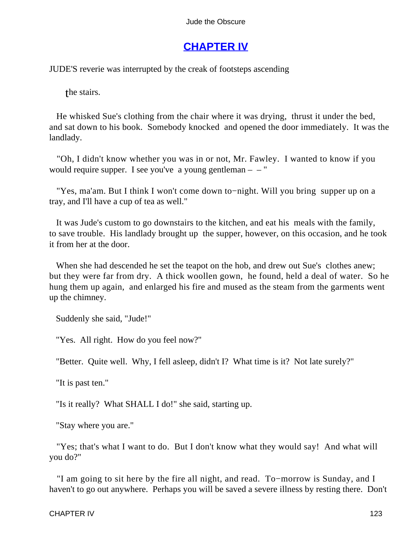# **[CHAPTER IV](#page-367-0)**

JUDE'S reverie was interrupted by the creak of footsteps ascending

the stairs.

 He whisked Sue's clothing from the chair where it was drying, thrust it under the bed, and sat down to his book. Somebody knocked and opened the door immediately. It was the landlady.

 "Oh, I didn't know whether you was in or not, Mr. Fawley. I wanted to know if you would require supper. I see you've a young gentleman  $-$  – "

 "Yes, ma'am. But I think I won't come down to−night. Will you bring supper up on a tray, and I'll have a cup of tea as well."

 It was Jude's custom to go downstairs to the kitchen, and eat his meals with the family, to save trouble. His landlady brought up the supper, however, on this occasion, and he took it from her at the door.

 When she had descended he set the teapot on the hob, and drew out Sue's clothes anew; but they were far from dry. A thick woollen gown, he found, held a deal of water. So he hung them up again, and enlarged his fire and mused as the steam from the garments went up the chimney.

Suddenly she said, "Jude!"

"Yes. All right. How do you feel now?"

"Better. Quite well. Why, I fell asleep, didn't I? What time is it? Not late surely?"

"It is past ten."

"Is it really? What SHALL I do!" she said, starting up.

"Stay where you are."

 "Yes; that's what I want to do. But I don't know what they would say! And what will you do?"

 "I am going to sit here by the fire all night, and read. To−morrow is Sunday, and I haven't to go out anywhere. Perhaps you will be saved a severe illness by resting there. Don't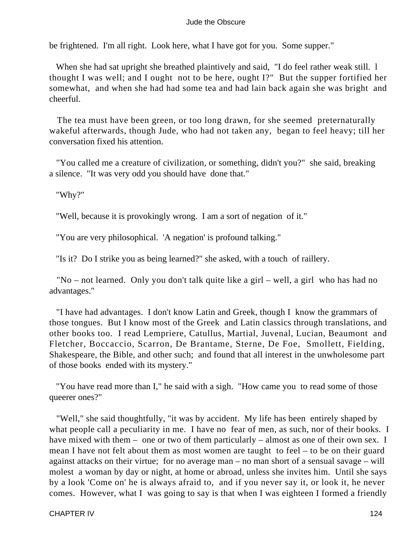be frightened. I'm all right. Look here, what I have got for you. Some supper."

 When she had sat upright she breathed plaintively and said, "I do feel rather weak still. l thought I was well; and I ought not to be here, ought I?" But the supper fortified her somewhat, and when she had had some tea and had lain back again she was bright and cheerful.

 The tea must have been green, or too long drawn, for she seemed preternaturally wakeful afterwards, though Jude, who had not taken any, began to feel heavy; till her conversation fixed his attention.

 "You called me a creature of civilization, or something, didn't you?" she said, breaking a silence. "It was very odd you should have done that."

"Why?"

"Well, because it is provokingly wrong. I am a sort of negation of it."

"You are very philosophical. 'A negation' is profound talking."

"Is it? Do I strike you as being learned?" she asked, with a touch of raillery.

 "No – not learned. Only you don't talk quite like a girl – well, a girl who has had no advantages."

 "I have had advantages. I don't know Latin and Greek, though I know the grammars of those tongues. But I know most of the Greek and Latin classics through translations, and other books too. I read Lempriere, Catullus, Martial, Juvenal, Lucian, Beaumont and Fletcher, Boccaccio, Scarron, De Brantame, Sterne, De Foe, Smollett, Fielding, Shakespeare, the Bible, and other such; and found that all interest in the unwholesome part of those books ended with its mystery."

 "You have read more than I," he said with a sigh. "How came you to read some of those queerer ones?"

 "Well," she said thoughtfully, "it was by accident. My life has been entirely shaped by what people call a peculiarity in me. I have no fear of men, as such, nor of their books. I have mixed with them – one or two of them particularly – almost as one of their own sex. I mean I have not felt about them as most women are taught to feel – to be on their guard against attacks on their virtue; for no average man – no man short of a sensual savage – will molest a woman by day or night, at home or abroad, unless she invites him. Until she says by a look 'Come on' he is always afraid to, and if you never say it, or look it, he never comes. However, what I was going to say is that when I was eighteen I formed a friendly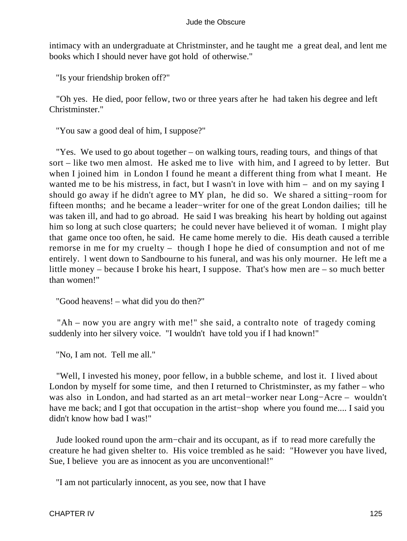intimacy with an undergraduate at Christminster, and he taught me a great deal, and lent me books which I should never have got hold of otherwise."

"Is your friendship broken off?"

 "Oh yes. He died, poor fellow, two or three years after he had taken his degree and left Christminster."

"You saw a good deal of him, I suppose?"

 "Yes. We used to go about together – on walking tours, reading tours, and things of that sort – like two men almost. He asked me to live with him, and I agreed to by letter. But when I joined him in London I found he meant a different thing from what I meant. He wanted me to be his mistress, in fact, but I wasn't in love with him – and on my saying I should go away if he didn't agree to MY plan, he did so. We shared a sitting−room for fifteen months; and he became a leader−writer for one of the great London dailies; till he was taken ill, and had to go abroad. He said I was breaking his heart by holding out against him so long at such close quarters; he could never have believed it of woman. I might play that game once too often, he said. He came home merely to die. His death caused a terrible remorse in me for my cruelty – though I hope he died of consumption and not of me entirely. l went down to Sandbourne to his funeral, and was his only mourner. He left me a little money – because I broke his heart, I suppose. That's how men are – so much better than women!"

"Good heavens! – what did you do then?"

"Ah – now you are angry with me!" she said, a contralto note of tragedy coming suddenly into her silvery voice. "I wouldn't have told you if I had known!"

"No, I am not. Tell me all."

 "Well, I invested his money, poor fellow, in a bubble scheme, and lost it. I lived about London by myself for some time, and then I returned to Christminster, as my father – who was also in London, and had started as an art metal−worker near Long−Acre – wouldn't have me back; and I got that occupation in the artist−shop where you found me.... I said you didn't know how bad I was!"

 Jude looked round upon the arm−chair and its occupant, as if to read more carefully the creature he had given shelter to. His voice trembled as he said: "However you have lived, Sue, I believe you are as innocent as you are unconventional!"

"I am not particularly innocent, as you see, now that I have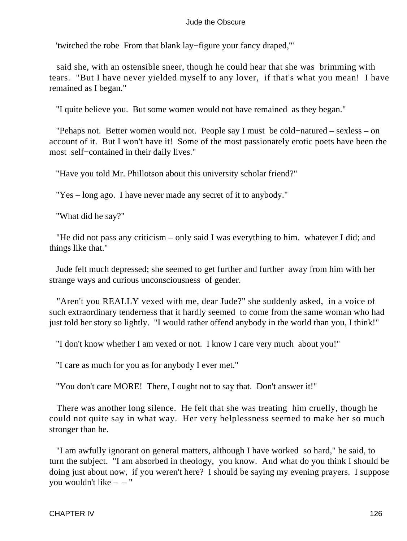'twitched the robe From that blank lay−figure your fancy draped,'"

 said she, with an ostensible sneer, though he could hear that she was brimming with tears. "But I have never yielded myself to any lover, if that's what you mean! I have remained as I began."

"I quite believe you. But some women would not have remained as they began."

 "Pehaps not. Better women would not. People say I must be cold−natured – sexless – on account of it. But I won't have it! Some of the most passionately erotic poets have been the most self−contained in their daily lives."

"Have you told Mr. Phillotson about this university scholar friend?"

"Yes – long ago. I have never made any secret of it to anybody."

"What did he say?"

 "He did not pass any criticism – only said I was everything to him, whatever I did; and things like that."

 Jude felt much depressed; she seemed to get further and further away from him with her strange ways and curious unconsciousness of gender.

 "Aren't you REALLY vexed with me, dear Jude?" she suddenly asked, in a voice of such extraordinary tenderness that it hardly seemed to come from the same woman who had just told her story so lightly. "I would rather offend anybody in the world than you, I think!"

"I don't know whether I am vexed or not. I know I care very much about you!"

"I care as much for you as for anybody I ever met."

"You don't care MORE! There, I ought not to say that. Don't answer it!"

 There was another long silence. He felt that she was treating him cruelly, though he could not quite say in what way. Her very helplessness seemed to make her so much stronger than he.

 "I am awfully ignorant on general matters, although I have worked so hard," he said, to turn the subject. "I am absorbed in theology, you know. And what do you think I should be doing just about now, if you weren't here? I should be saying my evening prayers. I suppose you wouldn't like – – "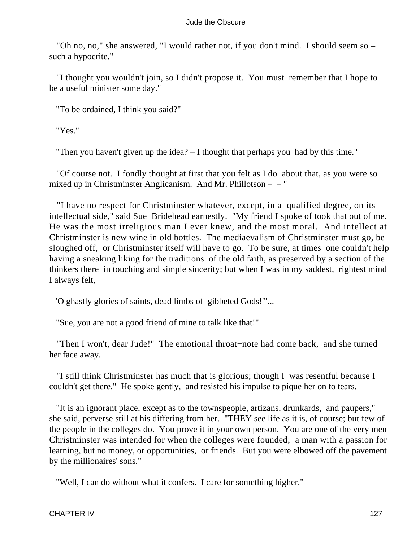"Oh no, no," she answered, "I would rather not, if you don't mind. I should seem so – such a hypocrite."

 "I thought you wouldn't join, so I didn't propose it. You must remember that I hope to be a useful minister some day."

"To be ordained, I think you said?"

"Yes."

"Then you haven't given up the idea? – I thought that perhaps you had by this time."

 "Of course not. I fondly thought at first that you felt as I do about that, as you were so mixed up in Christminster Anglicanism. And Mr. Phillotson – – "

 "I have no respect for Christminster whatever, except, in a qualified degree, on its intellectual side," said Sue Bridehead earnestly. "My friend I spoke of took that out of me. He was the most irreligious man I ever knew, and the most moral. And intellect at Christminster is new wine in old bottles. The mediaevalism of Christminster must go, be sloughed off, or Christminster itself will have to go. To be sure, at times one couldn't help having a sneaking liking for the traditions of the old faith, as preserved by a section of the thinkers there in touching and simple sincerity; but when I was in my saddest, rightest mind I always felt,

'O ghastly glories of saints, dead limbs of gibbeted Gods!'"...

"Sue, you are not a good friend of mine to talk like that!"

 "Then I won't, dear Jude!" The emotional throat−note had come back, and she turned her face away.

 "I still think Christminster has much that is glorious; though I was resentful because I couldn't get there." He spoke gently, and resisted his impulse to pique her on to tears.

 "It is an ignorant place, except as to the townspeople, artizans, drunkards, and paupers," she said, perverse still at his differing from her. "THEY see life as it is, of course; but few of the people in the colleges do. You prove it in your own person. You are one of the very men Christminster was intended for when the colleges were founded; a man with a passion for learning, but no money, or opportunities, or friends. But you were elbowed off the pavement by the millionaires' sons."

"Well, I can do without what it confers. I care for something higher."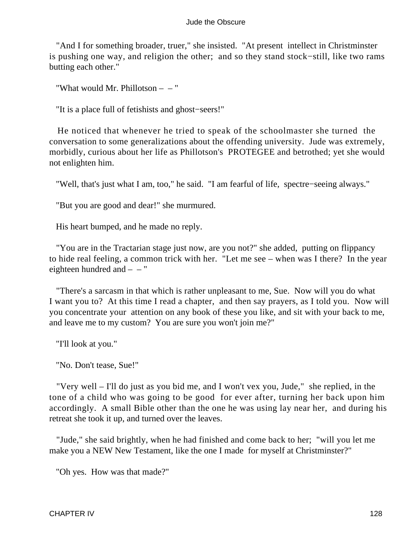"And I for something broader, truer," she insisted. "At present intellect in Christminster is pushing one way, and religion the other; and so they stand stock−still, like two rams butting each other."

"What would Mr. Phillotson – – "

"It is a place full of fetishists and ghost−seers!"

 He noticed that whenever he tried to speak of the schoolmaster she turned the conversation to some generalizations about the offending university. Jude was extremely, morbidly, curious about her life as Phillotson's PROTEGEE and betrothed; yet she would not enlighten him.

"Well, that's just what I am, too," he said. "I am fearful of life, spectre−seeing always."

"But you are good and dear!" she murmured.

His heart bumped, and he made no reply.

 "You are in the Tractarian stage just now, are you not?" she added, putting on flippancy to hide real feeling, a common trick with her. "Let me see – when was I there? In the year eighteen hundred and  $-$  – "

 "There's a sarcasm in that which is rather unpleasant to me, Sue. Now will you do what I want you to? At this time I read a chapter, and then say prayers, as I told you. Now will you concentrate your attention on any book of these you like, and sit with your back to me, and leave me to my custom? You are sure you won't join me?"

"I'll look at you."

"No. Don't tease, Sue!"

 "Very well – I'll do just as you bid me, and I won't vex you, Jude," she replied, in the tone of a child who was going to be good for ever after, turning her back upon him accordingly. A small Bible other than the one he was using lay near her, and during his retreat she took it up, and turned over the leaves.

 "Jude," she said brightly, when he had finished and come back to her; "will you let me make you a NEW New Testament, like the one I made for myself at Christminster?"

"Oh yes. How was that made?"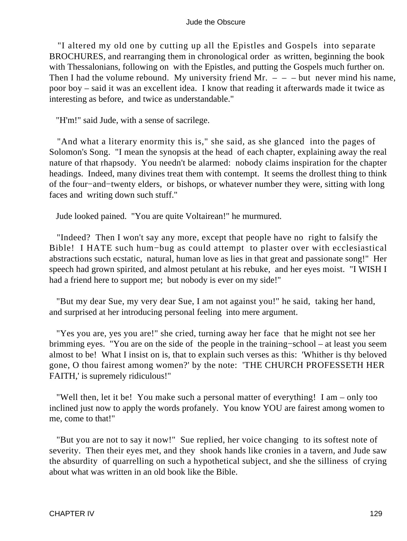"I altered my old one by cutting up all the Epistles and Gospels into separate BROCHURES, and rearranging them in chronological order as written, beginning the book with Thessalonians, following on with the Epistles, and putting the Gospels much further on. Then I had the volume rebound. My university friend Mr.  $- -$  but never mind his name, poor boy – said it was an excellent idea. I know that reading it afterwards made it twice as interesting as before, and twice as understandable."

"H'm!" said Jude, with a sense of sacrilege.

 "And what a literary enormity this is," she said, as she glanced into the pages of Solomon's Song. "I mean the synopsis at the head of each chapter, explaining away the real nature of that rhapsody. You needn't be alarmed: nobody claims inspiration for the chapter headings. Indeed, many divines treat them with contempt. It seems the drollest thing to think of the four−and−twenty elders, or bishops, or whatever number they were, sitting with long faces and writing down such stuff."

Jude looked pained. "You are quite Voltairean!" he murmured.

 "Indeed? Then I won't say any more, except that people have no right to falsify the Bible! I HATE such hum−bug as could attempt to plaster over with ecclesiastical abstractions such ecstatic, natural, human love as lies in that great and passionate song!" Her speech had grown spirited, and almost petulant at his rebuke, and her eyes moist. "I WISH I had a friend here to support me; but nobody is ever on my side!"

 "But my dear Sue, my very dear Sue, I am not against you!" he said, taking her hand, and surprised at her introducing personal feeling into mere argument.

 "Yes you are, yes you are!" she cried, turning away her face that he might not see her brimming eyes. "You are on the side of the people in the training−school – at least you seem almost to be! What I insist on is, that to explain such verses as this: 'Whither is thy beloved gone, O thou fairest among women?' by the note: 'THE CHURCH PROFESSETH HER FAITH,' is supremely ridiculous!"

 "Well then, let it be! You make such a personal matter of everything! I am – only too inclined just now to apply the words profanely. You know YOU are fairest among women to me, come to that!"

 "But you are not to say it now!" Sue replied, her voice changing to its softest note of severity. Then their eyes met, and they shook hands like cronies in a tavern, and Jude saw the absurdity of quarrelling on such a hypothetical subject, and she the silliness of crying about what was written in an old book like the Bible.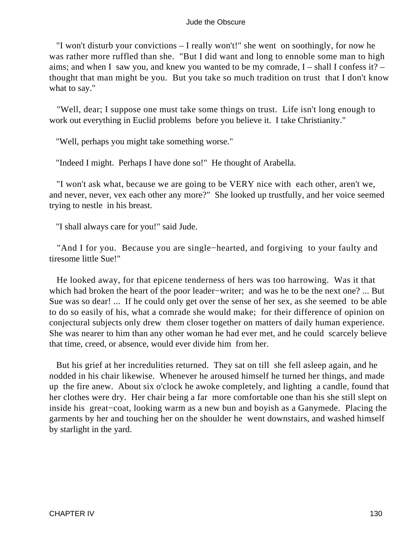"I won't disturb your convictions – I really won't!" she went on soothingly, for now he was rather more ruffled than she. "But I did want and long to ennoble some man to high aims; and when I saw you, and knew you wanted to be my comrade,  $I - \text{shall I confess it?}$ thought that man might be you. But you take so much tradition on trust that I don't know what to say."

 "Well, dear; I suppose one must take some things on trust. Life isn't long enough to work out everything in Euclid problems before you believe it. I take Christianity."

"Well, perhaps you might take something worse."

"Indeed I might. Perhaps I have done so!" He thought of Arabella.

 "I won't ask what, because we are going to be VERY nice with each other, aren't we, and never, never, vex each other any more?" She looked up trustfully, and her voice seemed trying to nestle in his breast.

"I shall always care for you!" said Jude.

 "And I for you. Because you are single−hearted, and forgiving to your faulty and tiresome little Sue!"

 He looked away, for that epicene tenderness of hers was too harrowing. Was it that which had broken the heart of the poor leader−writer; and was he to be the next one? ... But Sue was so dear! ... If he could only get over the sense of her sex, as she seemed to be able to do so easily of his, what a comrade she would make; for their difference of opinion on conjectural subjects only drew them closer together on matters of daily human experience. She was nearer to him than any other woman he had ever met, and he could scarcely believe that time, creed, or absence, would ever divide him from her.

 But his grief at her incredulities returned. They sat on till she fell asleep again, and he nodded in his chair likewise. Whenever he aroused himself he turned her things, and made up the fire anew. About six o'clock he awoke completely, and lighting a candle, found that her clothes were dry. Her chair being a far more comfortable one than his she still slept on inside his great−coat, looking warm as a new bun and boyish as a Ganymede. Placing the garments by her and touching her on the shoulder he went downstairs, and washed himself by starlight in the yard.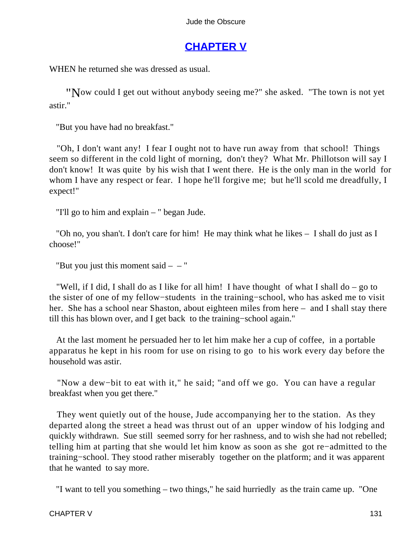# **[CHAPTER V](#page-367-0)**

WHEN he returned she was dressed as usual.

"Now could I get out without anybody seeing me?" she asked. "The town is not yet astir."

"But you have had no breakfast."

 "Oh, I don't want any! I fear I ought not to have run away from that school! Things seem so different in the cold light of morning, don't they? What Mr. Phillotson will say I don't know! It was quite by his wish that I went there. He is the only man in the world for whom I have any respect or fear. I hope he'll forgive me; but he'll scold me dreadfully, I expect!"

"I'll go to him and explain – " began Jude.

 "Oh no, you shan't. I don't care for him! He may think what he likes – I shall do just as I choose!"

"But you just this moment said  $- -$ "

 "Well, if I did, I shall do as I like for all him! I have thought of what I shall do – go to the sister of one of my fellow−students in the training−school, who has asked me to visit her. She has a school near Shaston, about eighteen miles from here – and I shall stay there till this has blown over, and I get back to the training−school again."

 At the last moment he persuaded her to let him make her a cup of coffee, in a portable apparatus he kept in his room for use on rising to go to his work every day before the household was astir.

 "Now a dew−bit to eat with it," he said; "and off we go. You can have a regular breakfast when you get there."

 They went quietly out of the house, Jude accompanying her to the station. As they departed along the street a head was thrust out of an upper window of his lodging and quickly withdrawn. Sue still seemed sorry for her rashness, and to wish she had not rebelled; telling him at parting that she would let him know as soon as she got re−admitted to the training−school. They stood rather miserably together on the platform; and it was apparent that he wanted to say more.

"I want to tell you something – two things," he said hurriedly as the train came up. "One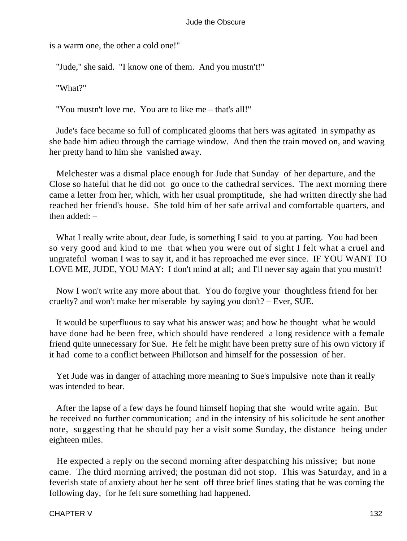is a warm one, the other a cold one!"

"Jude," she said. "I know one of them. And you mustn't!"

"What?"

"You mustn't love me. You are to like me – that's all!"

 Jude's face became so full of complicated glooms that hers was agitated in sympathy as she bade him adieu through the carriage window. And then the train moved on, and waving her pretty hand to him she vanished away.

 Melchester was a dismal place enough for Jude that Sunday of her departure, and the Close so hateful that he did not go once to the cathedral services. The next morning there came a letter from her, which, with her usual promptitude, she had written directly she had reached her friend's house. She told him of her safe arrival and comfortable quarters, and then added: –

What I really write about, dear Jude, is something I said to you at parting. You had been so very good and kind to me that when you were out of sight I felt what a cruel and ungrateful woman I was to say it, and it has reproached me ever since. IF YOU WANT TO LOVE ME, JUDE, YOU MAY: I don't mind at all; and I'll never say again that you mustn't!

 Now I won't write any more about that. You do forgive your thoughtless friend for her cruelty? and won't make her miserable by saying you don't? – Ever, SUE.

 It would be superfluous to say what his answer was; and how he thought what he would have done had he been free, which should have rendered a long residence with a female friend quite unnecessary for Sue. He felt he might have been pretty sure of his own victory if it had come to a conflict between Phillotson and himself for the possession of her.

 Yet Jude was in danger of attaching more meaning to Sue's impulsive note than it really was intended to bear.

 After the lapse of a few days he found himself hoping that she would write again. But he received no further communication; and in the intensity of his solicitude he sent another note, suggesting that he should pay her a visit some Sunday, the distance being under eighteen miles.

 He expected a reply on the second morning after despatching his missive; but none came. The third morning arrived; the postman did not stop. This was Saturday, and in a feverish state of anxiety about her he sent off three brief lines stating that he was coming the following day, for he felt sure something had happened.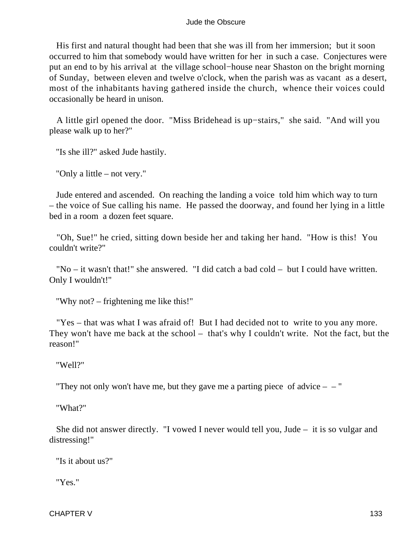His first and natural thought had been that she was ill from her immersion; but it soon occurred to him that somebody would have written for her in such a case. Conjectures were put an end to by his arrival at the village school−house near Shaston on the bright morning of Sunday, between eleven and twelve o'clock, when the parish was as vacant as a desert, most of the inhabitants having gathered inside the church, whence their voices could occasionally be heard in unison.

 A little girl opened the door. "Miss Bridehead is up−stairs," she said. "And will you please walk up to her?"

"Is she ill?" asked Jude hastily.

"Only a little – not very."

 Jude entered and ascended. On reaching the landing a voice told him which way to turn – the voice of Sue calling his name. He passed the doorway, and found her lying in a little bed in a room a dozen feet square.

 "Oh, Sue!" he cried, sitting down beside her and taking her hand. "How is this! You couldn't write?"

 "No – it wasn't that!" she answered. "I did catch a bad cold – but I could have written. Only I wouldn't!"

"Why not? – frightening me like this!"

 "Yes – that was what I was afraid of! But I had decided not to write to you any more. They won't have me back at the school – that's why I couldn't write. Not the fact, but the reason!"

"Well?"

"They not only won't have me, but they gave me a parting piece of advice  $-$  "

"What?"

 She did not answer directly. "I vowed I never would tell you, Jude – it is so vulgar and distressing!"

"Is it about us?"

"Yes."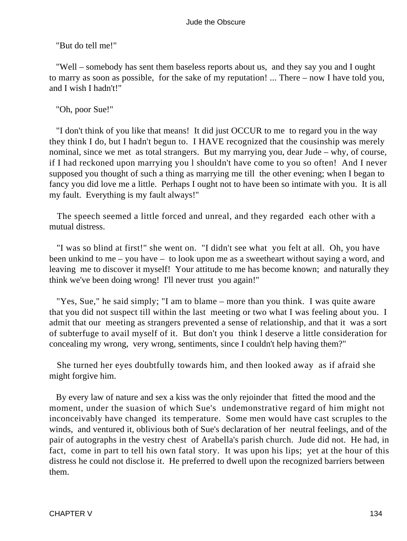"But do tell me!"

 "Well – somebody has sent them baseless reports about us, and they say you and I ought to marry as soon as possible, for the sake of my reputation! ... There – now I have told you, and I wish I hadn't!"

"Oh, poor Sue!"

 "I don't think of you like that means! It did just OCCUR to me to regard you in the way they think I do, but I hadn't begun to. I HAVE recognized that the cousinship was merely nominal, since we met as total strangers. But my marrying you, dear Jude – why, of course, if I had reckoned upon marrying you l shouldn't have come to you so often! And I never supposed you thought of such a thing as marrying me till the other evening; when I began to fancy you did love me a little. Perhaps I ought not to have been so intimate with you. It is all my fault. Everything is my fault always!"

 The speech seemed a little forced and unreal, and they regarded each other with a mutual distress.

 "I was so blind at first!" she went on. "I didn't see what you felt at all. Oh, you have been unkind to me – you have – to look upon me as a sweetheart without saying a word, and leaving me to discover it myself! Your attitude to me has become known; and naturally they think we've been doing wrong! I'll never trust you again!"

 "Yes, Sue," he said simply; "I am to blame – more than you think. I was quite aware that you did not suspect till within the last meeting or two what I was feeling about you. I admit that our meeting as strangers prevented a sense of relationship, and that it was a sort of subterfuge to avail myself of it. But don't you think l deserve a little consideration for concealing my wrong, very wrong, sentiments, since I couldn't help having them?"

 She turned her eyes doubtfully towards him, and then looked away as if afraid she might forgive him.

 By every law of nature and sex a kiss was the only rejoinder that fitted the mood and the moment, under the suasion of which Sue's undemonstrative regard of him might not inconceivably have changed its temperature. Some men would have cast scruples to the winds, and ventured it, oblivious both of Sue's declaration of her neutral feelings, and of the pair of autographs in the vestry chest of Arabella's parish church. Jude did not. He had, in fact, come in part to tell his own fatal story. It was upon his lips; yet at the hour of this distress he could not disclose it. He preferred to dwell upon the recognized barriers between them.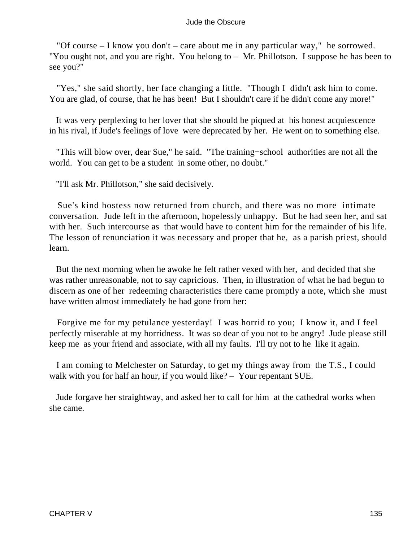"Of course – I know you don't – care about me in any particular way," he sorrowed. "You ought not, and you are right. You belong to – Mr. Phillotson. I suppose he has been to see you?"

 "Yes," she said shortly, her face changing a little. "Though I didn't ask him to come. You are glad, of course, that he has been! But I shouldn't care if he didn't come any more!"

 It was very perplexing to her lover that she should be piqued at his honest acquiescence in his rival, if Jude's feelings of love were deprecated by her. He went on to something else.

 "This will blow over, dear Sue," he said. "The training−school authorities are not all the world. You can get to be a student in some other, no doubt."

"I'll ask Mr. Phillotson," she said decisively.

 Sue's kind hostess now returned from church, and there was no more intimate conversation. Jude left in the afternoon, hopelessly unhappy. But he had seen her, and sat with her. Such intercourse as that would have to content him for the remainder of his life. The lesson of renunciation it was necessary and proper that he, as a parish priest, should learn.

 But the next morning when he awoke he felt rather vexed with her, and decided that she was rather unreasonable, not to say capricious. Then, in illustration of what he had begun to discern as one of her redeeming characteristics there came promptly a note, which she must have written almost immediately he had gone from her:

 Forgive me for my petulance yesterday! I was horrid to you; I know it, and I feel perfectly miserable at my horridness. It was so dear of you not to be angry! Jude please still keep me as your friend and associate, with all my faults. I'll try not to he like it again.

 I am coming to Melchester on Saturday, to get my things away from the T.S., I could walk with you for half an hour, if you would like? – Your repentant SUE.

 Jude forgave her straightway, and asked her to call for him at the cathedral works when she came.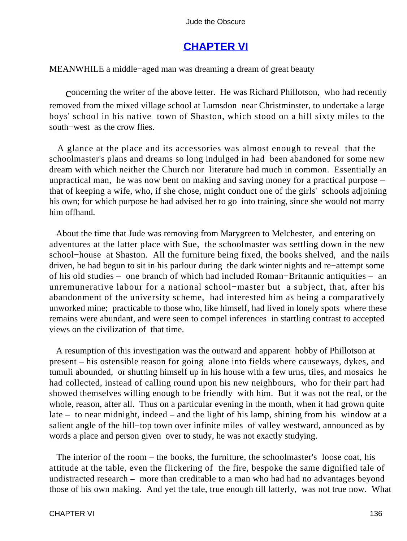# **[CHAPTER VI](#page-367-0)**

MEANWHILE a middle−aged man was dreaming a dream of great beauty

concerning the writer of the above letter. He was Richard Phillotson, who had recently removed from the mixed village school at Lumsdon near Christminster, to undertake a large boys' school in his native town of Shaston, which stood on a hill sixty miles to the south−west as the crow flies.

 A glance at the place and its accessories was almost enough to reveal that the schoolmaster's plans and dreams so long indulged in had been abandoned for some new dream with which neither the Church nor literature had much in common. Essentially an unpractical man, he was now bent on making and saving money for a practical purpose – that of keeping a wife, who, if she chose, might conduct one of the girls' schools adjoining his own; for which purpose he had advised her to go into training, since she would not marry him offhand.

 About the time that Jude was removing from Marygreen to Melchester, and entering on adventures at the latter place with Sue, the schoolmaster was settling down in the new school−house at Shaston. All the furniture being fixed, the books shelved, and the nails driven, he had begun to sit in his parlour during the dark winter nights and re−attempt some of his old studies – one branch of which had included Roman−Britannic antiquities – an unremunerative labour for a national school−master but a subject, that, after his abandonment of the university scheme, had interested him as being a comparatively unworked mine; practicable to those who, like himself, had lived in lonely spots where these remains were abundant, and were seen to compel inferences in startling contrast to accepted views on the civilization of that time.

 A resumption of this investigation was the outward and apparent hobby of Phillotson at present – his ostensible reason for going alone into fields where causeways, dykes, and tumuli abounded, or shutting himself up in his house with a few urns, tiles, and mosaics he had collected, instead of calling round upon his new neighbours, who for their part had showed themselves willing enough to be friendly with him. But it was not the real, or the whole, reason, after all. Thus on a particular evening in the month, when it had grown quite late – to near midnight, indeed – and the light of his lamp, shining from his window at a salient angle of the hill−top town over infinite miles of valley westward, announced as by words a place and person given over to study, he was not exactly studying.

 The interior of the room – the books, the furniture, the schoolmaster's loose coat, his attitude at the table, even the flickering of the fire, bespoke the same dignified tale of undistracted research – more than creditable to a man who had had no advantages beyond those of his own making. And yet the tale, true enough till latterly, was not true now. What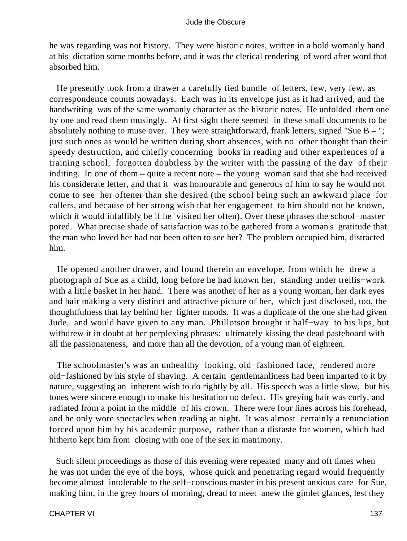he was regarding was not history. They were historic notes, written in a bold womanly hand at his dictation some months before, and it was the clerical rendering of word after word that absorbed him.

 He presently took from a drawer a carefully tied bundle of letters, few, very few, as correspondence counts nowadays. Each was in its envelope just as it had arrived, and the handwriting was of the same womanly character as the historic notes. He unfolded them one by one and read them musingly. At first sight there seemed in these small documents to be absolutely nothing to muse over. They were straightforward, frank letters, signed "Sue  $B -$ "; just such ones as would be written during short absences, with no other thought than their speedy destruction, and chiefly concerning books in reading and other experiences of a training school, forgotten doubtless by the writer with the passing of the day of their inditing. In one of them – quite a recent note – the young woman said that she had received his considerate letter, and that it was honourable and generous of him to say he would not come to see her oftener than she desired (the school being such an awkward place for callers, and because of her strong wish that her engagement to him should not be known, which it would infallibly be if he visited her often). Over these phrases the school−master pored. What precise shade of satisfaction was to be gathered from a woman's gratitude that the man who loved her had not been often to see her? The problem occupied him, distracted him.

 He opened another drawer, and found therein an envelope, from which he drew a photograph of Sue as a child, long before he had known her, standing under trellis−work with a little basket in her hand. There was another of her as a young woman, her dark eyes and hair making a very distinct and attractive picture of her, which just disclosed, too, the thoughtfulness that lay behind her lighter moods. It was a duplicate of the one she had given Jude, and would have given to any man. Phillotson brought it half−way to his lips, but withdrew it in doubt at her perplexing phrases: ultimately kissing the dead pasteboard with all the passionateness, and more than all the devotion, of a young man of eighteen.

 The schoolmaster's was an unhealthy−looking, old−fashioned face, rendered more old−fashioned by his style of shaving. A certain gentlemanliness had been imparted to it by nature, suggesting an inherent wish to do rightly by all. His speech was a little slow, but his tones were sincere enough to make his hesitation no defect. His greying hair was curly, and radiated from a point in the middle of his crown. There were four lines across his forehead, and he only wore spectacles when reading at night. It was almost certainly a renunciation forced upon him by his academic purpose, rather than a distaste for women, which had hitherto kept him from closing with one of the sex in matrimony.

 Such silent proceedings as those of this evening were repeated many and oft times when he was not under the eye of the boys, whose quick and penetrating regard would frequently become almost intolerable to the self−conscious master in his present anxious care for Sue, making him, in the grey hours of morning, dread to meet anew the gimlet glances, lest they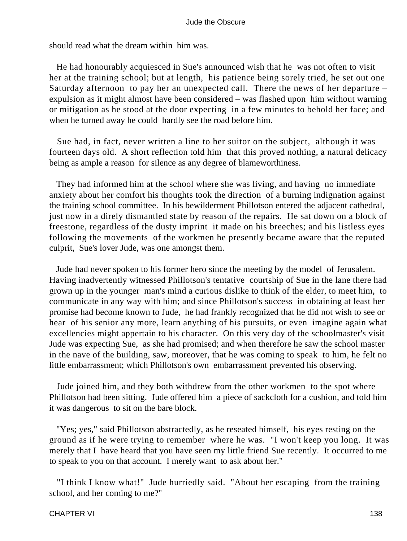should read what the dream within him was.

 He had honourably acquiesced in Sue's announced wish that he was not often to visit her at the training school; but at length, his patience being sorely tried, he set out one Saturday afternoon to pay her an unexpected call. There the news of her departure – expulsion as it might almost have been considered – was flashed upon him without warning or mitigation as he stood at the door expecting in a few minutes to behold her face; and when he turned away he could hardly see the road before him.

 Sue had, in fact, never written a line to her suitor on the subject, although it was fourteen days old. A short reflection told him that this proved nothing, a natural delicacy being as ample a reason for silence as any degree of blameworthiness.

 They had informed him at the school where she was living, and having no immediate anxiety about her comfort his thoughts took the direction of a burning indignation against the training school committee. In his bewilderment Phillotson entered the adjacent cathedral, just now in a direly dismantled state by reason of the repairs. He sat down on a block of freestone, regardless of the dusty imprint it made on his breeches; and his listless eyes following the movements of the workmen he presently became aware that the reputed culprit, Sue's lover Jude, was one amongst them.

 Jude had never spoken to his former hero since the meeting by the model of Jerusalem. Having inadvertently witnessed Phillotson's tentative courtship of Sue in the lane there had grown up in the younger man's mind a curious dislike to think of the elder, to meet him, to communicate in any way with him; and since Phillotson's success in obtaining at least her promise had become known to Jude, he had frankly recognized that he did not wish to see or hear of his senior any more, learn anything of his pursuits, or even imagine again what excellencies might appertain to his character. On this very day of the schoolmaster's visit Jude was expecting Sue, as she had promised; and when therefore he saw the school master in the nave of the building, saw, moreover, that he was coming to speak to him, he felt no little embarrassment; which Phillotson's own embarrassment prevented his observing.

 Jude joined him, and they both withdrew from the other workmen to the spot where Phillotson had been sitting. Jude offered him a piece of sackcloth for a cushion, and told him it was dangerous to sit on the bare block.

 "Yes; yes," said Phillotson abstractedly, as he reseated himself, his eyes resting on the ground as if he were trying to remember where he was. "I won't keep you long. It was merely that I have heard that you have seen my little friend Sue recently. It occurred to me to speak to you on that account. I merely want to ask about her."

 "I think I know what!" Jude hurriedly said. "About her escaping from the training school, and her coming to me?"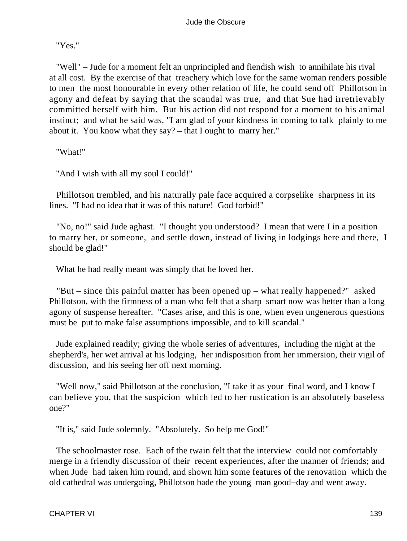"Yes."

 "Well" – Jude for a moment felt an unprincipled and fiendish wish to annihilate his rival at all cost. By the exercise of that treachery which love for the same woman renders possible to men the most honourable in every other relation of life, he could send off Phillotson in agony and defeat by saying that the scandal was true, and that Sue had irretrievably committed herself with him. But his action did not respond for a moment to his animal instinct; and what he said was, "I am glad of your kindness in coming to talk plainly to me about it. You know what they say? – that I ought to marry her."

"What!"

"And I wish with all my soul I could!"

 Phillotson trembled, and his naturally pale face acquired a corpselike sharpness in its lines. "I had no idea that it was of this nature! God forbid!"

 "No, no!" said Jude aghast. "I thought you understood? I mean that were I in a position to marry her, or someone, and settle down, instead of living in lodgings here and there, I should be glad!"

What he had really meant was simply that he loved her.

 "But – since this painful matter has been opened up – what really happened?" asked Phillotson, with the firmness of a man who felt that a sharp smart now was better than a long agony of suspense hereafter. "Cases arise, and this is one, when even ungenerous questions must be put to make false assumptions impossible, and to kill scandal."

 Jude explained readily; giving the whole series of adventures, including the night at the shepherd's, her wet arrival at his lodging, her indisposition from her immersion, their vigil of discussion, and his seeing her off next morning.

 "Well now," said Phillotson at the conclusion, "I take it as your final word, and I know I can believe you, that the suspicion which led to her rustication is an absolutely baseless one?"

"It is," said Jude solemnly. "Absolutely. So help me God!"

 The schoolmaster rose. Each of the twain felt that the interview could not comfortably merge in a friendly discussion of their recent experiences, after the manner of friends; and when Jude had taken him round, and shown him some features of the renovation which the old cathedral was undergoing, Phillotson bade the young man good−day and went away.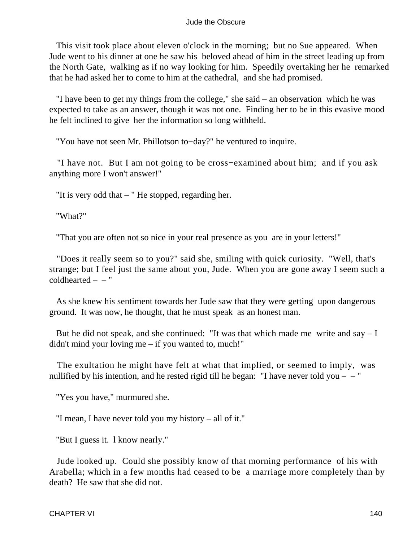This visit took place about eleven o'clock in the morning; but no Sue appeared. When Jude went to his dinner at one he saw his beloved ahead of him in the street leading up from the North Gate, walking as if no way looking for him. Speedily overtaking her he remarked that he had asked her to come to him at the cathedral, and she had promised.

 "I have been to get my things from the college," she said – an observation which he was expected to take as an answer, though it was not one. Finding her to be in this evasive mood he felt inclined to give her the information so long withheld.

"You have not seen Mr. Phillotson to−day?" he ventured to inquire.

 "I have not. But I am not going to be cross−examined about him; and if you ask anything more I won't answer!"

"It is very odd that – " He stopped, regarding her.

"What?"

"That you are often not so nice in your real presence as you are in your letters!"

 "Does it really seem so to you?" said she, smiling with quick curiosity. "Well, that's strange; but I feel just the same about you, Jude. When you are gone away I seem such a  $\text{coldhearted} = -$ "

 As she knew his sentiment towards her Jude saw that they were getting upon dangerous ground. It was now, he thought, that he must speak as an honest man.

But he did not speak, and she continued: "It was that which made me write and say  $-1$ didn't mind your loving me – if you wanted to, much!"

 The exultation he might have felt at what that implied, or seemed to imply, was nullified by his intention, and he rested rigid till he began: "I have never told you  $-$  "

"Yes you have," murmured she.

"I mean, I have never told you my history – all of it."

"But I guess it. l know nearly."

 Jude looked up. Could she possibly know of that morning performance of his with Arabella; which in a few months had ceased to be a marriage more completely than by death? He saw that she did not.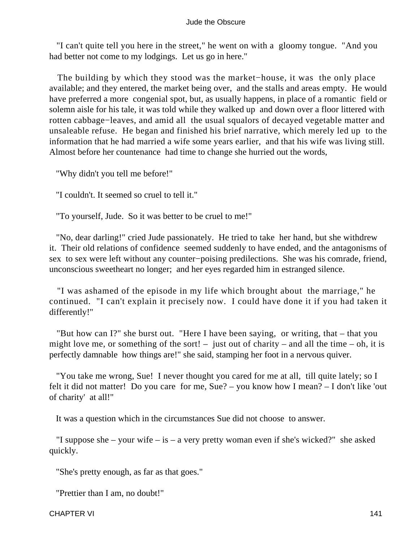"I can't quite tell you here in the street," he went on with a gloomy tongue. "And you had better not come to my lodgings. Let us go in here."

 The building by which they stood was the market−house, it was the only place available; and they entered, the market being over, and the stalls and areas empty. He would have preferred a more congenial spot, but, as usually happens, in place of a romantic field or solemn aisle for his tale, it was told while they walked up and down over a floor littered with rotten cabbage−leaves, and amid all the usual squalors of decayed vegetable matter and unsaleable refuse. He began and finished his brief narrative, which merely led up to the information that he had married a wife some years earlier, and that his wife was living still. Almost before her countenance had time to change she hurried out the words,

"Why didn't you tell me before!"

"I couldn't. It seemed so cruel to tell it."

"To yourself, Jude. So it was better to be cruel to me!"

 "No, dear darling!" cried Jude passionately. He tried to take her hand, but she withdrew it. Their old relations of confidence seemed suddenly to have ended, and the antagonisms of sex to sex were left without any counter−poising predilections. She was his comrade, friend, unconscious sweetheart no longer; and her eyes regarded him in estranged silence.

 "I was ashamed of the episode in my life which brought about the marriage," he continued. "I can't explain it precisely now. I could have done it if you had taken it differently!"

 "But how can I?" she burst out. "Here I have been saying, or writing, that – that you might love me, or something of the sort! – just out of charity – and all the time – oh, it is perfectly damnable how things are!" she said, stamping her foot in a nervous quiver.

 "You take me wrong, Sue! I never thought you cared for me at all, till quite lately; so I felt it did not matter! Do you care for me, Sue? – you know how I mean? – I don't like 'out of charity' at all!"

It was a question which in the circumstances Sue did not choose to answer.

"I suppose she – your wife – is – a very pretty woman even if she's wicked?" she asked quickly.

"She's pretty enough, as far as that goes."

"Prettier than I am, no doubt!"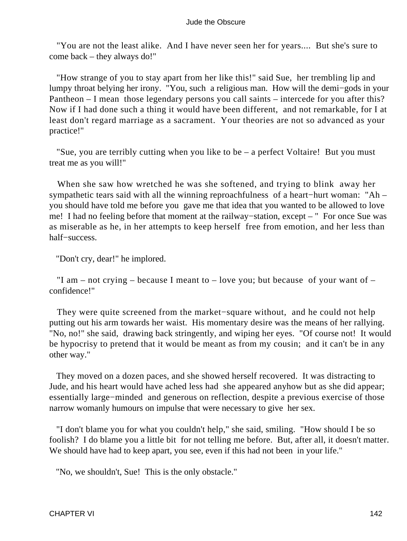"You are not the least alike. And I have never seen her for years.... But she's sure to come back – they always do!"

 "How strange of you to stay apart from her like this!" said Sue, her trembling lip and lumpy throat belying her irony. "You, such a religious man. How will the demi−gods in your Pantheon – I mean those legendary persons you call saints – intercede for you after this? Now if I had done such a thing it would have been different, and not remarkable, for I at least don't regard marriage as a sacrament. Your theories are not so advanced as your practice!"

 "Sue, you are terribly cutting when you like to be – a perfect Voltaire! But you must treat me as you will!"

 When she saw how wretched he was she softened, and trying to blink away her sympathetic tears said with all the winning reproachfulness of a heart−hurt woman: "Ah – you should have told me before you gave me that idea that you wanted to be allowed to love me! I had no feeling before that moment at the railway−station, except – " For once Sue was as miserable as he, in her attempts to keep herself free from emotion, and her less than half−success.

"Don't cry, dear!" he implored.

"I am – not crying – because I meant to – love you; but because of your want of – confidence!"

 They were quite screened from the market−square without, and he could not help putting out his arm towards her waist. His momentary desire was the means of her rallying. "No, no!" she said, drawing back stringently, and wiping her eyes. "Of course not! It would be hypocrisy to pretend that it would be meant as from my cousin; and it can't be in any other way."

 They moved on a dozen paces, and she showed herself recovered. It was distracting to Jude, and his heart would have ached less had she appeared anyhow but as she did appear; essentially large−minded and generous on reflection, despite a previous exercise of those narrow womanly humours on impulse that were necessary to give her sex.

 "I don't blame you for what you couldn't help," she said, smiling. "How should I be so foolish? I do blame you a little bit for not telling me before. But, after all, it doesn't matter. We should have had to keep apart, you see, even if this had not been in your life."

"No, we shouldn't, Sue! This is the only obstacle."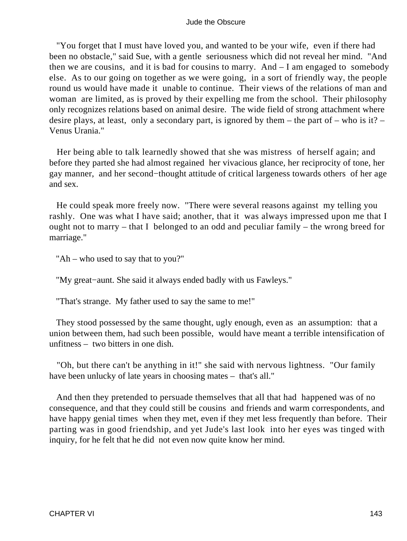"You forget that I must have loved you, and wanted to be your wife, even if there had been no obstacle," said Sue, with a gentle seriousness which did not reveal her mind. "And then we are cousins, and it is bad for cousins to marry. And – I am engaged to somebody else. As to our going on together as we were going, in a sort of friendly way, the people round us would have made it unable to continue. Their views of the relations of man and woman are limited, as is proved by their expelling me from the school. Their philosophy only recognizes relations based on animal desire. The wide field of strong attachment where desire plays, at least, only a secondary part, is ignored by them – the part of – who is it? – Venus Urania."

 Her being able to talk learnedly showed that she was mistress of herself again; and before they parted she had almost regained her vivacious glance, her reciprocity of tone, her gay manner, and her second−thought attitude of critical largeness towards others of her age and sex.

 He could speak more freely now. "There were several reasons against my telling you rashly. One was what I have said; another, that it was always impressed upon me that I ought not to marry – that I belonged to an odd and peculiar family – the wrong breed for marriage."

"Ah – who used to say that to you?"

"My great−aunt. She said it always ended badly with us Fawleys."

"That's strange. My father used to say the same to me!"

 They stood possessed by the same thought, ugly enough, even as an assumption: that a union between them, had such been possible, would have meant a terrible intensification of unfitness – two bitters in one dish.

 "Oh, but there can't be anything in it!" she said with nervous lightness. "Our family have been unlucky of late years in choosing mates – that's all."

 And then they pretended to persuade themselves that all that had happened was of no consequence, and that they could still be cousins and friends and warm correspondents, and have happy genial times when they met, even if they met less frequently than before. Their parting was in good friendship, and yet Jude's last look into her eyes was tinged with inquiry, for he felt that he did not even now quite know her mind.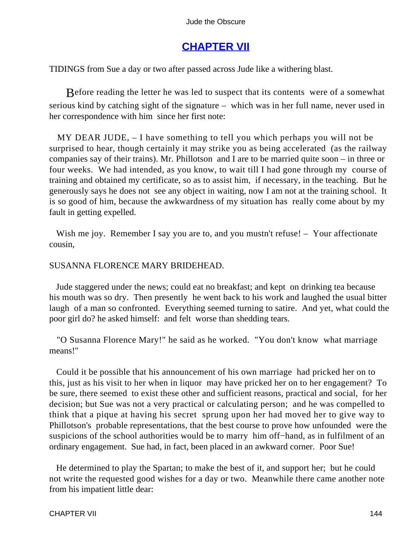# **[CHAPTER VII](#page-367-0)**

TIDINGS from Sue a day or two after passed across Jude like a withering blast.

Before reading the letter he was led to suspect that its contents were of a somewhat serious kind by catching sight of the signature – which was in her full name, never used in her correspondence with him since her first note:

 MY DEAR JUDE, – I have something to tell you which perhaps you will not be surprised to hear, though certainly it may strike you as being accelerated (as the railway companies say of their trains). Mr. Phillotson and I are to be married quite soon – in three or four weeks. We had intended, as you know, to wait till I had gone through my course of training and obtained my certificate, so as to assist him, if necessary, in the teaching. But he generously says he does not see any object in waiting, now I am not at the training school. It is so good of him, because the awkwardness of my situation has really come about by my fault in getting expelled.

Wish me joy. Remember I say you are to, and you mustn't refuse! – Your affectionate cousin,

### SUSANNA FLORENCE MARY BRIDEHEAD.

 Jude staggered under the news; could eat no breakfast; and kept on drinking tea because his mouth was so dry. Then presently he went back to his work and laughed the usual bitter laugh of a man so confronted. Everything seemed turning to satire. And yet, what could the poor girl do? he asked himself: and felt worse than shedding tears.

 "O Susanna Florence Mary!" he said as he worked. "You don't know what marriage means!"

 Could it be possible that his announcement of his own marriage had pricked her on to this, just as his visit to her when in liquor may have pricked her on to her engagement? To be sure, there seemed to exist these other and sufficient reasons, practical and social, for her decision; but Sue was not a very practical or calculating person; and he was compelled to think that a pique at having his secret sprung upon her had moved her to give way to Phillotson's probable representations, that the best course to prove how unfounded were the suspicions of the school authorities would be to marry him off–hand, as in fulfilment of an ordinary engagement. Sue had, in fact, been placed in an awkward corner. Poor Sue!

 He determined to play the Spartan; to make the best of it, and support her; but he could not write the requested good wishes for a day or two. Meanwhile there came another note from his impatient little dear: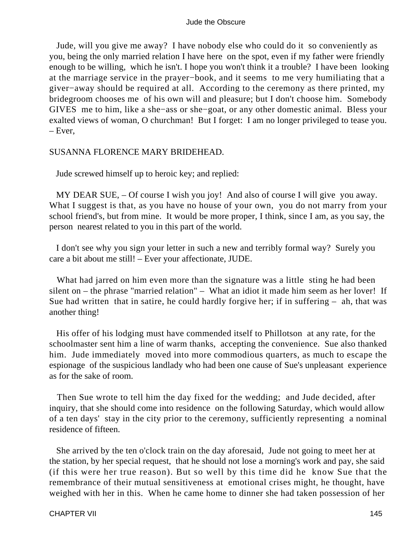Jude, will you give me away? I have nobody else who could do it so conveniently as you, being the only married relation I have here on the spot, even if my father were friendly enough to be willing, which he isn't. I hope you won't think it a trouble? I have been looking at the marriage service in the prayer−book, and it seems to me very humiliating that a giver−away should be required at all. According to the ceremony as there printed, my bridegroom chooses me of his own will and pleasure; but I don't choose him. Somebody GIVES me to him, like a she−ass or she−goat, or any other domestic animal. Bless your exalted views of woman, O churchman! But I forget: I am no longer privileged to tease you. – Ever,

### SUSANNA FLORENCE MARY BRIDEHEAD.

Jude screwed himself up to heroic key; and replied:

 MY DEAR SUE, – Of course I wish you joy! And also of course I will give you away. What I suggest is that, as you have no house of your own, you do not marry from your school friend's, but from mine. It would be more proper, I think, since I am, as you say, the person nearest related to you in this part of the world.

 I don't see why you sign your letter in such a new and terribly formal way? Surely you care a bit about me still! – Ever your affectionate, JUDE.

What had jarred on him even more than the signature was a little sting he had been silent on – the phrase "married relation" – What an idiot it made him seem as her lover! If Sue had written that in satire, he could hardly forgive her; if in suffering – ah, that was another thing!

 His offer of his lodging must have commended itself to Phillotson at any rate, for the schoolmaster sent him a line of warm thanks, accepting the convenience. Sue also thanked him. Jude immediately moved into more commodious quarters, as much to escape the espionage of the suspicious landlady who had been one cause of Sue's unpleasant experience as for the sake of room.

 Then Sue wrote to tell him the day fixed for the wedding; and Jude decided, after inquiry, that she should come into residence on the following Saturday, which would allow of a ten days' stay in the city prior to the ceremony, sufficiently representing a nominal residence of fifteen.

 She arrived by the ten o'clock train on the day aforesaid, Jude not going to meet her at the station, by her special request, that he should not lose a morning's work and pay, she said (if this were her true reason). But so well by this time did he know Sue that the remembrance of their mutual sensitiveness at emotional crises might, he thought, have weighed with her in this. When he came home to dinner she had taken possession of her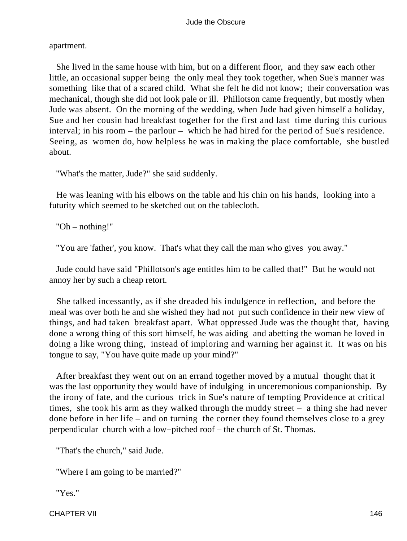apartment.

 She lived in the same house with him, but on a different floor, and they saw each other little, an occasional supper being the only meal they took together, when Sue's manner was something like that of a scared child. What she felt he did not know; their conversation was mechanical, though she did not look pale or ill. Phillotson came frequently, but mostly when Jude was absent. On the morning of the wedding, when Jude had given himself a holiday, Sue and her cousin had breakfast together for the first and last time during this curious interval; in his room – the parlour – which he had hired for the period of Sue's residence. Seeing, as women do, how helpless he was in making the place comfortable, she bustled about.

"What's the matter, Jude?" she said suddenly.

 He was leaning with his elbows on the table and his chin on his hands, looking into a futurity which seemed to be sketched out on the tablecloth.

"Oh – nothing!"

"You are 'father', you know. That's what they call the man who gives you away."

 Jude could have said "Phillotson's age entitles him to be called that!" But he would not annoy her by such a cheap retort.

 She talked incessantly, as if she dreaded his indulgence in reflection, and before the meal was over both he and she wished they had not put such confidence in their new view of things, and had taken breakfast apart. What oppressed Jude was the thought that, having done a wrong thing of this sort himself, he was aiding and abetting the woman he loved in doing a like wrong thing, instead of imploring and warning her against it. It was on his tongue to say, "You have quite made up your mind?"

 After breakfast they went out on an errand together moved by a mutual thought that it was the last opportunity they would have of indulging in unceremonious companionship. By the irony of fate, and the curious trick in Sue's nature of tempting Providence at critical times, she took his arm as they walked through the muddy street – a thing she had never done before in her life – and on turning the corner they found themselves close to a grey perpendicular church with a low−pitched roof – the church of St. Thomas.

"That's the church," said Jude.

"Where I am going to be married?"

"Yes."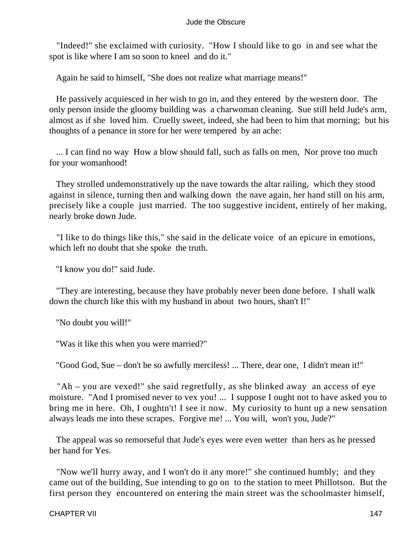"Indeed!" she exclaimed with curiosity. "How I should like to go in and see what the spot is like where I am so soon to kneel and do it."

Again he said to himself, "She does not realize what marriage means!"

 He passively acquiesced in her wish to go in, and they entered by the western door. The only person inside the gloomy building was a charwoman cleaning. Sue still held Jude's arm, almost as if she loved him. Cruelly sweet, indeed, she had been to him that morning; but his thoughts of a penance in store for her were tempered by an ache:

 ... I can find no way How a blow should fall, such as falls on men, Nor prove too much for your womanhood!

 They strolled undemonstratively up the nave towards the altar railing, which they stood against in silence, turning then and walking down the nave again, her hand still on his arm, precisely like a couple just married. The too suggestive incident, entirely of her making, nearly broke down Jude.

 "I like to do things like this," she said in the delicate voice of an epicure in emotions, which left no doubt that she spoke the truth.

"I know you do!" said Jude.

 "They are interesting, because they have probably never been done before. I shall walk down the church like this with my husband in about two hours, shan't I!"

"No doubt you will!"

"Was it like this when you were married?"

"Good God, Sue – don't be so awfully merciless! ... There, dear one, I didn't mean it!"

 "Ah – you are vexed!" she said regretfully, as she blinked away an access of eye moisture. "And I promised never to vex you! ... I suppose I ought not to have asked you to bring me in here. Oh, I oughtn't! I see it now. My curiosity to hunt up a new sensation always leads me into these scrapes. Forgive me! ... You will, won't you, Jude?"

 The appeal was so remorseful that Jude's eyes were even wetter than hers as he pressed her hand for Yes.

 "Now we'll hurry away, and I won't do it any more!" she continued humbly; and they came out of the building, Sue intending to go on to the station to meet Phillotson. But the first person they encountered on entering the main street was the schoolmaster himself,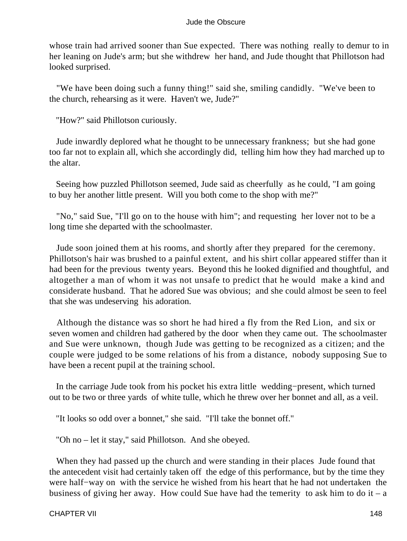whose train had arrived sooner than Sue expected. There was nothing really to demur to in her leaning on Jude's arm; but she withdrew her hand, and Jude thought that Phillotson had looked surprised.

 "We have been doing such a funny thing!" said she, smiling candidly. "We've been to the church, rehearsing as it were. Haven't we, Jude?"

"How?" said Phillotson curiously.

 Jude inwardly deplored what he thought to be unnecessary frankness; but she had gone too far not to explain all, which she accordingly did, telling him how they had marched up to the altar.

 Seeing how puzzled Phillotson seemed, Jude said as cheerfully as he could, "I am going to buy her another little present. Will you both come to the shop with me?"

 "No," said Sue, "I'll go on to the house with him"; and requesting her lover not to be a long time she departed with the schoolmaster.

 Jude soon joined them at his rooms, and shortly after they prepared for the ceremony. Phillotson's hair was brushed to a painful extent, and his shirt collar appeared stiffer than it had been for the previous twenty years. Beyond this he looked dignified and thoughtful, and altogether a man of whom it was not unsafe to predict that he would make a kind and considerate husband. That he adored Sue was obvious; and she could almost be seen to feel that she was undeserving his adoration.

 Although the distance was so short he had hired a fly from the Red Lion, and six or seven women and children had gathered by the door when they came out. The schoolmaster and Sue were unknown, though Jude was getting to be recognized as a citizen; and the couple were judged to be some relations of his from a distance, nobody supposing Sue to have been a recent pupil at the training school.

 In the carriage Jude took from his pocket his extra little wedding−present, which turned out to be two or three yards of white tulle, which he threw over her bonnet and all, as a veil.

"It looks so odd over a bonnet," she said. "I'll take the bonnet off."

"Oh no – let it stay," said Phillotson. And she obeyed.

 When they had passed up the church and were standing in their places Jude found that the antecedent visit had certainly taken off the edge of this performance, but by the time they were half−way on with the service he wished from his heart that he had not undertaken the business of giving her away. How could Sue have had the temerity to ask him to do it – a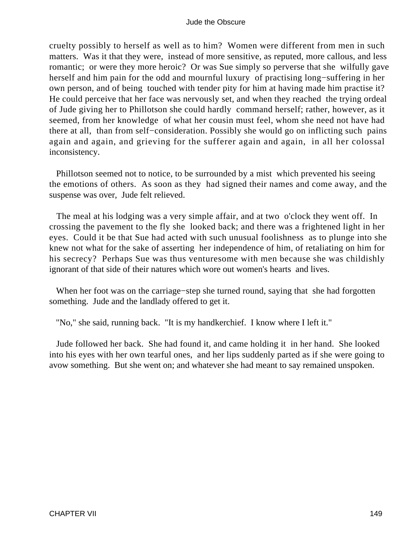cruelty possibly to herself as well as to him? Women were different from men in such matters. Was it that they were, instead of more sensitive, as reputed, more callous, and less romantic; or were they more heroic? Or was Sue simply so perverse that she wilfully gave herself and him pain for the odd and mournful luxury of practising long−suffering in her own person, and of being touched with tender pity for him at having made him practise it? He could perceive that her face was nervously set, and when they reached the trying ordeal of Jude giving her to Phillotson she could hardly command herself; rather, however, as it seemed, from her knowledge of what her cousin must feel, whom she need not have had there at all, than from self−consideration. Possibly she would go on inflicting such pains again and again, and grieving for the sufferer again and again, in all her colossal inconsistency.

 Phillotson seemed not to notice, to be surrounded by a mist which prevented his seeing the emotions of others. As soon as they had signed their names and come away, and the suspense was over, Jude felt relieved.

 The meal at his lodging was a very simple affair, and at two o'clock they went off. In crossing the pavement to the fly she looked back; and there was a frightened light in her eyes. Could it be that Sue had acted with such unusual foolishness as to plunge into she knew not what for the sake of asserting her independence of him, of retaliating on him for his secrecy? Perhaps Sue was thus venturesome with men because she was childishly ignorant of that side of their natures which wore out women's hearts and lives.

 When her foot was on the carriage−step she turned round, saying that she had forgotten something. Jude and the landlady offered to get it.

"No," she said, running back. "It is my handkerchief. I know where I left it."

 Jude followed her back. She had found it, and came holding it in her hand. She looked into his eyes with her own tearful ones, and her lips suddenly parted as if she were going to avow something. But she went on; and whatever she had meant to say remained unspoken.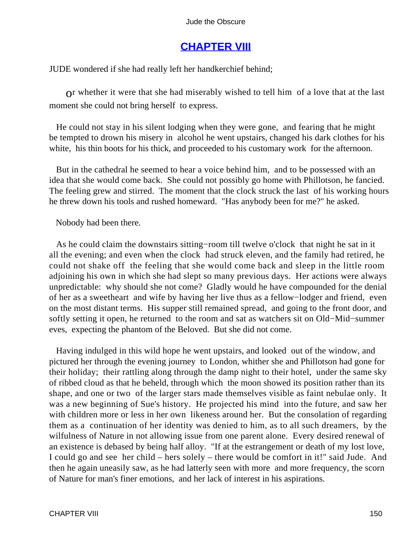# **[CHAPTER VIII](#page-367-0)**

JUDE wondered if she had really left her handkerchief behind;

or whether it were that she had miserably wished to tell him of a love that at the last moment she could not bring herself to express.

 He could not stay in his silent lodging when they were gone, and fearing that he might be tempted to drown his misery in alcohol he went upstairs, changed his dark clothes for his white, his thin boots for his thick, and proceeded to his customary work for the afternoon.

 But in the cathedral he seemed to hear a voice behind him, and to be possessed with an idea that she would come back. She could not possibly go home with Phillotson, he fancied. The feeling grew and stirred. The moment that the clock struck the last of his working hours he threw down his tools and rushed homeward. "Has anybody been for me?" he asked.

### Nobody had been there.

 As he could claim the downstairs sitting−room till twelve o'clock that night he sat in it all the evening; and even when the clock had struck eleven, and the family had retired, he could not shake off the feeling that she would come back and sleep in the little room adjoining his own in which she had slept so many previous days. Her actions were always unpredictable: why should she not come? Gladly would he have compounded for the denial of her as a sweetheart and wife by having her live thus as a fellow−lodger and friend, even on the most distant terms. His supper still remained spread, and going to the front door, and softly setting it open, he returned to the room and sat as watchers sit on Old−Mid−summer eves, expecting the phantom of the Beloved. But she did not come.

 Having indulged in this wild hope he went upstairs, and looked out of the window, and pictured her through the evening journey to London, whither she and Phillotson had gone for their holiday; their rattling along through the damp night to their hotel, under the same sky of ribbed cloud as that he beheld, through which the moon showed its position rather than its shape, and one or two of the larger stars made themselves visible as faint nebulae only. It was a new beginning of Sue's history. He projected his mind into the future, and saw her with children more or less in her own likeness around her. But the consolation of regarding them as a continuation of her identity was denied to him, as to all such dreamers, by the wilfulness of Nature in not allowing issue from one parent alone. Every desired renewal of an existence is debased by being half alloy. "If at the estrangement or death of my lost love, I could go and see her child – hers solely – there would be comfort in it!" said Jude. And then he again uneasily saw, as he had latterly seen with more and more frequency, the scorn of Nature for man's finer emotions, and her lack of interest in his aspirations.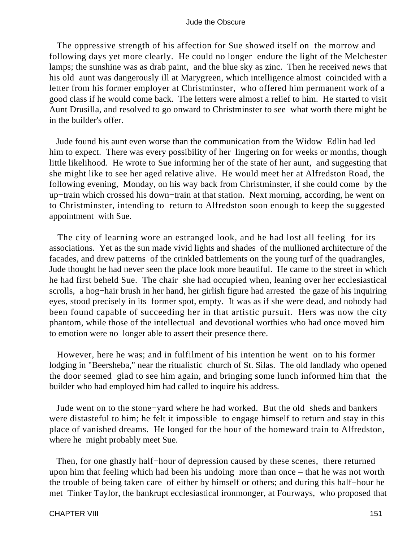The oppressive strength of his affection for Sue showed itself on the morrow and following days yet more clearly. He could no longer endure the light of the Melchester lamps; the sunshine was as drab paint, and the blue sky as zinc. Then he received news that his old aunt was dangerously ill at Marygreen, which intelligence almost coincided with a letter from his former employer at Christminster, who offered him permanent work of a good class if he would come back. The letters were almost a relief to him. He started to visit Aunt Drusilla, and resolved to go onward to Christminster to see what worth there might be in the builder's offer.

 Jude found his aunt even worse than the communication from the Widow Edlin had led him to expect. There was every possibility of her lingering on for weeks or months, though little likelihood. He wrote to Sue informing her of the state of her aunt, and suggesting that she might like to see her aged relative alive. He would meet her at Alfredston Road, the following evening, Monday, on his way back from Christminster, if she could come by the up−train which crossed his down−train at that station. Next morning, according, he went on to Christminster, intending to return to Alfredston soon enough to keep the suggested appointment with Sue.

 The city of learning wore an estranged look, and he had lost all feeling for its associations. Yet as the sun made vivid lights and shades of the mullioned architecture of the facades, and drew patterns of the crinkled battlements on the young turf of the quadrangles, Jude thought he had never seen the place look more beautiful. He came to the street in which he had first beheld Sue. The chair she had occupied when, leaning over her ecclesiastical scrolls, a hog−hair brush in her hand, her girlish figure had arrested the gaze of his inquiring eyes, stood precisely in its former spot, empty. It was as if she were dead, and nobody had been found capable of succeeding her in that artistic pursuit. Hers was now the city phantom, while those of the intellectual and devotional worthies who had once moved him to emotion were no longer able to assert their presence there.

 However, here he was; and in fulfilment of his intention he went on to his former lodging in "Beersheba," near the ritualistic church of St. Silas. The old landlady who opened the door seemed glad to see him again, and bringing some lunch informed him that the builder who had employed him had called to inquire his address.

 Jude went on to the stone−yard where he had worked. But the old sheds and bankers were distasteful to him; he felt it impossible to engage himself to return and stay in this place of vanished dreams. He longed for the hour of the homeward train to Alfredston, where he might probably meet Sue.

Then, for one ghastly half–hour of depression caused by these scenes, there returned upon him that feeling which had been his undoing more than once – that he was not worth the trouble of being taken care of either by himself or others; and during this half−hour he met Tinker Taylor, the bankrupt ecclesiastical ironmonger, at Fourways, who proposed that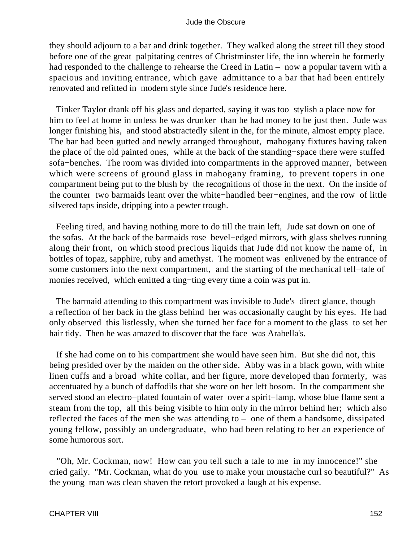they should adjourn to a bar and drink together. They walked along the street till they stood before one of the great palpitating centres of Christminster life, the inn wherein he formerly had responded to the challenge to rehearse the Creed in Latin – now a popular tavern with a spacious and inviting entrance, which gave admittance to a bar that had been entirely renovated and refitted in modern style since Jude's residence here.

 Tinker Taylor drank off his glass and departed, saying it was too stylish a place now for him to feel at home in unless he was drunker than he had money to be just then. Jude was longer finishing his, and stood abstractedly silent in the, for the minute, almost empty place. The bar had been gutted and newly arranged throughout, mahogany fixtures having taken the place of the old painted ones, while at the back of the standing−space there were stuffed sofa−benches. The room was divided into compartments in the approved manner, between which were screens of ground glass in mahogany framing, to prevent topers in one compartment being put to the blush by the recognitions of those in the next. On the inside of the counter two barmaids leant over the white−handled beer−engines, and the row of little silvered taps inside, dripping into a pewter trough.

 Feeling tired, and having nothing more to do till the train left, Jude sat down on one of the sofas. At the back of the barmaids rose bevel−edged mirrors, with glass shelves running along their front, on which stood precious liquids that Jude did not know the name of, in bottles of topaz, sapphire, ruby and amethyst. The moment was enlivened by the entrance of some customers into the next compartment, and the starting of the mechanical tell−tale of monies received, which emitted a ting−ting every time a coin was put in.

 The barmaid attending to this compartment was invisible to Jude's direct glance, though a reflection of her back in the glass behind her was occasionally caught by his eyes. He had only observed this listlessly, when she turned her face for a moment to the glass to set her hair tidy. Then he was amazed to discover that the face was Arabella's.

 If she had come on to his compartment she would have seen him. But she did not, this being presided over by the maiden on the other side. Abby was in a black gown, with white linen cuffs and a broad white collar, and her figure, more developed than formerly, was accentuated by a bunch of daffodils that she wore on her left bosom. In the compartment she served stood an electro−plated fountain of water over a spirit−lamp, whose blue flame sent a steam from the top, all this being visible to him only in the mirror behind her; which also reflected the faces of the men she was attending to – one of them a handsome, dissipated young fellow, possibly an undergraduate, who had been relating to her an experience of some humorous sort.

 "Oh, Mr. Cockman, now! How can you tell such a tale to me in my innocence!" she cried gaily. "Mr. Cockman, what do you use to make your moustache curl so beautiful?" As the young man was clean shaven the retort provoked a laugh at his expense.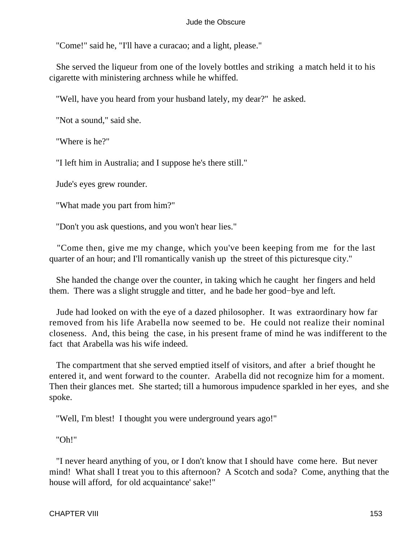"Come!" said he, "I'll have a curacao; and a light, please."

 She served the liqueur from one of the lovely bottles and striking a match held it to his cigarette with ministering archness while he whiffed.

"Well, have you heard from your husband lately, my dear?" he asked.

"Not a sound," said she.

"Where is he?"

"I left him in Australia; and I suppose he's there still."

Jude's eyes grew rounder.

"What made you part from him?"

"Don't you ask questions, and you won't hear lies."

 "Come then, give me my change, which you've been keeping from me for the last quarter of an hour; and I'll romantically vanish up the street of this picturesque city."

 She handed the change over the counter, in taking which he caught her fingers and held them. There was a slight struggle and titter, and he bade her good−bye and left.

 Jude had looked on with the eye of a dazed philosopher. It was extraordinary how far removed from his life Arabella now seemed to be. He could not realize their nominal closeness. And, this being the case, in his present frame of mind he was indifferent to the fact that Arabella was his wife indeed.

 The compartment that she served emptied itself of visitors, and after a brief thought he entered it, and went forward to the counter. Arabella did not recognize him for a moment. Then their glances met. She started; till a humorous impudence sparkled in her eyes, and she spoke.

"Well, I'm blest! I thought you were underground years ago!"

"Oh!"

 "I never heard anything of you, or I don't know that I should have come here. But never mind! What shall I treat you to this afternoon? A Scotch and soda? Come, anything that the house will afford, for old acquaintance' sake!"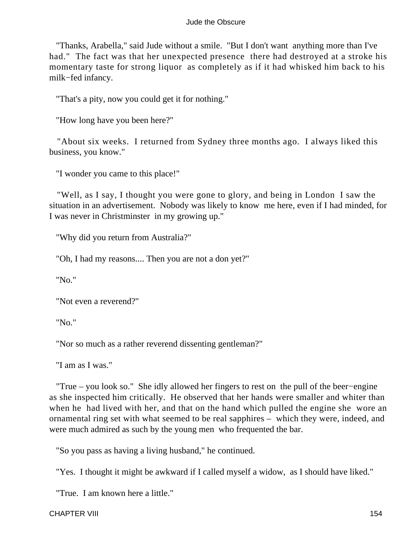"Thanks, Arabella," said Jude without a smile. "But I don't want anything more than I've had." The fact was that her unexpected presence there had destroyed at a stroke his momentary taste for strong liquor as completely as if it had whisked him back to his milk−fed infancy.

"That's a pity, now you could get it for nothing."

"How long have you been here?"

 "About six weeks. I returned from Sydney three months ago. I always liked this business, you know."

"I wonder you came to this place!"

 "Well, as I say, I thought you were gone to glory, and being in London I saw the situation in an advertisement. Nobody was likely to know me here, even if I had minded, for I was never in Christminster in my growing up."

"Why did you return from Australia?"

"Oh, I had my reasons.... Then you are not a don yet?"

"No."

"Not even a reverend?"

"No."

"Nor so much as a rather reverend dissenting gentleman?"

"I am as I was."

 "True – you look so." She idly allowed her fingers to rest on the pull of the beer−engine as she inspected him critically. He observed that her hands were smaller and whiter than when he had lived with her, and that on the hand which pulled the engine she wore an ornamental ring set with what seemed to be real sapphires – which they were, indeed, and were much admired as such by the young men who frequented the bar.

"So you pass as having a living husband," he continued.

"Yes. I thought it might be awkward if I called myself a widow, as I should have liked."

"True. I am known here a little."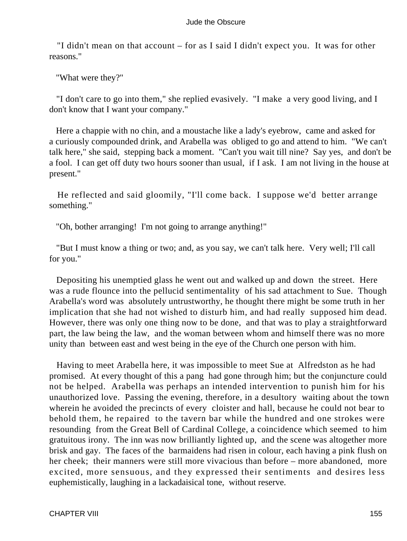"I didn't mean on that account – for as I said I didn't expect you. It was for other reasons."

"What were they?"

 "I don't care to go into them," she replied evasively. "I make a very good living, and I don't know that I want your company."

 Here a chappie with no chin, and a moustache like a lady's eyebrow, came and asked for a curiously compounded drink, and Arabella was obliged to go and attend to him. "We can't talk here," she said, stepping back a moment. "Can't you wait till nine? Say yes, and don't be a fool. I can get off duty two hours sooner than usual, if I ask. I am not living in the house at present."

 He reflected and said gloomily, "I'll come back. I suppose we'd better arrange something."

"Oh, bother arranging! I'm not going to arrange anything!"

 "But I must know a thing or two; and, as you say, we can't talk here. Very well; I'll call for you."

 Depositing his unemptied glass he went out and walked up and down the street. Here was a rude flounce into the pellucid sentimentality of his sad attachment to Sue. Though Arabella's word was absolutely untrustworthy, he thought there might be some truth in her implication that she had not wished to disturb him, and had really supposed him dead. However, there was only one thing now to be done, and that was to play a straightforward part, the law being the law, and the woman between whom and himself there was no more unity than between east and west being in the eye of the Church one person with him.

 Having to meet Arabella here, it was impossible to meet Sue at Alfredston as he had promised. At every thought of this a pang had gone through him; but the conjuncture could not be helped. Arabella was perhaps an intended intervention to punish him for his unauthorized love. Passing the evening, therefore, in a desultory waiting about the town wherein he avoided the precincts of every cloister and hall, because he could not bear to behold them, he repaired to the tavern bar while the hundred and one strokes were resounding from the Great Bell of Cardinal College, a coincidence which seemed to him gratuitous irony. The inn was now brilliantly lighted up, and the scene was altogether more brisk and gay. The faces of the barmaidens had risen in colour, each having a pink flush on her cheek; their manners were still more vivacious than before – more abandoned, more excited, more sensuous, and they expressed their sentiments and desires less euphemistically, laughing in a lackadaisical tone, without reserve.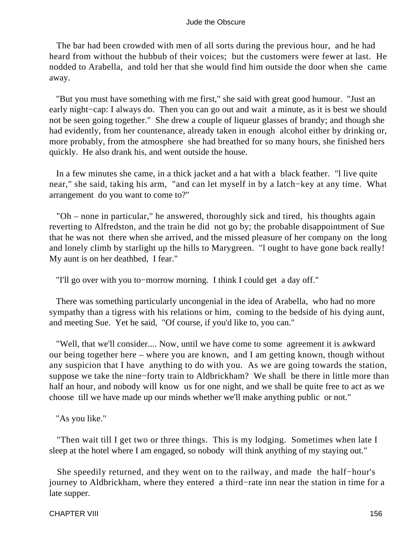The bar had been crowded with men of all sorts during the previous hour, and he had heard from without the hubbub of their voices; but the customers were fewer at last. He nodded to Arabella, and told her that she would find him outside the door when she came away.

 "But you must have something with me first," she said with great good humour. "Just an early night−cap: I always do. Then you can go out and wait a minute, as it is best we should not be seen going together." She drew a couple of liqueur glasses of brandy; and though she had evidently, from her countenance, already taken in enough alcohol either by drinking or, more probably, from the atmosphere she had breathed for so many hours, she finished hers quickly. He also drank his, and went outside the house.

 In a few minutes she came, in a thick jacket and a hat with a black feather. "l live quite near," she said, taking his arm, "and can let myself in by a latch−key at any time. What arrangement do you want to come to?"

 "Oh – none in particular," he answered, thoroughly sick and tired, his thoughts again reverting to Alfredston, and the train he did not go by; the probable disappointment of Sue that he was not there when she arrived, and the missed pleasure of her company on the long and lonely climb by starlight up the hills to Marygreen. "l ought to have gone back really! My aunt is on her deathbed, I fear."

"I'll go over with you to−morrow morning. I think I could get a day off."

 There was something particularly uncongenial in the idea of Arabella, who had no more sympathy than a tigress with his relations or him, coming to the bedside of his dying aunt, and meeting Sue. Yet he said, "Of course, if you'd like to, you can."

 "Well, that we'll consider.... Now, until we have come to some agreement it is awkward our being together here – where you are known, and I am getting known, though without any suspicion that I have anything to do with you. As we are going towards the station, suppose we take the nine−forty train to Aldbrickham? We shall be there in little more than half an hour, and nobody will know us for one night, and we shall be quite free to act as we choose till we have made up our minds whether we'll make anything public or not."

"As you like."

 "Then wait till I get two or three things. This is my lodging. Sometimes when late I sleep at the hotel where I am engaged, so nobody will think anything of my staying out."

 She speedily returned, and they went on to the railway, and made the half−hour's journey to Aldbrickham, where they entered a third−rate inn near the station in time for a late supper.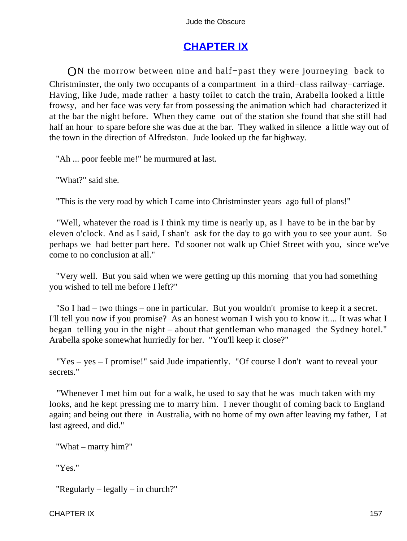# **[CHAPTER IX](#page-367-0)**

ON the morrow between nine and half–past they were journeying back to Christminster, the only two occupants of a compartment in a third−class railway−carriage. Having, like Jude, made rather a hasty toilet to catch the train, Arabella looked a little frowsy, and her face was very far from possessing the animation which had characterized it at the bar the night before. When they came out of the station she found that she still had half an hour to spare before she was due at the bar. They walked in silence a little way out of the town in the direction of Alfredston. Jude looked up the far highway.

"Ah ... poor feeble me!" he murmured at last.

"What?" said she.

"This is the very road by which I came into Christminster years ago full of plans!"

 "Well, whatever the road is I think my time is nearly up, as I have to be in the bar by eleven o'clock. And as I said, I shan't ask for the day to go with you to see your aunt. So perhaps we had better part here. I'd sooner not walk up Chief Street with you, since we've come to no conclusion at all."

 "Very well. But you said when we were getting up this morning that you had something you wished to tell me before I left?"

 "So I had – two things – one in particular. But you wouldn't promise to keep it a secret. I'll tell you now if you promise? As an honest woman I wish you to know it.... It was what I began telling you in the night – about that gentleman who managed the Sydney hotel." Arabella spoke somewhat hurriedly for her. "You'll keep it close?"

 "Yes – yes – I promise!" said Jude impatiently. "Of course I don't want to reveal your secrets."

 "Whenever I met him out for a walk, he used to say that he was much taken with my looks, and he kept pressing me to marry him. I never thought of coming back to England again; and being out there in Australia, with no home of my own after leaving my father, I at last agreed, and did."

"What – marry him?"

"Yes."

"Regularly – legally – in church?"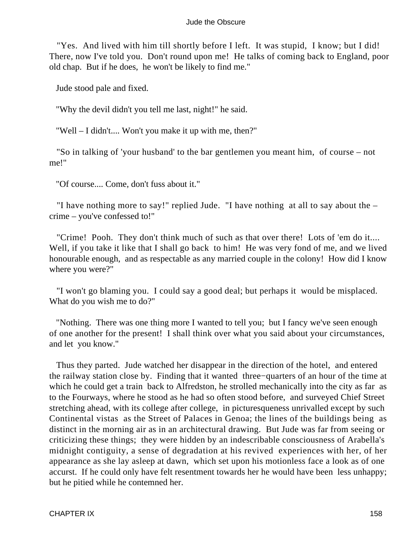"Yes. And lived with him till shortly before I left. It was stupid, I know; but I did! There, now I've told you. Don't round upon me! He talks of coming back to England, poor old chap. But if he does, he won't be likely to find me."

Jude stood pale and fixed.

"Why the devil didn't you tell me last, night!" he said.

"Well – I didn't.... Won't you make it up with me, then?"

 "So in talking of 'your husband' to the bar gentlemen you meant him, of course – not me!"

"Of course.... Come, don't fuss about it."

 "I have nothing more to say!" replied Jude. "I have nothing at all to say about the – crime – you've confessed to!"

 "Crime! Pooh. They don't think much of such as that over there! Lots of 'em do it.... Well, if you take it like that I shall go back to him! He was very fond of me, and we lived honourable enough, and as respectable as any married couple in the colony! How did I know where you were?"

 "I won't go blaming you. I could say a good deal; but perhaps it would be misplaced. What do you wish me to do?"

 "Nothing. There was one thing more I wanted to tell you; but I fancy we've seen enough of one another for the present! I shall think over what you said about your circumstances, and let you know."

 Thus they parted. Jude watched her disappear in the direction of the hotel, and entered the railway station close by. Finding that it wanted three−quarters of an hour of the time at which he could get a train back to Alfredston, he strolled mechanically into the city as far as to the Fourways, where he stood as he had so often stood before, and surveyed Chief Street stretching ahead, with its college after college, in picturesqueness unrivalled except by such Continental vistas as the Street of Palaces in Genoa; the lines of the buildings being as distinct in the morning air as in an architectural drawing. But Jude was far from seeing or criticizing these things; they were hidden by an indescribable consciousness of Arabella's midnight contiguity, a sense of degradation at his revived experiences with her, of her appearance as she lay asleep at dawn, which set upon his motionless face a look as of one accurst. If he could only have felt resentment towards her he would have been less unhappy; but he pitied while he contemned her.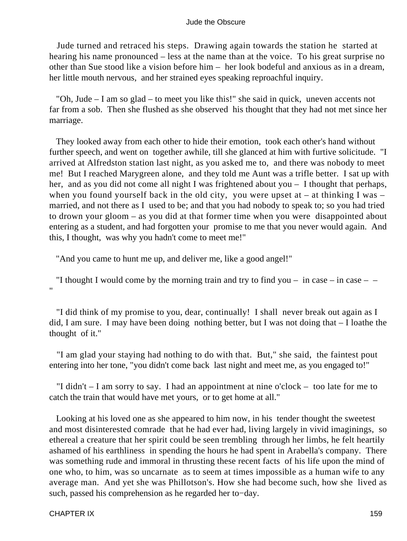Jude turned and retraced his steps. Drawing again towards the station he started at hearing his name pronounced – less at the name than at the voice. To his great surprise no other than Sue stood like a vision before him – her look bodeful and anxious as in a dream, her little mouth nervous, and her strained eyes speaking reproachful inquiry.

 "Oh, Jude – I am so glad – to meet you like this!" she said in quick, uneven accents not far from a sob. Then she flushed as she observed his thought that they had not met since her marriage.

 They looked away from each other to hide their emotion, took each other's hand without further speech, and went on together awhile, till she glanced at him with furtive solicitude. "I arrived at Alfredston station last night, as you asked me to, and there was nobody to meet me! But I reached Marygreen alone, and they told me Aunt was a trifle better. I sat up with her, and as you did not come all night I was frightened about you – I thought that perhaps, when you found yourself back in the old city, you were upset at  $-$  at thinking I was  $$ married, and not there as I used to be; and that you had nobody to speak to; so you had tried to drown your gloom – as you did at that former time when you were disappointed about entering as a student, and had forgotten your promise to me that you never would again. And this, I thought, was why you hadn't come to meet me!"

"And you came to hunt me up, and deliver me, like a good angel!"

"I thought I would come by the morning train and try to find you – in case – in case – – "

 "I did think of my promise to you, dear, continually! I shall never break out again as I did, I am sure. I may have been doing nothing better, but I was not doing that – I loathe the thought of it."

 "I am glad your staying had nothing to do with that. But," she said, the faintest pout entering into her tone, "you didn't come back last night and meet me, as you engaged to!"

 "I didn't – I am sorry to say. I had an appointment at nine o'clock – too late for me to catch the train that would have met yours, or to get home at all."

 Looking at his loved one as she appeared to him now, in his tender thought the sweetest and most disinterested comrade that he had ever had, living largely in vivid imaginings, so ethereal a creature that her spirit could be seen trembling through her limbs, he felt heartily ashamed of his earthliness in spending the hours he had spent in Arabella's company. There was something rude and immoral in thrusting these recent facts of his life upon the mind of one who, to him, was so uncarnate as to seem at times impossible as a human wife to any average man. And yet she was Phillotson's. How she had become such, how she lived as such, passed his comprehension as he regarded her to−day.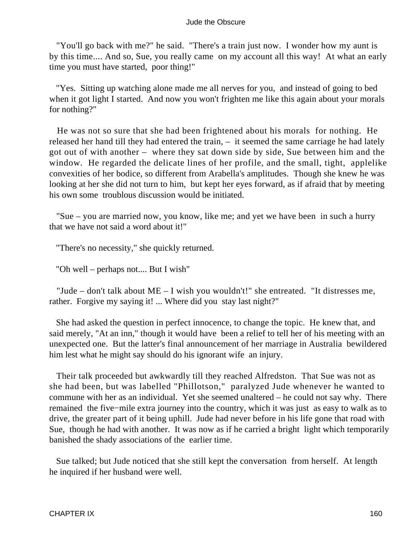"You'll go back with me?" he said. "There's a train just now. I wonder how my aunt is by this time.... And so, Sue, you really came on my account all this way! At what an early time you must have started, poor thing!"

 "Yes. Sitting up watching alone made me all nerves for you, and instead of going to bed when it got light I started. And now you won't frighten me like this again about your morals for nothing?"

 He was not so sure that she had been frightened about his morals for nothing. He released her hand till they had entered the train, – it seemed the same carriage he had lately got out of with another – where they sat down side by side, Sue between him and the window. He regarded the delicate lines of her profile, and the small, tight, applelike convexities of her bodice, so different from Arabella's amplitudes. Though she knew he was looking at her she did not turn to him, but kept her eyes forward, as if afraid that by meeting his own some troublous discussion would be initiated.

 "Sue – you are married now, you know, like me; and yet we have been in such a hurry that we have not said a word about it!"

"There's no necessity," she quickly returned.

"Oh well – perhaps not.... But I wish"

 "Jude – don't talk about ME – I wish you wouldn't!" she entreated. "It distresses me, rather. Forgive my saying it! ... Where did you stay last night?"

 She had asked the question in perfect innocence, to change the topic. He knew that, and said merely, "At an inn," though it would have been a relief to tell her of his meeting with an unexpected one. But the latter's final announcement of her marriage in Australia bewildered him lest what he might say should do his ignorant wife an injury.

 Their talk proceeded but awkwardly till they reached Alfredston. That Sue was not as she had been, but was labelled "Phillotson," paralyzed Jude whenever he wanted to commune with her as an individual. Yet she seemed unaltered – he could not say why. There remained the five−mile extra journey into the country, which it was just as easy to walk as to drive, the greater part of it being uphill. Jude had never before in his life gone that road with Sue, though he had with another. It was now as if he carried a bright light which temporarily banished the shady associations of the earlier time.

 Sue talked; but Jude noticed that she still kept the conversation from herself. At length he inquired if her husband were well.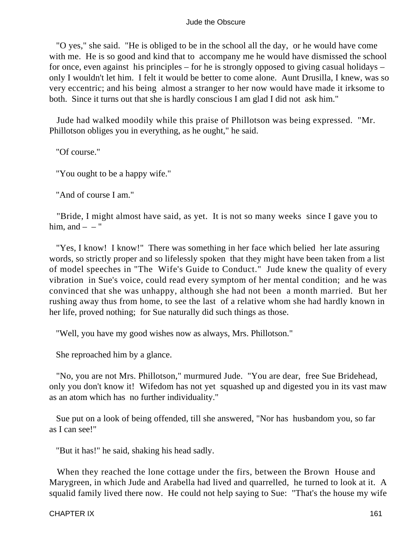"O yes," she said. "He is obliged to be in the school all the day, or he would have come with me. He is so good and kind that to accompany me he would have dismissed the school for once, even against his principles – for he is strongly opposed to giving casual holidays – only I wouldn't let him. I felt it would be better to come alone. Aunt Drusilla, I knew, was so very eccentric; and his being almost a stranger to her now would have made it irksome to both. Since it turns out that she is hardly conscious I am glad I did not ask him."

 Jude had walked moodily while this praise of Phillotson was being expressed. "Mr. Phillotson obliges you in everything, as he ought," he said.

"Of course."

"You ought to be a happy wife."

"And of course I am."

 "Bride, I might almost have said, as yet. It is not so many weeks since I gave you to him, and  $-$  – "

 "Yes, I know! I know!" There was something in her face which belied her late assuring words, so strictly proper and so lifelessly spoken that they might have been taken from a list of model speeches in "The Wife's Guide to Conduct." Jude knew the quality of every vibration in Sue's voice, could read every symptom of her mental condition; and he was convinced that she was unhappy, although she had not been a month married. But her rushing away thus from home, to see the last of a relative whom she had hardly known in her life, proved nothing; for Sue naturally did such things as those.

"Well, you have my good wishes now as always, Mrs. Phillotson."

She reproached him by a glance.

 "No, you are not Mrs. Phillotson," murmured Jude. "You are dear, free Sue Bridehead, only you don't know it! Wifedom has not yet squashed up and digested you in its vast maw as an atom which has no further individuality."

 Sue put on a look of being offended, till she answered, "Nor has husbandom you, so far as I can see!"

"But it has!" he said, shaking his head sadly.

 When they reached the lone cottage under the firs, between the Brown House and Marygreen, in which Jude and Arabella had lived and quarrelled, he turned to look at it. A squalid family lived there now. He could not help saying to Sue: "That's the house my wife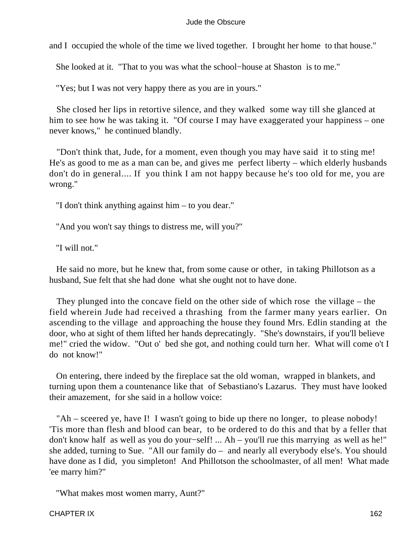and I occupied the whole of the time we lived together. I brought her home to that house."

She looked at it. "That to you was what the school−house at Shaston is to me."

"Yes; but I was not very happy there as you are in yours."

 She closed her lips in retortive silence, and they walked some way till she glanced at him to see how he was taking it. "Of course I may have exaggerated your happiness – one never knows," he continued blandly.

 "Don't think that, Jude, for a moment, even though you may have said it to sting me! He's as good to me as a man can be, and gives me perfect liberty – which elderly husbands don't do in general.... If you think I am not happy because he's too old for me, you are wrong."

"I don't think anything against him – to you dear."

"And you won't say things to distress me, will you?"

"I will not."

 He said no more, but he knew that, from some cause or other, in taking Phillotson as a husband, Sue felt that she had done what she ought not to have done.

 They plunged into the concave field on the other side of which rose the village – the field wherein Jude had received a thrashing from the farmer many years earlier. On ascending to the village and approaching the house they found Mrs. Edlin standing at the door, who at sight of them lifted her hands deprecatingly. "She's downstairs, if you'll believe me!" cried the widow. "Out o' bed she got, and nothing could turn her. What will come o't I do not know!"

 On entering, there indeed by the fireplace sat the old woman, wrapped in blankets, and turning upon them a countenance like that of Sebastiano's Lazarus. They must have looked their amazement, for she said in a hollow voice:

 "Ah – sceered ye, have I! I wasn't going to bide up there no longer, to please nobody! 'Tis more than flesh and blood can bear, to be ordered to do this and that by a feller that don't know half as well as you do your−self! ... Ah – you'll rue this marrying as well as he!" she added, turning to Sue. "All our family do – and nearly all everybody else's. You should have done as I did, you simpleton! And Phillotson the schoolmaster, of all men! What made 'ee marry him?"

"What makes most women marry, Aunt?"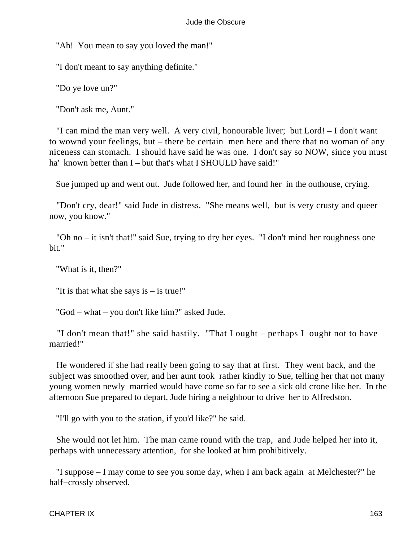"Ah! You mean to say you loved the man!"

"I don't meant to say anything definite."

"Do ye love un?"

"Don't ask me, Aunt."

 "I can mind the man very well. A very civil, honourable liver; but Lord! – I don't want to wownd your feelings, but – there be certain men here and there that no woman of any niceness can stomach. I should have said he was one. I don't say so NOW, since you must ha' known better than I – but that's what I SHOULD have said!"

Sue jumped up and went out. Jude followed her, and found her in the outhouse, crying.

 "Don't cry, dear!" said Jude in distress. "She means well, but is very crusty and queer now, you know."

 "Oh no – it isn't that!" said Sue, trying to dry her eyes. "I don't mind her roughness one bit."

"What is it, then?"

"It is that what she says is – is true!"

"God – what – you don't like him?" asked Jude.

 "I don't mean that!" she said hastily. "That I ought – perhaps I ought not to have married!"

 He wondered if she had really been going to say that at first. They went back, and the subject was smoothed over, and her aunt took rather kindly to Sue, telling her that not many young women newly married would have come so far to see a sick old crone like her. In the afternoon Sue prepared to depart, Jude hiring a neighbour to drive her to Alfredston.

"I'll go with you to the station, if you'd like?" he said.

 She would not let him. The man came round with the trap, and Jude helped her into it, perhaps with unnecessary attention, for she looked at him prohibitively.

 "I suppose – I may come to see you some day, when I am back again at Melchester?" he half−crossly observed.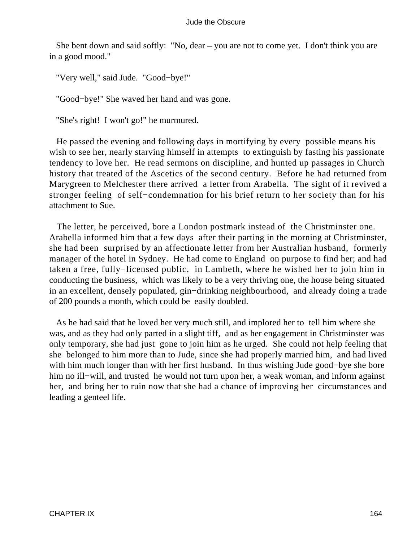She bent down and said softly: "No, dear – you are not to come yet. I don't think you are in a good mood."

"Very well," said Jude. "Good−bye!"

"Good−bye!" She waved her hand and was gone.

"She's right! I won't go!" he murmured.

 He passed the evening and following days in mortifying by every possible means his wish to see her, nearly starving himself in attempts to extinguish by fasting his passionate tendency to love her. He read sermons on discipline, and hunted up passages in Church history that treated of the Ascetics of the second century. Before he had returned from Marygreen to Melchester there arrived a letter from Arabella. The sight of it revived a stronger feeling of self−condemnation for his brief return to her society than for his attachment to Sue.

 The letter, he perceived, bore a London postmark instead of the Christminster one. Arabella informed him that a few days after their parting in the morning at Christminster, she had been surprised by an affectionate letter from her Australian husband, formerly manager of the hotel in Sydney. He had come to England on purpose to find her; and had taken a free, fully−licensed public, in Lambeth, where he wished her to join him in conducting the business, which was likely to be a very thriving one, the house being situated in an excellent, densely populated, gin−drinking neighbourhood, and already doing a trade of 200 pounds a month, which could be easily doubled.

 As he had said that he loved her very much still, and implored her to tell him where she was, and as they had only parted in a slight tiff, and as her engagement in Christminster was only temporary, she had just gone to join him as he urged. She could not help feeling that she belonged to him more than to Jude, since she had properly married him, and had lived with him much longer than with her first husband. In thus wishing Jude good−bye she bore him no ill−will, and trusted he would not turn upon her, a weak woman, and inform against her, and bring her to ruin now that she had a chance of improving her circumstances and leading a genteel life.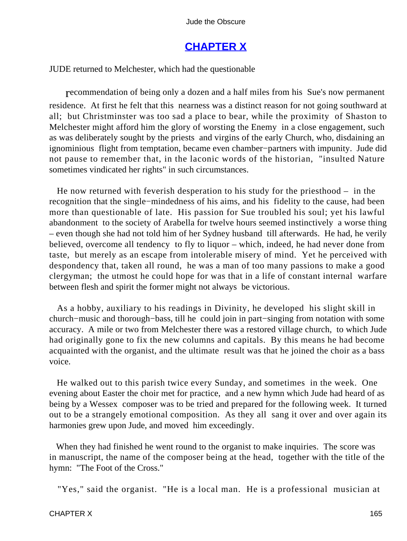## **[CHAPTER X](#page-367-0)**

JUDE returned to Melchester, which had the questionable

recommendation of being only a dozen and a half miles from his Sue's now permanent residence. At first he felt that this nearness was a distinct reason for not going southward at all; but Christminster was too sad a place to bear, while the proximity of Shaston to Melchester might afford him the glory of worsting the Enemy in a close engagement, such as was deliberately sought by the priests and virgins of the early Church, who, disdaining an ignominious flight from temptation, became even chamber−partners with impunity. Jude did not pause to remember that, in the laconic words of the historian, "insulted Nature sometimes vindicated her rights" in such circumstances.

 He now returned with feverish desperation to his study for the priesthood – in the recognition that the single−mindedness of his aims, and his fidelity to the cause, had been more than questionable of late. His passion for Sue troubled his soul; yet his lawful abandonment to the society of Arabella for twelve hours seemed instinctively a worse thing – even though she had not told him of her Sydney husband till afterwards. He had, he verily believed, overcome all tendency to fly to liquor – which, indeed, he had never done from taste, but merely as an escape from intolerable misery of mind. Yet he perceived with despondency that, taken all round, he was a man of too many passions to make a good clergyman; the utmost he could hope for was that in a life of constant internal warfare between flesh and spirit the former might not always be victorious.

 As a hobby, auxiliary to his readings in Divinity, he developed his slight skill in church−music and thorough−bass, till he could join in part−singing from notation with some accuracy. A mile or two from Melchester there was a restored village church, to which Jude had originally gone to fix the new columns and capitals. By this means he had become acquainted with the organist, and the ultimate result was that he joined the choir as a bass voice.

 He walked out to this parish twice every Sunday, and sometimes in the week. One evening about Easter the choir met for practice, and a new hymn which Jude had heard of as being by a Wessex composer was to be tried and prepared for the following week. It turned out to be a strangely emotional composition. As they all sang it over and over again its harmonies grew upon Jude, and moved him exceedingly.

 When they had finished he went round to the organist to make inquiries. The score was in manuscript, the name of the composer being at the head, together with the title of the hymn: "The Foot of the Cross."

"Yes," said the organist. "He is a local man. He is a professional musician at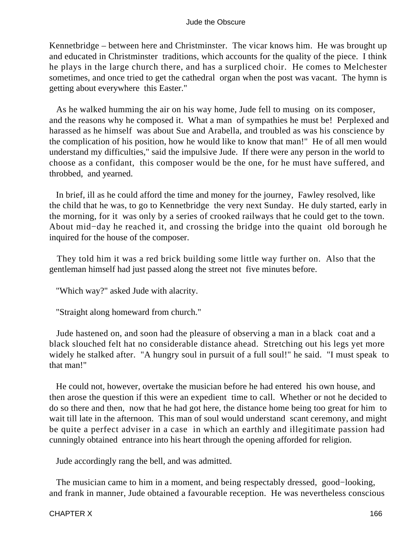Kennetbridge – between here and Christminster. The vicar knows him. He was brought up and educated in Christminster traditions, which accounts for the quality of the piece. I think he plays in the large church there, and has a surpliced choir. He comes to Melchester sometimes, and once tried to get the cathedral organ when the post was vacant. The hymn is getting about everywhere this Easter."

 As he walked humming the air on his way home, Jude fell to musing on its composer, and the reasons why he composed it. What a man of sympathies he must be! Perplexed and harassed as he himself was about Sue and Arabella, and troubled as was his conscience by the complication of his position, how he would like to know that man!" He of all men would understand my difficulties," said the impulsive Jude. If there were any person in the world to choose as a confidant, this composer would be the one, for he must have suffered, and throbbed, and yearned.

 In brief, ill as he could afford the time and money for the journey, Fawley resolved, like the child that he was, to go to Kennetbridge the very next Sunday. He duly started, early in the morning, for it was only by a series of crooked railways that he could get to the town. About mid−day he reached it, and crossing the bridge into the quaint old borough he inquired for the house of the composer.

 They told him it was a red brick building some little way further on. Also that the gentleman himself had just passed along the street not five minutes before.

"Which way?" asked Jude with alacrity.

"Straight along homeward from church."

 Jude hastened on, and soon had the pleasure of observing a man in a black coat and a black slouched felt hat no considerable distance ahead. Stretching out his legs yet more widely he stalked after. "A hungry soul in pursuit of a full soul!" he said. "I must speak to that man!"

 He could not, however, overtake the musician before he had entered his own house, and then arose the question if this were an expedient time to call. Whether or not he decided to do so there and then, now that he had got here, the distance home being too great for him to wait till late in the afternoon. This man of soul would understand scant ceremony, and might be quite a perfect adviser in a case in which an earthly and illegitimate passion had cunningly obtained entrance into his heart through the opening afforded for religion.

Jude accordingly rang the bell, and was admitted.

The musician came to him in a moment, and being respectably dressed, good–looking, and frank in manner, Jude obtained a favourable reception. He was nevertheless conscious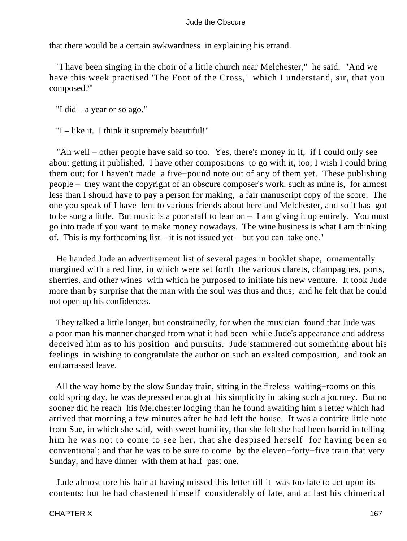that there would be a certain awkwardness in explaining his errand.

 "I have been singing in the choir of a little church near Melchester," he said. "And we have this week practised 'The Foot of the Cross,' which I understand, sir, that you composed?"

"I did – a year or so ago."

"I – like it. I think it supremely beautiful!"

 "Ah well – other people have said so too. Yes, there's money in it, if I could only see about getting it published. I have other compositions to go with it, too; I wish I could bring them out; for I haven't made a five−pound note out of any of them yet. These publishing people – they want the copyright of an obscure composer's work, such as mine is, for almost less than I should have to pay a person for making, a fair manuscript copy of the score. The one you speak of I have lent to various friends about here and Melchester, and so it has got to be sung a little. But music is a poor staff to lean on – I am giving it up entirely. You must go into trade if you want to make money nowadays. The wine business is what I am thinking of. This is my forthcoming list – it is not issued yet – but you can take one."

 He handed Jude an advertisement list of several pages in booklet shape, ornamentally margined with a red line, in which were set forth the various clarets, champagnes, ports, sherries, and other wines with which he purposed to initiate his new venture. It took Jude more than by surprise that the man with the soul was thus and thus; and he felt that he could not open up his confidences.

 They talked a little longer, but constrainedly, for when the musician found that Jude was a poor man his manner changed from what it had been while Jude's appearance and address deceived him as to his position and pursuits. Jude stammered out something about his feelings in wishing to congratulate the author on such an exalted composition, and took an embarrassed leave.

 All the way home by the slow Sunday train, sitting in the fireless waiting−rooms on this cold spring day, he was depressed enough at his simplicity in taking such a journey. But no sooner did he reach his Melchester lodging than he found awaiting him a letter which had arrived that morning a few minutes after he had left the house. It was a contrite little note from Sue, in which she said, with sweet humility, that she felt she had been horrid in telling him he was not to come to see her, that she despised herself for having been so conventional; and that he was to be sure to come by the eleven−forty−five train that very Sunday, and have dinner with them at half−past one.

 Jude almost tore his hair at having missed this letter till it was too late to act upon its contents; but he had chastened himself considerably of late, and at last his chimerical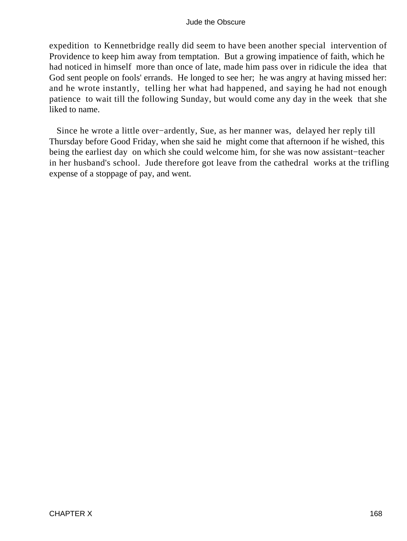expedition to Kennetbridge really did seem to have been another special intervention of Providence to keep him away from temptation. But a growing impatience of faith, which he had noticed in himself more than once of late, made him pass over in ridicule the idea that God sent people on fools' errands. He longed to see her; he was angry at having missed her: and he wrote instantly, telling her what had happened, and saying he had not enough patience to wait till the following Sunday, but would come any day in the week that she liked to name.

 Since he wrote a little over−ardently, Sue, as her manner was, delayed her reply till Thursday before Good Friday, when she said he might come that afternoon if he wished, this being the earliest day on which she could welcome him, for she was now assistant−teacher in her husband's school. Jude therefore got leave from the cathedral works at the trifling expense of a stoppage of pay, and went.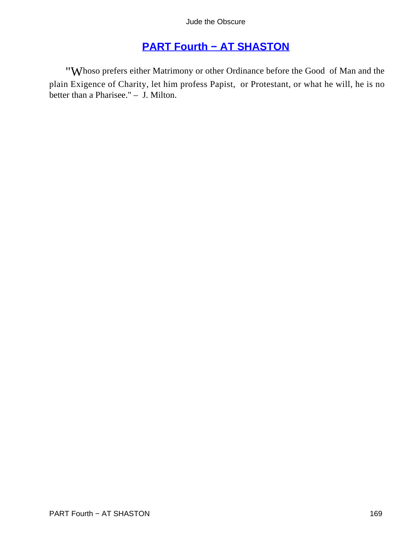# **[PART Fourth − AT SHASTON](#page-367-0)**

"Whoso prefers either Matrimony or other Ordinance before the Good of Man and the plain Exigence of Charity, let him profess Papist, or Protestant, or what he will, he is no better than a Pharisee." – J. Milton.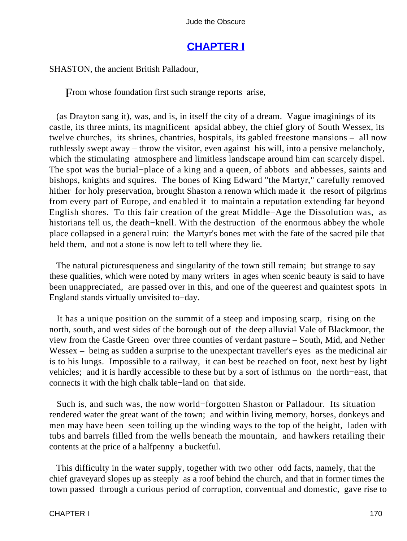### **[CHAPTER I](#page-367-0)**

SHASTON, the ancient British Palladour,

From whose foundation first such strange reports arise,

 (as Drayton sang it), was, and is, in itself the city of a dream. Vague imaginings of its castle, its three mints, its magnificent apsidal abbey, the chief glory of South Wessex, its twelve churches, its shrines, chantries, hospitals, its gabled freestone mansions – all now ruthlessly swept away – throw the visitor, even against his will, into a pensive melancholy, which the stimulating atmosphere and limitless landscape around him can scarcely dispel. The spot was the burial−place of a king and a queen, of abbots and abbesses, saints and bishops, knights and squires. The bones of King Edward "the Martyr," carefully removed hither for holy preservation, brought Shaston a renown which made it the resort of pilgrims from every part of Europe, and enabled it to maintain a reputation extending far beyond English shores. To this fair creation of the great Middle−Age the Dissolution was, as historians tell us, the death−knell. With the destruction of the enormous abbey the whole place collapsed in a general ruin: the Martyr's bones met with the fate of the sacred pile that held them, and not a stone is now left to tell where they lie.

 The natural picturesqueness and singularity of the town still remain; but strange to say these qualities, which were noted by many writers in ages when scenic beauty is said to have been unappreciated, are passed over in this, and one of the queerest and quaintest spots in England stands virtually unvisited to−day.

 It has a unique position on the summit of a steep and imposing scarp, rising on the north, south, and west sides of the borough out of the deep alluvial Vale of Blackmoor, the view from the Castle Green over three counties of verdant pasture – South, Mid, and Nether Wessex – being as sudden a surprise to the unexpectant traveller's eyes as the medicinal air is to his lungs. Impossible to a railway, it can best be reached on foot, next best by light vehicles; and it is hardly accessible to these but by a sort of isthmus on the north−east, that connects it with the high chalk table−land on that side.

 Such is, and such was, the now world−forgotten Shaston or Palladour. Its situation rendered water the great want of the town; and within living memory, horses, donkeys and men may have been seen toiling up the winding ways to the top of the height, laden with tubs and barrels filled from the wells beneath the mountain, and hawkers retailing their contents at the price of a halfpenny a bucketful.

 This difficulty in the water supply, together with two other odd facts, namely, that the chief graveyard slopes up as steeply as a roof behind the church, and that in former times the town passed through a curious period of corruption, conventual and domestic, gave rise to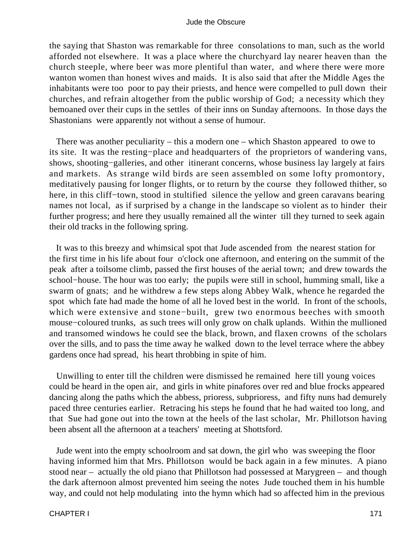the saying that Shaston was remarkable for three consolations to man, such as the world afforded not elsewhere. It was a place where the churchyard lay nearer heaven than the church steeple, where beer was more plentiful than water, and where there were more wanton women than honest wives and maids. It is also said that after the Middle Ages the inhabitants were too poor to pay their priests, and hence were compelled to pull down their churches, and refrain altogether from the public worship of God; a necessity which they bemoaned over their cups in the settles of their inns on Sunday afternoons. In those days the Shastonians were apparently not without a sense of humour.

 There was another peculiarity – this a modern one – which Shaston appeared to owe to its site. It was the resting−place and headquarters of the proprietors of wandering vans, shows, shooting−galleries, and other itinerant concerns, whose business lay largely at fairs and markets. As strange wild birds are seen assembled on some lofty promontory, meditatively pausing for longer flights, or to return by the course they followed thither, so here, in this cliff−town, stood in stultified silence the yellow and green caravans bearing names not local, as if surprised by a change in the landscape so violent as to hinder their further progress; and here they usually remained all the winter till they turned to seek again their old tracks in the following spring.

 It was to this breezy and whimsical spot that Jude ascended from the nearest station for the first time in his life about four o'clock one afternoon, and entering on the summit of the peak after a toilsome climb, passed the first houses of the aerial town; and drew towards the school−house. The hour was too early; the pupils were still in school, humming small, like a swarm of gnats; and he withdrew a few steps along Abbey Walk, whence he regarded the spot which fate had made the home of all he loved best in the world. In front of the schools, which were extensive and stone−built, grew two enormous beeches with smooth mouse−coloured trunks, as such trees will only grow on chalk uplands. Within the mullioned and transomed windows he could see the black, brown, and flaxen crowns of the scholars over the sills, and to pass the time away he walked down to the level terrace where the abbey gardens once had spread, his heart throbbing in spite of him.

 Unwilling to enter till the children were dismissed he remained here till young voices could be heard in the open air, and girls in white pinafores over red and blue frocks appeared dancing along the paths which the abbess, prioress, subprioress, and fifty nuns had demurely paced three centuries earlier. Retracing his steps he found that he had waited too long, and that Sue had gone out into the town at the heels of the last scholar, Mr. Phillotson having been absent all the afternoon at a teachers' meeting at Shottsford.

 Jude went into the empty schoolroom and sat down, the girl who was sweeping the floor having informed him that Mrs. Phillotson would be back again in a few minutes. A piano stood near – actually the old piano that Phillotson had possessed at Marygreen – and though the dark afternoon almost prevented him seeing the notes Jude touched them in his humble way, and could not help modulating into the hymn which had so affected him in the previous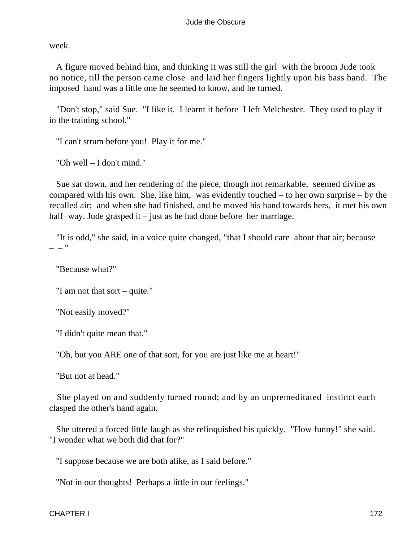week.

 A figure moved behind him, and thinking it was still the girl with the broom Jude took no notice, till the person came close and laid her fingers lightly upon his bass hand. The imposed hand was a little one he seemed to know, and he turned.

 "Don't stop," said Sue. "I like it. I learnt it before I left Melchester. They used to play it in the training school."

"I can't strum before you! Play it for me."

"Oh well – I don't mind."

 Sue sat down, and her rendering of the piece, though not remarkable, seemed divine as compared with his own. She, like him, was evidently touched – to her own surprise – by the recalled air; and when she had finished, and he moved his hand towards hers, it met his own half−way. Jude grasped it – just as he had done before her marriage.

 "It is odd," she said, in a voice quite changed, "that I should care about that air; because – – "

"Because what?"

"I am not that sort – quite."

"Not easily moved?"

"I didn't quite mean that."

"Oh, but you ARE one of that sort, for you are just like me at heart!"

"But not at head."

 She played on and suddenly turned round; and by an unpremeditated instinct each clasped the other's hand again.

 She uttered a forced little laugh as she relinquished his quickly. "How funny!" she said. "I wonder what we both did that for?"

"I suppose because we are both alike, as I said before."

"Not in our thoughts! Perhaps a little in our feelings."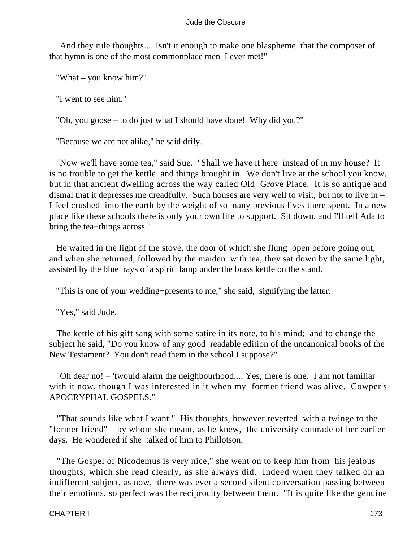"And they rule thoughts.... Isn't it enough to make one blaspheme that the composer of that hymn is one of the most commonplace men I ever met!"

"What – you know him?"

"I went to see him."

"Oh, you goose – to do just what I should have done! Why did you?"

"Because we are not alike," he said drily.

 "Now we'll have some tea," said Sue. "Shall we have it here instead of in my house? It is no trouble to get the kettle and things brought in. We don't live at the school you know, but in that ancient dwelling across the way called Old−Grove Place. It is so antique and dismal that it depresses me dreadfully. Such houses are very well to visit, but not to live in – I feel crushed into the earth by the weight of so many previous lives there spent. In a new place like these schools there is only your own life to support. Sit down, and I'll tell Ada to bring the tea−things across."

 He waited in the light of the stove, the door of which she flung open before going out, and when she returned, followed by the maiden with tea, they sat down by the same light, assisted by the blue rays of a spirit−lamp under the brass kettle on the stand.

"This is one of your wedding−presents to me," she said, signifying the latter.

"Yes," said Jude.

 The kettle of his gift sang with some satire in its note, to his mind; and to change the subject he said, "Do you know of any good readable edition of the uncanonical books of the New Testament? You don't read them in the school I suppose?"

 "Oh dear no! – 'twould alarm the neighbourhood.... Yes, there is one. I am not familiar with it now, though I was interested in it when my former friend was alive. Cowper's APOCRYPHAL GOSPELS."

 "That sounds like what I want." His thoughts, however reverted with a twinge to the "former friend" – by whom she meant, as he knew, the university comrade of her earlier days. He wondered if she talked of him to Phillotson.

 "The Gospel of Nicodemus is very nice," she went on to keep him from his jealous thoughts, which she read clearly, as she always did. Indeed when they talked on an indifferent subject, as now, there was ever a second silent conversation passing between their emotions, so perfect was the reciprocity between them. "It is quite like the genuine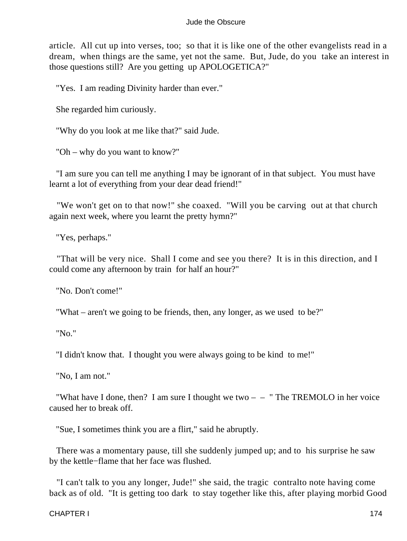article. All cut up into verses, too; so that it is like one of the other evangelists read in a dream, when things are the same, yet not the same. But, Jude, do you take an interest in those questions still? Are you getting up APOLOGETICA?"

"Yes. I am reading Divinity harder than ever."

She regarded him curiously.

"Why do you look at me like that?" said Jude.

"Oh – why do you want to know?"

 "I am sure you can tell me anything I may be ignorant of in that subject. You must have learnt a lot of everything from your dear dead friend!"

 "We won't get on to that now!" she coaxed. "Will you be carving out at that church again next week, where you learnt the pretty hymn?"

"Yes, perhaps."

 "That will be very nice. Shall I come and see you there? It is in this direction, and I could come any afternoon by train for half an hour?"

"No. Don't come!"

"What – aren't we going to be friends, then, any longer, as we used to be?"

"No."

"I didn't know that. I thought you were always going to be kind to me!"

"No, I am not."

"What have I done, then? I am sure I thought we two  $-$  – " The TREMOLO in her voice caused her to break off.

"Sue, I sometimes think you are a flirt," said he abruptly.

 There was a momentary pause, till she suddenly jumped up; and to his surprise he saw by the kettle−flame that her face was flushed.

 "I can't talk to you any longer, Jude!" she said, the tragic contralto note having come back as of old. "It is getting too dark to stay together like this, after playing morbid Good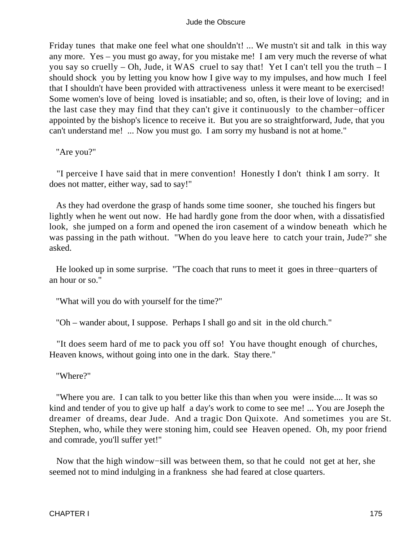Friday tunes that make one feel what one shouldn't! ... We mustn't sit and talk in this way any more. Yes – you must go away, for you mistake me! I am very much the reverse of what you say so cruelly – Oh, Jude, it WAS cruel to say that! Yet I can't tell you the truth  $-I$ should shock you by letting you know how I give way to my impulses, and how much I feel that I shouldn't have been provided with attractiveness unless it were meant to be exercised! Some women's love of being loved is insatiable; and so, often, is their love of loving; and in the last case they may find that they can't give it continuously to the chamber−officer appointed by the bishop's licence to receive it. But you are so straightforward, Jude, that you can't understand me! ... Now you must go. I am sorry my husband is not at home."

"Are you?"

 "I perceive I have said that in mere convention! Honestly I don't think I am sorry. It does not matter, either way, sad to say!"

 As they had overdone the grasp of hands some time sooner, she touched his fingers but lightly when he went out now. He had hardly gone from the door when, with a dissatisfied look, she jumped on a form and opened the iron casement of a window beneath which he was passing in the path without. "When do you leave here to catch your train, Jude?" she asked.

 He looked up in some surprise. "The coach that runs to meet it goes in three−quarters of an hour or so."

"What will you do with yourself for the time?"

"Oh – wander about, I suppose. Perhaps I shall go and sit in the old church."

 "It does seem hard of me to pack you off so! You have thought enough of churches, Heaven knows, without going into one in the dark. Stay there."

"Where?"

 "Where you are. I can talk to you better like this than when you were inside.... It was so kind and tender of you to give up half a day's work to come to see me! ... You are Joseph the dreamer of dreams, dear Jude. And a tragic Don Quixote. And sometimes you are St. Stephen, who, while they were stoning him, could see Heaven opened. Oh, my poor friend and comrade, you'll suffer yet!"

 Now that the high window−sill was between them, so that he could not get at her, she seemed not to mind indulging in a frankness she had feared at close quarters.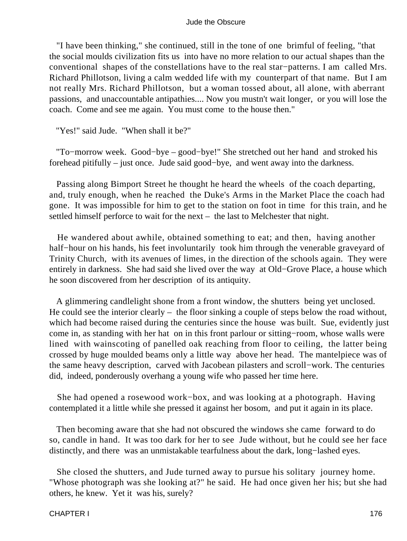"I have been thinking," she continued, still in the tone of one brimful of feeling, "that the social moulds civilization fits us into have no more relation to our actual shapes than the conventional shapes of the constellations have to the real star−patterns. I am called Mrs. Richard Phillotson, living a calm wedded life with my counterpart of that name. But I am not really Mrs. Richard Phillotson, but a woman tossed about, all alone, with aberrant passions, and unaccountable antipathies.... Now you mustn't wait longer, or you will lose the coach. Come and see me again. You must come to the house then."

"Yes!" said Jude. "When shall it be?"

 "To−morrow week. Good−bye – good−bye!" She stretched out her hand and stroked his forehead pitifully – just once. Jude said good−bye, and went away into the darkness.

 Passing along Bimport Street he thought he heard the wheels of the coach departing, and, truly enough, when he reached the Duke's Arms in the Market Place the coach had gone. It was impossible for him to get to the station on foot in time for this train, and he settled himself perforce to wait for the next – the last to Melchester that night.

 He wandered about awhile, obtained something to eat; and then, having another half−hour on his hands, his feet involuntarily took him through the venerable graveyard of Trinity Church, with its avenues of limes, in the direction of the schools again. They were entirely in darkness. She had said she lived over the way at Old−Grove Place, a house which he soon discovered from her description of its antiquity.

 A glimmering candlelight shone from a front window, the shutters being yet unclosed. He could see the interior clearly – the floor sinking a couple of steps below the road without, which had become raised during the centuries since the house was built. Sue, evidently just come in, as standing with her hat on in this front parlour or sitting−room, whose walls were lined with wainscoting of panelled oak reaching from floor to ceiling, the latter being crossed by huge moulded beams only a little way above her head. The mantelpiece was of the same heavy description, carved with Jacobean pilasters and scroll−work. The centuries did, indeed, ponderously overhang a young wife who passed her time here.

 She had opened a rosewood work−box, and was looking at a photograph. Having contemplated it a little while she pressed it against her bosom, and put it again in its place.

 Then becoming aware that she had not obscured the windows she came forward to do so, candle in hand. It was too dark for her to see Jude without, but he could see her face distinctly, and there was an unmistakable tearfulness about the dark, long−lashed eyes.

 She closed the shutters, and Jude turned away to pursue his solitary journey home. "Whose photograph was she looking at?" he said. He had once given her his; but she had others, he knew. Yet it was his, surely?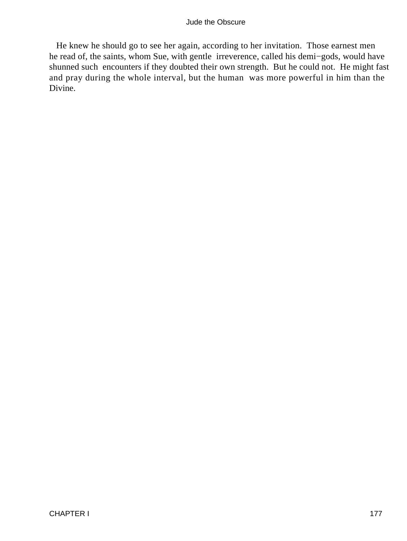He knew he should go to see her again, according to her invitation. Those earnest men he read of, the saints, whom Sue, with gentle irreverence, called his demi−gods, would have shunned such encounters if they doubted their own strength. But he could not. He might fast and pray during the whole interval, but the human was more powerful in him than the Divine.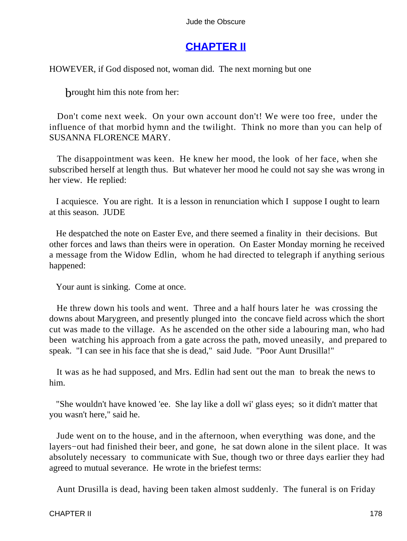### **[CHAPTER II](#page-367-0)**

HOWEVER, if God disposed not, woman did. The next morning but one

brought him this note from her:

 Don't come next week. On your own account don't! We were too free, under the influence of that morbid hymn and the twilight. Think no more than you can help of SUSANNA FLORENCE MARY.

 The disappointment was keen. He knew her mood, the look of her face, when she subscribed herself at length thus. But whatever her mood he could not say she was wrong in her view. He replied:

 I acquiesce. You are right. It is a lesson in renunciation which I suppose I ought to learn at this season. JUDE

 He despatched the note on Easter Eve, and there seemed a finality in their decisions. But other forces and laws than theirs were in operation. On Easter Monday morning he received a message from the Widow Edlin, whom he had directed to telegraph if anything serious happened:

Your aunt is sinking. Come at once.

 He threw down his tools and went. Three and a half hours later he was crossing the downs about Marygreen, and presently plunged into the concave field across which the short cut was made to the village. As he ascended on the other side a labouring man, who had been watching his approach from a gate across the path, moved uneasily, and prepared to speak. "I can see in his face that she is dead," said Jude. "Poor Aunt Drusilla!"

 It was as he had supposed, and Mrs. Edlin had sent out the man to break the news to him.

 "She wouldn't have knowed 'ee. She lay like a doll wi' glass eyes; so it didn't matter that you wasn't here," said he.

 Jude went on to the house, and in the afternoon, when everything was done, and the layers−out had finished their beer, and gone, he sat down alone in the silent place. It was absolutely necessary to communicate with Sue, though two or three days earlier they had agreed to mutual severance. He wrote in the briefest terms:

Aunt Drusilla is dead, having been taken almost suddenly. The funeral is on Friday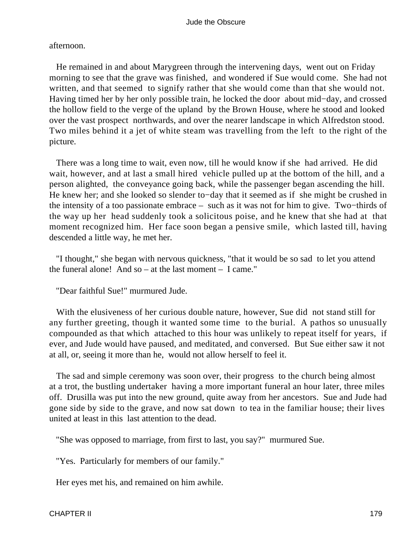afternoon.

 He remained in and about Marygreen through the intervening days, went out on Friday morning to see that the grave was finished, and wondered if Sue would come. She had not written, and that seemed to signify rather that she would come than that she would not. Having timed her by her only possible train, he locked the door about mid−day, and crossed the hollow field to the verge of the upland by the Brown House, where he stood and looked over the vast prospect northwards, and over the nearer landscape in which Alfredston stood. Two miles behind it a jet of white steam was travelling from the left to the right of the picture.

 There was a long time to wait, even now, till he would know if she had arrived. He did wait, however, and at last a small hired vehicle pulled up at the bottom of the hill, and a person alighted, the conveyance going back, while the passenger began ascending the hill. He knew her; and she looked so slender to−day that it seemed as if she might be crushed in the intensity of a too passionate embrace – such as it was not for him to give. Two−thirds of the way up her head suddenly took a solicitous poise, and he knew that she had at that moment recognized him. Her face soon began a pensive smile, which lasted till, having descended a little way, he met her.

 "I thought," she began with nervous quickness, "that it would be so sad to let you attend the funeral alone! And so – at the last moment – I came."

"Dear faithful Sue!" murmured Jude.

 With the elusiveness of her curious double nature, however, Sue did not stand still for any further greeting, though it wanted some time to the burial. A pathos so unusually compounded as that which attached to this hour was unlikely to repeat itself for years, if ever, and Jude would have paused, and meditated, and conversed. But Sue either saw it not at all, or, seeing it more than he, would not allow herself to feel it.

 The sad and simple ceremony was soon over, their progress to the church being almost at a trot, the bustling undertaker having a more important funeral an hour later, three miles off. Drusilla was put into the new ground, quite away from her ancestors. Sue and Jude had gone side by side to the grave, and now sat down to tea in the familiar house; their lives united at least in this last attention to the dead.

"She was opposed to marriage, from first to last, you say?" murmured Sue.

"Yes. Particularly for members of our family."

Her eyes met his, and remained on him awhile.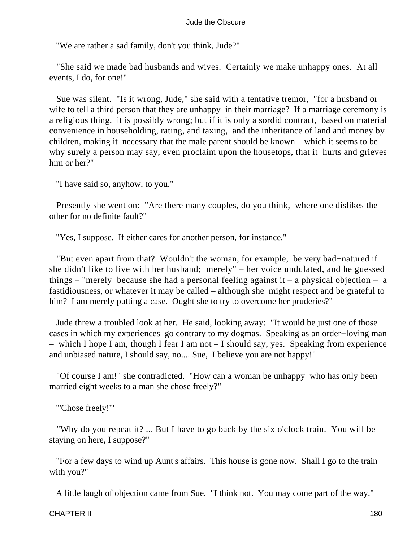"We are rather a sad family, don't you think, Jude?"

 "She said we made bad husbands and wives. Certainly we make unhappy ones. At all events, I do, for one!"

 Sue was silent. "Is it wrong, Jude," she said with a tentative tremor, "for a husband or wife to tell a third person that they are unhappy in their marriage? If a marriage ceremony is a religious thing, it is possibly wrong; but if it is only a sordid contract, based on material convenience in householding, rating, and taxing, and the inheritance of land and money by children, making it necessary that the male parent should be known – which it seems to be – why surely a person may say, even proclaim upon the housetops, that it hurts and grieves him or her?"

"I have said so, anyhow, to you."

 Presently she went on: "Are there many couples, do you think, where one dislikes the other for no definite fault?"

"Yes, I suppose. If either cares for another person, for instance."

 "But even apart from that? Wouldn't the woman, for example, be very bad−natured if she didn't like to live with her husband; merely" – her voice undulated, and he guessed things – "merely because she had a personal feeling against it – a physical objection – a fastidiousness, or whatever it may be called – although she might respect and be grateful to him? I am merely putting a case. Ought she to try to overcome her pruderies?"

 Jude threw a troubled look at her. He said, looking away: "It would be just one of those cases in which my experiences go contrary to my dogmas. Speaking as an order−loving man – which I hope I am, though I fear I am not – I should say, yes. Speaking from experience and unbiased nature, I should say, no.... Sue, I believe you are not happy!"

 "Of course I am!" she contradicted. "How can a woman be unhappy who has only been married eight weeks to a man she chose freely?"

"'Chose freely!'"

 "Why do you repeat it? ... But I have to go back by the six o'clock train. You will be staying on here, I suppose?"

 "For a few days to wind up Aunt's affairs. This house is gone now. Shall I go to the train with you?"

A little laugh of objection came from Sue. "I think not. You may come part of the way."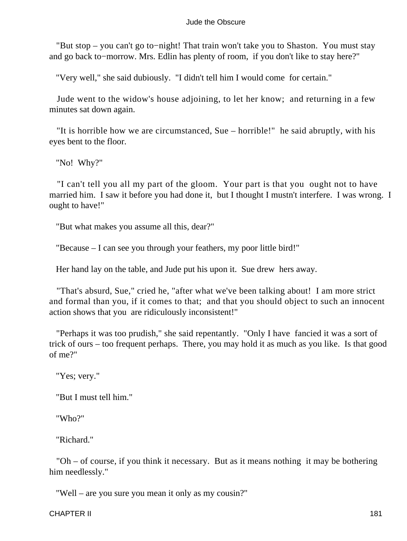"But stop – you can't go to−night! That train won't take you to Shaston. You must stay and go back to−morrow. Mrs. Edlin has plenty of room, if you don't like to stay here?"

"Very well," she said dubiously. "I didn't tell him I would come for certain."

 Jude went to the widow's house adjoining, to let her know; and returning in a few minutes sat down again.

 "It is horrible how we are circumstanced, Sue – horrible!" he said abruptly, with his eyes bent to the floor.

"No! Why?"

 "I can't tell you all my part of the gloom. Your part is that you ought not to have married him. I saw it before you had done it, but I thought I mustn't interfere. I was wrong. I ought to have!"

"But what makes you assume all this, dear?"

"Because – I can see you through your feathers, my poor little bird!"

Her hand lay on the table, and Jude put his upon it. Sue drew hers away.

 "That's absurd, Sue," cried he, "after what we've been talking about! I am more strict and formal than you, if it comes to that; and that you should object to such an innocent action shows that you are ridiculously inconsistent!"

 "Perhaps it was too prudish," she said repentantly. "Only I have fancied it was a sort of trick of ours – too frequent perhaps. There, you may hold it as much as you like. Is that good of me?"

"Yes; very."

"But I must tell him."

"Who?"

"Richard."

 "Oh – of course, if you think it necessary. But as it means nothing it may be bothering him needlessly."

"Well – are you sure you mean it only as my cousin?"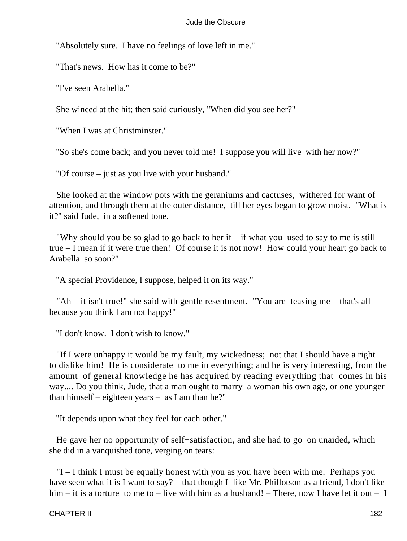"Absolutely sure. I have no feelings of love left in me."

"That's news. How has it come to be?"

"I've seen Arabella."

She winced at the hit; then said curiously, "When did you see her?"

"When I was at Christminster."

"So she's come back; and you never told me! I suppose you will live with her now?"

"Of course – just as you live with your husband."

 She looked at the window pots with the geraniums and cactuses, withered for want of attention, and through them at the outer distance, till her eyes began to grow moist. "What is it?" said Jude, in a softened tone.

"Why should you be so glad to go back to her if  $-$  if what you used to say to me is still true – I mean if it were true then! Of course it is not now! How could your heart go back to Arabella so soon?"

"A special Providence, I suppose, helped it on its way."

 "Ah – it isn't true!" she said with gentle resentment. "You are teasing me – that's all – because you think I am not happy!"

"I don't know. I don't wish to know."

 "If I were unhappy it would be my fault, my wickedness; not that I should have a right to dislike him! He is considerate to me in everything; and he is very interesting, from the amount of general knowledge he has acquired by reading everything that comes in his way.... Do you think, Jude, that a man ought to marry a woman his own age, or one younger than himself – eighteen years – as I am than he?"

"It depends upon what they feel for each other."

He gave her no opportunity of self–satisfaction, and she had to go on unaided, which she did in a vanquished tone, verging on tears:

 "I – I think I must be equally honest with you as you have been with me. Perhaps you have seen what it is I want to say? – that though I like Mr. Phillotson as a friend, I don't like him – it is a torture to me to – live with him as a husband! – There, now I have let it out – I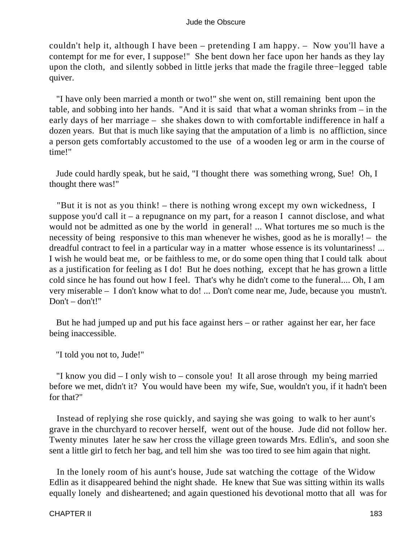couldn't help it, although I have been – pretending I am happy. – Now you'll have a contempt for me for ever, I suppose!" She bent down her face upon her hands as they lay upon the cloth, and silently sobbed in little jerks that made the fragile three−legged table quiver.

 "I have only been married a month or two!" she went on, still remaining bent upon the table, and sobbing into her hands. "And it is said that what a woman shrinks from – in the early days of her marriage – she shakes down to with comfortable indifference in half a dozen years. But that is much like saying that the amputation of a limb is no affliction, since a person gets comfortably accustomed to the use of a wooden leg or arm in the course of time!"

 Jude could hardly speak, but he said, "I thought there was something wrong, Sue! Oh, I thought there was!"

 "But it is not as you think! – there is nothing wrong except my own wickedness, I suppose you'd call it – a repugnance on my part, for a reason I cannot disclose, and what would not be admitted as one by the world in general! ... What tortures me so much is the necessity of being responsive to this man whenever he wishes, good as he is morally! – the dreadful contract to feel in a particular way in a matter whose essence is its voluntariness! ... I wish he would beat me, or be faithless to me, or do some open thing that I could talk about as a justification for feeling as I do! But he does nothing, except that he has grown a little cold since he has found out how I feel. That's why he didn't come to the funeral.... Oh, I am very miserable – I don't know what to do! ... Don't come near me, Jude, because you mustn't. Don't – don't!"

 But he had jumped up and put his face against hers – or rather against her ear, her face being inaccessible.

"I told you not to, Jude!"

 "I know you did – I only wish to – console you! It all arose through my being married before we met, didn't it? You would have been my wife, Sue, wouldn't you, if it hadn't been for that?"

 Instead of replying she rose quickly, and saying she was going to walk to her aunt's grave in the churchyard to recover herself, went out of the house. Jude did not follow her. Twenty minutes later he saw her cross the village green towards Mrs. Edlin's, and soon she sent a little girl to fetch her bag, and tell him she was too tired to see him again that night.

 In the lonely room of his aunt's house, Jude sat watching the cottage of the Widow Edlin as it disappeared behind the night shade. He knew that Sue was sitting within its walls equally lonely and disheartened; and again questioned his devotional motto that all was for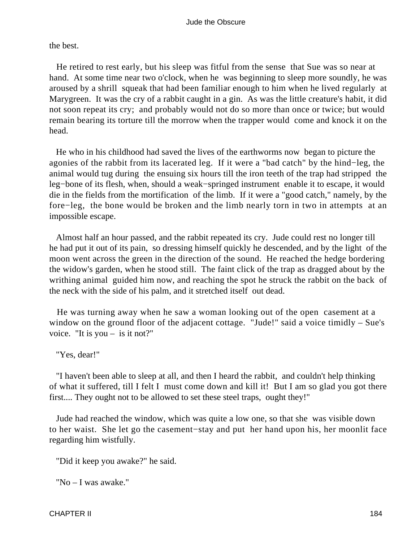the best.

 He retired to rest early, but his sleep was fitful from the sense that Sue was so near at hand. At some time near two o'clock, when he was beginning to sleep more soundly, he was aroused by a shrill squeak that had been familiar enough to him when he lived regularly at Marygreen. It was the cry of a rabbit caught in a gin. As was the little creature's habit, it did not soon repeat its cry; and probably would not do so more than once or twice; but would remain bearing its torture till the morrow when the trapper would come and knock it on the head.

 He who in his childhood had saved the lives of the earthworms now began to picture the agonies of the rabbit from its lacerated leg. If it were a "bad catch" by the hind−leg, the animal would tug during the ensuing six hours till the iron teeth of the trap had stripped the leg−bone of its flesh, when, should a weak−springed instrument enable it to escape, it would die in the fields from the mortification of the limb. If it were a "good catch," namely, by the fore−leg, the bone would be broken and the limb nearly torn in two in attempts at an impossible escape.

 Almost half an hour passed, and the rabbit repeated its cry. Jude could rest no longer till he had put it out of its pain, so dressing himself quickly he descended, and by the light of the moon went across the green in the direction of the sound. He reached the hedge bordering the widow's garden, when he stood still. The faint click of the trap as dragged about by the writhing animal guided him now, and reaching the spot he struck the rabbit on the back of the neck with the side of his palm, and it stretched itself out dead.

 He was turning away when he saw a woman looking out of the open casement at a window on the ground floor of the adjacent cottage. "Jude!" said a voice timidly – Sue's voice. "It is you – is it not?"

"Yes, dear!"

 "I haven't been able to sleep at all, and then I heard the rabbit, and couldn't help thinking of what it suffered, till I felt I must come down and kill it! But I am so glad you got there first.... They ought not to be allowed to set these steel traps, ought they!"

 Jude had reached the window, which was quite a low one, so that she was visible down to her waist. She let go the casement−stay and put her hand upon his, her moonlit face regarding him wistfully.

"Did it keep you awake?" he said.

"No – I was awake."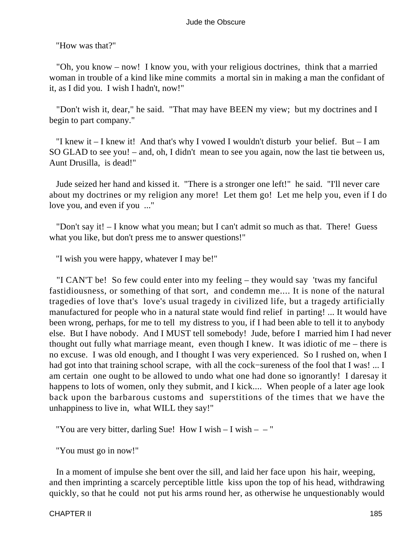"How was that?"

 "Oh, you know – now! I know you, with your religious doctrines, think that a married woman in trouble of a kind like mine commits a mortal sin in making a man the confidant of it, as I did you. I wish I hadn't, now!"

 "Don't wish it, dear," he said. "That may have BEEN my view; but my doctrines and I begin to part company."

"I knew it  $-$  I knew it! And that's why I vowed I wouldn't disturb your belief. But  $-$  I am SO GLAD to see you! – and, oh, I didn't mean to see you again, now the last tie between us, Aunt Drusilla, is dead!"

 Jude seized her hand and kissed it. "There is a stronger one left!" he said. "I'll never care about my doctrines or my religion any more! Let them go! Let me help you, even if I do love you, and even if you ..."

 "Don't say it! – I know what you mean; but I can't admit so much as that. There! Guess what you like, but don't press me to answer questions!"

"I wish you were happy, whatever I may be!"

 "I CAN'T be! So few could enter into my feeling – they would say 'twas my fanciful fastidiousness, or something of that sort, and condemn me.... It is none of the natural tragedies of love that's love's usual tragedy in civilized life, but a tragedy artificially manufactured for people who in a natural state would find relief in parting! ... It would have been wrong, perhaps, for me to tell my distress to you, if I had been able to tell it to anybody else. But I have nobody. And I MUST tell somebody! Jude, before I married him I had never thought out fully what marriage meant, even though I knew. It was idiotic of me – there is no excuse. I was old enough, and I thought I was very experienced. So I rushed on, when I had got into that training school scrape, with all the cock−sureness of the fool that I was! ... I am certain one ought to be allowed to undo what one had done so ignorantly! I daresay it happens to lots of women, only they submit, and I kick.... When people of a later age look back upon the barbarous customs and superstitions of the times that we have the unhappiness to live in, what WILL they say!"

"You are very bitter, darling Sue! How I wish  $- I$  wish  $- -$ "

"You must go in now!"

 In a moment of impulse she bent over the sill, and laid her face upon his hair, weeping, and then imprinting a scarcely perceptible little kiss upon the top of his head, withdrawing quickly, so that he could not put his arms round her, as otherwise he unquestionably would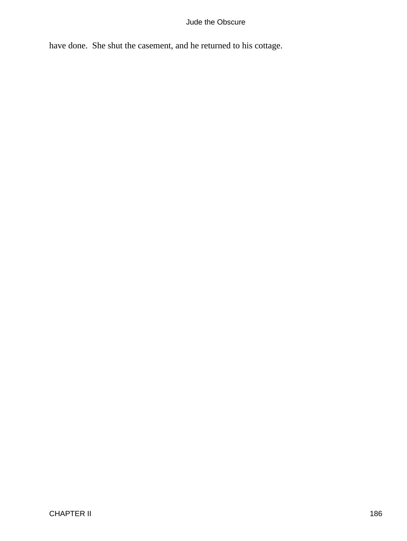have done. She shut the casement, and he returned to his cottage.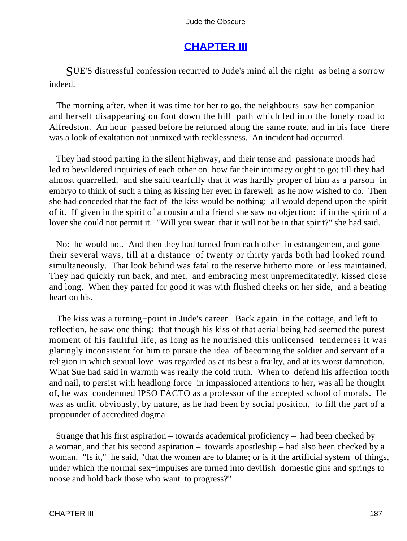# **[CHAPTER III](#page-367-0)**

SUE'S distressful confession recurred to Jude's mind all the night as being a sorrow indeed.

 The morning after, when it was time for her to go, the neighbours saw her companion and herself disappearing on foot down the hill path which led into the lonely road to Alfredston. An hour passed before he returned along the same route, and in his face there was a look of exaltation not unmixed with recklessness. An incident had occurred.

 They had stood parting in the silent highway, and their tense and passionate moods had led to bewildered inquiries of each other on how far their intimacy ought to go; till they had almost quarrelled, and she said tearfully that it was hardly proper of him as a parson in embryo to think of such a thing as kissing her even in farewell as he now wished to do. Then she had conceded that the fact of the kiss would be nothing: all would depend upon the spirit of it. If given in the spirit of a cousin and a friend she saw no objection: if in the spirit of a lover she could not permit it. "Will you swear that it will not be in that spirit?" she had said.

 No: he would not. And then they had turned from each other in estrangement, and gone their several ways, till at a distance of twenty or thirty yards both had looked round simultaneously. That look behind was fatal to the reserve hitherto more or less maintained. They had quickly run back, and met, and embracing most unpremeditatedly, kissed close and long. When they parted for good it was with flushed cheeks on her side, and a beating heart on his.

 The kiss was a turning−point in Jude's career. Back again in the cottage, and left to reflection, he saw one thing: that though his kiss of that aerial being had seemed the purest moment of his faultful life, as long as he nourished this unlicensed tenderness it was glaringly inconsistent for him to pursue the idea of becoming the soldier and servant of a religion in which sexual love was regarded as at its best a frailty, and at its worst damnation. What Sue had said in warmth was really the cold truth. When to defend his affection tooth and nail, to persist with headlong force in impassioned attentions to her, was all he thought of, he was condemned IPSO FACTO as a professor of the accepted school of morals. He was as unfit, obviously, by nature, as he had been by social position, to fill the part of a propounder of accredited dogma.

 Strange that his first aspiration – towards academical proficiency – had been checked by a woman, and that his second aspiration – towards apostleship – had also been checked by a woman. "Is it," he said, "that the women are to blame; or is it the artificial system of things, under which the normal sex−impulses are turned into devilish domestic gins and springs to noose and hold back those who want to progress?"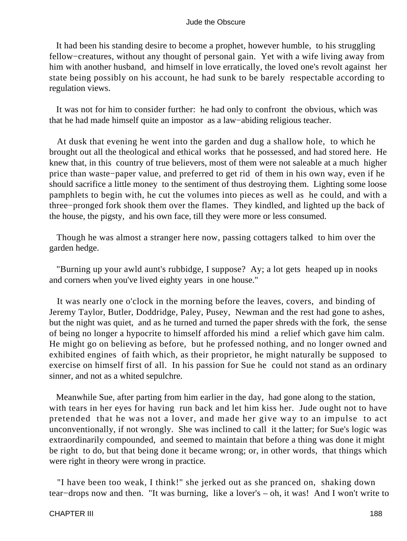It had been his standing desire to become a prophet, however humble, to his struggling fellow−creatures, without any thought of personal gain. Yet with a wife living away from him with another husband, and himself in love erratically, the loved one's revolt against her state being possibly on his account, he had sunk to be barely respectable according to regulation views.

 It was not for him to consider further: he had only to confront the obvious, which was that he had made himself quite an impostor as a law−abiding religious teacher.

 At dusk that evening he went into the garden and dug a shallow hole, to which he brought out all the theological and ethical works that he possessed, and had stored here. He knew that, in this country of true believers, most of them were not saleable at a much higher price than waste−paper value, and preferred to get rid of them in his own way, even if he should sacrifice a little money to the sentiment of thus destroying them. Lighting some loose pamphlets to begin with, he cut the volumes into pieces as well as he could, and with a three−pronged fork shook them over the flames. They kindled, and lighted up the back of the house, the pigsty, and his own face, till they were more or less consumed.

 Though he was almost a stranger here now, passing cottagers talked to him over the garden hedge.

 "Burning up your awld aunt's rubbidge, I suppose? Ay; a lot gets heaped up in nooks and corners when you've lived eighty years in one house."

 It was nearly one o'clock in the morning before the leaves, covers, and binding of Jeremy Taylor, Butler, Doddridge, Paley, Pusey, Newman and the rest had gone to ashes, but the night was quiet, and as he turned and turned the paper shreds with the fork, the sense of being no longer a hypocrite to himself afforded his mind a relief which gave him calm. He might go on believing as before, but he professed nothing, and no longer owned and exhibited engines of faith which, as their proprietor, he might naturally be supposed to exercise on himself first of all. In his passion for Sue he could not stand as an ordinary sinner, and not as a whited sepulchre.

 Meanwhile Sue, after parting from him earlier in the day, had gone along to the station, with tears in her eyes for having run back and let him kiss her. Jude ought not to have pretended that he was not a lover, and made her give way to an impulse to act unconventionally, if not wrongly. She was inclined to call it the latter; for Sue's logic was extraordinarily compounded, and seemed to maintain that before a thing was done it might be right to do, but that being done it became wrong; or, in other words, that things which were right in theory were wrong in practice.

 "I have been too weak, I think!" she jerked out as she pranced on, shaking down tear−drops now and then. "It was burning, like a lover's – oh, it was! And I won't write to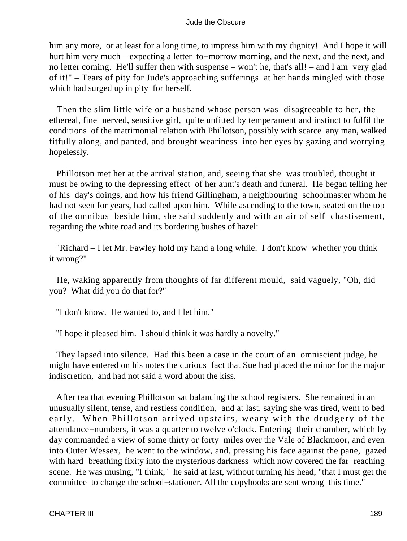him any more, or at least for a long time, to impress him with my dignity! And I hope it will hurt him very much – expecting a letter to−morrow morning, and the next, and the next, and no letter coming. He'll suffer then with suspense – won't he, that's all! – and I am very glad of it!" – Tears of pity for Jude's approaching sufferings at her hands mingled with those which had surged up in pity for herself.

 Then the slim little wife or a husband whose person was disagreeable to her, the ethereal, fine−nerved, sensitive girl, quite unfitted by temperament and instinct to fulfil the conditions of the matrimonial relation with Phillotson, possibly with scarce any man, walked fitfully along, and panted, and brought weariness into her eyes by gazing and worrying hopelessly.

 Phillotson met her at the arrival station, and, seeing that she was troubled, thought it must be owing to the depressing effect of her aunt's death and funeral. He began telling her of his day's doings, and how his friend Gillingham, a neighbouring schoolmaster whom he had not seen for years, had called upon him. While ascending to the town, seated on the top of the omnibus beside him, she said suddenly and with an air of self−chastisement, regarding the white road and its bordering bushes of hazel:

 "Richard – I let Mr. Fawley hold my hand a long while. I don't know whether you think it wrong?"

 He, waking apparently from thoughts of far different mould, said vaguely, "Oh, did you? What did you do that for?"

"I don't know. He wanted to, and I let him."

"I hope it pleased him. I should think it was hardly a novelty."

 They lapsed into silence. Had this been a case in the court of an omniscient judge, he might have entered on his notes the curious fact that Sue had placed the minor for the major indiscretion, and had not said a word about the kiss.

 After tea that evening Phillotson sat balancing the school registers. She remained in an unusually silent, tense, and restless condition, and at last, saying she was tired, went to bed early. When Phillotson arrived upstairs, weary with the drudgery of the attendance−numbers, it was a quarter to twelve o'clock. Entering their chamber, which by day commanded a view of some thirty or forty miles over the Vale of Blackmoor, and even into Outer Wessex, he went to the window, and, pressing his face against the pane, gazed with hard−breathing fixity into the mysterious darkness which now covered the far−reaching scene. He was musing, "I think," he said at last, without turning his head, "that I must get the committee to change the school−stationer. All the copybooks are sent wrong this time."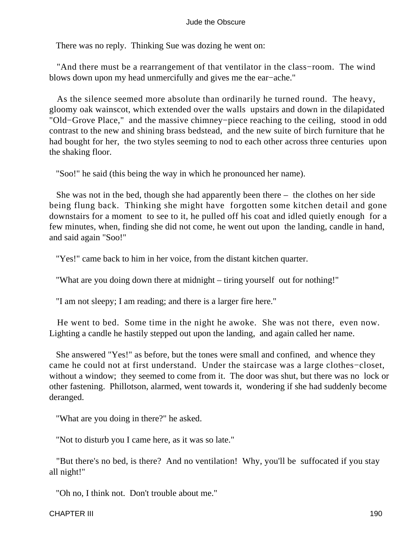There was no reply. Thinking Sue was dozing he went on:

 "And there must be a rearrangement of that ventilator in the class−room. The wind blows down upon my head unmercifully and gives me the ear−ache."

 As the silence seemed more absolute than ordinarily he turned round. The heavy, gloomy oak wainscot, which extended over the walls upstairs and down in the dilapidated "Old−Grove Place," and the massive chimney−piece reaching to the ceiling, stood in odd contrast to the new and shining brass bedstead, and the new suite of birch furniture that he had bought for her, the two styles seeming to nod to each other across three centuries upon the shaking floor.

"Soo!" he said (this being the way in which he pronounced her name).

 She was not in the bed, though she had apparently been there – the clothes on her side being flung back. Thinking she might have forgotten some kitchen detail and gone downstairs for a moment to see to it, he pulled off his coat and idled quietly enough for a few minutes, when, finding she did not come, he went out upon the landing, candle in hand, and said again "Soo!"

"Yes!" came back to him in her voice, from the distant kitchen quarter.

"What are you doing down there at midnight – tiring yourself out for nothing!"

"I am not sleepy; I am reading; and there is a larger fire here."

 He went to bed. Some time in the night he awoke. She was not there, even now. Lighting a candle he hastily stepped out upon the landing, and again called her name.

 She answered "Yes!" as before, but the tones were small and confined, and whence they came he could not at first understand. Under the staircase was a large clothes−closet, without a window; they seemed to come from it. The door was shut, but there was no lock or other fastening. Phillotson, alarmed, went towards it, wondering if she had suddenly become deranged.

"What are you doing in there?" he asked.

"Not to disturb you I came here, as it was so late."

 "But there's no bed, is there? And no ventilation! Why, you'll be suffocated if you stay all night!"

"Oh no, I think not. Don't trouble about me."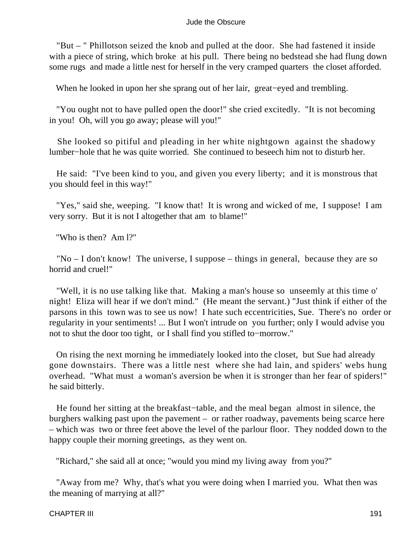"But – " Phillotson seized the knob and pulled at the door. She had fastened it inside with a piece of string, which broke at his pull. There being no bedstead she had flung down some rugs and made a little nest for herself in the very cramped quarters the closet afforded.

When he looked in upon her she sprang out of her lair, great−eyed and trembling.

 "You ought not to have pulled open the door!" she cried excitedly. "It is not becoming in you! Oh, will you go away; please will you!"

 She looked so pitiful and pleading in her white nightgown against the shadowy lumber−hole that he was quite worried. She continued to beseech him not to disturb her.

 He said: "I've been kind to you, and given you every liberty; and it is monstrous that you should feel in this way!"

 "Yes," said she, weeping. "I know that! It is wrong and wicked of me, I suppose! I am very sorry. But it is not I altogether that am to blame!"

"Who is then? Am l?"

 "No – I don't know! The universe, I suppose – things in general, because they are so horrid and cruel!"

 "Well, it is no use talking like that. Making a man's house so unseemly at this time o' night! Eliza will hear if we don't mind." (He meant the servant.) "Just think if either of the parsons in this town was to see us now! I hate such eccentricities, Sue. There's no order or regularity in your sentiments! ... But I won't intrude on you further; only I would advise you not to shut the door too tight, or I shall find you stifled to−morrow."

 On rising the next morning he immediately looked into the closet, but Sue had already gone downstairs. There was a little nest where she had lain, and spiders' webs hung overhead. "What must a woman's aversion be when it is stronger than her fear of spiders!" he said bitterly.

 He found her sitting at the breakfast−table, and the meal began almost in silence, the burghers walking past upon the pavement – or rather roadway, pavements being scarce here – which was two or three feet above the level of the parlour floor. They nodded down to the happy couple their morning greetings, as they went on.

"Richard," she said all at once; "would you mind my living away from you?"

 "Away from me? Why, that's what you were doing when I married you. What then was the meaning of marrying at all?"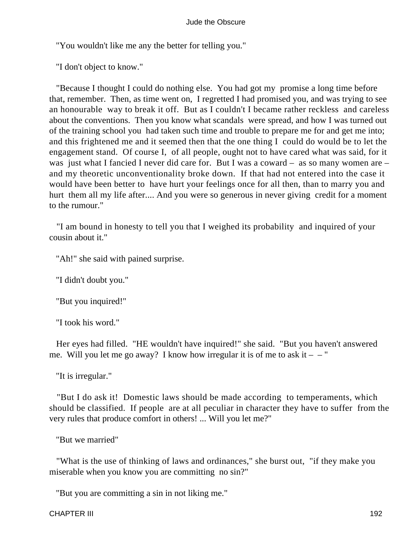"You wouldn't like me any the better for telling you."

"I don't object to know."

 "Because I thought I could do nothing else. You had got my promise a long time before that, remember. Then, as time went on, I regretted I had promised you, and was trying to see an honourable way to break it off. But as I couldn't I became rather reckless and careless about the conventions. Then you know what scandals were spread, and how I was turned out of the training school you had taken such time and trouble to prepare me for and get me into; and this frightened me and it seemed then that the one thing I could do would be to let the engagement stand. Of course I, of all people, ought not to have cared what was said, for it was just what I fancied I never did care for. But I was a coward – as so many women are – and my theoretic unconventionality broke down. If that had not entered into the case it would have been better to have hurt your feelings once for all then, than to marry you and hurt them all my life after.... And you were so generous in never giving credit for a moment to the rumour."

 "I am bound in honesty to tell you that I weighed its probability and inquired of your cousin about it."

"Ah!" she said with pained surprise.

"I didn't doubt you."

"But you inquired!"

"I took his word."

 Her eyes had filled. "HE wouldn't have inquired!" she said. "But you haven't answered me. Will you let me go away? I know how irregular it is of me to ask it  $-$  "

"It is irregular."

 "But I do ask it! Domestic laws should be made according to temperaments, which should be classified. If people are at all peculiar in character they have to suffer from the very rules that produce comfort in others! ... Will you let me?"

"But we married"

 "What is the use of thinking of laws and ordinances," she burst out, "if they make you miserable when you know you are committing no sin?"

"But you are committing a sin in not liking me."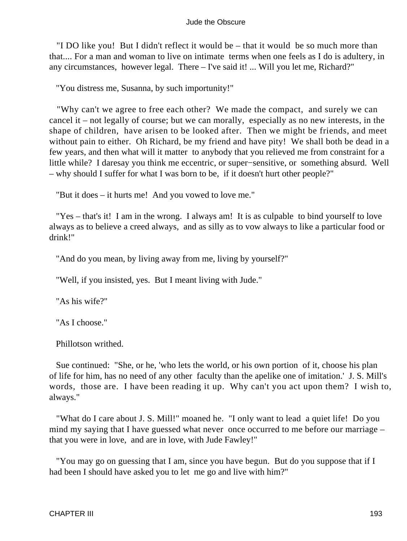"I DO like you! But I didn't reflect it would be – that it would be so much more than that.... For a man and woman to live on intimate terms when one feels as I do is adultery, in any circumstances, however legal. There – I've said it! ... Will you let me, Richard?"

"You distress me, Susanna, by such importunity!"

 "Why can't we agree to free each other? We made the compact, and surely we can cancel it – not legally of course; but we can morally, especially as no new interests, in the shape of children, have arisen to be looked after. Then we might be friends, and meet without pain to either. Oh Richard, be my friend and have pity! We shall both be dead in a few years, and then what will it matter to anybody that you relieved me from constraint for a little while? I daresay you think me eccentric, or super−sensitive, or something absurd. Well – why should I suffer for what I was born to be, if it doesn't hurt other people?"

"But it does – it hurts me! And you vowed to love me."

 "Yes – that's it! I am in the wrong. I always am! It is as culpable to bind yourself to love always as to believe a creed always, and as silly as to vow always to like a particular food or drink!"

"And do you mean, by living away from me, living by yourself?"

"Well, if you insisted, yes. But I meant living with Jude."

"As his wife?"

"As I choose."

Phillotson writhed.

 Sue continued: "She, or he, 'who lets the world, or his own portion of it, choose his plan of life for him, has no need of any other faculty than the apelike one of imitation.' J. S. Mill's words, those are. I have been reading it up. Why can't you act upon them? I wish to, always."

 "What do I care about J. S. Mill!" moaned he. "I only want to lead a quiet life! Do you mind my saying that I have guessed what never once occurred to me before our marriage – that you were in love, and are in love, with Jude Fawley!"

 "You may go on guessing that I am, since you have begun. But do you suppose that if I had been I should have asked you to let me go and live with him?"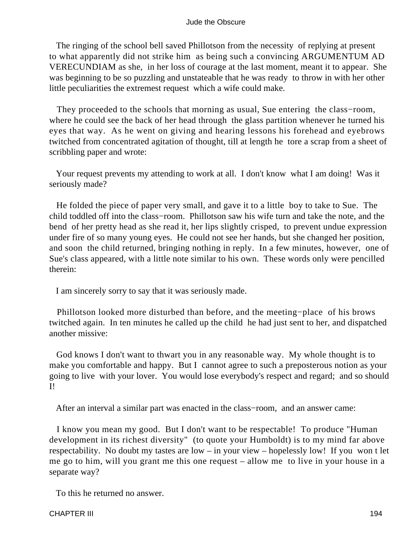The ringing of the school bell saved Phillotson from the necessity of replying at present to what apparently did not strike him as being such a convincing ARGUMENTUM AD VERECUNDIAM as she, in her loss of courage at the last moment, meant it to appear. She was beginning to be so puzzling and unstateable that he was ready to throw in with her other little peculiarities the extremest request which a wife could make.

They proceeded to the schools that morning as usual, Sue entering the class–room, where he could see the back of her head through the glass partition whenever he turned his eyes that way. As he went on giving and hearing lessons his forehead and eyebrows twitched from concentrated agitation of thought, till at length he tore a scrap from a sheet of scribbling paper and wrote:

 Your request prevents my attending to work at all. I don't know what I am doing! Was it seriously made?

 He folded the piece of paper very small, and gave it to a little boy to take to Sue. The child toddled off into the class−room. Phillotson saw his wife turn and take the note, and the bend of her pretty head as she read it, her lips slightly crisped, to prevent undue expression under fire of so many young eyes. He could not see her hands, but she changed her position, and soon the child returned, bringing nothing in reply. In a few minutes, however, one of Sue's class appeared, with a little note similar to his own. These words only were pencilled therein:

I am sincerely sorry to say that it was seriously made.

 Phillotson looked more disturbed than before, and the meeting−place of his brows twitched again. In ten minutes he called up the child he had just sent to her, and dispatched another missive:

 God knows I don't want to thwart you in any reasonable way. My whole thought is to make you comfortable and happy. But I cannot agree to such a preposterous notion as your going to live with your lover. You would lose everybody's respect and regard; and so should I!

After an interval a similar part was enacted in the class−room, and an answer came:

 I know you mean my good. But I don't want to be respectable! To produce "Human development in its richest diversity" (to quote your Humboldt) is to my mind far above respectability. No doubt my tastes are low – in your view – hopelessly low! If you won t let me go to him, will you grant me this one request – allow me to live in your house in a separate way?

To this he returned no answer.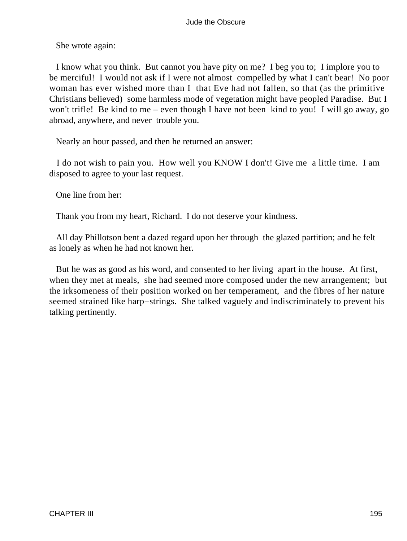She wrote again:

 I know what you think. But cannot you have pity on me? I beg you to; I implore you to be merciful! I would not ask if I were not almost compelled by what I can't bear! No poor woman has ever wished more than I that Eve had not fallen, so that (as the primitive Christians believed) some harmless mode of vegetation might have peopled Paradise. But I won't trifle! Be kind to me – even though I have not been kind to you! I will go away, go abroad, anywhere, and never trouble you.

Nearly an hour passed, and then he returned an answer:

 I do not wish to pain you. How well you KNOW I don't! Give me a little time. I am disposed to agree to your last request.

One line from her:

Thank you from my heart, Richard. I do not deserve your kindness.

 All day Phillotson bent a dazed regard upon her through the glazed partition; and he felt as lonely as when he had not known her.

 But he was as good as his word, and consented to her living apart in the house. At first, when they met at meals, she had seemed more composed under the new arrangement; but the irksomeness of their position worked on her temperament, and the fibres of her nature seemed strained like harp−strings. She talked vaguely and indiscriminately to prevent his talking pertinently.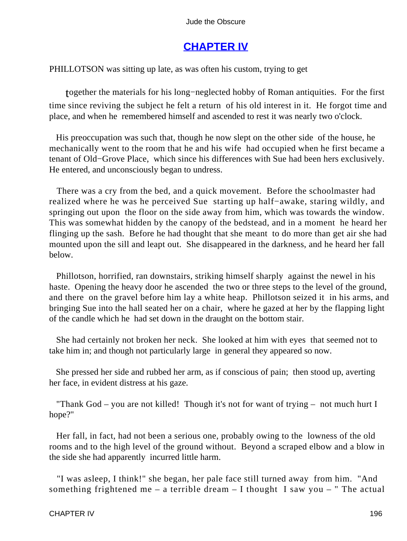# **[CHAPTER IV](#page-367-0)**

PHILLOTSON was sitting up late, as was often his custom, trying to get

together the materials for his long−neglected hobby of Roman antiquities. For the first time since reviving the subject he felt a return of his old interest in it. He forgot time and place, and when he remembered himself and ascended to rest it was nearly two o'clock.

 His preoccupation was such that, though he now slept on the other side of the house, he mechanically went to the room that he and his wife had occupied when he first became a tenant of Old−Grove Place, which since his differences with Sue had been hers exclusively. He entered, and unconsciously began to undress.

 There was a cry from the bed, and a quick movement. Before the schoolmaster had realized where he was he perceived Sue starting up half−awake, staring wildly, and springing out upon the floor on the side away from him, which was towards the window. This was somewhat hidden by the canopy of the bedstead, and in a moment he heard her flinging up the sash. Before he had thought that she meant to do more than get air she had mounted upon the sill and leapt out. She disappeared in the darkness, and he heard her fall below.

 Phillotson, horrified, ran downstairs, striking himself sharply against the newel in his haste. Opening the heavy door he ascended the two or three steps to the level of the ground, and there on the gravel before him lay a white heap. Phillotson seized it in his arms, and bringing Sue into the hall seated her on a chair, where he gazed at her by the flapping light of the candle which he had set down in the draught on the bottom stair.

 She had certainly not broken her neck. She looked at him with eyes that seemed not to take him in; and though not particularly large in general they appeared so now.

 She pressed her side and rubbed her arm, as if conscious of pain; then stood up, averting her face, in evident distress at his gaze.

 "Thank God – you are not killed! Though it's not for want of trying – not much hurt I hope?"

 Her fall, in fact, had not been a serious one, probably owing to the lowness of the old rooms and to the high level of the ground without. Beyond a scraped elbow and a blow in the side she had apparently incurred little harm.

 "I was asleep, I think!" she began, her pale face still turned away from him. "And something frightened me – a terrible dream  $-$  I thought I saw you  $-$  " The actual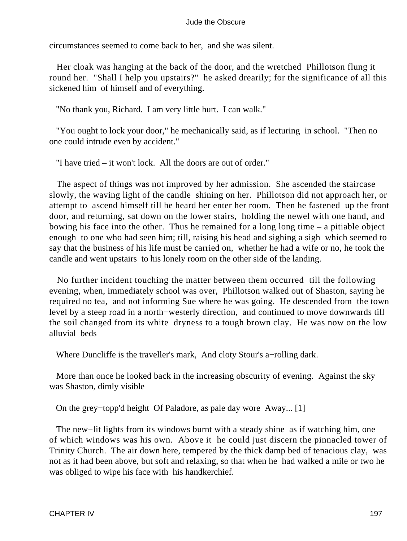circumstances seemed to come back to her, and she was silent.

 Her cloak was hanging at the back of the door, and the wretched Phillotson flung it round her. "Shall I help you upstairs?" he asked drearily; for the significance of all this sickened him of himself and of everything.

"No thank you, Richard. I am very little hurt. I can walk."

 "You ought to lock your door," he mechanically said, as if lecturing in school. "Then no one could intrude even by accident."

"I have tried – it won't lock. All the doors are out of order."

 The aspect of things was not improved by her admission. She ascended the staircase slowly, the waving light of the candle shining on her. Phillotson did not approach her, or attempt to ascend himself till he heard her enter her room. Then he fastened up the front door, and returning, sat down on the lower stairs, holding the newel with one hand, and bowing his face into the other. Thus he remained for a long long time – a pitiable object enough to one who had seen him; till, raising his head and sighing a sigh which seemed to say that the business of his life must be carried on, whether he had a wife or no, he took the candle and went upstairs to his lonely room on the other side of the landing.

 No further incident touching the matter between them occurred till the following evening, when, immediately school was over, Phillotson walked out of Shaston, saying he required no tea, and not informing Sue where he was going. He descended from the town level by a steep road in a north−westerly direction, and continued to move downwards till the soil changed from its white dryness to a tough brown clay. He was now on the low alluvial beds

Where Duncliffe is the traveller's mark, And cloty Stour's a−rolling dark.

 More than once he looked back in the increasing obscurity of evening. Against the sky was Shaston, dimly visible

On the grey−topp'd height Of Paladore, as pale day wore Away... [1]

The new–lit lights from its windows burnt with a steady shine as if watching him, one of which windows was his own. Above it he could just discern the pinnacled tower of Trinity Church. The air down here, tempered by the thick damp bed of tenacious clay, was not as it had been above, but soft and relaxing, so that when he had walked a mile or two he was obliged to wipe his face with his handkerchief.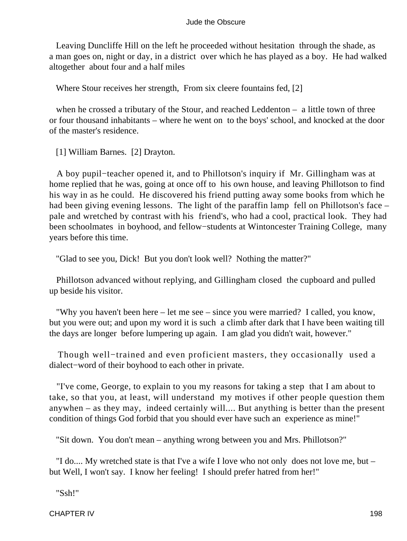Leaving Duncliffe Hill on the left he proceeded without hesitation through the shade, as a man goes on, night or day, in a district over which he has played as a boy. He had walked altogether about four and a half miles

Where Stour receives her strength, From six cleere fountains fed, [2]

when he crossed a tributary of the Stour, and reached Leddenton – a little town of three or four thousand inhabitants – where he went on to the boys' school, and knocked at the door of the master's residence.

[1] William Barnes. [2] Drayton.

 A boy pupil−teacher opened it, and to Phillotson's inquiry if Mr. Gillingham was at home replied that he was, going at once off to his own house, and leaving Phillotson to find his way in as he could. He discovered his friend putting away some books from which he had been giving evening lessons. The light of the paraffin lamp fell on Phillotson's face – pale and wretched by contrast with his friend's, who had a cool, practical look. They had been schoolmates in boyhood, and fellow−students at Wintoncester Training College, many years before this time.

"Glad to see you, Dick! But you don't look well? Nothing the matter?"

 Phillotson advanced without replying, and Gillingham closed the cupboard and pulled up beside his visitor.

 "Why you haven't been here – let me see – since you were married? I called, you know, but you were out; and upon my word it is such a climb after dark that I have been waiting till the days are longer before lumpering up again. I am glad you didn't wait, however."

 Though well−trained and even proficient masters, they occasionally used a dialect−word of their boyhood to each other in private.

 "I've come, George, to explain to you my reasons for taking a step that I am about to take, so that you, at least, will understand my motives if other people question them anywhen – as they may, indeed certainly will.... But anything is better than the present condition of things God forbid that you should ever have such an experience as mine!"

"Sit down. You don't mean – anything wrong between you and Mrs. Phillotson?"

 "I do.... My wretched state is that I've a wife I love who not only does not love me, but – but Well, I won't say. I know her feeling! I should prefer hatred from her!"

"Ssh!"

CHAPTER IV 198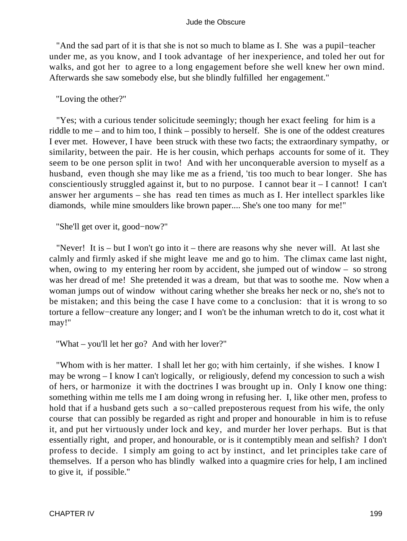"And the sad part of it is that she is not so much to blame as I. She was a pupil−teacher under me, as you know, and I took advantage of her inexperience, and toled her out for walks, and got her to agree to a long engagement before she well knew her own mind. Afterwards she saw somebody else, but she blindly fulfilled her engagement."

# "Loving the other?"

 "Yes; with a curious tender solicitude seemingly; though her exact feeling for him is a riddle to me – and to him too, I think – possibly to herself. She is one of the oddest creatures I ever met. However, I have been struck with these two facts; the extraordinary sympathy, or similarity, between the pair. He is her cousin, which perhaps accounts for some of it. They seem to be one person split in two! And with her unconquerable aversion to myself as a husband, even though she may like me as a friend, 'tis too much to bear longer. She has conscientiously struggled against it, but to no purpose. I cannot bear it – I cannot! I can't answer her arguments – she has read ten times as much as I. Her intellect sparkles like diamonds, while mine smoulders like brown paper.... She's one too many for me!"

"She'll get over it, good−now?"

 "Never! It is – but I won't go into it – there are reasons why she never will. At last she calmly and firmly asked if she might leave me and go to him. The climax came last night, when, owing to my entering her room by accident, she jumped out of window – so strong was her dread of me! She pretended it was a dream, but that was to soothe me. Now when a woman jumps out of window without caring whether she breaks her neck or no, she's not to be mistaken; and this being the case I have come to a conclusion: that it is wrong to so torture a fellow−creature any longer; and I won't be the inhuman wretch to do it, cost what it may!"

"What – you'll let her go? And with her lover?"

 "Whom with is her matter. I shall let her go; with him certainly, if she wishes. I know I may be wrong – I know I can't logically, or religiously, defend my concession to such a wish of hers, or harmonize it with the doctrines I was brought up in. Only I know one thing: something within me tells me I am doing wrong in refusing her. I, like other men, profess to hold that if a husband gets such a so−called preposterous request from his wife, the only course that can possibly be regarded as right and proper and honourable in him is to refuse it, and put her virtuously under lock and key, and murder her lover perhaps. But is that essentially right, and proper, and honourable, or is it contemptibly mean and selfish? I don't profess to decide. I simply am going to act by instinct, and let principles take care of themselves. If a person who has blindly walked into a quagmire cries for help, I am inclined to give it, if possible."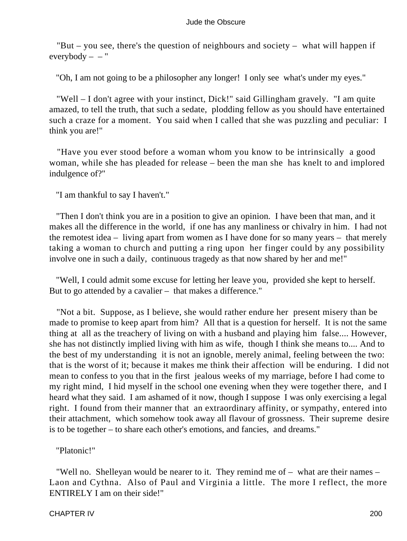"But – you see, there's the question of neighbours and society – what will happen if  $everybody -$ "

"Oh, I am not going to be a philosopher any longer! I only see what's under my eyes."

 "Well – I don't agree with your instinct, Dick!" said Gillingham gravely. "I am quite amazed, to tell the truth, that such a sedate, plodding fellow as you should have entertained such a craze for a moment. You said when I called that she was puzzling and peculiar: I think you are!"

 "Have you ever stood before a woman whom you know to be intrinsically a good woman, while she has pleaded for release – been the man she has knelt to and implored indulgence of?"

"I am thankful to say I haven't."

 "Then I don't think you are in a position to give an opinion. I have been that man, and it makes all the difference in the world, if one has any manliness or chivalry in him. I had not the remotest idea – living apart from women as I have done for so many years – that merely taking a woman to church and putting a ring upon her finger could by any possibility involve one in such a daily, continuous tragedy as that now shared by her and me!"

 "Well, I could admit some excuse for letting her leave you, provided she kept to herself. But to go attended by a cavalier – that makes a difference."

 "Not a bit. Suppose, as I believe, she would rather endure her present misery than be made to promise to keep apart from him? All that is a question for herself. It is not the same thing at all as the treachery of living on with a husband and playing him false.... However, she has not distinctly implied living with him as wife, though I think she means to.... And to the best of my understanding it is not an ignoble, merely animal, feeling between the two: that is the worst of it; because it makes me think their affection will be enduring. I did not mean to confess to you that in the first jealous weeks of my marriage, before I had come to my right mind, I hid myself in the school one evening when they were together there, and I heard what they said. I am ashamed of it now, though I suppose I was only exercising a legal right. I found from their manner that an extraordinary affinity, or sympathy, entered into their attachment, which somehow took away all flavour of grossness. Their supreme desire is to be together – to share each other's emotions, and fancies, and dreams."

"Platonic!"

 "Well no. Shelleyan would be nearer to it. They remind me of – what are their names – Laon and Cythna. Also of Paul and Virginia a little. The more I reflect, the more ENTIRELY I am on their side!"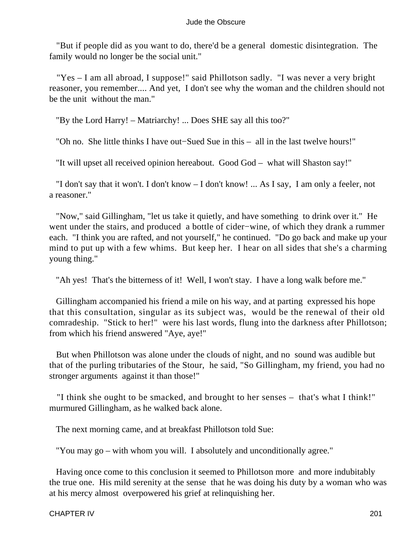"But if people did as you want to do, there'd be a general domestic disintegration. The family would no longer be the social unit."

 "Yes – I am all abroad, I suppose!" said Phillotson sadly. "I was never a very bright reasoner, you remember.... And yet, I don't see why the woman and the children should not be the unit without the man."

"By the Lord Harry! – Matriarchy! ... Does SHE say all this too?"

"Oh no. She little thinks I have out−Sued Sue in this – all in the last twelve hours!"

"It will upset all received opinion hereabout. Good God – what will Shaston say!"

 "I don't say that it won't. I don't know – I don't know! ... As I say, I am only a feeler, not a reasoner."

 "Now," said Gillingham, "let us take it quietly, and have something to drink over it." He went under the stairs, and produced a bottle of cider−wine, of which they drank a rummer each. "I think you are rafted, and not yourself," he continued. "Do go back and make up your mind to put up with a few whims. But keep her. I hear on all sides that she's a charming young thing."

"Ah yes! That's the bitterness of it! Well, I won't stay. I have a long walk before me."

 Gillingham accompanied his friend a mile on his way, and at parting expressed his hope that this consultation, singular as its subject was, would be the renewal of their old comradeship. "Stick to her!" were his last words, flung into the darkness after Phillotson; from which his friend answered "Aye, aye!"

 But when Phillotson was alone under the clouds of night, and no sound was audible but that of the purling tributaries of the Stour, he said, "So Gillingham, my friend, you had no stronger arguments against it than those!"

 "I think she ought to be smacked, and brought to her senses – that's what I think!" murmured Gillingham, as he walked back alone.

The next morning came, and at breakfast Phillotson told Sue:

"You may go – with whom you will. I absolutely and unconditionally agree."

 Having once come to this conclusion it seemed to Phillotson more and more indubitably the true one. His mild serenity at the sense that he was doing his duty by a woman who was at his mercy almost overpowered his grief at relinquishing her.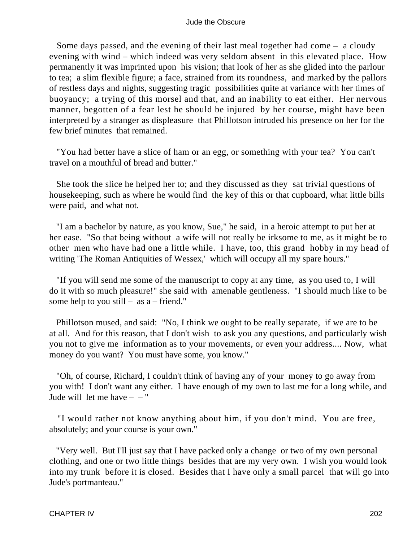Some days passed, and the evening of their last meal together had come – a cloudy evening with wind – which indeed was very seldom absent in this elevated place. How permanently it was imprinted upon his vision; that look of her as she glided into the parlour to tea; a slim flexible figure; a face, strained from its roundness, and marked by the pallors of restless days and nights, suggesting tragic possibilities quite at variance with her times of buoyancy; a trying of this morsel and that, and an inability to eat either. Her nervous manner, begotten of a fear lest he should be injured by her course, might have been interpreted by a stranger as displeasure that Phillotson intruded his presence on her for the few brief minutes that remained.

 "You had better have a slice of ham or an egg, or something with your tea? You can't travel on a mouthful of bread and butter."

 She took the slice he helped her to; and they discussed as they sat trivial questions of housekeeping, such as where he would find the key of this or that cupboard, what little bills were paid, and what not.

 "I am a bachelor by nature, as you know, Sue," he said, in a heroic attempt to put her at her ease. "So that being without a wife will not really be irksome to me, as it might be to other men who have had one a little while. I have, too, this grand hobby in my head of writing 'The Roman Antiquities of Wessex,' which will occupy all my spare hours."

 "If you will send me some of the manuscript to copy at any time, as you used to, I will do it with so much pleasure!" she said with amenable gentleness. "I should much like to be some help to you still – as  $a$  – friend."

 Phillotson mused, and said: "No, I think we ought to be really separate, if we are to be at all. And for this reason, that I don't wish to ask you any questions, and particularly wish you not to give me information as to your movements, or even your address.... Now, what money do you want? You must have some, you know."

 "Oh, of course, Richard, I couldn't think of having any of your money to go away from you with! I don't want any either. I have enough of my own to last me for a long while, and Jude will let me have  $-$  – "

 "I would rather not know anything about him, if you don't mind. You are free, absolutely; and your course is your own."

 "Very well. But I'll just say that I have packed only a change or two of my own personal clothing, and one or two little things besides that are my very own. I wish you would look into my trunk before it is closed. Besides that I have only a small parcel that will go into Jude's portmanteau."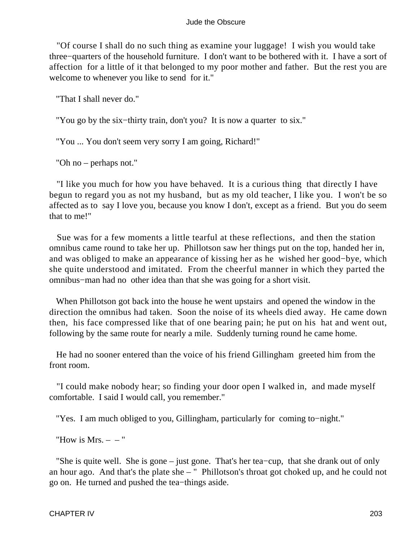"Of course I shall do no such thing as examine your luggage! I wish you would take three−quarters of the household furniture. I don't want to be bothered with it. I have a sort of affection for a little of it that belonged to my poor mother and father. But the rest you are welcome to whenever you like to send for it."

"That I shall never do."

"You go by the six−thirty train, don't you? It is now a quarter to six."

"You ... You don't seem very sorry I am going, Richard!"

"Oh no – perhaps not."

 "I like you much for how you have behaved. It is a curious thing that directly I have begun to regard you as not my husband, but as my old teacher, I like you. I won't be so affected as to say I love you, because you know I don't, except as a friend. But you do seem that to me!"

 Sue was for a few moments a little tearful at these reflections, and then the station omnibus came round to take her up. Phillotson saw her things put on the top, handed her in, and was obliged to make an appearance of kissing her as he wished her good−bye, which she quite understood and imitated. From the cheerful manner in which they parted the omnibus−man had no other idea than that she was going for a short visit.

 When Phillotson got back into the house he went upstairs and opened the window in the direction the omnibus had taken. Soon the noise of its wheels died away. He came down then, his face compressed like that of one bearing pain; he put on his hat and went out, following by the same route for nearly a mile. Suddenly turning round he came home.

 He had no sooner entered than the voice of his friend Gillingham greeted him from the front room.

 "I could make nobody hear; so finding your door open I walked in, and made myself comfortable. I said I would call, you remember."

"Yes. I am much obliged to you, Gillingham, particularly for coming to−night."

"How is  $Mrs. - -$ "

 "She is quite well. She is gone – just gone. That's her tea−cup, that she drank out of only an hour ago. And that's the plate she – " Phillotson's throat got choked up, and he could not go on. He turned and pushed the tea−things aside.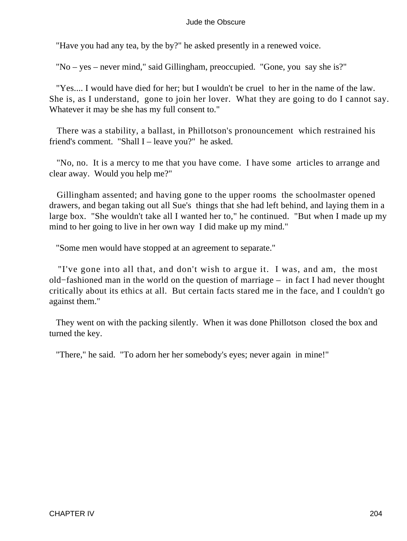"Have you had any tea, by the by?" he asked presently in a renewed voice.

"No – yes – never mind," said Gillingham, preoccupied. "Gone, you say she is?"

 "Yes.... I would have died for her; but I wouldn't be cruel to her in the name of the law. She is, as I understand, gone to join her lover. What they are going to do I cannot say. Whatever it may be she has my full consent to."

 There was a stability, a ballast, in Phillotson's pronouncement which restrained his friend's comment. "Shall I – leave you?" he asked.

 "No, no. It is a mercy to me that you have come. I have some articles to arrange and clear away. Would you help me?"

 Gillingham assented; and having gone to the upper rooms the schoolmaster opened drawers, and began taking out all Sue's things that she had left behind, and laying them in a large box. "She wouldn't take all I wanted her to," he continued. "But when I made up my mind to her going to live in her own way I did make up my mind."

"Some men would have stopped at an agreement to separate."

 "I've gone into all that, and don't wish to argue it. I was, and am, the most old−fashioned man in the world on the question of marriage – in fact I had never thought critically about its ethics at all. But certain facts stared me in the face, and I couldn't go against them."

 They went on with the packing silently. When it was done Phillotson closed the box and turned the key.

"There," he said. "To adorn her her somebody's eyes; never again in mine!"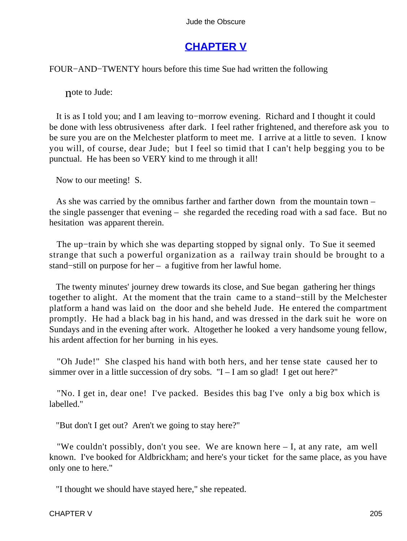# **[CHAPTER V](#page-367-0)**

FOUR−AND−TWENTY hours before this time Sue had written the following

note to Jude:

 It is as I told you; and I am leaving to−morrow evening. Richard and I thought it could be done with less obtrusiveness after dark. I feel rather frightened, and therefore ask you to be sure you are on the Melchester platform to meet me. I arrive at a little to seven. I know you will, of course, dear Jude; but I feel so timid that I can't help begging you to be punctual. He has been so VERY kind to me through it all!

Now to our meeting! S.

 As she was carried by the omnibus farther and farther down from the mountain town – the single passenger that evening – she regarded the receding road with a sad face. But no hesitation was apparent therein.

 The up−train by which she was departing stopped by signal only. To Sue it seemed strange that such a powerful organization as a railway train should be brought to a stand−still on purpose for her – a fugitive from her lawful home.

 The twenty minutes' journey drew towards its close, and Sue began gathering her things together to alight. At the moment that the train came to a stand−still by the Melchester platform a hand was laid on the door and she beheld Jude. He entered the compartment promptly. He had a black bag in his hand, and was dressed in the dark suit he wore on Sundays and in the evening after work. Altogether he looked a very handsome young fellow, his ardent affection for her burning in his eyes.

 "Oh Jude!" She clasped his hand with both hers, and her tense state caused her to simmer over in a little succession of dry sobs.  $"I - I$  am so glad! I get out here?"

 "No. I get in, dear one! I've packed. Besides this bag I've only a big box which is labelled."

"But don't I get out? Aren't we going to stay here?"

 "We couldn't possibly, don't you see. We are known here – I, at any rate, am well known. I've booked for Aldbrickham; and here's your ticket for the same place, as you have only one to here."

"I thought we should have stayed here," she repeated.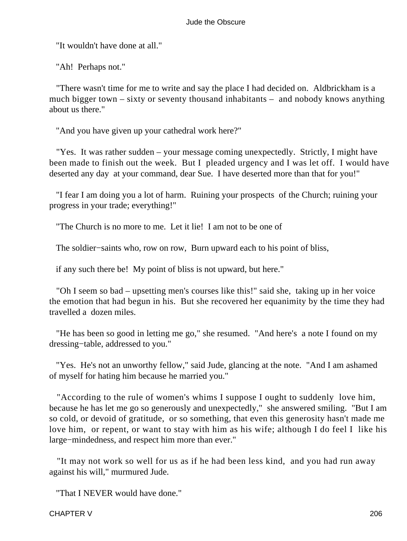"It wouldn't have done at all."

"Ah! Perhaps not."

 "There wasn't time for me to write and say the place I had decided on. Aldbrickham is a much bigger town – sixty or seventy thousand inhabitants – and nobody knows anything about us there."

"And you have given up your cathedral work here?"

 "Yes. It was rather sudden – your message coming unexpectedly. Strictly, I might have been made to finish out the week. But I pleaded urgency and I was let off. I would have deserted any day at your command, dear Sue. I have deserted more than that for you!"

 "I fear I am doing you a lot of harm. Ruining your prospects of the Church; ruining your progress in your trade; everything!"

"The Church is no more to me. Let it lie! I am not to be one of

The soldier–saints who, row on row, Burn upward each to his point of bliss,

if any such there be! My point of bliss is not upward, but here."

 "Oh I seem so bad – upsetting men's courses like this!" said she, taking up in her voice the emotion that had begun in his. But she recovered her equanimity by the time they had travelled a dozen miles.

 "He has been so good in letting me go," she resumed. "And here's a note I found on my dressing−table, addressed to you."

 "Yes. He's not an unworthy fellow," said Jude, glancing at the note. "And I am ashamed of myself for hating him because he married you."

 "According to the rule of women's whims I suppose I ought to suddenly love him, because he has let me go so generously and unexpectedly," she answered smiling. "But I am so cold, or devoid of gratitude, or so something, that even this generosity hasn't made me love him, or repent, or want to stay with him as his wife; although I do feel I like his large−mindedness, and respect him more than ever."

 "It may not work so well for us as if he had been less kind, and you had run away against his will," murmured Jude.

"That I NEVER would have done."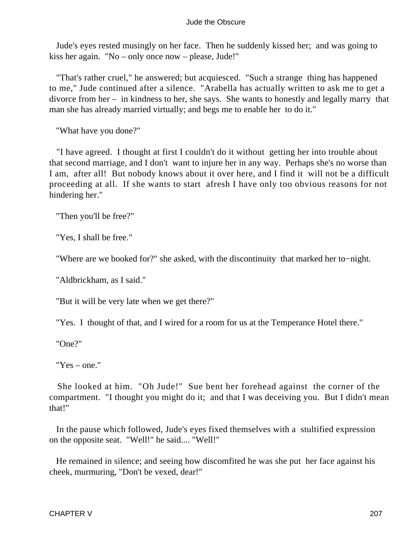Jude's eyes rested musingly on her face. Then he suddenly kissed her; and was going to kiss her again. "No – only once now – please, Jude!"

 "That's rather cruel," he answered; but acquiesced. "Such a strange thing has happened to me," Jude continued after a silence. "Arabella has actually written to ask me to get a divorce from her – in kindness to her, she says. She wants to honestly and legally marry that man she has already married virtually; and begs me to enable her to do it."

"What have you done?"

 "I have agreed. I thought at first I couldn't do it without getting her into trouble about that second marriage, and I don't want to injure her in any way. Perhaps she's no worse than I am, after all! But nobody knows about it over here, and I find it will not be a difficult proceeding at all. If she wants to start afresh I have only too obvious reasons for not hindering her."

"Then you'll be free?"

"Yes, I shall be free."

"Where are we booked for?" she asked, with the discontinuity that marked her to−night.

"Aldbrickham, as I said."

"But it will be very late when we get there?"

"Yes. I thought of that, and I wired for a room for us at the Temperance Hotel there."

"One?"

"Yes – one."

 She looked at him. "Oh Jude!" Sue bent her forehead against the corner of the compartment. "I thought you might do it; and that I was deceiving you. But I didn't mean that!"

 In the pause which followed, Jude's eyes fixed themselves with a stultified expression on the opposite seat. "Well!" he said.... "Well!"

 He remained in silence; and seeing how discomfited he was she put her face against his cheek, murmuring, "Don't be vexed, dear!"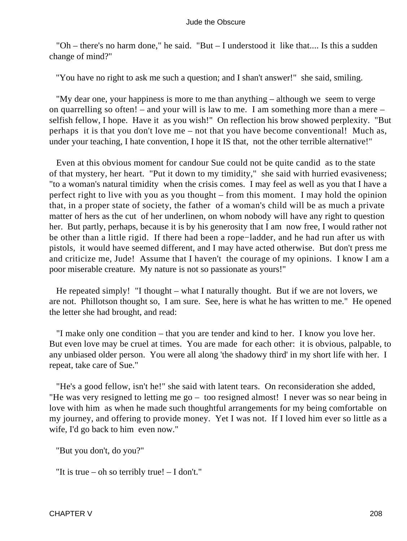"Oh – there's no harm done," he said. "But – I understood it like that.... Is this a sudden change of mind?"

"You have no right to ask me such a question; and I shan't answer!" she said, smiling.

 "My dear one, your happiness is more to me than anything – although we seem to verge on quarrelling so often! – and your will is law to me. I am something more than a mere – selfish fellow, I hope. Have it as you wish!" On reflection his brow showed perplexity. "But perhaps it is that you don't love me – not that you have become conventional! Much as, under your teaching, I hate convention, I hope it IS that, not the other terrible alternative!"

 Even at this obvious moment for candour Sue could not be quite candid as to the state of that mystery, her heart. "Put it down to my timidity," she said with hurried evasiveness; "to a woman's natural timidity when the crisis comes. I may feel as well as you that I have a perfect right to live with you as you thought – from this moment. I may hold the opinion that, in a proper state of society, the father of a woman's child will be as much a private matter of hers as the cut of her underlinen, on whom nobody will have any right to question her. But partly, perhaps, because it is by his generosity that I am now free, I would rather not be other than a little rigid. If there had been a rope−ladder, and he had run after us with pistols, it would have seemed different, and I may have acted otherwise. But don't press me and criticize me, Jude! Assume that I haven't the courage of my opinions. I know I am a poor miserable creature. My nature is not so passionate as yours!"

 He repeated simply! "I thought – what I naturally thought. But if we are not lovers, we are not. Phillotson thought so, I am sure. See, here is what he has written to me." He opened the letter she had brought, and read:

 "I make only one condition – that you are tender and kind to her. I know you love her. But even love may be cruel at times. You are made for each other: it is obvious, palpable, to any unbiased older person. You were all along 'the shadowy third' in my short life with her. I repeat, take care of Sue."

 "He's a good fellow, isn't he!" she said with latent tears. On reconsideration she added, "He was very resigned to letting me go – too resigned almost! I never was so near being in love with him as when he made such thoughtful arrangements for my being comfortable on my journey, and offering to provide money. Yet I was not. If I loved him ever so little as a wife, I'd go back to him even now."

"But you don't, do you?"

"It is true – oh so terribly true! – I don't."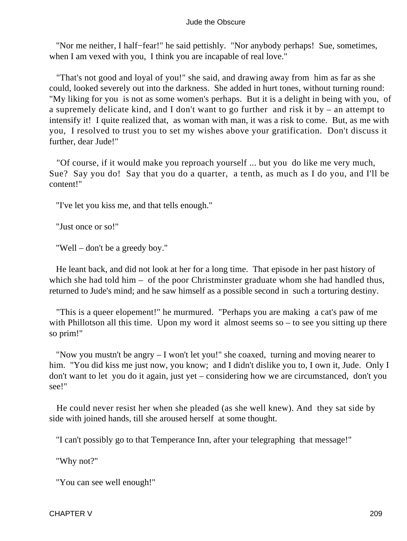"Nor me neither, I half−fear!" he said pettishly. "Nor anybody perhaps! Sue, sometimes, when I am vexed with you, I think you are incapable of real love."

 "That's not good and loyal of you!" she said, and drawing away from him as far as she could, looked severely out into the darkness. She added in hurt tones, without turning round: "My liking for you is not as some women's perhaps. But it is a delight in being with you, of a supremely delicate kind, and I don't want to go further and risk it by – an attempt to intensify it! I quite realized that, as woman with man, it was a risk to come. But, as me with you, I resolved to trust you to set my wishes above your gratification. Don't discuss it further, dear Jude!"

 "Of course, if it would make you reproach yourself ... but you do like me very much, Sue? Say you do! Say that you do a quarter, a tenth, as much as I do you, and I'll be content!"

"I've let you kiss me, and that tells enough."

"Just once or so!"

"Well – don't be a greedy boy."

 He leant back, and did not look at her for a long time. That episode in her past history of which she had told him – of the poor Christminster graduate whom she had handled thus, returned to Jude's mind; and he saw himself as a possible second in such a torturing destiny.

 "This is a queer elopement!" he murmured. "Perhaps you are making a cat's paw of me with Phillotson all this time. Upon my word it almost seems so – to see you sitting up there so prim!"

 "Now you mustn't be angry – I won't let you!" she coaxed, turning and moving nearer to him. "You did kiss me just now, you know; and I didn't dislike you to, I own it, Jude. Only I don't want to let you do it again, just yet – considering how we are circumstanced, don't you see!"

 He could never resist her when she pleaded (as she well knew). And they sat side by side with joined hands, till she aroused herself at some thought.

"I can't possibly go to that Temperance Inn, after your telegraphing that message!"

"Why not?"

"You can see well enough!"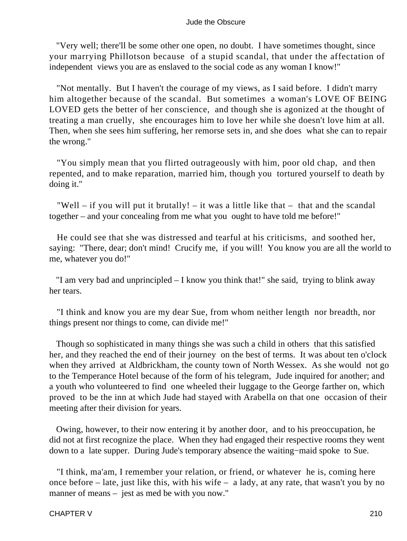"Very well; there'll be some other one open, no doubt. I have sometimes thought, since your marrying Phillotson because of a stupid scandal, that under the affectation of independent views you are as enslaved to the social code as any woman I know!"

 "Not mentally. But I haven't the courage of my views, as I said before. I didn't marry him altogether because of the scandal. But sometimes a woman's LOVE OF BEING LOVED gets the better of her conscience, and though she is agonized at the thought of treating a man cruelly, she encourages him to love her while she doesn't love him at all. Then, when she sees him suffering, her remorse sets in, and she does what she can to repair the wrong."

 "You simply mean that you flirted outrageously with him, poor old chap, and then repented, and to make reparation, married him, though you tortured yourself to death by doing it."

"Well – if you will put it brutally! – it was a little like that  $-$  that and the scandal together – and your concealing from me what you ought to have told me before!"

 He could see that she was distressed and tearful at his criticisms, and soothed her, saying: "There, dear; don't mind! Crucify me, if you will! You know you are all the world to me, whatever you do!"

 "I am very bad and unprincipled – I know you think that!" she said, trying to blink away her tears.

 "I think and know you are my dear Sue, from whom neither length nor breadth, nor things present nor things to come, can divide me!"

 Though so sophisticated in many things she was such a child in others that this satisfied her, and they reached the end of their journey on the best of terms. It was about ten o'clock when they arrived at Aldbrickham, the county town of North Wessex. As she would not go to the Temperance Hotel because of the form of his telegram, Jude inquired for another; and a youth who volunteered to find one wheeled their luggage to the George farther on, which proved to be the inn at which Jude had stayed with Arabella on that one occasion of their meeting after their division for years.

 Owing, however, to their now entering it by another door, and to his preoccupation, he did not at first recognize the place. When they had engaged their respective rooms they went down to a late supper. During Jude's temporary absence the waiting−maid spoke to Sue.

 "I think, ma'am, I remember your relation, or friend, or whatever he is, coming here once before – late, just like this, with his wife – a lady, at any rate, that wasn't you by no manner of means – jest as med be with you now."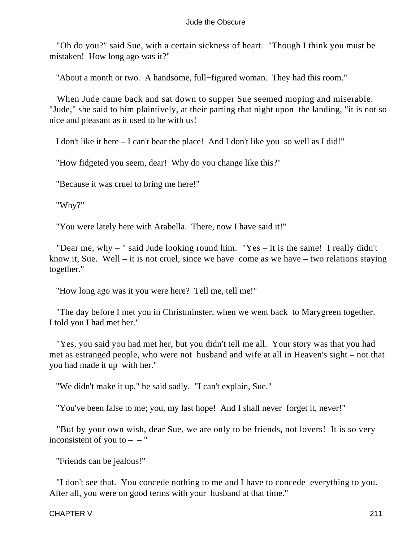"Oh do you?" said Sue, with a certain sickness of heart. "Though I think you must be mistaken! How long ago was it?"

"About a month or two. A handsome, full−figured woman. They had this room."

 When Jude came back and sat down to supper Sue seemed moping and miserable. "Jude," she said to him plaintively, at their parting that night upon the landing, "it is not so nice and pleasant as it used to be with us!

I don't like it here – I can't bear the place! And I don't like you so well as I did!"

"How fidgeted you seem, dear! Why do you change like this?"

"Because it was cruel to bring me here!"

"Why?"

"You were lately here with Arabella. There, now I have said it!"

 "Dear me, why – " said Jude looking round him. "Yes – it is the same! I really didn't know it, Sue. Well – it is not cruel, since we have come as we have – two relations staying together."

"How long ago was it you were here? Tell me, tell me!"

 "The day before I met you in Christminster, when we went back to Marygreen together. I told you I had met her."

 "Yes, you said you had met her, but you didn't tell me all. Your story was that you had met as estranged people, who were not husband and wife at all in Heaven's sight – not that you had made it up with her."

"We didn't make it up," he said sadly. "I can't explain, Sue."

"You've been false to me; you, my last hope! And I shall never forget it, never!"

 "But by your own wish, dear Sue, we are only to be friends, not lovers! It is so very inconsistent of you to  $-$  – "

"Friends can be jealous!"

 "I don't see that. You concede nothing to me and I have to concede everything to you. After all, you were on good terms with your husband at that time."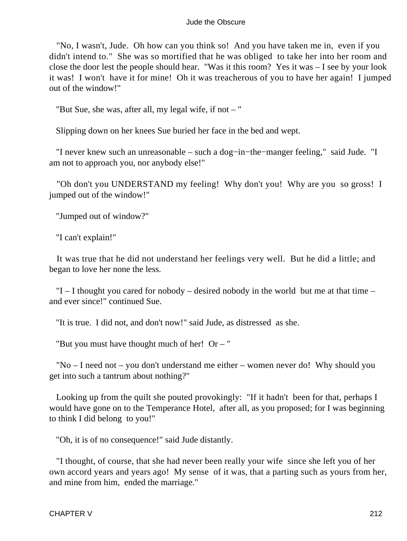"No, I wasn't, Jude. Oh how can you think so! And you have taken me in, even if you didn't intend to." She was so mortified that he was obliged to take her into her room and close the door lest the people should hear. "Was it this room? Yes it was – I see by your look it was! I won't have it for mine! Oh it was treacherous of you to have her again! I jumped out of the window!"

"But Sue, she was, after all, my legal wife, if not  $-$  "

Slipping down on her knees Sue buried her face in the bed and wept.

 "I never knew such an unreasonable – such a dog−in−the−manger feeling," said Jude. "I am not to approach you, nor anybody else!"

 "Oh don't you UNDERSTAND my feeling! Why don't you! Why are you so gross! I jumped out of the window!"

"Jumped out of window?"

"I can't explain!"

 It was true that he did not understand her feelings very well. But he did a little; and began to love her none the less.

 $T-I$  thought you cared for nobody – desired nobody in the world but me at that time – and ever since!" continued Sue.

"It is true. I did not, and don't now!" said Jude, as distressed as she.

"But you must have thought much of her! Or  $-$  "

 "No – I need not – you don't understand me either – women never do! Why should you get into such a tantrum about nothing?"

 Looking up from the quilt she pouted provokingly: "If it hadn't been for that, perhaps I would have gone on to the Temperance Hotel, after all, as you proposed; for I was beginning to think I did belong to you!"

"Oh, it is of no consequence!" said Jude distantly.

 "I thought, of course, that she had never been really your wife since she left you of her own accord years and years ago! My sense of it was, that a parting such as yours from her, and mine from him, ended the marriage."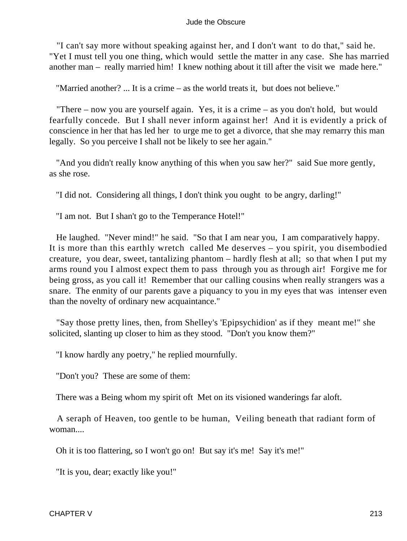"I can't say more without speaking against her, and I don't want to do that," said he. "Yet I must tell you one thing, which would settle the matter in any case. She has married another man – really married him! I knew nothing about it till after the visit we made here."

"Married another? ... It is a crime – as the world treats it, but does not believe."

 "There – now you are yourself again. Yes, it is a crime – as you don't hold, but would fearfully concede. But I shall never inform against her! And it is evidently a prick of conscience in her that has led her to urge me to get a divorce, that she may remarry this man legally. So you perceive I shall not be likely to see her again."

 "And you didn't really know anything of this when you saw her?" said Sue more gently, as she rose.

"I did not. Considering all things, I don't think you ought to be angry, darling!"

"I am not. But I shan't go to the Temperance Hotel!"

 He laughed. "Never mind!" he said. "So that I am near you, I am comparatively happy. It is more than this earthly wretch called Me deserves – you spirit, you disembodied creature, you dear, sweet, tantalizing phantom – hardly flesh at all; so that when I put my arms round you I almost expect them to pass through you as through air! Forgive me for being gross, as you call it! Remember that our calling cousins when really strangers was a snare. The enmity of our parents gave a piquancy to you in my eyes that was intenser even than the novelty of ordinary new acquaintance."

 "Say those pretty lines, then, from Shelley's 'Epipsychidion' as if they meant me!" she solicited, slanting up closer to him as they stood. "Don't you know them?"

"I know hardly any poetry," he replied mournfully.

"Don't you? These are some of them:

There was a Being whom my spirit oft Met on its visioned wanderings far aloft.

 A seraph of Heaven, too gentle to be human, Veiling beneath that radiant form of woman....

Oh it is too flattering, so I won't go on! But say it's me! Say it's me!"

"It is you, dear; exactly like you!"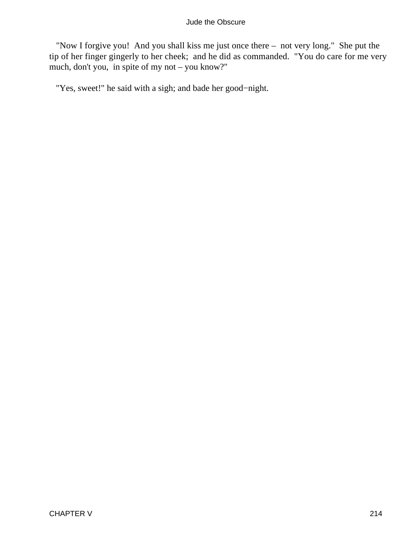"Now I forgive you! And you shall kiss me just once there – not very long." She put the tip of her finger gingerly to her cheek; and he did as commanded. "You do care for me very much, don't you, in spite of my not – you know?"

"Yes, sweet!" he said with a sigh; and bade her good−night.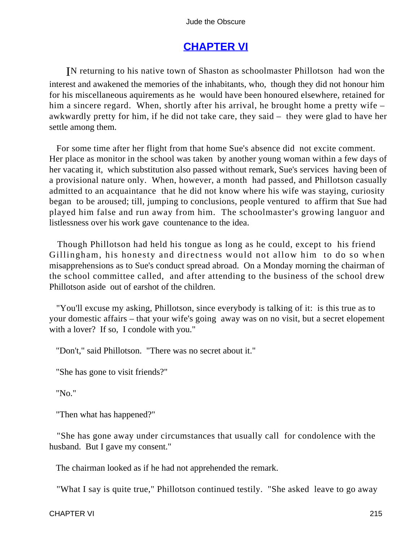# **[CHAPTER VI](#page-367-0)**

IN returning to his native town of Shaston as schoolmaster Phillotson had won the interest and awakened the memories of the inhabitants, who, though they did not honour him for his miscellaneous aquirements as he would have been honoured elsewhere, retained for him a sincere regard. When, shortly after his arrival, he brought home a pretty wife – awkwardly pretty for him, if he did not take care, they said – they were glad to have her settle among them.

 For some time after her flight from that home Sue's absence did not excite comment. Her place as monitor in the school was taken by another young woman within a few days of her vacating it, which substitution also passed without remark, Sue's services having been of a provisional nature only. When, however, a month had passed, and Phillotson casually admitted to an acquaintance that he did not know where his wife was staying, curiosity began to be aroused; till, jumping to conclusions, people ventured to affirm that Sue had played him false and run away from him. The schoolmaster's growing languor and listlessness over his work gave countenance to the idea.

 Though Phillotson had held his tongue as long as he could, except to his friend Gillingham, his honesty and directness would not allow him to do so when misapprehensions as to Sue's conduct spread abroad. On a Monday morning the chairman of the school committee called, and after attending to the business of the school drew Phillotson aside out of earshot of the children.

 "You'll excuse my asking, Phillotson, since everybody is talking of it: is this true as to your domestic affairs – that your wife's going away was on no visit, but a secret elopement with a lover? If so, I condole with you."

"Don't," said Phillotson. "There was no secret about it."

"She has gone to visit friends?"

"No."

"Then what has happened?"

 "She has gone away under circumstances that usually call for condolence with the husband. But I gave my consent."

The chairman looked as if he had not apprehended the remark.

"What I say is quite true," Phillotson continued testily. "She asked leave to go away

CHAPTER VI 215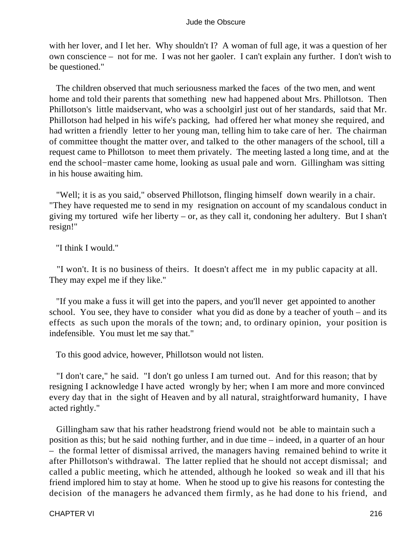with her lover, and I let her. Why shouldn't I? A woman of full age, it was a question of her own conscience – not for me. I was not her gaoler. I can't explain any further. I don't wish to be questioned."

 The children observed that much seriousness marked the faces of the two men, and went home and told their parents that something new had happened about Mrs. Phillotson. Then Phillotson's little maidservant, who was a schoolgirl just out of her standards, said that Mr. Phillotson had helped in his wife's packing, had offered her what money she required, and had written a friendly letter to her young man, telling him to take care of her. The chairman of committee thought the matter over, and talked to the other managers of the school, till a request came to Phillotson to meet them privately. The meeting lasted a long time, and at the end the school−master came home, looking as usual pale and worn. Gillingham was sitting in his house awaiting him.

 "Well; it is as you said," observed Phillotson, flinging himself down wearily in a chair. "They have requested me to send in my resignation on account of my scandalous conduct in giving my tortured wife her liberty – or, as they call it, condoning her adultery. But I shan't resign!"

"I think I would."

 "I won't. It is no business of theirs. It doesn't affect me in my public capacity at all. They may expel me if they like."

 "If you make a fuss it will get into the papers, and you'll never get appointed to another school. You see, they have to consider what you did as done by a teacher of youth – and its effects as such upon the morals of the town; and, to ordinary opinion, your position is indefensible. You must let me say that."

To this good advice, however, Phillotson would not listen.

 "I don't care," he said. "I don't go unless I am turned out. And for this reason; that by resigning I acknowledge I have acted wrongly by her; when I am more and more convinced every day that in the sight of Heaven and by all natural, straightforward humanity, I have acted rightly."

 Gillingham saw that his rather headstrong friend would not be able to maintain such a position as this; but he said nothing further, and in due time – indeed, in a quarter of an hour – the formal letter of dismissal arrived, the managers having remained behind to write it after Phillotson's withdrawal. The latter replied that he should not accept dismissal; and called a public meeting, which he attended, although he looked so weak and ill that his friend implored him to stay at home. When he stood up to give his reasons for contesting the decision of the managers he advanced them firmly, as he had done to his friend, and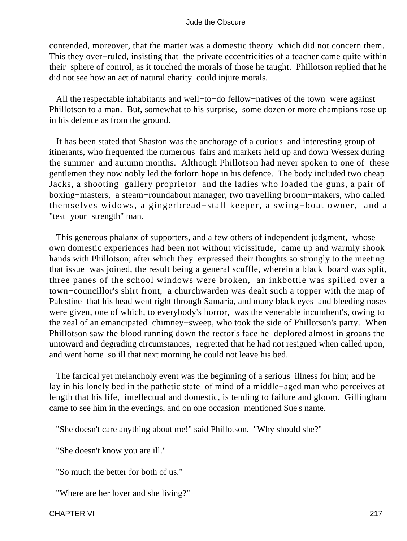contended, moreover, that the matter was a domestic theory which did not concern them. This they over−ruled, insisting that the private eccentricities of a teacher came quite within their sphere of control, as it touched the morals of those he taught. Phillotson replied that he did not see how an act of natural charity could injure morals.

 All the respectable inhabitants and well−to−do fellow−natives of the town were against Phillotson to a man. But, somewhat to his surprise, some dozen or more champions rose up in his defence as from the ground.

 It has been stated that Shaston was the anchorage of a curious and interesting group of itinerants, who frequented the numerous fairs and markets held up and down Wessex during the summer and autumn months. Although Phillotson had never spoken to one of these gentlemen they now nobly led the forlorn hope in his defence. The body included two cheap Jacks, a shooting−gallery proprietor and the ladies who loaded the guns, a pair of boxing−masters, a steam−roundabout manager, two travelling broom−makers, who called themselves widows, a gingerbread−stall keeper, a swing−boat owner, and a "test−your−strength" man.

 This generous phalanx of supporters, and a few others of independent judgment, whose own domestic experiences had been not without vicissitude, came up and warmly shook hands with Phillotson; after which they expressed their thoughts so strongly to the meeting that issue was joined, the result being a general scuffle, wherein a black board was split, three panes of the school windows were broken, an inkbottle was spilled over a town−councillor's shirt front, a churchwarden was dealt such a topper with the map of Palestine that his head went right through Samaria, and many black eyes and bleeding noses were given, one of which, to everybody's horror, was the venerable incumbent's, owing to the zeal of an emancipated chimney−sweep, who took the side of Phillotson's party. When Phillotson saw the blood running down the rector's face he deplored almost in groans the untoward and degrading circumstances, regretted that he had not resigned when called upon, and went home so ill that next morning he could not leave his bed.

 The farcical yet melancholy event was the beginning of a serious illness for him; and he lay in his lonely bed in the pathetic state of mind of a middle−aged man who perceives at length that his life, intellectual and domestic, is tending to failure and gloom. Gillingham came to see him in the evenings, and on one occasion mentioned Sue's name.

"She doesn't care anything about me!" said Phillotson. "Why should she?"

"She doesn't know you are ill."

"So much the better for both of us."

"Where are her lover and she living?"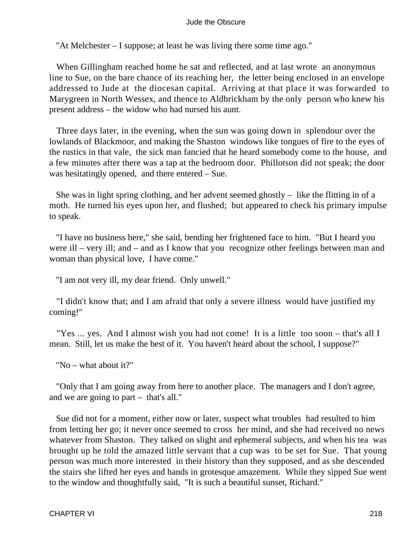"At Melchester – I suppose; at least he was living there some time ago."

 When Gillingham reached home he sat and reflected, and at last wrote an anonymous line to Sue, on the bare chance of its reaching her, the letter being enclosed in an envelope addressed to Jude at the diocesan capital. Arriving at that place it was forwarded to Marygreen in North Wessex, and thence to Aldbrickham by the only person who knew his present address – the widow who had nursed his aunt.

 Three days later, in the evening, when the sun was going down in splendour over the lowlands of Blackmoor, and making the Shaston windows like tongues of fire to the eyes of the rustics in that vale, the sick man fancied that he heard somebody come to the house, and a few minutes after there was a tap at the bedroom door. Phillotson did not speak; the door was hesitatingly opened, and there entered – Sue.

 She was in light spring clothing, and her advent seemed ghostly – like the flitting in of a moth. He turned his eyes upon her, and flushed; but appeared to check his primary impulse to speak.

 "I have no business here," she said, bending her frightened face to him. "But I heard you were ill – very ill; and – and as I know that you recognize other feelings between man and woman than physical love, I have come."

"I am not very ill, my dear friend. Only unwell."

 "I didn't know that; and I am afraid that only a severe illness would have justified my coming!"

 "Yes ... yes. And I almost wish you had not come! It is a little too soon – that's all I mean. Still, let us make the best of it. You haven't heard about the school, I suppose?"

"No – what about it?"

 "Only that I am going away from here to another place. The managers and I don't agree, and we are going to part – that's all."

 Sue did not for a moment, either now or later, suspect what troubles had resulted to him from letting her go; it never once seemed to cross her mind, and she had received no news whatever from Shaston. They talked on slight and ephemeral subjects, and when his tea was brought up he told the amazed little servant that a cup was to be set for Sue. That young person was much more interested in their history than they supposed, and as she descended the stairs she lifted her eyes and hands in grotesque amazement. While they sipped Sue went to the window and thoughtfully said, "It is such a beautiful sunset, Richard."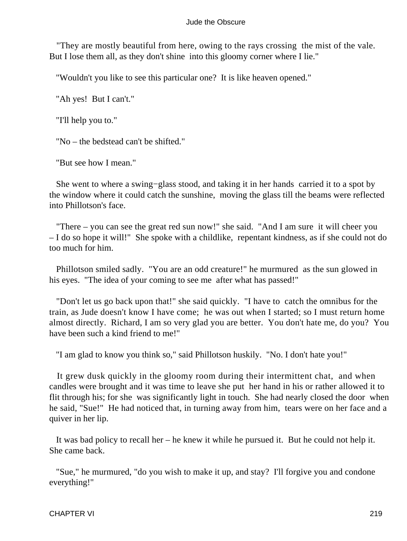"They are mostly beautiful from here, owing to the rays crossing the mist of the vale. But I lose them all, as they don't shine into this gloomy corner where I lie."

"Wouldn't you like to see this particular one? It is like heaven opened."

"Ah yes! But I can't."

"I'll help you to."

"No – the bedstead can't be shifted."

"But see how I mean."

 She went to where a swing−glass stood, and taking it in her hands carried it to a spot by the window where it could catch the sunshine, moving the glass till the beams were reflected into Phillotson's face.

 "There – you can see the great red sun now!" she said. "And I am sure it will cheer you – I do so hope it will!" She spoke with a childlike, repentant kindness, as if she could not do too much for him.

 Phillotson smiled sadly. "You are an odd creature!" he murmured as the sun glowed in his eyes. "The idea of your coming to see me after what has passed!"

 "Don't let us go back upon that!" she said quickly. "I have to catch the omnibus for the train, as Jude doesn't know I have come; he was out when I started; so I must return home almost directly. Richard, I am so very glad you are better. You don't hate me, do you? You have been such a kind friend to me!"

"I am glad to know you think so," said Phillotson huskily. "No. I don't hate you!"

 It grew dusk quickly in the gloomy room during their intermittent chat, and when candles were brought and it was time to leave she put her hand in his or rather allowed it to flit through his; for she was significantly light in touch. She had nearly closed the door when he said, "Sue!" He had noticed that, in turning away from him, tears were on her face and a quiver in her lip.

 It was bad policy to recall her – he knew it while he pursued it. But he could not help it. She came back.

 "Sue," he murmured, "do you wish to make it up, and stay? I'll forgive you and condone everything!"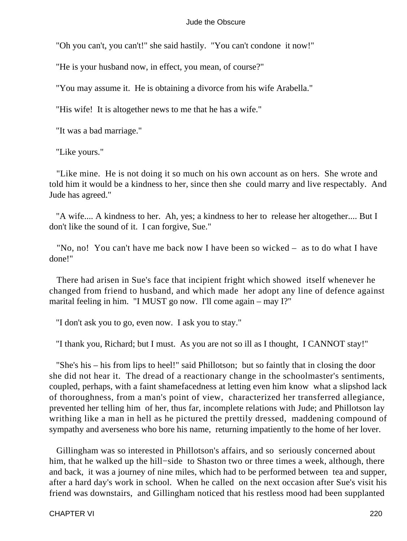"Oh you can't, you can't!" she said hastily. "You can't condone it now!"

"He is your husband now, in effect, you mean, of course?"

"You may assume it. He is obtaining a divorce from his wife Arabella."

"His wife! It is altogether news to me that he has a wife."

"It was a bad marriage."

"Like yours."

 "Like mine. He is not doing it so much on his own account as on hers. She wrote and told him it would be a kindness to her, since then she could marry and live respectably. And Jude has agreed."

 "A wife.... A kindness to her. Ah, yes; a kindness to her to release her altogether.... But I don't like the sound of it. I can forgive, Sue."

 "No, no! You can't have me back now I have been so wicked – as to do what I have done!"

 There had arisen in Sue's face that incipient fright which showed itself whenever he changed from friend to husband, and which made her adopt any line of defence against marital feeling in him. "I MUST go now. I'll come again – may I?"

"I don't ask you to go, even now. I ask you to stay."

"I thank you, Richard; but I must. As you are not so ill as I thought, I CANNOT stay!"

 "She's his – his from lips to heel!" said Phillotson; but so faintly that in closing the door she did not hear it. The dread of a reactionary change in the schoolmaster's sentiments, coupled, perhaps, with a faint shamefacedness at letting even him know what a slipshod lack of thoroughness, from a man's point of view, characterized her transferred allegiance, prevented her telling him of her, thus far, incomplete relations with Jude; and Phillotson lay writhing like a man in hell as he pictured the prettily dressed, maddening compound of sympathy and averseness who bore his name, returning impatiently to the home of her lover.

 Gillingham was so interested in Phillotson's affairs, and so seriously concerned about him, that he walked up the hill−side to Shaston two or three times a week, although, there and back, it was a journey of nine miles, which had to be performed between tea and supper, after a hard day's work in school. When he called on the next occasion after Sue's visit his friend was downstairs, and Gillingham noticed that his restless mood had been supplanted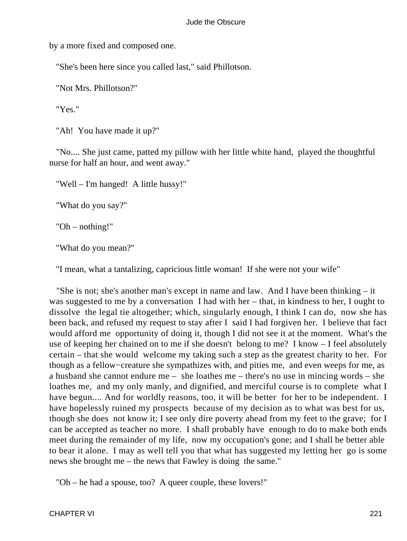by a more fixed and composed one.

"She's been here since you called last," said Phillotson.

"Not Mrs. Phillotson?"

"Yes."

"Ah! You have made it up?"

 "No.... She just came, patted my pillow with her little white hand, played the thoughtful nurse for half an hour, and went away."

"Well – I'm hanged! A little hussy!"

"What do you say?"

"Oh – nothing!"

"What do you mean?"

"I mean, what a tantalizing, capricious little woman! If she were not your wife"

 "She is not; she's another man's except in name and law. And I have been thinking – it was suggested to me by a conversation I had with her – that, in kindness to her, I ought to dissolve the legal tie altogether; which, singularly enough, I think I can do, now she has been back, and refused my request to stay after I said I had forgiven her. I believe that fact would afford me opportunity of doing it, though I did not see it at the moment. What's the use of keeping her chained on to me if she doesn't belong to me? I know – I feel absolutely certain – that she would welcome my taking such a step as the greatest charity to her. For though as a fellow−creature she sympathizes with, and pities me, and even weeps for me, as a husband she cannot endure me – she loathes me – there's no use in mincing words – she loathes me, and my only manly, and dignified, and merciful course is to complete what I have begun.... And for worldly reasons, too, it will be better for her to be independent. I have hopelessly ruined my prospects because of my decision as to what was best for us, though she does not know it; I see only dire poverty ahead from my feet to the grave; for I can be accepted as teacher no more. I shall probably have enough to do to make both ends meet during the remainder of my life, now my occupation's gone; and I shall be better able to bear it alone. I may as well tell you that what has suggested my letting her go is some news she brought me – the news that Fawley is doing the same."

"Oh – he had a spouse, too? A queer couple, these lovers!"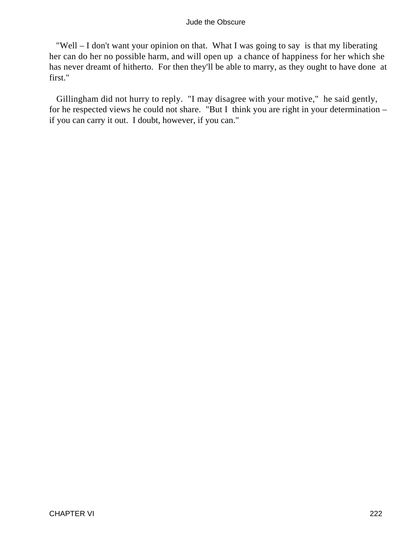"Well – I don't want your opinion on that. What I was going to say is that my liberating her can do her no possible harm, and will open up a chance of happiness for her which she has never dreamt of hitherto. For then they'll be able to marry, as they ought to have done at first."

 Gillingham did not hurry to reply. "I may disagree with your motive," he said gently, for he respected views he could not share. "But I think you are right in your determination – if you can carry it out. I doubt, however, if you can."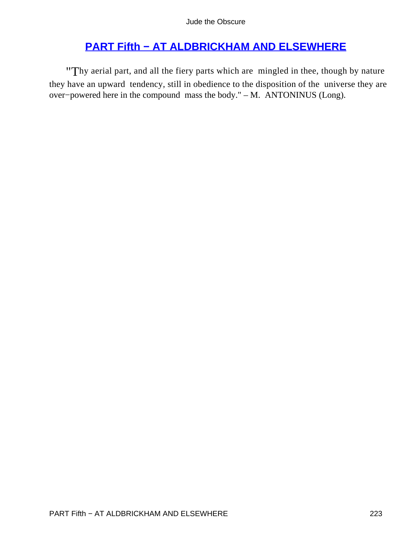# **[PART Fifth − AT ALDBRICKHAM AND ELSEWHERE](#page-367-0)**

"Thy aerial part, and all the fiery parts which are mingled in thee, though by nature they have an upward tendency, still in obedience to the disposition of the universe they are over−powered here in the compound mass the body." – M. ANTONINUS (Long).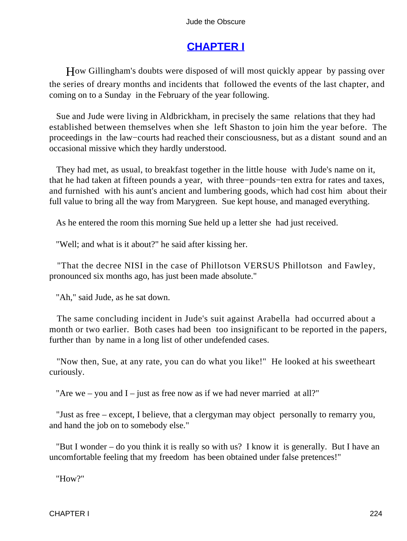# **[CHAPTER I](#page-367-0)**

How Gillingham's doubts were disposed of will most quickly appear by passing over the series of dreary months and incidents that followed the events of the last chapter, and coming on to a Sunday in the February of the year following.

 Sue and Jude were living in Aldbrickham, in precisely the same relations that they had established between themselves when she left Shaston to join him the year before. The proceedings in the law−courts had reached their consciousness, but as a distant sound and an occasional missive which they hardly understood.

 They had met, as usual, to breakfast together in the little house with Jude's name on it, that he had taken at fifteen pounds a year, with three−pounds−ten extra for rates and taxes, and furnished with his aunt's ancient and lumbering goods, which had cost him about their full value to bring all the way from Marygreen. Sue kept house, and managed everything.

As he entered the room this morning Sue held up a letter she had just received.

"Well; and what is it about?" he said after kissing her.

 "That the decree NISI in the case of Phillotson VERSUS Phillotson and Fawley, pronounced six months ago, has just been made absolute."

"Ah," said Jude, as he sat down.

 The same concluding incident in Jude's suit against Arabella had occurred about a month or two earlier. Both cases had been too insignificant to be reported in the papers, further than by name in a long list of other undefended cases.

 "Now then, Sue, at any rate, you can do what you like!" He looked at his sweetheart curiously.

"Are we – you and  $I$  – just as free now as if we had never married at all?"

 "Just as free – except, I believe, that a clergyman may object personally to remarry you, and hand the job on to somebody else."

 "But I wonder – do you think it is really so with us? I know it is generally. But I have an uncomfortable feeling that my freedom has been obtained under false pretences!"

"How?"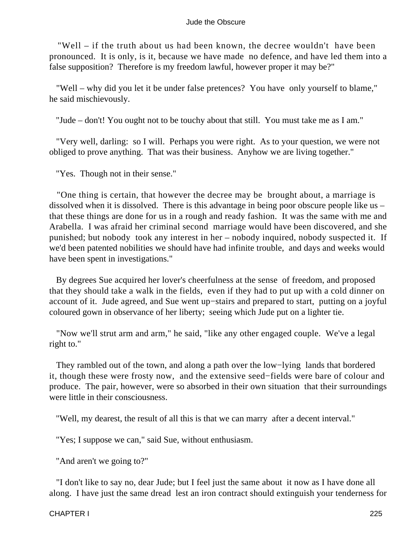"Well – if the truth about us had been known, the decree wouldn't have been pronounced. It is only, is it, because we have made no defence, and have led them into a false supposition? Therefore is my freedom lawful, however proper it may be?"

 "Well – why did you let it be under false pretences? You have only yourself to blame," he said mischievously.

"Jude – don't! You ought not to be touchy about that still. You must take me as I am."

 "Very well, darling: so I will. Perhaps you were right. As to your question, we were not obliged to prove anything. That was their business. Anyhow we are living together."

"Yes. Though not in their sense."

 "One thing is certain, that however the decree may be brought about, a marriage is dissolved when it is dissolved. There is this advantage in being poor obscure people like us – that these things are done for us in a rough and ready fashion. It was the same with me and Arabella. I was afraid her criminal second marriage would have been discovered, and she punished; but nobody took any interest in her – nobody inquired, nobody suspected it. If we'd been patented nobilities we should have had infinite trouble, and days and weeks would have been spent in investigations."

 By degrees Sue acquired her lover's cheerfulness at the sense of freedom, and proposed that they should take a walk in the fields, even if they had to put up with a cold dinner on account of it. Jude agreed, and Sue went up−stairs and prepared to start, putting on a joyful coloured gown in observance of her liberty; seeing which Jude put on a lighter tie.

 "Now we'll strut arm and arm," he said, "like any other engaged couple. We've a legal right to."

 They rambled out of the town, and along a path over the low−lying lands that bordered it, though these were frosty now, and the extensive seed−fields were bare of colour and produce. The pair, however, were so absorbed in their own situation that their surroundings were little in their consciousness.

"Well, my dearest, the result of all this is that we can marry after a decent interval."

"Yes; I suppose we can," said Sue, without enthusiasm.

"And aren't we going to?"

 "I don't like to say no, dear Jude; but I feel just the same about it now as I have done all along. I have just the same dread lest an iron contract should extinguish your tenderness for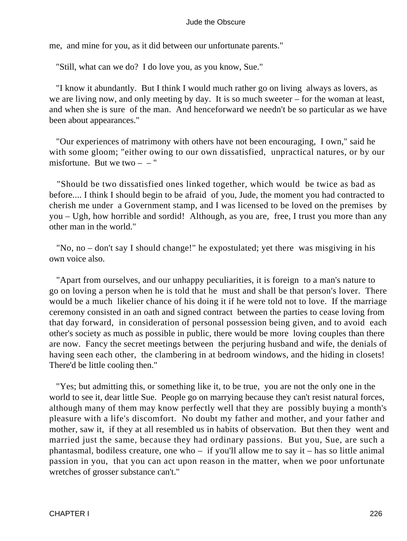me, and mine for you, as it did between our unfortunate parents."

"Still, what can we do? I do love you, as you know, Sue."

 "I know it abundantly. But I think I would much rather go on living always as lovers, as we are living now, and only meeting by day. It is so much sweeter – for the woman at least, and when she is sure of the man. And henceforward we needn't be so particular as we have been about appearances."

 "Our experiences of matrimony with others have not been encouraging, I own," said he with some gloom; "either owing to our own dissatisfied, unpractical natures, or by our misfortune. But we two  $-$  – "

 "Should be two dissatisfied ones linked together, which would be twice as bad as before.... I think I should begin to be afraid of you, Jude, the moment you had contracted to cherish me under a Government stamp, and I was licensed to be loved on the premises by you – Ugh, how horrible and sordid! Although, as you are, free, I trust you more than any other man in the world."

 "No, no – don't say I should change!" he expostulated; yet there was misgiving in his own voice also.

 "Apart from ourselves, and our unhappy peculiarities, it is foreign to a man's nature to go on loving a person when he is told that he must and shall be that person's lover. There would be a much likelier chance of his doing it if he were told not to love. If the marriage ceremony consisted in an oath and signed contract between the parties to cease loving from that day forward, in consideration of personal possession being given, and to avoid each other's society as much as possible in public, there would be more loving couples than there are now. Fancy the secret meetings between the perjuring husband and wife, the denials of having seen each other, the clambering in at bedroom windows, and the hiding in closets! There'd be little cooling then."

 "Yes; but admitting this, or something like it, to be true, you are not the only one in the world to see it, dear little Sue. People go on marrying because they can't resist natural forces, although many of them may know perfectly well that they are possibly buying a month's pleasure with a life's discomfort. No doubt my father and mother, and your father and mother, saw it, if they at all resembled us in habits of observation. But then they went and married just the same, because they had ordinary passions. But you, Sue, are such a phantasmal, bodiless creature, one who – if you'll allow me to say it – has so little animal passion in you, that you can act upon reason in the matter, when we poor unfortunate wretches of grosser substance can't."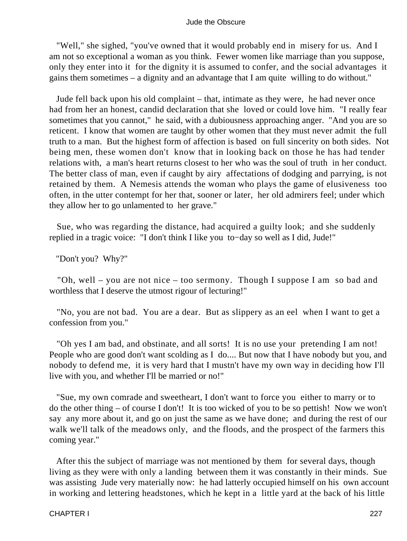"Well," she sighed, "you've owned that it would probably end in misery for us. And I am not so exceptional a woman as you think. Fewer women like marriage than you suppose, only they enter into it for the dignity it is assumed to confer, and the social advantages it gains them sometimes – a dignity and an advantage that I am quite willing to do without."

 Jude fell back upon his old complaint – that, intimate as they were, he had never once had from her an honest, candid declaration that she loved or could love him. "I really fear sometimes that you cannot," he said, with a dubiousness approaching anger. "And you are so reticent. I know that women are taught by other women that they must never admit the full truth to a man. But the highest form of affection is based on full sincerity on both sides. Not being men, these women don't know that in looking back on those he has had tender relations with, a man's heart returns closest to her who was the soul of truth in her conduct. The better class of man, even if caught by airy affectations of dodging and parrying, is not retained by them. A Nemesis attends the woman who plays the game of elusiveness too often, in the utter contempt for her that, sooner or later, her old admirers feel; under which they allow her to go unlamented to her grave."

 Sue, who was regarding the distance, had acquired a guilty look; and she suddenly replied in a tragic voice: "I don't think I like you to−day so well as I did, Jude!"

"Don't you? Why?"

 "Oh, well – you are not nice – too sermony. Though I suppose I am so bad and worthless that I deserve the utmost rigour of lecturing!"

 "No, you are not bad. You are a dear. But as slippery as an eel when I want to get a confession from you."

 "Oh yes I am bad, and obstinate, and all sorts! It is no use your pretending I am not! People who are good don't want scolding as I do.... But now that I have nobody but you, and nobody to defend me, it is very hard that I mustn't have my own way in deciding how I'll live with you, and whether I'll be married or no!"

 "Sue, my own comrade and sweetheart, I don't want to force you either to marry or to do the other thing – of course I don't! It is too wicked of you to be so pettish! Now we won't say any more about it, and go on just the same as we have done; and during the rest of our walk we'll talk of the meadows only, and the floods, and the prospect of the farmers this coming year."

 After this the subject of marriage was not mentioned by them for several days, though living as they were with only a landing between them it was constantly in their minds. Sue was assisting Jude very materially now: he had latterly occupied himself on his own account in working and lettering headstones, which he kept in a little yard at the back of his little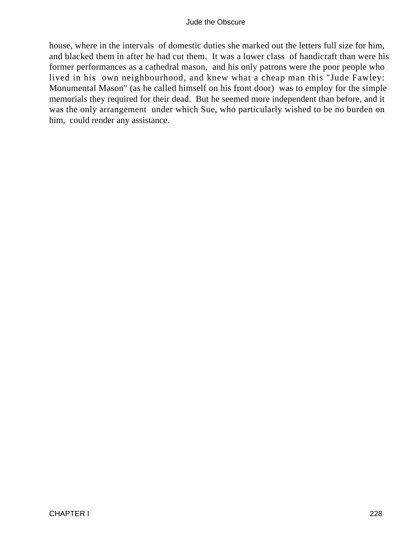house, where in the intervals of domestic duties she marked out the letters full size for him, and blacked them in after he had cut them. It was a lower class of handicraft than were his former performances as a cathedral mason, and his only patrons were the poor people who lived in his own neighbourhood, and knew what a cheap man this "Jude Fawley: Monumental Mason" (as he called himself on his front door) was to employ for the simple memorials they required for their dead. But he seemed more independent than before, and it was the only arrangement under which Sue, who particularly wished to be no burden on him, could render any assistance.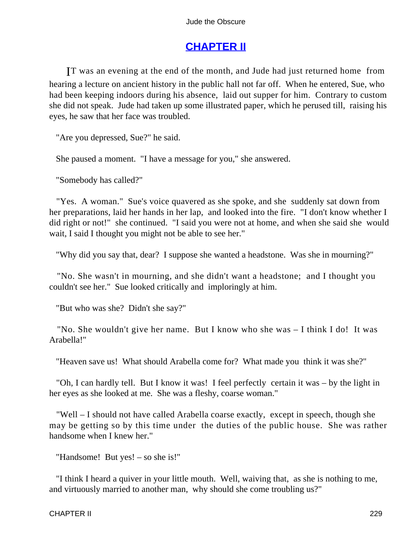# **[CHAPTER II](#page-367-0)**

IT was an evening at the end of the month, and Jude had just returned home from hearing a lecture on ancient history in the public hall not far off. When he entered, Sue, who had been keeping indoors during his absence, laid out supper for him. Contrary to custom she did not speak. Jude had taken up some illustrated paper, which he perused till, raising his eyes, he saw that her face was troubled.

"Are you depressed, Sue?" he said.

She paused a moment. "I have a message for you," she answered.

"Somebody has called?"

 "Yes. A woman." Sue's voice quavered as she spoke, and she suddenly sat down from her preparations, laid her hands in her lap, and looked into the fire. "I don't know whether I did right or not!" she continued. "I said you were not at home, and when she said she would wait, I said I thought you might not be able to see her."

"Why did you say that, dear? I suppose she wanted a headstone. Was she in mourning?"

 "No. She wasn't in mourning, and she didn't want a headstone; and I thought you couldn't see her." Sue looked critically and imploringly at him.

"But who was she? Didn't she say?"

 "No. She wouldn't give her name. But I know who she was – I think I do! It was Arabella!"

"Heaven save us! What should Arabella come for? What made you think it was she?"

 "Oh, I can hardly tell. But I know it was! I feel perfectly certain it was – by the light in her eyes as she looked at me. She was a fleshy, coarse woman."

 "Well – I should not have called Arabella coarse exactly, except in speech, though she may be getting so by this time under the duties of the public house. She was rather handsome when I knew her."

"Handsome! But yes! – so she is!"

 "I think I heard a quiver in your little mouth. Well, waiving that, as she is nothing to me, and virtuously married to another man, why should she come troubling us?"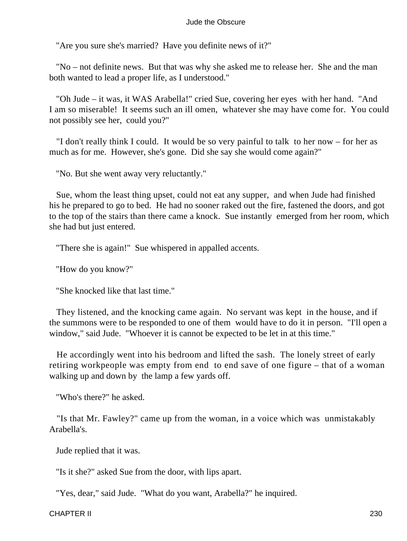"Are you sure she's married? Have you definite news of it?"

 "No – not definite news. But that was why she asked me to release her. She and the man both wanted to lead a proper life, as I understood."

 "Oh Jude – it was, it WAS Arabella!" cried Sue, covering her eyes with her hand. "And I am so miserable! It seems such an ill omen, whatever she may have come for. You could not possibly see her, could you?"

 "I don't really think I could. It would be so very painful to talk to her now – for her as much as for me. However, she's gone. Did she say she would come again?"

"No. But she went away very reluctantly."

 Sue, whom the least thing upset, could not eat any supper, and when Jude had finished his he prepared to go to bed. He had no sooner raked out the fire, fastened the doors, and got to the top of the stairs than there came a knock. Sue instantly emerged from her room, which she had but just entered.

"There she is again!" Sue whispered in appalled accents.

"How do you know?"

"She knocked like that last time."

 They listened, and the knocking came again. No servant was kept in the house, and if the summons were to be responded to one of them would have to do it in person. "I'll open a window," said Jude. "Whoever it is cannot be expected to be let in at this time."

 He accordingly went into his bedroom and lifted the sash. The lonely street of early retiring workpeople was empty from end to end save of one figure – that of a woman walking up and down by the lamp a few yards off.

"Who's there?" he asked.

 "Is that Mr. Fawley?" came up from the woman, in a voice which was unmistakably Arabella's.

Jude replied that it was.

"Is it she?" asked Sue from the door, with lips apart.

"Yes, dear," said Jude. "What do you want, Arabella?" he inquired.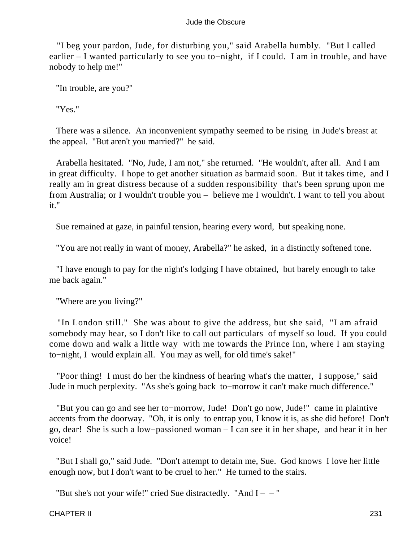"I beg your pardon, Jude, for disturbing you," said Arabella humbly. "But I called earlier – I wanted particularly to see you to−night, if I could. I am in trouble, and have nobody to help me!"

"In trouble, are you?"

"Yes."

 There was a silence. An inconvenient sympathy seemed to be rising in Jude's breast at the appeal. "But aren't you married?" he said.

 Arabella hesitated. "No, Jude, I am not," she returned. "He wouldn't, after all. And I am in great difficulty. I hope to get another situation as barmaid soon. But it takes time, and I really am in great distress because of a sudden responsibility that's been sprung upon me from Australia; or I wouldn't trouble you – believe me I wouldn't. I want to tell you about it."

Sue remained at gaze, in painful tension, hearing every word, but speaking none.

"You are not really in want of money, Arabella?" he asked, in a distinctly softened tone.

 "I have enough to pay for the night's lodging I have obtained, but barely enough to take me back again."

"Where are you living?"

 "In London still." She was about to give the address, but she said, "I am afraid somebody may hear, so I don't like to call out particulars of myself so loud. If you could come down and walk a little way with me towards the Prince Inn, where I am staying to−night, I would explain all. You may as well, for old time's sake!"

 "Poor thing! I must do her the kindness of hearing what's the matter, I suppose," said Jude in much perplexity. "As she's going back to−morrow it can't make much difference."

 "But you can go and see her to−morrow, Jude! Don't go now, Jude!" came in plaintive accents from the doorway. "Oh, it is only to entrap you, I know it is, as she did before! Don't go, dear! She is such a low−passioned woman – I can see it in her shape, and hear it in her voice!

 "But I shall go," said Jude. "Don't attempt to detain me, Sue. God knows I love her little enough now, but I don't want to be cruel to her." He turned to the stairs.

"But she's not your wife!" cried Sue distractedly. "And  $I - -$ "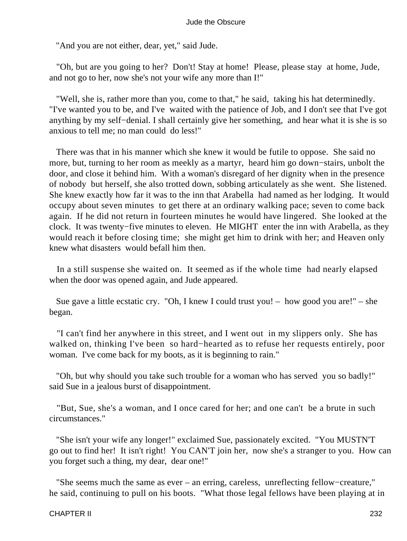"And you are not either, dear, yet," said Jude.

 "Oh, but are you going to her? Don't! Stay at home! Please, please stay at home, Jude, and not go to her, now she's not your wife any more than I!"

 "Well, she is, rather more than you, come to that," he said, taking his hat determinedly. "I've wanted you to be, and I've waited with the patience of Job, and I don't see that I've got anything by my self−denial. I shall certainly give her something, and hear what it is she is so anxious to tell me; no man could do less!"

 There was that in his manner which she knew it would be futile to oppose. She said no more, but, turning to her room as meekly as a martyr, heard him go down−stairs, unbolt the door, and close it behind him. With a woman's disregard of her dignity when in the presence of nobody but herself, she also trotted down, sobbing articulately as she went. She listened. She knew exactly how far it was to the inn that Arabella had named as her lodging. It would occupy about seven minutes to get there at an ordinary walking pace; seven to come back again. If he did not return in fourteen minutes he would have lingered. She looked at the clock. It was twenty−five minutes to eleven. He MIGHT enter the inn with Arabella, as they would reach it before closing time; she might get him to drink with her; and Heaven only knew what disasters would befall him then.

 In a still suspense she waited on. It seemed as if the whole time had nearly elapsed when the door was opened again, and Jude appeared.

 Sue gave a little ecstatic cry. "Oh, I knew I could trust you! – how good you are!" – she began.

 "I can't find her anywhere in this street, and I went out in my slippers only. She has walked on, thinking I've been so hard−hearted as to refuse her requests entirely, poor woman. I've come back for my boots, as it is beginning to rain."

 "Oh, but why should you take such trouble for a woman who has served you so badly!" said Sue in a jealous burst of disappointment.

 "But, Sue, she's a woman, and I once cared for her; and one can't be a brute in such circumstances."

 "She isn't your wife any longer!" exclaimed Sue, passionately excited. "You MUSTN'T go out to find her! It isn't right! You CAN'T join her, now she's a stranger to you. How can you forget such a thing, my dear, dear one!"

 "She seems much the same as ever – an erring, careless, unreflecting fellow−creature," he said, continuing to pull on his boots. "What those legal fellows have been playing at in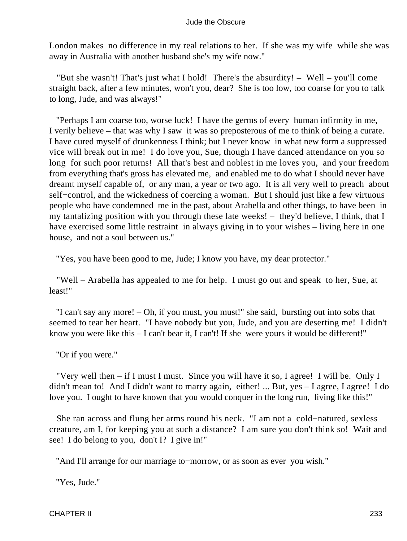London makes no difference in my real relations to her. If she was my wife while she was away in Australia with another husband she's my wife now."

 "But she wasn't! That's just what I hold! There's the absurdity! – Well – you'll come straight back, after a few minutes, won't you, dear? She is too low, too coarse for you to talk to long, Jude, and was always!"

 "Perhaps I am coarse too, worse luck! I have the germs of every human infirmity in me, I verily believe – that was why I saw it was so preposterous of me to think of being a curate. I have cured myself of drunkenness I think; but I never know in what new form a suppressed vice will break out in me! I do love you, Sue, though I have danced attendance on you so long for such poor returns! All that's best and noblest in me loves you, and your freedom from everything that's gross has elevated me, and enabled me to do what I should never have dreamt myself capable of, or any man, a year or two ago. It is all very well to preach about self−control, and the wickedness of coercing a woman. But I should just like a few virtuous people who have condemned me in the past, about Arabella and other things, to have been in my tantalizing position with you through these late weeks! – they'd believe, I think, that I have exercised some little restraint in always giving in to your wishes – living here in one house, and not a soul between us."

"Yes, you have been good to me, Jude; I know you have, my dear protector."

 "Well – Arabella has appealed to me for help. I must go out and speak to her, Sue, at least!"

 "I can't say any more! – Oh, if you must, you must!" she said, bursting out into sobs that seemed to tear her heart. "I have nobody but you, Jude, and you are deserting me! I didn't know you were like this  $- I$  can't bear it, I can't! If she were yours it would be different!"

"Or if you were."

 "Very well then – if I must I must. Since you will have it so, I agree! I will be. Only I didn't mean to! And I didn't want to marry again, either! ... But, yes – I agree, I agree! I do love you. I ought to have known that you would conquer in the long run, living like this!"

 She ran across and flung her arms round his neck. "I am not a cold−natured, sexless creature, am I, for keeping you at such a distance? I am sure you don't think so! Wait and see! I do belong to you, don't I? I give in!"

"And I'll arrange for our marriage to−morrow, or as soon as ever you wish."

"Yes, Jude."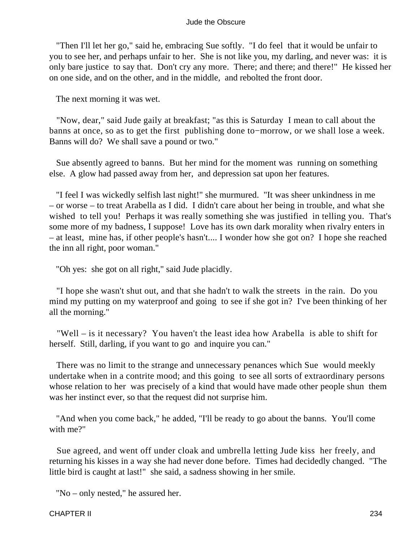"Then I'll let her go," said he, embracing Sue softly. "I do feel that it would be unfair to you to see her, and perhaps unfair to her. She is not like you, my darling, and never was: it is only bare justice to say that. Don't cry any more. There; and there; and there!" He kissed her on one side, and on the other, and in the middle, and rebolted the front door.

The next morning it was wet.

 "Now, dear," said Jude gaily at breakfast; "as this is Saturday I mean to call about the banns at once, so as to get the first publishing done to−morrow, or we shall lose a week. Banns will do? We shall save a pound or two."

 Sue absently agreed to banns. But her mind for the moment was running on something else. A glow had passed away from her, and depression sat upon her features.

 "I feel I was wickedly selfish last night!" she murmured. "It was sheer unkindness in me – or worse – to treat Arabella as I did. I didn't care about her being in trouble, and what she wished to tell you! Perhaps it was really something she was justified in telling you. That's some more of my badness, I suppose! Love has its own dark morality when rivalry enters in – at least, mine has, if other people's hasn't.... I wonder how she got on? I hope she reached the inn all right, poor woman."

"Oh yes: she got on all right," said Jude placidly.

 "I hope she wasn't shut out, and that she hadn't to walk the streets in the rain. Do you mind my putting on my waterproof and going to see if she got in? I've been thinking of her all the morning."

 "Well – is it necessary? You haven't the least idea how Arabella is able to shift for herself. Still, darling, if you want to go and inquire you can."

 There was no limit to the strange and unnecessary penances which Sue would meekly undertake when in a contrite mood; and this going to see all sorts of extraordinary persons whose relation to her was precisely of a kind that would have made other people shun them was her instinct ever, so that the request did not surprise him.

 "And when you come back," he added, "I'll be ready to go about the banns. You'll come with me?"

 Sue agreed, and went off under cloak and umbrella letting Jude kiss her freely, and returning his kisses in a way she had never done before. Times had decidedly changed. "The little bird is caught at last!" she said, a sadness showing in her smile.

"No – only nested," he assured her.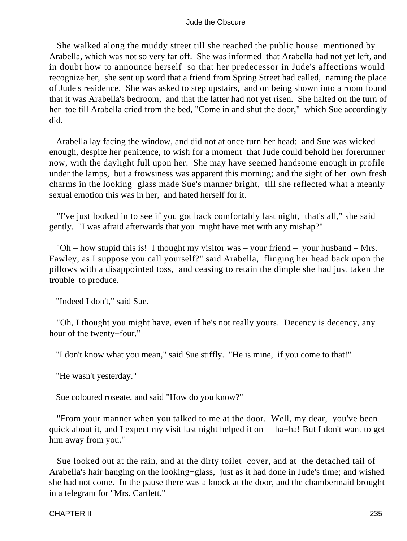She walked along the muddy street till she reached the public house mentioned by Arabella, which was not so very far off. She was informed that Arabella had not yet left, and in doubt how to announce herself so that her predecessor in Jude's affections would recognize her, she sent up word that a friend from Spring Street had called, naming the place of Jude's residence. She was asked to step upstairs, and on being shown into a room found that it was Arabella's bedroom, and that the latter had not yet risen. She halted on the turn of her toe till Arabella cried from the bed, "Come in and shut the door," which Sue accordingly did.

 Arabella lay facing the window, and did not at once turn her head: and Sue was wicked enough, despite her penitence, to wish for a moment that Jude could behold her forerunner now, with the daylight full upon her. She may have seemed handsome enough in profile under the lamps, but a frowsiness was apparent this morning; and the sight of her own fresh charms in the looking−glass made Sue's manner bright, till she reflected what a meanly sexual emotion this was in her, and hated herself for it.

 "I've just looked in to see if you got back comfortably last night, that's all," she said gently. "I was afraid afterwards that you might have met with any mishap?"

 "Oh – how stupid this is! I thought my visitor was – your friend – your husband – Mrs. Fawley, as I suppose you call yourself?" said Arabella, flinging her head back upon the pillows with a disappointed toss, and ceasing to retain the dimple she had just taken the trouble to produce.

"Indeed I don't," said Sue.

 "Oh, I thought you might have, even if he's not really yours. Decency is decency, any hour of the twenty−four."

"I don't know what you mean," said Sue stiffly. "He is mine, if you come to that!"

"He wasn't yesterday."

Sue coloured roseate, and said "How do you know?"

 "From your manner when you talked to me at the door. Well, my dear, you've been quick about it, and I expect my visit last night helped it on – ha−ha! But I don't want to get him away from you."

 Sue looked out at the rain, and at the dirty toilet−cover, and at the detached tail of Arabella's hair hanging on the looking−glass, just as it had done in Jude's time; and wished she had not come. In the pause there was a knock at the door, and the chambermaid brought in a telegram for "Mrs. Cartlett."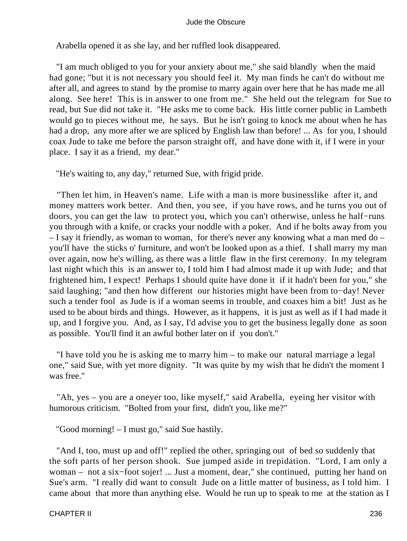Arabella opened it as she lay, and her ruffled look disappeared.

 "I am much obliged to you for your anxiety about me," she said blandly when the maid had gone; "but it is not necessary you should feel it. My man finds he can't do without me after all, and agrees to stand by the promise to marry again over here that he has made me all along. See here! This is in answer to one from me." She held out the telegram for Sue to read, but Sue did not take it. "He asks me to come back. His little corner public in Lambeth would go to pieces without me, he says. But he isn't going to knock me about when he has had a drop, any more after we are spliced by English law than before! ... As for you, I should coax Jude to take me before the parson straight off, and have done with it, if I were in your place. I say it as a friend, my dear."

"He's waiting to, any day," returned Sue, with frigid pride.

 "Then let him, in Heaven's name. Life with a man is more businesslike after it, and money matters work better. And then, you see, if you have rows, and he turns you out of doors, you can get the law to protect you, which you can't otherwise, unless he half−runs you through with a knife, or cracks your noddle with a poker. And if he bolts away from you – I say it friendly, as woman to woman, for there's never any knowing what a man med do – you'll have the sticks o' furniture, and won't be looked upon as a thief. I shall marry my man over again, now he's willing, as there was a little flaw in the first ceremony. In my telegram last night which this is an answer to, I told him I had almost made it up with Jude; and that frightened him, I expect! Perhaps I should quite have done it if it hadn't been for you," she said laughing; "and then how different our histories might have been from to−day! Never such a tender fool as Jude is if a woman seems in trouble, and coaxes him a bit! Just as he used to be about birds and things. However, as it happens, it is just as well as if I had made it up, and I forgive you. And, as I say, I'd advise you to get the business legally done as soon as possible. You'll find it an awful bother later on if you don't."

 "I have told you he is asking me to marry him – to make our natural marriage a legal one," said Sue, with yet more dignity. "It was quite by my wish that he didn't the moment I was free."

 "Ah, yes – you are a oneyer too, like myself," said Arabella, eyeing her visitor with humorous criticism. "Bolted from your first, didn't you, like me?"

"Good morning! – I must go," said Sue hastily.

 "And I, too, must up and off!" replied the other, springing out of bed so suddenly that the soft parts of her person shook. Sue jumped aside in trepidation. "Lord, I am only a woman – not a six−foot sojer! ... Just a moment, dear," she continued, putting her hand on Sue's arm. "I really did want to consult Jude on a little matter of business, as I told him. I came about that more than anything else. Would he run up to speak to me at the station as I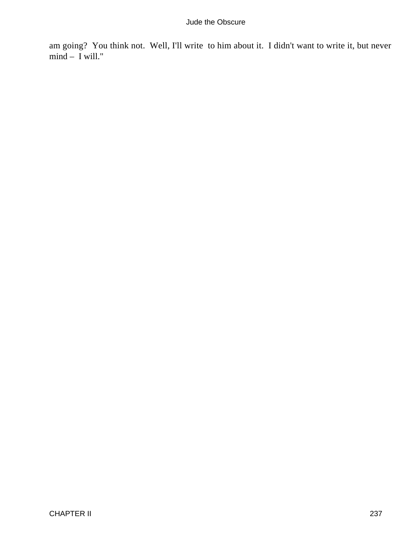am going? You think not. Well, I'll write to him about it. I didn't want to write it, but never mind – I will."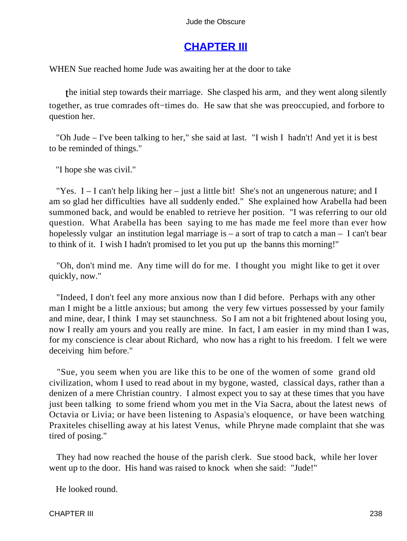# **[CHAPTER III](#page-367-0)**

WHEN Sue reached home Jude was awaiting her at the door to take

the initial step towards their marriage. She clasped his arm, and they went along silently together, as true comrades oft−times do. He saw that she was preoccupied, and forbore to question her.

 "Oh Jude – I've been talking to her," she said at last. "I wish I hadn't! And yet it is best to be reminded of things."

"I hope she was civil."

"Yes.  $I - I$  can't help liking her – just a little bit! She's not an ungenerous nature; and I am so glad her difficulties have all suddenly ended." She explained how Arabella had been summoned back, and would be enabled to retrieve her position. "I was referring to our old question. What Arabella has been saying to me has made me feel more than ever how hopelessly vulgar an institution legal marriage is  $-$  a sort of trap to catch a man  $-$  I can't bear to think of it. I wish I hadn't promised to let you put up the banns this morning!"

 "Oh, don't mind me. Any time will do for me. I thought you might like to get it over quickly, now."

 "Indeed, I don't feel any more anxious now than I did before. Perhaps with any other man I might be a little anxious; but among the very few virtues possessed by your family and mine, dear, I think I may set staunchness. So I am not a bit frightened about losing you, now I really am yours and you really are mine. In fact, I am easier in my mind than I was, for my conscience is clear about Richard, who now has a right to his freedom. I felt we were deceiving him before."

 "Sue, you seem when you are like this to be one of the women of some grand old civilization, whom I used to read about in my bygone, wasted, classical days, rather than a denizen of a mere Christian country. I almost expect you to say at these times that you have just been talking to some friend whom you met in the Via Sacra, about the latest news of Octavia or Livia; or have been listening to Aspasia's eloquence, or have been watching Praxiteles chiselling away at his latest Venus, while Phryne made complaint that she was tired of posing."

 They had now reached the house of the parish clerk. Sue stood back, while her lover went up to the door. His hand was raised to knock when she said: "Jude!"

He looked round.

CHAPTER III 238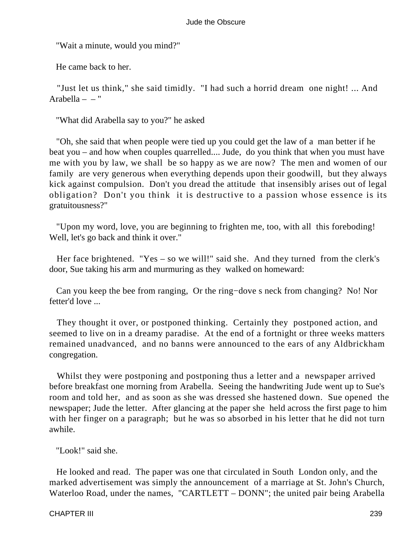"Wait a minute, would you mind?"

He came back to her.

 "Just let us think," she said timidly. "I had such a horrid dream one night! ... And Arabella  $-$  "

"What did Arabella say to you?" he asked

 "Oh, she said that when people were tied up you could get the law of a man better if he beat you – and how when couples quarrelled.... Jude, do you think that when you must have me with you by law, we shall be so happy as we are now? The men and women of our family are very generous when everything depends upon their goodwill, but they always kick against compulsion. Don't you dread the attitude that insensibly arises out of legal obligation? Don't you think it is destructive to a passion whose essence is its gratuitousness?"

 "Upon my word, love, you are beginning to frighten me, too, with all this foreboding! Well, let's go back and think it over."

 Her face brightened. "Yes – so we will!" said she. And they turned from the clerk's door, Sue taking his arm and murmuring as they walked on homeward:

 Can you keep the bee from ranging, Or the ring−dove s neck from changing? No! Nor fetter'd love ...

 They thought it over, or postponed thinking. Certainly they postponed action, and seemed to live on in a dreamy paradise. At the end of a fortnight or three weeks matters remained unadvanced, and no banns were announced to the ears of any Aldbrickham congregation.

Whilst they were postponing and postponing thus a letter and a newspaper arrived before breakfast one morning from Arabella. Seeing the handwriting Jude went up to Sue's room and told her, and as soon as she was dressed she hastened down. Sue opened the newspaper; Jude the letter. After glancing at the paper she held across the first page to him with her finger on a paragraph; but he was so absorbed in his letter that he did not turn awhile.

"Look!" said she.

 He looked and read. The paper was one that circulated in South London only, and the marked advertisement was simply the announcement of a marriage at St. John's Church, Waterloo Road, under the names, "CARTLETT – DONN"; the united pair being Arabella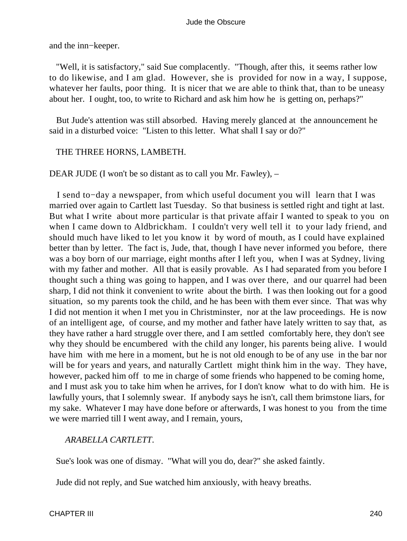and the inn−keeper.

 "Well, it is satisfactory," said Sue complacently. "Though, after this, it seems rather low to do likewise, and I am glad. However, she is provided for now in a way, I suppose, whatever her faults, poor thing. It is nicer that we are able to think that, than to be uneasy about her. I ought, too, to write to Richard and ask him how he is getting on, perhaps?"

 But Jude's attention was still absorbed. Having merely glanced at the announcement he said in a disturbed voice: "Listen to this letter. What shall I say or do?"

# THE THREE HORNS, LAMBETH.

DEAR JUDE (I won't be so distant as to call you Mr. Fawley), –

 I send to−day a newspaper, from which useful document you will learn that I was married over again to Cartlett last Tuesday. So that business is settled right and tight at last. But what I write about more particular is that private affair I wanted to speak to you on when I came down to Aldbrickham. I couldn't very well tell it to your lady friend, and should much have liked to let you know it by word of mouth, as I could have explained better than by letter. The fact is, Jude, that, though I have never informed you before, there was a boy born of our marriage, eight months after I left you, when I was at Sydney, living with my father and mother. All that is easily provable. As I had separated from you before I thought such a thing was going to happen, and I was over there, and our quarrel had been sharp, I did not think it convenient to write about the birth. I was then looking out for a good situation, so my parents took the child, and he has been with them ever since. That was why I did not mention it when I met you in Christminster, nor at the law proceedings. He is now of an intelligent age, of course, and my mother and father have lately written to say that, as they have rather a hard struggle over there, and I am settled comfortably here, they don't see why they should be encumbered with the child any longer, his parents being alive. I would have him with me here in a moment, but he is not old enough to be of any use in the bar nor will be for years and years, and naturally Cartlett might think him in the way. They have, however, packed him off to me in charge of some friends who happened to be coming home, and I must ask you to take him when he arrives, for I don't know what to do with him. He is lawfully yours, that I solemnly swear. If anybody says he isn't, call them brimstone liars, for my sake. Whatever I may have done before or afterwards, I was honest to you from the time we were married till I went away, and I remain, yours,

# *ARABELLA CARTLETT*.

Sue's look was one of dismay. "What will you do, dear?" she asked faintly.

Jude did not reply, and Sue watched him anxiously, with heavy breaths.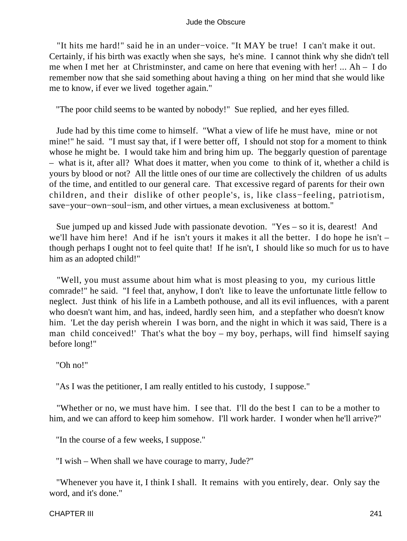"It hits me hard!" said he in an under−voice. "It MAY be true! I can't make it out. Certainly, if his birth was exactly when she says, he's mine. I cannot think why she didn't tell me when I met her at Christminster, and came on here that evening with her! ... Ah – I do remember now that she said something about having a thing on her mind that she would like me to know, if ever we lived together again."

"The poor child seems to be wanted by nobody!" Sue replied, and her eyes filled.

 Jude had by this time come to himself. "What a view of life he must have, mine or not mine!" he said. "I must say that, if I were better off, I should not stop for a moment to think whose he might be. I would take him and bring him up. The beggarly question of parentage – what is it, after all? What does it matter, when you come to think of it, whether a child is yours by blood or not? All the little ones of our time are collectively the children of us adults of the time, and entitled to our general care. That excessive regard of parents for their own children, and their dislike of other people's, is, like class−feeling, patriotism, save−your−own−soul−ism, and other virtues, a mean exclusiveness at bottom."

 Sue jumped up and kissed Jude with passionate devotion. "Yes – so it is, dearest! And we'll have him here! And if he isn't yours it makes it all the better. I do hope he isn't – though perhaps I ought not to feel quite that! If he isn't, I should like so much for us to have him as an adopted child!"

 "Well, you must assume about him what is most pleasing to you, my curious little comrade!" he said. "I feel that, anyhow, I don't like to leave the unfortunate little fellow to neglect. Just think of his life in a Lambeth pothouse, and all its evil influences, with a parent who doesn't want him, and has, indeed, hardly seen him, and a stepfather who doesn't know him. 'Let the day perish wherein I was born, and the night in which it was said, There is a man child conceived!' That's what the boy – my boy, perhaps, will find himself saying before long!"

"Oh no!"

"As I was the petitioner, I am really entitled to his custody, I suppose."

 "Whether or no, we must have him. I see that. I'll do the best I can to be a mother to him, and we can afford to keep him somehow. I'll work harder. I wonder when he'll arrive?"

"In the course of a few weeks, I suppose."

"I wish – When shall we have courage to marry, Jude?"

 "Whenever you have it, I think I shall. It remains with you entirely, dear. Only say the word, and it's done."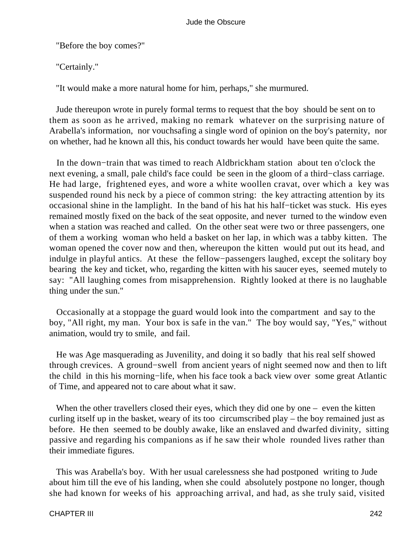"Before the boy comes?"

"Certainly."

"It would make a more natural home for him, perhaps," she murmured.

 Jude thereupon wrote in purely formal terms to request that the boy should be sent on to them as soon as he arrived, making no remark whatever on the surprising nature of Arabella's information, nor vouchsafing a single word of opinion on the boy's paternity, nor on whether, had he known all this, his conduct towards her would have been quite the same.

 In the down−train that was timed to reach Aldbrickham station about ten o'clock the next evening, a small, pale child's face could be seen in the gloom of a third−class carriage. He had large, frightened eyes, and wore a white woollen cravat, over which a key was suspended round his neck by a piece of common string: the key attracting attention by its occasional shine in the lamplight. In the band of his hat his half−ticket was stuck. His eyes remained mostly fixed on the back of the seat opposite, and never turned to the window even when a station was reached and called. On the other seat were two or three passengers, one of them a working woman who held a basket on her lap, in which was a tabby kitten. The woman opened the cover now and then, whereupon the kitten would put out its head, and indulge in playful antics. At these the fellow−passengers laughed, except the solitary boy bearing the key and ticket, who, regarding the kitten with his saucer eyes, seemed mutely to say: "All laughing comes from misapprehension. Rightly looked at there is no laughable thing under the sun."

 Occasionally at a stoppage the guard would look into the compartment and say to the boy, "All right, my man. Your box is safe in the van." The boy would say, "Yes," without animation, would try to smile, and fail.

 He was Age masquerading as Juvenility, and doing it so badly that his real self showed through crevices. A ground−swell from ancient years of night seemed now and then to lift the child in this his morning−life, when his face took a back view over some great Atlantic of Time, and appeared not to care about what it saw.

When the other travellers closed their eyes, which they did one by one – even the kitten curling itself up in the basket, weary of its too circumscribed play – the boy remained just as before. He then seemed to be doubly awake, like an enslaved and dwarfed divinity, sitting passive and regarding his companions as if he saw their whole rounded lives rather than their immediate figures.

 This was Arabella's boy. With her usual carelessness she had postponed writing to Jude about him till the eve of his landing, when she could absolutely postpone no longer, though she had known for weeks of his approaching arrival, and had, as she truly said, visited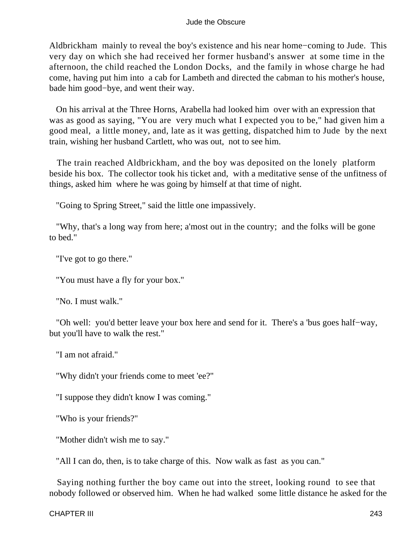Aldbrickham mainly to reveal the boy's existence and his near home−coming to Jude. This very day on which she had received her former husband's answer at some time in the afternoon, the child reached the London Docks, and the family in whose charge he had come, having put him into a cab for Lambeth and directed the cabman to his mother's house, bade him good−bye, and went their way.

 On his arrival at the Three Horns, Arabella had looked him over with an expression that was as good as saying, "You are very much what I expected you to be," had given him a good meal, a little money, and, late as it was getting, dispatched him to Jude by the next train, wishing her husband Cartlett, who was out, not to see him.

 The train reached Aldbrickham, and the boy was deposited on the lonely platform beside his box. The collector took his ticket and, with a meditative sense of the unfitness of things, asked him where he was going by himself at that time of night.

"Going to Spring Street," said the little one impassively.

 "Why, that's a long way from here; a'most out in the country; and the folks will be gone to bed."

"I've got to go there."

"You must have a fly for your box."

"No. I must walk."

 "Oh well: you'd better leave your box here and send for it. There's a 'bus goes half−way, but you'll have to walk the rest."

"I am not afraid."

"Why didn't your friends come to meet 'ee?"

"I suppose they didn't know I was coming."

"Who is your friends?"

"Mother didn't wish me to say."

"All I can do, then, is to take charge of this. Now walk as fast as you can."

 Saying nothing further the boy came out into the street, looking round to see that nobody followed or observed him. When he had walked some little distance he asked for the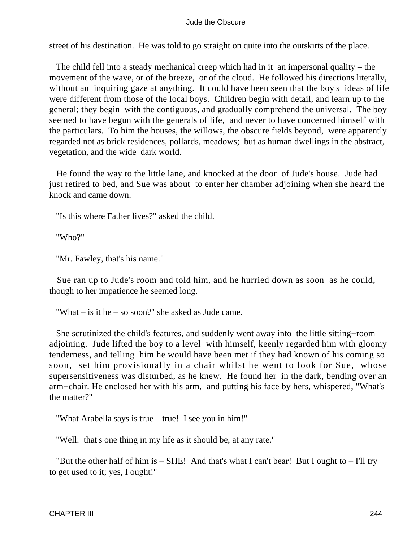street of his destination. He was told to go straight on quite into the outskirts of the place.

 The child fell into a steady mechanical creep which had in it an impersonal quality – the movement of the wave, or of the breeze, or of the cloud. He followed his directions literally, without an inquiring gaze at anything. It could have been seen that the boy's ideas of life were different from those of the local boys. Children begin with detail, and learn up to the general; they begin with the contiguous, and gradually comprehend the universal. The boy seemed to have begun with the generals of life, and never to have concerned himself with the particulars. To him the houses, the willows, the obscure fields beyond, were apparently regarded not as brick residences, pollards, meadows; but as human dwellings in the abstract, vegetation, and the wide dark world.

 He found the way to the little lane, and knocked at the door of Jude's house. Jude had just retired to bed, and Sue was about to enter her chamber adjoining when she heard the knock and came down.

"Is this where Father lives?" asked the child.

"Who?"

"Mr. Fawley, that's his name."

 Sue ran up to Jude's room and told him, and he hurried down as soon as he could, though to her impatience he seemed long.

"What – is it he – so soon?" she asked as Jude came.

 She scrutinized the child's features, and suddenly went away into the little sitting−room adjoining. Jude lifted the boy to a level with himself, keenly regarded him with gloomy tenderness, and telling him he would have been met if they had known of his coming so soon, set him provisionally in a chair whilst he went to look for Sue, whose supersensitiveness was disturbed, as he knew. He found her in the dark, bending over an arm−chair. He enclosed her with his arm, and putting his face by hers, whispered, "What's the matter?"

"What Arabella says is true – true! I see you in him!"

"Well: that's one thing in my life as it should be, at any rate."

"But the other half of him is  $-$  SHE! And that's what I can't bear! But I ought to  $-$  I'll try to get used to it; yes, I ought!"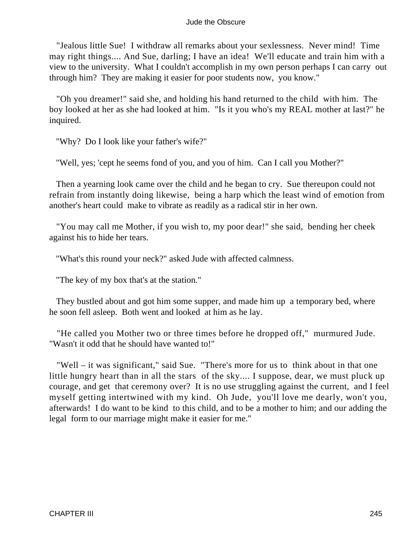"Jealous little Sue! I withdraw all remarks about your sexlessness. Never mind! Time may right things.... And Sue, darling; I have an idea! We'll educate and train him with a view to the university. What I couldn't accomplish in my own person perhaps I can carry out through him? They are making it easier for poor students now, you know."

 "Oh you dreamer!" said she, and holding his hand returned to the child with him. The boy looked at her as she had looked at him. "Is it you who's my REAL mother at last?" he inquired.

"Why? Do I look like your father's wife?"

"Well, yes; 'cept he seems fond of you, and you of him. Can I call you Mother?"

 Then a yearning look came over the child and he began to cry. Sue thereupon could not refrain from instantly doing likewise, being a harp which the least wind of emotion from another's heart could make to vibrate as readily as a radical stir in her own.

 "You may call me Mother, if you wish to, my poor dear!" she said, bending her cheek against his to hide her tears.

"What's this round your neck?" asked Jude with affected calmness.

"The key of my box that's at the station."

 They bustled about and got him some supper, and made him up a temporary bed, where he soon fell asleep. Both went and looked at him as he lay.

 "He called you Mother two or three times before he dropped off," murmured Jude. "Wasn't it odd that he should have wanted to!"

 "Well – it was significant," said Sue. "There's more for us to think about in that one little hungry heart than in all the stars of the sky.... I suppose, dear, we must pluck up courage, and get that ceremony over? It is no use struggling against the current, and I feel myself getting intertwined with my kind. Oh Jude, you'll love me dearly, won't you, afterwards! I do want to be kind to this child, and to be a mother to him; and our adding the legal form to our marriage might make it easier for me."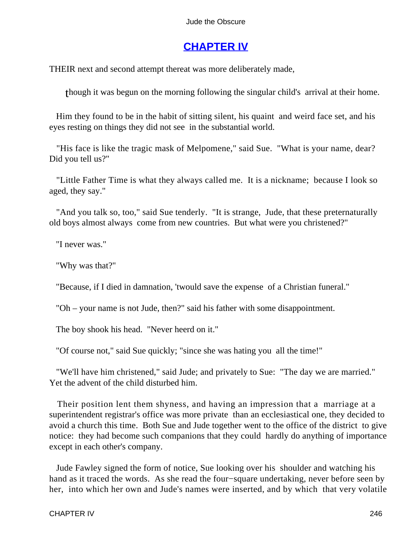# **[CHAPTER IV](#page-367-0)**

THEIR next and second attempt thereat was more deliberately made,

though it was begun on the morning following the singular child's arrival at their home.

 Him they found to be in the habit of sitting silent, his quaint and weird face set, and his eyes resting on things they did not see in the substantial world.

 "His face is like the tragic mask of Melpomene," said Sue. "What is your name, dear? Did you tell us?"

 "Little Father Time is what they always called me. It is a nickname; because I look so aged, they say."

 "And you talk so, too," said Sue tenderly. "It is strange, Jude, that these preternaturally old boys almost always come from new countries. But what were you christened?"

"I never was."

"Why was that?"

"Because, if I died in damnation, 'twould save the expense of a Christian funeral."

"Oh – your name is not Jude, then?" said his father with some disappointment.

The boy shook his head. "Never heerd on it."

"Of course not," said Sue quickly; "since she was hating you all the time!"

 "We'll have him christened," said Jude; and privately to Sue: "The day we are married." Yet the advent of the child disturbed him.

 Their position lent them shyness, and having an impression that a marriage at a superintendent registrar's office was more private than an ecclesiastical one, they decided to avoid a church this time. Both Sue and Jude together went to the office of the district to give notice: they had become such companions that they could hardly do anything of importance except in each other's company.

 Jude Fawley signed the form of notice, Sue looking over his shoulder and watching his hand as it traced the words. As she read the four−square undertaking, never before seen by her, into which her own and Jude's names were inserted, and by which that very volatile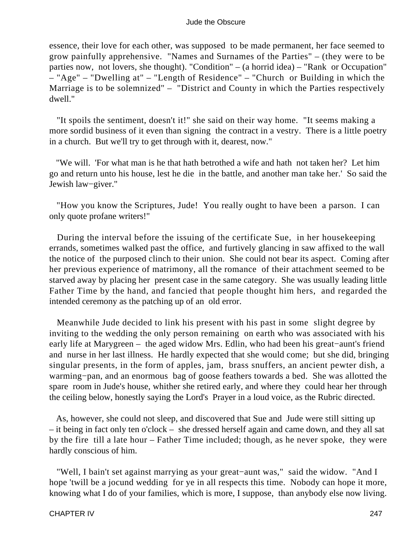essence, their love for each other, was supposed to be made permanent, her face seemed to grow painfully apprehensive. "Names and Surnames of the Parties" – (they were to be parties now, not lovers, she thought). "Condition" – (a horrid idea) – "Rank or Occupation" – "Age" – "Dwelling at" – "Length of Residence" – "Church or Building in which the Marriage is to be solemnized" – "District and County in which the Parties respectively dwell."

 "It spoils the sentiment, doesn't it!" she said on their way home. "It seems making a more sordid business of it even than signing the contract in a vestry. There is a little poetry in a church. But we'll try to get through with it, dearest, now."

 "We will. 'For what man is he that hath betrothed a wife and hath not taken her? Let him go and return unto his house, lest he die in the battle, and another man take her.' So said the Jewish law−giver."

 "How you know the Scriptures, Jude! You really ought to have been a parson. I can only quote profane writers!"

 During the interval before the issuing of the certificate Sue, in her housekeeping errands, sometimes walked past the office, and furtively glancing in saw affixed to the wall the notice of the purposed clinch to their union. She could not bear its aspect. Coming after her previous experience of matrimony, all the romance of their attachment seemed to be starved away by placing her present case in the same category. She was usually leading little Father Time by the hand, and fancied that people thought him hers, and regarded the intended ceremony as the patching up of an old error.

 Meanwhile Jude decided to link his present with his past in some slight degree by inviting to the wedding the only person remaining on earth who was associated with his early life at Marygreen – the aged widow Mrs. Edlin, who had been his great−aunt's friend and nurse in her last illness. He hardly expected that she would come; but she did, bringing singular presents, in the form of apples, jam, brass snuffers, an ancient pewter dish, a warming−pan, and an enormous bag of goose feathers towards a bed. She was allotted the spare room in Jude's house, whither she retired early, and where they could hear her through the ceiling below, honestly saying the Lord's Prayer in a loud voice, as the Rubric directed.

 As, however, she could not sleep, and discovered that Sue and Jude were still sitting up – it being in fact only ten o'clock – she dressed herself again and came down, and they all sat by the fire till a late hour – Father Time included; though, as he never spoke, they were hardly conscious of him.

 "Well, I bain't set against marrying as your great−aunt was," said the widow. "And I hope 'twill be a jocund wedding for ye in all respects this time. Nobody can hope it more, knowing what I do of your families, which is more, I suppose, than anybody else now living.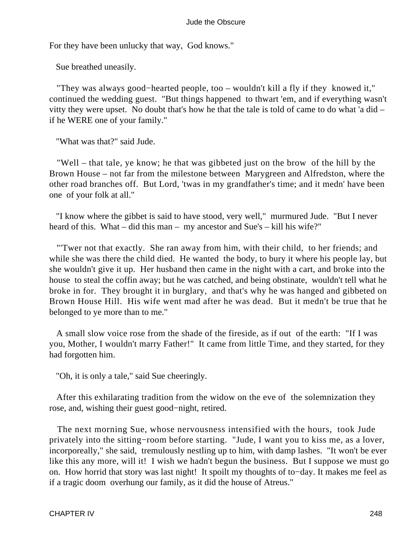For they have been unlucky that way, God knows."

Sue breathed uneasily.

 "They was always good−hearted people, too – wouldn't kill a fly if they knowed it," continued the wedding guest. "But things happened to thwart 'em, and if everything wasn't vitty they were upset. No doubt that's how he that the tale is told of came to do what 'a did – if he WERE one of your family."

"What was that?" said Jude.

 "Well – that tale, ye know; he that was gibbeted just on the brow of the hill by the Brown House – not far from the milestone between Marygreen and Alfredston, where the other road branches off. But Lord, 'twas in my grandfather's time; and it medn' have been one of your folk at all."

 "I know where the gibbet is said to have stood, very well," murmured Jude. "But I never heard of this. What – did this man – my ancestor and Sue's – kill his wife?"

 "'Twer not that exactly. She ran away from him, with their child, to her friends; and while she was there the child died. He wanted the body, to bury it where his people lay, but she wouldn't give it up. Her husband then came in the night with a cart, and broke into the house to steal the coffin away; but he was catched, and being obstinate, wouldn't tell what he broke in for. They brought it in burglary, and that's why he was hanged and gibbeted on Brown House Hill. His wife went mad after he was dead. But it medn't be true that he belonged to ye more than to me."

 A small slow voice rose from the shade of the fireside, as if out of the earth: "If I was you, Mother, I wouldn't marry Father!" It came from little Time, and they started, for they had forgotten him.

"Oh, it is only a tale," said Sue cheeringly.

 After this exhilarating tradition from the widow on the eve of the solemnization they rose, and, wishing their guest good−night, retired.

 The next morning Sue, whose nervousness intensified with the hours, took Jude privately into the sitting−room before starting. "Jude, I want you to kiss me, as a lover, incorporeally," she said, tremulously nestling up to him, with damp lashes. "It won't be ever like this any more, will it! I wish we hadn't begun the business. But I suppose we must go on. How horrid that story was last night! It spoilt my thoughts of to−day. It makes me feel as if a tragic doom overhung our family, as it did the house of Atreus."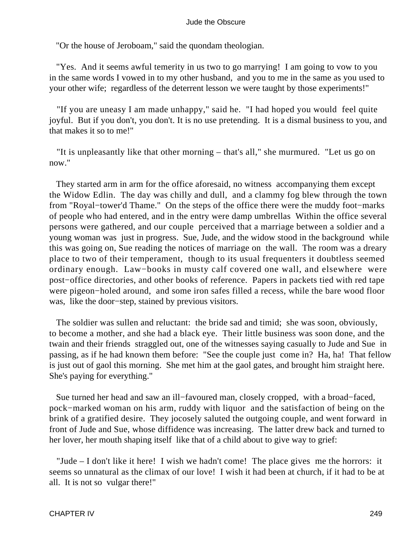"Or the house of Jeroboam," said the quondam theologian.

 "Yes. And it seems awful temerity in us two to go marrying! I am going to vow to you in the same words I vowed in to my other husband, and you to me in the same as you used to your other wife; regardless of the deterrent lesson we were taught by those experiments!"

 "If you are uneasy I am made unhappy," said he. "I had hoped you would feel quite joyful. But if you don't, you don't. It is no use pretending. It is a dismal business to you, and that makes it so to me!"

 "It is unpleasantly like that other morning – that's all," she murmured. "Let us go on now."

 They started arm in arm for the office aforesaid, no witness accompanying them except the Widow Edlin. The day was chilly and dull, and a clammy fog blew through the town from "Royal−tower'd Thame." On the steps of the office there were the muddy foot−marks of people who had entered, and in the entry were damp umbrellas Within the office several persons were gathered, and our couple perceived that a marriage between a soldier and a young woman was just in progress. Sue, Jude, and the widow stood in the background while this was going on, Sue reading the notices of marriage on the wall. The room was a dreary place to two of their temperament, though to its usual frequenters it doubtless seemed ordinary enough. Law−books in musty calf covered one wall, and elsewhere were post−office directories, and other books of reference. Papers in packets tied with red tape were pigeon−holed around, and some iron safes filled a recess, while the bare wood floor was, like the door−step, stained by previous visitors.

 The soldier was sullen and reluctant: the bride sad and timid; she was soon, obviously, to become a mother, and she had a black eye. Their little business was soon done, and the twain and their friends straggled out, one of the witnesses saying casually to Jude and Sue in passing, as if he had known them before: "See the couple just come in? Ha, ha! That fellow is just out of gaol this morning. She met him at the gaol gates, and brought him straight here. She's paying for everything."

 Sue turned her head and saw an ill−favoured man, closely cropped, with a broad−faced, pock−marked woman on his arm, ruddy with liquor and the satisfaction of being on the brink of a gratified desire. They jocosely saluted the outgoing couple, and went forward in front of Jude and Sue, whose diffidence was increasing. The latter drew back and turned to her lover, her mouth shaping itself like that of a child about to give way to grief:

 "Jude – I don't like it here! I wish we hadn't come! The place gives me the horrors: it seems so unnatural as the climax of our love! I wish it had been at church, if it had to be at all. It is not so vulgar there!"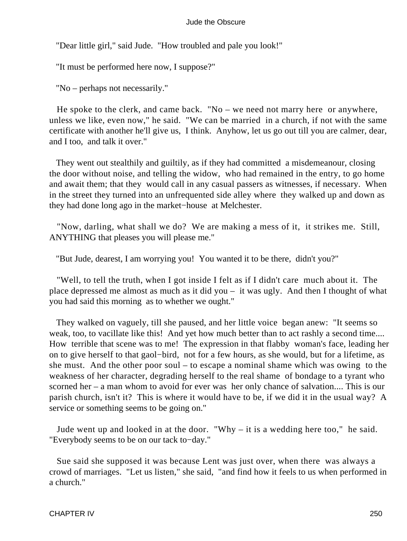"Dear little girl," said Jude. "How troubled and pale you look!"

"It must be performed here now, I suppose?"

"No – perhaps not necessarily."

 He spoke to the clerk, and came back. "No – we need not marry here or anywhere, unless we like, even now," he said. "We can be married in a church, if not with the same certificate with another he'll give us, I think. Anyhow, let us go out till you are calmer, dear, and I too, and talk it over."

 They went out stealthily and guiltily, as if they had committed a misdemeanour, closing the door without noise, and telling the widow, who had remained in the entry, to go home and await them; that they would call in any casual passers as witnesses, if necessary. When in the street they turned into an unfrequented side alley where they walked up and down as they had done long ago in the market−house at Melchester.

 "Now, darling, what shall we do? We are making a mess of it, it strikes me. Still, ANYTHING that pleases you will please me."

"But Jude, dearest, I am worrying you! You wanted it to be there, didn't you?"

 "Well, to tell the truth, when I got inside I felt as if I didn't care much about it. The place depressed me almost as much as it did you – it was ugly. And then I thought of what you had said this morning as to whether we ought."

 They walked on vaguely, till she paused, and her little voice began anew: "It seems so weak, too, to vacillate like this! And yet how much better than to act rashly a second time.... How terrible that scene was to me! The expression in that flabby woman's face, leading her on to give herself to that gaol−bird, not for a few hours, as she would, but for a lifetime, as she must. And the other poor soul – to escape a nominal shame which was owing to the weakness of her character, degrading herself to the real shame of bondage to a tyrant who scorned her – a man whom to avoid for ever was her only chance of salvation.... This is our parish church, isn't it? This is where it would have to be, if we did it in the usual way? A service or something seems to be going on."

 Jude went up and looked in at the door. "Why – it is a wedding here too," he said. "Everybody seems to be on our tack to−day."

 Sue said she supposed it was because Lent was just over, when there was always a crowd of marriages. "Let us listen," she said, "and find how it feels to us when performed in a church."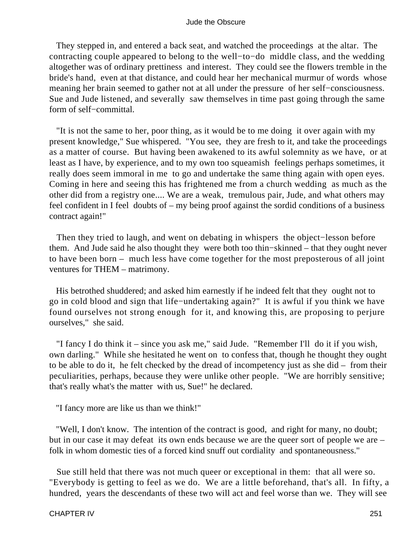They stepped in, and entered a back seat, and watched the proceedings at the altar. The contracting couple appeared to belong to the well−to−do middle class, and the wedding altogether was of ordinary prettiness and interest. They could see the flowers tremble in the bride's hand, even at that distance, and could hear her mechanical murmur of words whose meaning her brain seemed to gather not at all under the pressure of her self−consciousness. Sue and Jude listened, and severally saw themselves in time past going through the same form of self−committal.

 "It is not the same to her, poor thing, as it would be to me doing it over again with my present knowledge," Sue whispered. "You see, they are fresh to it, and take the proceedings as a matter of course. But having been awakened to its awful solemnity as we have, or at least as I have, by experience, and to my own too squeamish feelings perhaps sometimes, it really does seem immoral in me to go and undertake the same thing again with open eyes. Coming in here and seeing this has frightened me from a church wedding as much as the other did from a registry one.... We are a weak, tremulous pair, Jude, and what others may feel confident in I feel doubts of – my being proof against the sordid conditions of a business contract again!"

Then they tried to laugh, and went on debating in whispers the object–lesson before them. And Jude said he also thought they were both too thin−skinned – that they ought never to have been born – much less have come together for the most preposterous of all joint ventures for THEM – matrimony.

 His betrothed shuddered; and asked him earnestly if he indeed felt that they ought not to go in cold blood and sign that life−undertaking again?" It is awful if you think we have found ourselves not strong enough for it, and knowing this, are proposing to perjure ourselves," she said.

 "I fancy I do think it – since you ask me," said Jude. "Remember I'll do it if you wish, own darling." While she hesitated he went on to confess that, though he thought they ought to be able to do it, he felt checked by the dread of incompetency just as she did – from their peculiarities, perhaps, because they were unlike other people. "We are horribly sensitive; that's really what's the matter with us, Sue!" he declared.

"I fancy more are like us than we think!"

 "Well, I don't know. The intention of the contract is good, and right for many, no doubt; but in our case it may defeat its own ends because we are the queer sort of people we are – folk in whom domestic ties of a forced kind snuff out cordiality and spontaneousness."

 Sue still held that there was not much queer or exceptional in them: that all were so. "Everybody is getting to feel as we do. We are a little beforehand, that's all. In fifty, a hundred, years the descendants of these two will act and feel worse than we. They will see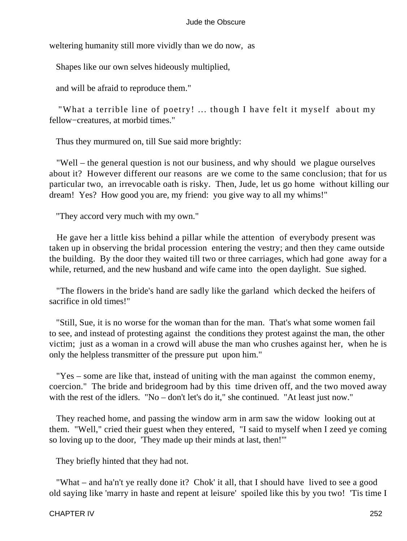weltering humanity still more vividly than we do now, as

Shapes like our own selves hideously multiplied,

and will be afraid to reproduce them."

 "What a terrible line of poetry! ... though I have felt it myself about my fellow−creatures, at morbid times."

Thus they murmured on, till Sue said more brightly:

 "Well – the general question is not our business, and why should we plague ourselves about it? However different our reasons are we come to the same conclusion; that for us particular two, an irrevocable oath is risky. Then, Jude, let us go home without killing our dream! Yes? How good you are, my friend: you give way to all my whims!"

"They accord very much with my own."

 He gave her a little kiss behind a pillar while the attention of everybody present was taken up in observing the bridal procession entering the vestry; and then they came outside the building. By the door they waited till two or three carriages, which had gone away for a while, returned, and the new husband and wife came into the open daylight. Sue sighed.

 "The flowers in the bride's hand are sadly like the garland which decked the heifers of sacrifice in old times!"

 "Still, Sue, it is no worse for the woman than for the man. That's what some women fail to see, and instead of protesting against the conditions they protest against the man, the other victim; just as a woman in a crowd will abuse the man who crushes against her, when he is only the helpless transmitter of the pressure put upon him."

 "Yes – some are like that, instead of uniting with the man against the common enemy, coercion." The bride and bridegroom had by this time driven off, and the two moved away with the rest of the idlers. "No – don't let's do it," she continued. "At least just now."

 They reached home, and passing the window arm in arm saw the widow looking out at them. "Well," cried their guest when they entered, "I said to myself when I zeed ye coming so loving up to the door, 'They made up their minds at last, then!'"

They briefly hinted that they had not.

 "What – and ha'n't ye really done it? Chok' it all, that I should have lived to see a good old saying like 'marry in haste and repent at leisure' spoiled like this by you two! 'Tis time I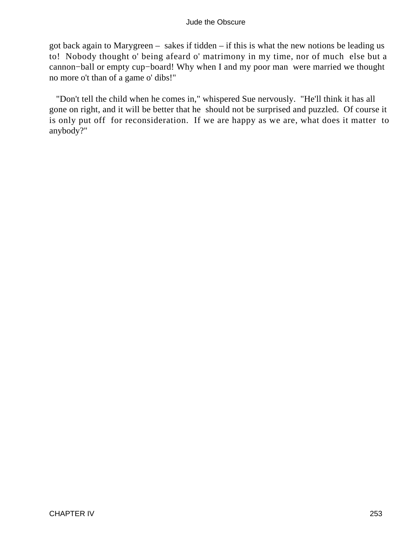got back again to Marygreen – sakes if tidden – if this is what the new notions be leading us to! Nobody thought o' being afeard o' matrimony in my time, nor of much else but a cannon−ball or empty cup−board! Why when I and my poor man were married we thought no more o't than of a game o' dibs!"

 "Don't tell the child when he comes in," whispered Sue nervously. "He'll think it has all gone on right, and it will be better that he should not be surprised and puzzled. Of course it is only put off for reconsideration. If we are happy as we are, what does it matter to anybody?"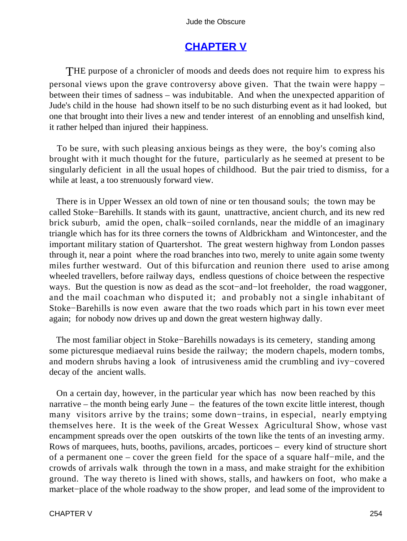# **[CHAPTER V](#page-367-0)**

THE purpose of a chronicler of moods and deeds does not require him to express his personal views upon the grave controversy above given. That the twain were happy – between their times of sadness – was indubitable. And when the unexpected apparition of Jude's child in the house had shown itself to be no such disturbing event as it had looked, but one that brought into their lives a new and tender interest of an ennobling and unselfish kind, it rather helped than injured their happiness.

 To be sure, with such pleasing anxious beings as they were, the boy's coming also brought with it much thought for the future, particularly as he seemed at present to be singularly deficient in all the usual hopes of childhood. But the pair tried to dismiss, for a while at least, a too strenuously forward view.

 There is in Upper Wessex an old town of nine or ten thousand souls; the town may be called Stoke−Barehills. It stands with its gaunt, unattractive, ancient church, and its new red brick suburb, amid the open, chalk−soiled cornlands, near the middle of an imaginary triangle which has for its three corners the towns of Aldbrickham and Wintoncester, and the important military station of Quartershot. The great western highway from London passes through it, near a point where the road branches into two, merely to unite again some twenty miles further westward. Out of this bifurcation and reunion there used to arise among wheeled travellers, before railway days, endless questions of choice between the respective ways. But the question is now as dead as the scot−and−lot freeholder, the road waggoner, and the mail coachman who disputed it; and probably not a single inhabitant of Stoke−Barehills is now even aware that the two roads which part in his town ever meet again; for nobody now drives up and down the great western highway dally.

 The most familiar object in Stoke−Barehills nowadays is its cemetery, standing among some picturesque mediaeval ruins beside the railway; the modern chapels, modern tombs, and modern shrubs having a look of intrusiveness amid the crumbling and ivy−covered decay of the ancient walls.

 On a certain day, however, in the particular year which has now been reached by this narrative – the month being early June – the features of the town excite little interest, though many visitors arrive by the trains; some down−trains, in especial, nearly emptying themselves here. It is the week of the Great Wessex Agricultural Show, whose vast encampment spreads over the open outskirts of the town like the tents of an investing army. Rows of marquees, huts, booths, pavilions, arcades, porticoes – every kind of structure short of a permanent one – cover the green field for the space of a square half−mile, and the crowds of arrivals walk through the town in a mass, and make straight for the exhibition ground. The way thereto is lined with shows, stalls, and hawkers on foot, who make a market−place of the whole roadway to the show proper, and lead some of the improvident to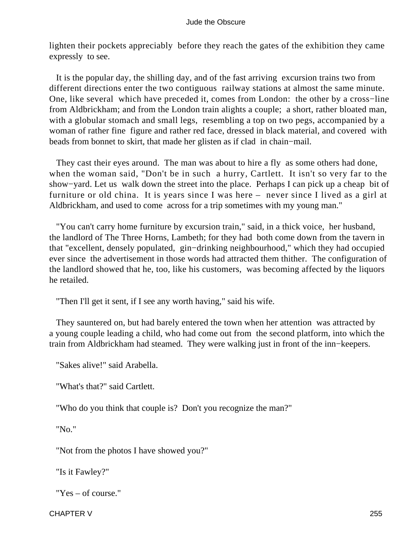lighten their pockets appreciably before they reach the gates of the exhibition they came expressly to see.

 It is the popular day, the shilling day, and of the fast arriving excursion trains two from different directions enter the two contiguous railway stations at almost the same minute. One, like several which have preceded it, comes from London: the other by a cross−line from Aldbrickham; and from the London train alights a couple; a short, rather bloated man, with a globular stomach and small legs, resembling a top on two pegs, accompanied by a woman of rather fine figure and rather red face, dressed in black material, and covered with beads from bonnet to skirt, that made her glisten as if clad in chain−mail.

 They cast their eyes around. The man was about to hire a fly as some others had done, when the woman said, "Don't be in such a hurry, Cartlett. It isn't so very far to the show−yard. Let us walk down the street into the place. Perhaps I can pick up a cheap bit of furniture or old china. It is years since I was here – never since I lived as a girl at Aldbrickham, and used to come across for a trip sometimes with my young man."

 "You can't carry home furniture by excursion train," said, in a thick voice, her husband, the landlord of The Three Horns, Lambeth; for they had both come down from the tavern in that "excellent, densely populated, gin−drinking neighbourhood," which they had occupied ever since the advertisement in those words had attracted them thither. The configuration of the landlord showed that he, too, like his customers, was becoming affected by the liquors he retailed.

"Then I'll get it sent, if I see any worth having," said his wife.

 They sauntered on, but had barely entered the town when her attention was attracted by a young couple leading a child, who had come out from the second platform, into which the train from Aldbrickham had steamed. They were walking just in front of the inn−keepers.

"Sakes alive!" said Arabella.

"What's that?" said Cartlett.

"Who do you think that couple is? Don't you recognize the man?"

"No."

"Not from the photos I have showed you?"

"Is it Fawley?"

"Yes – of course."

CHAPTER V 255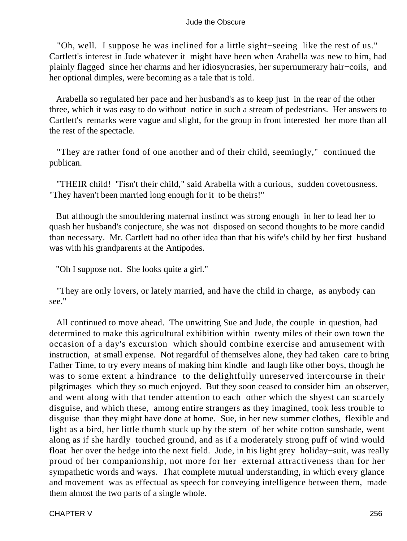"Oh, well. I suppose he was inclined for a little sight−seeing like the rest of us." Cartlett's interest in Jude whatever it might have been when Arabella was new to him, had plainly flagged since her charms and her idiosyncrasies, her supernumerary hair−coils, and her optional dimples, were becoming as a tale that is told.

 Arabella so regulated her pace and her husband's as to keep just in the rear of the other three, which it was easy to do without notice in such a stream of pedestrians. Her answers to Cartlett's remarks were vague and slight, for the group in front interested her more than all the rest of the spectacle.

 "They are rather fond of one another and of their child, seemingly," continued the publican.

 "THEIR child! 'Tisn't their child," said Arabella with a curious, sudden covetousness. "They haven't been married long enough for it to be theirs!"

 But although the smouldering maternal instinct was strong enough in her to lead her to quash her husband's conjecture, she was not disposed on second thoughts to be more candid than necessary. Mr. Cartlett had no other idea than that his wife's child by her first husband was with his grandparents at the Antipodes.

"Oh I suppose not. She looks quite a girl."

 "They are only lovers, or lately married, and have the child in charge, as anybody can see."

 All continued to move ahead. The unwitting Sue and Jude, the couple in question, had determined to make this agricultural exhibition within twenty miles of their own town the occasion of a day's excursion which should combine exercise and amusement with instruction, at small expense. Not regardful of themselves alone, they had taken care to bring Father Time, to try every means of making him kindle and laugh like other boys, though he was to some extent a hindrance to the delightfully unreserved intercourse in their pilgrimages which they so much enjoyed. But they soon ceased to consider him an observer, and went along with that tender attention to each other which the shyest can scarcely disguise, and which these, among entire strangers as they imagined, took less trouble to disguise than they might have done at home. Sue, in her new summer clothes, flexible and light as a bird, her little thumb stuck up by the stem of her white cotton sunshade, went along as if she hardly touched ground, and as if a moderately strong puff of wind would float her over the hedge into the next field. Jude, in his light grey holiday−suit, was really proud of her companionship, not more for her external attractiveness than for her sympathetic words and ways. That complete mutual understanding, in which every glance and movement was as effectual as speech for conveying intelligence between them, made them almost the two parts of a single whole.

CHAPTER V 256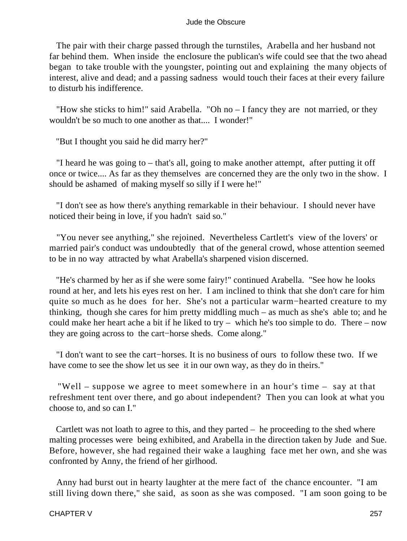The pair with their charge passed through the turnstiles, Arabella and her husband not far behind them. When inside the enclosure the publican's wife could see that the two ahead began to take trouble with the youngster, pointing out and explaining the many objects of interest, alive and dead; and a passing sadness would touch their faces at their every failure to disturb his indifference.

 "How she sticks to him!" said Arabella. "Oh no – I fancy they are not married, or they wouldn't be so much to one another as that.... I wonder!"

"But I thought you said he did marry her?"

 "I heard he was going to – that's all, going to make another attempt, after putting it off once or twice.... As far as they themselves are concerned they are the only two in the show. I should be ashamed of making myself so silly if I were he!"

 "I don't see as how there's anything remarkable in their behaviour. I should never have noticed their being in love, if you hadn't said so."

 "You never see anything," she rejoined. Nevertheless Cartlett's view of the lovers' or married pair's conduct was undoubtedly that of the general crowd, whose attention seemed to be in no way attracted by what Arabella's sharpened vision discerned.

 "He's charmed by her as if she were some fairy!" continued Arabella. "See how he looks round at her, and lets his eyes rest on her. I am inclined to think that she don't care for him quite so much as he does for her. She's not a particular warm−hearted creature to my thinking, though she cares for him pretty middling much – as much as she's able to; and he could make her heart ache a bit if he liked to try – which he's too simple to do. There – now they are going across to the cart−horse sheds. Come along."

 "I don't want to see the cart−horses. It is no business of ours to follow these two. If we have come to see the show let us see it in our own way, as they do in theirs."

 "Well – suppose we agree to meet somewhere in an hour's time – say at that refreshment tent over there, and go about independent? Then you can look at what you choose to, and so can I."

 Cartlett was not loath to agree to this, and they parted – he proceeding to the shed where malting processes were being exhibited, and Arabella in the direction taken by Jude and Sue. Before, however, she had regained their wake a laughing face met her own, and she was confronted by Anny, the friend of her girlhood.

 Anny had burst out in hearty laughter at the mere fact of the chance encounter. "I am still living down there," she said, as soon as she was composed. "I am soon going to be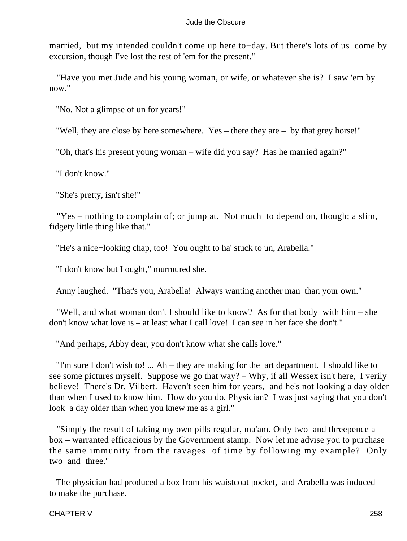married, but my intended couldn't come up here to−day. But there's lots of us come by excursion, though I've lost the rest of 'em for the present."

 "Have you met Jude and his young woman, or wife, or whatever she is? I saw 'em by now."

"No. Not a glimpse of un for years!"

"Well, they are close by here somewhere. Yes – there they are – by that grey horse!"

"Oh, that's his present young woman – wife did you say? Has he married again?"

"I don't know."

"She's pretty, isn't she!"

 "Yes – nothing to complain of; or jump at. Not much to depend on, though; a slim, fidgety little thing like that."

"He's a nice−looking chap, too! You ought to ha' stuck to un, Arabella."

"I don't know but I ought," murmured she.

Anny laughed. "That's you, Arabella! Always wanting another man than your own."

 "Well, and what woman don't I should like to know? As for that body with him – she don't know what love is – at least what I call love! I can see in her face she don't."

"And perhaps, Abby dear, you don't know what she calls love."

 "I'm sure I don't wish to! ... Ah – they are making for the art department. I should like to see some pictures myself. Suppose we go that way? – Why, if all Wessex isn't here, I verily believe! There's Dr. Vilbert. Haven't seen him for years, and he's not looking a day older than when I used to know him. How do you do, Physician? I was just saying that you don't look a day older than when you knew me as a girl."

 "Simply the result of taking my own pills regular, ma'am. Only two and threepence a box – warranted efficacious by the Government stamp. Now let me advise you to purchase the same immunity from the ravages of time by following my example? Only two−and−three."

 The physician had produced a box from his waistcoat pocket, and Arabella was induced to make the purchase.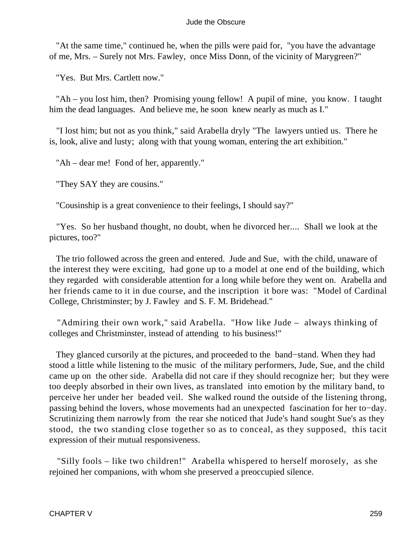"At the same time," continued he, when the pills were paid for, "you have the advantage of me, Mrs. – Surely not Mrs. Fawley, once Miss Donn, of the vicinity of Marygreen?"

"Yes. But Mrs. Cartlett now."

 "Ah – you lost him, then? Promising young fellow! A pupil of mine, you know. I taught him the dead languages. And believe me, he soon knew nearly as much as I."

 "I lost him; but not as you think," said Arabella dryly "The lawyers untied us. There he is, look, alive and lusty; along with that young woman, entering the art exhibition."

"Ah – dear me! Fond of her, apparently."

"They SAY they are cousins."

"Cousinship is a great convenience to their feelings, I should say?"

 "Yes. So her husband thought, no doubt, when he divorced her.... Shall we look at the pictures, too?"

 The trio followed across the green and entered. Jude and Sue, with the child, unaware of the interest they were exciting, had gone up to a model at one end of the building, which they regarded with considerable attention for a long while before they went on. Arabella and her friends came to it in due course, and the inscription it bore was: "Model of Cardinal College, Christminster; by J. Fawley and S. F. M. Bridehead."

 "Admiring their own work," said Arabella. "How like Jude – always thinking of colleges and Christminster, instead of attending to his business!"

 They glanced cursorily at the pictures, and proceeded to the band−stand. When they had stood a little while listening to the music of the military performers, Jude, Sue, and the child came up on the other side. Arabella did not care if they should recognize her; but they were too deeply absorbed in their own lives, as translated into emotion by the military band, to perceive her under her beaded veil. She walked round the outside of the listening throng, passing behind the lovers, whose movements had an unexpected fascination for her to−day. Scrutinizing them narrowly from the rear she noticed that Jude's hand sought Sue's as they stood, the two standing close together so as to conceal, as they supposed, this tacit expression of their mutual responsiveness.

 "Silly fools – like two children!" Arabella whispered to herself morosely, as she rejoined her companions, with whom she preserved a preoccupied silence.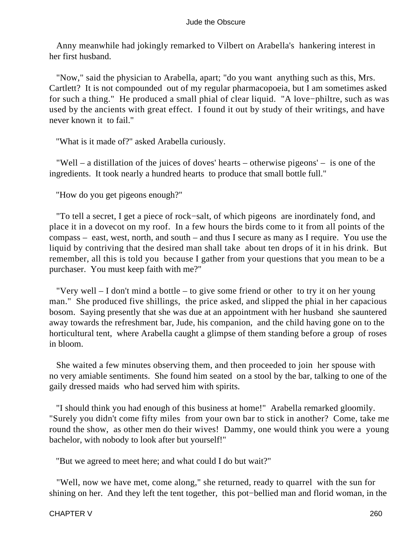Anny meanwhile had jokingly remarked to Vilbert on Arabella's hankering interest in her first husband.

 "Now," said the physician to Arabella, apart; "do you want anything such as this, Mrs. Cartlett? It is not compounded out of my regular pharmacopoeia, but I am sometimes asked for such a thing." He produced a small phial of clear liquid. "A love−philtre, such as was used by the ancients with great effect. I found it out by study of their writings, and have never known it to fail."

"What is it made of?" asked Arabella curiously.

 "Well – a distillation of the juices of doves' hearts – otherwise pigeons' – is one of the ingredients. It took nearly a hundred hearts to produce that small bottle full."

"How do you get pigeons enough?"

 "To tell a secret, I get a piece of rock−salt, of which pigeons are inordinately fond, and place it in a dovecot on my roof. In a few hours the birds come to it from all points of the compass – east, west, north, and south – and thus I secure as many as I require. You use the liquid by contriving that the desired man shall take about ten drops of it in his drink. But remember, all this is told you because I gather from your questions that you mean to be a purchaser. You must keep faith with me?"

 "Very well – I don't mind a bottle – to give some friend or other to try it on her young man." She produced five shillings, the price asked, and slipped the phial in her capacious bosom. Saying presently that she was due at an appointment with her husband she sauntered away towards the refreshment bar, Jude, his companion, and the child having gone on to the horticultural tent, where Arabella caught a glimpse of them standing before a group of roses in bloom.

 She waited a few minutes observing them, and then proceeded to join her spouse with no very amiable sentiments. She found him seated on a stool by the bar, talking to one of the gaily dressed maids who had served him with spirits.

 "I should think you had enough of this business at home!" Arabella remarked gloomily. "Surely you didn't come fifty miles from your own bar to stick in another? Come, take me round the show, as other men do their wives! Dammy, one would think you were a young bachelor, with nobody to look after but yourself!"

"But we agreed to meet here; and what could I do but wait?"

 "Well, now we have met, come along," she returned, ready to quarrel with the sun for shining on her. And they left the tent together, this pot−bellied man and florid woman, in the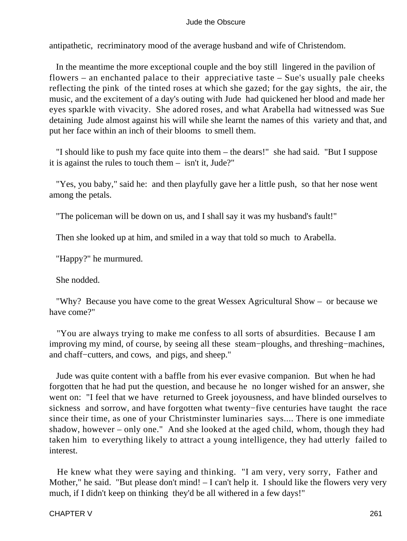antipathetic, recriminatory mood of the average husband and wife of Christendom.

 In the meantime the more exceptional couple and the boy still lingered in the pavilion of flowers – an enchanted palace to their appreciative taste – Sue's usually pale cheeks reflecting the pink of the tinted roses at which she gazed; for the gay sights, the air, the music, and the excitement of a day's outing with Jude had quickened her blood and made her eyes sparkle with vivacity. She adored roses, and what Arabella had witnessed was Sue detaining Jude almost against his will while she learnt the names of this variety and that, and put her face within an inch of their blooms to smell them.

 "I should like to push my face quite into them – the dears!" she had said. "But I suppose it is against the rules to touch them – isn't it, Jude?"

 "Yes, you baby," said he: and then playfully gave her a little push, so that her nose went among the petals.

"The policeman will be down on us, and I shall say it was my husband's fault!"

Then she looked up at him, and smiled in a way that told so much to Arabella.

"Happy?" he murmured.

She nodded.

 "Why? Because you have come to the great Wessex Agricultural Show – or because we have come?"

 "You are always trying to make me confess to all sorts of absurdities. Because I am improving my mind, of course, by seeing all these steam−ploughs, and threshing−machines, and chaff−cutters, and cows, and pigs, and sheep."

 Jude was quite content with a baffle from his ever evasive companion. But when he had forgotten that he had put the question, and because he no longer wished for an answer, she went on: "I feel that we have returned to Greek joyousness, and have blinded ourselves to sickness and sorrow, and have forgotten what twenty−five centuries have taught the race since their time, as one of your Christminster luminaries says.... There is one immediate shadow, however – only one." And she looked at the aged child, whom, though they had taken him to everything likely to attract a young intelligence, they had utterly failed to interest.

 He knew what they were saying and thinking. "I am very, very sorry, Father and Mother," he said. "But please don't mind! – I can't help it. I should like the flowers very very much, if I didn't keep on thinking they'd be all withered in a few days!"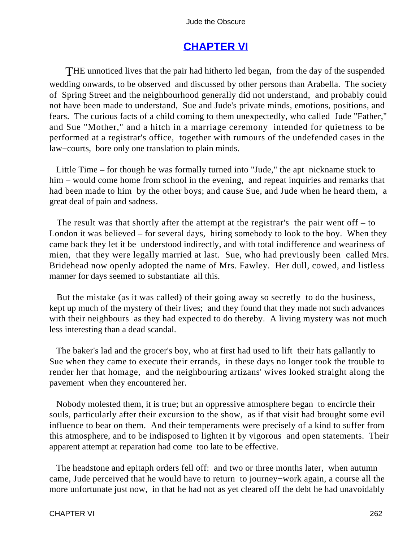# **[CHAPTER VI](#page-367-0)**

THE unnoticed lives that the pair had hitherto led began, from the day of the suspended wedding onwards, to be observed and discussed by other persons than Arabella. The society of Spring Street and the neighbourhood generally did not understand, and probably could not have been made to understand, Sue and Jude's private minds, emotions, positions, and fears. The curious facts of a child coming to them unexpectedly, who called Jude "Father," and Sue "Mother," and a hitch in a marriage ceremony intended for quietness to be performed at a registrar's office, together with rumours of the undefended cases in the law−courts, bore only one translation to plain minds.

 Little Time – for though he was formally turned into "Jude," the apt nickname stuck to him – would come home from school in the evening, and repeat inquiries and remarks that had been made to him by the other boys; and cause Sue, and Jude when he heard them, a great deal of pain and sadness.

 The result was that shortly after the attempt at the registrar's the pair went off – to London it was believed – for several days, hiring somebody to look to the boy. When they came back they let it be understood indirectly, and with total indifference and weariness of mien, that they were legally married at last. Sue, who had previously been called Mrs. Bridehead now openly adopted the name of Mrs. Fawley. Her dull, cowed, and listless manner for days seemed to substantiate all this.

 But the mistake (as it was called) of their going away so secretly to do the business, kept up much of the mystery of their lives; and they found that they made not such advances with their neighbours as they had expected to do thereby. A living mystery was not much less interesting than a dead scandal.

 The baker's lad and the grocer's boy, who at first had used to lift their hats gallantly to Sue when they came to execute their errands, in these days no longer took the trouble to render her that homage, and the neighbouring artizans' wives looked straight along the pavement when they encountered her.

 Nobody molested them, it is true; but an oppressive atmosphere began to encircle their souls, particularly after their excursion to the show, as if that visit had brought some evil influence to bear on them. And their temperaments were precisely of a kind to suffer from this atmosphere, and to be indisposed to lighten it by vigorous and open statements. Their apparent attempt at reparation had come too late to be effective.

 The headstone and epitaph orders fell off: and two or three months later, when autumn came, Jude perceived that he would have to return to journey−work again, a course all the more unfortunate just now, in that he had not as yet cleared off the debt he had unavoidably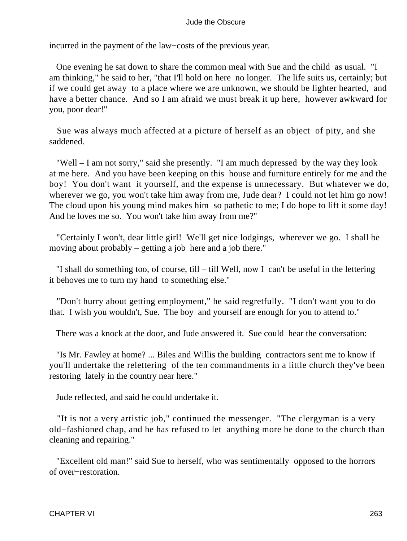incurred in the payment of the law−costs of the previous year.

 One evening he sat down to share the common meal with Sue and the child as usual. "I am thinking," he said to her, "that I'll hold on here no longer. The life suits us, certainly; but if we could get away to a place where we are unknown, we should be lighter hearted, and have a better chance. And so I am afraid we must break it up here, however awkward for you, poor dear!"

 Sue was always much affected at a picture of herself as an object of pity, and she saddened.

 "Well – I am not sorry," said she presently. "I am much depressed by the way they look at me here. And you have been keeping on this house and furniture entirely for me and the boy! You don't want it yourself, and the expense is unnecessary. But whatever we do, wherever we go, you won't take him away from me, Jude dear? I could not let him go now! The cloud upon his young mind makes him so pathetic to me; I do hope to lift it some day! And he loves me so. You won't take him away from me?"

 "Certainly I won't, dear little girl! We'll get nice lodgings, wherever we go. I shall be moving about probably – getting a job here and a job there."

 "I shall do something too, of course, till – till Well, now I can't be useful in the lettering it behoves me to turn my hand to something else."

 "Don't hurry about getting employment," he said regretfully. "I don't want you to do that. I wish you wouldn't, Sue. The boy and yourself are enough for you to attend to."

There was a knock at the door, and Jude answered it. Sue could hear the conversation:

 "Is Mr. Fawley at home? ... Biles and Willis the building contractors sent me to know if you'll undertake the relettering of the ten commandments in a little church they've been restoring lately in the country near here."

Jude reflected, and said he could undertake it.

 "It is not a very artistic job," continued the messenger. "The clergyman is a very old−fashioned chap, and he has refused to let anything more be done to the church than cleaning and repairing."

 "Excellent old man!" said Sue to herself, who was sentimentally opposed to the horrors of over−restoration.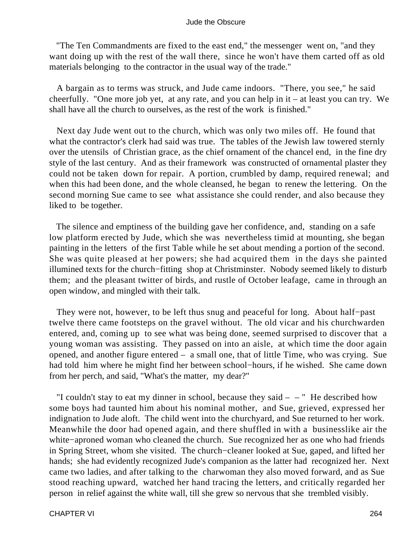"The Ten Commandments are fixed to the east end," the messenger went on, "and they want doing up with the rest of the wall there, since he won't have them carted off as old materials belonging to the contractor in the usual way of the trade."

 A bargain as to terms was struck, and Jude came indoors. "There, you see," he said cheerfully. "One more job yet, at any rate, and you can help in it – at least you can try. We shall have all the church to ourselves, as the rest of the work is finished."

 Next day Jude went out to the church, which was only two miles off. He found that what the contractor's clerk had said was true. The tables of the Jewish law towered sternly over the utensils of Christian grace, as the chief ornament of the chancel end, in the fine dry style of the last century. And as their framework was constructed of ornamental plaster they could not be taken down for repair. A portion, crumbled by damp, required renewal; and when this had been done, and the whole cleansed, he began to renew the lettering. On the second morning Sue came to see what assistance she could render, and also because they liked to be together.

 The silence and emptiness of the building gave her confidence, and, standing on a safe low platform erected by Jude, which she was nevertheless timid at mounting, she began painting in the letters of the first Table while he set about mending a portion of the second. She was quite pleased at her powers; she had acquired them in the days she painted illumined texts for the church−fitting shop at Christminster. Nobody seemed likely to disturb them; and the pleasant twitter of birds, and rustle of October leafage, came in through an open window, and mingled with their talk.

 They were not, however, to be left thus snug and peaceful for long. About half−past twelve there came footsteps on the gravel without. The old vicar and his churchwarden entered, and, coming up to see what was being done, seemed surprised to discover that a young woman was assisting. They passed on into an aisle, at which time the door again opened, and another figure entered – a small one, that of little Time, who was crying. Sue had told him where he might find her between school−hours, if he wished. She came down from her perch, and said, "What's the matter, my dear?"

"I couldn't stay to eat my dinner in school, because they said  $-$  – " He described how some boys had taunted him about his nominal mother, and Sue, grieved, expressed her indignation to Jude aloft. The child went into the churchyard, and Sue returned to her work. Meanwhile the door had opened again, and there shuffled in with a businesslike air the white−aproned woman who cleaned the church. Sue recognized her as one who had friends in Spring Street, whom she visited. The church−cleaner looked at Sue, gaped, and lifted her hands; she had evidently recognized Jude's companion as the latter had recognized her. Next came two ladies, and after talking to the charwoman they also moved forward, and as Sue stood reaching upward, watched her hand tracing the letters, and critically regarded her person in relief against the white wall, till she grew so nervous that she trembled visibly.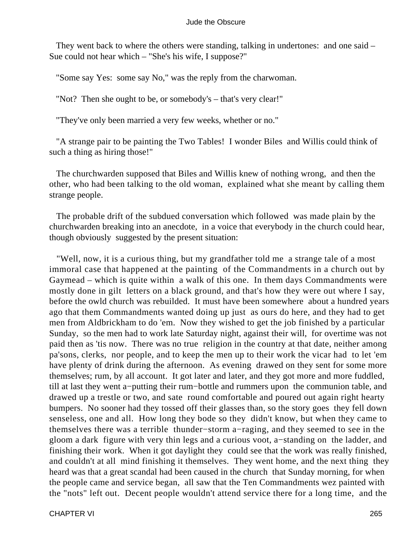They went back to where the others were standing, talking in undertones: and one said – Sue could not hear which – "She's his wife, I suppose?"

"Some say Yes: some say No," was the reply from the charwoman.

"Not? Then she ought to be, or somebody's – that's very clear!"

"They've only been married a very few weeks, whether or no."

 "A strange pair to be painting the Two Tables! I wonder Biles and Willis could think of such a thing as hiring those!"

 The churchwarden supposed that Biles and Willis knew of nothing wrong, and then the other, who had been talking to the old woman, explained what she meant by calling them strange people.

 The probable drift of the subdued conversation which followed was made plain by the churchwarden breaking into an anecdote, in a voice that everybody in the church could hear, though obviously suggested by the present situation:

 "Well, now, it is a curious thing, but my grandfather told me a strange tale of a most immoral case that happened at the painting of the Commandments in a church out by Gaymead – which is quite within a walk of this one. In them days Commandments were mostly done in gilt letters on a black ground, and that's how they were out where I say, before the owld church was rebuilded. It must have been somewhere about a hundred years ago that them Commandments wanted doing up just as ours do here, and they had to get men from Aldbrickham to do 'em. Now they wished to get the job finished by a particular Sunday, so the men had to work late Saturday night, against their will, for overtime was not paid then as 'tis now. There was no true religion in the country at that date, neither among pa'sons, clerks, nor people, and to keep the men up to their work the vicar had to let 'em have plenty of drink during the afternoon. As evening drawed on they sent for some more themselves; rum, by all account. It got later and later, and they got more and more fuddled, till at last they went a−putting their rum−bottle and rummers upon the communion table, and drawed up a trestle or two, and sate round comfortable and poured out again right hearty bumpers. No sooner had they tossed off their glasses than, so the story goes they fell down senseless, one and all. How long they bode so they didn't know, but when they came to themselves there was a terrible thunder−storm a−raging, and they seemed to see in the gloom a dark figure with very thin legs and a curious voot, a−standing on the ladder, and finishing their work. When it got daylight they could see that the work was really finished, and couldn't at all mind finishing it themselves. They went home, and the next thing they heard was that a great scandal had been caused in the church that Sunday morning, for when the people came and service began, all saw that the Ten Commandments wez painted with the "nots" left out. Decent people wouldn't attend service there for a long time, and the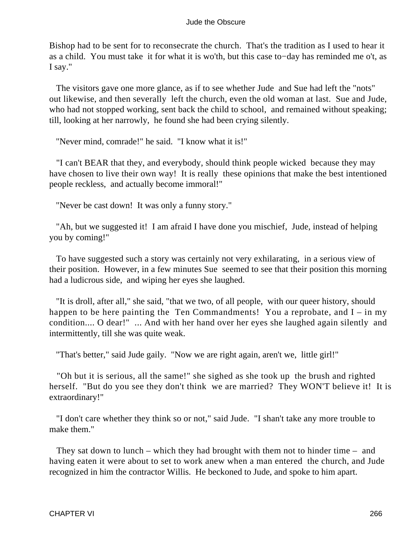Bishop had to be sent for to reconsecrate the church. That's the tradition as I used to hear it as a child. You must take it for what it is wo'th, but this case to−day has reminded me o't, as I say."

 The visitors gave one more glance, as if to see whether Jude and Sue had left the "nots" out likewise, and then severally left the church, even the old woman at last. Sue and Jude, who had not stopped working, sent back the child to school, and remained without speaking; till, looking at her narrowly, he found she had been crying silently.

"Never mind, comrade!" he said. "I know what it is!"

 "I can't BEAR that they, and everybody, should think people wicked because they may have chosen to live their own way! It is really these opinions that make the best intentioned people reckless, and actually become immoral!"

"Never be cast down! It was only a funny story."

 "Ah, but we suggested it! I am afraid I have done you mischief, Jude, instead of helping you by coming!"

 To have suggested such a story was certainly not very exhilarating, in a serious view of their position. However, in a few minutes Sue seemed to see that their position this morning had a ludicrous side, and wiping her eyes she laughed.

 "It is droll, after all," she said, "that we two, of all people, with our queer history, should happen to be here painting the Ten Commandments! You a reprobate, and  $I - in$  my condition.... O dear!" ... And with her hand over her eyes she laughed again silently and intermittently, till she was quite weak.

"That's better," said Jude gaily. "Now we are right again, aren't we, little girl!"

 "Oh but it is serious, all the same!" she sighed as she took up the brush and righted herself. "But do you see they don't think we are married? They WON'T believe it! It is extraordinary!"

 "I don't care whether they think so or not," said Jude. "I shan't take any more trouble to make them."

 They sat down to lunch – which they had brought with them not to hinder time – and having eaten it were about to set to work anew when a man entered the church, and Jude recognized in him the contractor Willis. He beckoned to Jude, and spoke to him apart.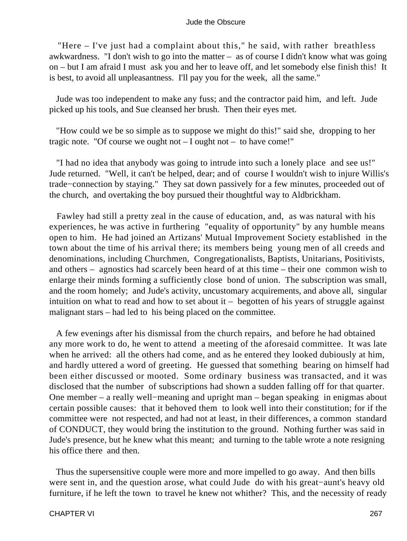"Here – I've just had a complaint about this," he said, with rather breathless awkwardness. "I don't wish to go into the matter – as of course I didn't know what was going on – but I am afraid I must ask you and her to leave off, and let somebody else finish this! It is best, to avoid all unpleasantness. I'll pay you for the week, all the same."

 Jude was too independent to make any fuss; and the contractor paid him, and left. Jude picked up his tools, and Sue cleansed her brush. Then their eyes met.

 "How could we be so simple as to suppose we might do this!" said she, dropping to her tragic note. "Of course we ought not  $- I$  ought not  $-$  to have come!"

 "I had no idea that anybody was going to intrude into such a lonely place and see us!" Jude returned. "Well, it can't be helped, dear; and of course I wouldn't wish to injure Willis's trade−connection by staying." They sat down passively for a few minutes, proceeded out of the church, and overtaking the boy pursued their thoughtful way to Aldbrickham.

 Fawley had still a pretty zeal in the cause of education, and, as was natural with his experiences, he was active in furthering "equality of opportunity" by any humble means open to him. He had joined an Artizans' Mutual Improvement Society established in the town about the time of his arrival there; its members being young men of all creeds and denominations, including Churchmen, Congregationalists, Baptists, Unitarians, Positivists, and others – agnostics had scarcely been heard of at this time – their one common wish to enlarge their minds forming a sufficiently close bond of union. The subscription was small, and the room homely; and Jude's activity, uncustomary acquirements, and above all, singular intuition on what to read and how to set about  $it -$  begotten of his years of struggle against malignant stars – had led to his being placed on the committee.

 A few evenings after his dismissal from the church repairs, and before he had obtained any more work to do, he went to attend a meeting of the aforesaid committee. It was late when he arrived: all the others had come, and as he entered they looked dubiously at him, and hardly uttered a word of greeting. He guessed that something bearing on himself had been either discussed or mooted. Some ordinary business was transacted, and it was disclosed that the number of subscriptions had shown a sudden falling off for that quarter. One member – a really well−meaning and upright man – began speaking in enigmas about certain possible causes: that it behoved them to look well into their constitution; for if the committee were not respected, and had not at least, in their differences, a common standard of CONDUCT, they would bring the institution to the ground. Nothing further was said in Jude's presence, but he knew what this meant; and turning to the table wrote a note resigning his office there and then.

 Thus the supersensitive couple were more and more impelled to go away. And then bills were sent in, and the question arose, what could Jude do with his great−aunt's heavy old furniture, if he left the town to travel he knew not whither? This, and the necessity of ready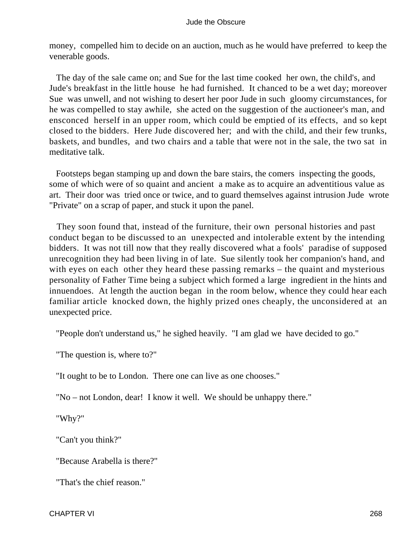money, compelled him to decide on an auction, much as he would have preferred to keep the venerable goods.

 The day of the sale came on; and Sue for the last time cooked her own, the child's, and Jude's breakfast in the little house he had furnished. It chanced to be a wet day; moreover Sue was unwell, and not wishing to desert her poor Jude in such gloomy circumstances, for he was compelled to stay awhile, she acted on the suggestion of the auctioneer's man, and ensconced herself in an upper room, which could be emptied of its effects, and so kept closed to the bidders. Here Jude discovered her; and with the child, and their few trunks, baskets, and bundles, and two chairs and a table that were not in the sale, the two sat in meditative talk.

 Footsteps began stamping up and down the bare stairs, the comers inspecting the goods, some of which were of so quaint and ancient a make as to acquire an adventitious value as art. Their door was tried once or twice, and to guard themselves against intrusion Jude wrote "Private" on a scrap of paper, and stuck it upon the panel.

 They soon found that, instead of the furniture, their own personal histories and past conduct began to be discussed to an unexpected and intolerable extent by the intending bidders. It was not till now that they really discovered what a fools' paradise of supposed unrecognition they had been living in of late. Sue silently took her companion's hand, and with eyes on each other they heard these passing remarks – the quaint and mysterious personality of Father Time being a subject which formed a large ingredient in the hints and innuendoes. At length the auction began in the room below, whence they could hear each familiar article knocked down, the highly prized ones cheaply, the unconsidered at an unexpected price.

"People don't understand us," he sighed heavily. "I am glad we have decided to go."

"The question is, where to?"

"It ought to be to London. There one can live as one chooses."

"No – not London, dear! I know it well. We should be unhappy there."

"Why?"

"Can't you think?"

"Because Arabella is there?"

"That's the chief reason"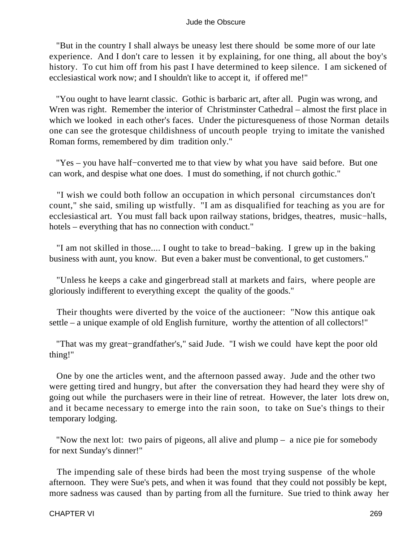"But in the country I shall always be uneasy lest there should be some more of our late experience. And I don't care to lessen it by explaining, for one thing, all about the boy's history. To cut him off from his past I have determined to keep silence. I am sickened of ecclesiastical work now; and I shouldn't like to accept it, if offered me!"

 "You ought to have learnt classic. Gothic is barbaric art, after all. Pugin was wrong, and Wren was right. Remember the interior of Christminster Cathedral – almost the first place in which we looked in each other's faces. Under the picturesqueness of those Norman details one can see the grotesque childishness of uncouth people trying to imitate the vanished Roman forms, remembered by dim tradition only."

 "Yes – you have half−converted me to that view by what you have said before. But one can work, and despise what one does. I must do something, if not church gothic."

 "I wish we could both follow an occupation in which personal circumstances don't count," she said, smiling up wistfully. "I am as disqualified for teaching as you are for ecclesiastical art. You must fall back upon railway stations, bridges, theatres, music−halls, hotels – everything that has no connection with conduct."

 "I am not skilled in those.... I ought to take to bread−baking. I grew up in the baking business with aunt, you know. But even a baker must be conventional, to get customers."

 "Unless he keeps a cake and gingerbread stall at markets and fairs, where people are gloriously indifferent to everything except the quality of the goods."

 Their thoughts were diverted by the voice of the auctioneer: "Now this antique oak settle – a unique example of old English furniture, worthy the attention of all collectors!"

 "That was my great−grandfather's," said Jude. "I wish we could have kept the poor old thing!"

 One by one the articles went, and the afternoon passed away. Jude and the other two were getting tired and hungry, but after the conversation they had heard they were shy of going out while the purchasers were in their line of retreat. However, the later lots drew on, and it became necessary to emerge into the rain soon, to take on Sue's things to their temporary lodging.

 "Now the next lot: two pairs of pigeons, all alive and plump – a nice pie for somebody for next Sunday's dinner!"

 The impending sale of these birds had been the most trying suspense of the whole afternoon. They were Sue's pets, and when it was found that they could not possibly be kept, more sadness was caused than by parting from all the furniture. Sue tried to think away her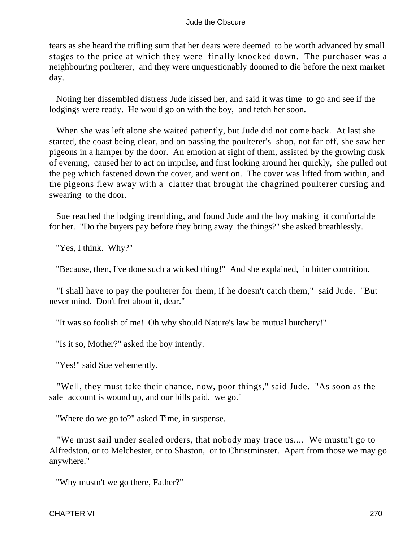tears as she heard the trifling sum that her dears were deemed to be worth advanced by small stages to the price at which they were finally knocked down. The purchaser was a neighbouring poulterer, and they were unquestionably doomed to die before the next market day.

 Noting her dissembled distress Jude kissed her, and said it was time to go and see if the lodgings were ready. He would go on with the boy, and fetch her soon.

 When she was left alone she waited patiently, but Jude did not come back. At last she started, the coast being clear, and on passing the poulterer's shop, not far off, she saw her pigeons in a hamper by the door. An emotion at sight of them, assisted by the growing dusk of evening, caused her to act on impulse, and first looking around her quickly, she pulled out the peg which fastened down the cover, and went on. The cover was lifted from within, and the pigeons flew away with a clatter that brought the chagrined poulterer cursing and swearing to the door.

 Sue reached the lodging trembling, and found Jude and the boy making it comfortable for her. "Do the buyers pay before they bring away the things?" she asked breathlessly.

"Yes, I think. Why?"

"Because, then, I've done such a wicked thing!" And she explained, in bitter contrition.

 "I shall have to pay the poulterer for them, if he doesn't catch them," said Jude. "But never mind. Don't fret about it, dear."

"It was so foolish of me! Oh why should Nature's law be mutual butchery!"

"Is it so, Mother?" asked the boy intently.

"Yes!" said Sue vehemently.

 "Well, they must take their chance, now, poor things," said Jude. "As soon as the sale−account is wound up, and our bills paid, we go."

"Where do we go to?" asked Time, in suspense.

 "We must sail under sealed orders, that nobody may trace us.... We mustn't go to Alfredston, or to Melchester, or to Shaston, or to Christminster. Apart from those we may go anywhere."

"Why mustn't we go there, Father?"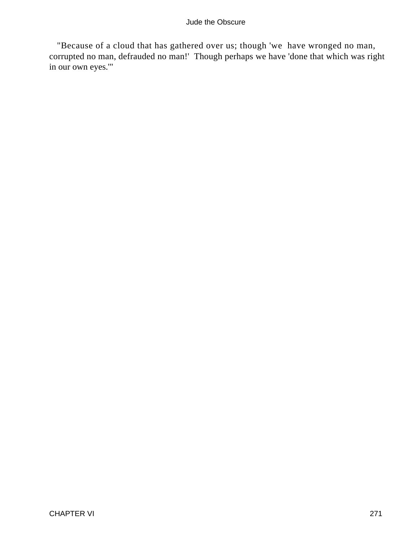"Because of a cloud that has gathered over us; though 'we have wronged no man, corrupted no man, defrauded no man!' Though perhaps we have 'done that which was right in our own eyes.'"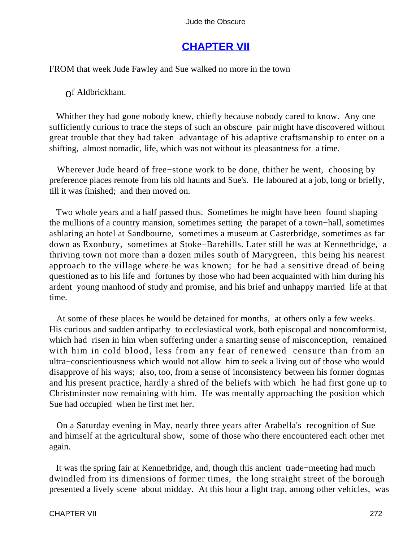# **[CHAPTER VII](#page-367-0)**

FROM that week Jude Fawley and Sue walked no more in the town

of Aldbrickham.

 Whither they had gone nobody knew, chiefly because nobody cared to know. Any one sufficiently curious to trace the steps of such an obscure pair might have discovered without great trouble that they had taken advantage of his adaptive craftsmanship to enter on a shifting, almost nomadic, life, which was not without its pleasantness for a time.

 Wherever Jude heard of free−stone work to be done, thither he went, choosing by preference places remote from his old haunts and Sue's. He laboured at a job, long or briefly, till it was finished; and then moved on.

 Two whole years and a half passed thus. Sometimes he might have been found shaping the mullions of a country mansion, sometimes setting the parapet of a town−hall, sometimes ashlaring an hotel at Sandbourne, sometimes a museum at Casterbridge, sometimes as far down as Exonbury, sometimes at Stoke−Barehills. Later still he was at Kennetbridge, a thriving town not more than a dozen miles south of Marygreen, this being his nearest approach to the village where he was known; for he had a sensitive dread of being questioned as to his life and fortunes by those who had been acquainted with him during his ardent young manhood of study and promise, and his brief and unhappy married life at that time.

 At some of these places he would be detained for months, at others only a few weeks. His curious and sudden antipathy to ecclesiastical work, both episcopal and noncomformist, which had risen in him when suffering under a smarting sense of misconception, remained with him in cold blood, less from any fear of renewed censure than from an ultra−conscientiousness which would not allow him to seek a living out of those who would disapprove of his ways; also, too, from a sense of inconsistency between his former dogmas and his present practice, hardly a shred of the beliefs with which he had first gone up to Christminster now remaining with him. He was mentally approaching the position which Sue had occupied when he first met her.

 On a Saturday evening in May, nearly three years after Arabella's recognition of Sue and himself at the agricultural show, some of those who there encountered each other met again.

 It was the spring fair at Kennetbridge, and, though this ancient trade−meeting had much dwindled from its dimensions of former times, the long straight street of the borough presented a lively scene about midday. At this hour a light trap, among other vehicles, was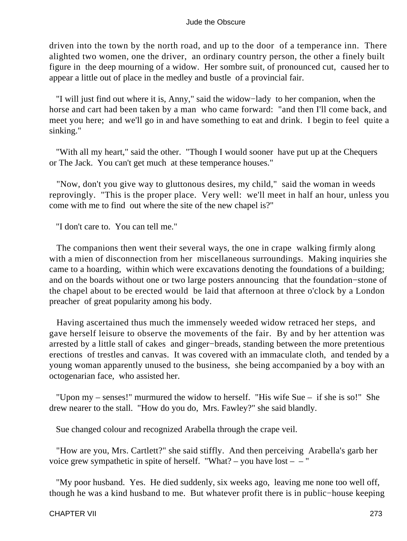driven into the town by the north road, and up to the door of a temperance inn. There alighted two women, one the driver, an ordinary country person, the other a finely built figure in the deep mourning of a widow. Her sombre suit, of pronounced cut, caused her to appear a little out of place in the medley and bustle of a provincial fair.

 "I will just find out where it is, Anny," said the widow−lady to her companion, when the horse and cart had been taken by a man who came forward: "and then I'll come back, and meet you here; and we'll go in and have something to eat and drink. I begin to feel quite a sinking."

 "With all my heart," said the other. "Though I would sooner have put up at the Chequers or The Jack. You can't get much at these temperance houses."

 "Now, don't you give way to gluttonous desires, my child," said the woman in weeds reprovingly. "This is the proper place. Very well: we'll meet in half an hour, unless you come with me to find out where the site of the new chapel is?"

"I don't care to. You can tell me."

 The companions then went their several ways, the one in crape walking firmly along with a mien of disconnection from her miscellaneous surroundings. Making inquiries she came to a hoarding, within which were excavations denoting the foundations of a building; and on the boards without one or two large posters announcing that the foundation−stone of the chapel about to be erected would be laid that afternoon at three o'clock by a London preacher of great popularity among his body.

 Having ascertained thus much the immensely weeded widow retraced her steps, and gave herself leisure to observe the movements of the fair. By and by her attention was arrested by a little stall of cakes and ginger−breads, standing between the more pretentious erections of trestles and canvas. It was covered with an immaculate cloth, and tended by a young woman apparently unused to the business, she being accompanied by a boy with an octogenarian face, who assisted her.

 "Upon my – senses!" murmured the widow to herself. "His wife Sue – if she is so!" She drew nearer to the stall. "How do you do, Mrs. Fawley?" she said blandly.

Sue changed colour and recognized Arabella through the crape veil.

 "How are you, Mrs. Cartlett?" she said stiffly. And then perceiving Arabella's garb her voice grew sympathetic in spite of herself. "What? – you have lost – – "

 "My poor husband. Yes. He died suddenly, six weeks ago, leaving me none too well off, though he was a kind husband to me. But whatever profit there is in public−house keeping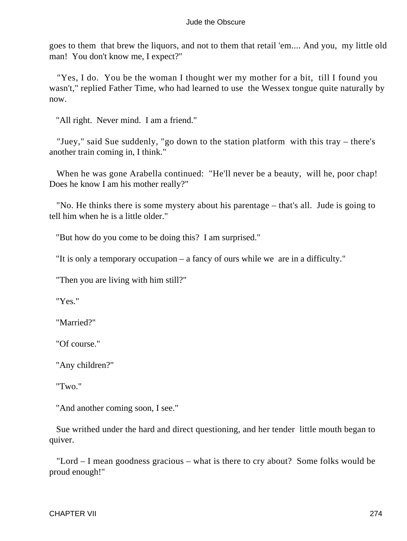goes to them that brew the liquors, and not to them that retail 'em.... And you, my little old man! You don't know me, I expect?"

 "Yes, I do. You be the woman I thought wer my mother for a bit, till I found you wasn't," replied Father Time, who had learned to use the Wessex tongue quite naturally by now.

"All right. Never mind. I am a friend."

 "Juey," said Sue suddenly, "go down to the station platform with this tray – there's another train coming in, I think."

When he was gone Arabella continued: "He'll never be a beauty, will he, poor chap! Does he know I am his mother really?"

 "No. He thinks there is some mystery about his parentage – that's all. Jude is going to tell him when he is a little older."

"But how do you come to be doing this? I am surprised."

"It is only a temporary occupation – a fancy of ours while we are in a difficulty."

"Then you are living with him still?"

"Yes."

"Married?"

"Of course."

"Any children?"

"Two."

"And another coming soon, I see."

 Sue writhed under the hard and direct questioning, and her tender little mouth began to quiver.

 "Lord – I mean goodness gracious – what is there to cry about? Some folks would be proud enough!"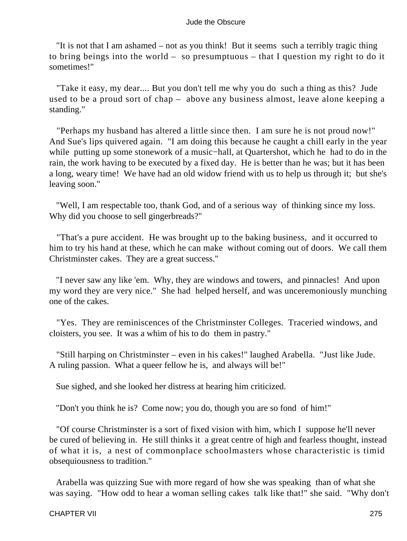"It is not that I am ashamed – not as you think! But it seems such a terribly tragic thing to bring beings into the world – so presumptuous – that I question my right to do it sometimes!"

 "Take it easy, my dear.... But you don't tell me why you do such a thing as this? Jude used to be a proud sort of chap – above any business almost, leave alone keeping a standing."

 "Perhaps my husband has altered a little since then. I am sure he is not proud now!" And Sue's lips quivered again. "I am doing this because he caught a chill early in the year while putting up some stonework of a music−hall, at Quartershot, which he had to do in the rain, the work having to be executed by a fixed day. He is better than he was; but it has been a long, weary time! We have had an old widow friend with us to help us through it; but she's leaving soon."

 "Well, I am respectable too, thank God, and of a serious way of thinking since my loss. Why did you choose to sell gingerbreads?"

 "That's a pure accident. He was brought up to the baking business, and it occurred to him to try his hand at these, which he can make without coming out of doors. We call them Christminster cakes. They are a great success."

 "I never saw any like 'em. Why, they are windows and towers, and pinnacles! And upon my word they are very nice." She had helped herself, and was unceremoniously munching one of the cakes.

 "Yes. They are reminiscences of the Christminster Colleges. Traceried windows, and cloisters, you see. It was a whim of his to do them in pastry."

 "Still harping on Christminster – even in his cakes!" laughed Arabella. "Just like Jude. A ruling passion. What a queer fellow he is, and always will be!"

Sue sighed, and she looked her distress at hearing him criticized.

"Don't you think he is? Come now; you do, though you are so fond of him!"

 "Of course Christminster is a sort of fixed vision with him, which I suppose he'll never be cured of believing in. He still thinks it a great centre of high and fearless thought, instead of what it is, a nest of commonplace schoolmasters whose characteristic is timid obsequiousness to tradition."

 Arabella was quizzing Sue with more regard of how she was speaking than of what she was saying. "How odd to hear a woman selling cakes talk like that!" she said. "Why don't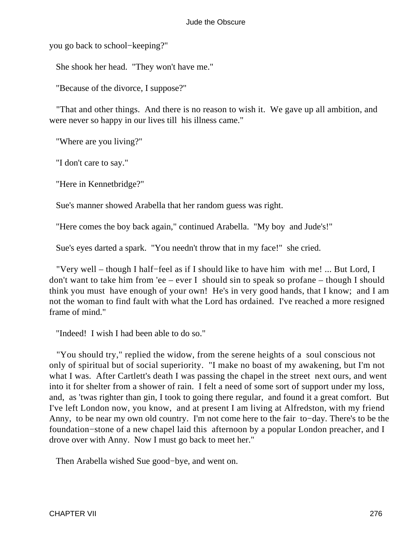you go back to school−keeping?"

She shook her head. "They won't have me."

"Because of the divorce, I suppose?"

 "That and other things. And there is no reason to wish it. We gave up all ambition, and were never so happy in our lives till his illness came."

"Where are you living?"

"I don't care to say."

"Here in Kennetbridge?"

Sue's manner showed Arabella that her random guess was right.

"Here comes the boy back again," continued Arabella. "My boy and Jude's!"

Sue's eyes darted a spark. "You needn't throw that in my face!" she cried.

 "Very well – though I half−feel as if I should like to have him with me! ... But Lord, I don't want to take him from 'ee – ever I should sin to speak so profane – though I should think you must have enough of your own! He's in very good hands, that I know; and I am not the woman to find fault with what the Lord has ordained. I've reached a more resigned frame of mind."

"Indeed! I wish I had been able to do so."

 "You should try," replied the widow, from the serene heights of a soul conscious not only of spiritual but of social superiority. "I make no boast of my awakening, but I'm not what I was. After Cartlett's death I was passing the chapel in the street next ours, and went into it for shelter from a shower of rain. I felt a need of some sort of support under my loss, and, as 'twas righter than gin, I took to going there regular, and found it a great comfort. But I've left London now, you know, and at present I am living at Alfredston, with my friend Anny, to be near my own old country. I'm not come here to the fair to−day. There's to be the foundation−stone of a new chapel laid this afternoon by a popular London preacher, and I drove over with Anny. Now I must go back to meet her."

Then Arabella wished Sue good−bye, and went on.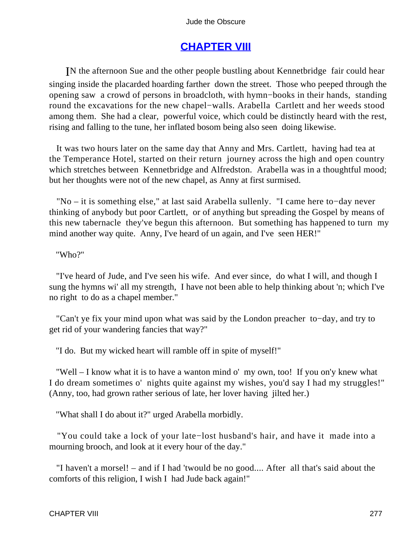# **[CHAPTER VIII](#page-367-0)**

IN the afternoon Sue and the other people bustling about Kennetbridge fair could hear singing inside the placarded hoarding farther down the street. Those who peeped through the opening saw a crowd of persons in broadcloth, with hymn−books in their hands, standing round the excavations for the new chapel−walls. Arabella Cartlett and her weeds stood among them. She had a clear, powerful voice, which could be distinctly heard with the rest, rising and falling to the tune, her inflated bosom being also seen doing likewise.

 It was two hours later on the same day that Anny and Mrs. Cartlett, having had tea at the Temperance Hotel, started on their return journey across the high and open country which stretches between Kennetbridge and Alfredston. Arabella was in a thoughtful mood; but her thoughts were not of the new chapel, as Anny at first surmised.

 "No – it is something else," at last said Arabella sullenly. "I came here to−day never thinking of anybody but poor Cartlett, or of anything but spreading the Gospel by means of this new tabernacle they've begun this afternoon. But something has happened to turn my mind another way quite. Anny, I've heard of un again, and I've seen HER!"

"Who?"

 "I've heard of Jude, and I've seen his wife. And ever since, do what I will, and though I sung the hymns wi' all my strength, I have not been able to help thinking about 'n; which I've no right to do as a chapel member."

 "Can't ye fix your mind upon what was said by the London preacher to−day, and try to get rid of your wandering fancies that way?"

"I do. But my wicked heart will ramble off in spite of myself!"

 "Well – I know what it is to have a wanton mind o' my own, too! If you on'y knew what I do dream sometimes o' nights quite against my wishes, you'd say I had my struggles!" (Anny, too, had grown rather serious of late, her lover having jilted her.)

"What shall I do about it?" urged Arabella morbidly.

 "You could take a lock of your late−lost husband's hair, and have it made into a mourning brooch, and look at it every hour of the day."

 "I haven't a morsel! – and if I had 'twould be no good.... After all that's said about the comforts of this religion, I wish I had Jude back again!"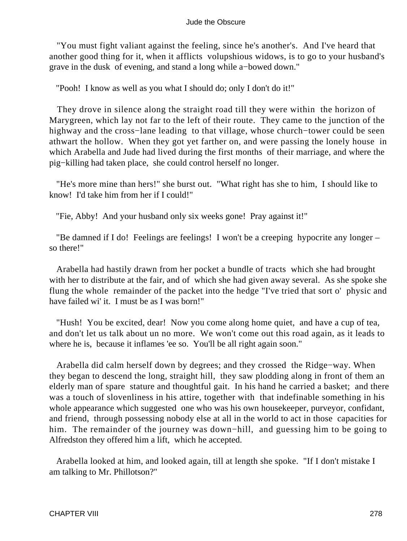"You must fight valiant against the feeling, since he's another's. And I've heard that another good thing for it, when it afflicts volupshious widows, is to go to your husband's grave in the dusk of evening, and stand a long while a−bowed down."

"Pooh! I know as well as you what I should do; only I don't do it!"

 They drove in silence along the straight road till they were within the horizon of Marygreen, which lay not far to the left of their route. They came to the junction of the highway and the cross−lane leading to that village, whose church−tower could be seen athwart the hollow. When they got yet farther on, and were passing the lonely house in which Arabella and Jude had lived during the first months of their marriage, and where the pig−killing had taken place, she could control herself no longer.

 "He's more mine than hers!" she burst out. "What right has she to him, I should like to know! I'd take him from her if I could!"

"Fie, Abby! And your husband only six weeks gone! Pray against it!"

 "Be damned if I do! Feelings are feelings! I won't be a creeping hypocrite any longer – so there!"

 Arabella had hastily drawn from her pocket a bundle of tracts which she had brought with her to distribute at the fair, and of which she had given away several. As she spoke she flung the whole remainder of the packet into the hedge "I've tried that sort o' physic and have failed wi' it. I must be as I was born!"

 "Hush! You be excited, dear! Now you come along home quiet, and have a cup of tea, and don't let us talk about un no more. We won't come out this road again, as it leads to where he is, because it inflames 'ee so. You'll be all right again soon."

 Arabella did calm herself down by degrees; and they crossed the Ridge−way. When they began to descend the long, straight hill, they saw plodding along in front of them an elderly man of spare stature and thoughtful gait. In his hand he carried a basket; and there was a touch of slovenliness in his attire, together with that indefinable something in his whole appearance which suggested one who was his own housekeeper, purveyor, confidant, and friend, through possessing nobody else at all in the world to act in those capacities for him. The remainder of the journey was down−hill, and guessing him to be going to Alfredston they offered him a lift, which he accepted.

 Arabella looked at him, and looked again, till at length she spoke. "If I don't mistake I am talking to Mr. Phillotson?"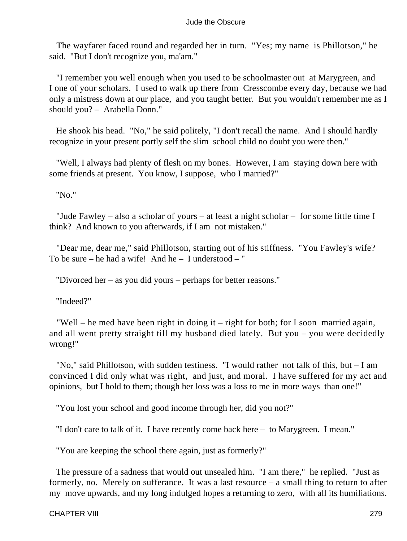The wayfarer faced round and regarded her in turn. "Yes; my name is Phillotson," he said. "But I don't recognize you, ma'am."

 "I remember you well enough when you used to be schoolmaster out at Marygreen, and I one of your scholars. I used to walk up there from Cresscombe every day, because we had only a mistress down at our place, and you taught better. But you wouldn't remember me as I should you? – Arabella Donn."

 He shook his head. "No," he said politely, "I don't recall the name. And I should hardly recognize in your present portly self the slim school child no doubt you were then."

 "Well, I always had plenty of flesh on my bones. However, I am staying down here with some friends at present. You know, I suppose, who I married?"

"No."

 "Jude Fawley – also a scholar of yours – at least a night scholar – for some little time I think? And known to you afterwards, if I am not mistaken."

 "Dear me, dear me," said Phillotson, starting out of his stiffness. "You Fawley's wife? To be sure – he had a wife! And he – I understood – "

"Divorced her – as you did yours – perhaps for better reasons."

"Indeed?"

 "Well – he med have been right in doing it – right for both; for I soon married again, and all went pretty straight till my husband died lately. But you – you were decidedly wrong!"

 "No," said Phillotson, with sudden testiness. "I would rather not talk of this, but – I am convinced I did only what was right, and just, and moral. I have suffered for my act and opinions, but I hold to them; though her loss was a loss to me in more ways than one!"

"You lost your school and good income through her, did you not?"

"I don't care to talk of it. I have recently come back here – to Marygreen. I mean."

"You are keeping the school there again, just as formerly?"

 The pressure of a sadness that would out unsealed him. "I am there," he replied. "Just as formerly, no. Merely on sufferance. It was a last resource – a small thing to return to after my move upwards, and my long indulged hopes a returning to zero, with all its humiliations.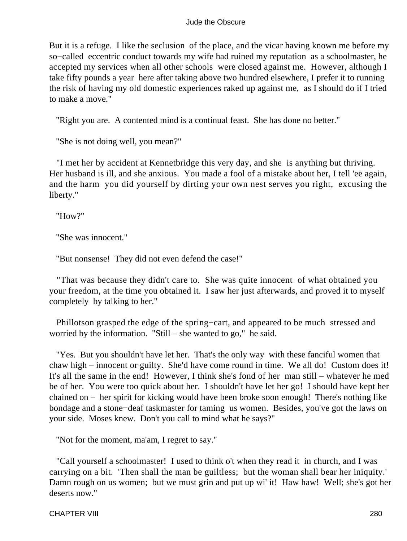But it is a refuge. I like the seclusion of the place, and the vicar having known me before my so−called eccentric conduct towards my wife had ruined my reputation as a schoolmaster, he accepted my services when all other schools were closed against me. However, although I take fifty pounds a year here after taking above two hundred elsewhere, I prefer it to running the risk of having my old domestic experiences raked up against me, as I should do if I tried to make a move."

"Right you are. A contented mind is a continual feast. She has done no better."

"She is not doing well, you mean?"

 "I met her by accident at Kennetbridge this very day, and she is anything but thriving. Her husband is ill, and she anxious. You made a fool of a mistake about her, I tell 'ee again, and the harm you did yourself by dirting your own nest serves you right, excusing the liberty."

"How?"

"She was innocent."

"But nonsense! They did not even defend the case!"

 "That was because they didn't care to. She was quite innocent of what obtained you your freedom, at the time you obtained it. I saw her just afterwards, and proved it to myself completely by talking to her."

 Phillotson grasped the edge of the spring−cart, and appeared to be much stressed and worried by the information. "Still – she wanted to go," he said.

 "Yes. But you shouldn't have let her. That's the only way with these fanciful women that chaw high – innocent or guilty. She'd have come round in time. We all do! Custom does it! It's all the same in the end! However, I think she's fond of her man still – whatever he med be of her. You were too quick about her. I shouldn't have let her go! I should have kept her chained on – her spirit for kicking would have been broke soon enough! There's nothing like bondage and a stone−deaf taskmaster for taming us women. Besides, you've got the laws on your side. Moses knew. Don't you call to mind what he says?"

"Not for the moment, ma'am, I regret to say."

 "Call yourself a schoolmaster! I used to think o't when they read it in church, and I was carrying on a bit. 'Then shall the man be guiltless; but the woman shall bear her iniquity.' Damn rough on us women; but we must grin and put up wi' it! Haw haw! Well; she's got her deserts now."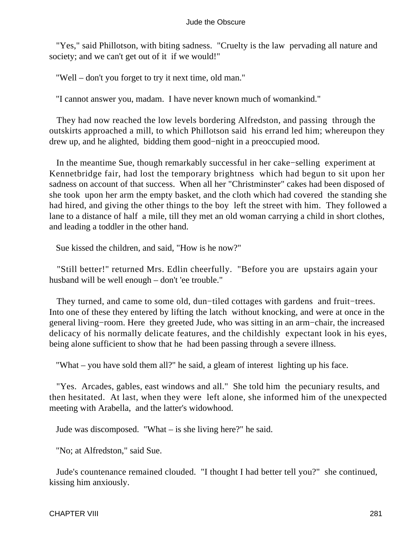"Yes," said Phillotson, with biting sadness. "Cruelty is the law pervading all nature and society; and we can't get out of it if we would!"

"Well – don't you forget to try it next time, old man."

"I cannot answer you, madam. I have never known much of womankind."

 They had now reached the low levels bordering Alfredston, and passing through the outskirts approached a mill, to which Phillotson said his errand led him; whereupon they drew up, and he alighted, bidding them good−night in a preoccupied mood.

 In the meantime Sue, though remarkably successful in her cake−selling experiment at Kennetbridge fair, had lost the temporary brightness which had begun to sit upon her sadness on account of that success. When all her "Christminster" cakes had been disposed of she took upon her arm the empty basket, and the cloth which had covered the standing she had hired, and giving the other things to the boy left the street with him. They followed a lane to a distance of half a mile, till they met an old woman carrying a child in short clothes, and leading a toddler in the other hand.

Sue kissed the children, and said, "How is he now?"

 "Still better!" returned Mrs. Edlin cheerfully. "Before you are upstairs again your husband will be well enough – don't 'ee trouble."

 They turned, and came to some old, dun−tiled cottages with gardens and fruit−trees. Into one of these they entered by lifting the latch without knocking, and were at once in the general living−room. Here they greeted Jude, who was sitting in an arm−chair, the increased delicacy of his normally delicate features, and the childishly expectant look in his eyes, being alone sufficient to show that he had been passing through a severe illness.

"What – you have sold them all?" he said, a gleam of interest lighting up his face.

 "Yes. Arcades, gables, east windows and all." She told him the pecuniary results, and then hesitated. At last, when they were left alone, she informed him of the unexpected meeting with Arabella, and the latter's widowhood.

Jude was discomposed. "What – is she living here?" he said.

"No; at Alfredston," said Sue.

 Jude's countenance remained clouded. "I thought I had better tell you?" she continued, kissing him anxiously.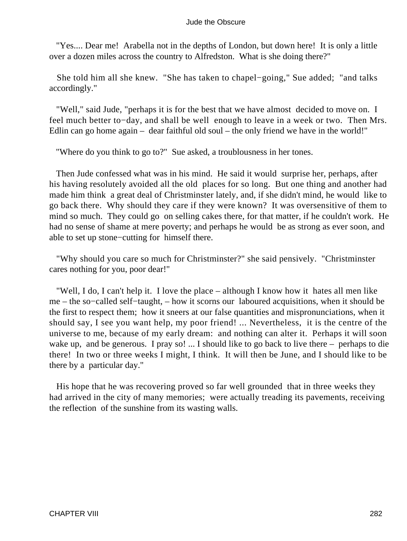"Yes.... Dear me! Arabella not in the depths of London, but down here! It is only a little over a dozen miles across the country to Alfredston. What is she doing there?"

 She told him all she knew. "She has taken to chapel−going," Sue added; "and talks accordingly."

 "Well," said Jude, "perhaps it is for the best that we have almost decided to move on. I feel much better to−day, and shall be well enough to leave in a week or two. Then Mrs. Edlin can go home again – dear faithful old soul – the only friend we have in the world!"

"Where do you think to go to?" Sue asked, a troublousness in her tones.

 Then Jude confessed what was in his mind. He said it would surprise her, perhaps, after his having resolutely avoided all the old places for so long. But one thing and another had made him think a great deal of Christminster lately, and, if she didn't mind, he would like to go back there. Why should they care if they were known? It was oversensitive of them to mind so much. They could go on selling cakes there, for that matter, if he couldn't work. He had no sense of shame at mere poverty; and perhaps he would be as strong as ever soon, and able to set up stone−cutting for himself there.

 "Why should you care so much for Christminster?" she said pensively. "Christminster cares nothing for you, poor dear!"

 "Well, I do, I can't help it. I love the place – although I know how it hates all men like me – the so−called self−taught, – how it scorns our laboured acquisitions, when it should be the first to respect them; how it sneers at our false quantities and mispronunciations, when it should say, I see you want help, my poor friend! ... Nevertheless, it is the centre of the universe to me, because of my early dream: and nothing can alter it. Perhaps it will soon wake up, and be generous. I pray so! ... I should like to go back to live there – perhaps to die there! In two or three weeks I might, I think. It will then be June, and I should like to be there by a particular day."

 His hope that he was recovering proved so far well grounded that in three weeks they had arrived in the city of many memories; were actually treading its pavements, receiving the reflection of the sunshine from its wasting walls.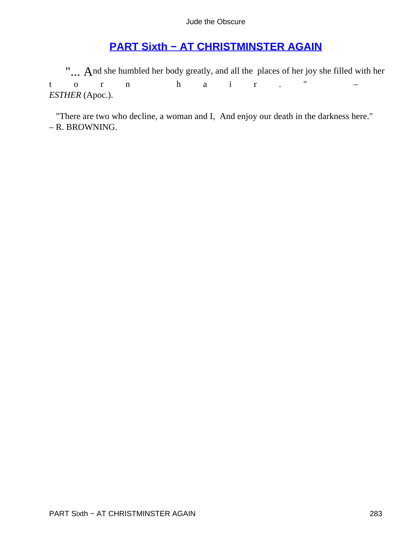# **[PART Sixth − AT CHRISTMINSTER AGAIN](#page-367-0)**

"... And she humbled her body greatly, and all the places of her joy she filled with her  $\frac{1}{2}$  o  $\frac{1}{2}$  n  $\frac{1}{2}$  n  $\frac{1}{2}$  n  $\frac{1}{2}$  n  $\frac{1}{2}$  n  $\frac{1}{2}$  n  $\frac{1}{2}$  n  $\frac{1}{2}$  n  $\frac{1}{2}$  n  $\frac{1}{2}$  n torn hair." – *ESTHER* (Apoc.).

 "There are two who decline, a woman and I, And enjoy our death in the darkness here." – R. BROWNING.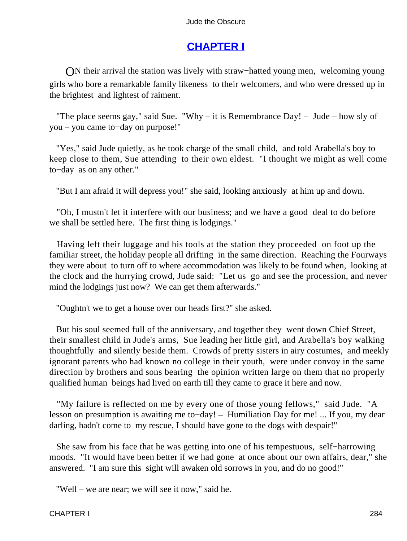# **[CHAPTER I](#page-367-0)**

ON their arrival the station was lively with straw−hatted young men, welcoming young girls who bore a remarkable family likeness to their welcomers, and who were dressed up in the brightest and lightest of raiment.

"The place seems gay," said Sue. "Why – it is Remembrance Day! – Jude – how sly of you – you came to−day on purpose!"

 "Yes," said Jude quietly, as he took charge of the small child, and told Arabella's boy to keep close to them, Sue attending to their own eldest. "I thought we might as well come to−day as on any other."

"But I am afraid it will depress you!" she said, looking anxiously at him up and down.

 "Oh, I mustn't let it interfere with our business; and we have a good deal to do before we shall be settled here. The first thing is lodgings."

 Having left their luggage and his tools at the station they proceeded on foot up the familiar street, the holiday people all drifting in the same direction. Reaching the Fourways they were about to turn off to where accommodation was likely to be found when, looking at the clock and the hurrying crowd, Jude said: "Let us go and see the procession, and never mind the lodgings just now? We can get them afterwards."

"Oughtn't we to get a house over our heads first?" she asked.

 But his soul seemed full of the anniversary, and together they went down Chief Street, their smallest child in Jude's arms, Sue leading her little girl, and Arabella's boy walking thoughtfully and silently beside them. Crowds of pretty sisters in airy costumes, and meekly ignorant parents who had known no college in their youth, were under convoy in the same direction by brothers and sons bearing the opinion written large on them that no properly qualified human beings had lived on earth till they came to grace it here and now.

 "My failure is reflected on me by every one of those young fellows," said Jude. "A lesson on presumption is awaiting me to−day! – Humiliation Day for me! ... If you, my dear darling, hadn't come to my rescue, I should have gone to the dogs with despair!"

 She saw from his face that he was getting into one of his tempestuous, self−harrowing moods. "It would have been better if we had gone at once about our own affairs, dear," she answered. "I am sure this sight will awaken old sorrows in you, and do no good!"

"Well – we are near; we will see it now," said he.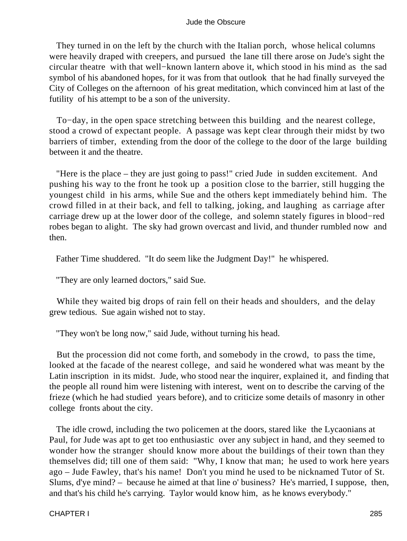They turned in on the left by the church with the Italian porch, whose helical columns were heavily draped with creepers, and pursued the lane till there arose on Jude's sight the circular theatre with that well−known lantern above it, which stood in his mind as the sad symbol of his abandoned hopes, for it was from that outlook that he had finally surveyed the City of Colleges on the afternoon of his great meditation, which convinced him at last of the futility of his attempt to be a son of the university.

 To−day, in the open space stretching between this building and the nearest college, stood a crowd of expectant people. A passage was kept clear through their midst by two barriers of timber, extending from the door of the college to the door of the large building between it and the theatre.

 "Here is the place – they are just going to pass!" cried Jude in sudden excitement. And pushing his way to the front he took up a position close to the barrier, still hugging the youngest child in his arms, while Sue and the others kept immediately behind him. The crowd filled in at their back, and fell to talking, joking, and laughing as carriage after carriage drew up at the lower door of the college, and solemn stately figures in blood−red robes began to alight. The sky had grown overcast and livid, and thunder rumbled now and then.

Father Time shuddered. "It do seem like the Judgment Day!" he whispered.

"They are only learned doctors," said Sue.

 While they waited big drops of rain fell on their heads and shoulders, and the delay grew tedious. Sue again wished not to stay.

"They won't be long now," said Jude, without turning his head.

 But the procession did not come forth, and somebody in the crowd, to pass the time, looked at the facade of the nearest college, and said he wondered what was meant by the Latin inscription in its midst. Jude, who stood near the inquirer, explained it, and finding that the people all round him were listening with interest, went on to describe the carving of the frieze (which he had studied years before), and to criticize some details of masonry in other college fronts about the city.

 The idle crowd, including the two policemen at the doors, stared like the Lycaonians at Paul, for Jude was apt to get too enthusiastic over any subject in hand, and they seemed to wonder how the stranger should know more about the buildings of their town than they themselves did; till one of them said: "Why, I know that man; he used to work here years ago – Jude Fawley, that's his name! Don't you mind he used to be nicknamed Tutor of St. Slums, d'ye mind? – because he aimed at that line o' business? He's married, I suppose, then, and that's his child he's carrying. Taylor would know him, as he knows everybody."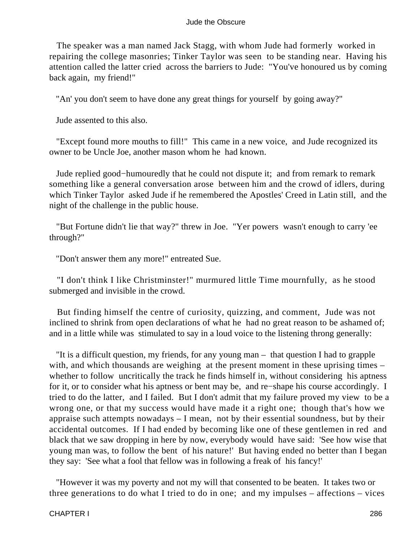The speaker was a man named Jack Stagg, with whom Jude had formerly worked in repairing the college masonries; Tinker Taylor was seen to be standing near. Having his attention called the latter cried across the barriers to Jude: "You've honoured us by coming back again, my friend!"

"An' you don't seem to have done any great things for yourself by going away?"

Jude assented to this also.

 "Except found more mouths to fill!" This came in a new voice, and Jude recognized its owner to be Uncle Joe, another mason whom he had known.

 Jude replied good−humouredly that he could not dispute it; and from remark to remark something like a general conversation arose between him and the crowd of idlers, during which Tinker Taylor asked Jude if he remembered the Apostles' Creed in Latin still, and the night of the challenge in the public house.

 "But Fortune didn't lie that way?" threw in Joe. "Yer powers wasn't enough to carry 'ee through?"

"Don't answer them any more!" entreated Sue.

 "I don't think I like Christminster!" murmured little Time mournfully, as he stood submerged and invisible in the crowd.

 But finding himself the centre of curiosity, quizzing, and comment, Jude was not inclined to shrink from open declarations of what he had no great reason to be ashamed of; and in a little while was stimulated to say in a loud voice to the listening throng generally:

 "It is a difficult question, my friends, for any young man – that question I had to grapple with, and which thousands are weighing at the present moment in these uprising times – whether to follow uncritically the track he finds himself in, without considering his aptness for it, or to consider what his aptness or bent may be, and re−shape his course accordingly. I tried to do the latter, and I failed. But I don't admit that my failure proved my view to be a wrong one, or that my success would have made it a right one; though that's how we appraise such attempts nowadays – I mean, not by their essential soundness, but by their accidental outcomes. If I had ended by becoming like one of these gentlemen in red and black that we saw dropping in here by now, everybody would have said: 'See how wise that young man was, to follow the bent of his nature!' But having ended no better than I began they say: 'See what a fool that fellow was in following a freak of his fancy!'

 "However it was my poverty and not my will that consented to be beaten. It takes two or three generations to do what I tried to do in one; and my impulses – affections – vices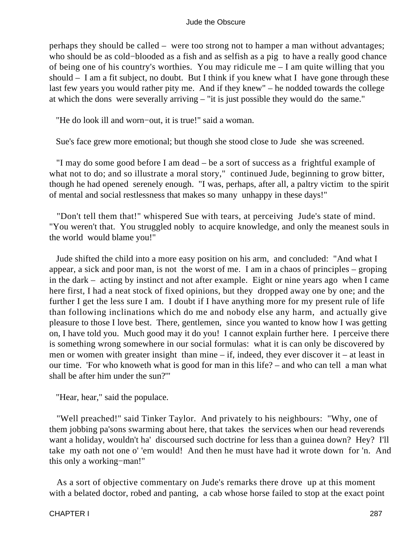perhaps they should be called – were too strong not to hamper a man without advantages; who should be as cold−blooded as a fish and as selfish as a pig to have a really good chance of being one of his country's worthies. You may ridicule me – I am quite willing that you should – I am a fit subject, no doubt. But I think if you knew what I have gone through these last few years you would rather pity me. And if they knew" – he nodded towards the college at which the dons were severally arriving – "it is just possible they would do the same."

"He do look ill and worn−out, it is true!" said a woman.

Sue's face grew more emotional; but though she stood close to Jude she was screened.

 "I may do some good before I am dead – be a sort of success as a frightful example of what not to do; and so illustrate a moral story," continued Jude, beginning to grow bitter, though he had opened serenely enough. "I was, perhaps, after all, a paltry victim to the spirit of mental and social restlessness that makes so many unhappy in these days!"

 "Don't tell them that!" whispered Sue with tears, at perceiving Jude's state of mind. "You weren't that. You struggled nobly to acquire knowledge, and only the meanest souls in the world would blame you!"

 Jude shifted the child into a more easy position on his arm, and concluded: "And what I appear, a sick and poor man, is not the worst of me. I am in a chaos of principles – groping in the dark – acting by instinct and not after example. Eight or nine years ago when I came here first, I had a neat stock of fixed opinions, but they dropped away one by one; and the further I get the less sure I am. I doubt if I have anything more for my present rule of life than following inclinations which do me and nobody else any harm, and actually give pleasure to those I love best. There, gentlemen, since you wanted to know how I was getting on, I have told you. Much good may it do you! I cannot explain further here. I perceive there is something wrong somewhere in our social formulas: what it is can only be discovered by men or women with greater insight than mine – if, indeed, they ever discover it – at least in our time. 'For who knoweth what is good for man in this life? – and who can tell a man what shall be after him under the sun?'"

"Hear, hear," said the populace.

 "Well preached!" said Tinker Taylor. And privately to his neighbours: "Why, one of them jobbing pa'sons swarming about here, that takes the services when our head reverends want a holiday, wouldn't ha' discoursed such doctrine for less than a guinea down? Hey? I'll take my oath not one o' 'em would! And then he must have had it wrote down for 'n. And this only a working−man!"

 As a sort of objective commentary on Jude's remarks there drove up at this moment with a belated doctor, robed and panting, a cab whose horse failed to stop at the exact point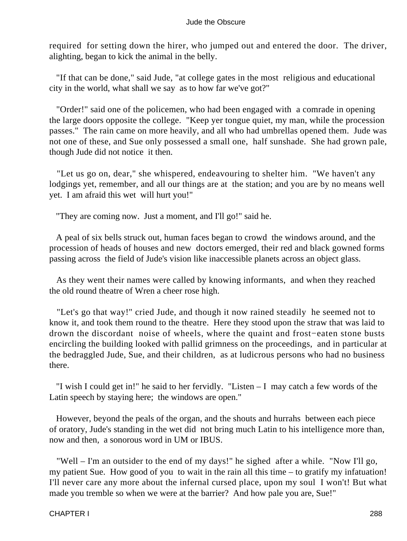required for setting down the hirer, who jumped out and entered the door. The driver, alighting, began to kick the animal in the belly.

 "If that can be done," said Jude, "at college gates in the most religious and educational city in the world, what shall we say as to how far we've got?"

 "Order!" said one of the policemen, who had been engaged with a comrade in opening the large doors opposite the college. "Keep yer tongue quiet, my man, while the procession passes." The rain came on more heavily, and all who had umbrellas opened them. Jude was not one of these, and Sue only possessed a small one, half sunshade. She had grown pale, though Jude did not notice it then.

 "Let us go on, dear," she whispered, endeavouring to shelter him. "We haven't any lodgings yet, remember, and all our things are at the station; and you are by no means well yet. I am afraid this wet will hurt you!"

"They are coming now. Just a moment, and I'll go!" said he.

 A peal of six bells struck out, human faces began to crowd the windows around, and the procession of heads of houses and new doctors emerged, their red and black gowned forms passing across the field of Jude's vision like inaccessible planets across an object glass.

 As they went their names were called by knowing informants, and when they reached the old round theatre of Wren a cheer rose high.

 "Let's go that way!" cried Jude, and though it now rained steadily he seemed not to know it, and took them round to the theatre. Here they stood upon the straw that was laid to drown the discordant noise of wheels, where the quaint and frost−eaten stone busts encircling the building looked with pallid grimness on the proceedings, and in particular at the bedraggled Jude, Sue, and their children, as at ludicrous persons who had no business there.

 "I wish I could get in!" he said to her fervidly. "Listen – I may catch a few words of the Latin speech by staying here; the windows are open."

 However, beyond the peals of the organ, and the shouts and hurrahs between each piece of oratory, Jude's standing in the wet did not bring much Latin to his intelligence more than, now and then, a sonorous word in UM or IBUS.

 "Well – I'm an outsider to the end of my days!" he sighed after a while. "Now I'll go, my patient Sue. How good of you to wait in the rain all this time – to gratify my infatuation! I'll never care any more about the infernal cursed place, upon my soul I won't! But what made you tremble so when we were at the barrier? And how pale you are, Sue!"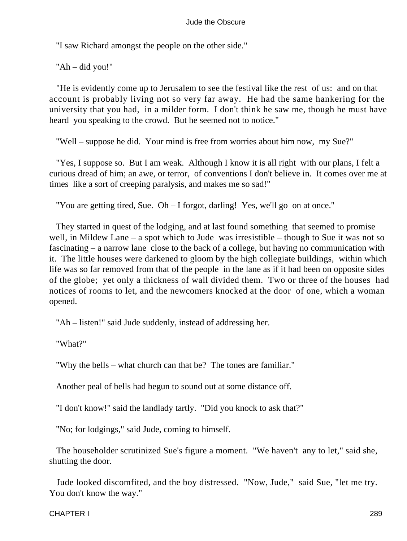"I saw Richard amongst the people on the other side."

"Ah – did you!"

 "He is evidently come up to Jerusalem to see the festival like the rest of us: and on that account is probably living not so very far away. He had the same hankering for the university that you had, in a milder form. I don't think he saw me, though he must have heard you speaking to the crowd. But he seemed not to notice."

"Well – suppose he did. Your mind is free from worries about him now, my Sue?"

 "Yes, I suppose so. But I am weak. Although I know it is all right with our plans, I felt a curious dread of him; an awe, or terror, of conventions I don't believe in. It comes over me at times like a sort of creeping paralysis, and makes me so sad!"

"You are getting tired, Sue. Oh – I forgot, darling! Yes, we'll go on at once."

 They started in quest of the lodging, and at last found something that seemed to promise well, in Mildew Lane – a spot which to Jude was irresistible – though to Sue it was not so fascinating – a narrow lane close to the back of a college, but having no communication with it. The little houses were darkened to gloom by the high collegiate buildings, within which life was so far removed from that of the people in the lane as if it had been on opposite sides of the globe; yet only a thickness of wall divided them. Two or three of the houses had notices of rooms to let, and the newcomers knocked at the door of one, which a woman opened.

"Ah – listen!" said Jude suddenly, instead of addressing her.

"What?"

"Why the bells – what church can that be? The tones are familiar."

Another peal of bells had begun to sound out at some distance off.

"I don't know!" said the landlady tartly. "Did you knock to ask that?"

"No; for lodgings," said Jude, coming to himself.

 The householder scrutinized Sue's figure a moment. "We haven't any to let," said she, shutting the door.

 Jude looked discomfited, and the boy distressed. "Now, Jude," said Sue, "let me try. You don't know the way."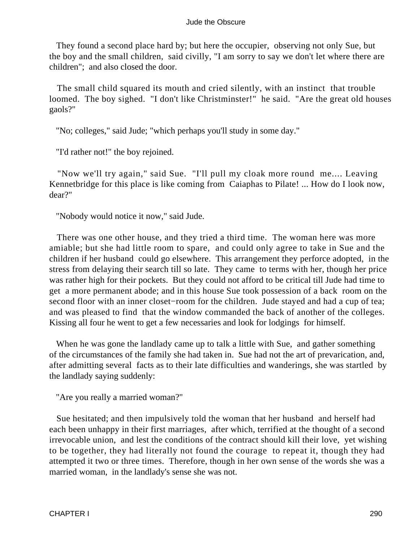They found a second place hard by; but here the occupier, observing not only Sue, but the boy and the small children, said civilly, "I am sorry to say we don't let where there are children"; and also closed the door.

 The small child squared its mouth and cried silently, with an instinct that trouble loomed. The boy sighed. "I don't like Christminster!" he said. "Are the great old houses gaols?"

"No; colleges," said Jude; "which perhaps you'll study in some day."

"I'd rather not!" the boy rejoined.

 "Now we'll try again," said Sue. "I'll pull my cloak more round me.... Leaving Kennetbridge for this place is like coming from Caiaphas to Pilate! ... How do I look now, dear?"

"Nobody would notice it now," said Jude.

 There was one other house, and they tried a third time. The woman here was more amiable; but she had little room to spare, and could only agree to take in Sue and the children if her husband could go elsewhere. This arrangement they perforce adopted, in the stress from delaying their search till so late. They came to terms with her, though her price was rather high for their pockets. But they could not afford to be critical till Jude had time to get a more permanent abode; and in this house Sue took possession of a back room on the second floor with an inner closet–room for the children. Jude stayed and had a cup of tea; and was pleased to find that the window commanded the back of another of the colleges. Kissing all four he went to get a few necessaries and look for lodgings for himself.

 When he was gone the landlady came up to talk a little with Sue, and gather something of the circumstances of the family she had taken in. Sue had not the art of prevarication, and, after admitting several facts as to their late difficulties and wanderings, she was startled by the landlady saying suddenly:

"Are you really a married woman?"

 Sue hesitated; and then impulsively told the woman that her husband and herself had each been unhappy in their first marriages, after which, terrified at the thought of a second irrevocable union, and lest the conditions of the contract should kill their love, yet wishing to be together, they had literally not found the courage to repeat it, though they had attempted it two or three times. Therefore, though in her own sense of the words she was a married woman, in the landlady's sense she was not.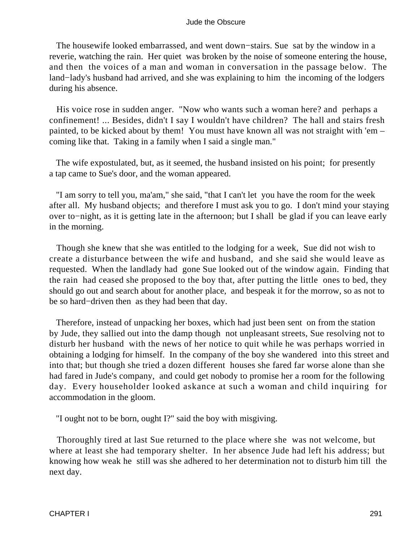The housewife looked embarrassed, and went down−stairs. Sue sat by the window in a reverie, watching the rain. Her quiet was broken by the noise of someone entering the house, and then the voices of a man and woman in conversation in the passage below. The land−lady's husband had arrived, and she was explaining to him the incoming of the lodgers during his absence.

 His voice rose in sudden anger. "Now who wants such a woman here? and perhaps a confinement! ... Besides, didn't I say I wouldn't have children? The hall and stairs fresh painted, to be kicked about by them! You must have known all was not straight with 'em – coming like that. Taking in a family when I said a single man."

 The wife expostulated, but, as it seemed, the husband insisted on his point; for presently a tap came to Sue's door, and the woman appeared.

 "I am sorry to tell you, ma'am," she said, "that I can't let you have the room for the week after all. My husband objects; and therefore I must ask you to go. I don't mind your staying over to−night, as it is getting late in the afternoon; but I shall be glad if you can leave early in the morning.

 Though she knew that she was entitled to the lodging for a week, Sue did not wish to create a disturbance between the wife and husband, and she said she would leave as requested. When the landlady had gone Sue looked out of the window again. Finding that the rain had ceased she proposed to the boy that, after putting the little ones to bed, they should go out and search about for another place, and bespeak it for the morrow, so as not to be so hard−driven then as they had been that day.

 Therefore, instead of unpacking her boxes, which had just been sent on from the station by Jude, they sallied out into the damp though not unpleasant streets, Sue resolving not to disturb her husband with the news of her notice to quit while he was perhaps worried in obtaining a lodging for himself. In the company of the boy she wandered into this street and into that; but though she tried a dozen different houses she fared far worse alone than she had fared in Jude's company, and could get nobody to promise her a room for the following day. Every householder looked askance at such a woman and child inquiring for accommodation in the gloom.

"I ought not to be born, ought I?" said the boy with misgiving.

 Thoroughly tired at last Sue returned to the place where she was not welcome, but where at least she had temporary shelter. In her absence Jude had left his address; but knowing how weak he still was she adhered to her determination not to disturb him till the next day.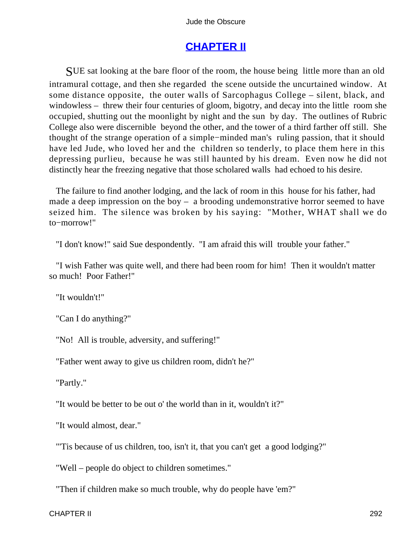## **[CHAPTER II](#page-367-0)**

SUE sat looking at the bare floor of the room, the house being little more than an old intramural cottage, and then she regarded the scene outside the uncurtained window. At some distance opposite, the outer walls of Sarcophagus College – silent, black, and windowless – threw their four centuries of gloom, bigotry, and decay into the little room she occupied, shutting out the moonlight by night and the sun by day. The outlines of Rubric College also were discernible beyond the other, and the tower of a third farther off still. She thought of the strange operation of a simple−minded man's ruling passion, that it should have led Jude, who loved her and the children so tenderly, to place them here in this depressing purlieu, because he was still haunted by his dream. Even now he did not distinctly hear the freezing negative that those scholared walls had echoed to his desire.

 The failure to find another lodging, and the lack of room in this house for his father, had made a deep impression on the boy – a brooding undemonstrative horror seemed to have seized him. The silence was broken by his saying: "Mother, WHAT shall we do to−morrow!"

"I don't know!" said Sue despondently. "I am afraid this will trouble your father."

 "I wish Father was quite well, and there had been room for him! Then it wouldn't matter so much! Poor Father!"

"It wouldn't!"

"Can I do anything?"

"No! All is trouble, adversity, and suffering!"

"Father went away to give us children room, didn't he?"

"Partly."

"It would be better to be out o' the world than in it, wouldn't it?"

"It would almost, dear."

"'Tis because of us children, too, isn't it, that you can't get a good lodging?"

"Well – people do object to children sometimes."

"Then if children make so much trouble, why do people have 'em?"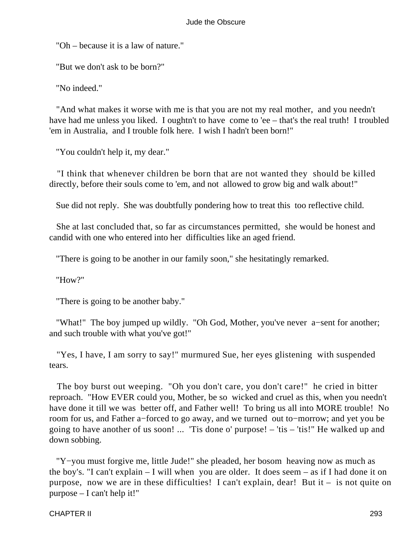"Oh – because it is a law of nature."

"But we don't ask to be born?"

"No indeed."

 "And what makes it worse with me is that you are not my real mother, and you needn't have had me unless you liked. I oughtn't to have come to 'ee – that's the real truth! I troubled 'em in Australia, and I trouble folk here. I wish I hadn't been born!"

"You couldn't help it, my dear."

 "I think that whenever children be born that are not wanted they should be killed directly, before their souls come to 'em, and not allowed to grow big and walk about!"

Sue did not reply. She was doubtfully pondering how to treat this too reflective child.

 She at last concluded that, so far as circumstances permitted, she would be honest and candid with one who entered into her difficulties like an aged friend.

"There is going to be another in our family soon," she hesitatingly remarked.

"How?"

"There is going to be another baby."

 "What!" The boy jumped up wildly. "Oh God, Mother, you've never a−sent for another; and such trouble with what you've got!"

 "Yes, I have, I am sorry to say!" murmured Sue, her eyes glistening with suspended tears.

 The boy burst out weeping. "Oh you don't care, you don't care!" he cried in bitter reproach. "How EVER could you, Mother, be so wicked and cruel as this, when you needn't have done it till we was better off, and Father well! To bring us all into MORE trouble! No room for us, and Father a−forced to go away, and we turned out to−morrow; and yet you be going to have another of us soon! ... 'Tis done o' purpose! – 'tis – 'tis!" He walked up and down sobbing.

 "Y−you must forgive me, little Jude!" she pleaded, her bosom heaving now as much as the boy's. "I can't explain – I will when you are older. It does seem – as if I had done it on purpose, now we are in these difficulties! I can't explain, dear! But it – is not quite on purpose – I can't help it!"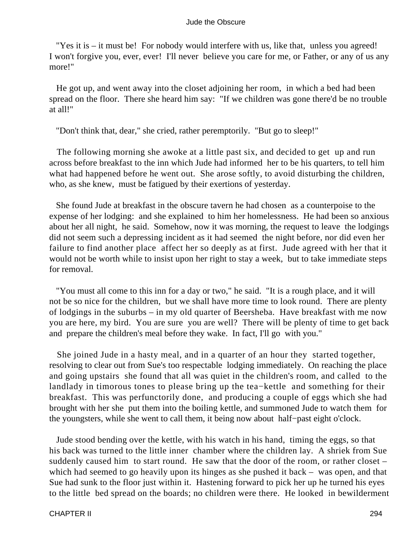"Yes it is – it must be! For nobody would interfere with us, like that, unless you agreed! I won't forgive you, ever, ever! I'll never believe you care for me, or Father, or any of us any more!"

 He got up, and went away into the closet adjoining her room, in which a bed had been spread on the floor. There she heard him say: "If we children was gone there'd be no trouble at all!"

"Don't think that, dear," she cried, rather peremptorily. "But go to sleep!"

 The following morning she awoke at a little past six, and decided to get up and run across before breakfast to the inn which Jude had informed her to be his quarters, to tell him what had happened before he went out. She arose softly, to avoid disturbing the children, who, as she knew, must be fatigued by their exertions of yesterday.

 She found Jude at breakfast in the obscure tavern he had chosen as a counterpoise to the expense of her lodging: and she explained to him her homelessness. He had been so anxious about her all night, he said. Somehow, now it was morning, the request to leave the lodgings did not seem such a depressing incident as it had seemed the night before, nor did even her failure to find another place affect her so deeply as at first. Jude agreed with her that it would not be worth while to insist upon her right to stay a week, but to take immediate steps for removal.

 "You must all come to this inn for a day or two," he said. "It is a rough place, and it will not be so nice for the children, but we shall have more time to look round. There are plenty of lodgings in the suburbs – in my old quarter of Beersheba. Have breakfast with me now you are here, my bird. You are sure you are well? There will be plenty of time to get back and prepare the children's meal before they wake. In fact, I'll go with you."

 She joined Jude in a hasty meal, and in a quarter of an hour they started together, resolving to clear out from Sue's too respectable lodging immediately. On reaching the place and going upstairs she found that all was quiet in the children's room, and called to the landlady in timorous tones to please bring up the tea−kettle and something for their breakfast. This was perfunctorily done, and producing a couple of eggs which she had brought with her she put them into the boiling kettle, and summoned Jude to watch them for the youngsters, while she went to call them, it being now about half−past eight o'clock.

 Jude stood bending over the kettle, with his watch in his hand, timing the eggs, so that his back was turned to the little inner chamber where the children lay. A shriek from Sue suddenly caused him to start round. He saw that the door of the room, or rather closet – which had seemed to go heavily upon its hinges as she pushed it back – was open, and that Sue had sunk to the floor just within it. Hastening forward to pick her up he turned his eyes to the little bed spread on the boards; no children were there. He looked in bewilderment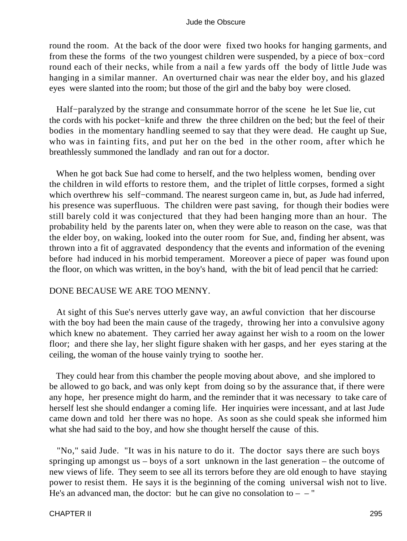round the room. At the back of the door were fixed two hooks for hanging garments, and from these the forms of the two youngest children were suspended, by a piece of box−cord round each of their necks, while from a nail a few yards off the body of little Jude was hanging in a similar manner. An overturned chair was near the elder boy, and his glazed eyes were slanted into the room; but those of the girl and the baby boy were closed.

 Half−paralyzed by the strange and consummate horror of the scene he let Sue lie, cut the cords with his pocket−knife and threw the three children on the bed; but the feel of their bodies in the momentary handling seemed to say that they were dead. He caught up Sue, who was in fainting fits, and put her on the bed in the other room, after which he breathlessly summoned the landlady and ran out for a doctor.

 When he got back Sue had come to herself, and the two helpless women, bending over the children in wild efforts to restore them, and the triplet of little corpses, formed a sight which overthrew his self−command. The nearest surgeon came in, but, as Jude had inferred, his presence was superfluous. The children were past saving, for though their bodies were still barely cold it was conjectured that they had been hanging more than an hour. The probability held by the parents later on, when they were able to reason on the case, was that the elder boy, on waking, looked into the outer room for Sue, and, finding her absent, was thrown into a fit of aggravated despondency that the events and information of the evening before had induced in his morbid temperament. Moreover a piece of paper was found upon the floor, on which was written, in the boy's hand, with the bit of lead pencil that he carried:

### DONE BECAUSE WE ARE TOO MENNY.

 At sight of this Sue's nerves utterly gave way, an awful conviction that her discourse with the boy had been the main cause of the tragedy, throwing her into a convulsive agony which knew no abatement. They carried her away against her wish to a room on the lower floor; and there she lay, her slight figure shaken with her gasps, and her eyes staring at the ceiling, the woman of the house vainly trying to soothe her.

 They could hear from this chamber the people moving about above, and she implored to be allowed to go back, and was only kept from doing so by the assurance that, if there were any hope, her presence might do harm, and the reminder that it was necessary to take care of herself lest she should endanger a coming life. Her inquiries were incessant, and at last Jude came down and told her there was no hope. As soon as she could speak she informed him what she had said to the boy, and how she thought herself the cause of this.

 "No," said Jude. "It was in his nature to do it. The doctor says there are such boys springing up amongst us – boys of a sort unknown in the last generation – the outcome of new views of life. They seem to see all its terrors before they are old enough to have staying power to resist them. He says it is the beginning of the coming universal wish not to live. He's an advanced man, the doctor: but he can give no consolation to  $-$  – "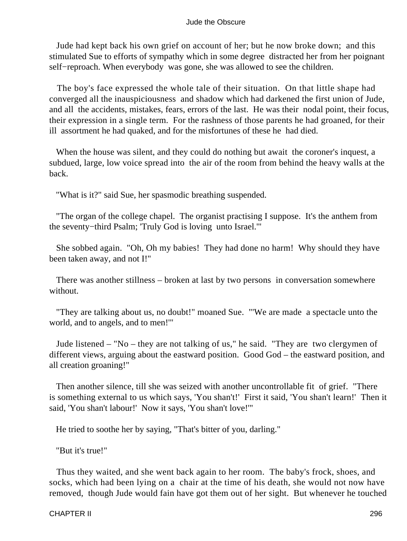Jude had kept back his own grief on account of her; but he now broke down; and this stimulated Sue to efforts of sympathy which in some degree distracted her from her poignant self–reproach. When everybody was gone, she was allowed to see the children.

 The boy's face expressed the whole tale of their situation. On that little shape had converged all the inauspiciousness and shadow which had darkened the first union of Jude, and all the accidents, mistakes, fears, errors of the last. He was their nodal point, their focus, their expression in a single term. For the rashness of those parents he had groaned, for their ill assortment he had quaked, and for the misfortunes of these he had died.

 When the house was silent, and they could do nothing but await the coroner's inquest, a subdued, large, low voice spread into the air of the room from behind the heavy walls at the back.

"What is it?" said Sue, her spasmodic breathing suspended.

 "The organ of the college chapel. The organist practising I suppose. It's the anthem from the seventy−third Psalm; 'Truly God is loving unto Israel.'"

 She sobbed again. "Oh, Oh my babies! They had done no harm! Why should they have been taken away, and not I!"

 There was another stillness – broken at last by two persons in conversation somewhere without.

 "They are talking about us, no doubt!" moaned Sue. "'We are made a spectacle unto the world, and to angels, and to men!'"

 Jude listened – "No – they are not talking of us," he said. "They are two clergymen of different views, arguing about the eastward position. Good God – the eastward position, and all creation groaning!"

 Then another silence, till she was seized with another uncontrollable fit of grief. "There is something external to us which says, 'You shan't!' First it said, 'You shan't learn!' Then it said, 'You shan't labour!' Now it says, 'You shan't love!'"

He tried to soothe her by saying, "That's bitter of you, darling."

"But it's true!"

 Thus they waited, and she went back again to her room. The baby's frock, shoes, and socks, which had been lying on a chair at the time of his death, she would not now have removed, though Jude would fain have got them out of her sight. But whenever he touched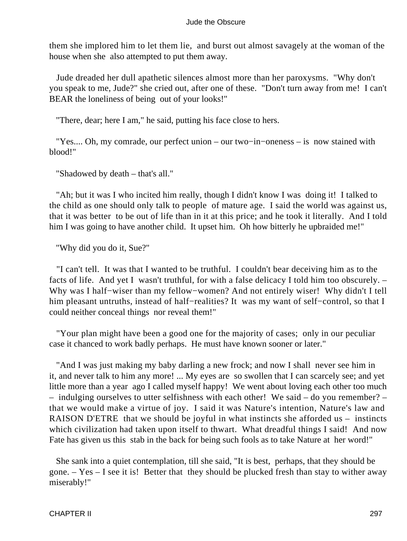them she implored him to let them lie, and burst out almost savagely at the woman of the house when she also attempted to put them away.

 Jude dreaded her dull apathetic silences almost more than her paroxysms. "Why don't you speak to me, Jude?" she cried out, after one of these. "Don't turn away from me! I can't BEAR the loneliness of being out of your looks!"

"There, dear; here I am," he said, putting his face close to hers.

 "Yes.... Oh, my comrade, our perfect union – our two−in−oneness – is now stained with blood!"

"Shadowed by death – that's all."

 "Ah; but it was I who incited him really, though I didn't know I was doing it! I talked to the child as one should only talk to people of mature age. I said the world was against us, that it was better to be out of life than in it at this price; and he took it literally. And I told him I was going to have another child. It upset him. Oh how bitterly he upbraided me!"

"Why did you do it, Sue?"

 "I can't tell. It was that I wanted to be truthful. I couldn't bear deceiving him as to the facts of life. And yet I wasn't truthful, for with a false delicacy I told him too obscurely. – Why was I half−wiser than my fellow−women? And not entirely wiser! Why didn't I tell him pleasant untruths, instead of half−realities? It was my want of self−control, so that I could neither conceal things nor reveal them!"

 "Your plan might have been a good one for the majority of cases; only in our peculiar case it chanced to work badly perhaps. He must have known sooner or later."

 "And I was just making my baby darling a new frock; and now I shall never see him in it, and never talk to him any more! ... My eyes are so swollen that I can scarcely see; and yet little more than a year ago I called myself happy! We went about loving each other too much – indulging ourselves to utter selfishness with each other! We said – do you remember? – that we would make a virtue of joy. I said it was Nature's intention, Nature's law and RAISON D'ETRE that we should be joyful in what instincts she afforded us – instincts which civilization had taken upon itself to thwart. What dreadful things I said! And now Fate has given us this stab in the back for being such fools as to take Nature at her word!"

 She sank into a quiet contemplation, till she said, "It is best, perhaps, that they should be gone. – Yes – I see it is! Better that they should be plucked fresh than stay to wither away miserably!"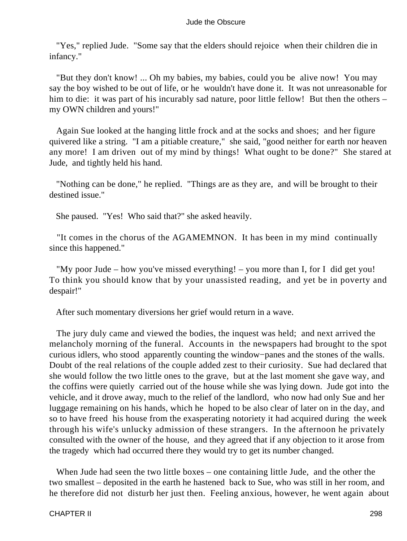"Yes," replied Jude. "Some say that the elders should rejoice when their children die in infancy."

 "But they don't know! ... Oh my babies, my babies, could you be alive now! You may say the boy wished to be out of life, or he wouldn't have done it. It was not unreasonable for him to die: it was part of his incurably sad nature, poor little fellow! But then the others – my OWN children and yours!"

 Again Sue looked at the hanging little frock and at the socks and shoes; and her figure quivered like a string. "I am a pitiable creature," she said, "good neither for earth nor heaven any more! I am driven out of my mind by things! What ought to be done?" She stared at Jude, and tightly held his hand.

 "Nothing can be done," he replied. "Things are as they are, and will be brought to their destined issue."

She paused. "Yes! Who said that?" she asked heavily.

 "It comes in the chorus of the AGAMEMNON. It has been in my mind continually since this happened."

 "My poor Jude – how you've missed everything! – you more than I, for I did get you! To think you should know that by your unassisted reading, and yet be in poverty and despair!"

After such momentary diversions her grief would return in a wave.

 The jury duly came and viewed the bodies, the inquest was held; and next arrived the melancholy morning of the funeral. Accounts in the newspapers had brought to the spot curious idlers, who stood apparently counting the window−panes and the stones of the walls. Doubt of the real relations of the couple added zest to their curiosity. Sue had declared that she would follow the two little ones to the grave, but at the last moment she gave way, and the coffins were quietly carried out of the house while she was lying down. Jude got into the vehicle, and it drove away, much to the relief of the landlord, who now had only Sue and her luggage remaining on his hands, which he hoped to be also clear of later on in the day, and so to have freed his house from the exasperating notoriety it had acquired during the week through his wife's unlucky admission of these strangers. In the afternoon he privately consulted with the owner of the house, and they agreed that if any objection to it arose from the tragedy which had occurred there they would try to get its number changed.

When Jude had seen the two little boxes – one containing little Jude, and the other the two smallest – deposited in the earth he hastened back to Sue, who was still in her room, and he therefore did not disturb her just then. Feeling anxious, however, he went again about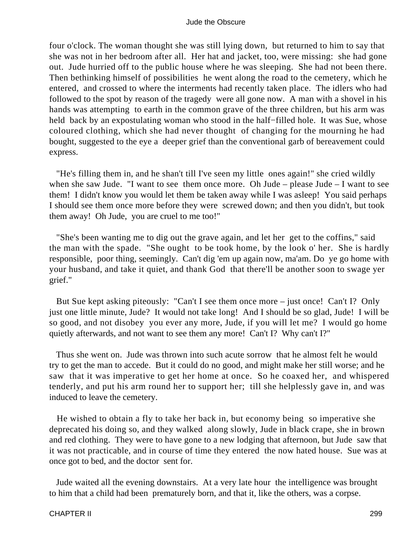four o'clock. The woman thought she was still lying down, but returned to him to say that she was not in her bedroom after all. Her hat and jacket, too, were missing: she had gone out. Jude hurried off to the public house where he was sleeping. She had not been there. Then bethinking himself of possibilities he went along the road to the cemetery, which he entered, and crossed to where the interments had recently taken place. The idlers who had followed to the spot by reason of the tragedy were all gone now. A man with a shovel in his hands was attempting to earth in the common grave of the three children, but his arm was held back by an expostulating woman who stood in the half–filled hole. It was Sue, whose coloured clothing, which she had never thought of changing for the mourning he had bought, suggested to the eye a deeper grief than the conventional garb of bereavement could express.

 "He's filling them in, and he shan't till I've seen my little ones again!" she cried wildly when she saw Jude. "I want to see them once more. Oh Jude – please Jude – I want to see them! I didn't know you would let them be taken away while I was asleep! You said perhaps I should see them once more before they were screwed down; and then you didn't, but took them away! Oh Jude, you are cruel to me too!"

 "She's been wanting me to dig out the grave again, and let her get to the coffins," said the man with the spade. "She ought to be took home, by the look o' her. She is hardly responsible, poor thing, seemingly. Can't dig 'em up again now, ma'am. Do ye go home with your husband, and take it quiet, and thank God that there'll be another soon to swage yer grief."

 But Sue kept asking piteously: "Can't I see them once more – just once! Can't I? Only just one little minute, Jude? It would not take long! And I should be so glad, Jude! I will be so good, and not disobey you ever any more, Jude, if you will let me? I would go home quietly afterwards, and not want to see them any more! Can't I? Why can't I?"

 Thus she went on. Jude was thrown into such acute sorrow that he almost felt he would try to get the man to accede. But it could do no good, and might make her still worse; and he saw that it was imperative to get her home at once. So he coaxed her, and whispered tenderly, and put his arm round her to support her; till she helplessly gave in, and was induced to leave the cemetery.

 He wished to obtain a fly to take her back in, but economy being so imperative she deprecated his doing so, and they walked along slowly, Jude in black crape, she in brown and red clothing. They were to have gone to a new lodging that afternoon, but Jude saw that it was not practicable, and in course of time they entered the now hated house. Sue was at once got to bed, and the doctor sent for.

 Jude waited all the evening downstairs. At a very late hour the intelligence was brought to him that a child had been prematurely born, and that it, like the others, was a corpse.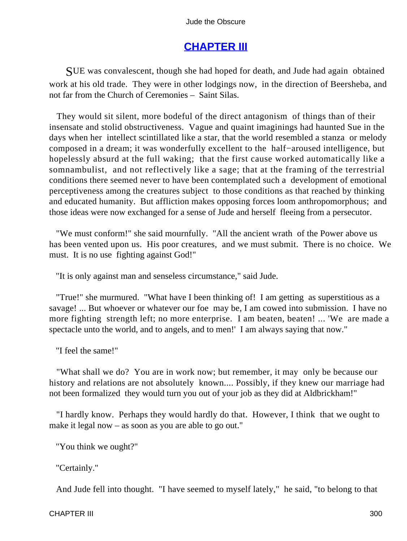## **[CHAPTER III](#page-367-0)**

SUE was convalescent, though she had hoped for death, and Jude had again obtained work at his old trade. They were in other lodgings now, in the direction of Beersheba, and not far from the Church of Ceremonies – Saint Silas.

 They would sit silent, more bodeful of the direct antagonism of things than of their insensate and stolid obstructiveness. Vague and quaint imaginings had haunted Sue in the days when her intellect scintillated like a star, that the world resembled a stanza or melody composed in a dream; it was wonderfully excellent to the half−aroused intelligence, but hopelessly absurd at the full waking; that the first cause worked automatically like a somnambulist, and not reflectively like a sage; that at the framing of the terrestrial conditions there seemed never to have been contemplated such a development of emotional perceptiveness among the creatures subject to those conditions as that reached by thinking and educated humanity. But affliction makes opposing forces loom anthropomorphous; and those ideas were now exchanged for a sense of Jude and herself fleeing from a persecutor.

 "We must conform!" she said mournfully. "All the ancient wrath of the Power above us has been vented upon us. His poor creatures, and we must submit. There is no choice. We must. It is no use fighting against God!"

"It is only against man and senseless circumstance," said Jude.

 "True!" she murmured. "What have I been thinking of! I am getting as superstitious as a savage! ... But whoever or whatever our foe may be, I am cowed into submission. I have no more fighting strength left; no more enterprise. I am beaten, beaten! ... 'We are made a spectacle unto the world, and to angels, and to men!' I am always saying that now."

"I feel the same!"

 "What shall we do? You are in work now; but remember, it may only be because our history and relations are not absolutely known.... Possibly, if they knew our marriage had not been formalized they would turn you out of your job as they did at Aldbrickham!"

 "I hardly know. Perhaps they would hardly do that. However, I think that we ought to make it legal now – as soon as you are able to go out."

"You think we ought?"

"Certainly."

And Jude fell into thought. "I have seemed to myself lately," he said, "to belong to that

#### CHAPTER III 300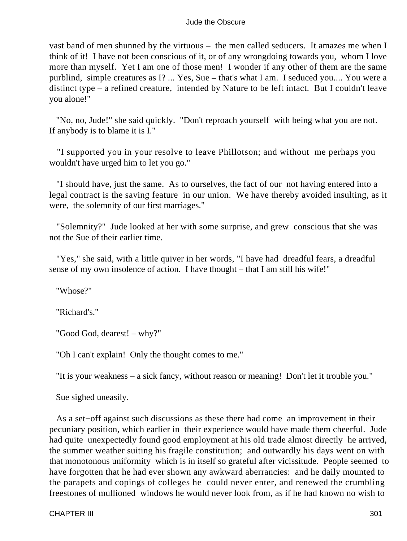vast band of men shunned by the virtuous – the men called seducers. It amazes me when I think of it! I have not been conscious of it, or of any wrongdoing towards you, whom I love more than myself. Yet I am one of those men! I wonder if any other of them are the same purblind, simple creatures as I? ... Yes, Sue – that's what I am. I seduced you.... You were a distinct type – a refined creature, intended by Nature to be left intact. But I couldn't leave you alone!"

 "No, no, Jude!" she said quickly. "Don't reproach yourself with being what you are not. If anybody is to blame it is I."

 "I supported you in your resolve to leave Phillotson; and without me perhaps you wouldn't have urged him to let you go."

 "I should have, just the same. As to ourselves, the fact of our not having entered into a legal contract is the saving feature in our union. We have thereby avoided insulting, as it were, the solemnity of our first marriages."

 "Solemnity?" Jude looked at her with some surprise, and grew conscious that she was not the Sue of their earlier time.

 "Yes," she said, with a little quiver in her words, "I have had dreadful fears, a dreadful sense of my own insolence of action. I have thought – that I am still his wife!"

"Whose?"

"Richard's."

"Good God, dearest! – why?"

"Oh I can't explain! Only the thought comes to me."

"It is your weakness – a sick fancy, without reason or meaning! Don't let it trouble you."

Sue sighed uneasily.

 As a set−off against such discussions as these there had come an improvement in their pecuniary position, which earlier in their experience would have made them cheerful. Jude had quite unexpectedly found good employment at his old trade almost directly he arrived, the summer weather suiting his fragile constitution; and outwardly his days went on with that monotonous uniformity which is in itself so grateful after vicissitude. People seemed to have forgotten that he had ever shown any awkward aberrancies: and he daily mounted to the parapets and copings of colleges he could never enter, and renewed the crumbling freestones of mullioned windows he would never look from, as if he had known no wish to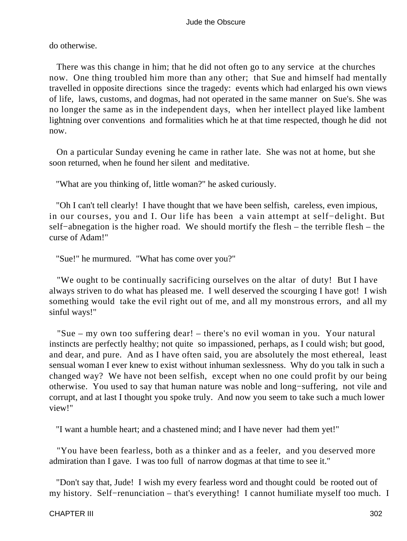do otherwise.

 There was this change in him; that he did not often go to any service at the churches now. One thing troubled him more than any other; that Sue and himself had mentally travelled in opposite directions since the tragedy: events which had enlarged his own views of life, laws, customs, and dogmas, had not operated in the same manner on Sue's. She was no longer the same as in the independent days, when her intellect played like lambent lightning over conventions and formalities which he at that time respected, though he did not now.

 On a particular Sunday evening he came in rather late. She was not at home, but she soon returned, when he found her silent and meditative.

"What are you thinking of, little woman?" he asked curiously.

 "Oh I can't tell clearly! I have thought that we have been selfish, careless, even impious, in our courses, you and I. Our life has been a vain attempt at self−delight. But self−abnegation is the higher road. We should mortify the flesh – the terrible flesh – the curse of Adam!"

"Sue!" he murmured. "What has come over you?"

 "We ought to be continually sacrificing ourselves on the altar of duty! But I have always striven to do what has pleased me. I well deserved the scourging I have got! I wish something would take the evil right out of me, and all my monstrous errors, and all my sinful ways!"

 "Sue – my own too suffering dear! – there's no evil woman in you. Your natural instincts are perfectly healthy; not quite so impassioned, perhaps, as I could wish; but good, and dear, and pure. And as I have often said, you are absolutely the most ethereal, least sensual woman I ever knew to exist without inhuman sexlessness. Why do you talk in such a changed way? We have not been selfish, except when no one could profit by our being otherwise. You used to say that human nature was noble and long−suffering, not vile and corrupt, and at last I thought you spoke truly. And now you seem to take such a much lower view!"

"I want a humble heart; and a chastened mind; and I have never had them yet!"

 "You have been fearless, both as a thinker and as a feeler, and you deserved more admiration than I gave. I was too full of narrow dogmas at that time to see it."

 "Don't say that, Jude! I wish my every fearless word and thought could be rooted out of my history. Self−renunciation – that's everything! I cannot humiliate myself too much. I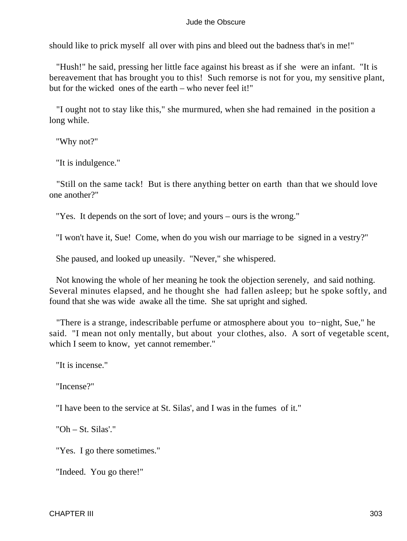should like to prick myself all over with pins and bleed out the badness that's in me!"

 "Hush!" he said, pressing her little face against his breast as if she were an infant. "It is bereavement that has brought you to this! Such remorse is not for you, my sensitive plant, but for the wicked ones of the earth – who never feel it!"

 "I ought not to stay like this," she murmured, when she had remained in the position a long while.

"Why not?"

"It is indulgence."

 "Still on the same tack! But is there anything better on earth than that we should love one another?"

"Yes. It depends on the sort of love; and yours – ours is the wrong."

"I won't have it, Sue! Come, when do you wish our marriage to be signed in a vestry?"

She paused, and looked up uneasily. "Never," she whispered.

 Not knowing the whole of her meaning he took the objection serenely, and said nothing. Several minutes elapsed, and he thought she had fallen asleep; but he spoke softly, and found that she was wide awake all the time. She sat upright and sighed.

 "There is a strange, indescribable perfume or atmosphere about you to−night, Sue," he said. "I mean not only mentally, but about your clothes, also. A sort of vegetable scent, which I seem to know, yet cannot remember."

"It is incense."

"Incense?"

"I have been to the service at St. Silas', and I was in the fumes of it."

"Oh – St. Silas'."

"Yes. I go there sometimes."

"Indeed. You go there!"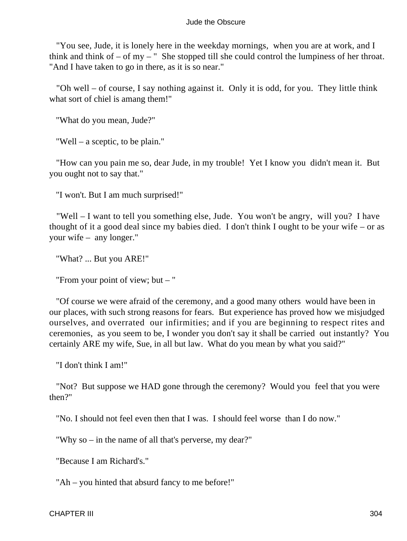"You see, Jude, it is lonely here in the weekday mornings, when you are at work, and I think and think of  $-$  of my  $-$  " She stopped till she could control the lumpiness of her throat. "And I have taken to go in there, as it is so near."

 "Oh well – of course, I say nothing against it. Only it is odd, for you. They little think what sort of chiel is amang them!"

"What do you mean, Jude?"

"Well – a sceptic, to be plain."

 "How can you pain me so, dear Jude, in my trouble! Yet I know you didn't mean it. But you ought not to say that."

"I won't. But I am much surprised!"

 "Well – I want to tell you something else, Jude. You won't be angry, will you? I have thought of it a good deal since my babies died. I don't think I ought to be your wife – or as your wife – any longer."

"What? ... But you ARE!"

"From your point of view; but – "

 "Of course we were afraid of the ceremony, and a good many others would have been in our places, with such strong reasons for fears. But experience has proved how we misjudged ourselves, and overrated our infirmities; and if you are beginning to respect rites and ceremonies, as you seem to be, I wonder you don't say it shall be carried out instantly? You certainly ARE my wife, Sue, in all but law. What do you mean by what you said?"

"I don't think I am!"

 "Not? But suppose we HAD gone through the ceremony? Would you feel that you were then?"

"No. I should not feel even then that I was. I should feel worse than I do now."

"Why so – in the name of all that's perverse, my dear?"

"Because I am Richard's."

"Ah – you hinted that absurd fancy to me before!"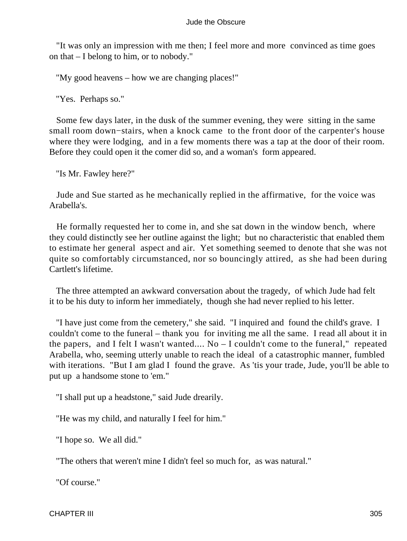"It was only an impression with me then; I feel more and more convinced as time goes on that – I belong to him, or to nobody."

"My good heavens – how we are changing places!"

"Yes. Perhaps so."

 Some few days later, in the dusk of the summer evening, they were sitting in the same small room down−stairs, when a knock came to the front door of the carpenter's house where they were lodging, and in a few moments there was a tap at the door of their room. Before they could open it the comer did so, and a woman's form appeared.

"Is Mr. Fawley here?"

 Jude and Sue started as he mechanically replied in the affirmative, for the voice was Arabella's.

 He formally requested her to come in, and she sat down in the window bench, where they could distinctly see her outline against the light; but no characteristic that enabled them to estimate her general aspect and air. Yet something seemed to denote that she was not quite so comfortably circumstanced, nor so bouncingly attired, as she had been during Cartlett's lifetime.

 The three attempted an awkward conversation about the tragedy, of which Jude had felt it to be his duty to inform her immediately, though she had never replied to his letter.

 "I have just come from the cemetery," she said. "I inquired and found the child's grave. I couldn't come to the funeral – thank you for inviting me all the same. I read all about it in the papers, and I felt I wasn't wanted.... No – I couldn't come to the funeral," repeated Arabella, who, seeming utterly unable to reach the ideal of a catastrophic manner, fumbled with iterations. "But I am glad I found the grave. As 'tis your trade, Jude, you'll be able to put up a handsome stone to 'em."

"I shall put up a headstone," said Jude drearily.

"He was my child, and naturally I feel for him."

"I hope so. We all did."

"The others that weren't mine I didn't feel so much for, as was natural."

"Of course."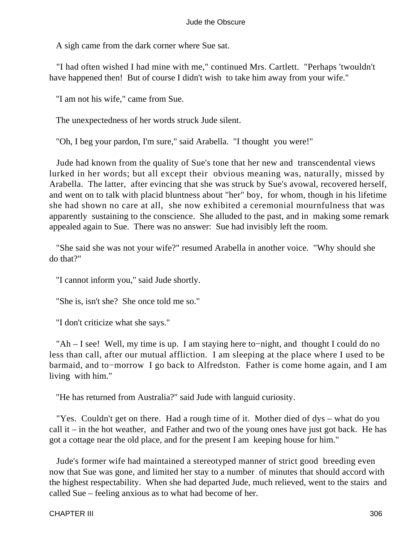A sigh came from the dark corner where Sue sat.

 "I had often wished I had mine with me," continued Mrs. Cartlett. "Perhaps 'twouldn't have happened then! But of course I didn't wish to take him away from your wife."

"I am not his wife," came from Sue.

The unexpectedness of her words struck Jude silent.

"Oh, I beg your pardon, I'm sure," said Arabella. "I thought you were!"

 Jude had known from the quality of Sue's tone that her new and transcendental views lurked in her words; but all except their obvious meaning was, naturally, missed by Arabella. The latter, after evincing that she was struck by Sue's avowal, recovered herself, and went on to talk with placid bluntness about "her" boy, for whom, though in his lifetime she had shown no care at all, she now exhibited a ceremonial mournfulness that was apparently sustaining to the conscience. She alluded to the past, and in making some remark appealed again to Sue. There was no answer: Sue had invisibly left the room.

 "She said she was not your wife?" resumed Arabella in another voice. "Why should she do that?"

"I cannot inform you," said Jude shortly.

"She is, isn't she? She once told me so."

"I don't criticize what she says."

 "Ah – I see! Well, my time is up. I am staying here to−night, and thought I could do no less than call, after our mutual affliction. I am sleeping at the place where I used to be barmaid, and to−morrow I go back to Alfredston. Father is come home again, and I am living with him."

"He has returned from Australia?" said Jude with languid curiosity.

 "Yes. Couldn't get on there. Had a rough time of it. Mother died of dys – what do you call it – in the hot weather, and Father and two of the young ones have just got back. He has got a cottage near the old place, and for the present I am keeping house for him."

 Jude's former wife had maintained a stereotyped manner of strict good breeding even now that Sue was gone, and limited her stay to a number of minutes that should accord with the highest respectability. When she had departed Jude, much relieved, went to the stairs and called Sue – feeling anxious as to what had become of her.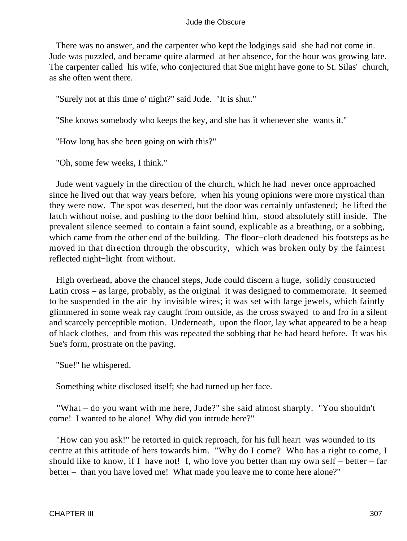There was no answer, and the carpenter who kept the lodgings said she had not come in. Jude was puzzled, and became quite alarmed at her absence, for the hour was growing late. The carpenter called his wife, who conjectured that Sue might have gone to St. Silas' church, as she often went there.

"Surely not at this time o' night?" said Jude. "It is shut."

"She knows somebody who keeps the key, and she has it whenever she wants it."

"How long has she been going on with this?"

"Oh, some few weeks, I think."

 Jude went vaguely in the direction of the church, which he had never once approached since he lived out that way years before, when his young opinions were more mystical than they were now. The spot was deserted, but the door was certainly unfastened; he lifted the latch without noise, and pushing to the door behind him, stood absolutely still inside. The prevalent silence seemed to contain a faint sound, explicable as a breathing, or a sobbing, which came from the other end of the building. The floor−cloth deadened his footsteps as he moved in that direction through the obscurity, which was broken only by the faintest reflected night−light from without.

 High overhead, above the chancel steps, Jude could discern a huge, solidly constructed Latin cross – as large, probably, as the original it was designed to commemorate. It seemed to be suspended in the air by invisible wires; it was set with large jewels, which faintly glimmered in some weak ray caught from outside, as the cross swayed to and fro in a silent and scarcely perceptible motion. Underneath, upon the floor, lay what appeared to be a heap of black clothes, and from this was repeated the sobbing that he had heard before. It was his Sue's form, prostrate on the paving.

"Sue!" he whispered.

Something white disclosed itself; she had turned up her face.

 "What – do you want with me here, Jude?" she said almost sharply. "You shouldn't come! I wanted to be alone! Why did you intrude here?"

 "How can you ask!" he retorted in quick reproach, for his full heart was wounded to its centre at this attitude of hers towards him. "Why do I come? Who has a right to come, I should like to know, if I have not! I, who love you better than my own self – better – far better – than you have loved me! What made you leave me to come here alone?"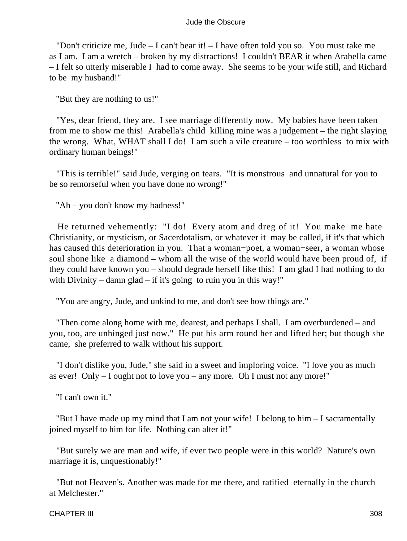"Don't criticize me, Jude – I can't bear it! – I have often told you so. You must take me as I am. I am a wretch – broken by my distractions! I couldn't BEAR it when Arabella came – I felt so utterly miserable I had to come away. She seems to be your wife still, and Richard to be my husband!"

"But they are nothing to us!"

 "Yes, dear friend, they are. I see marriage differently now. My babies have been taken from me to show me this! Arabella's child killing mine was a judgement – the right slaying the wrong. What, WHAT shall I do! I am such a vile creature – too worthless to mix with ordinary human beings!"

 "This is terrible!" said Jude, verging on tears. "It is monstrous and unnatural for you to be so remorseful when you have done no wrong!"

"Ah – you don't know my badness!"

 He returned vehemently: "I do! Every atom and dreg of it! You make me hate Christianity, or mysticism, or Sacerdotalism, or whatever it may be called, if it's that which has caused this deterioration in you. That a woman−poet, a woman−seer, a woman whose soul shone like a diamond – whom all the wise of the world would have been proud of, if they could have known you – should degrade herself like this! I am glad I had nothing to do with Divinity – damn glad – if it's going to ruin you in this way!"

"You are angry, Jude, and unkind to me, and don't see how things are."

 "Then come along home with me, dearest, and perhaps I shall. I am overburdened – and you, too, are unhinged just now." He put his arm round her and lifted her; but though she came, she preferred to walk without his support.

 "I don't dislike you, Jude," she said in a sweet and imploring voice. "I love you as much as ever! Only – I ought not to love you – any more. Oh I must not any more!"

"I can't own it."

 "But I have made up my mind that I am not your wife! I belong to him – I sacramentally joined myself to him for life. Nothing can alter it!"

 "But surely we are man and wife, if ever two people were in this world? Nature's own marriage it is, unquestionably!"

 "But not Heaven's. Another was made for me there, and ratified eternally in the church at Melchester."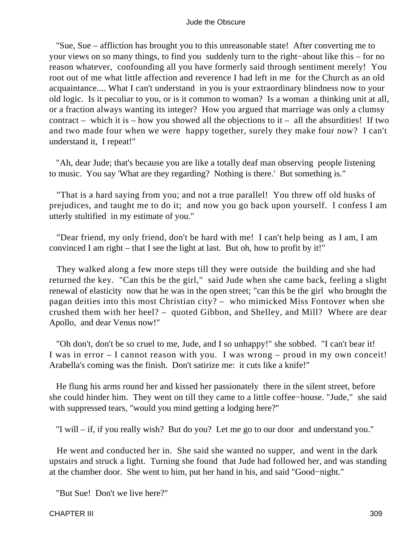"Sue, Sue – affliction has brought you to this unreasonable state! After converting me to your views on so many things, to find you suddenly turn to the right−about like this – for no reason whatever, confounding all you have formerly said through sentiment merely! You root out of me what little affection and reverence I had left in me for the Church as an old acquaintance.... What I can't understand in you is your extraordinary blindness now to your old logic. Is it peculiar to you, or is it common to woman? Is a woman a thinking unit at all, or a fraction always wanting its integer? How you argued that marriage was only a clumsy contract – which it is – how you showed all the objections to  $it$  – all the absurdities! If two and two made four when we were happy together, surely they make four now? I can't understand it, I repeat!"

 "Ah, dear Jude; that's because you are like a totally deaf man observing people listening to music. You say 'What are they regarding? Nothing is there.' But something is."

 "That is a hard saying from you; and not a true parallel! You threw off old husks of prejudices, and taught me to do it; and now you go back upon yourself. I confess I am utterly stultified in my estimate of you."

 "Dear friend, my only friend, don't be hard with me! I can't help being as I am, I am convinced I am right – that I see the light at last. But oh, how to profit by it!"

 They walked along a few more steps till they were outside the building and she had returned the key. "Can this be the girl," said Jude when she came back, feeling a slight renewal of elasticity now that he was in the open street; "can this be the girl who brought the pagan deities into this most Christian city? – who mimicked Miss Fontover when she crushed them with her heel? – quoted Gibbon, and Shelley, and Mill? Where are dear Apollo, and dear Venus now!"

 "Oh don't, don't be so cruel to me, Jude, and I so unhappy!" she sobbed. "I can't bear it! I was in error – I cannot reason with you. I was wrong – proud in my own conceit! Arabella's coming was the finish. Don't satirize me: it cuts like a knife!"

 He flung his arms round her and kissed her passionately there in the silent street, before she could hinder him. They went on till they came to a little coffee−house. "Jude," she said with suppressed tears, "would you mind getting a lodging here?"

"I will – if, if you really wish? But do you? Let me go to our door and understand you."

 He went and conducted her in. She said she wanted no supper, and went in the dark upstairs and struck a light. Turning she found that Jude had followed her, and was standing at the chamber door. She went to him, put her hand in his, and said "Good−night."

"But Sue! Don't we live here?"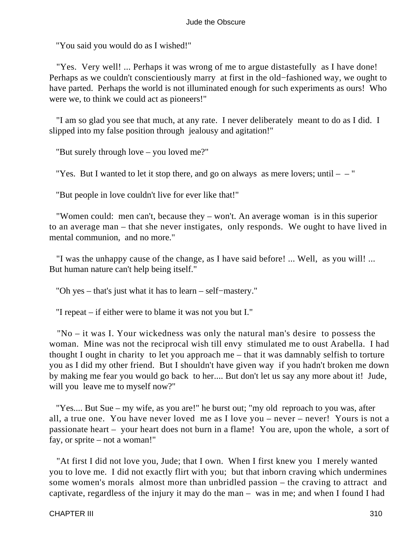"You said you would do as I wished!"

 "Yes. Very well! ... Perhaps it was wrong of me to argue distastefully as I have done! Perhaps as we couldn't conscientiously marry at first in the old−fashioned way, we ought to have parted. Perhaps the world is not illuminated enough for such experiments as ours! Who were we, to think we could act as pioneers!"

 "I am so glad you see that much, at any rate. I never deliberately meant to do as I did. I slipped into my false position through jealousy and agitation!"

"But surely through love – you loved me?"

"Yes. But I wanted to let it stop there, and go on always as mere lovers; until  $-$  "

"But people in love couldn't live for ever like that!"

 "Women could: men can't, because they – won't. An average woman is in this superior to an average man – that she never instigates, only responds. We ought to have lived in mental communion, and no more."

 "I was the unhappy cause of the change, as I have said before! ... Well, as you will! ... But human nature can't help being itself."

"Oh yes – that's just what it has to learn – self−mastery."

"I repeat – if either were to blame it was not you but I."

 "No – it was I. Your wickedness was only the natural man's desire to possess the woman. Mine was not the reciprocal wish till envy stimulated me to oust Arabella. I had thought I ought in charity to let you approach me – that it was damnably selfish to torture you as I did my other friend. But I shouldn't have given way if you hadn't broken me down by making me fear you would go back to her.... But don't let us say any more about it! Jude, will you leave me to myself now?"

 "Yes.... But Sue – my wife, as you are!" he burst out; "my old reproach to you was, after all, a true one. You have never loved me as I love you – never – never! Yours is not a passionate heart – your heart does not burn in a flame! You are, upon the whole, a sort of fay, or sprite – not a woman!"

 "At first I did not love you, Jude; that I own. When I first knew you I merely wanted you to love me. I did not exactly flirt with you; but that inborn craving which undermines some women's morals almost more than unbridled passion – the craving to attract and captivate, regardless of the injury it may do the man – was in me; and when I found I had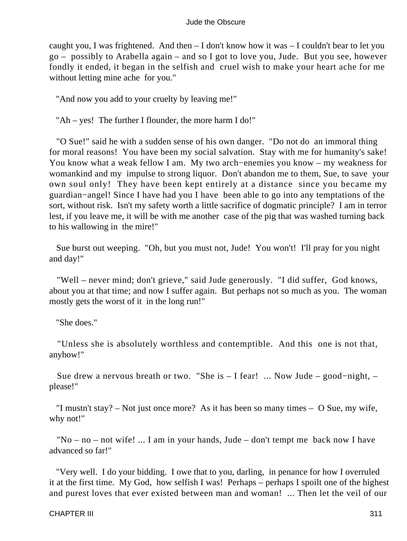caught you, I was frightened. And then – I don't know how it was – I couldn't bear to let you go – possibly to Arabella again – and so I got to love you, Jude. But you see, however fondly it ended, it began in the selfish and cruel wish to make your heart ache for me without letting mine ache for you."

"And now you add to your cruelty by leaving me!"

"Ah – yes! The further I flounder, the more harm I do!"

 "O Sue!" said he with a sudden sense of his own danger. "Do not do an immoral thing for moral reasons! You have been my social salvation. Stay with me for humanity's sake! You know what a weak fellow I am. My two arch−enemies you know – my weakness for womankind and my impulse to strong liquor. Don't abandon me to them, Sue, to save your own soul only! They have been kept entirely at a distance since you became my guardian−angel! Since I have had you I have been able to go into any temptations of the sort, without risk. Isn't my safety worth a little sacrifice of dogmatic principle? I am in terror lest, if you leave me, it will be with me another case of the pig that was washed turning back to his wallowing in the mire!"

 Sue burst out weeping. "Oh, but you must not, Jude! You won't! I'll pray for you night and day!"

 "Well – never mind; don't grieve," said Jude generously. "I did suffer, God knows, about you at that time; and now I suffer again. But perhaps not so much as you. The woman mostly gets the worst of it in the long run!"

"She does."

 "Unless she is absolutely worthless and contemptible. And this one is not that, anyhow!"

 Sue drew a nervous breath or two. "She is – I fear! ... Now Jude – good−night, – please!"

 "I mustn't stay? – Not just once more? As it has been so many times – O Sue, my wife, why not!"

 "No – no – not wife! ... I am in your hands, Jude – don't tempt me back now I have advanced so far!"

 "Very well. I do your bidding. I owe that to you, darling, in penance for how I overruled it at the first time. My God, how selfish I was! Perhaps – perhaps I spoilt one of the highest and purest loves that ever existed between man and woman! ... Then let the veil of our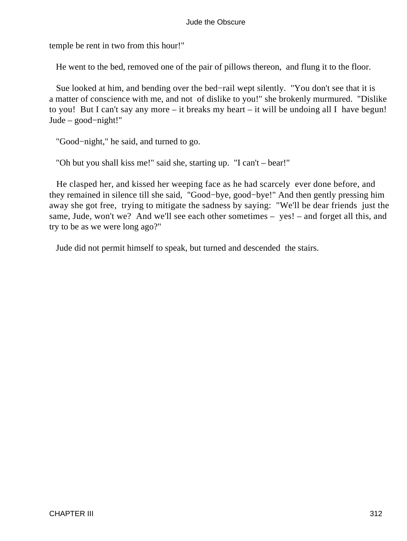temple be rent in two from this hour!"

He went to the bed, removed one of the pair of pillows thereon, and flung it to the floor.

 Sue looked at him, and bending over the bed−rail wept silently. "You don't see that it is a matter of conscience with me, and not of dislike to you!" she brokenly murmured. "Dislike to you! But I can't say any more – it breaks my heart – it will be undoing all I have begun! Jude – good−night!"

"Good−night," he said, and turned to go.

"Oh but you shall kiss me!" said she, starting up. "I can't – bear!"

 He clasped her, and kissed her weeping face as he had scarcely ever done before, and they remained in silence till she said, "Good−bye, good−bye!" And then gently pressing him away she got free, trying to mitigate the sadness by saying: "We'll be dear friends just the same, Jude, won't we? And we'll see each other sometimes – yes! – and forget all this, and try to be as we were long ago?"

Jude did not permit himself to speak, but turned and descended the stairs.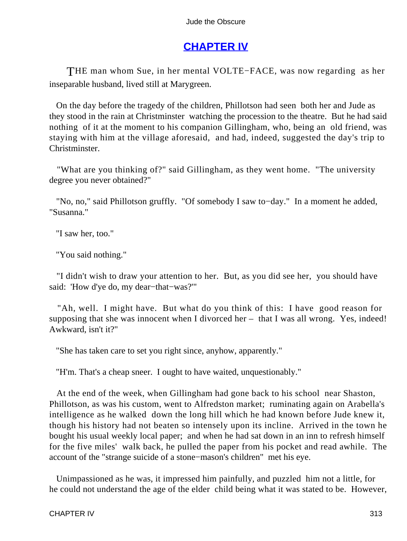# **[CHAPTER IV](#page-367-0)**

THE man whom Sue, in her mental VOLTE−FACE, was now regarding as her inseparable husband, lived still at Marygreen.

 On the day before the tragedy of the children, Phillotson had seen both her and Jude as they stood in the rain at Christminster watching the procession to the theatre. But he had said nothing of it at the moment to his companion Gillingham, who, being an old friend, was staying with him at the village aforesaid, and had, indeed, suggested the day's trip to Christminster.

 "What are you thinking of?" said Gillingham, as they went home. "The university degree you never obtained?"

 "No, no," said Phillotson gruffly. "Of somebody I saw to−day." In a moment he added, "Susanna."

"I saw her, too."

"You said nothing."

 "I didn't wish to draw your attention to her. But, as you did see her, you should have said: 'How d'ye do, my dear−that−was?'"

 "Ah, well. I might have. But what do you think of this: I have good reason for supposing that she was innocent when I divorced her – that I was all wrong. Yes, indeed! Awkward, isn't it?"

"She has taken care to set you right since, anyhow, apparently."

"H'm. That's a cheap sneer. I ought to have waited, unquestionably."

 At the end of the week, when Gillingham had gone back to his school near Shaston, Phillotson, as was his custom, went to Alfredston market; ruminating again on Arabella's intelligence as he walked down the long hill which he had known before Jude knew it, though his history had not beaten so intensely upon its incline. Arrived in the town he bought his usual weekly local paper; and when he had sat down in an inn to refresh himself for the five miles' walk back, he pulled the paper from his pocket and read awhile. The account of the "strange suicide of a stone−mason's children" met his eye.

 Unimpassioned as he was, it impressed him painfully, and puzzled him not a little, for he could not understand the age of the elder child being what it was stated to be. However,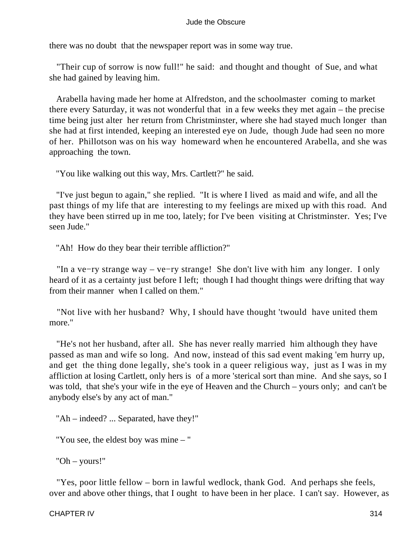there was no doubt that the newspaper report was in some way true.

 "Their cup of sorrow is now full!" he said: and thought and thought of Sue, and what she had gained by leaving him.

 Arabella having made her home at Alfredston, and the schoolmaster coming to market there every Saturday, it was not wonderful that in a few weeks they met again – the precise time being just alter her return from Christminster, where she had stayed much longer than she had at first intended, keeping an interested eye on Jude, though Jude had seen no more of her. Phillotson was on his way homeward when he encountered Arabella, and she was approaching the town.

"You like walking out this way, Mrs. Cartlett?" he said.

 "I've just begun to again," she replied. "It is where I lived as maid and wife, and all the past things of my life that are interesting to my feelings are mixed up with this road. And they have been stirred up in me too, lately; for I've been visiting at Christminster. Yes; I've seen Jude."

"Ah! How do they bear their terrible affliction?"

 "In a ve−ry strange way – ve−ry strange! She don't live with him any longer. I only heard of it as a certainty just before I left; though I had thought things were drifting that way from their manner when I called on them."

 "Not live with her husband? Why, I should have thought 'twould have united them more."

 "He's not her husband, after all. She has never really married him although they have passed as man and wife so long. And now, instead of this sad event making 'em hurry up, and get the thing done legally, she's took in a queer religious way, just as I was in my affliction at losing Cartlett, only hers is of a more 'sterical sort than mine. And she says, so I was told, that she's your wife in the eye of Heaven and the Church – yours only; and can't be anybody else's by any act of man."

"Ah – indeed? ... Separated, have they!"

"You see, the eldest boy was mine – "

"Oh – yours!"

 "Yes, poor little fellow – born in lawful wedlock, thank God. And perhaps she feels, over and above other things, that I ought to have been in her place. I can't say. However, as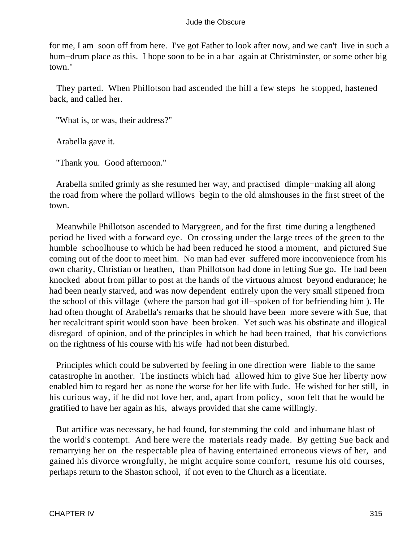for me, I am soon off from here. I've got Father to look after now, and we can't live in such a hum−drum place as this. I hope soon to be in a bar again at Christminster, or some other big town."

 They parted. When Phillotson had ascended the hill a few steps he stopped, hastened back, and called her.

"What is, or was, their address?"

Arabella gave it.

"Thank you. Good afternoon."

 Arabella smiled grimly as she resumed her way, and practised dimple−making all along the road from where the pollard willows begin to the old almshouses in the first street of the town.

 Meanwhile Phillotson ascended to Marygreen, and for the first time during a lengthened period he lived with a forward eye. On crossing under the large trees of the green to the humble schoolhouse to which he had been reduced he stood a moment, and pictured Sue coming out of the door to meet him. No man had ever suffered more inconvenience from his own charity, Christian or heathen, than Phillotson had done in letting Sue go. He had been knocked about from pillar to post at the hands of the virtuous almost beyond endurance; he had been nearly starved, and was now dependent entirely upon the very small stipened from the school of this village (where the parson had got ill−spoken of for befriending him ). He had often thought of Arabella's remarks that he should have been more severe with Sue, that her recalcitrant spirit would soon have been broken. Yet such was his obstinate and illogical disregard of opinion, and of the principles in which he had been trained, that his convictions on the rightness of his course with his wife had not been disturbed.

 Principles which could be subverted by feeling in one direction were liable to the same catastrophe in another. The instincts which had allowed him to give Sue her liberty now enabled him to regard her as none the worse for her life with Jude. He wished for her still, in his curious way, if he did not love her, and, apart from policy, soon felt that he would be gratified to have her again as his, always provided that she came willingly.

 But artifice was necessary, he had found, for stemming the cold and inhumane blast of the world's contempt. And here were the materials ready made. By getting Sue back and remarrying her on the respectable plea of having entertained erroneous views of her, and gained his divorce wrongfully, he might acquire some comfort, resume his old courses, perhaps return to the Shaston school, if not even to the Church as a licentiate.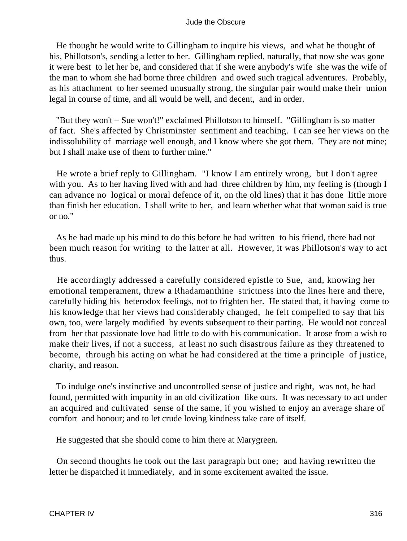He thought he would write to Gillingham to inquire his views, and what he thought of his, Phillotson's, sending a letter to her. Gillingham replied, naturally, that now she was gone it were best to let her be, and considered that if she were anybody's wife she was the wife of the man to whom she had borne three children and owed such tragical adventures. Probably, as his attachment to her seemed unusually strong, the singular pair would make their union legal in course of time, and all would be well, and decent, and in order.

 "But they won't – Sue won't!" exclaimed Phillotson to himself. "Gillingham is so matter of fact. She's affected by Christminster sentiment and teaching. I can see her views on the indissolubility of marriage well enough, and I know where she got them. They are not mine; but I shall make use of them to further mine."

 He wrote a brief reply to Gillingham. "I know I am entirely wrong, but I don't agree with you. As to her having lived with and had three children by him, my feeling is (though I can advance no logical or moral defence of it, on the old lines) that it has done little more than finish her education. I shall write to her, and learn whether what that woman said is true or no."

 As he had made up his mind to do this before he had written to his friend, there had not been much reason for writing to the latter at all. However, it was Phillotson's way to act thus.

 He accordingly addressed a carefully considered epistle to Sue, and, knowing her emotional temperament, threw a Rhadamanthine strictness into the lines here and there, carefully hiding his heterodox feelings, not to frighten her. He stated that, it having come to his knowledge that her views had considerably changed, he felt compelled to say that his own, too, were largely modified by events subsequent to their parting. He would not conceal from her that passionate love had little to do with his communication. It arose from a wish to make their lives, if not a success, at least no such disastrous failure as they threatened to become, through his acting on what he had considered at the time a principle of justice, charity, and reason.

 To indulge one's instinctive and uncontrolled sense of justice and right, was not, he had found, permitted with impunity in an old civilization like ours. It was necessary to act under an acquired and cultivated sense of the same, if you wished to enjoy an average share of comfort and honour; and to let crude loving kindness take care of itself.

He suggested that she should come to him there at Marygreen.

 On second thoughts he took out the last paragraph but one; and having rewritten the letter he dispatched it immediately, and in some excitement awaited the issue.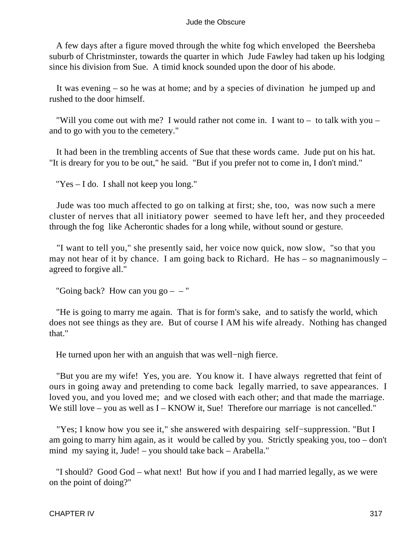A few days after a figure moved through the white fog which enveloped the Beersheba suburb of Christminster, towards the quarter in which Jude Fawley had taken up his lodging since his division from Sue. A timid knock sounded upon the door of his abode.

 It was evening – so he was at home; and by a species of divination he jumped up and rushed to the door himself.

 "Will you come out with me? I would rather not come in. I want to – to talk with you – and to go with you to the cemetery."

 It had been in the trembling accents of Sue that these words came. Jude put on his hat. "It is dreary for you to be out," he said. "But if you prefer not to come in, I don't mind."

"Yes – I do. I shall not keep you long."

 Jude was too much affected to go on talking at first; she, too, was now such a mere cluster of nerves that all initiatory power seemed to have left her, and they proceeded through the fog like Acherontic shades for a long while, without sound or gesture.

 "I want to tell you," she presently said, her voice now quick, now slow, "so that you may not hear of it by chance. I am going back to Richard. He has – so magnanimously – agreed to forgive all."

"Going back? How can you  $go - -$ "

 "He is going to marry me again. That is for form's sake, and to satisfy the world, which does not see things as they are. But of course I AM his wife already. Nothing has changed that."

He turned upon her with an anguish that was well−nigh fierce.

 "But you are my wife! Yes, you are. You know it. I have always regretted that feint of ours in going away and pretending to come back legally married, to save appearances. I loved you, and you loved me; and we closed with each other; and that made the marriage. We still love – you as well as I – KNOW it, Sue! Therefore our marriage is not cancelled."

 "Yes; I know how you see it," she answered with despairing self−suppression. "But I am going to marry him again, as it would be called by you. Strictly speaking you, too – don't mind my saying it, Jude! – you should take back – Arabella."

 "I should? Good God – what next! But how if you and I had married legally, as we were on the point of doing?"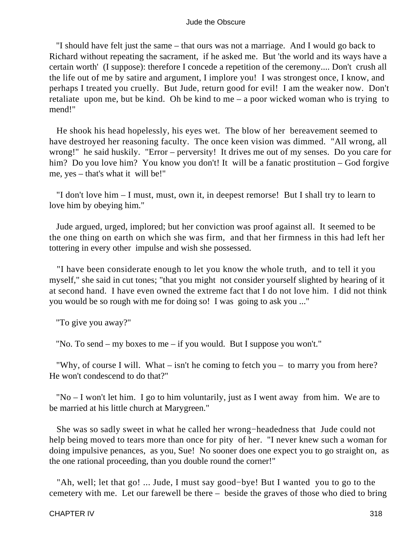"I should have felt just the same – that ours was not a marriage. And I would go back to Richard without repeating the sacrament, if he asked me. But 'the world and its ways have a certain worth' (I suppose): therefore I concede a repetition of the ceremony.... Don't crush all the life out of me by satire and argument, I implore you! I was strongest once, I know, and perhaps I treated you cruelly. But Jude, return good for evil! I am the weaker now. Don't retaliate upon me, but be kind. Oh be kind to me – a poor wicked woman who is trying to mend!"

 He shook his head hopelessly, his eyes wet. The blow of her bereavement seemed to have destroyed her reasoning faculty. The once keen vision was dimmed. "All wrong, all wrong!" he said huskily. "Error – perversity! It drives me out of my senses. Do you care for him? Do you love him? You know you don't! It will be a fanatic prostitution – God forgive me, yes – that's what it will be!"

 "I don't love him – I must, must, own it, in deepest remorse! But I shall try to learn to love him by obeying him."

 Jude argued, urged, implored; but her conviction was proof against all. It seemed to be the one thing on earth on which she was firm, and that her firmness in this had left her tottering in every other impulse and wish she possessed.

 "I have been considerate enough to let you know the whole truth, and to tell it you myself," she said in cut tones; "that you might not consider yourself slighted by hearing of it at second hand. I have even owned the extreme fact that I do not love him. I did not think you would be so rough with me for doing so! I was going to ask you ..."

"To give you away?"

"No. To send – my boxes to me – if you would. But I suppose you won't."

 "Why, of course I will. What – isn't he coming to fetch you – to marry you from here? He won't condescend to do that?"

 "No – I won't let him. I go to him voluntarily, just as I went away from him. We are to be married at his little church at Marygreen."

 She was so sadly sweet in what he called her wrong−headedness that Jude could not help being moved to tears more than once for pity of her. "I never knew such a woman for doing impulsive penances, as you, Sue! No sooner does one expect you to go straight on, as the one rational proceeding, than you double round the corner!"

 "Ah, well; let that go! ... Jude, I must say good−bye! But I wanted you to go to the cemetery with me. Let our farewell be there – beside the graves of those who died to bring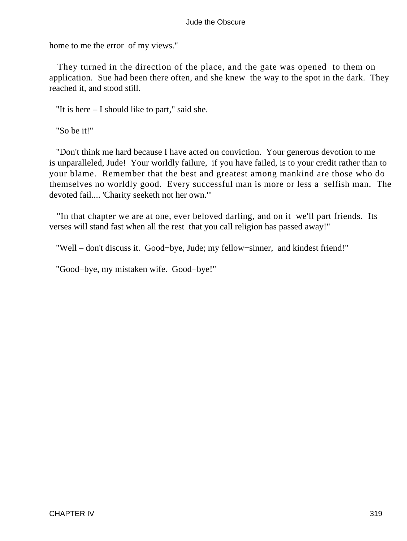home to me the error of my views."

 They turned in the direction of the place, and the gate was opened to them on application. Sue had been there often, and she knew the way to the spot in the dark. They reached it, and stood still.

"It is here – I should like to part," said she.

"So be it!"

 "Don't think me hard because I have acted on conviction. Your generous devotion to me is unparalleled, Jude! Your worldly failure, if you have failed, is to your credit rather than to your blame. Remember that the best and greatest among mankind are those who do themselves no worldly good. Every successful man is more or less a selfish man. The devoted fail.... 'Charity seeketh not her own.'"

 "In that chapter we are at one, ever beloved darling, and on it we'll part friends. Its verses will stand fast when all the rest that you call religion has passed away!"

"Well – don't discuss it. Good−bye, Jude; my fellow−sinner, and kindest friend!"

"Good−bye, my mistaken wife. Good−bye!"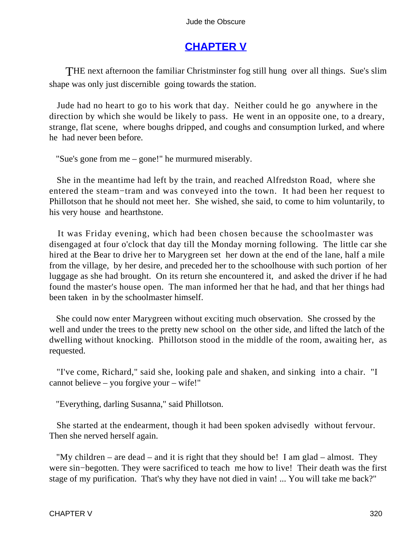## **[CHAPTER V](#page-367-0)**

THE next afternoon the familiar Christminster fog still hung over all things. Sue's slim shape was only just discernible going towards the station.

 Jude had no heart to go to his work that day. Neither could he go anywhere in the direction by which she would be likely to pass. He went in an opposite one, to a dreary, strange, flat scene, where boughs dripped, and coughs and consumption lurked, and where he had never been before.

"Sue's gone from me – gone!" he murmured miserably.

 She in the meantime had left by the train, and reached Alfredston Road, where she entered the steam−tram and was conveyed into the town. It had been her request to Phillotson that he should not meet her. She wished, she said, to come to him voluntarily, to his very house and hearthstone.

 It was Friday evening, which had been chosen because the schoolmaster was disengaged at four o'clock that day till the Monday morning following. The little car she hired at the Bear to drive her to Marygreen set her down at the end of the lane, half a mile from the village, by her desire, and preceded her to the schoolhouse with such portion of her luggage as she had brought. On its return she encountered it, and asked the driver if he had found the master's house open. The man informed her that he had, and that her things had been taken in by the schoolmaster himself.

 She could now enter Marygreen without exciting much observation. She crossed by the well and under the trees to the pretty new school on the other side, and lifted the latch of the dwelling without knocking. Phillotson stood in the middle of the room, awaiting her, as requested.

 "I've come, Richard," said she, looking pale and shaken, and sinking into a chair. "I cannot believe – you forgive your – wife!"

"Everything, darling Susanna," said Phillotson.

 She started at the endearment, though it had been spoken advisedly without fervour. Then she nerved herself again.

 "My children – are dead – and it is right that they should be! I am glad – almost. They were sin−begotten. They were sacrificed to teach me how to live! Their death was the first stage of my purification. That's why they have not died in vain! ... You will take me back?"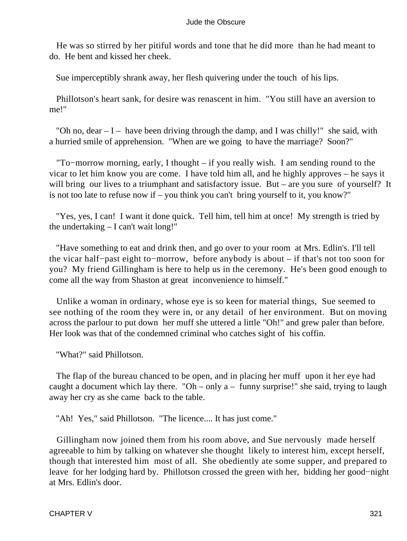He was so stirred by her pitiful words and tone that he did more than he had meant to do. He bent and kissed her cheek.

Sue imperceptibly shrank away, her flesh quivering under the touch of his lips.

 Phillotson's heart sank, for desire was renascent in him. "You still have an aversion to me!"

"Oh no, dear  $-I$  – have been driving through the damp, and I was chilly!" she said, with a hurried smile of apprehension. "When are we going to have the marriage? Soon?"

 "To−morrow morning, early, I thought – if you really wish. I am sending round to the vicar to let him know you are come. I have told him all, and he highly approves – he says it will bring our lives to a triumphant and satisfactory issue. But – are you sure of yourself? It is not too late to refuse now if – you think you can't bring yourself to it, you know?"

 "Yes, yes, I can! I want it done quick. Tell him, tell him at once! My strength is tried by the undertaking – I can't wait long!"

 "Have something to eat and drink then, and go over to your room at Mrs. Edlin's. I'll tell the vicar half−past eight to−morrow, before anybody is about – if that's not too soon for you? My friend Gillingham is here to help us in the ceremony. He's been good enough to come all the way from Shaston at great inconvenience to himself."

 Unlike a woman in ordinary, whose eye is so keen for material things, Sue seemed to see nothing of the room they were in, or any detail of her environment. But on moving across the parlour to put down her muff she uttered a little "Oh!" and grew paler than before. Her look was that of the condemned criminal who catches sight of his coffin.

"What?" said Phillotson.

 The flap of the bureau chanced to be open, and in placing her muff upon it her eye had caught a document which lay there. "Oh – only  $a - f$ unny surprise!" she said, trying to laugh away her cry as she came back to the table.

"Ah! Yes," said Phillotson. "The licence.... It has just come."

 Gillingham now joined them from his room above, and Sue nervously made herself agreeable to him by talking on whatever she thought likely to interest him, except herself, though that interested him most of all. She obediently ate some supper, and prepared to leave for her lodging hard by. Phillotson crossed the green with her, bidding her good−night at Mrs. Edlin's door.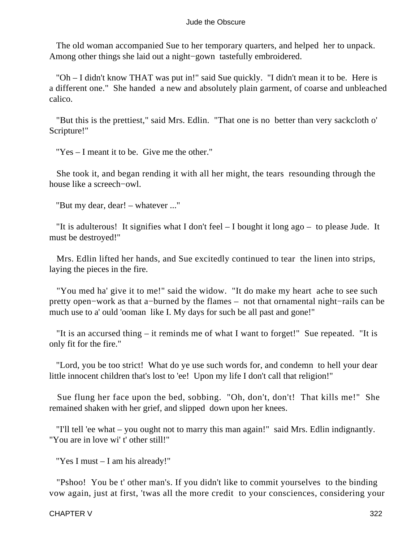The old woman accompanied Sue to her temporary quarters, and helped her to unpack. Among other things she laid out a night−gown tastefully embroidered.

 "Oh – I didn't know THAT was put in!" said Sue quickly. "I didn't mean it to be. Here is a different one." She handed a new and absolutely plain garment, of coarse and unbleached calico.

 "But this is the prettiest," said Mrs. Edlin. "That one is no better than very sackcloth o' Scripture!"

"Yes – I meant it to be. Give me the other."

 She took it, and began rending it with all her might, the tears resounding through the house like a screech−owl.

"But my dear, dear! – whatever ..."

 "It is adulterous! It signifies what I don't feel – I bought it long ago – to please Jude. It must be destroyed!"

 Mrs. Edlin lifted her hands, and Sue excitedly continued to tear the linen into strips, laying the pieces in the fire.

 "You med ha' give it to me!" said the widow. "It do make my heart ache to see such pretty open−work as that a−burned by the flames – not that ornamental night−rails can be much use to a' ould 'ooman like I. My days for such be all past and gone!"

 "It is an accursed thing – it reminds me of what I want to forget!" Sue repeated. "It is only fit for the fire."

 "Lord, you be too strict! What do ye use such words for, and condemn to hell your dear little innocent children that's lost to 'ee! Upon my life I don't call that religion!"

 Sue flung her face upon the bed, sobbing. "Oh, don't, don't! That kills me!" She remained shaken with her grief, and slipped down upon her knees.

 "I'll tell 'ee what – you ought not to marry this man again!" said Mrs. Edlin indignantly. "You are in love wi' t' other still!"

"Yes I must – I am his already!"

 "Pshoo! You be t' other man's. If you didn't like to commit yourselves to the binding vow again, just at first, 'twas all the more credit to your consciences, considering your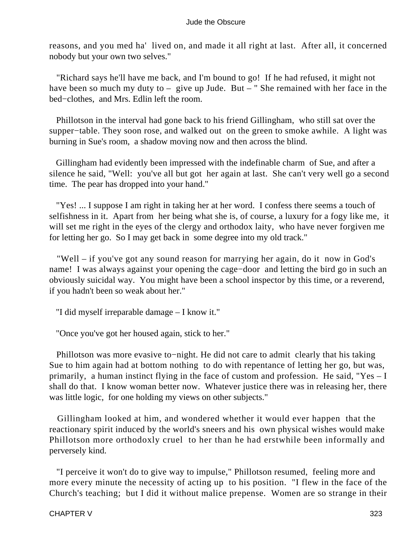reasons, and you med ha' lived on, and made it all right at last. After all, it concerned nobody but your own two selves."

 "Richard says he'll have me back, and I'm bound to go! If he had refused, it might not have been so much my duty to – give up Jude. But – " She remained with her face in the bed−clothes, and Mrs. Edlin left the room.

 Phillotson in the interval had gone back to his friend Gillingham, who still sat over the supper−table. They soon rose, and walked out on the green to smoke awhile. A light was burning in Sue's room, a shadow moving now and then across the blind.

 Gillingham had evidently been impressed with the indefinable charm of Sue, and after a silence he said, "Well: you've all but got her again at last. She can't very well go a second time. The pear has dropped into your hand."

 "Yes! ... I suppose I am right in taking her at her word. I confess there seems a touch of selfishness in it. Apart from her being what she is, of course, a luxury for a fogy like me, it will set me right in the eyes of the clergy and orthodox laity, who have never forgiven me for letting her go. So I may get back in some degree into my old track."

 "Well – if you've got any sound reason for marrying her again, do it now in God's name! I was always against your opening the cage−door and letting the bird go in such an obviously suicidal way. You might have been a school inspector by this time, or a reverend, if you hadn't been so weak about her."

"I did myself irreparable damage – I know it."

"Once you've got her housed again, stick to her."

 Phillotson was more evasive to−night. He did not care to admit clearly that his taking Sue to him again had at bottom nothing to do with repentance of letting her go, but was, primarily, a human instinct flying in the face of custom and profession. He said, "Yes – I shall do that. I know woman better now. Whatever justice there was in releasing her, there was little logic, for one holding my views on other subjects."

 Gillingham looked at him, and wondered whether it would ever happen that the reactionary spirit induced by the world's sneers and his own physical wishes would make Phillotson more orthodoxly cruel to her than he had erstwhile been informally and perversely kind.

 "I perceive it won't do to give way to impulse," Phillotson resumed, feeling more and more every minute the necessity of acting up to his position. "I flew in the face of the Church's teaching; but I did it without malice prepense. Women are so strange in their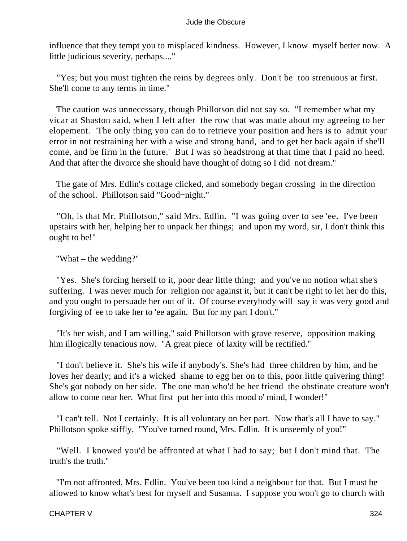influence that they tempt you to misplaced kindness. However, I know myself better now. A little judicious severity, perhaps...."

 "Yes; but you must tighten the reins by degrees only. Don't be too strenuous at first. She'll come to any terms in time."

 The caution was unnecessary, though Phillotson did not say so. "I remember what my vicar at Shaston said, when I left after the row that was made about my agreeing to her elopement. 'The only thing you can do to retrieve your position and hers is to admit your error in not restraining her with a wise and strong hand, and to get her back again if she'll come, and be firm in the future.' But I was so headstrong at that time that I paid no heed. And that after the divorce she should have thought of doing so I did not dream."

 The gate of Mrs. Edlin's cottage clicked, and somebody began crossing in the direction of the school. Phillotson said "Good−night."

 "Oh, is that Mr. Phillotson," said Mrs. Edlin. "I was going over to see 'ee. I've been upstairs with her, helping her to unpack her things; and upon my word, sir, I don't think this ought to be!"

"What – the wedding?"

 "Yes. She's forcing herself to it, poor dear little thing; and you've no notion what she's suffering. I was never much for religion nor against it, but it can't be right to let her do this, and you ought to persuade her out of it. Of course everybody will say it was very good and forgiving of 'ee to take her to 'ee again. But for my part I don't."

 "It's her wish, and I am willing," said Phillotson with grave reserve, opposition making him illogically tenacious now. "A great piece of laxity will be rectified."

 "I don't believe it. She's his wife if anybody's. She's had three children by him, and he loves her dearly; and it's a wicked shame to egg her on to this, poor little quivering thing! She's got nobody on her side. The one man who'd be her friend the obstinate creature won't allow to come near her. What first put her into this mood o' mind, I wonder!"

 "I can't tell. Not I certainly. It is all voluntary on her part. Now that's all I have to say." Phillotson spoke stiffly. "You've turned round, Mrs. Edlin. It is unseemly of you!"

 "Well. I knowed you'd be affronted at what I had to say; but I don't mind that. The truth's the truth."

 "I'm not affronted, Mrs. Edlin. You've been too kind a neighbour for that. But I must be allowed to know what's best for myself and Susanna. I suppose you won't go to church with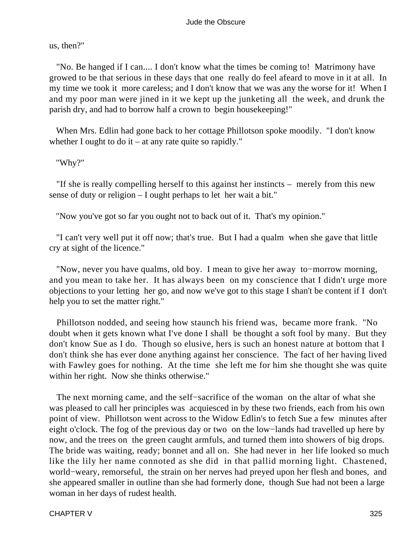us, then?"

 "No. Be hanged if I can.... I don't know what the times be coming to! Matrimony have growed to be that serious in these days that one really do feel afeard to move in it at all. In my time we took it more careless; and I don't know that we was any the worse for it! When I and my poor man were jined in it we kept up the junketing all the week, and drunk the parish dry, and had to borrow half a crown to begin housekeeping!"

 When Mrs. Edlin had gone back to her cottage Phillotson spoke moodily. "I don't know whether I ought to do it – at any rate quite so rapidly."

"Why?"

 "If she is really compelling herself to this against her instincts – merely from this new sense of duty or religion – I ought perhaps to let her wait a bit."

"Now you've got so far you ought not to back out of it. That's my opinion."

 "I can't very well put it off now; that's true. But I had a qualm when she gave that little cry at sight of the licence."

 "Now, never you have qualms, old boy. I mean to give her away to−morrow morning, and you mean to take her. It has always been on my conscience that I didn't urge more objections to your letting her go, and now we've got to this stage I shan't be content if I don't help you to set the matter right."

 Phillotson nodded, and seeing how staunch his friend was, became more frank. "No doubt when it gets known what I've done I shall be thought a soft fool by many. But they don't know Sue as I do. Though so elusive, hers is such an honest nature at bottom that I don't think she has ever done anything against her conscience. The fact of her having lived with Fawley goes for nothing. At the time she left me for him she thought she was quite within her right. Now she thinks otherwise."

 The next morning came, and the self−sacrifice of the woman on the altar of what she was pleased to call her principles was acquiesced in by these two friends, each from his own point of view. Phillotson went across to the Widow Edlin's to fetch Sue a few minutes after eight o'clock. The fog of the previous day or two on the low−lands had travelled up here by now, and the trees on the green caught armfuls, and turned them into showers of big drops. The bride was waiting, ready; bonnet and all on. She had never in her life looked so much like the lily her name connoted as she did in that pallid morning light. Chastened, world−weary, remorseful, the strain on her nerves had preyed upon her flesh and bones, and she appeared smaller in outline than she had formerly done, though Sue had not been a large woman in her days of rudest health.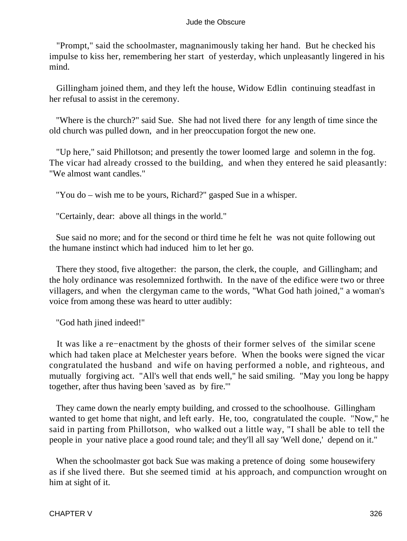"Prompt," said the schoolmaster, magnanimously taking her hand. But he checked his impulse to kiss her, remembering her start of yesterday, which unpleasantly lingered in his mind.

 Gillingham joined them, and they left the house, Widow Edlin continuing steadfast in her refusal to assist in the ceremony.

 "Where is the church?" said Sue. She had not lived there for any length of time since the old church was pulled down, and in her preoccupation forgot the new one.

 "Up here," said Phillotson; and presently the tower loomed large and solemn in the fog. The vicar had already crossed to the building, and when they entered he said pleasantly: "We almost want candles."

"You do – wish me to be yours, Richard?" gasped Sue in a whisper.

"Certainly, dear: above all things in the world."

 Sue said no more; and for the second or third time he felt he was not quite following out the humane instinct which had induced him to let her go.

 There they stood, five altogether: the parson, the clerk, the couple, and Gillingham; and the holy ordinance was resolemnized forthwith. In the nave of the edifice were two or three villagers, and when the clergyman came to the words, "What God hath joined," a woman's voice from among these was heard to utter audibly:

"God hath jined indeed!"

 It was like a re−enactment by the ghosts of their former selves of the similar scene which had taken place at Melchester years before. When the books were signed the vicar congratulated the husband and wife on having performed a noble, and righteous, and mutually forgiving act. "All's well that ends well," he said smiling. "May you long be happy together, after thus having been 'saved as by fire.'"

 They came down the nearly empty building, and crossed to the schoolhouse. Gillingham wanted to get home that night, and left early. He, too, congratulated the couple. "Now," he said in parting from Phillotson, who walked out a little way, "I shall be able to tell the people in your native place a good round tale; and they'll all say 'Well done,' depend on it."

 When the schoolmaster got back Sue was making a pretence of doing some housewifery as if she lived there. But she seemed timid at his approach, and compunction wrought on him at sight of it.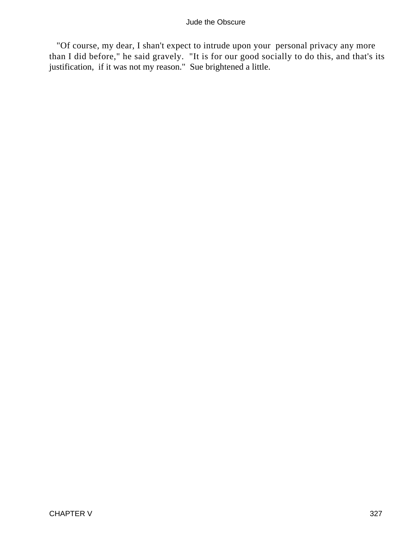"Of course, my dear, I shan't expect to intrude upon your personal privacy any more than I did before," he said gravely. "It is for our good socially to do this, and that's its justification, if it was not my reason." Sue brightened a little.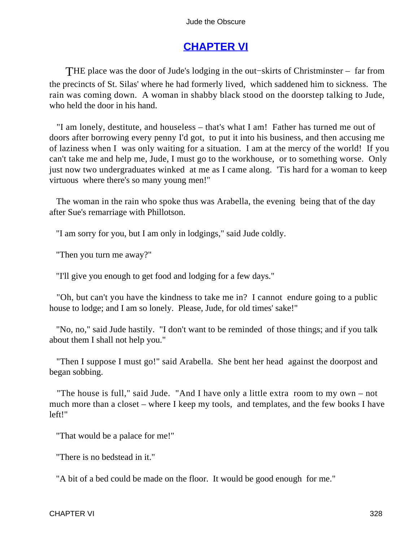# **[CHAPTER VI](#page-367-0)**

THE place was the door of Jude's lodging in the out−skirts of Christminster – far from the precincts of St. Silas' where he had formerly lived, which saddened him to sickness. The rain was coming down. A woman in shabby black stood on the doorstep talking to Jude, who held the door in his hand.

 "I am lonely, destitute, and houseless – that's what I am! Father has turned me out of doors after borrowing every penny I'd got, to put it into his business, and then accusing me of laziness when I was only waiting for a situation. I am at the mercy of the world! If you can't take me and help me, Jude, I must go to the workhouse, or to something worse. Only just now two undergraduates winked at me as I came along. 'Tis hard for a woman to keep virtuous where there's so many young men!"

 The woman in the rain who spoke thus was Arabella, the evening being that of the day after Sue's remarriage with Phillotson.

"I am sorry for you, but I am only in lodgings," said Jude coldly.

"Then you turn me away?"

"I'll give you enough to get food and lodging for a few days."

 "Oh, but can't you have the kindness to take me in? I cannot endure going to a public house to lodge; and I am so lonely. Please, Jude, for old times' sake!"

 "No, no," said Jude hastily. "I don't want to be reminded of those things; and if you talk about them I shall not help you."

 "Then I suppose I must go!" said Arabella. She bent her head against the doorpost and began sobbing.

 "The house is full," said Jude. "And I have only a little extra room to my own – not much more than a closet – where I keep my tools, and templates, and the few books I have left!"

"That would be a palace for me!"

"There is no bedstead in it."

"A bit of a bed could be made on the floor. It would be good enough for me."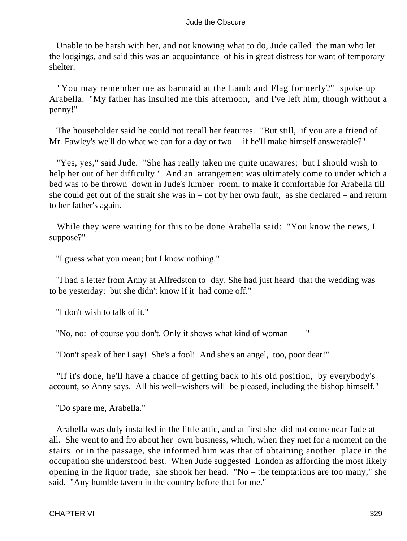Unable to be harsh with her, and not knowing what to do, Jude called the man who let the lodgings, and said this was an acquaintance of his in great distress for want of temporary shelter.

 "You may remember me as barmaid at the Lamb and Flag formerly?" spoke up Arabella. "My father has insulted me this afternoon, and I've left him, though without a penny!"

 The householder said he could not recall her features. "But still, if you are a friend of Mr. Fawley's we'll do what we can for a day or two – if he'll make himself answerable?"

 "Yes, yes," said Jude. "She has really taken me quite unawares; but I should wish to help her out of her difficulty." And an arrangement was ultimately come to under which a bed was to be thrown down in Jude's lumber−room, to make it comfortable for Arabella till she could get out of the strait she was in – not by her own fault, as she declared – and return to her father's again.

 While they were waiting for this to be done Arabella said: "You know the news, I suppose?"

"I guess what you mean; but I know nothing."

 "I had a letter from Anny at Alfredston to−day. She had just heard that the wedding was to be yesterday: but she didn't know if it had come off."

"I don't wish to talk of it."

"No, no: of course you don't. Only it shows what kind of woman  $-$  –"

"Don't speak of her I say! She's a fool! And she's an angel, too, poor dear!"

 "If it's done, he'll have a chance of getting back to his old position, by everybody's account, so Anny says. All his well−wishers will be pleased, including the bishop himself."

"Do spare me, Arabella."

 Arabella was duly installed in the little attic, and at first she did not come near Jude at all. She went to and fro about her own business, which, when they met for a moment on the stairs or in the passage, she informed him was that of obtaining another place in the occupation she understood best. When Jude suggested London as affording the most likely opening in the liquor trade, she shook her head. "No – the temptations are too many," she said. "Any humble tavern in the country before that for me."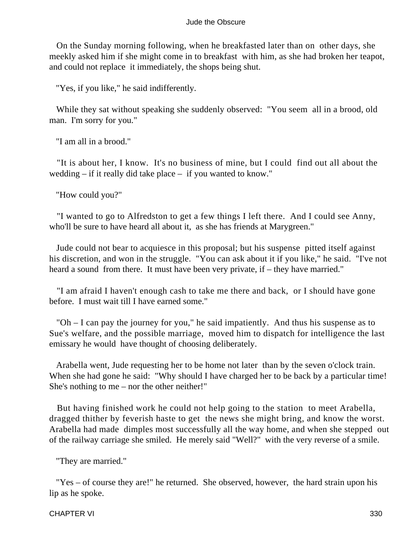On the Sunday morning following, when he breakfasted later than on other days, she meekly asked him if she might come in to breakfast with him, as she had broken her teapot, and could not replace it immediately, the shops being shut.

"Yes, if you like," he said indifferently.

 While they sat without speaking she suddenly observed: "You seem all in a brood, old man. I'm sorry for you."

"I am all in a brood."

 "It is about her, I know. It's no business of mine, but I could find out all about the wedding – if it really did take place – if you wanted to know."

"How could you?"

 "I wanted to go to Alfredston to get a few things I left there. And I could see Anny, who'll be sure to have heard all about it, as she has friends at Marygreen."

 Jude could not bear to acquiesce in this proposal; but his suspense pitted itself against his discretion, and won in the struggle. "You can ask about it if you like," he said. "I've not heard a sound from there. It must have been very private, if – they have married."

 "I am afraid I haven't enough cash to take me there and back, or I should have gone before. I must wait till I have earned some."

 "Oh – I can pay the journey for you," he said impatiently. And thus his suspense as to Sue's welfare, and the possible marriage, moved him to dispatch for intelligence the last emissary he would have thought of choosing deliberately.

 Arabella went, Jude requesting her to be home not later than by the seven o'clock train. When she had gone he said: "Why should I have charged her to be back by a particular time! She's nothing to me – nor the other neither!"

 But having finished work he could not help going to the station to meet Arabella, dragged thither by feverish haste to get the news she might bring, and know the worst. Arabella had made dimples most successfully all the way home, and when she stepped out of the railway carriage she smiled. He merely said "Well?" with the very reverse of a smile.

"They are married."

 "Yes – of course they are!" he returned. She observed, however, the hard strain upon his lip as he spoke.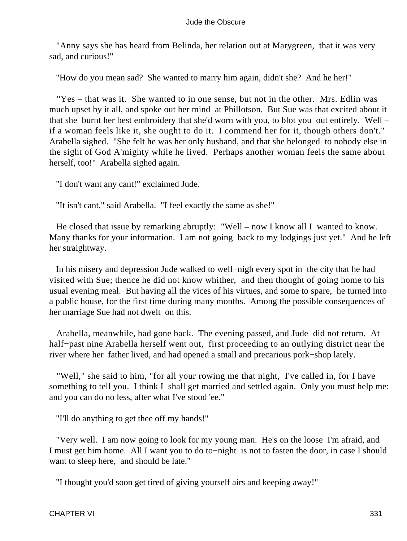"Anny says she has heard from Belinda, her relation out at Marygreen, that it was very sad, and curious!"

"How do you mean sad? She wanted to marry him again, didn't she? And he her!"

 "Yes – that was it. She wanted to in one sense, but not in the other. Mrs. Edlin was much upset by it all, and spoke out her mind at Phillotson. But Sue was that excited about it that she burnt her best embroidery that she'd worn with you, to blot you out entirely. Well – if a woman feels like it, she ought to do it. I commend her for it, though others don't." Arabella sighed. "She felt he was her only husband, and that she belonged to nobody else in the sight of God A'mighty while he lived. Perhaps another woman feels the same about herself, too!" Arabella sighed again.

"I don't want any cant!" exclaimed Jude.

"It isn't cant," said Arabella. "I feel exactly the same as she!"

 He closed that issue by remarking abruptly: "Well – now I know all I wanted to know. Many thanks for your information. I am not going back to my lodgings just yet." And he left her straightway.

 In his misery and depression Jude walked to well−nigh every spot in the city that he had visited with Sue; thence he did not know whither, and then thought of going home to his usual evening meal. But having all the vices of his virtues, and some to spare, he turned into a public house, for the first time during many months. Among the possible consequences of her marriage Sue had not dwelt on this.

 Arabella, meanwhile, had gone back. The evening passed, and Jude did not return. At half−past nine Arabella herself went out, first proceeding to an outlying district near the river where her father lived, and had opened a small and precarious pork−shop lately.

 "Well," she said to him, "for all your rowing me that night, I've called in, for I have something to tell you. I think I shall get married and settled again. Only you must help me: and you can do no less, after what I've stood 'ee."

"I'll do anything to get thee off my hands!"

 "Very well. I am now going to look for my young man. He's on the loose I'm afraid, and I must get him home. All I want you to do to−night is not to fasten the door, in case I should want to sleep here, and should be late."

"I thought you'd soon get tired of giving yourself airs and keeping away!"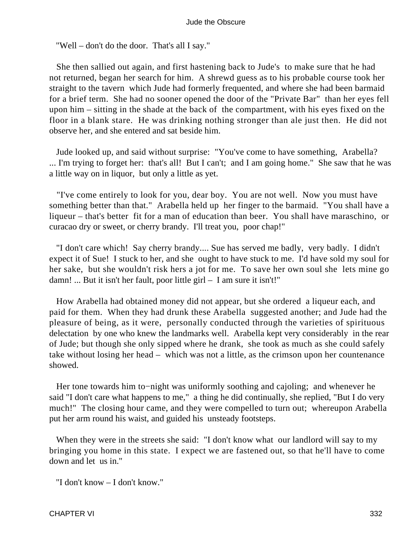"Well – don't do the door. That's all I say."

 She then sallied out again, and first hastening back to Jude's to make sure that he had not returned, began her search for him. A shrewd guess as to his probable course took her straight to the tavern which Jude had formerly frequented, and where she had been barmaid for a brief term. She had no sooner opened the door of the "Private Bar" than her eyes fell upon him – sitting in the shade at the back of the compartment, with his eyes fixed on the floor in a blank stare. He was drinking nothing stronger than ale just then. He did not observe her, and she entered and sat beside him.

 Jude looked up, and said without surprise: "You've come to have something, Arabella? ... I'm trying to forget her: that's all! But I can't; and I am going home." She saw that he was a little way on in liquor, but only a little as yet.

 "I've come entirely to look for you, dear boy. You are not well. Now you must have something better than that." Arabella held up her finger to the barmaid. "You shall have a liqueur – that's better fit for a man of education than beer. You shall have maraschino, or curacao dry or sweet, or cherry brandy. I'll treat you, poor chap!"

 "I don't care which! Say cherry brandy.... Sue has served me badly, very badly. I didn't expect it of Sue! I stuck to her, and she ought to have stuck to me. I'd have sold my soul for her sake, but she wouldn't risk hers a jot for me. To save her own soul she lets mine go damn! ... But it isn't her fault, poor little girl – I am sure it isn't!"

 How Arabella had obtained money did not appear, but she ordered a liqueur each, and paid for them. When they had drunk these Arabella suggested another; and Jude had the pleasure of being, as it were, personally conducted through the varieties of spirituous delectation by one who knew the landmarks well. Arabella kept very considerably in the rear of Jude; but though she only sipped where he drank, she took as much as she could safely take without losing her head – which was not a little, as the crimson upon her countenance showed.

 Her tone towards him to−night was uniformly soothing and cajoling; and whenever he said "I don't care what happens to me," a thing he did continually, she replied, "But I do very much!" The closing hour came, and they were compelled to turn out; whereupon Arabella put her arm round his waist, and guided his unsteady footsteps.

 When they were in the streets she said: "I don't know what our landlord will say to my bringing you home in this state. I expect we are fastened out, so that he'll have to come down and let us in."

"I don't know – I don't know."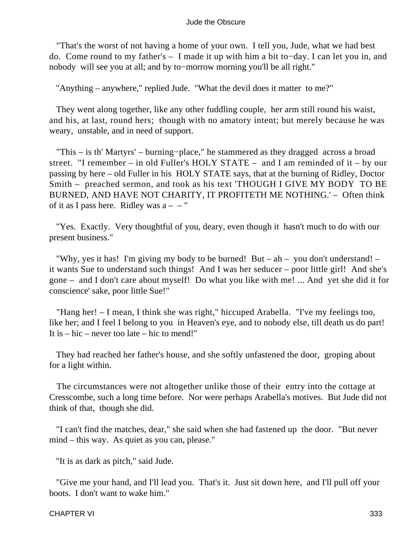"That's the worst of not having a home of your own. I tell you, Jude, what we had best do. Come round to my father's – I made it up with him a bit to−day. I can let you in, and nobody will see you at all; and by to−morrow morning you'll be all right."

"Anything – anywhere," replied Jude. "What the devil does it matter to me?"

 They went along together, like any other fuddling couple, her arm still round his waist, and his, at last, round hers; though with no amatory intent; but merely because he was weary, unstable, and in need of support.

 "This – is th' Martyrs' – burning−place," he stammered as they dragged across a broad street. "I remember – in old Fuller's HOLY STATE – and I am reminded of it – by our passing by here – old Fuller in his HOLY STATE says, that at the burning of Ridley, Doctor Smith – preached sermon, and took as his text 'THOUGH I GIVE MY BODY TO BE BURNED, AND HAVE NOT CHARITY, IT PROFITETH ME NOTHING.' – Often think of it as I pass here. Ridley was  $a - -$ "

 "Yes. Exactly. Very thoughtful of you, deary, even though it hasn't much to do with our present business."

 "Why, yes it has! I'm giving my body to be burned! But – ah – you don't understand! – it wants Sue to understand such things! And I was her seducer – poor little girl! And she's gone – and I don't care about myself! Do what you like with me! ... And yet she did it for conscience' sake, poor little Sue!"

 "Hang her! – I mean, I think she was right," hiccuped Arabella. "I've my feelings too, like her; and I feel I belong to you in Heaven's eye, and to nobody else, till death us do part! It is – hic – never too late – hic to mend!"

 They had reached her father's house, and she softly unfastened the door, groping about for a light within.

 The circumstances were not altogether unlike those of their entry into the cottage at Cresscombe, such a long time before. Nor were perhaps Arabella's motives. But Jude did not think of that, though she did.

 "I can't find the matches, dear," she said when she had fastened up the door. "But never mind – this way. As quiet as you can, please."

"It is as dark as pitch," said Jude.

 "Give me your hand, and I'll lead you. That's it. Just sit down here, and I'll pull off your boots. I don't want to wake him."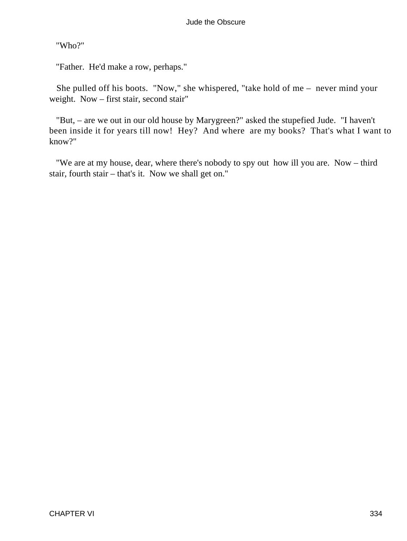"Who?"

"Father. He'd make a row, perhaps."

 She pulled off his boots. "Now," she whispered, "take hold of me – never mind your weight. Now – first stair, second stair"

 "But, – are we out in our old house by Marygreen?" asked the stupefied Jude. "I haven't been inside it for years till now! Hey? And where are my books? That's what I want to know?"

 "We are at my house, dear, where there's nobody to spy out how ill you are. Now – third stair, fourth stair – that's it. Now we shall get on."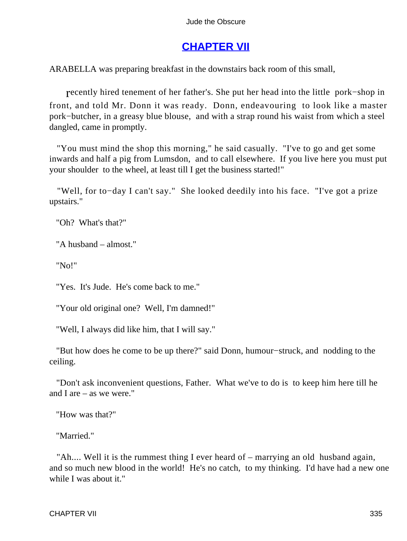# **[CHAPTER VII](#page-367-0)**

ARABELLA was preparing breakfast in the downstairs back room of this small,

recently hired tenement of her father's. She put her head into the little pork−shop in front, and told Mr. Donn it was ready. Donn, endeavouring to look like a master pork−butcher, in a greasy blue blouse, and with a strap round his waist from which a steel dangled, came in promptly.

 "You must mind the shop this morning," he said casually. "I've to go and get some inwards and half a pig from Lumsdon, and to call elsewhere. If you live here you must put your shoulder to the wheel, at least till I get the business started!"

 "Well, for to−day I can't say." She looked deedily into his face. "I've got a prize upstairs."

"Oh? What's that?"

"A husband – almost."

"No!"

"Yes. It's Jude. He's come back to me."

"Your old original one? Well, I'm damned!"

"Well, I always did like him, that I will say."

 "But how does he come to be up there?" said Donn, humour−struck, and nodding to the ceiling.

 "Don't ask inconvenient questions, Father. What we've to do is to keep him here till he and I are – as we were."

"How was that?"

"Married."

 "Ah.... Well it is the rummest thing I ever heard of – marrying an old husband again, and so much new blood in the world! He's no catch, to my thinking. I'd have had a new one while I was about it."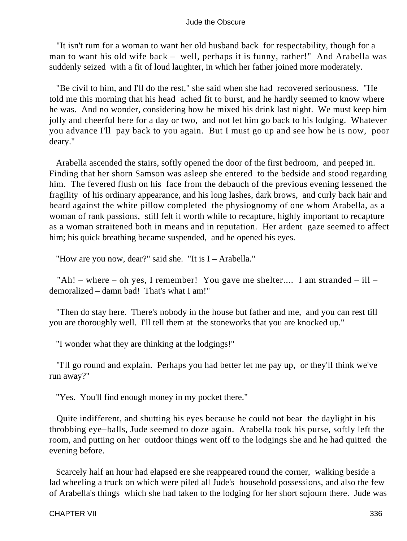"It isn't rum for a woman to want her old husband back for respectability, though for a man to want his old wife back – well, perhaps it is funny, rather!" And Arabella was suddenly seized with a fit of loud laughter, in which her father joined more moderately.

 "Be civil to him, and I'll do the rest," she said when she had recovered seriousness. "He told me this morning that his head ached fit to burst, and he hardly seemed to know where he was. And no wonder, considering how he mixed his drink last night. We must keep him jolly and cheerful here for a day or two, and not let him go back to his lodging. Whatever you advance I'll pay back to you again. But I must go up and see how he is now, poor deary."

 Arabella ascended the stairs, softly opened the door of the first bedroom, and peeped in. Finding that her shorn Samson was asleep she entered to the bedside and stood regarding him. The fevered flush on his face from the debauch of the previous evening lessened the fragility of his ordinary appearance, and his long lashes, dark brows, and curly back hair and beard against the white pillow completed the physiognomy of one whom Arabella, as a woman of rank passions, still felt it worth while to recapture, highly important to recapture as a woman straitened both in means and in reputation. Her ardent gaze seemed to affect him; his quick breathing became suspended, and he opened his eyes.

"How are you now, dear?" said she. "It is I – Arabella."

 "Ah! – where – oh yes, I remember! You gave me shelter.... I am stranded – ill – demoralized – damn bad! That's what I am!"

 "Then do stay here. There's nobody in the house but father and me, and you can rest till you are thoroughly well. I'll tell them at the stoneworks that you are knocked up."

"I wonder what they are thinking at the lodgings!"

 "I'll go round and explain. Perhaps you had better let me pay up, or they'll think we've run away?"

"Yes. You'll find enough money in my pocket there."

 Quite indifferent, and shutting his eyes because he could not bear the daylight in his throbbing eye−balls, Jude seemed to doze again. Arabella took his purse, softly left the room, and putting on her outdoor things went off to the lodgings she and he had quitted the evening before.

 Scarcely half an hour had elapsed ere she reappeared round the corner, walking beside a lad wheeling a truck on which were piled all Jude's household possessions, and also the few of Arabella's things which she had taken to the lodging for her short sojourn there. Jude was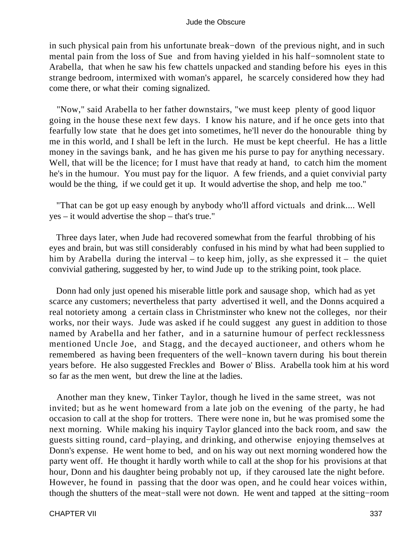in such physical pain from his unfortunate break−down of the previous night, and in such mental pain from the loss of Sue and from having yielded in his half−somnolent state to Arabella, that when he saw his few chattels unpacked and standing before his eyes in this strange bedroom, intermixed with woman's apparel, he scarcely considered how they had come there, or what their coming signalized.

 "Now," said Arabella to her father downstairs, "we must keep plenty of good liquor going in the house these next few days. I know his nature, and if he once gets into that fearfully low state that he does get into sometimes, he'll never do the honourable thing by me in this world, and I shall be left in the lurch. He must be kept cheerful. He has a little money in the savings bank, and he has given me his purse to pay for anything necessary. Well, that will be the licence; for I must have that ready at hand, to catch him the moment he's in the humour. You must pay for the liquor. A few friends, and a quiet convivial party would be the thing, if we could get it up. It would advertise the shop, and help me too."

 "That can be got up easy enough by anybody who'll afford victuals and drink.... Well yes – it would advertise the shop – that's true."

 Three days later, when Jude had recovered somewhat from the fearful throbbing of his eyes and brain, but was still considerably confused in his mind by what had been supplied to him by Arabella during the interval – to keep him, jolly, as she expressed it – the quiet convivial gathering, suggested by her, to wind Jude up to the striking point, took place.

 Donn had only just opened his miserable little pork and sausage shop, which had as yet scarce any customers; nevertheless that party advertised it well, and the Donns acquired a real notoriety among a certain class in Christminster who knew not the colleges, nor their works, nor their ways. Jude was asked if he could suggest any guest in addition to those named by Arabella and her father, and in a saturnine humour of perfect recklessness mentioned Uncle Joe, and Stagg, and the decayed auctioneer, and others whom he remembered as having been frequenters of the well−known tavern during his bout therein years before. He also suggested Freckles and Bower o' Bliss. Arabella took him at his word so far as the men went, but drew the line at the ladies.

 Another man they knew, Tinker Taylor, though he lived in the same street, was not invited; but as he went homeward from a late job on the evening of the party, he had occasion to call at the shop for trotters. There were none in, but he was promised some the next morning. While making his inquiry Taylor glanced into the back room, and saw the guests sitting round, card−playing, and drinking, and otherwise enjoying themselves at Donn's expense. He went home to bed, and on his way out next morning wondered how the party went off. He thought it hardly worth while to call at the shop for his provisions at that hour, Donn and his daughter being probably not up, if they caroused late the night before. However, he found in passing that the door was open, and he could hear voices within, though the shutters of the meat−stall were not down. He went and tapped at the sitting−room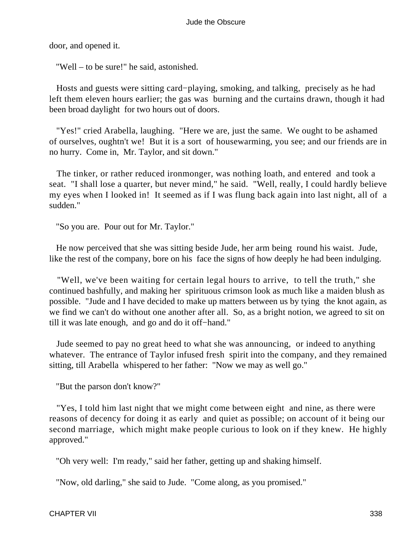door, and opened it.

"Well – to be sure!" he said, astonished.

 Hosts and guests were sitting card−playing, smoking, and talking, precisely as he had left them eleven hours earlier; the gas was burning and the curtains drawn, though it had been broad daylight for two hours out of doors.

 "Yes!" cried Arabella, laughing. "Here we are, just the same. We ought to be ashamed of ourselves, oughtn't we! But it is a sort of housewarming, you see; and our friends are in no hurry. Come in, Mr. Taylor, and sit down."

 The tinker, or rather reduced ironmonger, was nothing loath, and entered and took a seat. "I shall lose a quarter, but never mind," he said. "Well, really, I could hardly believe my eyes when I looked in! It seemed as if I was flung back again into last night, all of a sudden."

"So you are. Pour out for Mr. Taylor."

 He now perceived that she was sitting beside Jude, her arm being round his waist. Jude, like the rest of the company, bore on his face the signs of how deeply he had been indulging.

 "Well, we've been waiting for certain legal hours to arrive, to tell the truth," she continued bashfully, and making her spirituous crimson look as much like a maiden blush as possible. "Jude and I have decided to make up matters between us by tying the knot again, as we find we can't do without one another after all. So, as a bright notion, we agreed to sit on till it was late enough, and go and do it off−hand."

 Jude seemed to pay no great heed to what she was announcing, or indeed to anything whatever. The entrance of Taylor infused fresh spirit into the company, and they remained sitting, till Arabella whispered to her father: "Now we may as well go."

"But the parson don't know?"

 "Yes, I told him last night that we might come between eight and nine, as there were reasons of decency for doing it as early and quiet as possible; on account of it being our second marriage, which might make people curious to look on if they knew. He highly approved."

"Oh very well: I'm ready," said her father, getting up and shaking himself.

"Now, old darling," she said to Jude. "Come along, as you promised."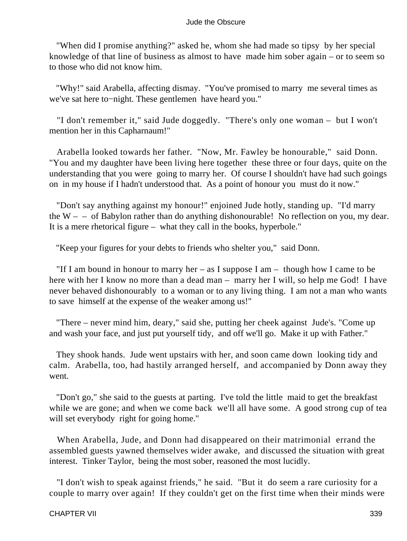"When did I promise anything?" asked he, whom she had made so tipsy by her special knowledge of that line of business as almost to have made him sober again – or to seem so to those who did not know him.

 "Why!" said Arabella, affecting dismay. "You've promised to marry me several times as we've sat here to−night. These gentlemen have heard you."

 "I don't remember it," said Jude doggedly. "There's only one woman – but I won't mention her in this Capharnaum!"

 Arabella looked towards her father. "Now, Mr. Fawley be honourable," said Donn. "You and my daughter have been living here together these three or four days, quite on the understanding that you were going to marry her. Of course I shouldn't have had such goings on in my house if I hadn't understood that. As a point of honour you must do it now."

 "Don't say anything against my honour!" enjoined Jude hotly, standing up. "I'd marry the  $W - -$  of Babylon rather than do anything dishonourable! No reflection on you, my dear. It is a mere rhetorical figure – what they call in the books, hyperbole."

"Keep your figures for your debts to friends who shelter you," said Donn.

"If I am bound in honour to marry her – as I suppose I am – though how I came to be here with her I know no more than a dead man – marry her I will, so help me God! I have never behaved dishonourably to a woman or to any living thing. I am not a man who wants to save himself at the expense of the weaker among us!"

 "There – never mind him, deary," said she, putting her cheek against Jude's. "Come up and wash your face, and just put yourself tidy, and off we'll go. Make it up with Father."

 They shook hands. Jude went upstairs with her, and soon came down looking tidy and calm. Arabella, too, had hastily arranged herself, and accompanied by Donn away they went.

 "Don't go," she said to the guests at parting. I've told the little maid to get the breakfast while we are gone; and when we come back we'll all have some. A good strong cup of tea will set everybody right for going home."

 When Arabella, Jude, and Donn had disappeared on their matrimonial errand the assembled guests yawned themselves wider awake, and discussed the situation with great interest. Tinker Taylor, being the most sober, reasoned the most lucidly.

 "I don't wish to speak against friends," he said. "But it do seem a rare curiosity for a couple to marry over again! If they couldn't get on the first time when their minds were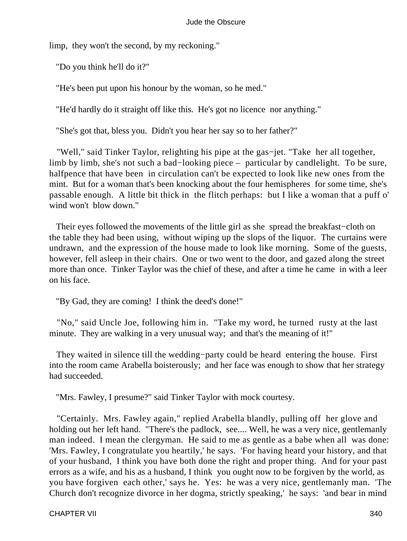limp, they won't the second, by my reckoning."

"Do you think he'll do it?"

"He's been put upon his honour by the woman, so he med."

"He'd hardly do it straight off like this. He's got no licence nor anything."

"She's got that, bless you. Didn't you hear her say so to her father?"

 "Well," said Tinker Taylor, relighting his pipe at the gas−jet. "Take her all together, limb by limb, she's not such a bad−looking piece – particular by candlelight. To be sure, halfpence that have been in circulation can't be expected to look like new ones from the mint. But for a woman that's been knocking about the four hemispheres for some time, she's passable enough. A little bit thick in the flitch perhaps: but I like a woman that a puff o' wind won't blow down."

 Their eyes followed the movements of the little girl as she spread the breakfast−cloth on the table they had been using, without wiping up the slops of the liquor. The curtains were undrawn, and the expression of the house made to look like morning. Some of the guests, however, fell asleep in their chairs. One or two went to the door, and gazed along the street more than once. Tinker Taylor was the chief of these, and after a time he came in with a leer on his face.

"By Gad, they are coming! I think the deed's done!"

 "No," said Uncle Joe, following him in. "Take my word, he turned rusty at the last minute. They are walking in a very unusual way; and that's the meaning of it!"

 They waited in silence till the wedding−party could be heard entering the house. First into the room came Arabella boisterously; and her face was enough to show that her strategy had succeeded.

"Mrs. Fawley, I presume?" said Tinker Taylor with mock courtesy.

 "Certainly. Mrs. Fawley again," replied Arabella blandly, pulling off her glove and holding out her left hand. "There's the padlock, see.... Well, he was a very nice, gentlemanly man indeed. I mean the clergyman. He said to me as gentle as a babe when all was done: 'Mrs. Fawley, I congratulate you heartily,' he says. 'For having heard your history, and that of your husband, I think you have both done the right and proper thing. And for your past errors as a wife, and his as a husband, I think you ought now to be forgiven by the world, as you have forgiven each other,' says he. Yes: he was a very nice, gentlemanly man. 'The Church don't recognize divorce in her dogma, strictly speaking,' he says: 'and bear in mind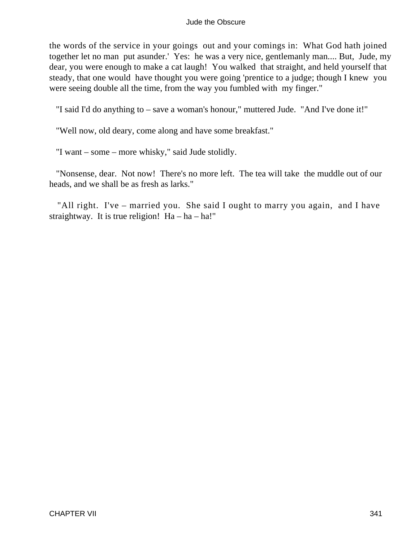the words of the service in your goings out and your comings in: What God hath joined together let no man put asunder.' Yes: he was a very nice, gentlemanly man.... But, Jude, my dear, you were enough to make a cat laugh! You walked that straight, and held yourself that steady, that one would have thought you were going 'prentice to a judge; though I knew you were seeing double all the time, from the way you fumbled with my finger."

"I said I'd do anything to – save a woman's honour," muttered Jude. "And I've done it!"

"Well now, old deary, come along and have some breakfast."

"I want – some – more whisky," said Jude stolidly.

 "Nonsense, dear. Not now! There's no more left. The tea will take the muddle out of our heads, and we shall be as fresh as larks."

 "All right. I've – married you. She said I ought to marry you again, and I have straightway. It is true religion!  $Ha - ha - ha!$ "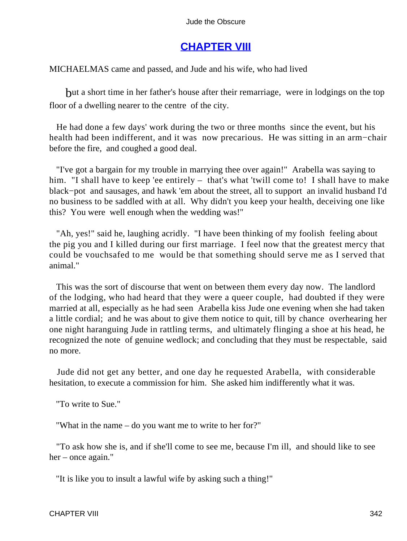# **[CHAPTER VIII](#page-367-0)**

MICHAELMAS came and passed, and Jude and his wife, who had lived

but a short time in her father's house after their remarriage, were in lodgings on the top floor of a dwelling nearer to the centre of the city.

 He had done a few days' work during the two or three months since the event, but his health had been indifferent, and it was now precarious. He was sitting in an arm−chair before the fire, and coughed a good deal.

 "I've got a bargain for my trouble in marrying thee over again!" Arabella was saying to him. "I shall have to keep 'ee entirely – that's what 'twill come to! I shall have to make black−pot and sausages, and hawk 'em about the street, all to support an invalid husband I'd no business to be saddled with at all. Why didn't you keep your health, deceiving one like this? You were well enough when the wedding was!"

 "Ah, yes!" said he, laughing acridly. "I have been thinking of my foolish feeling about the pig you and I killed during our first marriage. I feel now that the greatest mercy that could be vouchsafed to me would be that something should serve me as I served that animal."

 This was the sort of discourse that went on between them every day now. The landlord of the lodging, who had heard that they were a queer couple, had doubted if they were married at all, especially as he had seen Arabella kiss Jude one evening when she had taken a little cordial; and he was about to give them notice to quit, till by chance overhearing her one night haranguing Jude in rattling terms, and ultimately flinging a shoe at his head, he recognized the note of genuine wedlock; and concluding that they must be respectable, said no more.

 Jude did not get any better, and one day he requested Arabella, with considerable hesitation, to execute a commission for him. She asked him indifferently what it was.

"To write to Sue."

"What in the name – do you want me to write to her for?"

 "To ask how she is, and if she'll come to see me, because I'm ill, and should like to see her – once again."

"It is like you to insult a lawful wife by asking such a thing!"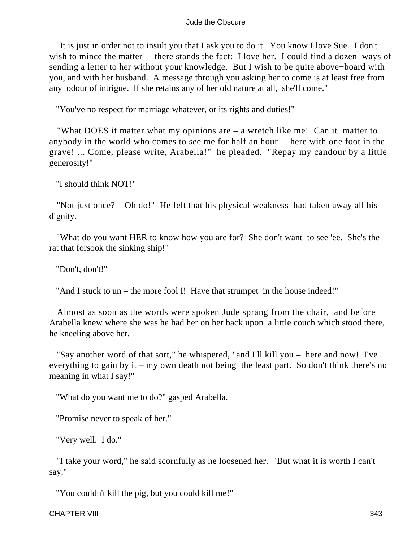"It is just in order not to insult you that I ask you to do it. You know I love Sue. I don't wish to mince the matter – there stands the fact: I love her. I could find a dozen ways of sending a letter to her without your knowledge. But I wish to be quite above−board with you, and with her husband. A message through you asking her to come is at least free from any odour of intrigue. If she retains any of her old nature at all, she'll come."

"You've no respect for marriage whatever, or its rights and duties!"

 "What DOES it matter what my opinions are – a wretch like me! Can it matter to anybody in the world who comes to see me for half an hour – here with one foot in the grave! ... Come, please write, Arabella!" he pleaded. "Repay my candour by a little generosity!"

"I should think NOT!"

 "Not just once? – Oh do!" He felt that his physical weakness had taken away all his dignity.

 "What do you want HER to know how you are for? She don't want to see 'ee. She's the rat that forsook the sinking ship!"

"Don't, don't!"

"And I stuck to un – the more fool I! Have that strumpet in the house indeed!"

 Almost as soon as the words were spoken Jude sprang from the chair, and before Arabella knew where she was he had her on her back upon a little couch which stood there, he kneeling above her.

 "Say another word of that sort," he whispered, "and I'll kill you – here and now! I've everything to gain by it – my own death not being the least part. So don't think there's no meaning in what I say!"

"What do you want me to do?" gasped Arabella.

"Promise never to speak of her."

"Very well. I do."

 "I take your word," he said scornfully as he loosened her. "But what it is worth I can't say."

"You couldn't kill the pig, but you could kill me!"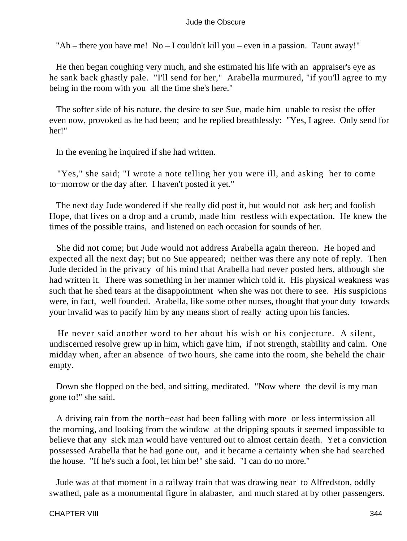"Ah – there you have me! No – I couldn't kill you – even in a passion. Taunt away!"

 He then began coughing very much, and she estimated his life with an appraiser's eye as he sank back ghastly pale. "I'll send for her," Arabella murmured, "if you'll agree to my being in the room with you all the time she's here."

 The softer side of his nature, the desire to see Sue, made him unable to resist the offer even now, provoked as he had been; and he replied breathlessly: "Yes, I agree. Only send for her!"

In the evening he inquired if she had written.

 "Yes," she said; "I wrote a note telling her you were ill, and asking her to come to−morrow or the day after. I haven't posted it yet."

 The next day Jude wondered if she really did post it, but would not ask her; and foolish Hope, that lives on a drop and a crumb, made him restless with expectation. He knew the times of the possible trains, and listened on each occasion for sounds of her.

 She did not come; but Jude would not address Arabella again thereon. He hoped and expected all the next day; but no Sue appeared; neither was there any note of reply. Then Jude decided in the privacy of his mind that Arabella had never posted hers, although she had written it. There was something in her manner which told it. His physical weakness was such that he shed tears at the disappointment when she was not there to see. His suspicions were, in fact, well founded. Arabella, like some other nurses, thought that your duty towards your invalid was to pacify him by any means short of really acting upon his fancies.

 He never said another word to her about his wish or his conjecture. A silent, undiscerned resolve grew up in him, which gave him, if not strength, stability and calm. One midday when, after an absence of two hours, she came into the room, she beheld the chair empty.

 Down she flopped on the bed, and sitting, meditated. "Now where the devil is my man gone to!" she said.

 A driving rain from the north−east had been falling with more or less intermission all the morning, and looking from the window at the dripping spouts it seemed impossible to believe that any sick man would have ventured out to almost certain death. Yet a conviction possessed Arabella that he had gone out, and it became a certainty when she had searched the house. "If he's such a fool, let him be!" she said. "I can do no more."

 Jude was at that moment in a railway train that was drawing near to Alfredston, oddly swathed, pale as a monumental figure in alabaster, and much stared at by other passengers.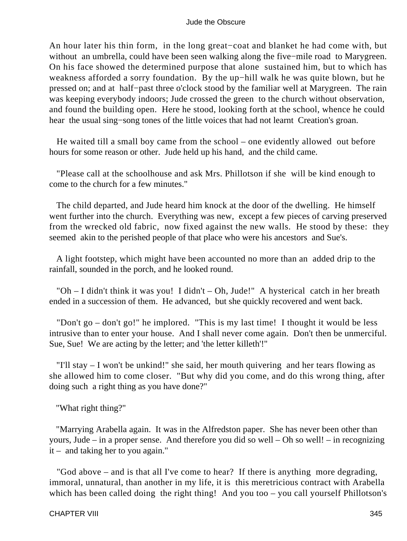An hour later his thin form, in the long great−coat and blanket he had come with, but without an umbrella, could have been seen walking along the five−mile road to Marygreen. On his face showed the determined purpose that alone sustained him, but to which has weakness afforded a sorry foundation. By the up−hill walk he was quite blown, but he pressed on; and at half−past three o'clock stood by the familiar well at Marygreen. The rain was keeping everybody indoors; Jude crossed the green to the church without observation, and found the building open. Here he stood, looking forth at the school, whence he could hear the usual sing−song tones of the little voices that had not learnt Creation's groan.

 He waited till a small boy came from the school – one evidently allowed out before hours for some reason or other. Jude held up his hand, and the child came.

 "Please call at the schoolhouse and ask Mrs. Phillotson if she will be kind enough to come to the church for a few minutes."

 The child departed, and Jude heard him knock at the door of the dwelling. He himself went further into the church. Everything was new, except a few pieces of carving preserved from the wrecked old fabric, now fixed against the new walls. He stood by these: they seemed akin to the perished people of that place who were his ancestors and Sue's.

 A light footstep, which might have been accounted no more than an added drip to the rainfall, sounded in the porch, and he looked round.

 "Oh – I didn't think it was you! I didn't – Oh, Jude!" A hysterical catch in her breath ended in a succession of them. He advanced, but she quickly recovered and went back.

"Don't go – don't go!" he implored. "This is my last time! I thought it would be less intrusive than to enter your house. And I shall never come again. Don't then be unmerciful. Sue, Sue! We are acting by the letter; and 'the letter killeth'!"

 "I'll stay – I won't be unkind!" she said, her mouth quivering and her tears flowing as she allowed him to come closer. "But why did you come, and do this wrong thing, after doing such a right thing as you have done?"

"What right thing?"

 "Marrying Arabella again. It was in the Alfredston paper. She has never been other than yours, Jude – in a proper sense. And therefore you did so well – Oh so well! – in recognizing it – and taking her to you again."

 "God above – and is that all I've come to hear? If there is anything more degrading, immoral, unnatural, than another in my life, it is this meretricious contract with Arabella which has been called doing the right thing! And you too – you call yourself Phillotson's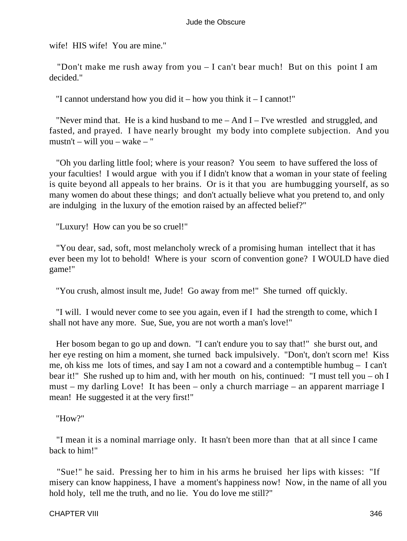wife! HIS wife! You are mine."

 "Don't make me rush away from you – I can't bear much! But on this point I am decided."

"I cannot understand how you did it – how you think it – I cannot!"

"Never mind that. He is a kind husband to me  $-$  And I  $-$  I've wrestled and struggled, and fasted, and prayed. I have nearly brought my body into complete subjection. And you mustn't – will you – wake – "

 "Oh you darling little fool; where is your reason? You seem to have suffered the loss of your faculties! I would argue with you if I didn't know that a woman in your state of feeling is quite beyond all appeals to her brains. Or is it that you are humbugging yourself, as so many women do about these things; and don't actually believe what you pretend to, and only are indulging in the luxury of the emotion raised by an affected belief?"

"Luxury! How can you be so cruel!"

 "You dear, sad, soft, most melancholy wreck of a promising human intellect that it has ever been my lot to behold! Where is your scorn of convention gone? I WOULD have died game!"

"You crush, almost insult me, Jude! Go away from me!" She turned off quickly.

 "I will. I would never come to see you again, even if I had the strength to come, which I shall not have any more. Sue, Sue, you are not worth a man's love!"

 Her bosom began to go up and down. "I can't endure you to say that!" she burst out, and her eye resting on him a moment, she turned back impulsively. "Don't, don't scorn me! Kiss me, oh kiss me lots of times, and say I am not a coward and a contemptible humbug – I can't bear it!" She rushed up to him and, with her mouth on his, continued: "I must tell you – oh I must – my darling Love! It has been – only a church marriage – an apparent marriage I mean! He suggested it at the very first!"

"How?"

 "I mean it is a nominal marriage only. It hasn't been more than that at all since I came back to him!"

 "Sue!" he said. Pressing her to him in his arms he bruised her lips with kisses: "If misery can know happiness, I have a moment's happiness now! Now, in the name of all you hold holy, tell me the truth, and no lie. You do love me still?"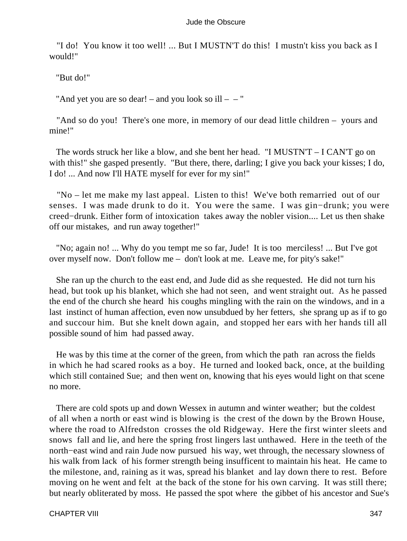"I do! You know it too well! ... But I MUSTN'T do this! I mustn't kiss you back as I would!"

"But do!"

"And yet you are so dear! – and you look so ill –  $-$  "

 "And so do you! There's one more, in memory of our dead little children – yours and mine!"

 The words struck her like a blow, and she bent her head. "I MUSTN'T – I CAN'T go on with this!" she gasped presently. "But there, there, darling; I give you back your kisses; I do, I do! ... And now I'll HATE myself for ever for my sin!"

 "No – let me make my last appeal. Listen to this! We've both remarried out of our senses. I was made drunk to do it. You were the same. I was gin−drunk; you were creed−drunk. Either form of intoxication takes away the nobler vision.... Let us then shake off our mistakes, and run away together!"

 "No; again no! ... Why do you tempt me so far, Jude! It is too merciless! ... But I've got over myself now. Don't follow me – don't look at me. Leave me, for pity's sake!"

 She ran up the church to the east end, and Jude did as she requested. He did not turn his head, but took up his blanket, which she had not seen, and went straight out. As he passed the end of the church she heard his coughs mingling with the rain on the windows, and in a last instinct of human affection, even now unsubdued by her fetters, she sprang up as if to go and succour him. But she knelt down again, and stopped her ears with her hands till all possible sound of him had passed away.

 He was by this time at the corner of the green, from which the path ran across the fields in which he had scared rooks as a boy. He turned and looked back, once, at the building which still contained Sue; and then went on, knowing that his eyes would light on that scene no more.

 There are cold spots up and down Wessex in autumn and winter weather; but the coldest of all when a north or east wind is blowing is the crest of the down by the Brown House, where the road to Alfredston crosses the old Ridgeway. Here the first winter sleets and snows fall and lie, and here the spring frost lingers last unthawed. Here in the teeth of the north−east wind and rain Jude now pursued his way, wet through, the necessary slowness of his walk from lack of his former strength being insufficent to maintain his heat. He came to the milestone, and, raining as it was, spread his blanket and lay down there to rest. Before moving on he went and felt at the back of the stone for his own carving. It was still there; but nearly obliterated by moss. He passed the spot where the gibbet of his ancestor and Sue's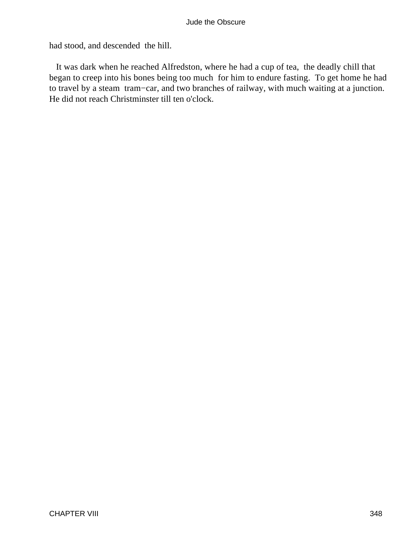had stood, and descended the hill.

 It was dark when he reached Alfredston, where he had a cup of tea, the deadly chill that began to creep into his bones being too much for him to endure fasting. To get home he had to travel by a steam tram−car, and two branches of railway, with much waiting at a junction. He did not reach Christminster till ten o'clock.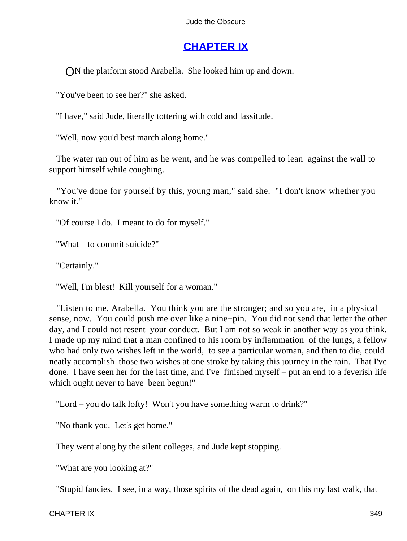## **[CHAPTER IX](#page-367-0)**

ON the platform stood Arabella. She looked him up and down.

"You've been to see her?" she asked.

"I have," said Jude, literally tottering with cold and lassitude.

"Well, now you'd best march along home."

 The water ran out of him as he went, and he was compelled to lean against the wall to support himself while coughing.

 "You've done for yourself by this, young man," said she. "I don't know whether you know it."

"Of course I do. I meant to do for myself."

"What – to commit suicide?"

"Certainly."

"Well, I'm blest! Kill yourself for a woman."

 "Listen to me, Arabella. You think you are the stronger; and so you are, in a physical sense, now. You could push me over like a nine−pin. You did not send that letter the other day, and I could not resent your conduct. But I am not so weak in another way as you think. I made up my mind that a man confined to his room by inflammation of the lungs, a fellow who had only two wishes left in the world, to see a particular woman, and then to die, could neatly accomplish those two wishes at one stroke by taking this journey in the rain. That I've done. I have seen her for the last time, and I've finished myself – put an end to a feverish life which ought never to have been begun!"

"Lord – you do talk lofty! Won't you have something warm to drink?"

"No thank you. Let's get home."

They went along by the silent colleges, and Jude kept stopping.

"What are you looking at?"

"Stupid fancies. I see, in a way, those spirits of the dead again, on this my last walk, that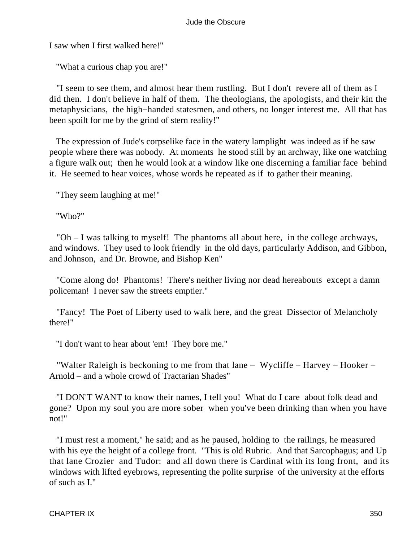I saw when I first walked here!"

"What a curious chap you are!"

 "I seem to see them, and almost hear them rustling. But I don't revere all of them as I did then. I don't believe in half of them. The theologians, the apologists, and their kin the metaphysicians, the high−handed statesmen, and others, no longer interest me. All that has been spoilt for me by the grind of stern reality!"

 The expression of Jude's corpselike face in the watery lamplight was indeed as if he saw people where there was nobody. At moments he stood still by an archway, like one watching a figure walk out; then he would look at a window like one discerning a familiar face behind it. He seemed to hear voices, whose words he repeated as if to gather their meaning.

"They seem laughing at me!"

"Who?"

 "Oh – I was talking to myself! The phantoms all about here, in the college archways, and windows. They used to look friendly in the old days, particularly Addison, and Gibbon, and Johnson, and Dr. Browne, and Bishop Ken"

 "Come along do! Phantoms! There's neither living nor dead hereabouts except a damn policeman! I never saw the streets emptier."

 "Fancy! The Poet of Liberty used to walk here, and the great Dissector of Melancholy there!"

"I don't want to hear about 'em! They bore me."

 "Walter Raleigh is beckoning to me from that lane – Wycliffe – Harvey – Hooker – Arnold – and a whole crowd of Tractarian Shades"

 "I DON'T WANT to know their names, I tell you! What do I care about folk dead and gone? Upon my soul you are more sober when you've been drinking than when you have not!"

 "I must rest a moment," he said; and as he paused, holding to the railings, he measured with his eye the height of a college front. "This is old Rubric. And that Sarcophagus; and Up that lane Crozier and Tudor: and all down there is Cardinal with its long front, and its windows with lifted eyebrows, representing the polite surprise of the university at the efforts of such as I."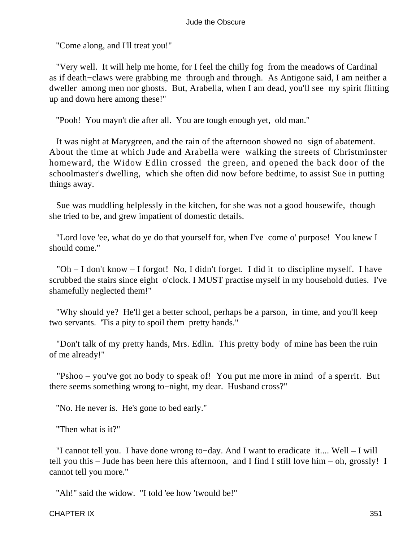"Come along, and I'll treat you!"

 "Very well. It will help me home, for I feel the chilly fog from the meadows of Cardinal as if death−claws were grabbing me through and through. As Antigone said, I am neither a dweller among men nor ghosts. But, Arabella, when I am dead, you'll see my spirit flitting up and down here among these!"

"Pooh! You mayn't die after all. You are tough enough yet, old man."

 It was night at Marygreen, and the rain of the afternoon showed no sign of abatement. About the time at which Jude and Arabella were walking the streets of Christminster homeward, the Widow Edlin crossed the green, and opened the back door of the schoolmaster's dwelling, which she often did now before bedtime, to assist Sue in putting things away.

 Sue was muddling helplessly in the kitchen, for she was not a good housewife, though she tried to be, and grew impatient of domestic details.

 "Lord love 'ee, what do ye do that yourself for, when I've come o' purpose! You knew I should come."

 "Oh – I don't know – I forgot! No, I didn't forget. I did it to discipline myself. I have scrubbed the stairs since eight o'clock. I MUST practise myself in my household duties. I've shamefully neglected them!"

 "Why should ye? He'll get a better school, perhaps be a parson, in time, and you'll keep two servants. 'Tis a pity to spoil them pretty hands."

 "Don't talk of my pretty hands, Mrs. Edlin. This pretty body of mine has been the ruin of me already!"

 "Pshoo – you've got no body to speak of! You put me more in mind of a sperrit. But there seems something wrong to−night, my dear. Husband cross?"

"No. He never is. He's gone to bed early."

"Then what is it?"

 "I cannot tell you. I have done wrong to−day. And I want to eradicate it.... Well – I will tell you this – Jude has been here this afternoon, and I find I still love him – oh, grossly! I cannot tell you more."

"Ah!" said the widow. "I told 'ee how 'twould be!"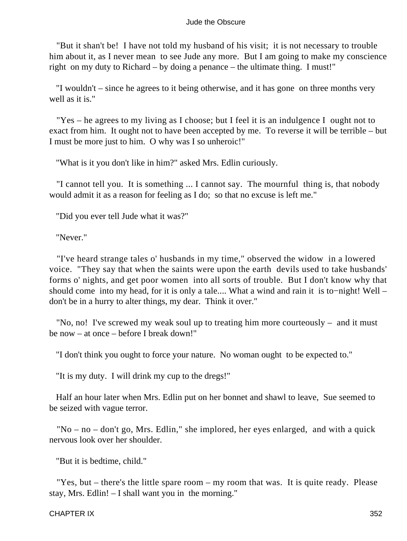"But it shan't be! I have not told my husband of his visit; it is not necessary to trouble him about it, as I never mean to see Jude any more. But I am going to make my conscience right on my duty to Richard – by doing a penance – the ultimate thing. I must!"

 "I wouldn't – since he agrees to it being otherwise, and it has gone on three months very well as it is."

 "Yes – he agrees to my living as I choose; but I feel it is an indulgence I ought not to exact from him. It ought not to have been accepted by me. To reverse it will be terrible – but I must be more just to him. O why was I so unheroic!"

"What is it you don't like in him?" asked Mrs. Edlin curiously.

 "I cannot tell you. It is something ... I cannot say. The mournful thing is, that nobody would admit it as a reason for feeling as I do; so that no excuse is left me."

"Did you ever tell Jude what it was?"

"Never."

 "I've heard strange tales o' husbands in my time," observed the widow in a lowered voice. "They say that when the saints were upon the earth devils used to take husbands' forms o' nights, and get poor women into all sorts of trouble. But I don't know why that should come into my head, for it is only a tale.... What a wind and rain it is to−night! Well – don't be in a hurry to alter things, my dear. Think it over."

 "No, no! I've screwed my weak soul up to treating him more courteously – and it must be now – at once – before I break down!"

"I don't think you ought to force your nature. No woman ought to be expected to."

"It is my duty. I will drink my cup to the dregs!"

 Half an hour later when Mrs. Edlin put on her bonnet and shawl to leave, Sue seemed to be seized with vague terror.

 "No – no – don't go, Mrs. Edlin," she implored, her eyes enlarged, and with a quick nervous look over her shoulder.

"But it is bedtime, child."

"Yes, but – there's the little spare room – my room that was. It is quite ready. Please stay, Mrs. Edlin! – I shall want you in the morning."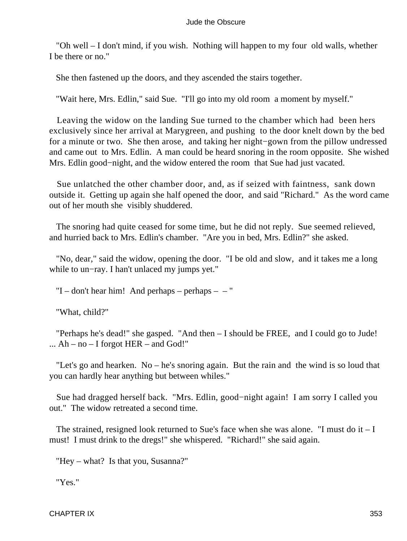"Oh well – I don't mind, if you wish. Nothing will happen to my four old walls, whether I be there or no."

She then fastened up the doors, and they ascended the stairs together.

"Wait here, Mrs. Edlin," said Sue. "I'll go into my old room a moment by myself."

 Leaving the widow on the landing Sue turned to the chamber which had been hers exclusively since her arrival at Marygreen, and pushing to the door knelt down by the bed for a minute or two. She then arose, and taking her night−gown from the pillow undressed and came out to Mrs. Edlin. A man could be heard snoring in the room opposite. She wished Mrs. Edlin good−night, and the widow entered the room that Sue had just vacated.

 Sue unlatched the other chamber door, and, as if seized with faintness, sank down outside it. Getting up again she half opened the door, and said "Richard." As the word came out of her mouth she visibly shuddered.

 The snoring had quite ceased for some time, but he did not reply. Sue seemed relieved, and hurried back to Mrs. Edlin's chamber. "Are you in bed, Mrs. Edlin?" she asked.

 "No, dear," said the widow, opening the door. "I be old and slow, and it takes me a long while to un−ray. I han't unlaced my jumps yet."

"I – don't hear him! And perhaps – perhaps –  $-$  "

"What, child?"

 "Perhaps he's dead!" she gasped. "And then – I should be FREE, and I could go to Jude!  $\ldots$  Ah – no – I forgot HER – and God!"

 "Let's go and hearken. No – he's snoring again. But the rain and the wind is so loud that you can hardly hear anything but between whiles."

 Sue had dragged herself back. "Mrs. Edlin, good−night again! I am sorry I called you out." The widow retreated a second time.

The strained, resigned look returned to Sue's face when she was alone. "I must do it  $-I$ must! I must drink to the dregs!" she whispered. "Richard!" she said again.

"Hey – what? Is that you, Susanna?"

"Yes."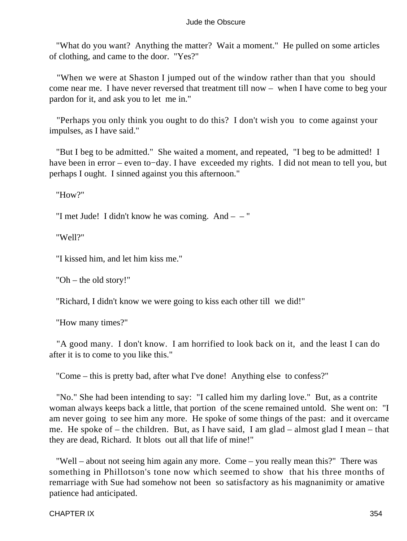"What do you want? Anything the matter? Wait a moment." He pulled on some articles of clothing, and came to the door. "Yes?"

 "When we were at Shaston I jumped out of the window rather than that you should come near me. I have never reversed that treatment till now – when I have come to beg your pardon for it, and ask you to let me in."

 "Perhaps you only think you ought to do this? I don't wish you to come against your impulses, as I have said."

 "But I beg to be admitted." She waited a moment, and repeated, "I beg to be admitted! I have been in error – even to−day. I have exceeded my rights. I did not mean to tell you, but perhaps I ought. I sinned against you this afternoon."

"How?"

"I met Jude! I didn't know he was coming. And – – "

"Well?"

"I kissed him, and let him kiss me."

"Oh – the old story!"

"Richard, I didn't know we were going to kiss each other till we did!"

"How many times?"

 "A good many. I don't know. I am horrified to look back on it, and the least I can do after it is to come to you like this."

"Come – this is pretty bad, after what I've done! Anything else to confess?"

 "No." She had been intending to say: "I called him my darling love." But, as a contrite woman always keeps back a little, that portion of the scene remained untold. She went on: "I am never going to see him any more. He spoke of some things of the past: and it overcame me. He spoke of – the children. But, as I have said, I am glad – almost glad I mean – that they are dead, Richard. It blots out all that life of mine!"

 "Well – about not seeing him again any more. Come – you really mean this?" There was something in Phillotson's tone now which seemed to show that his three months of remarriage with Sue had somehow not been so satisfactory as his magnanimity or amative patience had anticipated.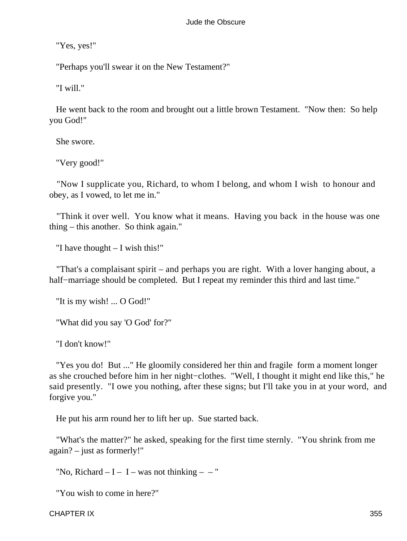"Yes, yes!"

"Perhaps you'll swear it on the New Testament?"

"I will."

 He went back to the room and brought out a little brown Testament. "Now then: So help you God!"

She swore.

"Very good!"

 "Now I supplicate you, Richard, to whom I belong, and whom I wish to honour and obey, as I vowed, to let me in."

 "Think it over well. You know what it means. Having you back in the house was one thing – this another. So think again."

"I have thought – I wish this!"

 "That's a complaisant spirit – and perhaps you are right. With a lover hanging about, a half−marriage should be completed. But I repeat my reminder this third and last time."

"It is my wish! ... O God!"

"What did you say 'O God' for?"

"I don't know!"

 "Yes you do! But ..." He gloomily considered her thin and fragile form a moment longer as she crouched before him in her night−clothes. "Well, I thought it might end like this," he said presently. "I owe you nothing, after these signs; but I'll take you in at your word, and forgive you."

He put his arm round her to lift her up. Sue started back.

 "What's the matter?" he asked, speaking for the first time sternly. "You shrink from me again? – just as formerly!"

"No, Richard  $-I - I - was not thinking - -$ "

"You wish to come in here?"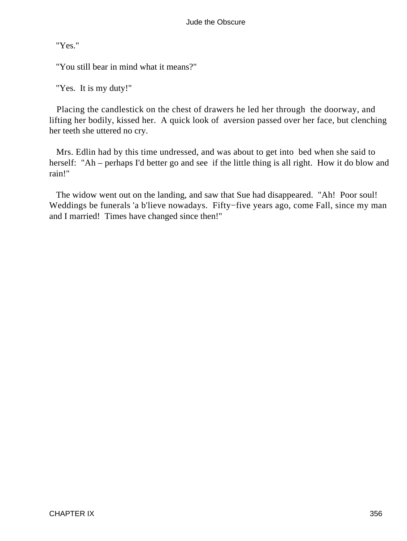"Yes."

"You still bear in mind what it means?"

"Yes. It is my duty!"

 Placing the candlestick on the chest of drawers he led her through the doorway, and lifting her bodily, kissed her. A quick look of aversion passed over her face, but clenching her teeth she uttered no cry.

 Mrs. Edlin had by this time undressed, and was about to get into bed when she said to herself: "Ah – perhaps I'd better go and see if the little thing is all right. How it do blow and rain!"

 The widow went out on the landing, and saw that Sue had disappeared. "Ah! Poor soul! Weddings be funerals 'a b'lieve nowadays. Fifty−five years ago, come Fall, since my man and I married! Times have changed since then!"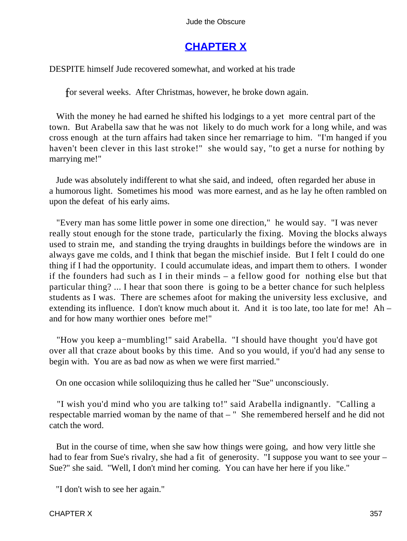# **[CHAPTER X](#page-367-0)**

DESPITE himself Jude recovered somewhat, and worked at his trade

for several weeks. After Christmas, however, he broke down again.

 With the money he had earned he shifted his lodgings to a yet more central part of the town. But Arabella saw that he was not likely to do much work for a long while, and was cross enough at the turn affairs had taken since her remarriage to him. "I'm hanged if you haven't been clever in this last stroke!" she would say, "to get a nurse for nothing by marrying me!"

 Jude was absolutely indifferent to what she said, and indeed, often regarded her abuse in a humorous light. Sometimes his mood was more earnest, and as he lay he often rambled on upon the defeat of his early aims.

 "Every man has some little power in some one direction," he would say. "I was never really stout enough for the stone trade, particularly the fixing. Moving the blocks always used to strain me, and standing the trying draughts in buildings before the windows are in always gave me colds, and I think that began the mischief inside. But I felt I could do one thing if I had the opportunity. I could accumulate ideas, and impart them to others. I wonder if the founders had such as I in their minds – a fellow good for nothing else but that particular thing? ... I hear that soon there is going to be a better chance for such helpless students as I was. There are schemes afoot for making the university less exclusive, and extending its influence. I don't know much about it. And it is too late, too late for me! Ah – and for how many worthier ones before me!"

 "How you keep a−mumbling!" said Arabella. "I should have thought you'd have got over all that craze about books by this time. And so you would, if you'd had any sense to begin with. You are as bad now as when we were first married."

On one occasion while soliloquizing thus he called her "Sue" unconsciously.

 "I wish you'd mind who you are talking to!" said Arabella indignantly. "Calling a respectable married woman by the name of that – " She remembered herself and he did not catch the word.

 But in the course of time, when she saw how things were going, and how very little she had to fear from Sue's rivalry, she had a fit of generosity. "I suppose you want to see your – Sue?" she said. "Well, I don't mind her coming. You can have her here if you like."

"I don't wish to see her again."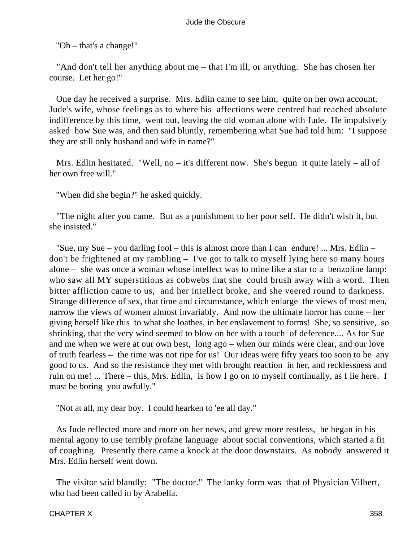"Oh – that's a change!"

 "And don't tell her anything about me – that I'm ill, or anything. She has chosen her course. Let her go!"

 One day he received a surprise. Mrs. Edlin came to see him, quite on her own account. Jude's wife, whose feelings as to where his affections were centred had reached absolute indifference by this time, went out, leaving the old woman alone with Jude. He impulsively asked how Sue was, and then said bluntly, remembering what Sue had told him: "I suppose they are still only husband and wife in name?"

Mrs. Edlin hesitated. "Well, no – it's different now. She's begun it quite lately – all of her own free will."

"When did she begin?" he asked quickly.

 "The night after you came. But as a punishment to her poor self. He didn't wish it, but she insisted."

 "Sue, my Sue – you darling fool – this is almost more than I can endure! ... Mrs. Edlin – don't be frightened at my rambling – I've got to talk to myself lying here so many hours alone – she was once a woman whose intellect was to mine like a star to a benzoline lamp: who saw all MY superstitions as cobwebs that she could brush away with a word. Then bitter affliction came to us, and her intellect broke, and she veered round to darkness. Strange difference of sex, that time and circumstance, which enlarge the views of most men, narrow the views of women almost invariably. And now the ultimate horror has come – her giving herself like this to what she loathes, in her enslavement to forms! She, so sensitive, so shrinking, that the very wind seemed to blow on her with a touch of deference.... As for Sue and me when we were at our own best, long ago – when our minds were clear, and our love of truth fearless – the time was not ripe for us! Our ideas were fifty years too soon to be any good to us. And so the resistance they met with brought reaction in her, and recklessness and ruin on me! ... There – this, Mrs. Edlin, is how I go on to myself continually, as I lie here. I must be boring you awfully."

"Not at all, my dear boy. I could hearken to 'ee all day."

 As Jude reflected more and more on her news, and grew more restless, he began in his mental agony to use terribly profane language about social conventions, which started a fit of coughing. Presently there came a knock at the door downstairs. As nobody answered it Mrs. Edlin herself went down.

 The visitor said blandly: "The doctor." The lanky form was that of Physician Vilbert, who had been called in by Arabella.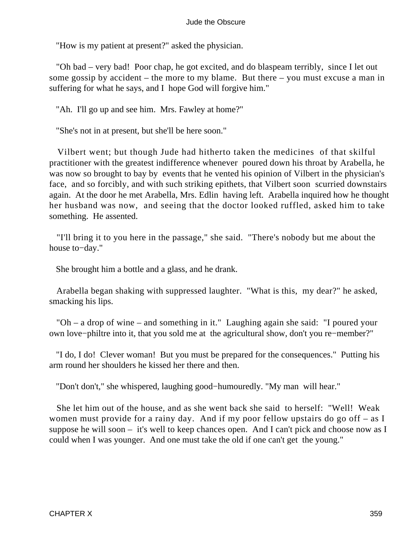"How is my patient at present?" asked the physician.

 "Oh bad – very bad! Poor chap, he got excited, and do blaspeam terribly, since I let out some gossip by accident – the more to my blame. But there – you must excuse a man in suffering for what he says, and I hope God will forgive him."

"Ah. I'll go up and see him. Mrs. Fawley at home?"

"She's not in at present, but she'll be here soon."

 Vilbert went; but though Jude had hitherto taken the medicines of that skilful practitioner with the greatest indifference whenever poured down his throat by Arabella, he was now so brought to bay by events that he vented his opinion of Vilbert in the physician's face, and so forcibly, and with such striking epithets, that Vilbert soon scurried downstairs again. At the door he met Arabella, Mrs. Edlin having left. Arabella inquired how he thought her husband was now, and seeing that the doctor looked ruffled, asked him to take something. He assented.

 "I'll bring it to you here in the passage," she said. "There's nobody but me about the house to−day."

She brought him a bottle and a glass, and he drank.

 Arabella began shaking with suppressed laughter. "What is this, my dear?" he asked, smacking his lips.

 "Oh – a drop of wine – and something in it." Laughing again she said: "I poured your own love−philtre into it, that you sold me at the agricultural show, don't you re−member?"

 "I do, I do! Clever woman! But you must be prepared for the consequences." Putting his arm round her shoulders he kissed her there and then.

"Don't don't," she whispered, laughing good−humouredly. "My man will hear."

 She let him out of the house, and as she went back she said to herself: "Well! Weak women must provide for a rainy day. And if my poor fellow upstairs do go off – as I suppose he will soon – it's well to keep chances open. And I can't pick and choose now as I could when I was younger. And one must take the old if one can't get the young."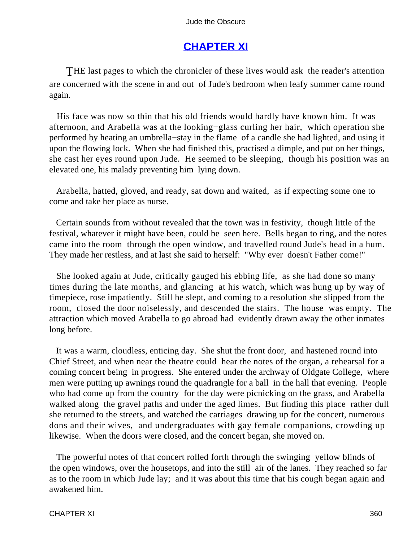## **[CHAPTER XI](#page-367-0)**

<span id="page-360-0"></span>THE last pages to which the chronicler of these lives would ask the reader's attention are concerned with the scene in and out of Jude's bedroom when leafy summer came round again.

 His face was now so thin that his old friends would hardly have known him. It was afternoon, and Arabella was at the looking−glass curling her hair, which operation she performed by heating an umbrella−stay in the flame of a candle she had lighted, and using it upon the flowing lock. When she had finished this, practised a dimple, and put on her things, she cast her eyes round upon Jude. He seemed to be sleeping, though his position was an elevated one, his malady preventing him lying down.

 Arabella, hatted, gloved, and ready, sat down and waited, as if expecting some one to come and take her place as nurse.

 Certain sounds from without revealed that the town was in festivity, though little of the festival, whatever it might have been, could be seen here. Bells began to ring, and the notes came into the room through the open window, and travelled round Jude's head in a hum. They made her restless, and at last she said to herself: "Why ever doesn't Father come!"

 She looked again at Jude, critically gauged his ebbing life, as she had done so many times during the late months, and glancing at his watch, which was hung up by way of timepiece, rose impatiently. Still he slept, and coming to a resolution she slipped from the room, closed the door noiselessly, and descended the stairs. The house was empty. The attraction which moved Arabella to go abroad had evidently drawn away the other inmates long before.

 It was a warm, cloudless, enticing day. She shut the front door, and hastened round into Chief Street, and when near the theatre could hear the notes of the organ, a rehearsal for a coming concert being in progress. She entered under the archway of Oldgate College, where men were putting up awnings round the quadrangle for a ball in the hall that evening. People who had come up from the country for the day were picnicking on the grass, and Arabella walked along the gravel paths and under the aged limes. But finding this place rather dull she returned to the streets, and watched the carriages drawing up for the concert, numerous dons and their wives, and undergraduates with gay female companions, crowding up likewise. When the doors were closed, and the concert began, she moved on.

 The powerful notes of that concert rolled forth through the swinging yellow blinds of the open windows, over the housetops, and into the still air of the lanes. They reached so far as to the room in which Jude lay; and it was about this time that his cough began again and awakened him.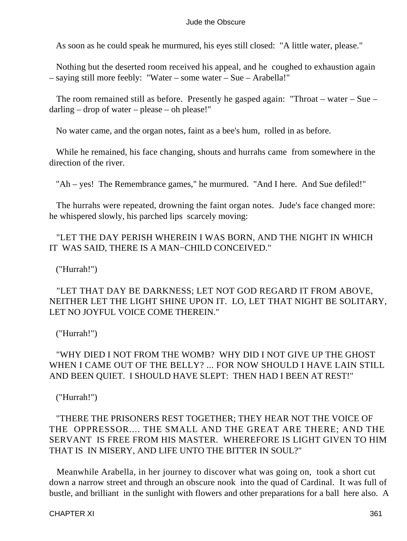As soon as he could speak he murmured, his eyes still closed: "A little water, please."

 Nothing but the deserted room received his appeal, and he coughed to exhaustion again – saying still more feebly: "Water – some water – Sue – Arabella!"

 The room remained still as before. Presently he gasped again: "Throat – water – Sue – darling – drop of water – please – oh please!"

No water came, and the organ notes, faint as a bee's hum, rolled in as before.

 While he remained, his face changing, shouts and hurrahs came from somewhere in the direction of the river.

"Ah – yes! The Remembrance games," he murmured. "And I here. And Sue defiled!"

 The hurrahs were repeated, drowning the faint organ notes. Jude's face changed more: he whispered slowly, his parched lips scarcely moving:

### "LET THE DAY PERISH WHEREIN I WAS BORN, AND THE NIGHT IN WHICH IT WAS SAID, THERE IS A MAN−CHILD CONCEIVED."

("Hurrah!")

### "LET THAT DAY BE DARKNESS; LET NOT GOD REGARD IT FROM ABOVE, NEITHER LET THE LIGHT SHINE UPON IT. LO, LET THAT NIGHT BE SOLITARY, LET NO JOYFUL VOICE COME THEREIN."

("Hurrah!")

### "WHY DIED I NOT FROM THE WOMB? WHY DID I NOT GIVE UP THE GHOST WHEN I CAME OUT OF THE BELLY? ... FOR NOW SHOULD I HAVE LAIN STILL AND BEEN QUIET. I SHOULD HAVE SLEPT: THEN HAD I BEEN AT REST!"

("Hurrah!")

### "THERE THE PRISONERS REST TOGETHER; THEY HEAR NOT THE VOICE OF THE OPPRESSOR.... THE SMALL AND THE GREAT ARE THERE; AND THE SERVANT IS FREE FROM HIS MASTER. WHEREFORE IS LIGHT GIVEN TO HIM THAT IS IN MISERY, AND LIFE UNTO THE BITTER IN SOUL?"

 Meanwhile Arabella, in her journey to discover what was going on, took a short cut down a narrow street and through an obscure nook into the quad of Cardinal. It was full of bustle, and brilliant in the sunlight with flowers and other preparations for a ball here also. A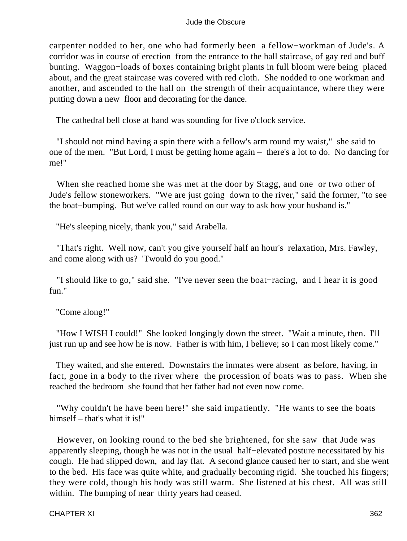carpenter nodded to her, one who had formerly been a fellow−workman of Jude's. A corridor was in course of erection from the entrance to the hall staircase, of gay red and buff bunting. Waggon−loads of boxes containing bright plants in full bloom were being placed about, and the great staircase was covered with red cloth. She nodded to one workman and another, and ascended to the hall on the strength of their acquaintance, where they were putting down a new floor and decorating for the dance.

The cathedral bell close at hand was sounding for five o'clock service.

 "I should not mind having a spin there with a fellow's arm round my waist," she said to one of the men. "But Lord, I must be getting home again – there's a lot to do. No dancing for me!"

 When she reached home she was met at the door by Stagg, and one or two other of Jude's fellow stoneworkers. "We are just going down to the river," said the former, "to see the boat−bumping. But we've called round on our way to ask how your husband is."

"He's sleeping nicely, thank you," said Arabella.

 "That's right. Well now, can't you give yourself half an hour's relaxation, Mrs. Fawley, and come along with us? 'Twould do you good."

 "I should like to go," said she. "I've never seen the boat−racing, and I hear it is good fun."

"Come along!"

 "How I WISH I could!" She looked longingly down the street. "Wait a minute, then. I'll just run up and see how he is now. Father is with him, I believe; so I can most likely come."

 They waited, and she entered. Downstairs the inmates were absent as before, having, in fact, gone in a body to the river where the procession of boats was to pass. When she reached the bedroom she found that her father had not even now come.

 "Why couldn't he have been here!" she said impatiently. "He wants to see the boats himself – that's what it is!"

 However, on looking round to the bed she brightened, for she saw that Jude was apparently sleeping, though he was not in the usual half−elevated posture necessitated by his cough. He had slipped down, and lay flat. A second glance caused her to start, and she went to the bed. His face was quite white, and gradually becoming rigid. She touched his fingers; they were cold, though his body was still warm. She listened at his chest. All was still within. The bumping of near thirty years had ceased.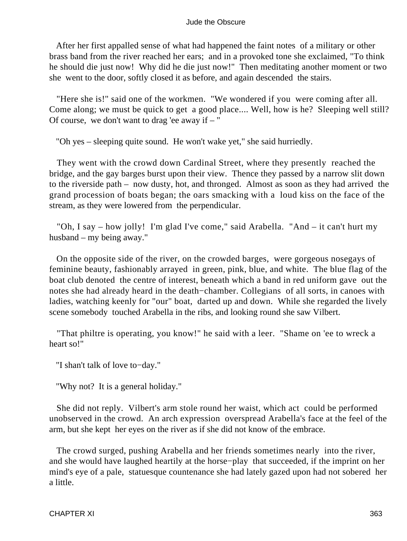After her first appalled sense of what had happened the faint notes of a military or other brass band from the river reached her ears; and in a provoked tone she exclaimed, "To think he should die just now! Why did he die just now!" Then meditating another moment or two she went to the door, softly closed it as before, and again descended the stairs.

 "Here she is!" said one of the workmen. "We wondered if you were coming after all. Come along; we must be quick to get a good place.... Well, how is he? Sleeping well still? Of course, we don't want to drag 'ee away if  $-$ "

"Oh yes – sleeping quite sound. He won't wake yet," she said hurriedly.

 They went with the crowd down Cardinal Street, where they presently reached the bridge, and the gay barges burst upon their view. Thence they passed by a narrow slit down to the riverside path – now dusty, hot, and thronged. Almost as soon as they had arrived the grand procession of boats began; the oars smacking with a loud kiss on the face of the stream, as they were lowered from the perpendicular.

 "Oh, I say – how jolly! I'm glad I've come," said Arabella. "And – it can't hurt my husband – my being away."

 On the opposite side of the river, on the crowded barges, were gorgeous nosegays of feminine beauty, fashionably arrayed in green, pink, blue, and white. The blue flag of the boat club denoted the centre of interest, beneath which a band in red uniform gave out the notes she had already heard in the death−chamber. Collegians of all sorts, in canoes with ladies, watching keenly for "our" boat, darted up and down. While she regarded the lively scene somebody touched Arabella in the ribs, and looking round she saw Vilbert.

 "That philtre is operating, you know!" he said with a leer. "Shame on 'ee to wreck a heart so!"

"I shan't talk of love to−day."

"Why not? It is a general holiday."

 She did not reply. Vilbert's arm stole round her waist, which act could be performed unobserved in the crowd. An arch expression overspread Arabella's face at the feel of the arm, but she kept her eyes on the river as if she did not know of the embrace.

 The crowd surged, pushing Arabella and her friends sometimes nearly into the river, and she would have laughed heartily at the horse−play that succeeded, if the imprint on her mind's eye of a pale, statuesque countenance she had lately gazed upon had not sobered her a little.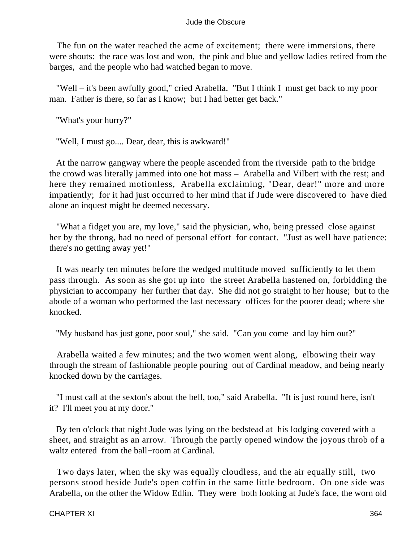The fun on the water reached the acme of excitement; there were immersions, there were shouts: the race was lost and won, the pink and blue and yellow ladies retired from the barges, and the people who had watched began to move.

 "Well – it's been awfully good," cried Arabella. "But I think I must get back to my poor man. Father is there, so far as I know; but I had better get back."

"What's your hurry?"

"Well, I must go.... Dear, dear, this is awkward!"

 At the narrow gangway where the people ascended from the riverside path to the bridge the crowd was literally jammed into one hot mass – Arabella and Vilbert with the rest; and here they remained motionless, Arabella exclaiming, "Dear, dear!" more and more impatiently; for it had just occurred to her mind that if Jude were discovered to have died alone an inquest might be deemed necessary.

 "What a fidget you are, my love," said the physician, who, being pressed close against her by the throng, had no need of personal effort for contact. "Just as well have patience: there's no getting away yet!"

 It was nearly ten minutes before the wedged multitude moved sufficiently to let them pass through. As soon as she got up into the street Arabella hastened on, forbidding the physician to accompany her further that day. She did not go straight to her house; but to the abode of a woman who performed the last necessary offices for the poorer dead; where she knocked.

"My husband has just gone, poor soul," she said. "Can you come and lay him out?"

 Arabella waited a few minutes; and the two women went along, elbowing their way through the stream of fashionable people pouring out of Cardinal meadow, and being nearly knocked down by the carriages.

 "I must call at the sexton's about the bell, too," said Arabella. "It is just round here, isn't it? I'll meet you at my door."

 By ten o'clock that night Jude was lying on the bedstead at his lodging covered with a sheet, and straight as an arrow. Through the partly opened window the joyous throb of a waltz entered from the ball−room at Cardinal.

 Two days later, when the sky was equally cloudless, and the air equally still, two persons stood beside Jude's open coffin in the same little bedroom. On one side was Arabella, on the other the Widow Edlin. They were both looking at Jude's face, the worn old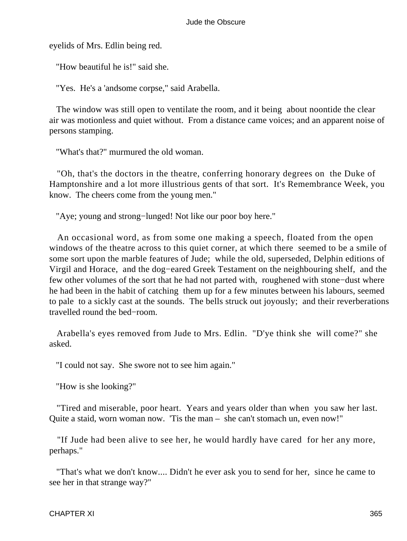eyelids of Mrs. Edlin being red.

"How beautiful he is!" said she.

"Yes. He's a 'andsome corpse," said Arabella.

 The window was still open to ventilate the room, and it being about noontide the clear air was motionless and quiet without. From a distance came voices; and an apparent noise of persons stamping.

"What's that?" murmured the old woman.

 "Oh, that's the doctors in the theatre, conferring honorary degrees on the Duke of Hamptonshire and a lot more illustrious gents of that sort. It's Remembrance Week, you know. The cheers come from the young men."

"Aye; young and strong−lunged! Not like our poor boy here."

 An occasional word, as from some one making a speech, floated from the open windows of the theatre across to this quiet corner, at which there seemed to be a smile of some sort upon the marble features of Jude; while the old, superseded, Delphin editions of Virgil and Horace, and the dog−eared Greek Testament on the neighbouring shelf, and the few other volumes of the sort that he had not parted with, roughened with stone−dust where he had been in the habit of catching them up for a few minutes between his labours, seemed to pale to a sickly cast at the sounds. The bells struck out joyously; and their reverberations travelled round the bed−room.

 Arabella's eyes removed from Jude to Mrs. Edlin. "D'ye think she will come?" she asked.

"I could not say. She swore not to see him again."

"How is she looking?"

 "Tired and miserable, poor heart. Years and years older than when you saw her last. Quite a staid, worn woman now. 'Tis the man – she can't stomach un, even now!"

 "If Jude had been alive to see her, he would hardly have cared for her any more, perhaps."

 "That's what we don't know.... Didn't he ever ask you to send for her, since he came to see her in that strange way?"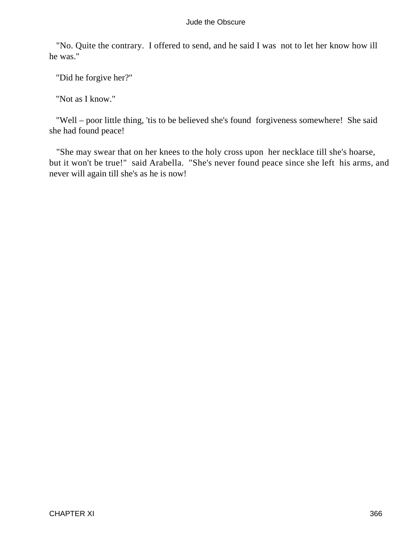"No. Quite the contrary. I offered to send, and he said I was not to let her know how ill he was."

"Did he forgive her?"

"Not as I know."

 "Well – poor little thing, 'tis to be believed she's found forgiveness somewhere! She said she had found peace!

 "She may swear that on her knees to the holy cross upon her necklace till she's hoarse, but it won't be true!" said Arabella. "She's never found peace since she left his arms, and never will again till she's as he is now!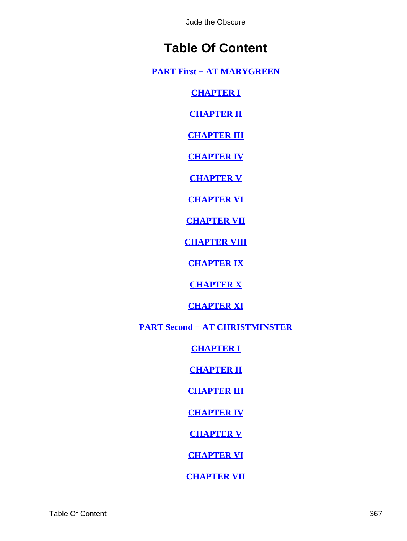# **Table Of Content**

<span id="page-367-0"></span>**[PART First − AT MARYGREEN](#page-2-0)**

**[CHAPTER I](#page-3-0)**

**[CHAPTER II](#page-6-0)**

**[CHAPTER III](#page-12-0)**

**[CHAPTER IV](#page-18-0)**

**[CHAPTER V](#page-23-0)**

**[CHAPTER VI](#page-27-0)**

**[CHAPTER VII](#page-34-0)**

**[CHAPTER VIII](#page-42-0)**

**[CHAPTER IX](#page-47-0)**

**[CHAPTER X](#page-53-0)**

**[CHAPTER XI](#page-59-0)**

**[PART Second − AT CHRISTMINSTER](#page-64-0)**

**[CHAPTER I](#page-65-0)**

**[CHAPTER II](#page-70-0)**

**[CHAPTER III](#page-76-0)**

**[CHAPTER IV](#page-81-0)**

**[CHAPTER V](#page-88-0)**

**[CHAPTER VI](#page-92-0)**

**[CHAPTER VII](#page-100-0)**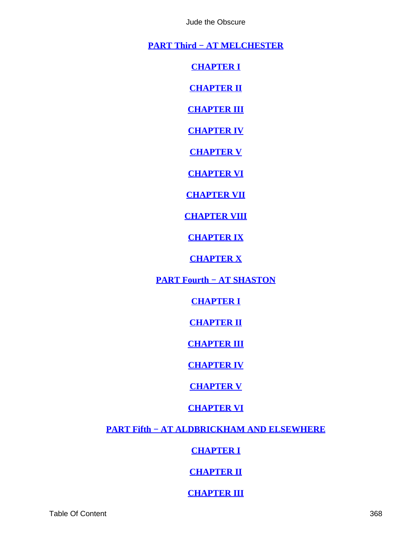**[PART Third − AT MELCHESTER](#page-106-0)**

**[CHAPTER I](#page-107-0)**

**[CHAPTER II](#page-113-0)**

**[CHAPTER III](#page-117-0)**

**[CHAPTER IV](#page-123-0)**

**[CHAPTER V](#page-131-0)**

**[CHAPTER VI](#page-136-0)**

**[CHAPTER VII](#page-144-0)**

**[CHAPTER VIII](#page-150-0)**

**[CHAPTER IX](#page-157-0)**

**[CHAPTER X](#page-165-0)**

**[PART Fourth − AT SHASTON](#page-169-0)**

**[CHAPTER I](#page-170-0)**

**[CHAPTER II](#page-178-0)**

**[CHAPTER III](#page-187-0)**

**[CHAPTER IV](#page-196-0)**

**[CHAPTER V](#page-205-0)**

**[CHAPTER VI](#page-215-0)**

**[PART Fifth − AT ALDBRICKHAM AND ELSEWHERE](#page-223-0)**

**[CHAPTER I](#page-224-0)**

**[CHAPTER II](#page-229-0)**

**[CHAPTER III](#page-238-0)**